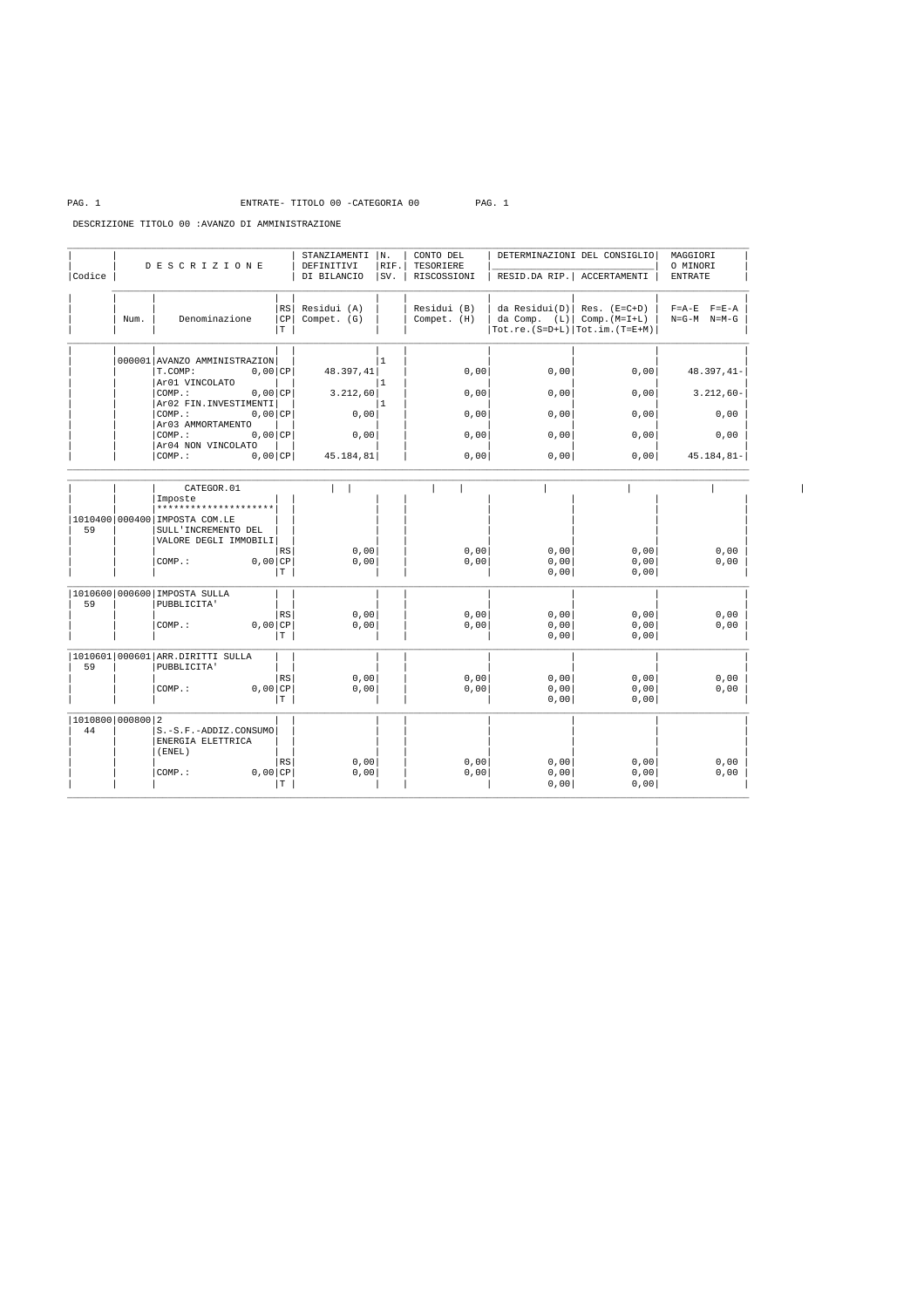### PAG. 1 ENTRATE- TITOLO 00 -CATEGORIA 00 PAG. 1

DESCRIZIONE TITOLO 00 :AVANZO DI AMMINISTRAZIONE

| Codice                 |      | <b>DESCRIZIONE</b>                                                            |                         | STANZIAMENTI<br>DEFINITIVI<br>DI BILANCIO | N.<br>RIF.<br>SV.            | CONTO DEL<br>TESORIERE<br>RISCOSSIONI |                                  | DETERMINAZIONI DEL CONSIGLIO<br>RESID.DA RIP.   ACCERTAMENTI        | MAGGIORI<br>O MINORI<br><b>ENTRATE</b>             |
|------------------------|------|-------------------------------------------------------------------------------|-------------------------|-------------------------------------------|------------------------------|---------------------------------------|----------------------------------|---------------------------------------------------------------------|----------------------------------------------------|
|                        | Num. | Denominazione                                                                 | RS<br>CP<br>$\mathbb T$ | Residui (A)<br>Compet. (G)                |                              | Residui (B)<br>Compet. (H)            | da Comp. $(L)  $ Comp. $(M=I+L)$ | da Residui(D)   Res. (E=C+D)<br>$Tot.re.(S=D+L)   Tot.in.(T=E+M)  $ | $F = A - E$ $F = E - A$<br>$N = G - M$ $N = M - G$ |
|                        |      | 000001 AVANZO AMMINISTRAZION<br>T.COMP:<br>$0,00$ <sub>CP</sub>               |                         | 48.397,41                                 | $\mathbf{1}$<br>$\mathbf{1}$ | 0,00                                  | 0,00                             | 0,00                                                                | $48.397, 41 -$                                     |
|                        |      | Ar01 VINCOLATO<br>COMP.:<br>$0,00$ <sub>CP</sub>                              |                         | 3.212,60                                  |                              | 0,00                                  | 0,00                             | 0,00                                                                | $3.212,60-$                                        |
|                        |      | Ar02 FIN. INVESTIMENTI<br>COMP.:<br>$0,00$ <sub>CP</sub><br>Ar03 AMMORTAMENTO |                         | 0,00                                      | $\mathbf{1}$                 | 0,00                                  | 0,00                             | 0,00                                                                | 0,00                                               |
|                        |      | COMP.:<br>$0,00$ <sub>CP</sub>                                                |                         | 0,00                                      |                              | 0,00                                  | 0,00                             | 0,00                                                                | 0,00                                               |
|                        |      | Ar04 NON VINCOLATO<br>COMP.:<br>0,00 CP                                       |                         | 45.184,81                                 |                              | 0,00                                  | 0,00                             | 0,00                                                                | $45.184, 81 -$                                     |
|                        |      | CATEGOR.01                                                                    |                         |                                           |                              |                                       |                                  |                                                                     |                                                    |
|                        |      | Imposte<br>*********************                                              |                         |                                           |                              |                                       |                                  |                                                                     |                                                    |
| 59                     |      | 1010400 000400 IMPOSTA COM.LE<br>SULL'INCREMENTO DEL<br>VALORE DEGLI IMMOBILI |                         |                                           |                              |                                       |                                  |                                                                     |                                                    |
|                        |      | 0,00 CP<br>COMP.:                                                             | RS<br>$\mathbb T$       | 0,00<br>0,00                              |                              | 0,00<br>0,00                          | 0,00<br>0,00<br>0,00             | 0,00<br>0,00<br>0,00                                                | 0,00<br>0,00                                       |
| 59                     |      | 1010600 000600 IMPOSTA SULLA<br>PUBBLICITA'                                   |                         |                                           |                              |                                       |                                  |                                                                     |                                                    |
|                        |      | $0,00$  CP<br>COMP.:                                                          | RS<br>$\mathbb T$       | 0,00<br>0,00                              |                              | 0,00<br>0,00                          | 0,00<br>0,00<br>0,00             | 0,00<br>0,00<br>0,00                                                | 0,00<br>0,00                                       |
| 59                     |      | 1010601 000601 ARR. DIRITTI SULLA<br>PUBBLICITA'                              |                         |                                           |                              |                                       |                                  |                                                                     |                                                    |
|                        |      | $0,00$  CP<br>COMP.:                                                          | RS<br>$\mathbb T$       | 0,00<br>0,00                              |                              | 0,00<br>0,00                          | 0,00<br>0,00<br>0,00             | 0,00<br>0,00<br>0,00                                                | 0,00<br>0,00                                       |
| 1010800 000800 2<br>44 |      | S.-S.F.-ADDIZ.CONSUMO<br>ENERGIA ELETTRICA<br>(ENEL)                          |                         |                                           |                              |                                       |                                  |                                                                     |                                                    |
|                        |      | $0,00$ <sub>CP</sub><br>COMP.:                                                | RS<br>$\mathbf T$       | 0,00<br>0,00                              |                              | 0,00<br>0,00                          | 0,00<br>0,00<br>0,00             | 0,00<br>0,00<br>0,00                                                | 0,00<br>0,00                                       |

### $PAG. 1$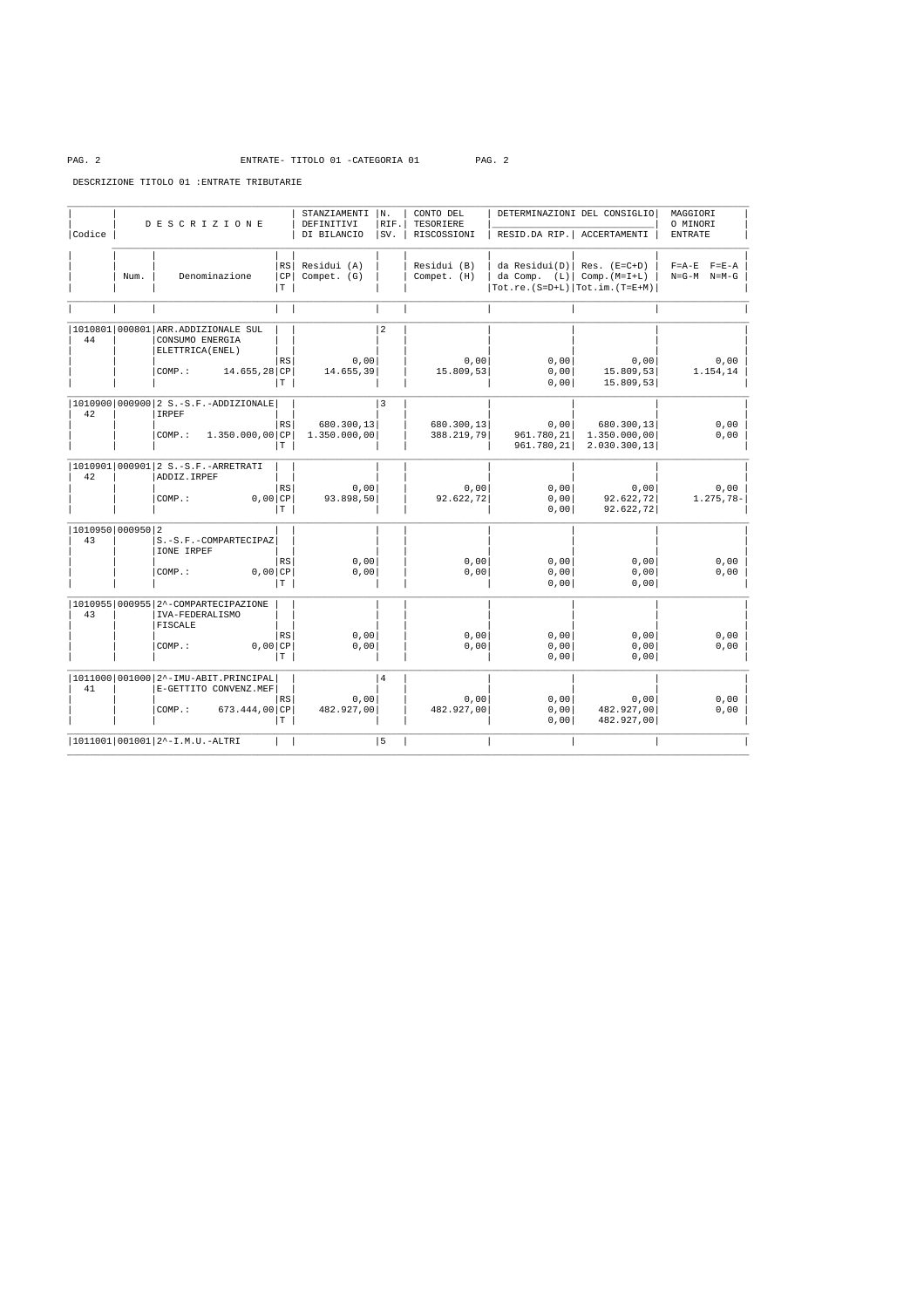### PAG. 2 ENTRATE- TITOLO 01 -CATEGORIA 01 PAG. 2

| Codice                 |      | DESCRIZIONE                                                                               |                   | STANZIAMENTI<br>DEFINITIVI<br>DI BILANCIO | IN.<br>RIF.<br>ISV. | CONTO DEL<br>TESORIERE<br>RISCOSSIONI |                                  | DETERMINAZIONI DEL CONSIGLIO<br>RESID.DA RIP.   ACCERTAMENTI                                               | MAGGIORI<br>O MINORI<br><b>ENTRATE</b>             |
|------------------------|------|-------------------------------------------------------------------------------------------|-------------------|-------------------------------------------|---------------------|---------------------------------------|----------------------------------|------------------------------------------------------------------------------------------------------------|----------------------------------------------------|
|                        | Num. | Denominazione                                                                             | RS<br>CP<br>Г     | Residui (A)<br>Compet. (G)                |                     | Residui (B)<br>Compet. (H)            |                                  | da Residui(D)   Res. $(E=C+D)$<br>da Comp. $(L)  $ Comp. $(M=I+L)$<br>$ Tot.re.(S=D+L)   Tot.in.(T=E+M)  $ | $F = A - E$ $F = E - A$<br>$N = G - M$ $N = M - G$ |
|                        |      |                                                                                           |                   |                                           |                     |                                       |                                  |                                                                                                            |                                                    |
| 44                     |      | 1010801 000801 ARR.ADDIZIONALE SUL<br>CONSUMO ENERGIA<br>ELETTRICA (ENEL)                 | RS                | 0,00                                      | $\overline{a}$      | 0,00                                  | 0,00                             | 0,00                                                                                                       | 0,00                                               |
|                        |      | COMP.:<br>14.655,28 CP                                                                    | T.                | 14.655,39                                 |                     | 15.809,53                             | 0,00<br>0,00                     | 15.809,53<br>15.809, 53                                                                                    | 1.154,14                                           |
| 42                     |      | 1010900 000900 2 S.-S.F.-ADDIZIONALE<br>IRPEF                                             |                   |                                           | l 3                 |                                       |                                  |                                                                                                            |                                                    |
|                        |      | COMP.:<br>$1.350.000,00$ CP                                                               | <b>RS</b><br>T.   | 680.300,13<br>1.350.000,00                |                     | 680.300,13<br>388.219,79              | 0,00<br>961.780,21<br>961.780,21 | 680.300,13<br>1.350.000,00<br>2.030.300, 13                                                                | 0,00<br>0,00                                       |
| 42                     |      | 1010901 000901 2 S.-S.F.-ARRETRATI<br>ADDIZ.IRPEF<br>$0,00$ <sub>CP</sub><br>COMP.:       | RS<br>$\mathbb T$ | 0,00<br>93.898,50                         |                     | 0.00<br>92.622,72                     | 0,00<br>0,00<br>0,00             | 0,00<br>92.622, 72<br>92.622, 72                                                                           | 0,00<br>$1.275,78-$                                |
| 1010950100095012<br>43 |      | S.-S.F.-COMPARTECIPAZ<br>IONE IRPEF<br>$0,00$  CP<br>COMP.:                               | RS<br>T.          | 0,00<br>0,00                              |                     | 0,00<br>0,00                          | 0,00<br>0,00<br>0,00             | 0,00<br>0,00<br>0,00                                                                                       | 0.00<br>0,00                                       |
| 43                     |      | 1010955   000955   2^-COMPARTECIPAZIONE<br>IVA-FEDERALISMO<br>FISCALE                     | <b>RS</b>         | 0.00                                      |                     | 0.00                                  | 0.00                             | 0.00                                                                                                       | 0.00                                               |
|                        |      | $0,00$  CP<br>COMP.:                                                                      | T.                | 0,00                                      |                     | 0,00                                  | 0,00<br>0,00                     | 0,00<br>0,00                                                                                               | 0,00                                               |
| 41                     |      | 1011000 001000 2^-IMU-ABIT. PRINCIPAL<br>E-GETTITO CONVENZ.MEF<br>COMP.:<br>673.444,00 CP | RS<br>T.          | 0,00<br>482.927,00                        | 4                   | 0,00<br>482.927,00                    | 0,00<br>0.001<br>0,00            | 0,00<br>482.927.00<br>482.927,00                                                                           | 0,00<br>0,00                                       |
|                        |      | $ 1011001 001001 2$ <sup>2</sup> -I.M.U.-ALTRI                                            |                   |                                           | 5                   |                                       |                                  |                                                                                                            |                                                    |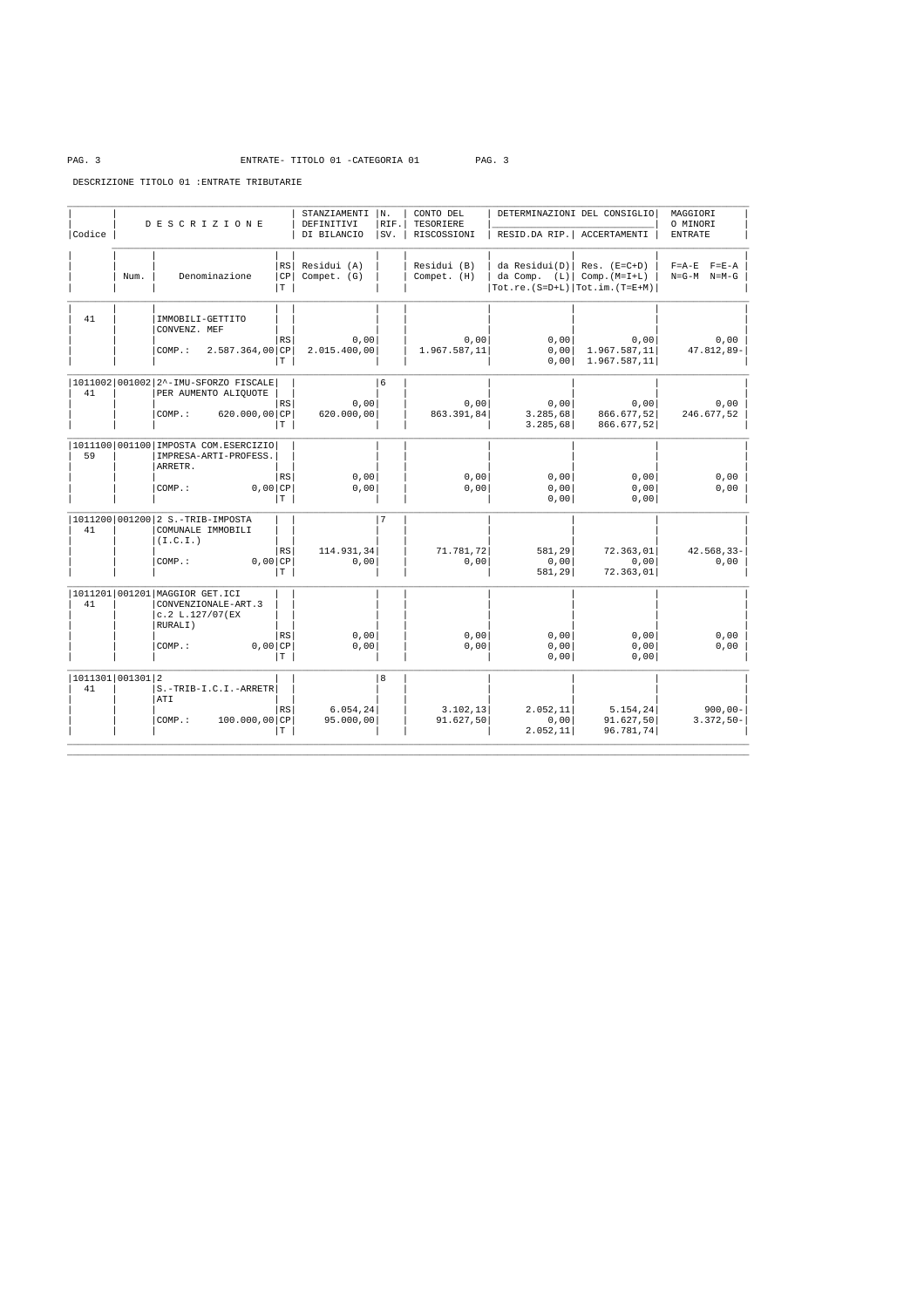### PAG. 3 ENTRATE- TITOLO 01 -CATEGORIA 01 PAG. 3

| Codice                 |      | DESCRIZIONE                                                                                                                       | STANZIAMENTI   N.<br>DEFINITIVI<br>DI BILANCIO | RIF.<br> sv. | CONTO DEL<br>TESORIERE<br>RISCOSSIONI |                               | DETERMINAZIONI DEL CONSIGLIO<br>RESID.DA RIP.   ACCERTAMENTI                                               | MAGGIORI<br>O MINORI<br><b>ENTRATE</b>             |
|------------------------|------|-----------------------------------------------------------------------------------------------------------------------------------|------------------------------------------------|--------------|---------------------------------------|-------------------------------|------------------------------------------------------------------------------------------------------------|----------------------------------------------------|
|                        | Num. | RS<br>Denominazione<br>CP<br>IТ                                                                                                   | Residui (A)<br>Compet. (G)                     |              | Residui (B)<br>Compet. (H)            |                               | da Residui(D)   Res. $(E=C+D)$<br>da Comp. $(L)  $ Comp. $(M=I+L)$<br>$ Tot,re.(S=D+L)   Tot.in.(T=E+M)  $ | $F = A - E$ $F = E - A$<br>$N = G - M$ $N = M - G$ |
| 41                     |      | IMMOBILI-GETTITO<br>CONVENZ, MEF<br>l RS<br>COMP.:<br>2.587.364,00 CP <br>T.                                                      | 0,00<br>2.015.400.00                           |              | 0,00<br>1.967.587, 11                 | 0,00<br>0,00<br>0,00          | 0,00<br>1.967.587, 11<br>1.967.587, 11                                                                     | 0,00<br>$47.812,89-$                               |
| 41                     |      | 1011002 001002 2^-IMU-SFORZO FISCALE<br>PER AUMENTO ALIQUOTE<br>RS<br>COMP:<br>620.000,00 CP<br>T.                                | 0,00<br>620.000,00                             | 6            | 0,00<br>863.391,84                    | 0,00<br>3.285,68<br>3.285,68  | 0,00<br>866.677,52<br>866.677,52                                                                           | 0,00<br>246.677,52                                 |
| 59                     |      | 1011100 001100 IMPOSTA COM.ESERCIZIO<br>IMPRESA-ARTI-PROFESS.<br>ARRETR.<br>RS<br>$0,00$  CP<br>COMP.:<br>T.                      | 0,00<br>0,00                                   |              | 0,00<br>0,00                          | 0,00<br>0,00<br>0,00          | 0,00<br>0,00<br>0,00                                                                                       | 0,00<br>0,00                                       |
| 41                     |      | 1011200 001200 2 S.-TRIB-IMPOSTA<br>COMUNALE IMMOBILI<br>(I.C.I.)<br>RS<br>$0.00$ <sub>c</sub> $P$<br>COMP.:<br>T.                | 114.931,34<br>0,00                             | 7            | 71.781,72<br>0,00                     | 581,29<br>0,00<br>581,29      | 72.363,01<br>0,00<br>72.363,01                                                                             | $42.568, 33 -$<br>0,00                             |
| 41                     |      | 1011201 001201 MAGGIOR GET.ICI<br>CONVENZIONALE-ART.3<br>$c.2 L.127/07$ (EX<br>RURALI)<br><b>RS</b><br>$0,00$  CP<br>COMP.:<br>T. | 0.00<br>0,00                                   |              | 0.00<br>0,00                          | 0.00<br>0,00<br>0,00          | 0.00<br>0,00<br>0,00                                                                                       | 0.00<br>0,00                                       |
| 1011301 001301 2<br>41 |      | S.-TRIB-I.C.I.-ARRETR<br>ATT<br>RS<br>100.000,00 CP<br>COMP.:<br>$\mathbb T$                                                      | 6.054.24<br>95.000,00                          | 18           | 3.102, 13<br>91.627,50                | 2.052.11<br>0,00<br>2.052, 11 | 5.154, 24<br>91.627,50<br>96.781,74                                                                        | $900.00 -$<br>$3.372,50-$                          |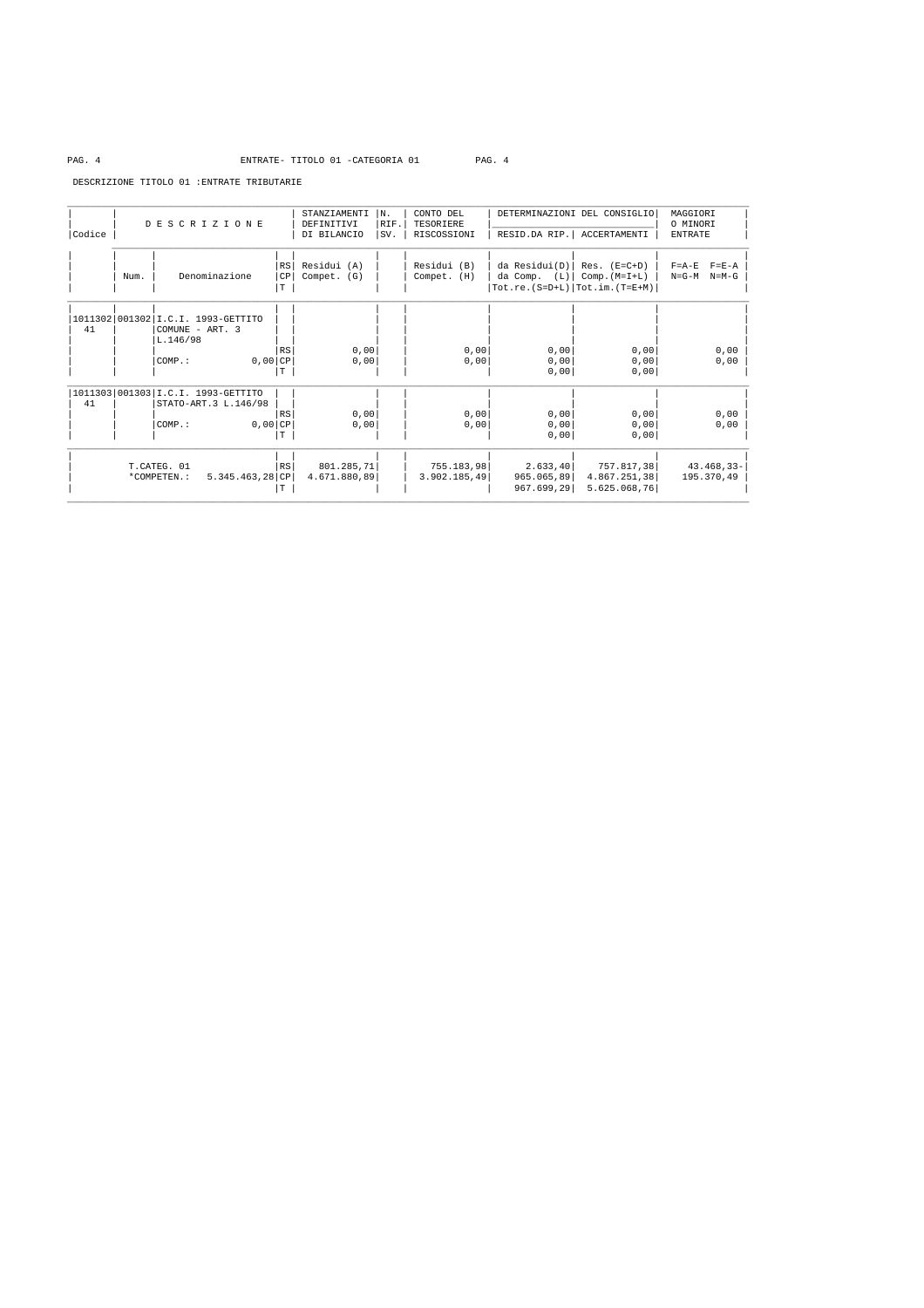### PAG. 4 ENTRATE- TITOLO 01 -CATEGORIA 01 PAG. 4

| Codice |      | DESCRIZIONE                                                                               |                      | IN.<br>STANZIAMENTI<br>RIF.<br>DEFINITIVI<br>lsv.<br>DI BILANCIO | CONTO DEL<br>TESORIERE<br>RISCOSSIONI | RESID.DA RIP. ACCERTAMENTI | DETERMINAZIONI DEL CONSIGLIO                                                                 | MAGGIORI<br>O MINORI<br><b>ENTRATE</b>             |
|--------|------|-------------------------------------------------------------------------------------------|----------------------|------------------------------------------------------------------|---------------------------------------|----------------------------|----------------------------------------------------------------------------------------------|----------------------------------------------------|
|        | Num. | Denominazione                                                                             | <b>RS</b><br>CP<br>T | Residui (A)<br>$Compet.$ (G)                                     | Residui (B)<br>Compet. (H)            | da Residui $(D)$           | $Res.$ $(E=C+D)$<br>da Comp. $(L)  $ Comp. $(M=I+L)$<br>$ Tot.re.(S=D+L)   Tot.in.(T=E+M)  $ | $F = A - E$ $F = E - A$<br>$N = G - M$ $N = M - G$ |
| 41     |      | 1011302 001302 I.C.I. 1993-GETTITO<br>COMUNE - ART. 3<br>L.146/98<br>$0,00$  CP<br>COMP.: | RS<br>T              | 0,00<br>0,00                                                     | 0,00<br>0,00                          | 0,00<br>0,00<br>0,00       | 0,00<br>0,00<br>0,00                                                                         | 0,00<br>0,00                                       |
| 41     |      | 1011303 001303 I.C.I. 1993-GETTITO<br>STATO-ART.3 L.146/98<br>$0,00$  CP<br>COMP.:        | RS<br>T              | 0,00<br>0,00                                                     | 0,00<br>0,00                          | 0,00<br>0,00<br>0,00       | 0,00<br>0,00<br>0,00                                                                         | 0,00<br>0,00                                       |
|        |      | T.CATEG. 01<br>$5.345.463,28$ CP<br>*COMPETEN.:                                           | RS<br>т              | 801.285,71<br>4.671.880,89                                       | 755.183,98<br>3.902.185,49            | 965.065,89<br>967.699.29   | $2.633, 40$ 757.817,38<br>4.867.251,38<br>5.625.068,76                                       | $43.468,33-$<br>195.370,49                         |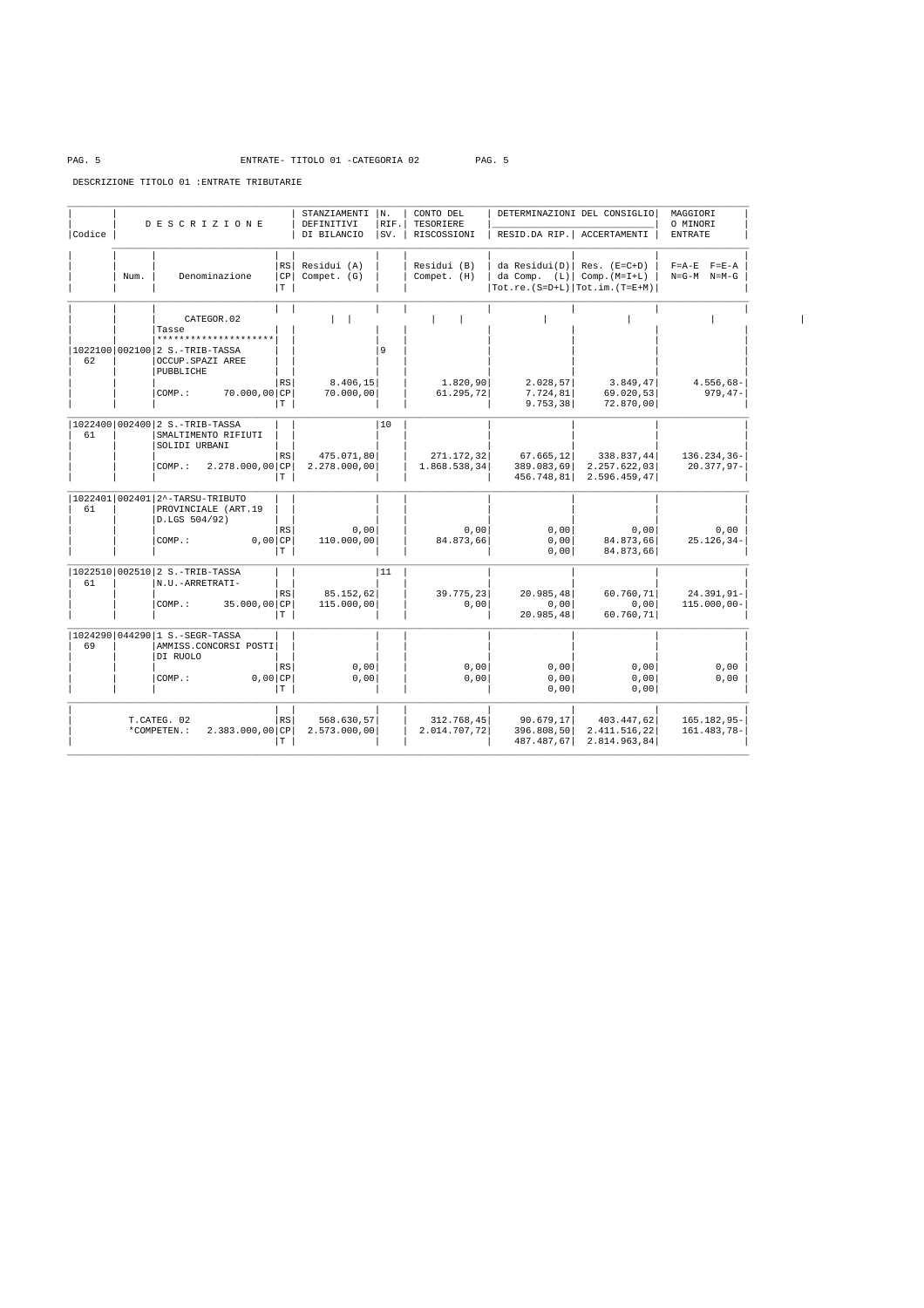### PAG. 5 ENTRATE- TITOLO 01 -CATEGORIA 02 PAG. 5

| Codice |      | <b>DESCRIZIONE</b>                                                      | STANZIAMENTI<br>DEFINITIVI<br>DI BILANCIO | IN.<br>RIF.<br>SV. | CONTO DEL<br>TESORIERE<br>RISCOSSIONI | RESID.DA RIP.                          | DETERMINAZIONI DEL CONSIGLIO<br>ACCERTAMENTI                                                               | MAGGIORI<br>O MINORI<br><b>ENTRATE</b>             |
|--------|------|-------------------------------------------------------------------------|-------------------------------------------|--------------------|---------------------------------------|----------------------------------------|------------------------------------------------------------------------------------------------------------|----------------------------------------------------|
|        | Num. | RS<br>Denominazione<br>CP<br>T.                                         | Residui (A)<br>Compet. (G)                |                    | Residui (B)<br>Compet. (H)            |                                        | da Residui(D)   Res. $(E=C+D)$<br>da Comp. $(L)  $ Comp. $(M=I+L)$<br>$ Tot.re.(S=D+L)   Tot.in.(T=E+M)  $ | $F = A - E$ $F = E - A$<br>$N = G - M$ $N = M - G$ |
|        |      | CATEGOR.02<br>Tasse<br>********************                             |                                           |                    |                                       |                                        |                                                                                                            |                                                    |
| 62     |      | 1022100 002100 2 S.-TRIB-TASSA<br>OCCUP.SPAZI AREE<br>PUBBLICHE         |                                           | $\overline{9}$     |                                       |                                        |                                                                                                            |                                                    |
|        |      | RS<br>70.000,00 CP<br>COMP.:<br>$\mathbb T$                             | 8.406,15<br>70.000,00                     |                    | 1.820,90<br>61.295,72                 | 2.028, 57<br>7.724,81<br>9.753, 38     | 3.849,47<br>69.020,53<br>72.870,00                                                                         | $4.556,68-$<br>$979, 47-$                          |
| 61     |      | 1022400 002400 2 S.-TRIB-TASSA<br>SMALTIMENTO RIFIUTI<br>SOLIDI URBANI  |                                           | 10                 |                                       |                                        |                                                                                                            |                                                    |
|        |      | RS<br>COMP.:<br>2.278.000,00 CP<br>T.                                   | 475.071,80<br>2.278.000,00                |                    | 271.172,32<br>1.868.538,34            | 67.665, 12<br>389.083,69<br>456.748,81 | 338.837,44<br>2.257.622,03<br>2.596.459,47                                                                 | $136.234.36 -$<br>$20.377,97-$                     |
| 61     |      | 1022401 002401 2^-TARSU-TRIBUTO<br>PROVINCIALE (ART.19<br>D.LGS 504/92) |                                           |                    |                                       |                                        |                                                                                                            |                                                    |
|        |      | RS<br>$0,00$  CP<br>COMP.:<br>$\mathbb T$                               | 0,00<br>110,000,00                        |                    | 0,00<br>84.873,66                     | 0,00<br>0,00<br>0,00                   | 0,00<br>84.873.66<br>84.873,66                                                                             | 0,00<br>$25.126.34-$                               |
| 61     |      | 1022510 002510   2 S.-TRIB-TASSA<br>N.U.-ARRETRATI-                     |                                           | 11                 |                                       |                                        |                                                                                                            |                                                    |
|        |      | RS<br>35.000,00 CP<br>COMP.:<br>$\mathbb T$                             | 85.152,62<br>115.000,00                   |                    | 39.775,23<br>0,00                     | 20.985,48<br>0,00<br>20.985, 48        | 60.760,71<br>0,00<br>60.760,71                                                                             | $24.391, 91 -$<br>$115.000,00 -$                   |
| 69     |      | 1024290 044290 1 S.-SEGR-TASSA<br>AMMISS.CONCORSI POSTI<br>DI RUOLO     |                                           |                    |                                       |                                        |                                                                                                            |                                                    |
|        |      | RS<br>$0,00$  CP<br>COMP.:<br>$\mathbb T$                               | 0,00<br>0,00                              |                    | 0,00<br>0,00                          | 0,00<br>0,00<br>0,00                   | 0,00<br>0,00<br>0,00                                                                                       | 0,00<br>0,00                                       |
|        |      | RS<br>T.CATEG. 02<br>$2.383.000.00$ CP<br>*COMPETEN. :<br>T.            | 568.630,57<br>2.573.000,00                |                    | 312.768,45<br>2.014.707.72            | 90.679, 17<br>396.808,50<br>487.487,67 | 403.447,62<br>2.411.516,22<br>2.814.963,84                                                                 | $165.182,95-$<br>161.483,78-                       |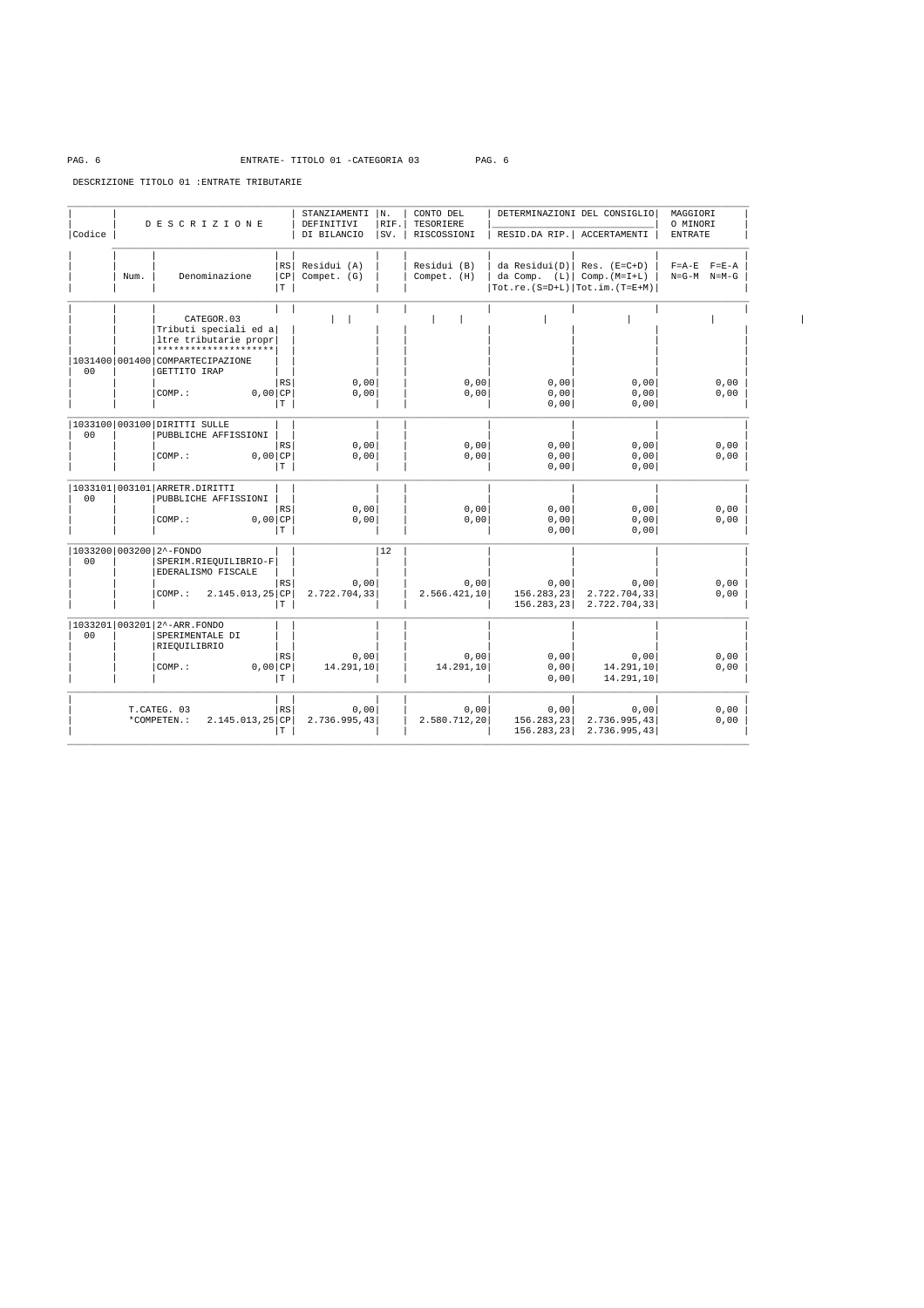### PAG. 6 ENTRATE- TITOLO 01 -CATEGORIA 03 PAG. 6

| Codice         |      | <b>DESCRIZIONE</b>                                                                                                      | STANZIAMENTI<br>DEFINITIVI<br>DI BILANCIO | N.<br>RIF.<br>SV. | CONTO DEL<br>TESORIERE<br>RISCOSSIONI | RESID.DA RIP.   ACCERTAMENTI                                                             | DETERMINAZIONI DEL CONSIGLIO                         | MAGGIORI<br>O MINORI<br><b>ENTRATE</b>             |
|----------------|------|-------------------------------------------------------------------------------------------------------------------------|-------------------------------------------|-------------------|---------------------------------------|------------------------------------------------------------------------------------------|------------------------------------------------------|----------------------------------------------------|
|                | Num. | RS<br>Denominazione<br>CP<br>$\mathbb T$                                                                                | Residui (A)<br>Compet. (G)                |                   | Residui (B)<br>Compet. (H)            | da Residui(D)<br>da Comp. $(L)  $ Comp. $(M=I+L)$<br>$Tot.re.(S=D+L)   Tot.in.(T=E+M)  $ | $Res.$ ( $E=C+D$ )                                   | $F = A - E$ $F = E - A$<br>$N = G - M$ $N = M - G$ |
| 0 <sub>0</sub> |      | CATEGOR.03<br>Tributi speciali ed a<br>ltre tributarie propr<br>1031400 001400 COMPARTECIPAZIONE<br>GETTITO IRAP<br>RS  | 0,00                                      |                   | 0,00                                  | 0,00                                                                                     | 0,00                                                 | 0,00                                               |
|                |      | $0,00$  CP<br>COMP.:<br>T.                                                                                              | 0,00                                      |                   | 0,00                                  | 0,00<br>0,00                                                                             | 0,00<br>0,00                                         | 0,00                                               |
| 0 <sub>0</sub> |      | 1033100 003100 DIRITTI SULLE<br>PUBBLICHE AFFISSIONI<br>RS<br>$0,00$  CP<br>COMP.:<br>T.                                | 0,00<br>0,00                              |                   | 0,00<br>0,00                          | 0,00<br>0,00<br>0,00                                                                     | 0,00<br>0,00<br>0,00                                 | 0,00<br>0,00                                       |
| 0 <sub>0</sub> |      | 1033101 003101 ARRETR. DIRITTI<br>PUBBLICHE AFFISSIONI<br>RS<br>$0,00$  CP<br>COMP.:<br>$\mathbb T$                     | 0,00<br>0,00                              |                   | 0,00<br>0,00                          | 0,00<br>0,00<br>0,00                                                                     | 0,00<br>0,00<br>0,00                                 | 0,00<br>0,00                                       |
| 0 <sub>0</sub> |      | 1033200 003200 2^-FONDO<br>SPERIM.RIEQUILIBRIO-F<br>EDERALISMO FISCALE<br>RS<br>COMP:<br>2.145.013,25 CP<br>$\mathbb T$ | 0,00<br>2.722.704,33                      | 12                | 0,00<br>2.566.421, 10                 | 0,00<br>156.283,23                                                                       | 0,00<br>2.722.704,33<br>156.283,23 2.722.704,33      | 0,00<br>0,00                                       |
| 0 <sup>0</sup> |      | 1033201 003201 2^-ARR. FONDO<br>SPERIMENTALE DI<br>RIEQUILIBRIO<br>RS<br>$0,00$ <sub>CP</sub><br>COMP.:<br>$\mathbb T$  | 0,00<br>14.291,10                         |                   | 0,00<br>14.291,10                     | 0.00<br>0,00<br>0,00                                                                     | 0,00<br>14.291,10<br>14.291,10                       | 0,00<br>0,00                                       |
|                |      | T. CATEG. 03<br>RS<br>2.145.013,25 CP<br>*COMPETEN. :<br>T.                                                             | 0,00<br>2.736.995.43                      |                   | 0,00<br>2.580.712,20                  | 0,00<br>156.283,23                                                                       | 0,00<br>2.736.995,43<br>$156.283, 23$   2.736.995,43 | 0,00<br>0,00                                       |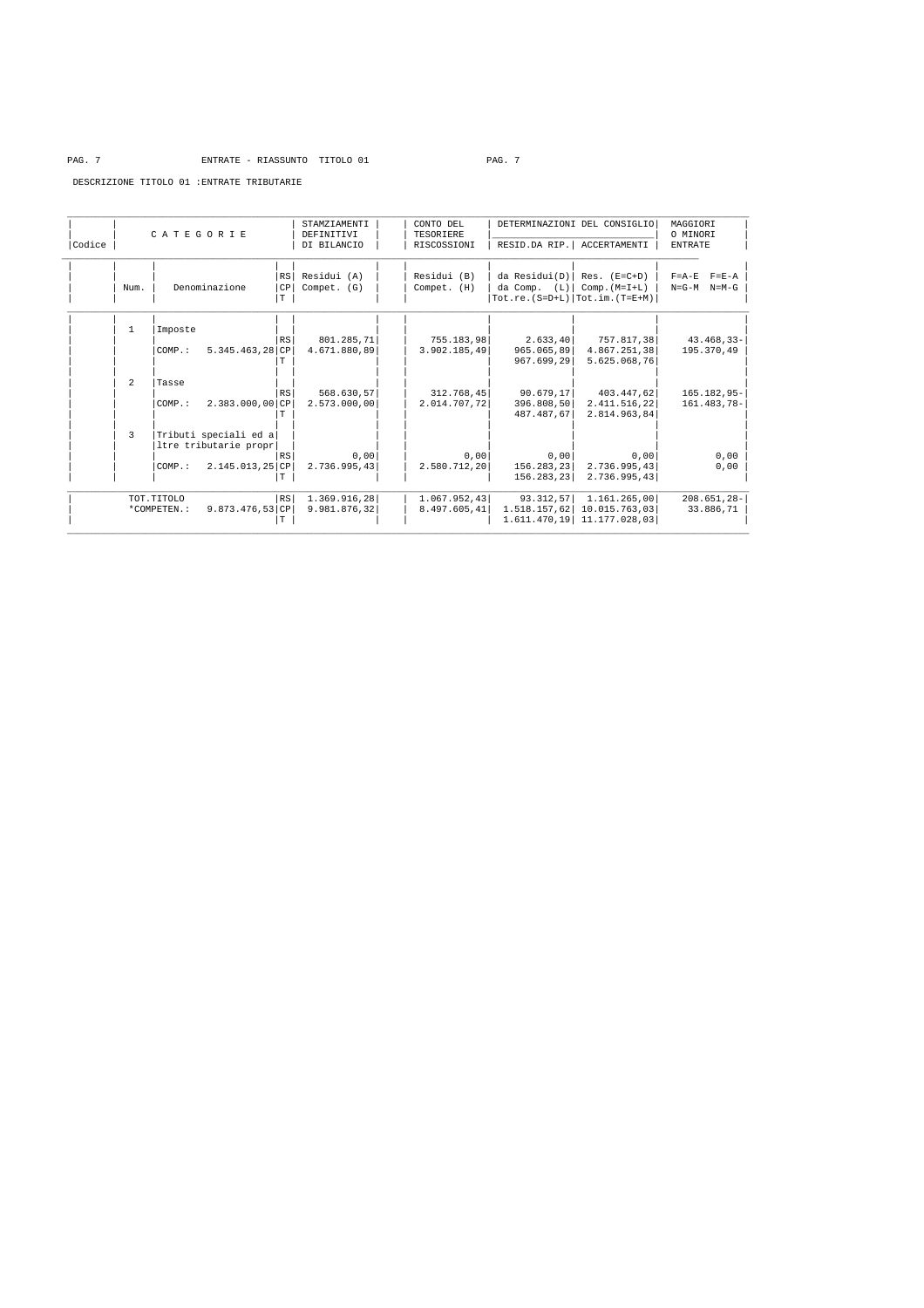### PAG. 7 ENTRATE - RIASSUNTO TITOLO 01 PAG. 7 DESCRIZIONE TITOLO 01 :ENTRATE TRIBUTARIE

| Codice |              | CATEGORIE                                                                  |               | STAMZIAMENTI<br>DEFINITIVI<br>DI BILANCIO | CONTO DEL<br>TESORIERE<br>RISCOSSIONI | RESID.DA RIP. ACCERTAMENTI                                       | DETERMINAZIONI DEL CONSIGLIO                                                           | MAGGIORI<br>O MINORI<br><b>ENTRATE</b>             |
|--------|--------------|----------------------------------------------------------------------------|---------------|-------------------------------------------|---------------------------------------|------------------------------------------------------------------|----------------------------------------------------------------------------------------|----------------------------------------------------|
|        | Num.         | Denominazione                                                              | RS<br>CP<br>T | Residui (A)<br>$Compet.$ (G)              | Residui (B)<br>Compet. (H)            | da Residui(D)   Res. $(E=C+D)$<br>da Comp. $(L)$ Comp. $(M=I+L)$ | $ Tot.re.(S=D+L)   Tot.in.(T=E+M) $                                                    | $F = A - E$ $F = E - A$<br>$N = G - M$ $N = M - G$ |
|        | $\mathbf{1}$ | Imposte                                                                    |               |                                           |                                       |                                                                  |                                                                                        |                                                    |
|        |              | 5.345.463.28 CP<br>COMP.:                                                  | <b>RS</b>     | 801.285,71<br>4.671.880.89                | 755.183,98<br>3.902.185.49            | 2.633, 40<br>965,065,89<br>967.699.29                            | 757.817.38<br>4.867.251.38<br>5.625.068.76                                             | $43.468.33-$<br>195.370.49                         |
|        | 2            | Tasse<br>$2.383.000.00$ CP<br>COMP:                                        | RS            | 568.630.57<br>2.573.000,00                | 312.768.45<br>2.014.707.72            | 90.679,17<br>396.808.50<br>487.487.67                            | 403.447.62<br>2.411.516.22<br>2.814.963,84                                             | 165.182.95-<br>161.483.78-                         |
|        | 3            | Tributi speciali ed a<br>ltre tributarie propr<br>2.145.013.25 CP<br>COMP: | <b>RS</b>     | 0.00<br>2.736.995.43                      | 0.00<br>2.580.712,20                  | 0,00<br>156.283.23<br>156.283,23                                 | 0.00<br>2.736.995.43<br>2.736.995,43                                                   | 0,00<br>0,00                                       |
|        |              | TOT.TITOLO<br>9.873.476.53 CP<br>*COMPETEN.:                               | RS <br>т      | 1.369.916,28<br>9.981.876.32              | 1.067.952.43<br>8.497.605.41          |                                                                  | $93.312,57$ 1.161.265,00<br>1.518.157,62 10.015.763,03<br>1.611.470.19   11.177.028.03 | $208.651, 28 -$<br>33.886,71                       |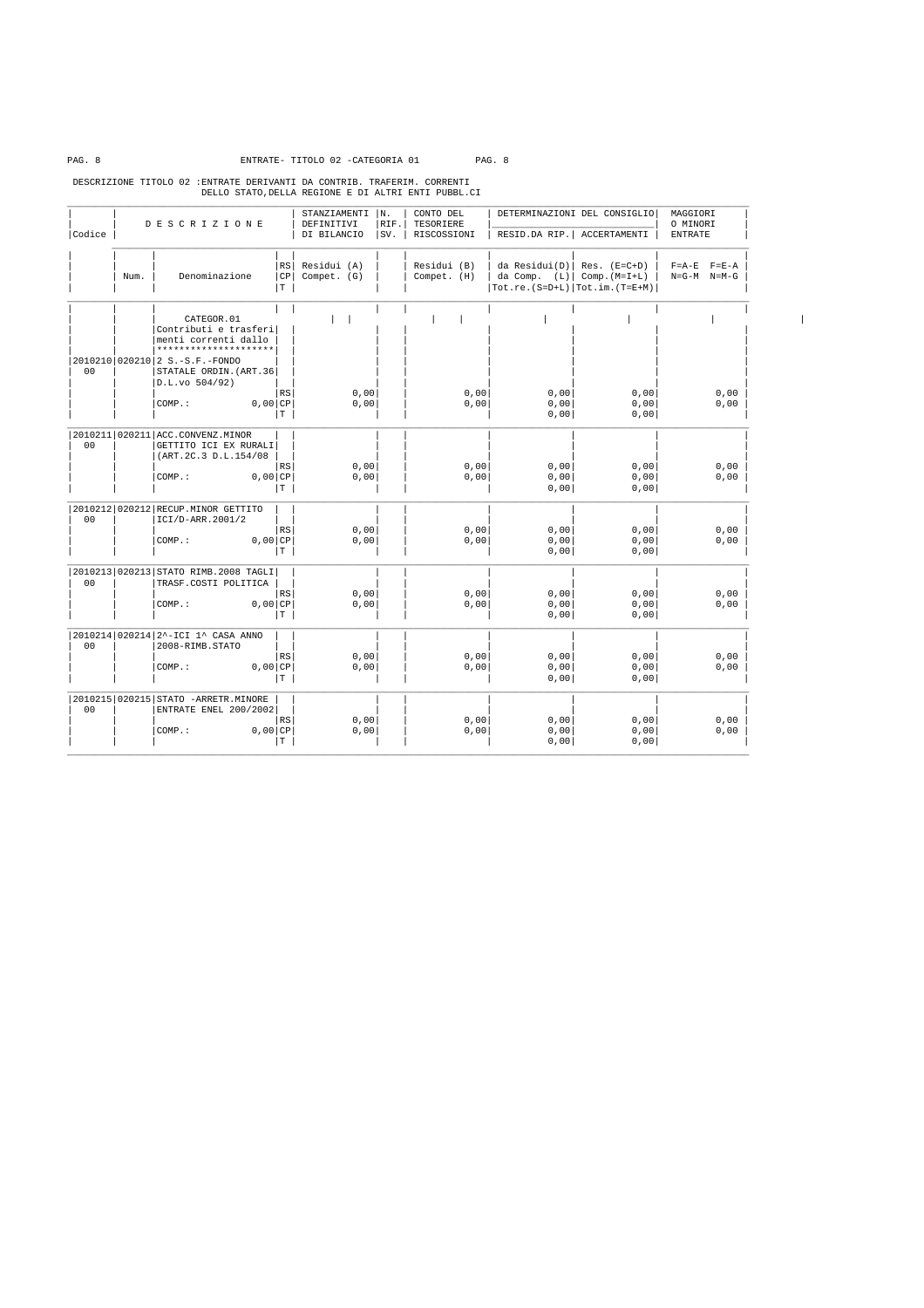| Codice         | <b>DESCRIZIONE</b> |                                                                                                                                                                    |                                           | STANZIAMENTI<br>DEFINITIVI<br>DI BILANCIO | N.<br>RIF.<br>SV. | CONTO DEL<br>TESORIERE<br>RISCOSSIONI |                                                   | DETERMINAZIONI DEL CONSIGLIO<br>RESID.DA RIP.   ACCERTAMENTI | MAGGIORI<br>O MINORI<br><b>ENTRATE</b>             |
|----------------|--------------------|--------------------------------------------------------------------------------------------------------------------------------------------------------------------|-------------------------------------------|-------------------------------------------|-------------------|---------------------------------------|---------------------------------------------------|--------------------------------------------------------------|----------------------------------------------------|
|                | Num.               | Denominazione                                                                                                                                                      | RS<br>CP<br>$\mathbb T$                   | Residui (A)<br>Compet. (G)                |                   | Residui (B)<br>Compet. (H)            | da Residui(D)<br>da Comp. $(L)  $ Comp. $(M=I+L)$ | $Res. (E=C+D)$<br>$ Tot.re.(S=D+L)   Tot.in.(T=E+M)  $       | $F = A - E$ $F = E - A$<br>$N = G - M$ $N = M - G$ |
| 0 <sub>0</sub> |                    | CATEGOR.01<br>Contributi e trasferi<br>menti correnti dallo<br>*********************<br>2010210 020210 2 S.-S.F.-FONDO<br>STATALE ORDIN. (ART.36<br>D.L.vo 504/92) |                                           |                                           |                   |                                       |                                                   |                                                              |                                                    |
|                |                    | COMP.:                                                                                                                                                             | RS<br>$0,00$ <sub>CP</sub><br>$\mathbb T$ | 0,00<br>0,00                              |                   | 0,00<br>0,00                          | 0,00<br>0,00<br>0,00                              | 0,00<br>0,00<br>0,00                                         | 0,00<br>0,00                                       |
| 0 <sub>0</sub> |                    | 2010211   020211   ACC. CONVENZ. MINOR<br>GETTITO ICI EX RURALI<br>(ART. 2C. 3 D. L. 154/08                                                                        | RS                                        | 0,00                                      |                   | 0,00                                  | 0,00                                              | 0,00                                                         | 0,00                                               |
|                |                    | COMP.:                                                                                                                                                             | 0,00 CP<br>$\mathbb T$                    | 0,00                                      |                   | 0,00                                  | 0,00<br>0,00                                      | 0,00<br>0,00                                                 | 0,00                                               |
|                |                    | 2010212   020212   RECUP. MINOR GETTITO                                                                                                                            |                                           |                                           |                   |                                       |                                                   |                                                              |                                                    |
| 0 <sup>0</sup> |                    | ICI/D-ARR. 2001/2<br>COMP.:                                                                                                                                        | RS<br>$0,00$  CP<br>$\mathbb T$           | 0,00<br>0,00                              |                   | 0,00<br>0,00                          | 0,00<br>0,00<br>0,00                              | 0,00<br>0,00<br>0,00                                         | 0,00<br>0,00                                       |
|                |                    | 2010213 020213 STATO RIMB. 2008 TAGLI                                                                                                                              |                                           |                                           |                   |                                       |                                                   |                                                              |                                                    |
| 0 <sub>0</sub> |                    | TRASF.COSTI POLITICA<br>COMP.:                                                                                                                                     | RS<br>$0,00$ CP<br>$\mathbb T$            | 0,00<br>0,00                              |                   | 0,00<br>0,00                          | 0,00<br>0,00<br>0,00                              | 0,00<br>0,00<br>0,00                                         | 0,00<br>0,00                                       |
| 00             |                    | 2010214 020214 2^-ICI 1^ CASA ANNO<br>2008-RIMB.STATO                                                                                                              |                                           |                                           |                   |                                       |                                                   |                                                              |                                                    |
|                |                    | COMP.:                                                                                                                                                             | RS<br>$0,00$ <sub>CP</sub><br>$\mathbb T$ | 0,00<br>0,00                              |                   | 0,00<br>0,00                          | 0,00<br>0,00<br>0,00                              | 0,00<br>0,00<br>0,00                                         | 0,00<br>0,00                                       |
| 00             |                    | 2010215   020215   STATO - ARRETR. MINORE<br>ENTRATE ENEL 200/2002                                                                                                 |                                           |                                           |                   |                                       |                                                   |                                                              |                                                    |
|                |                    | COMP.:                                                                                                                                                             | RS<br>0,00 CP<br>$\mathbb T$              | 0,00<br>0,00                              |                   | 0,00<br>0,00                          | 0,00<br>0,00<br>0,00                              | 0,00<br>0,00<br>0,00                                         | 0,00<br>$0,00$                                     |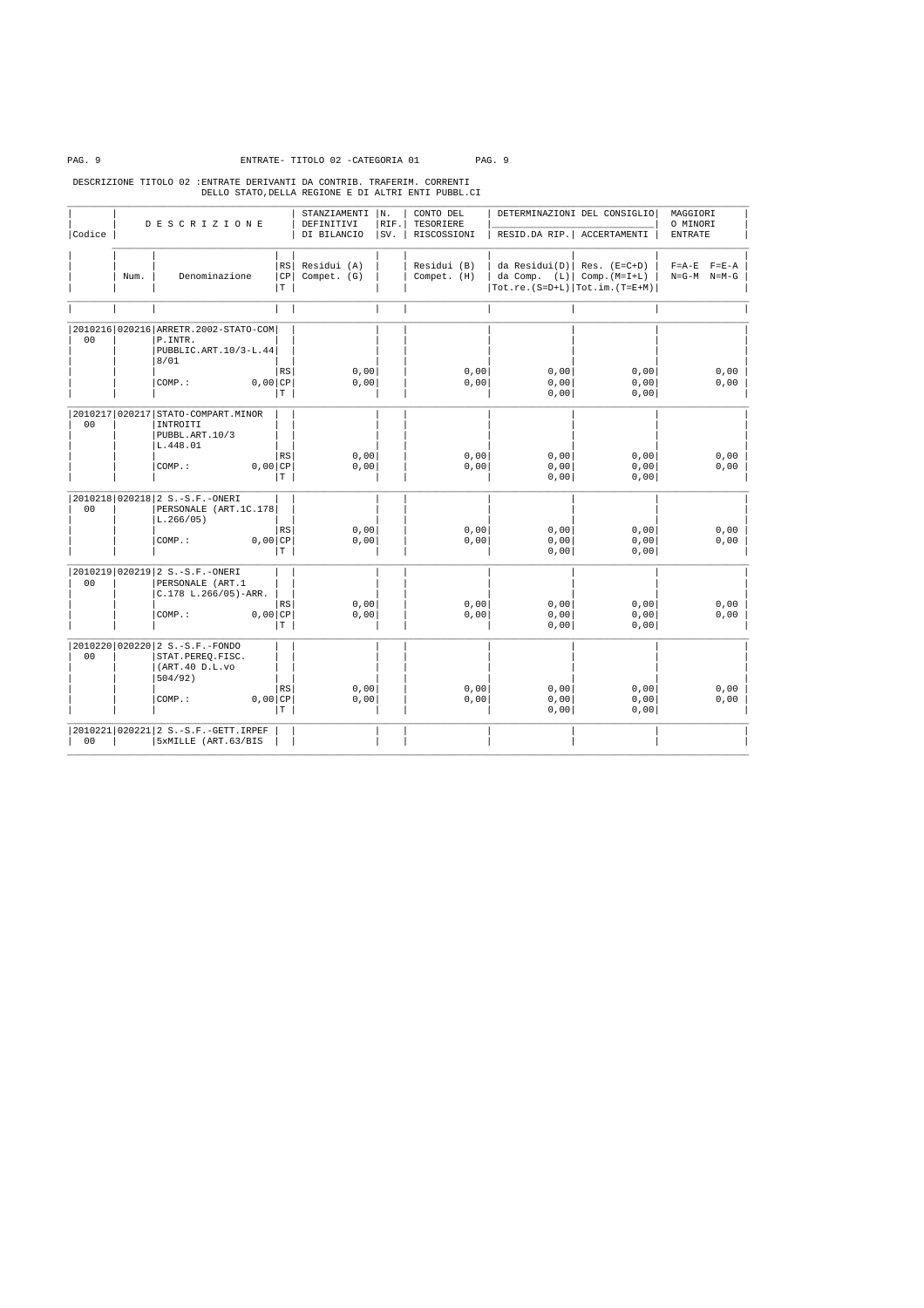| Codice         |      | DESCRIZIONE                                                                                                     |                                 | STANZIAMENTI<br>DEFINITIVI<br>DI BILANCIO | N.<br>RIF.<br> sv. | CONTO DEL<br>TESORIERE<br>RISCOSSIONI |                      | DETERMINAZIONI DEL CONSIGLIO<br>RESID.DA RIP.   ACCERTAMENTI                                               | MAGGIORI<br>O MINORI<br><b>ENTRATE</b>             |
|----------------|------|-----------------------------------------------------------------------------------------------------------------|---------------------------------|-------------------------------------------|--------------------|---------------------------------------|----------------------|------------------------------------------------------------------------------------------------------------|----------------------------------------------------|
|                | Num. | Denominazione                                                                                                   | $_{\rm RS}$<br>$_{\rm CP}$<br>T | Residui (A)<br>Compet. (G)                |                    | Residui (B)<br>Compet. (H)            |                      | da Residui(D)   Res. $(E=C+D)$<br>da Comp. $(L)  $ Comp. $(M=I+L)$<br>$ Tot.re.(S=D+L)   Tot.in.(T=E+M)  $ | $F = A - E$ $F = E - A$<br>$N = G - M$ $N = M - G$ |
|                |      |                                                                                                                 |                                 |                                           |                    |                                       |                      |                                                                                                            |                                                    |
| 0 <sub>0</sub> |      | 2010216 020216 ARRETR. 2002-STATO-COM<br>P.INTR.<br>PUBBLIC.ART.10/3-L.44<br>8/01<br>0,00 CP<br>COMP.:          | RS<br>ΙT.                       | 0,00<br>0,00                              |                    | 0,00<br>0,00                          | 0,00<br>0,00<br>0,00 | 0,00<br>0,00<br>0,00                                                                                       | 0,00<br>0,00                                       |
| 00             |      | 2010217   020217   STATO-COMPART. MINOR<br>INTROITI<br>PUBBL.ART.10/3<br>L.448.01<br>COMP.:<br>$0,00$ CP        | RS<br>T                         | 0,00<br>0,00                              |                    | 0,00<br>0,00                          | 0,00<br>0,00<br>0,00 | 0,00<br>0,00<br>0,00                                                                                       | 0,00<br>0,00                                       |
|                |      | 2010218   020218   2 S.-S.F.-ONERI                                                                              |                                 |                                           |                    |                                       |                      |                                                                                                            |                                                    |
| 0 <sup>0</sup> |      | PERSONALE (ART.1C.178)<br>L.266/05)<br>0,00 CP<br>COMP.:                                                        | RS<br>T.                        | 0,00<br>0,00                              |                    | 0,00<br>0,00                          | 0,00<br>0,00<br>0,00 | 0,00<br>0,00<br>0,00                                                                                       | 0,00<br>0,00                                       |
|                |      | 2010219 020219 2 S.-S.F.-ONERI                                                                                  |                                 |                                           |                    |                                       |                      |                                                                                                            |                                                    |
| 0 <sup>0</sup> |      | PERSONALE (ART.1<br>$C.178 L.266/05$ )-ARR.<br>COMP.:<br>$0,00$  CP                                             | RS<br>$\mathbf T$               | 0,00<br>0,00                              |                    | 0,00<br>0,00                          | 0,00<br>0,00<br>0,00 | 0,00<br>0,00<br>0,00                                                                                       | 0,00<br>0,00                                       |
| 0 <sup>0</sup> |      | 2010220   020220   2 S.-S.F.-FONDO<br>STAT. PEREO. FISC.<br>(ART. 40 D.L. vo<br>504/92)<br>$0,00$  CP<br>COMP.: | RS <br>T.                       | 0,00<br>0,00                              |                    | 0,00<br>0,00                          | 0,00<br>0,00<br>0,00 | 0,00<br>0,00<br>0,00                                                                                       | 0,00<br>0,00                                       |
| 00             |      | 2010221 020221 2 S.-S.F.-GETT. IRPEF<br>5xMILLE (ART.63/BIS                                                     |                                 |                                           |                    |                                       |                      |                                                                                                            |                                                    |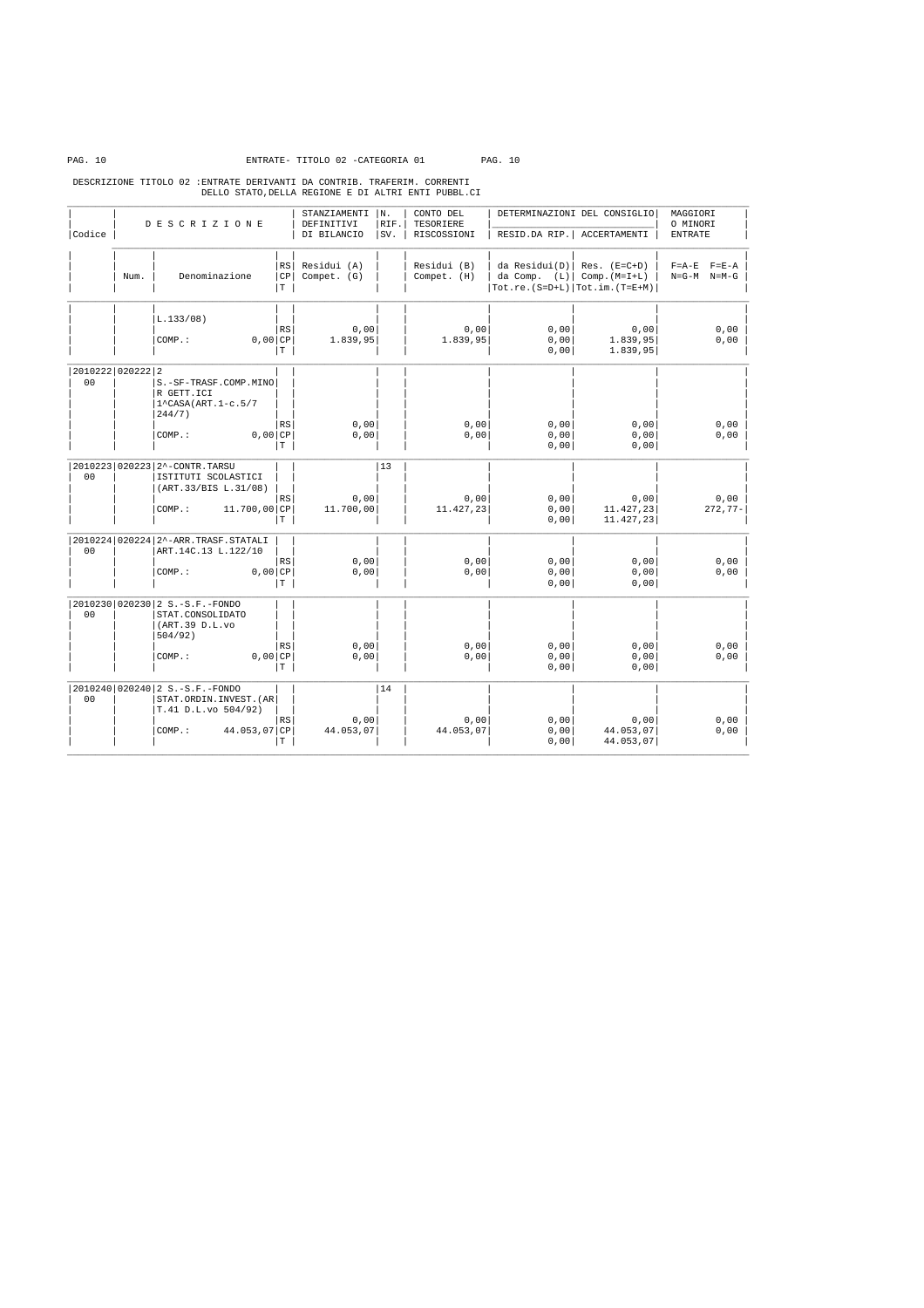| Codice                                 |      | DESCRIZIONE                                                                                                   |                          | STANZIAMENTI<br>DEFINITIVI<br>DI BILANCIO | IN.<br>RIF.<br> sv. | CONTO DEL<br>TESORIERE<br>RISCOSSIONI |                      | DETERMINAZIONI DEL CONSIGLIO<br>RESID.DA RIP.   ACCERTAMENTI                                               | MAGGIORI<br>O MINORI<br><b>ENTRATE</b>             |
|----------------------------------------|------|---------------------------------------------------------------------------------------------------------------|--------------------------|-------------------------------------------|---------------------|---------------------------------------|----------------------|------------------------------------------------------------------------------------------------------------|----------------------------------------------------|
|                                        | Num. | Denominazione                                                                                                 | RS<br>CP<br>IТ           | Residui (A)<br>Compet. (G)                |                     | Residui (B)<br>Compet. (H)            |                      | da Residui(D)   Res. $(E=C+D)$<br>da Comp. $(L)  $ Comp. $(M=I+L)$<br>$ Tot,re.(S=D+L)   Tot.in.(T=E+M)  $ | $F = A - E$ $F = E - A$<br>$N = G - M$ $N = M - G$ |
|                                        |      | L.133/08)<br>$0,00$  CP<br>COMP.:                                                                             | RS.<br>Iт                | 0,00<br>1.839,95                          |                     | 0,00<br>1.839,95                      | 0,00<br>0,00<br>0,00 | 0,00<br>1.839,95<br>1.839,95                                                                               | 0.00<br>0,00                                       |
| 2010222   020222   2<br>0 <sup>0</sup> |      | S.-SF-TRASF.COMP.MINO<br>R GETT. ICI<br>$1^{\circ}$ CASA(ART. $1$ -c. $5/7$<br>244/7)<br>$0,00$  CP<br>COMP.: | <b>RS</b><br>$\mathbf T$ | 0,00<br>0,00                              |                     | 0,00<br>0,00                          | 0,00<br>0,00<br>0,00 | 0,00<br>0,00<br>0,00                                                                                       | 0,00<br>0,00                                       |
| 0 <sup>0</sup>                         |      | 2010223   020223   2^-CONTR. TARSU<br>ISTITUTI SCOLASTICI<br>(ART.33/BIS L.31/08)<br>COMP.:<br>11.700,00 CP   | <b>RS</b><br>l T         | 0,00<br>11.700,00                         | 113                 | 0,00<br>11.427,23                     | 0,00<br>0,00<br>0,00 | 0,00<br>11.427, 23<br>11.427,23                                                                            | 0,00<br>$272, 77-$                                 |
| 0 <sup>0</sup>                         |      | 2010224   020224   2^-ARR. TRASF. STATALI<br>ART.14C.13 L.122/10<br>$0,00$  CP<br>COMP.:                      | l RS<br>ΙT.              | 0,00<br>0,00                              |                     | 0,00<br>0,00                          | 0,00<br>0,00<br>0,00 | 0,00<br>0,00<br>0,00                                                                                       | 0,00<br>0,00                                       |
| 0 <sup>0</sup>                         |      | 2010230   020230   2 S.-S.F.-FONDO<br>STAT.CONSOLIDATO<br>(ART.39 D.L.vo<br>504/92)<br>$0,00$  CP<br>COMP.:   | RS<br>T                  | 0,00<br>0,00                              |                     | 0,00<br>0,00                          | 0,00<br>0,00<br>0,00 | 0,00<br>0,00<br>0,00                                                                                       | 0,00<br>0,00                                       |
| 0 <sup>0</sup>                         |      | 2010240 020240 2 S.-S.F.-FONDO<br>STAT.ORDIN.INVEST. (AR<br>T.41 D.L. vo 504/92)<br>COMP.:<br>44.053.07 CP    | RS<br>T.                 | 0,00<br>44.053.07                         | 14                  | 0,00<br>44.053,07                     | 0,00<br>0,00<br>0,00 | 0,00<br>44.053,07<br>44.053,07                                                                             | 0,00<br>0,00                                       |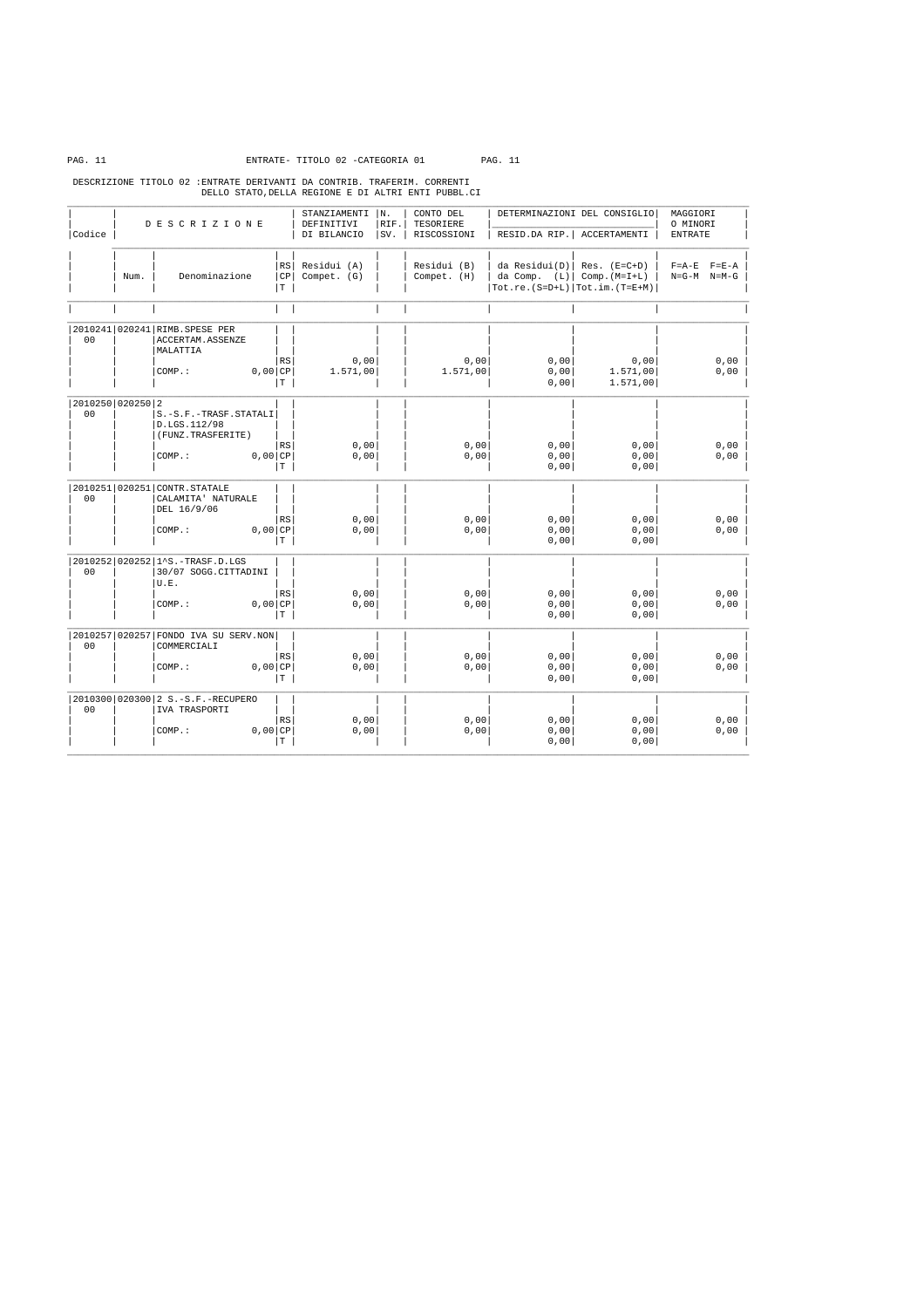| Codice                             |      | DESCRIZIONE                                                                                             |                        | STANZIAMENTI<br>IN.<br>DEFINITIVI<br>DI BILANCIO | RIF.<br> sv. | CONTO DEL<br>TESORIERE<br>RISCOSSIONI |                      | DETERMINAZIONI DEL CONSIGLIO<br>RESID.DA RIP.   ACCERTAMENTI                                 | MAGGIORI<br>O MINORI<br><b>ENTRATE</b>             |
|------------------------------------|------|---------------------------------------------------------------------------------------------------------|------------------------|--------------------------------------------------|--------------|---------------------------------------|----------------------|----------------------------------------------------------------------------------------------|----------------------------------------------------|
|                                    | Num. | Denominazione                                                                                           | $_{\rm RS}$<br>CP<br>T | Residui (A)<br>Compet. (G)                       |              | Residui (B)<br>Compet. (H)            | da Residui $(D)$     | $Res.$ $(E=C+D)$<br>da Comp. $(L)  $ Comp. $(M=I+L)$<br>$ Tot.re.(S=D+L)   Tot.in.(T=E+M)  $ | $F = A - E$ $F = E - A$<br>$N = G - M$ $N = M - G$ |
|                                    |      |                                                                                                         |                        |                                                  |              |                                       |                      |                                                                                              |                                                    |
| 0 <sub>0</sub>                     |      | 2010241 020241 RIMB. SPESE PER<br>ACCERTAM. ASSENZE<br>MALATTIA<br>$0,00$  CP<br>COMP.:                 | RS<br>T.               | 0,00<br>1.571,00                                 |              | 0,00<br>1.571,00                      | 0,00<br>0,00<br>0,00 | 0,00<br>1.571,00<br>1.571,00                                                                 | 0,00<br>0,00                                       |
| 2010250 020250 2<br>0 <sub>0</sub> |      | S.-S.F.-TRASF.STATALI<br>D.LGS.112/98<br>(FUNZ.TRASFERITE)<br>$0,00$ <sub>CP</sub><br>COMP.:            | RS<br>T.               | 0,00<br>0,00                                     |              | 0,00<br>0,00                          | 0,00<br>0,00<br>0,00 | 0,00<br>0,00<br>0,00                                                                         | 0,00<br>0,00                                       |
| 0 <sup>0</sup>                     |      | 2010251 020251 CONTR. STATALE<br>CALAMITA' NATURALE<br>DEL 16/9/06<br>$0,00$ <sub>CP</sub><br>COMP.:    | l RS<br>$\mathbb T$    | 0,00<br>0,00                                     |              | 0.00<br>0,00                          | 0,00<br>0,00<br>0,00 | 0,00<br>0,00<br>0,00                                                                         | 0.00<br>0,00                                       |
| 0 <sup>0</sup>                     |      | 2010252   020252   1^S. - TRASF.D.LGS<br>30/07 SOGG.CITTADINI<br>U.E.<br>$0,00$ <sub>CP</sub><br>COMP.: | l RS<br>T.             | 0,00<br>0,00                                     |              | 0,00<br>0,00                          | 0,00<br>0,00<br>0,00 | 0,00<br>0,00<br>0,00                                                                         | 0,00<br>0,00                                       |
| 00                                 |      | 2010257 020257 FONDO IVA SU SERV. NON<br>COMMERCIALI<br>$0,00$  CP<br>COMP.:                            | RS<br>$\mathbb T$      | 0,00<br>0,00                                     |              | 0,00<br>0,00                          | 0,00<br>0,00<br>0,00 | 0,00<br>0,00<br>0,00                                                                         | 0,00<br>0,00                                       |
| 0 <sup>0</sup>                     |      | 2010300 020300 2 S.-S.F.-RECUPERO<br>IVA TRASPORTI<br>COMP.:<br>$0.00$ <sub>c</sub> $P$                 | RS<br>T                | 0,00<br>0,00                                     |              | 0,00<br>0,00                          | 0,00<br>0,00<br>0,00 | 0,00<br>0,00<br>0,00                                                                         | 0,00<br>0,00                                       |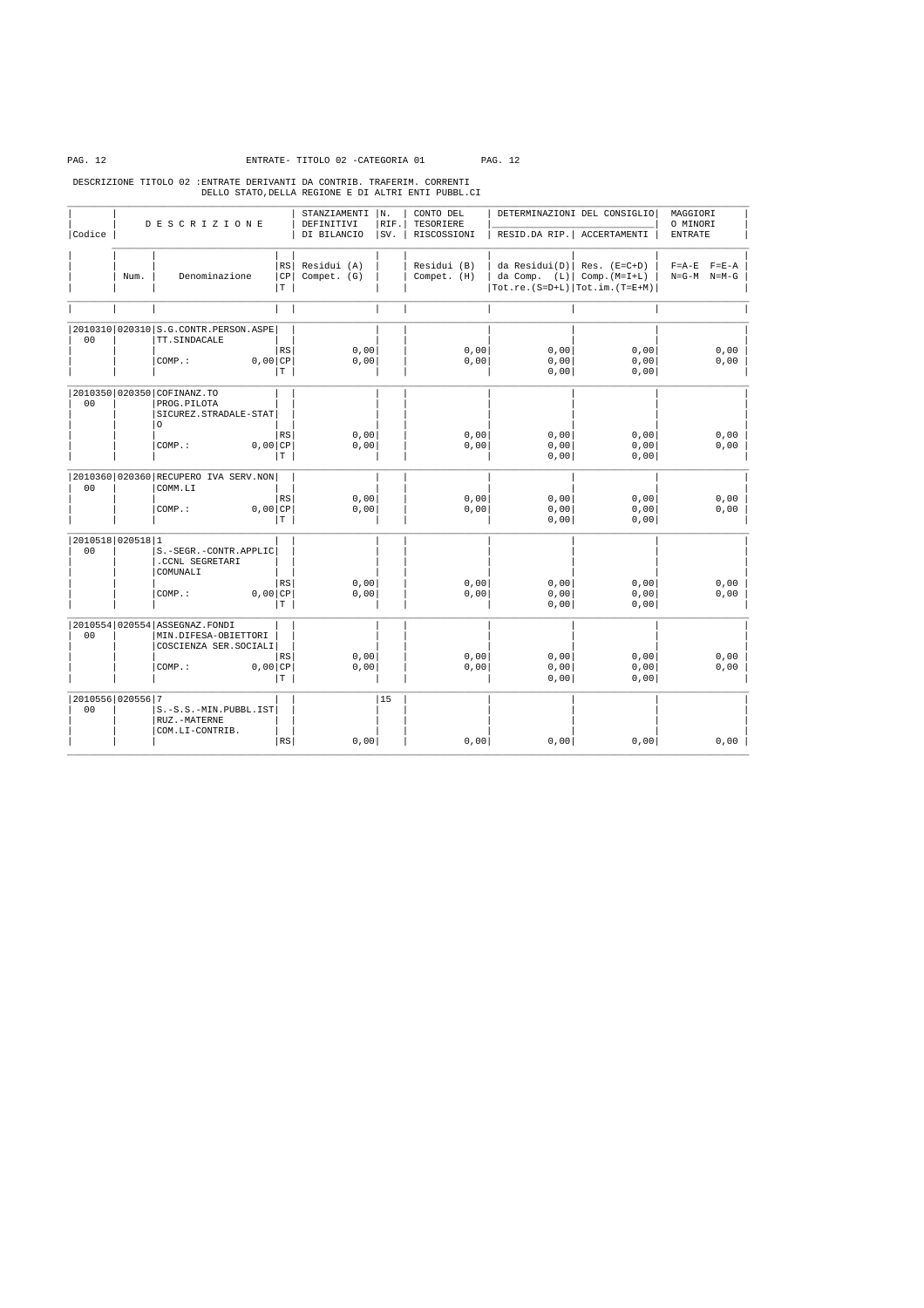| Codice                               |      | DESCRIZIONE                                                                                                  |                        | STANZIAMENTI<br>IN.<br>RIF.<br>DEFINITIVI<br> sv. <br>DI BILANCIO | CONTO DEL<br>TESORIERE<br>RISCOSSIONI |                                                                                                            | DETERMINAZIONI DEL CONSIGLIO<br>RESID.DA RIP.   ACCERTAMENTI | MAGGIORI<br>O MINORI<br><b>ENTRATE</b>             |
|--------------------------------------|------|--------------------------------------------------------------------------------------------------------------|------------------------|-------------------------------------------------------------------|---------------------------------------|------------------------------------------------------------------------------------------------------------|--------------------------------------------------------------|----------------------------------------------------|
|                                      | Num. | Denominazione                                                                                                | $_{\rm RS}$<br>CP<br>T | Residui (A)<br>Compet. (G)                                        | Residui (B)<br>Compet. (H)            | da Residui(D)   Res. $(E=C+D)$<br>da Comp. $(L)  $ Comp. $(M=I+L)$<br>$ Tot.re.(S=D+L)   Tot.in.(T=E+M)  $ |                                                              | $F = A - E$ $F = E - A$<br>$N = G - M$ $N = M - G$ |
|                                      |      |                                                                                                              |                        |                                                                   |                                       |                                                                                                            |                                                              |                                                    |
| 0 <sub>0</sub>                       |      | 2010310 020310 S.G. CONTR. PERSON. ASPE<br>TT. SINDACALE<br>$0,00$  CP<br>COMP.:                             | RS<br>$\mathbb T$      | 0,00<br>0,00                                                      | 0,00<br>0,00                          | 0,00<br>0,00<br>0,00                                                                                       | 0,00<br>0,00<br>0,00                                         | 0,00<br>0,00                                       |
| 0 <sub>0</sub>                       |      | 2010350 020350 COFINANZ.TO<br>PROG.PILOTA<br>SICUREZ.STRADALE-STAT<br>$\circ$                                |                        |                                                                   |                                       |                                                                                                            |                                                              |                                                    |
|                                      |      | $0,00$  CP<br>COMP.:                                                                                         | RS<br>T                | 0,00<br>0,00                                                      | 0,00<br>0,00                          | 0,00<br>0,00<br>0,00                                                                                       | 0,00<br>0,00<br>0,00                                         | 0,00<br>0,00                                       |
| 0 <sup>0</sup>                       |      | 2010360 020360 RECUPERO IVA SERV. NON<br>COMM.LI<br>$0,00$  CP<br>COMP.:                                     | RS<br>l T              | 0,00<br>0,00                                                      | 0,00<br>0,00                          | 0,00<br>0,00<br>0,00                                                                                       | 0,00<br>0,00<br>0,00                                         | 0,00<br>0,00                                       |
| 2010518 020518   1<br>0 <sup>0</sup> |      | S.-SEGR.-CONTR.APPLIC<br>.CCNL SEGRETARI<br>COMUNALI<br>$0.00$ <sub>c</sub> $P$<br>COMP.:                    | RS<br>T.               | 0,00<br>0,00                                                      | 0,00<br>0,00                          | 0,00<br>0,00<br>0,00                                                                                       | 0,00<br>0,00<br>0,00                                         | 0,00<br>0,00                                       |
| 00                                   |      | 2010554   020554   ASSEGNAZ. FONDI<br>MIN.DIFESA-OBIETTORI<br>COSCIENZA SER. SOCIALI<br>$0,00$  CP<br>COMP.: | RS<br>$\mathbb T$      | 0,00<br>0,00                                                      | 0,00<br>0,00                          | 0,00<br>0,00<br>0,00                                                                                       | 0,00<br>0,00<br>0,00                                         | 0,00<br>0,00                                       |
| 2010556 020556 7<br>0 <sup>0</sup>   |      | S.-S.S.-MIN.PUBBL.IST<br>RUZ.-MATERNE<br>COM.LI-CONTRIB.                                                     | R <sub>S</sub>         | 115<br>0,00                                                       | 0,00                                  | 0,00                                                                                                       | 0,00                                                         | 0,00                                               |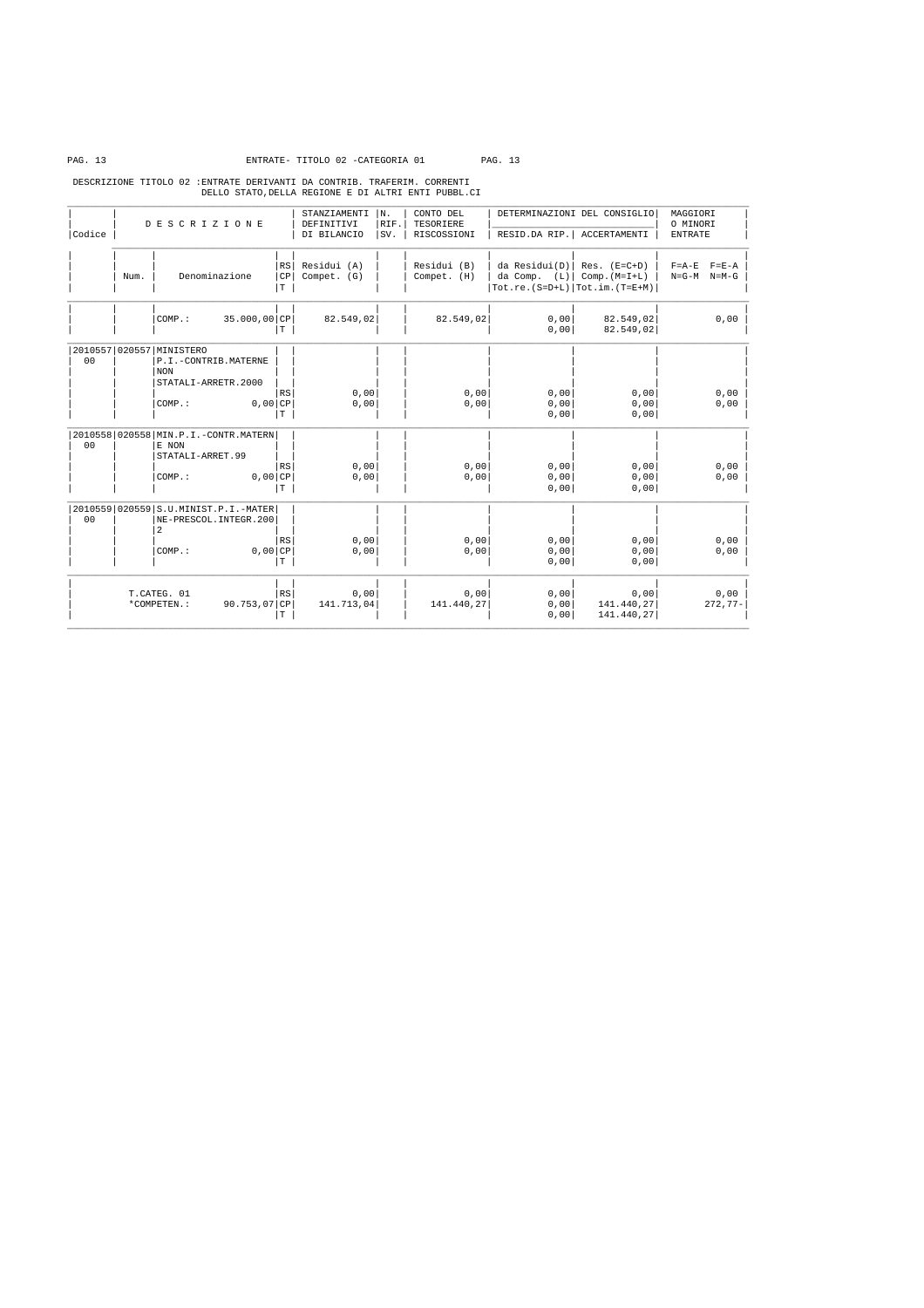| Codice         |      | <b>DESCRIZIONE</b>                                                                                                      |                         | STANZIAMENTI<br>IN.<br>DEFINITIVI<br>RIF.<br>Isv.<br>DI BILANCIO | CONTO DEL<br>TESORIERE<br>RISCOSSIONI | RESID.DA RIP.   ACCERTAMENTI                                         | DETERMINAZIONI DEL CONSIGLIO     | MAGGIORI<br>O MINORI<br><b>ENTRATE</b>             |
|----------------|------|-------------------------------------------------------------------------------------------------------------------------|-------------------------|------------------------------------------------------------------|---------------------------------------|----------------------------------------------------------------------|----------------------------------|----------------------------------------------------|
|                | Num. | Denominazione                                                                                                           | RS<br>CP<br>$\mathbb T$ | Residui (A)<br>Compet. (G)                                       | Residui (B)<br>Compet. (H)            | da Residui(D)   Res. (E=C+D)<br>$ Tot.re.(S=D+L)   Tot.in.(T=E+M)  $ | da Comp. $(L)  $ Comp. $(M=I+L)$ | $F = A - E$ $F = E - A$<br>$N = G - M$ $N = M - G$ |
|                |      | COMP.:<br>35.000,00 CP                                                                                                  | T                       | 82.549,02                                                        | 82.549,02                             | 0,00<br>0,00                                                         | 82.549,02<br>82.549,02           | 0,00                                               |
| 0 <sub>0</sub> |      | 2010557 020557 MINISTERO<br>P.I.-CONTRIB.MATERNE<br><b>NON</b><br>STATALI-ARRETR.2000<br>$0,00$ <sub>CP</sub><br>COMP.: | RS<br>$\mathbb T$       | 0,00<br>0,00                                                     | 0,00<br>0,00                          | 0,00<br>0,00<br>0,00                                                 | 0,00<br>0,00<br>0,00             | 0,00<br>0,00                                       |
| 0 <sub>0</sub> |      | 2010558 020558 MIN.P.I.-CONTR.MATERN<br>E NON<br>STATALI-ARRET.99<br>$0.00$ <sub>c</sub> $P$<br>COMP.:                  | <b>RS</b><br>T          | 0,00<br>0,00                                                     | 0,00<br>0,00                          | 0,00<br>0,00<br>0,00                                                 | 0,00<br>0,00<br>0,00             | 0,00<br>0,00                                       |
| 0 <sub>0</sub> |      | 2010559 020559   S.U.MINIST.P.I.-MATER  <br>NE-PRESCOL.INTEGR.200<br>2<br>$0.00$ <sub>c</sub> $P$<br>COMP.:             | RS<br>T                 | 0,00<br>0,00                                                     | 0,00<br>0,00                          | 0,00<br>0,00<br>0,00                                                 | 0,00<br>0,00<br>0,00             | 0,00<br>0,00                                       |
|                |      | T.CATEG. 01<br>90.753,07 CP<br>*COMPETEN. :                                                                             | RS<br>т                 | 0,00<br>141.713,04                                               | 0,00<br>141.440,27                    | 0,00<br>0,00<br>0,00                                                 | 0,00<br>141.440,27<br>141.440,27 | 0,00<br>$272, 77-$                                 |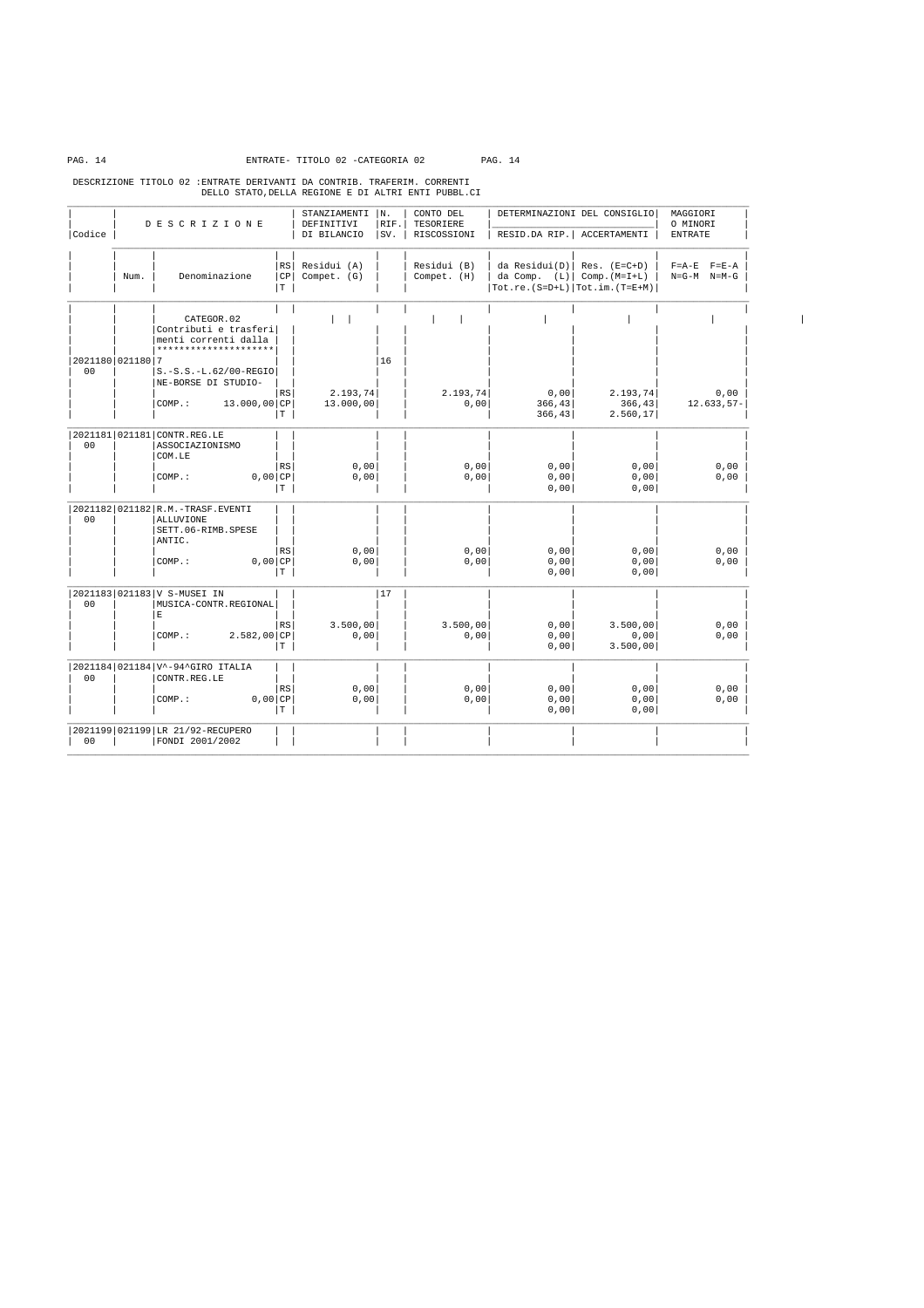| Codice                             |      | <b>DESCRIZIONE</b>                                                                                                                                                                 | STANZIAMENTI<br>DEFINITIVI<br>DI BILANCIO | N.<br>RIF.<br>SV. | CONTO DEL<br>TESORIERE<br>RISCOSSIONI |                                                                                          | DETERMINAZIONI DEL CONSIGLIO<br>RESID.DA RIP.   ACCERTAMENTI | MAGGIORI<br>O MINORI<br><b>ENTRATE</b>             |
|------------------------------------|------|------------------------------------------------------------------------------------------------------------------------------------------------------------------------------------|-------------------------------------------|-------------------|---------------------------------------|------------------------------------------------------------------------------------------|--------------------------------------------------------------|----------------------------------------------------|
|                                    | Num. | RS<br>Denominazione<br>CP<br>$\mathbb T$                                                                                                                                           | Residui (A)<br>Compet. (G)                |                   | Residui (B)<br>Compet. (H)            | da Residui(D)<br>da Comp. $(L)  $ Comp. $(M=I+L)$<br>$Tot.re.(S=D+L)   Tot.in.(T=E+M)  $ | $Res.$ ( $E=C+D$ )                                           | $F = A - E$ $F = E - A$<br>$N = G - M$ $N = M - G$ |
| 2021180 021180 7<br>0 <sub>0</sub> |      | CATEGOR.02<br>Contributi e trasferi<br>menti correnti dalla<br>******************<br>$S.-S.S.-L.62/00-REGIO$<br>NE-BORSE DI STUDIO-<br>RS<br>COMP.:<br>13.000,00 CP<br>$\mathbb T$ | 2.193,74<br>13.000,00                     | 16                | 2.193,74<br>0,00                      | 0,00<br>366,43<br>366, 43                                                                | 2.193,74<br>366,43<br>2.560,17                               | 0,00<br>$12.633,57-$                               |
| 0 <sub>0</sub>                     |      | 2021181   021181   CONTR.REG.LE<br>ASSOCIAZIONISMO<br>COM.LE<br>RS<br>$0,00$ <sub>CP</sub><br>COMP.:<br>$\mathbb T$                                                                | 0,00<br>0,00                              |                   | 0,00<br>0,00                          | 0,00<br>0,00<br>0,00                                                                     | 0,00<br>0,00<br>0,00                                         | 0,00<br>0,00                                       |
| 00                                 |      | 2021182   021182   R.M. - TRASF. EVENTI<br><b>ALLUVIONE</b><br>SETT.06-RIMB.SPESE<br>ANTIC.<br>RS<br>$0,00$ <sub>CP</sub><br>COMP.:<br>T.                                          | 0,00<br>0,00                              |                   | 0,00<br>0,00                          | 0,00<br>0,00<br>0,00                                                                     | 0,00<br>0,00<br>0,00                                         | 0,00<br>0,00                                       |
| 00                                 |      | 2021183 021183 V S-MUSEI IN<br>MUSICA-CONTR.REGIONAL<br>E<br>RS<br>$2.582,00$ CP<br>COMP.:<br>T.                                                                                   | 3.500,00<br>0,00                          | 17                | 3.500,00<br>0,00                      | 0,00<br>0,00<br>0,00                                                                     | 3.500,00<br>0,00<br>3.500,00                                 | 0,00<br>0,00                                       |
| 00                                 |      | 2021184 021184 V ~- 94 ~ GIRO ITALIA<br>CONTR.REG.LE<br>RS<br>$0,00$ <sub>CP</sub><br>COMP.:<br>T.                                                                                 | 0,00<br>0,00                              |                   | 0,00<br>0,00                          | 0,00<br>0,00<br>0,00                                                                     | 0,00<br>0,00<br>0,00                                         | 0,00<br>0,00                                       |
| 00                                 |      | 2021199 021199 LR 21/92-RECUPERO<br>FONDI 2001/2002                                                                                                                                |                                           |                   |                                       |                                                                                          |                                                              |                                                    |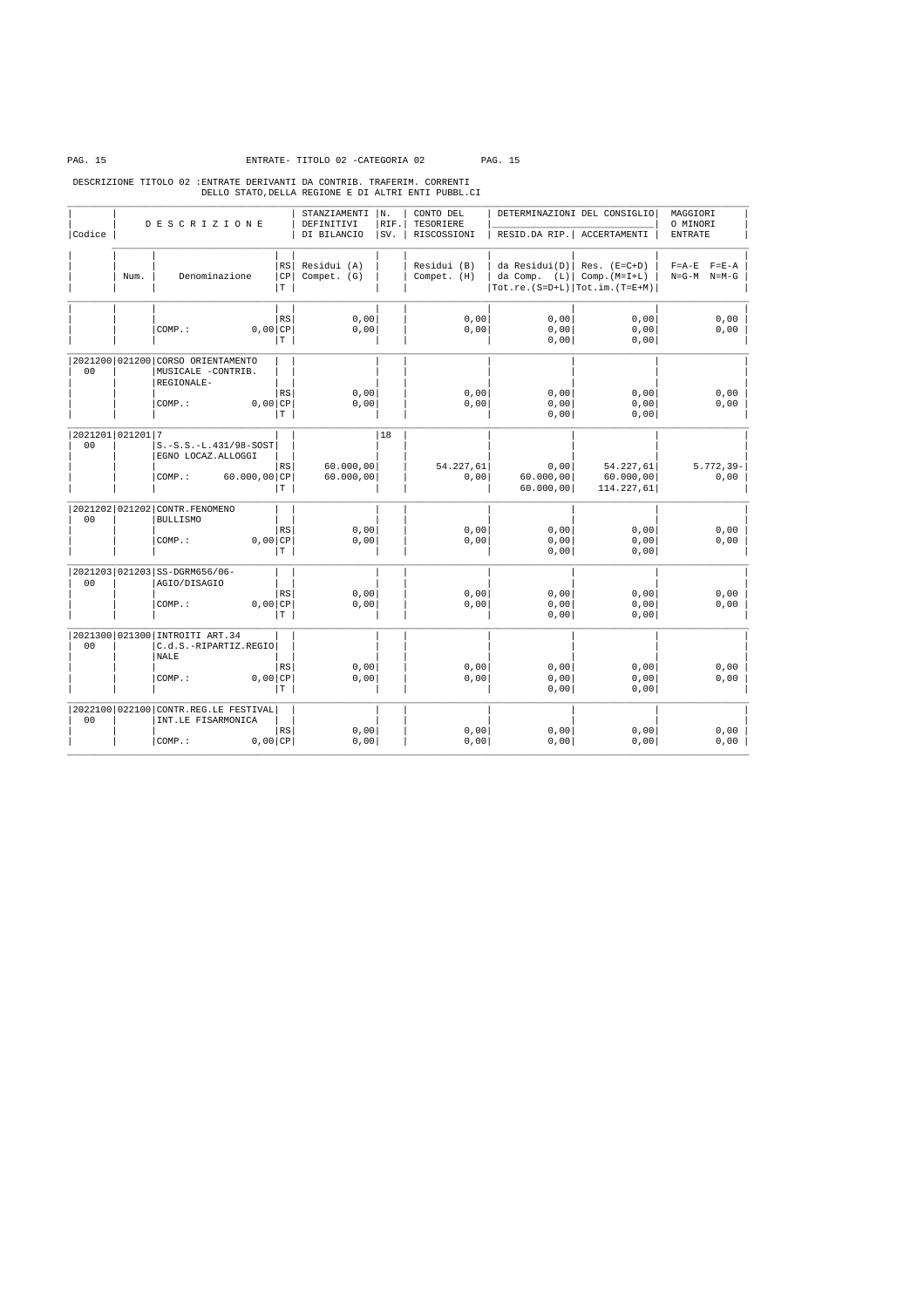| Codice                             |      | DESCRIZIONE                                                                                              |                                  | STANZIAMENTI<br>DEFINITIVI<br>DI BILANCIO | IN.<br>RIF.<br>ISV. | CONTO DEL<br>TESORIERE<br>RISCOSSIONI |                                | DETERMINAZIONI DEL CONSIGLIO<br>RESID.DA RIP.   ACCERTAMENTI                                 | MAGGIORI<br>O MINORI<br><b>ENTRATE</b>                |
|------------------------------------|------|----------------------------------------------------------------------------------------------------------|----------------------------------|-------------------------------------------|---------------------|---------------------------------------|--------------------------------|----------------------------------------------------------------------------------------------|-------------------------------------------------------|
|                                    | Num. | Denominazione                                                                                            | $_{\rm RS}$<br>CP<br>$\mathbb T$ | Residui (A)<br>Compet. (G)                |                     | Residui (B)<br>Compet. (H)            | da Residui(D)                  | $Res.$ $(E=C+D)$<br>da Comp. $(L)  $ Comp. $(M=I+L)$<br>$ Tot.re.(S=D+L)   Tot.in.(T=E+M)  $ | $F = A - E$<br>$F = E - A$<br>$N = G - M$ $N = M - G$ |
|                                    |      | $0.00$ <sub>c</sub> $P$<br>COMP.:                                                                        | RS<br>$\mathbf T$                | 0,00<br>0,00                              |                     | 0,00<br>0,00                          | 0,00<br>0,00<br>0,00           | 0,00<br>0,00<br>0,00                                                                         | 0,00<br>0,00                                          |
| 0 <sub>0</sub>                     |      | 2021200 021200 CORSO ORIENTAMENTO<br>MUSICALE -CONTRIB.<br>REGIONALE-<br>0,00 CP<br>COMP.:               | RS<br>$\mathbb T$                | 0,00<br>0,00                              |                     | 0,00<br>0,00                          | 0,00<br>0,00<br>0,00           | 0,00<br>0,00<br>0,00                                                                         | 0,00<br>0,00                                          |
| 2021201 021201 7<br>0 <sub>0</sub> |      | S.-S.S.-L.431/98-SOST<br>EGNO LOCAZ.ALLOGGI<br>COMP.:<br>$60.000,00$ CP                                  | RS<br>T                          | 60.000,00<br>60.000,00                    | 18                  | 54.227,61<br>0,00                     | 0,00<br>60.000,00<br>60.000,00 | 54.227,61<br>60.000,00<br>114.227,61                                                         | $5.772, 39-$<br>0,00                                  |
| 0 <sup>0</sup>                     |      | 2021202   021202   CONTR. FENOMENO<br><b>BULLISMO</b><br>$0.00$ <sub>c</sub> $P$<br>COMP.:               | RS<br>T.                         | 0,00<br>0,00                              |                     | 0,00<br>0,00                          | 0,00<br>0,00<br>0,00           | 0,00<br>0,00<br>0,00                                                                         | 0,00<br>0,00                                          |
| 0 <sub>0</sub>                     |      | 2021203 021203 SS-DGRM656/06-<br>AGIO/DISAGIO<br>$0,00$ <sub>CP</sub><br>COMP.:                          | RS.<br>$\mathbb T$               | 0,00<br>0,00                              |                     | 0,00<br>0,00                          | 0,00<br>0,00<br>0,00           | 0,00<br>0,00<br>0,00                                                                         | 0,00<br>0,00                                          |
| 0 <sub>0</sub>                     |      | 2021300 021300 INTROITI ART.34<br>C.d.S.-RIPARTIZ.REGIO<br><b>NALE</b><br>$0,00$ <sub>CP</sub><br>COMP.: | RS<br>$\mathbb T$                | 0,00<br>0,00                              |                     | 0,00<br>0,00                          | 0,00<br>0,00<br>0,00           | 0,00<br>0,00<br>0,00                                                                         | 0,00<br>0,00                                          |
| 00                                 |      | 2022100   022100   CONTR.REG.LE FESTIVAL<br>INT.LE FISARMONICA<br>0,00 CP<br>COMP.:                      | RS                               | 0,00<br>0,00                              |                     | 0,00<br>0,00                          | 0,00<br>0,00                   | 0,00<br>0,00                                                                                 | 0,00<br>0,00                                          |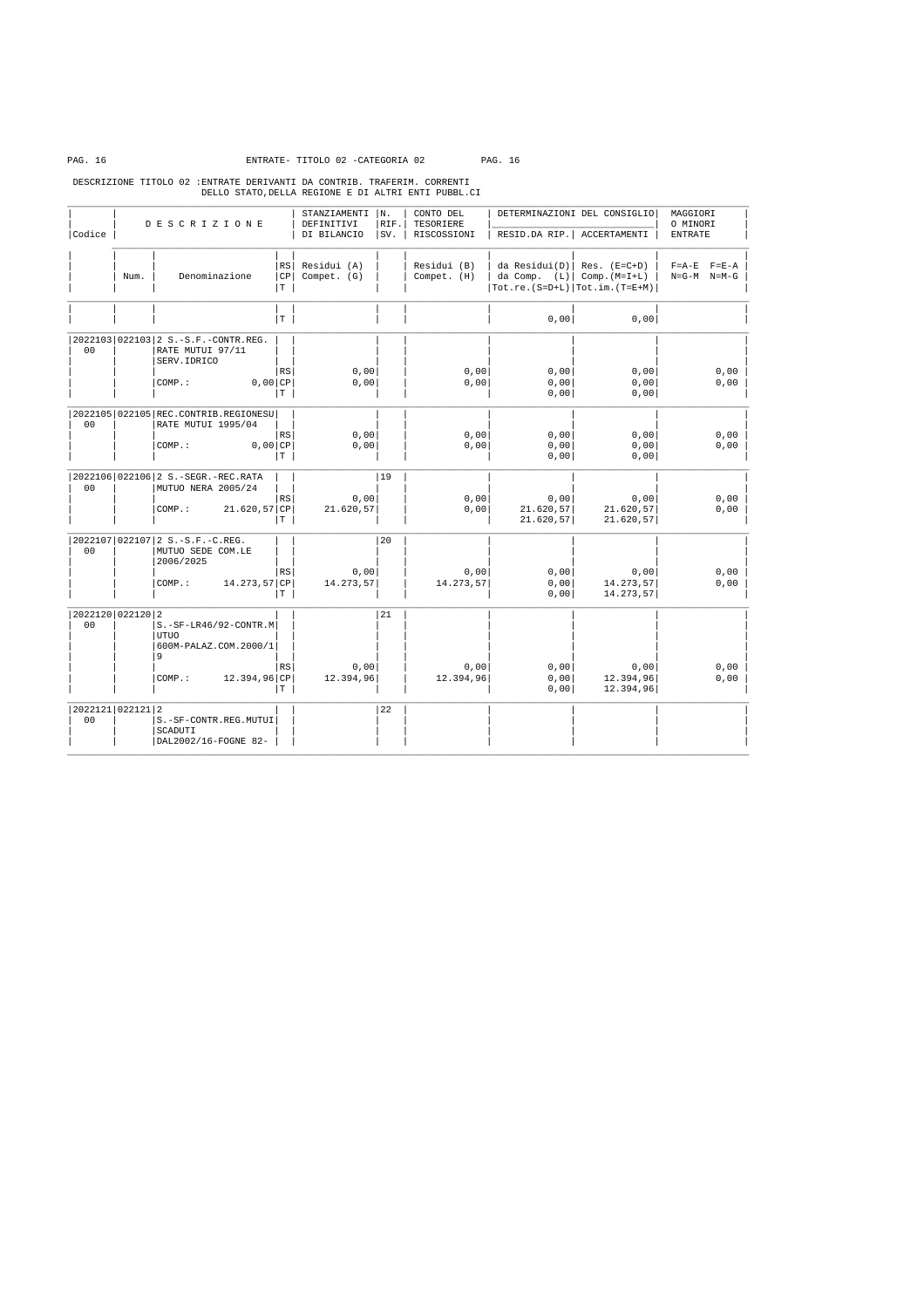| Codice                             |      | DESCRIZIONE                                                                                     |                     | STANZIAMENTI<br>IN.<br>DEFINITIVI<br>DI BILANCIO | RIF.<br> sv. | CONTO DEL<br>TESORIERE<br>RISCOSSIONI |                                  | DETERMINAZIONI DEL CONSIGLIO<br>RESID.DA RIP.   ACCERTAMENTI                                               | MAGGIORI<br>O MINORI<br><b>ENTRATE</b>             |
|------------------------------------|------|-------------------------------------------------------------------------------------------------|---------------------|--------------------------------------------------|--------------|---------------------------------------|----------------------------------|------------------------------------------------------------------------------------------------------------|----------------------------------------------------|
|                                    | Num. | Denominazione                                                                                   | RS<br>CP<br>T       | Residui (A)<br>Compet. (G)                       |              | Residui (B)<br>Compet. (H)            |                                  | da Residui(D)   Res. $(E=C+D)$<br>da Comp. $(L)  $ Comp. $(M=I+L)$<br>$ Tot.re.(S=D+L)   Tot.in.(T=E+M)  $ | $F = A - E$ $F = E - A$<br>$N = G - M$ $N = M - G$ |
|                                    |      |                                                                                                 | ΙT                  |                                                  |              |                                       | 0,00                             | 0,00                                                                                                       |                                                    |
| 0 <sub>0</sub>                     |      | 2022103 022103 2 S.-S.F.-CONTR.REG.<br>RATE MUTUI 97/11<br>SERV. IDRICO<br>$0,00$  CP<br>COMP.: | RS<br>T.            | 0,00<br>0,00                                     |              | 0,00<br>0,00                          | 0,00<br>0,00<br>0,00             | 0,00<br>0,00<br>0,00                                                                                       | 0,00<br>0,00                                       |
| 00                                 |      | 2022105   022105   REC. CONTRIB. REGIONESU<br>RATE MUTUI 1995/04<br>$0,00$  CP<br>COMP.:        | RS<br>ΙT.           | 0,00<br>0,00                                     |              | 0,00<br>0,00                          | 0,00<br>0,00<br>0,00             | 0,00<br>0,00<br>0,00                                                                                       | 0,00<br>0,00                                       |
| 0 <sub>0</sub>                     |      | 2022106 022106 2 S. - SEGR. - REC. RATA<br>MUTUO NERA 2005/24<br>21.620,57 CP<br>COMP.:         | RS<br>$\mathbf T$ . | 19<br>0,00<br>21.620, 57                         |              | 0,00<br>0,00                          | 0,00<br>21.620, 57<br>21.620, 57 | 0,00<br>21.620, 57<br>21.620, 57                                                                           | 0,00<br>0,00                                       |
| 0 <sup>0</sup>                     |      | 2022107 022107 2 S.-S.F.-C.REG.<br>MUTUO SEDE COM.LE<br>2006/2025<br>14.273,57 CP<br>COMP.:     | <b>RS</b><br>T      | 120<br>0,00<br>14.273,57                         |              | 0,00<br>14.273,57                     | 0,00<br>0,00<br>0,00             | 0,00<br>14.273,57<br>14.273,57                                                                             | 0,00<br>0,00                                       |
| 2022120 022120 2<br>0 <sup>0</sup> |      | $S.-SF-LR46/92$ -CONTR.M<br>UTUO<br>600M-PALAZ.COM.2000/1<br>9<br>12.394,96 CP<br>COMP.:        | RS                  | 0,00<br>12.394,96                                | 21           | 0,00<br>12.394,96                     | 0,00<br>0,00                     | 0,00<br>12.394,96                                                                                          | 0,00<br>0,00                                       |
| 2022121 022121 2<br>0 <sub>0</sub> |      | S.-SF-CONTR.REG.MUTUI<br>SCADUTI<br>DAL2002/16-FOGNE 82-                                        | T.                  |                                                  | 22           |                                       | 0,00                             | 12.394,96                                                                                                  |                                                    |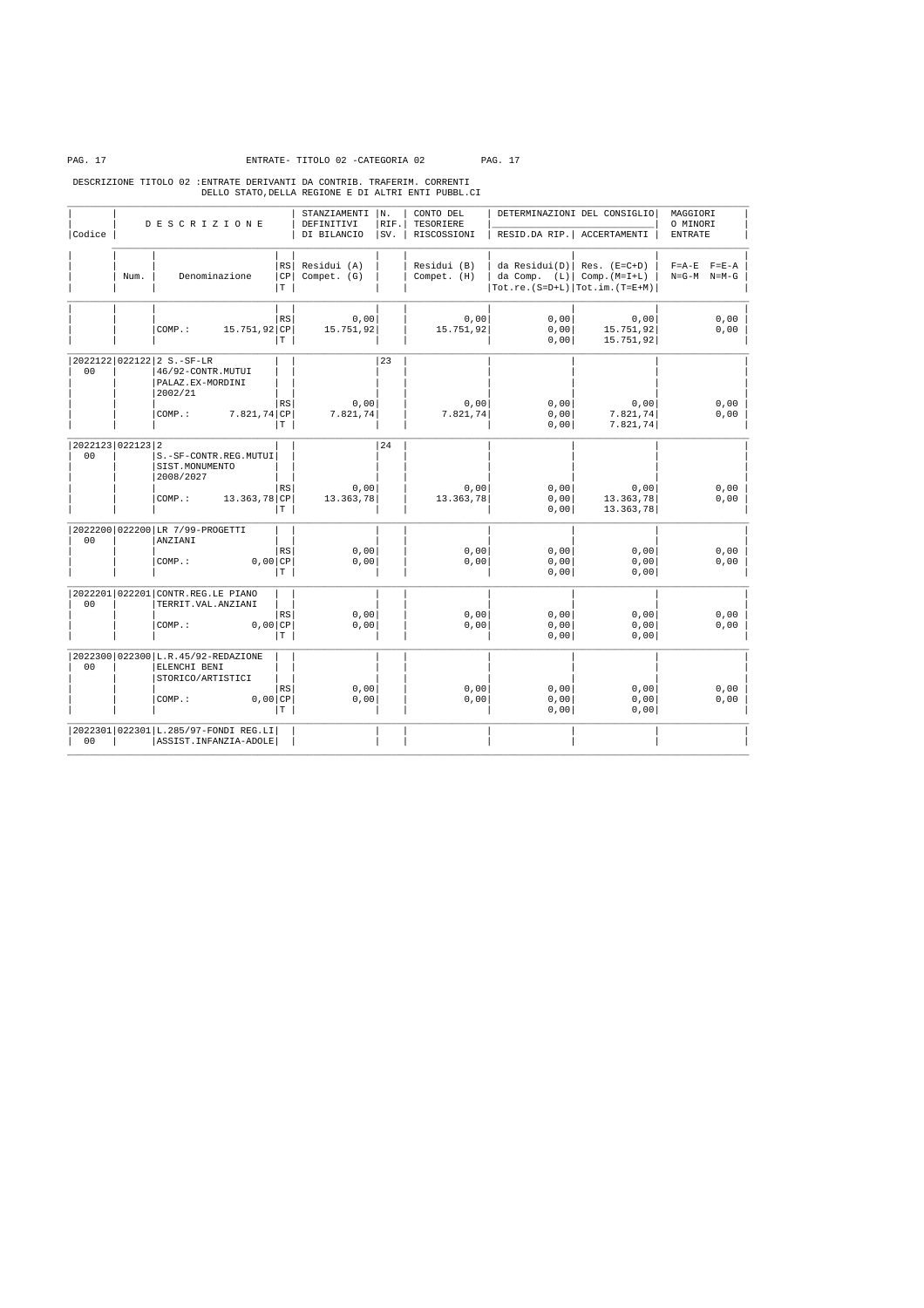| Codice                                 |      | DESCRIZIONE                                                                                                |                          | STANZIAMENTI<br>DEFINITIVI<br>DI BILANCIO | IN.<br>RIF.<br> sv. | CONTO DEL<br>TESORIERE<br>RISCOSSIONI |                      | DETERMINAZIONI DEL CONSIGLIO<br>RESID.DA RIP.   ACCERTAMENTI                                               | MAGGIORI<br>O MINORI<br><b>ENTRATE</b>             |
|----------------------------------------|------|------------------------------------------------------------------------------------------------------------|--------------------------|-------------------------------------------|---------------------|---------------------------------------|----------------------|------------------------------------------------------------------------------------------------------------|----------------------------------------------------|
|                                        | Num. | Denominazione                                                                                              | RS<br>CP<br>T.           | Residui (A)<br>Compet. (G)                |                     | Residui (B)<br>Compet. (H)            |                      | da Residui(D)   Res. $(E=C+D)$<br>da Comp. $(L)  $ Comp. $(M=I+L)$<br>$ Tot.re.(S=D+L)   Tot.in.(T=E+M)  $ | $F = A - E$ $F = E - A$<br>$N = G - M$ $N = M - G$ |
|                                        |      | 15.751,92 CP<br>COMP.:                                                                                     | RS<br>T                  | 0,00<br>15.751,92                         |                     | 0,00<br>15.751,92                     | 0,00<br>0,00<br>0,00 | 0,00<br>15.751,92<br>15.751,92                                                                             | 0,00<br>0,00                                       |
| 00                                     |      | 2022122   022122   2 S.-SF-LR<br>46/92-CONTR.MUTUI<br>PALAZ.EX-MORDINI<br>2002/21<br>7.821,74 CP<br>COMP.: | RS<br>T.                 | 0,00<br>7.821, 74                         | 23                  | 0,00<br>7.821, 74                     | 0,00<br>0,00<br>0,00 | 0,00<br>7.821,74<br>7.821,74                                                                               | 0,00<br>0,00                                       |
| 2022123   022123   2<br>0 <sup>0</sup> |      | S. - SF-CONTR. REG. MUTUI<br>SIST. MONUMENTO<br>2008/2027<br>COMP.:<br>$13.363,78$ CP                      | RS <br>T                 | 0,00<br>13.363,78                         | 24                  | 0,00<br>13.363,78                     | 0,00<br>0,00<br>0,00 | 0,00<br>13.363,78<br>13.363,78                                                                             | 0,00<br>0,00                                       |
| 00                                     |      | 2022200 022200 LR 7/99-PROGETTI<br>ANZIANI<br>$0,00$  CP<br>COMP.:                                         | RS<br>ΙT.                | 0,00<br>0,00                              |                     | 0,00<br>0,00                          | 0,00<br>0,00<br>0,00 | 0,00<br>0,00<br>0,00                                                                                       | 0,00<br>0,00                                       |
| 0 <sup>0</sup>                         |      | 2022201 022201 CONTR.REG.LE PIANO<br>TERRIT. VAL. ANZIANI<br>COMP.:<br>0,00 CP                             | <b>RS</b><br>$\mathbb T$ | 0,00<br>0,00                              |                     | 0,00<br>0,00                          | 0,00<br>0,00<br>0,00 | 0,00<br>0,00<br>0,00                                                                                       | 0.00<br>0,00                                       |
| 0 <sup>0</sup>                         |      | 2022300 022300 L.R. 45/92-REDAZIONE<br>ELENCHI BENI<br>STORICO/ARTISTICI<br>COMP.:<br>0,00 CP              | RS<br>T.                 | 0,00<br>0,00                              |                     | 0,00<br>0,00                          | 0,00<br>0,00<br>0,00 | 0,00<br>0,00<br>0,00                                                                                       | 0,00<br>0,00                                       |
| 00                                     |      | 2022301 022301 L.285/97-FONDI REG.LI<br>ASSIST. INFANZIA-ADOLE                                             |                          |                                           |                     |                                       |                      |                                                                                                            |                                                    |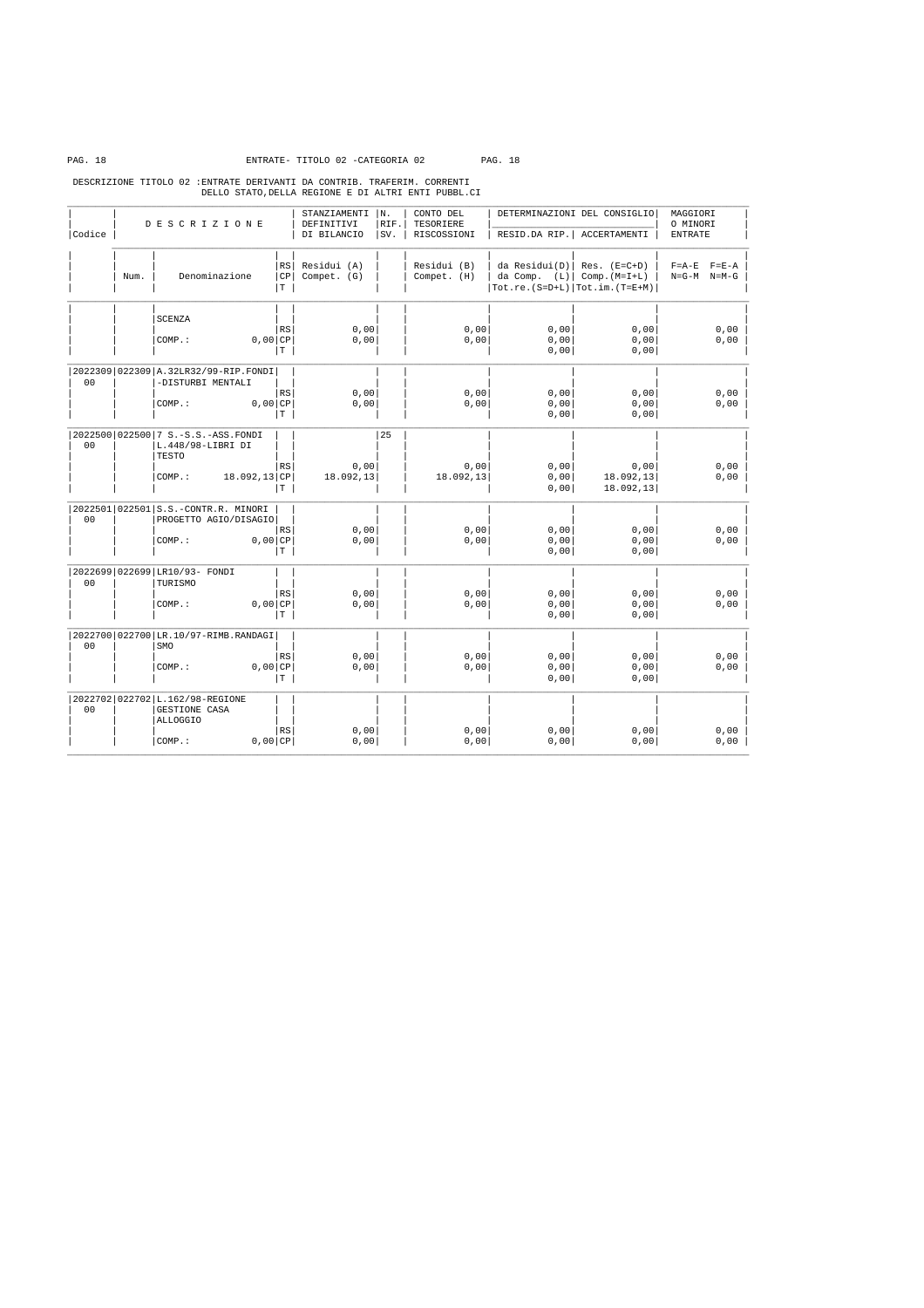| Codice         |      | DESCRIZIONE                                                                                        |                        | STANZIAMENTI<br>DEFINITIVI<br>DI BILANCIO | IN.<br>RIF.<br>SV. | CONTO DEL<br>TESORIERE<br>RISCOSSIONI |                      | DETERMINAZIONI DEL CONSIGLIO<br>RESID.DA RIP.   ACCERTAMENTI                                 | MAGGIORI<br>O MINORI<br><b>ENTRATE</b>             |
|----------------|------|----------------------------------------------------------------------------------------------------|------------------------|-------------------------------------------|--------------------|---------------------------------------|----------------------|----------------------------------------------------------------------------------------------|----------------------------------------------------|
|                | Num. | Denominazione                                                                                      | $_{\rm RS}$<br>CP<br>T | Residui (A)<br>Compet. (G)                |                    | Residui (B)<br>Compet. (H)            | da Residui(D)        | $Res.$ $(E=C+D)$<br>da Comp. $(L)  $ Comp. $(M=I+L)$<br>$ Tot.re.(S=D+L)   Tot.in.(T=E+M)  $ | $F = A - E$ $F = E - A$<br>$N = G - M$ $N = M - G$ |
|                |      | SCENZA<br>$0,00$  CP<br>COMP.:                                                                     | RS<br>ΙT.              | 0,00<br>0,00                              |                    | 0,00<br>0,00                          | 0,00<br>0,00<br>0,00 | 0,00<br>0,00<br>0,00                                                                         | 0.00<br>0,00                                       |
| 0 <sup>0</sup> |      | 2022309 022309 A.32LR32/99-RIP. FONDI<br>-DISTURBI MENTALI<br>$0,00$ <sub>CP</sub><br>COMP.:       | RS<br>$\mathbb T$      | 0,00<br>0,00                              |                    | 0,00<br>0,00                          | 0,00<br>0,00<br>0,00 | 0,00<br>0,00<br>0,00                                                                         | 0,00<br>0,00                                       |
| 0 <sub>0</sub> |      | 2022500 022500 7 S.-S.S.-ASS.FONDI<br>L.448/98-LIBRI DI<br>TESTO<br>COMP.:<br>$18.092, 13$ CP      | RS<br>T.               | 0,00<br>18.092,13                         | 25                 | 0,00<br>18.092,13                     | 0,00<br>0,00<br>0,00 | 0,00<br>18.092,13<br>18.092, 13                                                              | 0,00<br>0,00                                       |
| 0 <sup>0</sup> |      | 2022501 022501 S.S.-CONTR.R. MINORI<br>PROGETTO AGIO/DISAGIO<br>$0,00$  CP<br>COMP.:               | RS<br>$\mathbb T$      | 0,00<br>0,00                              |                    | 0,00<br>0,00                          | 0,00<br>0,00<br>0,00 | 0,00<br>0,00<br>0,00                                                                         | 0,00<br>0,00                                       |
| 0 <sub>0</sub> |      | 2022699 022699 LR10/93- FONDI<br>TURISMO<br>$0,00$ <sub>CP</sub><br>COMP.:                         | l RS<br>$\mathbb T$    | 0,00<br>0,00                              |                    | 0,00<br>0,00                          | 0,00<br>0,00<br>0,00 | 0,00<br>0,00<br>0,00                                                                         | 0,00<br>0,00                                       |
| 0 <sub>0</sub> |      | 2022700   022700   LR.10/97-RIMB.RANDAGI  <br>SMO<br>$0,00$  CP<br>COMP.:                          | RS<br>$\mathbb T$      | 0,00<br>0,00                              |                    | 0,00<br>0,00                          | 0,00<br>0,00<br>0,00 | 0,00<br>0,00<br>0,00                                                                         | 0,00<br>0,00                                       |
| 0 <sup>0</sup> |      | 2022702 022702 L.162/98-REGIONE<br><b>GESTIONE CASA</b><br><b>ALLOGGIO</b><br>$0,00$  CP<br>COMP.: | RS                     | 0,00<br>0,00                              |                    | 0,00<br>0,00                          | 0,00<br>0,00         | 0,00<br>0,00                                                                                 | 0,00<br>0,00                                       |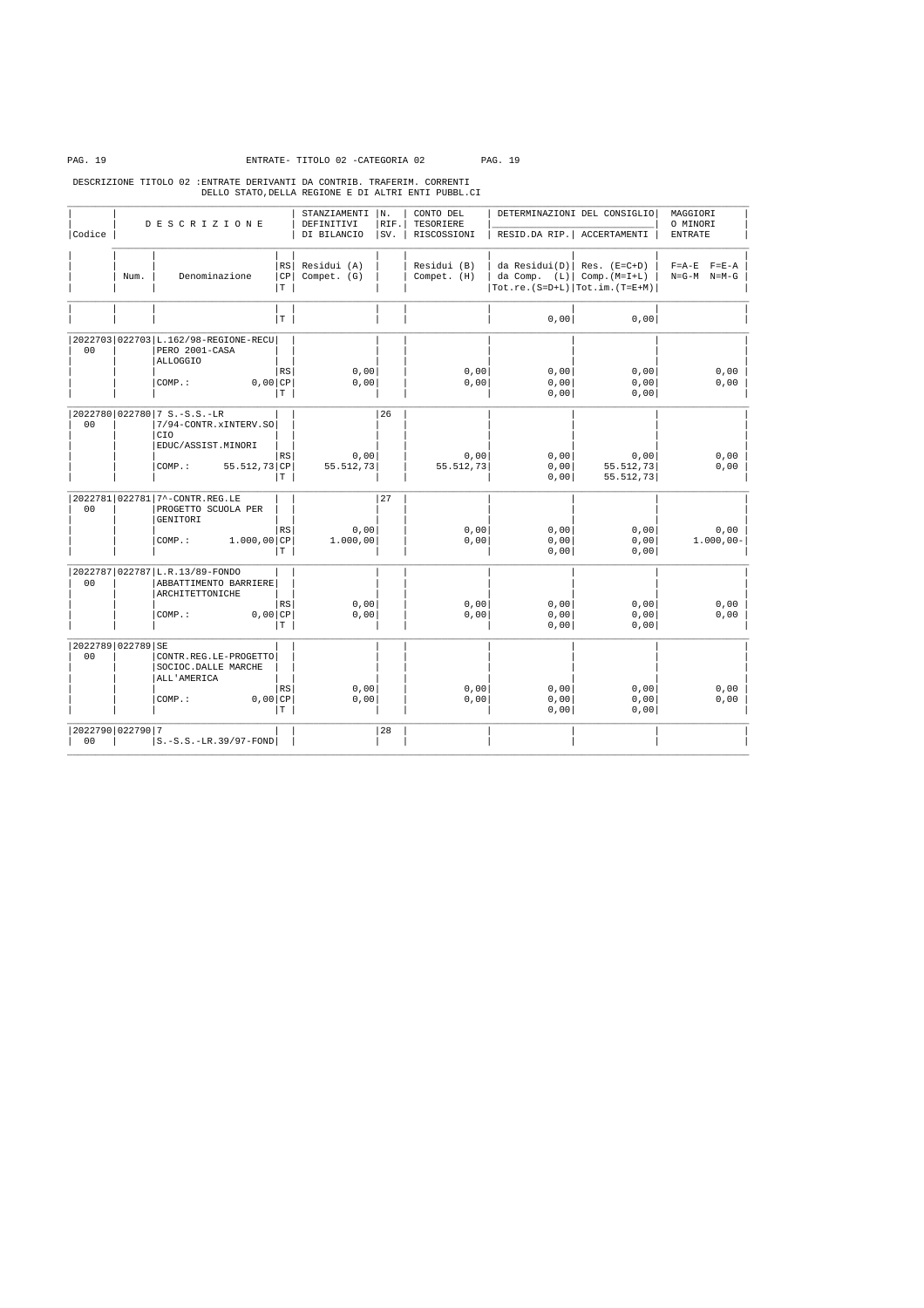| Codice                  |      | DESCRIZIONE                                                                                                         |                    | STANZIAMENTI<br>DEFINITIVI<br>DI BILANCIO | IN.<br>RIF.<br> sv. | CONTO DEL<br>TESORIERE<br>RISCOSSIONI |                      | DETERMINAZIONI DEL CONSIGLIO<br>RESID.DA RIP.   ACCERTAMENTI                                               | MAGGIORI<br>O MINORI<br><b>ENTRATE</b>             |
|-------------------------|------|---------------------------------------------------------------------------------------------------------------------|--------------------|-------------------------------------------|---------------------|---------------------------------------|----------------------|------------------------------------------------------------------------------------------------------------|----------------------------------------------------|
|                         | Num. | Denominazione                                                                                                       | RS<br>CP<br>T      | Residui (A)<br>Compet. (G)                |                     | Residui (B)<br>Compet. (H)            |                      | da Residui(D)   Res. $(E=C+D)$<br>da Comp. $(L)  $ Comp. $(M=I+L)$<br>$ Tot.re.(S=D+L)   Tot.in.(T=E+M)  $ | $F = A - E$ $F = E - A$<br>$N = G - M$ $N = M - G$ |
|                         |      |                                                                                                                     | T                  |                                           |                     |                                       | 0,00                 | 0,00                                                                                                       |                                                    |
| 0 <sup>0</sup>          |      | 2022703   022703   L.162/98-REGIONE-RECU<br>PERO 2001-CASA<br><b>ALLOGGIO</b><br>$0,00$  CP<br>COMP.:               | RS<br>T.           | 0,00<br>0,00                              |                     | 0,00<br>0,00                          | 0,00<br>0,00<br>0,00 | 0,00<br>0,00<br>0,00                                                                                       | 0,00<br>0,00                                       |
| 00                      |      | 2022780 022780 7 S.-S.S.-LR<br>7/94-CONTR. xINTERV. SO<br>CIO<br>EDUC/ASSIST.MINORI<br>COMP.:<br>55.512,73 CP       | RS<br>T.           | 0,00<br>55.512,73                         | 126                 | 0,00<br>55.512,73                     | 0,00<br>0,00<br>0,00 | 0,00<br>55.512,73<br>55.512,73                                                                             | 0,00<br>0,00                                       |
| 0 <sup>0</sup>          |      | 2022781   022781   7^-CONTR.REG.LE<br>PROGETTO SCUOLA PER<br>GENITORI<br>1.000,00 CP<br>COMP.:                      | RS<br>T.           | 0,00<br>1.000,00                          | 27                  | 0,00<br>0,00                          | 0,00<br>0,00<br>0,00 | 0,00<br>0,00<br>0,00                                                                                       | 0,00<br>$1.000,00 -$                               |
| 0 <sup>0</sup>          |      | 2022787   022787   L.R.13/89-FONDO<br>ABBATTIMENTO BARRIERE<br>ARCHITETTONICHE<br>$0.00$ <sub>c</sub> $P$<br>COMP.: | RS<br>T.           | 0,00<br>0,00                              |                     | 0,00<br>0,00                          | 0,00<br>0,00<br>0,00 | 0,00<br>0,00<br>0,00                                                                                       | 0,00<br>0,00                                       |
| 2022789 022789 SE<br>00 |      | CONTR.REG.LE-PROGETTO<br>SOCIOC.DALLE MARCHE<br>ALL'AMERICA<br>$0,00$ CP<br>COMP.:                                  | RS <br>$\mathbb T$ | 0,00<br>0,00                              |                     | 0,00<br>0,00                          | 0,00<br>0,00<br>0,00 | 0,00<br>0,00<br>0,00                                                                                       | 0,00<br>0,00                                       |
| 2022790 022790 7<br>00  |      | $ S.-S.S.-LR.39/97-FOND $                                                                                           |                    |                                           | 28                  |                                       |                      |                                                                                                            |                                                    |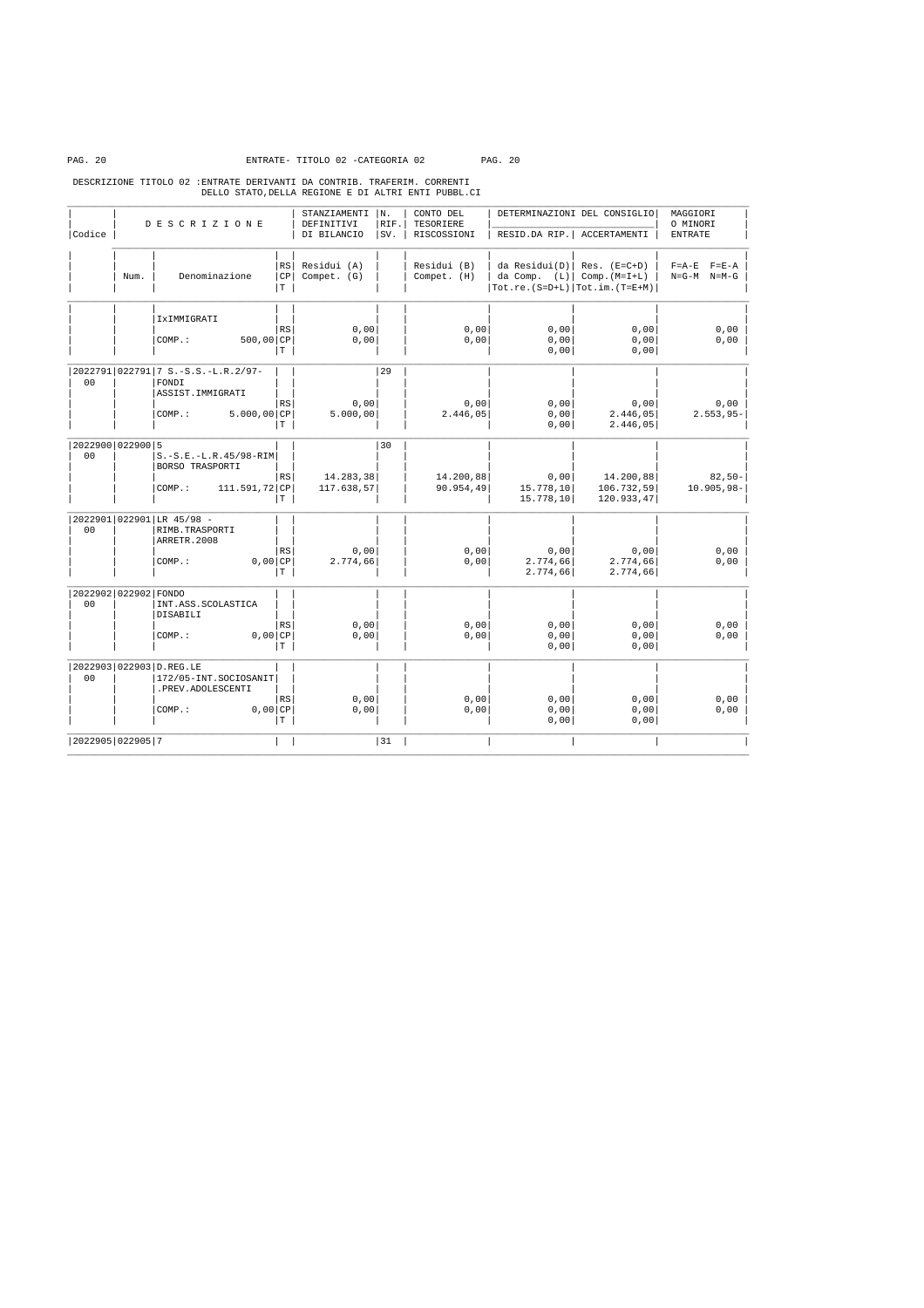| Num.<br>0 <sup>0</sup><br>2022900 022900 5<br>0 <sup>0</sup><br>2022901 022901 LR 45/98 -<br>0 <sup>0</sup> | Denominazione<br>IXIMMIGRATI<br>$500,00$ CP<br>COMP.:<br>2022791 022791 7 S.-S.S.-L.R.2/97-<br>FONDI | RS<br>CP<br>Г<br>RS<br>ΙT. | Residui (A)<br>Compet. (G)<br>0,00 |    | Residui (B)<br>Compet. (H) | da Residui(D)   Res. $(E=C+D)$<br>da Comp. $(L)  $ Comp. $(M=I+L)$ | $ Tot.re.(S=D+L)   Tot.in.(T=E+M)  $  | $F = A - E$ $F = E - A$<br>$N = G - M$ $N = M - G$ |
|-------------------------------------------------------------------------------------------------------------|------------------------------------------------------------------------------------------------------|----------------------------|------------------------------------|----|----------------------------|--------------------------------------------------------------------|---------------------------------------|----------------------------------------------------|
|                                                                                                             |                                                                                                      |                            |                                    |    |                            |                                                                    |                                       |                                                    |
|                                                                                                             |                                                                                                      |                            | 0,00                               |    | 0.00<br>0,00               | 0.00<br>0,00<br>0,00                                               | 0,00<br>0,00<br>0,00                  | 0.00<br>0,00                                       |
|                                                                                                             | ASSIST. IMMIGRATI<br>5.000,00 CP<br>COMP.:                                                           | RS<br>T.                   | 0,00<br>5.000,00                   | 29 | 0,00<br>2.446,05           | 0,00<br>0,00<br>0,00                                               | 0,00<br>2.446,05<br>2.446,05          | 0,00<br>$2.553, 95 -$                              |
|                                                                                                             | $S.-S.E.-L.R.45/98-RIM$<br>BORSO TRASPORTI<br>COMP.:<br>111.591,72 CP                                | RS<br>T                    | 14.283,38<br>117.638,57            | 30 | 14.200,88<br>90.954, 49    | 0,00<br>15.778,10<br>15.778,10                                     | 14.200,88<br>106.732,59<br>120.933,47 | $82,50-$<br>$10.905,98 -$                          |
|                                                                                                             | RIMB.TRASPORTI<br>ARRETR. 2008<br>$0,00$  CP<br>COMP.:                                               | RS<br>T.                   | 0,00<br>2.774,66                   |    | 0,00<br>0,00               | 0,00<br>2.774,66<br>2.774,66                                       | 0,00<br>2.774,66<br>2.774,66          | 0,00<br>0,00                                       |
| 2022902 022902 FONDO<br>0 <sup>0</sup>                                                                      | INT.ASS.SCOLASTICA<br>DISABILI<br>$0.00$ <sub>c</sub> $P$<br>COMP.:                                  | RS<br>T.                   | 0,00<br>0,00                       |    | 0,00<br>0,00               | 0,00<br>0,00<br>0,00                                               | 0,00<br>0,00<br>0,00                  | 0,00<br>0,00                                       |
| 2022903 022903 D.REG.LE<br>00<br> 2022905 022905 7                                                          | 172/05-INT.SOCIOSANIT<br>. PREV. ADOLESCENTI<br>$0.00$ <sub>c</sub> $P$<br>COMP.:                    | RS<br>$\mathbf T$          | 0,00<br>0,00                       | 31 | 0,00<br>0,00               | 0,00<br>0,00<br>0,00                                               | 0,00<br>0,00<br>0,00                  | 0,00<br>0,00                                       |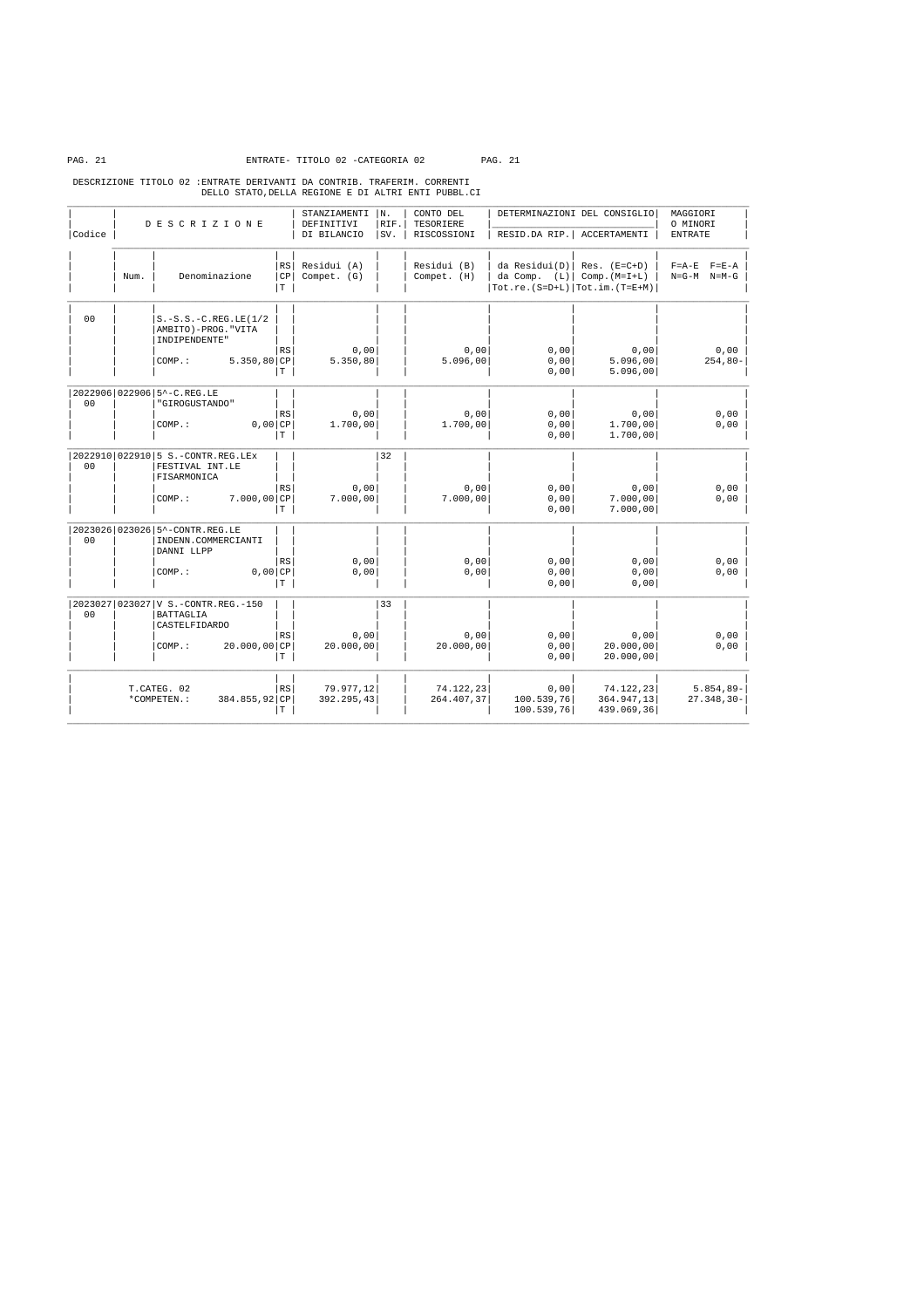| Codice         |      | DESCRIZIONE                                                                                                  |               | STANZIAMENTI<br>DEFINITIVI<br>DI BILANCIO | N.<br>RIF.<br>lsv. | CONTO DEL<br>TESORIERE<br>RISCOSSIONI |                                                                      | DETERMINAZIONI DEL CONSIGLIO<br>RESID.DA RIP.   ACCERTAMENTI | MAGGIORI<br>O MINORI<br><b>ENTRATE</b>             |
|----------------|------|--------------------------------------------------------------------------------------------------------------|---------------|-------------------------------------------|--------------------|---------------------------------------|----------------------------------------------------------------------|--------------------------------------------------------------|----------------------------------------------------|
|                | Num. | Denominazione                                                                                                | RS<br>CP<br>T | Residui (A)<br>Compet. (G)                |                    | Residui (B)<br>Compet. (H)            | da Residui(D)   Res. (E=C+D)<br>$ Tot.re.(S=D+L)   Tot.in.(T=E+M)  $ | da Comp. $(L)$ Comp. $(M=I+L)$                               | $F = A - E$ $F = E - A$<br>$N = G - M$ $N = M - G$ |
| 0 <sub>0</sub> |      | $S.-S.S.-C.REG.LE(1/2)$<br>AMBITO)-PROG. "VITA<br>INDIPENDENTE"<br>COMP.:<br>$5.350,80$ CP                   | RS.<br>T.     | 0,00<br>5.350,80                          |                    | 0.00<br>5.096,00                      | 0,00<br>0,00<br>0,00                                                 | 0.001<br>5.096,00<br>5.096,00                                | 0.00<br>$254,80-$                                  |
| 0 <sub>0</sub> |      | 2022906 022906 5^-C.REG.LE<br>"GIROGUSTANDO"<br>$0,00$  CP<br>COMP.:                                         | RS<br>T.      | 0,00<br>1.700,00                          |                    | 0,00<br>1.700,00                      | 0,00<br>0,00<br>0,00                                                 | 0,00<br>1.700,00<br>1.700,00                                 | 0.00<br>0,00                                       |
| 00             |      | 2022910 022910 5 S.-CONTR.REG.LEX<br>FESTIVAL INT.LE<br>FISARMONICA<br>$7.000,00$ CP<br>COMP.:               | RS<br>T.      | 0,00<br>7.000,00                          | 32                 | 0,00<br>7.000,00                      | 0,00<br>0,00<br>0,00                                                 | 0,00<br>7.000,00<br>7.000,00                                 | 0,00<br>0,00                                       |
| 0 <sub>0</sub> |      | 2023026   023026   5^-CONTR.REG.LE<br>INDENN.COMMERCIANTI<br>DANNI LLPP<br>$0.00$ <sub>c</sub> $P$<br>COMP.: | RS<br>T       | 0,00<br>0,00                              |                    | 0,00<br>0,00                          | 0,00<br>0,00<br>0,00                                                 | 0.00<br>0,00<br>0,00                                         | 0.00<br>0,00                                       |
| 00             |      | 202302710230271V S.-CONTR.REG.-150<br><b>BATTAGLIA</b><br><b>CASTELFIDARDO</b><br>COMP.:<br>$20.000,00$ CP   | RS<br>T.      | 0,00<br>20.000,00                         | 33                 | 0,00<br>20.000,00                     | 0,00<br>0,00<br>0,00                                                 | 0,00<br>20.000,00<br>20.000,00                               | 0,00<br>0,00                                       |
|                |      | T. CATEG. 02<br>384.855.92 CP<br>*COMPETEN. :                                                                | RS<br>T.      | 79.977,12<br>392.295,43                   |                    | 74.122,23<br>264.407,37               | 0,00<br>100.539,76<br>100.539,76                                     | 74.122,23<br>364.947,13<br>439.069,36                        | $5.854,89-$<br>$27.348,30-$                        |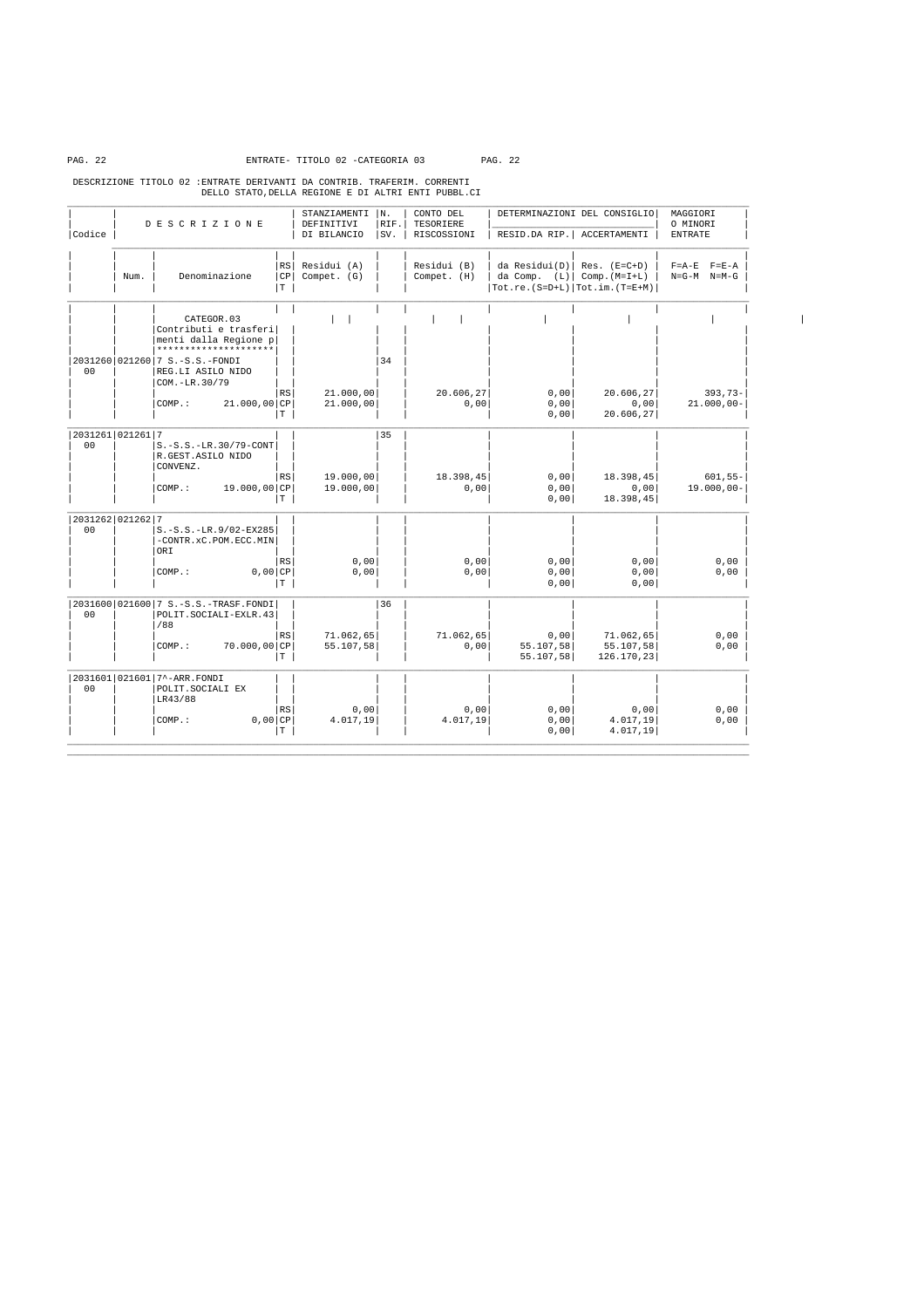| Codice         |                  | <b>DESCRIZIONE</b>                                                                                                                                               | STANZIAMENTI<br>DEFINITIVI<br>DI BILANCIO    | IN.<br>RIF.<br>SV. | CONTO DEL<br>TESORIERE<br>RISCOSSIONI |                                 | DETERMINAZIONI DEL CONSIGLIO<br>RESID.DA RIP.   ACCERTAMENTI                                              | MAGGIORI<br>O MINORI<br><b>ENTRATE</b>             |
|----------------|------------------|------------------------------------------------------------------------------------------------------------------------------------------------------------------|----------------------------------------------|--------------------|---------------------------------------|---------------------------------|-----------------------------------------------------------------------------------------------------------|----------------------------------------------------|
|                | Num.             | Denominazione                                                                                                                                                    | Residui (A)<br>RS<br>CP<br>Compet. (G)<br>T. |                    | Residui (B)<br>Compet. (H)            |                                 | da Residui(D)   Res. $(E=C+D)$<br>da Comp. $(L)  $ Comp. $(M=I+L)$<br>$Tot.re.(S=D+L)   Tot.in.(T=E+M)  $ | $F = A - E$ $F = E - A$<br>$N = G - M$ $N = M - G$ |
| 0 <sup>0</sup> |                  | CATEGOR.03<br>Contributi e trasferi<br>menti dalla Regione p<br>*********************<br>2031260 021260 7 S.-S.S.-FONDI<br>REG.LI ASILO NIDO<br>COM. - LR. 30/79 |                                              | 34                 |                                       |                                 |                                                                                                           |                                                    |
|                |                  | 21.000,00 CP<br>COMP.:                                                                                                                                           | 21.000,00<br>RS<br>21.000,00<br>T.           |                    | 20.606,27<br>0,00                     | 0,00<br>0,00<br>0,00            | 20.606,27<br>0,00<br>20.606,27                                                                            | $393,73-$<br>$21.000,00 -$                         |
| 0 <sub>0</sub> | 2031261 021261 7 | $S.-S.S.-LR.30/79-CONT$<br>R.GEST.ASILO NIDO<br>CONVENZ.                                                                                                         |                                              | 35                 |                                       |                                 |                                                                                                           |                                                    |
|                |                  | 19.000,00 CP<br>COMP.:                                                                                                                                           | 19.000,00<br>RS<br>19.000,00<br>T.           |                    | 18.398,45<br>0,00                     | 0,00<br>0,00<br>0,00            | 18.398,45<br>0,00<br>18.398,45                                                                            | $601, 55 -$<br>$19.000,00 -$                       |
| 0 <sup>0</sup> | 2031262 021262 7 | S.-S.S.-LR.9/02-EX285<br>-CONTR.xC.POM.ECC.MIN<br>ORI                                                                                                            |                                              |                    |                                       |                                 |                                                                                                           |                                                    |
|                |                  | COMP.:<br>$0,00$ <sub>CP</sub>                                                                                                                                   | 0,00<br>RS<br>0,00<br>$\mathbb T$            |                    | 0,00<br>0,00                          | 0,00<br>0,00<br>0,00            | 0,00<br>0,00<br>0,00                                                                                      | 0,00<br>0,00                                       |
| 0 <sup>0</sup> |                  | 2031600   021600   7 S.-S.S.-TRASF. FONDI<br>POLIT. SOCIALI-EXLR. 43<br>/88                                                                                      |                                              | 36                 |                                       |                                 |                                                                                                           |                                                    |
|                |                  | 70.000,00 CP<br>COMP.:                                                                                                                                           | 71.062,65<br>RS<br>55.107,58<br>$\mathbb T$  |                    | 71.062,65<br>0,00                     | 0,00<br>55.107,58<br>55.107, 58 | 71.062,65<br>55.107,58<br>126.170,23                                                                      | 0,00<br>0,00                                       |
| 0 <sup>0</sup> |                  | 2031601 021601 7^-ARR. FONDI<br>POLIT. SOCIALI EX<br>LR43/88                                                                                                     |                                              |                    |                                       |                                 |                                                                                                           |                                                    |
|                |                  | COMP.:<br>$0,00$ <sub>CP</sub>                                                                                                                                   | 0.00<br>RS<br>4.017,19<br>T.                 |                    | 0,00<br>4.017,19                      | 0,00<br>0,00<br>0,00            | 0,00<br>4.017,19<br>4.017,19                                                                              | 0,00<br>0,00                                       |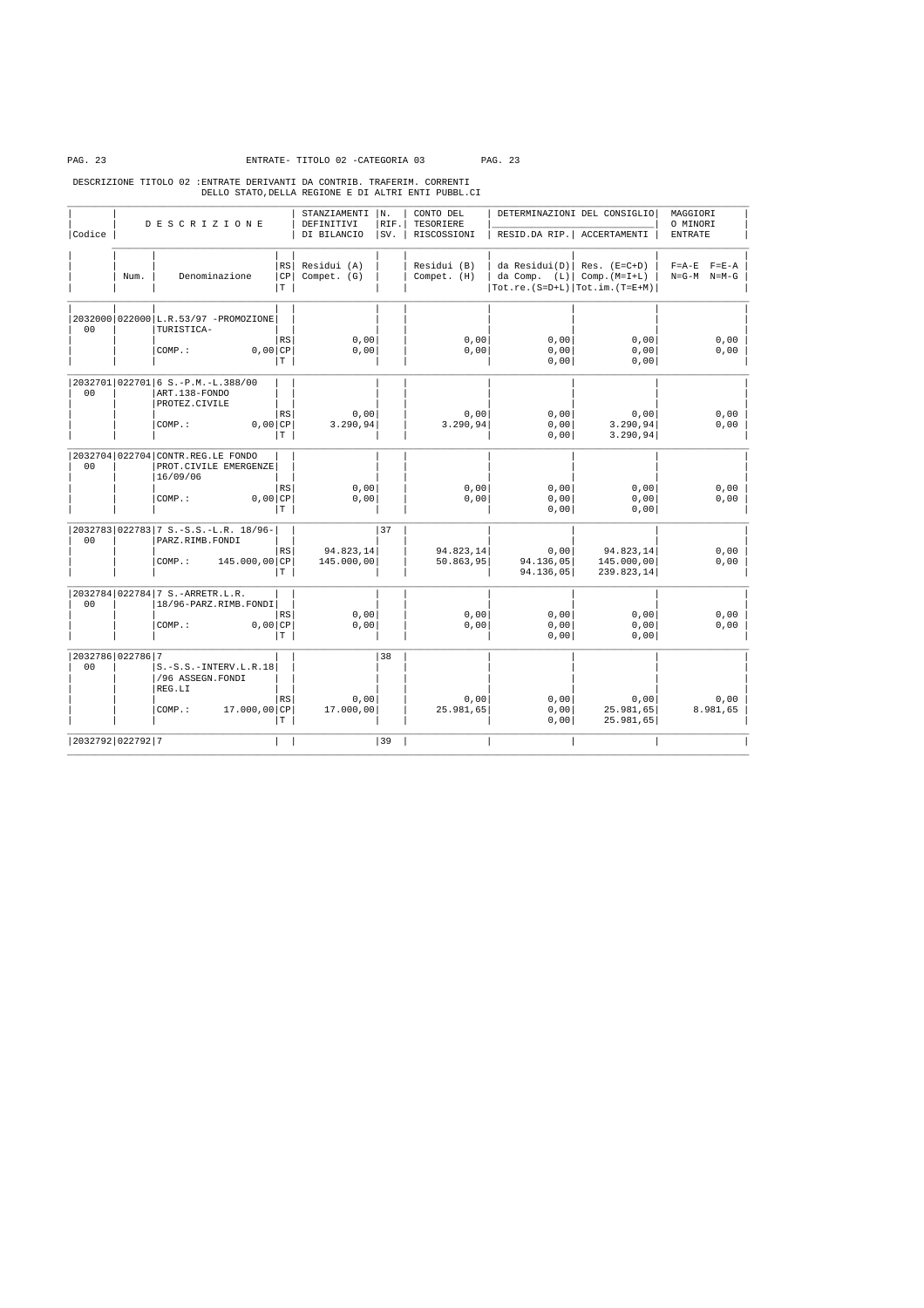| Codice                                                  |      | DESCRIZIONE                                                                                               |                          | STANZIAMENTI<br>IN.<br>RIF.<br>DEFINITIVI<br>ISV.<br>DI BILANCIO | CONTO DEL<br>TESORIERE<br>RISCOSSIONI |                                                                    | DETERMINAZIONI DEL CONSIGLIO<br>RESID.DA RIP.   ACCERTAMENTI | MAGGIORI<br>O MINORI<br><b>ENTRATE</b>             |
|---------------------------------------------------------|------|-----------------------------------------------------------------------------------------------------------|--------------------------|------------------------------------------------------------------|---------------------------------------|--------------------------------------------------------------------|--------------------------------------------------------------|----------------------------------------------------|
|                                                         | Num. | Denominazione                                                                                             | $_{\rm RS}$<br>CP<br>T   | Residui (A)<br>Compet. (G)                                       | Residui (B)<br>Compet. (H)            | da Residui(D)   Res. $(E=C+D)$<br>da Comp. $(L)  $ Comp. $(M=I+L)$ | $ Tot.re.(S=D+L)   Tot.in.(T=E+M)  $                         | $F = A - E$ $F = E - A$<br>$N = G - M$ $N = M - G$ |
| 0 <sub>0</sub>                                          |      | 2032000 022000 L.R.53/97 - PROMOZIONE<br>TURISTICA-<br>$0,00$  CP<br>COMP.:                               | RS<br>T                  | 0,00<br>0,00                                                     | 0,00<br>0,00                          | 0,00<br>0,00<br>0,00                                               | 0,00<br>0.001<br>0,00                                        | 0,00<br>0,00                                       |
| 0 <sup>0</sup>                                          |      | 2032701 022701 6 S.-P.M.-L.388/00<br>ART. 138-FONDO<br>PROTEZ.CIVILE<br>0,00 CP<br>COMP.:                 | RS<br>T.                 | 0,00<br>3.290,94                                                 | 0,00<br>3.290,94                      | 0,00<br>0,00<br>0,00                                               | 0,00<br>3.290,94<br>3.290, 94                                | 0.00<br>0,00                                       |
| 00                                                      |      | 2032704 022704 CONTR.REG.LE FONDO<br>PROT. CIVILE EMERGENZE<br>16/09/06<br>$0,00$ <sub>CP</sub><br>COMP.: | RS<br>$\mathbb T$        | 0,00<br>0,00                                                     | 0,00<br>0,00                          | 0,00<br>0,00<br>0,00                                               | 0,00<br>0,00<br>0,00                                         | 0,00<br>0,00                                       |
| 0 <sub>0</sub>                                          |      | 2032783 022783 7 S.-S.S.-L.R. 18/96-<br>PARZ.RIMB.FONDI<br>145.000,00 CP<br>COMP.:                        | RS<br>T.                 | 37<br>94.823,14<br>145.000,00                                    | 94.823,14<br>50.863,95                | 0,00<br>94.136,05<br>94.136,05                                     | 94.823,14<br>145.000,00<br>239.823,14                        | 0,00<br>0,00                                       |
| 0 <sup>0</sup>                                          |      | 2032784 022784 7 S.-ARRETR.L.R.<br>18/96-PARZ.RIMB.FONDI<br>COMP.:<br>$0,00$ CP                           | RS<br>T                  | 0.00<br>0,00                                                     | 0.00<br>0,00                          | 0,00<br>0,00<br>0,00                                               | 0.00<br>0,00<br>0,00                                         | 0.00<br>0,00                                       |
| 2032786 022786 7<br>0 <sup>0</sup><br> 2032792 022792 7 |      | $S.-S.S.-INTERV.L.R.18$<br>/96 ASSEGN.FONDI<br>REG.LI<br>17.000,00 CP<br>COMP.:                           | <b>RS</b><br>$\mathbb T$ | 38<br>0,00<br>17.000,00<br> 39                                   | 0,00<br>25.981,65                     | 0,00<br>0,00<br>0,00                                               | 0,00<br>25.981,65<br>25.981, 65                              | 0.00<br>8.981,65                                   |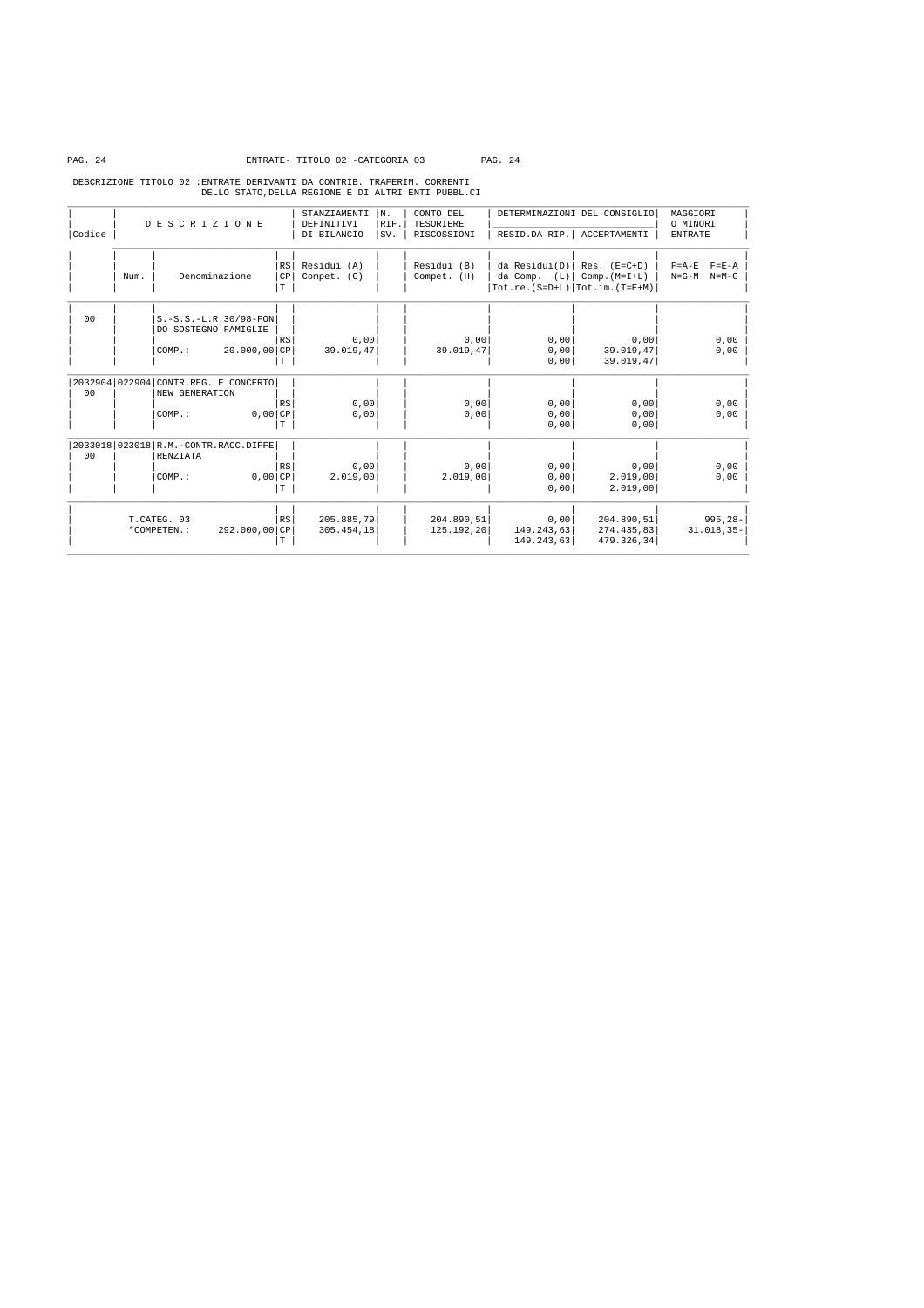| Codice         |      | <b>DESCRIZIONE</b>            |                                                                           |               | STANZIAMENTI<br>DEFINITIVI<br>DI BILANCIO | IN.<br>RIF.<br>lsv. | CONTO DEL<br>TESORIERE<br>RISCOSSIONI |                                  | DETERMINAZIONI DEL CONSIGLIO<br>RESID.DA RIP.   ACCERTAMENTI                                          | MAGGIORI<br>O MINORI<br><b>ENTRATE</b>             |
|----------------|------|-------------------------------|---------------------------------------------------------------------------|---------------|-------------------------------------------|---------------------|---------------------------------------|----------------------------------|-------------------------------------------------------------------------------------------------------|----------------------------------------------------|
|                | Num. |                               | Denominazione                                                             | RS<br>CP<br>T | Residui (A)<br>$Compet.$ (G)              |                     | Residui (B)<br>Compet. (H)            |                                  | da Residui(D)   Res. (E=C+D)<br>da Comp. $(L)$ Comp. $(M=I+L)$<br>$ Tot.re.(S=D+L)   Tot.in.(T=E+M) $ | $F = A - E$ $F = E - A$<br>$N = G - M$ $N = M - G$ |
| 0 <sup>0</sup> |      | DO SOSTEGNO FAMIGLIE<br>COMP: | $S.-S.S.-L.R.30/98-FON$<br>$20.000,00$ CP                                 | RS.<br>т      | 0,00<br>39.019,47                         |                     | 0,00<br>39.019,47                     | 0,00<br>0,00<br>0,00             | 0,00<br>39.019,47<br>39.019,47                                                                        | 0,00<br>0,00                                       |
| 0 <sub>0</sub> |      | NEW GENERATION<br>COMP.:      | 2032904   022904   CONTR.REG.LE CONCERTO  <br>$0,00$ CP                   | l RS<br>Т     | 0,00<br>0,00                              |                     | 0,00<br>0,00                          | 0,00<br>0,00<br>0,00             | 0,00<br>0,00<br>0,00                                                                                  | 0,00<br>0,00                                       |
| 00             |      | RENZIATA<br>COMP.:            | 2033018   023018   R.M. - CONTR. RACC. DIFFE  <br>$0.00$ <sub>c</sub> $P$ | RS<br>T.      | 0,00<br>2.019,00                          |                     | 0,00<br>2.019.00                      | 0,00<br>0,00<br>0,00             | 0,00<br>2.019,00<br>2.019,00                                                                          | 0,00<br>0,00                                       |
|                |      | T.CATEG. 03<br>*COMPETEN.:    | 292.000,00 CP                                                             | RS<br>т       | 205.885,79<br>305.454, 18                 |                     | 204.890, 51<br>125.192,20             | 0,00<br>149.243,63<br>149.243.63 | 204.890,51<br>274.435,83<br>479.326,34                                                                | $995, 28 -$<br>$31.018, 35 -$                      |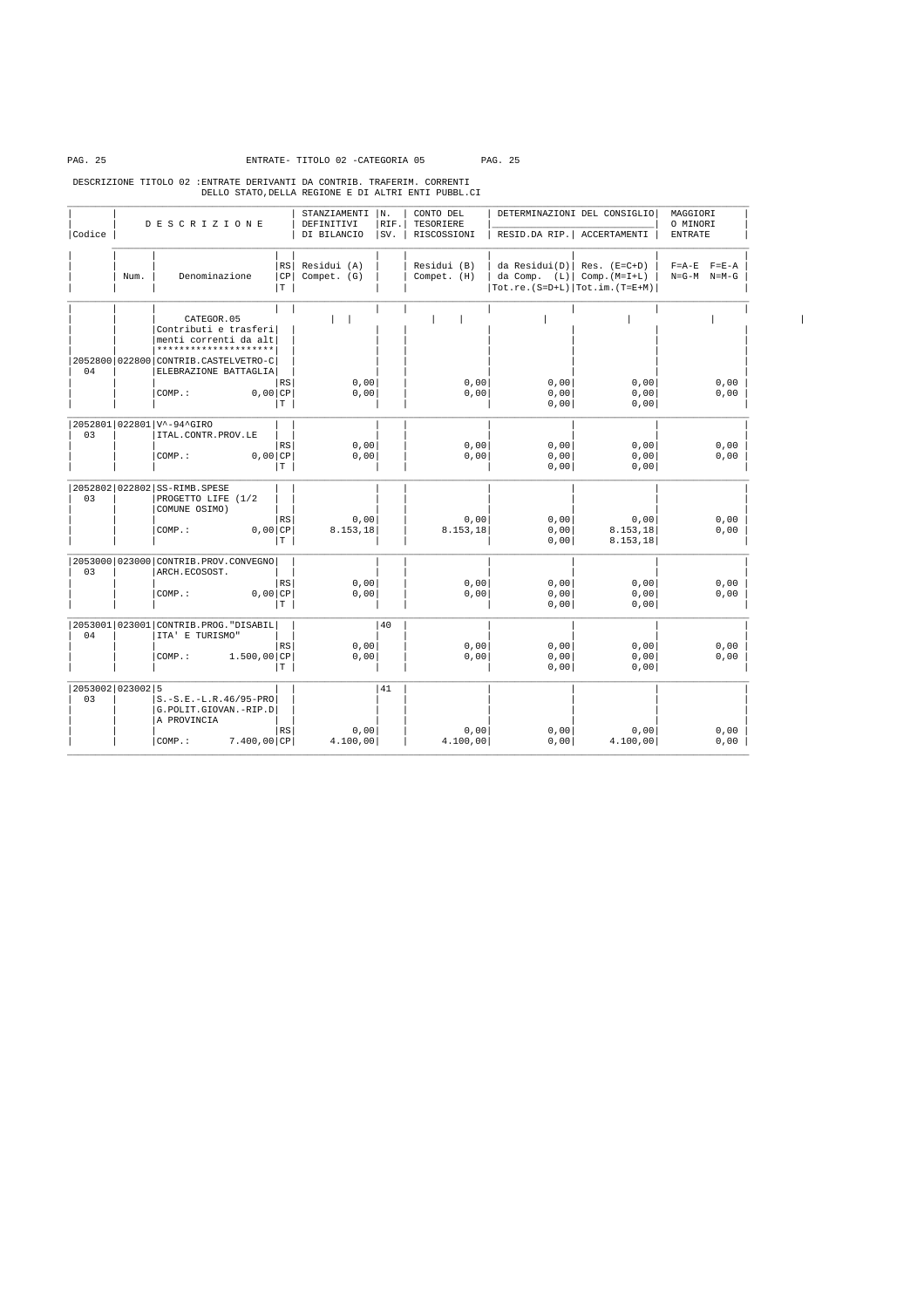| Codice                 |      | <b>DESCRIZIONE</b>                                                                                                                                          | STANZIAMENTI<br>DEFINITIVI<br>DI BILANCIO       | N.<br>RIF.<br>SV. | CONTO DEL<br>TESORIERE<br>RISCOSSIONI | RESID.DA RIP.                                     | DETERMINAZIONI DEL CONSIGLIO<br>ACCERTAMENTI              | MAGGIORI<br>O MINORI<br><b>ENTRATE</b>             |
|------------------------|------|-------------------------------------------------------------------------------------------------------------------------------------------------------------|-------------------------------------------------|-------------------|---------------------------------------|---------------------------------------------------|-----------------------------------------------------------|----------------------------------------------------|
|                        | Num. | Denominazione<br>$\mathbb T$                                                                                                                                | RS<br>Residui (A)<br>$_{\rm CP}$<br>Compet. (G) |                   | Residui (B)<br>Compet. (H)            | da Residui(D)<br>da Comp. $(L)  $ Comp. $(M=I+L)$ | $Res.$ ( $E=C+D$ )<br>$Tot.re.(S=D+L)   Tot.in.(T=E+M)  $ | $F = A - E$ $F = E - A$<br>$N = G - M$ $N = M - G$ |
| 04                     |      | CATEGOR.05<br>Contributi e trasferi<br>menti correnti da alt<br>*********************<br>2052800   022800   CONTRIB. CASTELVETRO-C<br>ELEBRAZIONE BATTAGLIA |                                                 |                   |                                       |                                                   |                                                           |                                                    |
|                        |      | $0,00$  CP<br>COMP.:<br>$\mathbb T$                                                                                                                         | 0,00<br>RS<br>0,00                              |                   | 0,00<br>0,00                          | 0,00<br>0,00<br>0,00                              | 0,00<br>0,00<br>0,00                                      | 0,00<br>0,00                                       |
|                        |      | 2052801 022801 V ~- 94 ~ GIRO                                                                                                                               |                                                 |                   |                                       |                                                   |                                                           |                                                    |
| 03                     |      | ITAL. CONTR. PROV. LE<br>$0,00$ <sub>CP</sub><br>COMP.:                                                                                                     | RS<br>0,00<br>0,00<br>$\mathbf T$               |                   | 0,00<br>0,00                          | 0,00<br>0,00<br>0,00                              | 0,00<br>0,00<br>0,00                                      | 0,00<br>0,00                                       |
| 03                     |      | 2052802   022802   SS-RIMB. SPESE<br>PROGETTO LIFE (1/2<br>COMUNE OSIMO)                                                                                    |                                                 |                   |                                       |                                                   |                                                           |                                                    |
|                        |      | $0,00$ <sub>CP</sub><br>COMP.:                                                                                                                              | 0,00<br>RS<br>8.153,18<br>$\mathbb T$           |                   | 0,00<br>8.153,18                      | 0,00<br>0,00<br>0,00                              | 0,00<br>8.153,18<br>8.153,18                              | 0,00<br>0,00                                       |
| 03                     |      | 2053000   023000   CONTRIB. PROV. CONVEGNO<br>ARCH.ECOSOST.                                                                                                 |                                                 |                   |                                       |                                                   |                                                           |                                                    |
|                        |      | $0,00$ <sub>CP</sub><br>COMP.:                                                                                                                              | 0,00<br>RS<br>0,00<br>$\mathbb T$               |                   | 0,00<br>0,00                          | 0,00<br>0,00<br>0,00                              | 0,00<br>0,00<br>0,00                                      | 0,00<br>0,00                                       |
| 04                     |      | 2053001   023001   CONTRIB. PROG. "DISABIL<br>ITA' E TURISMO"                                                                                               |                                                 | 40                |                                       |                                                   |                                                           |                                                    |
|                        |      | 1.500,00 CP<br>COMP.:<br>$\mathbb T$                                                                                                                        | 0,00<br>RS<br>0,00                              |                   | 0,00<br>0,00                          | 0,00<br>0,00<br>0,00                              | 0,00<br>0,00<br>0,00                                      | 0,00<br>0,00                                       |
| 2053002 023002 5<br>03 |      | $S.-S.E.-L.R.46/95-PRO$<br>G.POLIT.GIOVAN.-RIP.D<br>A PROVINCIA                                                                                             |                                                 | 41                |                                       |                                                   |                                                           |                                                    |
|                        |      | 7.400,00 CP<br>COMP.:                                                                                                                                       | 0,00<br>RS<br>4.100,00                          |                   | 0,00<br>4.100,00                      | 0,00<br>0,00                                      | 0,00<br>4.100,00                                          | 0,00<br>0,00                                       |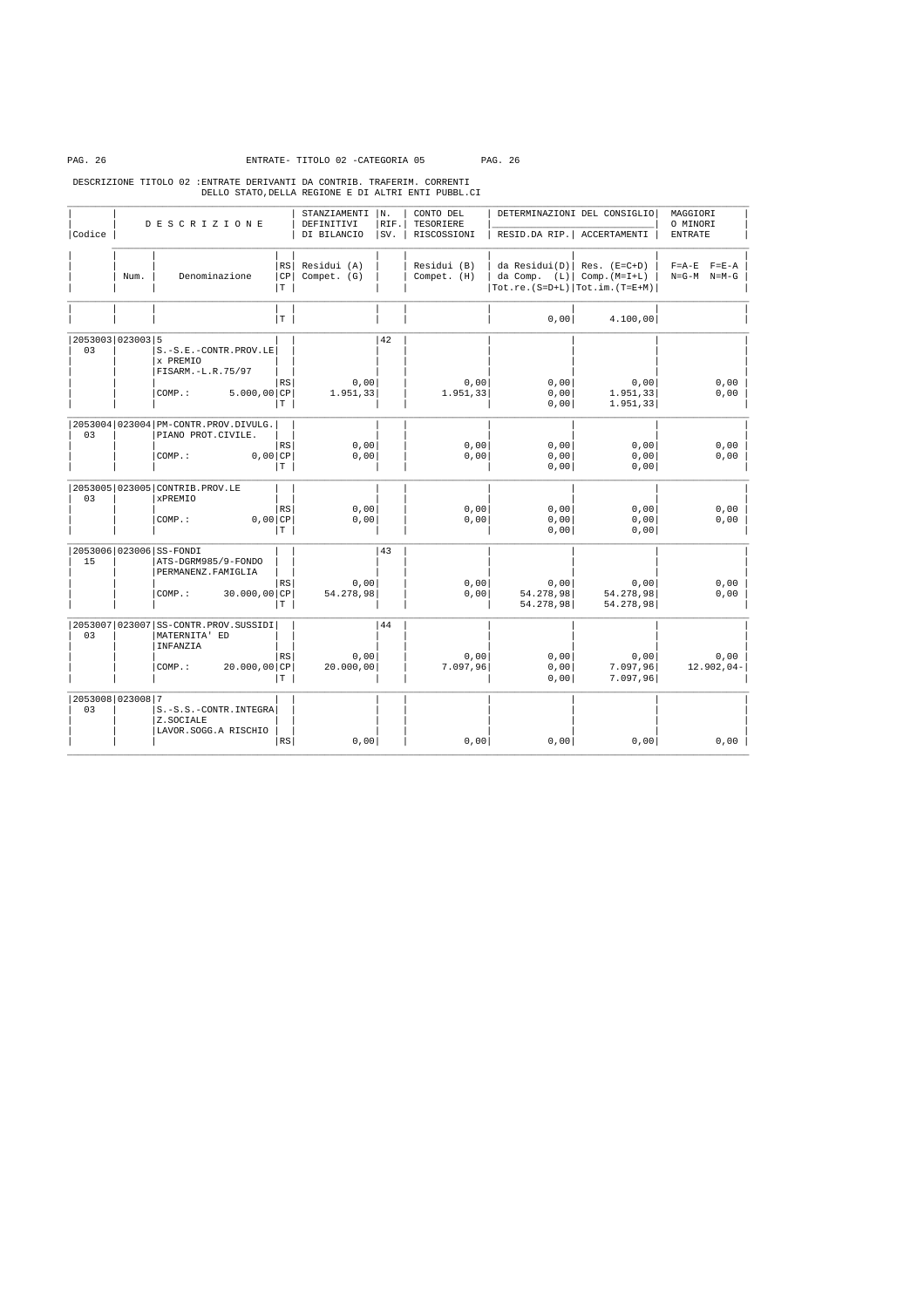| Codice                     |      | DESCRIZIONE                                                                                       |               | STANZIAMENTI<br>DEFINITIVI<br>DI BILANCIO | $ N$ .<br>RIF.<br> sv. | CONTO DEL<br>TESORIERE<br>RISCOSSIONI |                                                                    | DETERMINAZIONI DEL CONSIGLIO<br>RESID.DA RIP.   ACCERTAMENTI | MAGGIORI<br>O MINORI<br><b>ENTRATE</b>             |
|----------------------------|------|---------------------------------------------------------------------------------------------------|---------------|-------------------------------------------|------------------------|---------------------------------------|--------------------------------------------------------------------|--------------------------------------------------------------|----------------------------------------------------|
|                            | Num. | Denominazione                                                                                     | RS<br>CP<br>Г | Residui (A)<br>Compet. (G)                |                        | Residui (B)<br>Compet. (H)            | da Residui(D)   Res. $(E=C+D)$<br>da Comp. $(L)  $ Comp. $(M=I+L)$ | $ Tot.re.(S=D+L)   Tot.in.(T=E+M)  $                         | $F = A - E$ $F = E - A$<br>$N = G - M$ $N = M - G$ |
|                            |      |                                                                                                   | IТ            |                                           |                        |                                       | 0,00                                                               | 4.100,00                                                     |                                                    |
| 2053003   023003   5<br>03 |      | S.-S.E.-CONTR.PROV.LE<br>x PREMIO<br>FISARM. - L.R. 75/97<br>5.000,00 CP<br>COMP.:                | RS<br>T       | 0,00<br>1.951,33                          | 42                     | 0,00<br>1.951,33                      | 0,00<br>0,00<br>0,00                                               | 0,00<br>1.951, 33<br>1.951, 33                               | 0,00<br>0,00                                       |
| 03                         |      | 2053004   023004   PM-CONTR. PROV. DIVULG.<br>PIANO PROT.CIVILE.<br>$0,00$  CP<br>COMP.:          | RS<br>T.      | 0,00<br>0,00                              |                        | 0,00<br>0,00                          | 0,00<br>0,00<br>0,00                                               | 0,00<br>0,00<br>0,00                                         | 0,00<br>0,00                                       |
| 03                         |      | 2053005   023005   CONTRIB. PROV. LE<br>XPREMIO<br>$0.00$ <sub>c</sub> $P$<br>COMP.:              | RS<br>T.      | 0,00<br>0,00                              |                        | 0,00<br>0,00                          | 0,00<br>0,00<br>0,00                                               | 0,00<br>0,00<br>0,00                                         | 0,00<br>0,00                                       |
| 15                         |      | 2053006 023006 SS-FONDI<br>ATS-DGRM985/9-FONDO<br>PERMANENZ.FAMIGLIA<br>COMP.:<br>30.000,00 CP    | RS<br>T.      | 0,00<br>54.278,98                         | 43                     | 0,00<br>0,00                          | 0,00<br>54.278,98<br>54.278,98                                     | 0,00<br>54.278,98<br>54.278,98                               | 0,00<br>0,00                                       |
| 03                         |      | 2053007   023007   SS-CONTR. PROV. SUSSIDI<br>MATERNITA' ED<br>INFANZIA<br>20.000,00 CP<br>COMP.: | RS<br>T       | 0,00<br>20.000,00                         | 44                     | 0,00<br>7.097,96                      | 0,00<br>0,00<br>0,00                                               | 0,00<br>7.097,96<br>7.097,96                                 | 0,00<br>$12.902,04-$                               |
| 2053008 023008 7<br>03     |      | S.-S.S.-CONTR.INTEGRA<br>Z.SOCIALE<br>LAVOR. SOGG. A RISCHIO                                      | RS            | 0,00                                      |                        | 0,00                                  | 0,00                                                               | 0,00                                                         | 0,00                                               |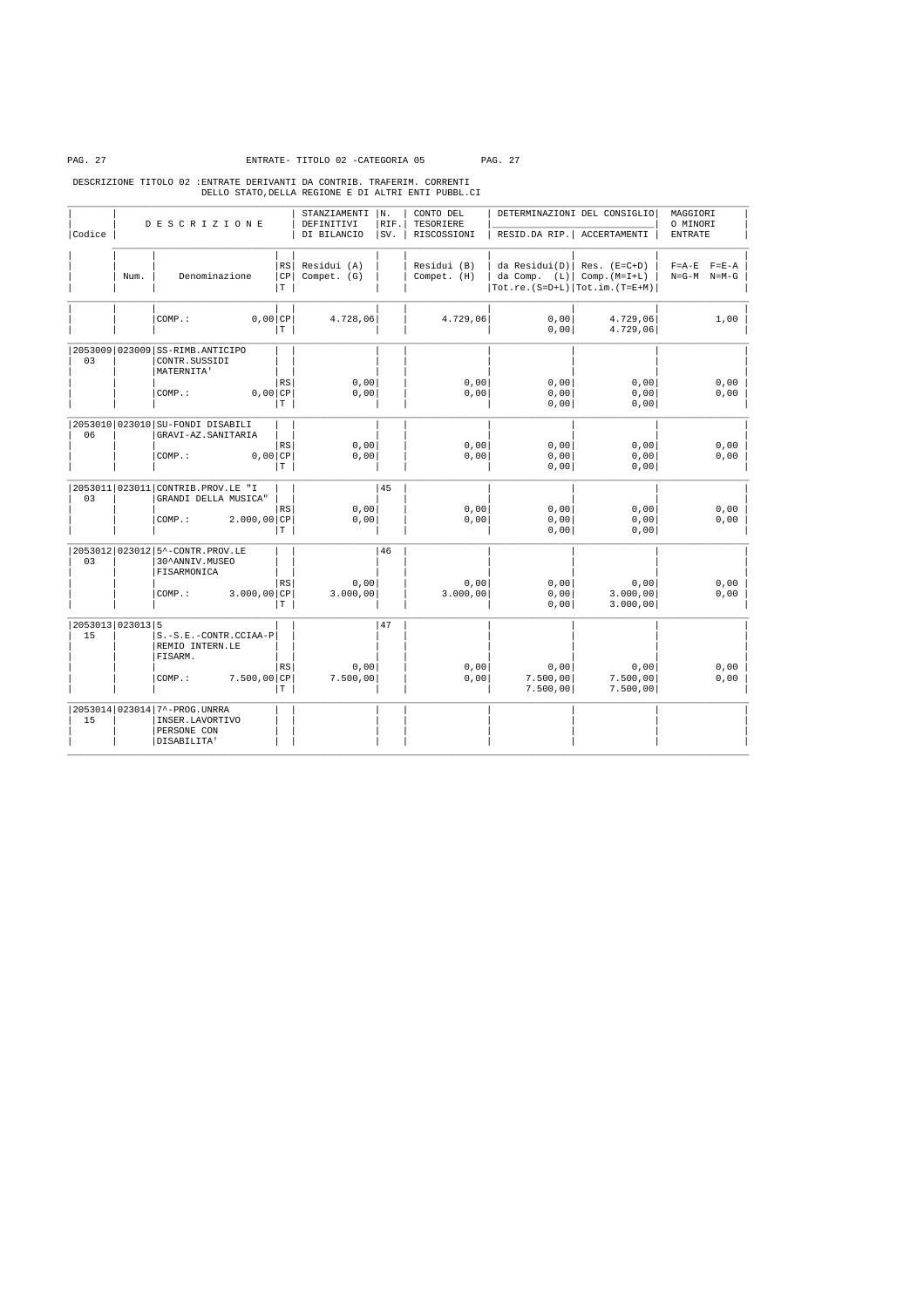| Codice                     |      | DESCRIZIONE                                                                                   |                                  | STANZIAMENTI<br>DEFINITIVI<br>DI BILANCIO | IN.<br>RIF.<br>SV. | CONTO DEL<br>TESORIERE<br>RISCOSSIONI |                              | DETERMINAZIONI DEL CONSIGLIO<br>RESID.DA RIP.   ACCERTAMENTI                                               | MAGGIORI<br>O MINORI<br><b>ENTRATE</b>             |
|----------------------------|------|-----------------------------------------------------------------------------------------------|----------------------------------|-------------------------------------------|--------------------|---------------------------------------|------------------------------|------------------------------------------------------------------------------------------------------------|----------------------------------------------------|
|                            | Num. | Denominazione                                                                                 | $_{\rm RS}$<br>$_{\rm CP}$<br>T. | Residui (A)<br>Compet. (G)                |                    | Residui (B)<br>Compet. (H)            |                              | da Residui(D)   Res. $(E=C+D)$<br>da Comp. $(L)  $ Comp. $(M=I+L)$<br>$ Tot.re.(S=D+L)   Tot.in.(T=E+M)  $ | $F = A - E$ $F = E - A$<br>$N = G - M$ $N = M - G$ |
|                            |      | $0,00$  CP<br>COMP.:                                                                          | IТ                               | 4.728,06                                  |                    | 4.729,06                              | 0,00<br>0,00                 | 4.729,06<br>4.729,06                                                                                       | 1,00                                               |
| 03                         |      | 2053009 023009 SS-RIMB.ANTICIPO<br>CONTR.SUSSIDI<br>MATERNITA'<br>COMP.:<br>$0,00$  CP        | RS<br>T.                         | 0,00<br>$0$ , $00$                        |                    | 0,00<br>0,00                          | 0,00<br>0,00<br>0,00         | 0,00<br>0,00<br>0,00                                                                                       | 0,00<br>0,00                                       |
| 06                         |      | 2053010   023010   SU-FONDI DISABILI<br>GRAVI-AZ.SANITARIA<br>$0,00$  CP<br>COMP.:            | RS<br>T.                         | 0,00<br>0,00                              |                    | 0,00<br>0,00                          | 0,00<br>0,00<br>0,00         | 0,00<br>0,00<br>0,00                                                                                       | 0,00<br>0,00                                       |
| 03                         |      | 2053011   023011   CONTRIB. PROV. LE "I<br>GRANDI DELLA MUSICA"<br>COMP.:<br>$2.000,00$ CP    | RS<br>T.                         | 0,00<br>0,00                              | 45                 | 0,00<br>0,00                          | 0,00<br>0,00<br>0,00         | 0,00<br>0,00<br>0,00                                                                                       | 0,00<br>0,00                                       |
| 03                         |      | 2053012 023012 5^-CONTR. PROV. LE<br>30^ANNIV.MUSEO<br>FISARMONICA<br>COMP.:<br>$3.000,00$ CP | RS<br>T.                         | 0,00<br>3.000,00                          | 46                 | 0,00<br>3.000,00                      | 0,00<br>0,00<br>0,00         | 0,00<br>3.000,00<br>3.000,00                                                                               | 0,00<br>0,00                                       |
| 2053013   023013   5<br>15 |      | S.-S.E.-CONTR.CCIAA-P<br>REMIO INTERN.LE<br>FISARM.<br>$7.500,00$ CP<br>COMP.:                | RS<br>T.                         | 0,00<br>7.500,00                          | 47                 | 0,00<br>0,00                          | 0,00<br>7.500,00<br>7.500,00 | 0,00<br>7.500,00<br>7.500,00                                                                               | 0,00<br>0,00                                       |
| 15                         |      | 2053014 023014 7^-PROG.UNRRA<br>INSER.LAVORTIVO<br>PERSONE CON<br>DISABILITA'                 |                                  |                                           |                    |                                       |                              |                                                                                                            |                                                    |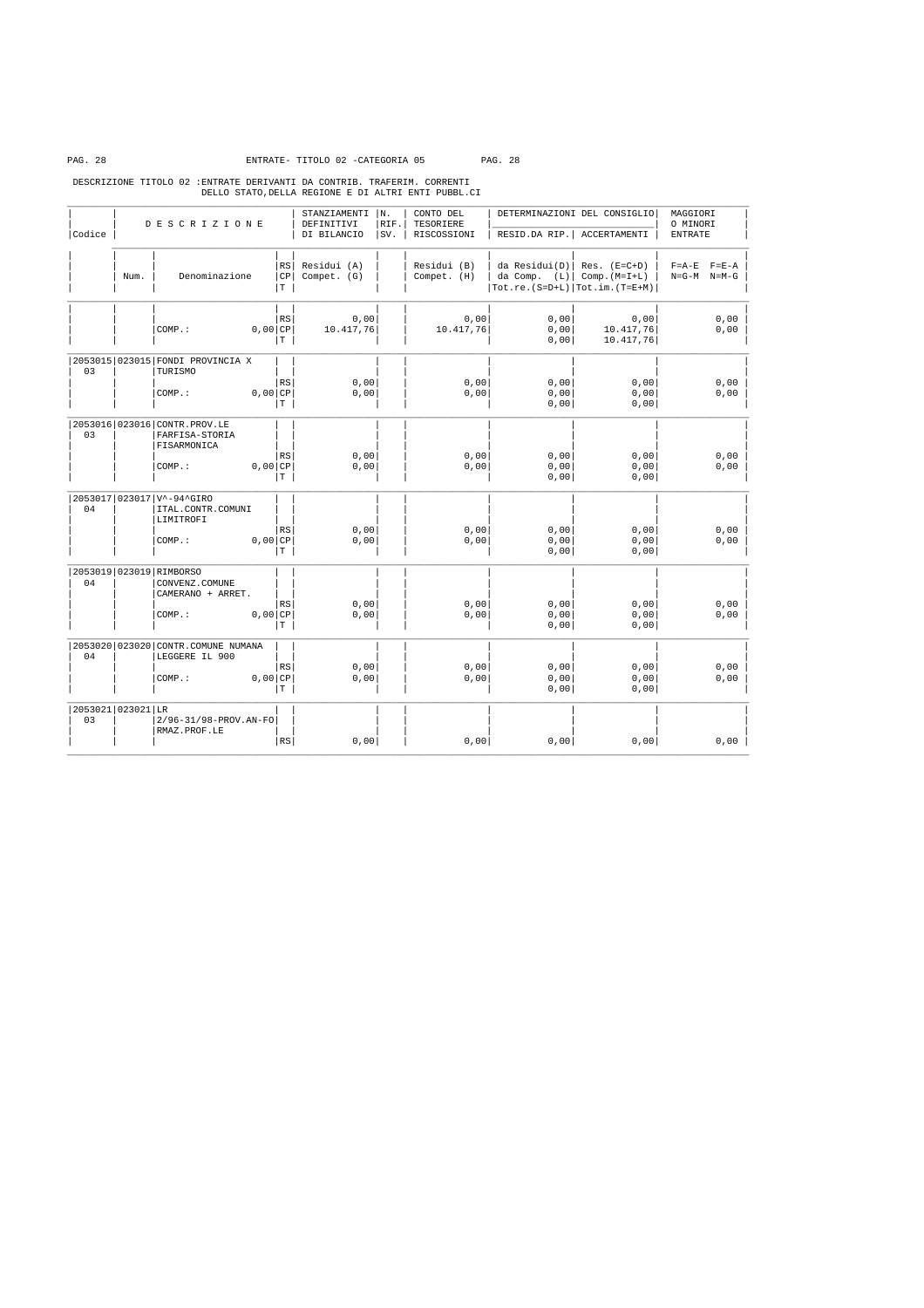| Codice                  | DESCRIZIONE |                                                                                                      |                        | STANZIAMENTI<br>DEFINITIVI<br>DI BILANCIO | IN.<br>RIF.<br> sv. | CONTO DEL<br>TESORIERE<br>RISCOSSIONI |                      | DETERMINAZIONI DEL CONSIGLIO<br>RESID.DA RIP.   ACCERTAMENTI                                               | MAGGIORI<br>O MINORI<br><b>ENTRATE</b>             |
|-------------------------|-------------|------------------------------------------------------------------------------------------------------|------------------------|-------------------------------------------|---------------------|---------------------------------------|----------------------|------------------------------------------------------------------------------------------------------------|----------------------------------------------------|
|                         | Num.        | Denominazione                                                                                        | $_{\rm RS}$<br>CP<br>Г | Residui (A)<br>Compet. (G)                |                     | Residui (B)<br>Compet. (H)            |                      | da Residui(D)   Res. $(E=C+D)$<br>da Comp. $(L)  $ Comp. $(M=I+L)$<br>$ Tot.re.(S=D+L)   Tot.in.(T=E+M)  $ | $F = A - E$ $F = E - A$<br>$N = G - M$ $N = M - G$ |
|                         |             | $0.00$ <sub>c</sub> $P$<br>COMP.:                                                                    | RS.<br>$\mathbf T$     | 0,00<br>10.417,76                         |                     | 0,00<br>10.417,76                     | 0,00<br>0,00<br>0,00 | 0,00<br>10.417,76<br>10.417,76                                                                             | 0,00<br>0,00                                       |
| 03                      |             | 2053015 023015 FONDI PROVINCIA X<br>TURISMO<br>0,00 CP<br>COMP.:                                     | RS<br>$\mathbf T$ .    | 0,00<br>0,00                              |                     | 0,00<br>0,00                          | 0,00<br>0,00<br>0,00 | 0,00<br>0,00<br>0,00                                                                                       | 0,00<br>0,00                                       |
| 03                      |             | 2053016   023016   CONTR. PROV. LE<br>FARFISA-STORIA<br>FISARMONICA<br>$0,00$  CP<br>COMP.:          | RS<br>$\mathbb T$      | 0,00<br>0,00                              |                     | 0,00<br>0,00                          | 0,00<br>0,00<br>0,00 | 0,00<br>0,00<br>0,00                                                                                       | 0,00<br>0,00                                       |
| 04                      |             | 2053017 023017 V ~- 94 ~ GIRO<br>ITAL.CONTR.COMUNI<br>LIMITROFI<br>$0.00$ <sub>c</sub> $P$<br>COMP.: | RS<br>$\mathbb T$      | 0,00<br>0,00                              |                     | 0,00<br>0,00                          | 0,00<br>0,00<br>0,00 | 0,00<br>0,00<br>0,00                                                                                       | 0,00<br>0,00                                       |
| 04                      |             | 2053019 023019 RIMBORSO<br>CONVENZ.COMUNE<br>CAMERANO + ARRET.<br>$0,00$  CP<br>COMP.:               | RS<br>T.               | 0,00<br>0,00                              |                     | 0,00<br>0,00                          | 0,00<br>0,00<br>0,00 | 0,00<br>0,00<br>0,00                                                                                       | 0,00<br>0,00                                       |
| 04                      |             | 2053020 023020 CONTR. COMUNE NUMANA<br>LEGGERE IL 900<br>$0,00$  CP<br>COMP.:                        | RS<br>$\mathbb T$      | 0,00<br>0,00                              |                     | 0,00<br>0,00                          | 0,00<br>0,00<br>0,00 | 0,00<br>0,00<br>0,00                                                                                       | 0,00<br>0,00                                       |
| 2053021 023021 LR<br>03 |             | 2/96-31/98-PROV.AN-FO<br>RMAZ.PROF.LE                                                                | RS                     | 0,00                                      |                     | 0,00                                  | 0,00                 | 0,00                                                                                                       | 0,00                                               |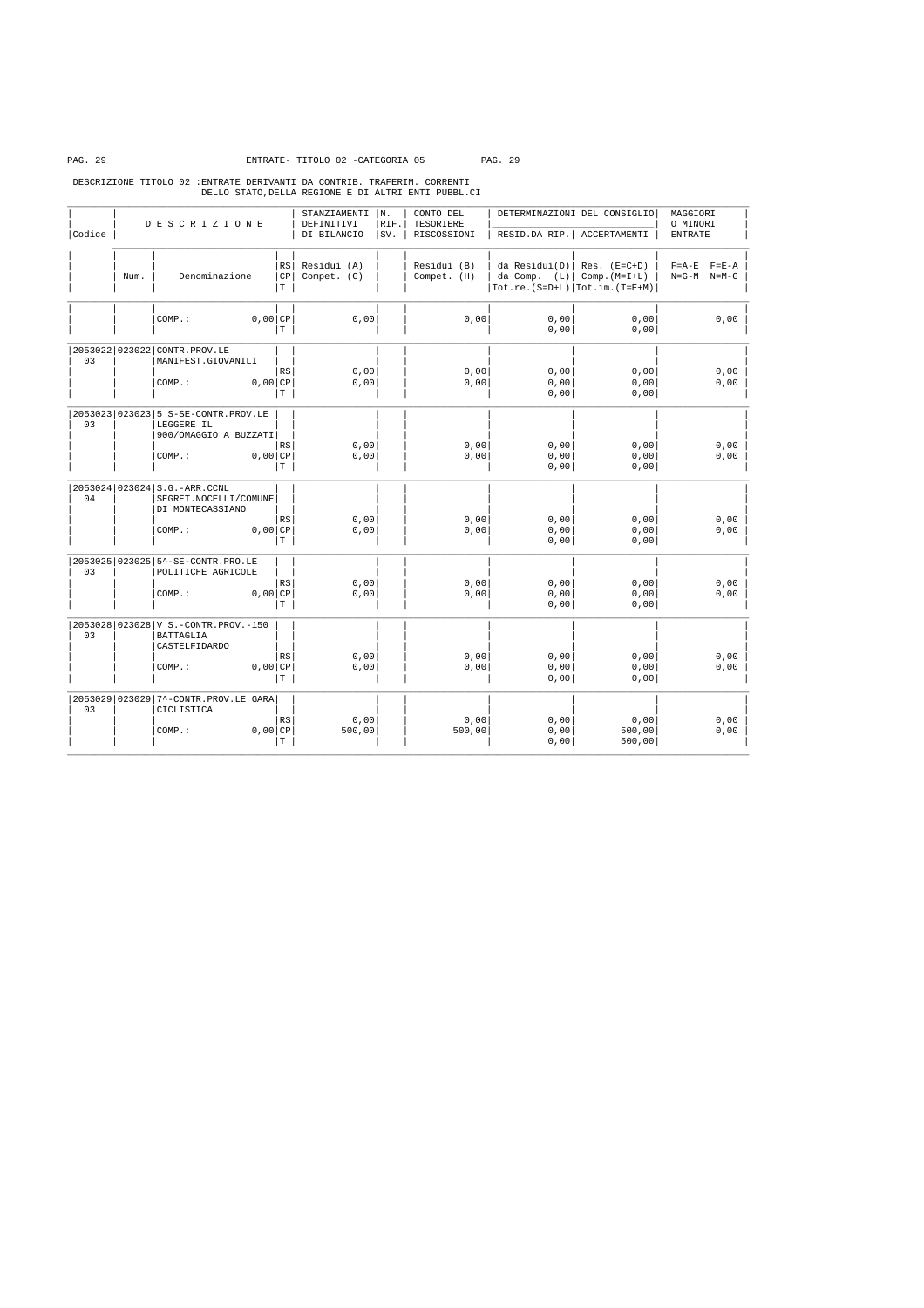| Codice |      | DESCRIZIONE                                                                                                         |                                  | STANZIAMENTI<br>DEFINITIVI<br>DI BILANCIO | IN.<br>RIF.<br>SV. | CONTO DEL<br>TESORIERE<br>RISCOSSIONI |                      | DETERMINAZIONI DEL CONSIGLIO<br>RESID.DA RIP.   ACCERTAMENTI                                | MAGGIORI<br>O MINORI<br><b>ENTRATE</b>             |
|--------|------|---------------------------------------------------------------------------------------------------------------------|----------------------------------|-------------------------------------------|--------------------|---------------------------------------|----------------------|---------------------------------------------------------------------------------------------|----------------------------------------------------|
|        | Num. | Denominazione                                                                                                       | $_{\rm RS}$<br>CP<br>$\mathbb T$ | Residui (A)<br>Compet. (G)                |                    | Residui (B)<br>Compet. (H)            | da Residui(D)        | $Res.$ $(E=C+D)$<br>da Comp. $(L)  $ Comp. $(M=I+L)$<br>$ Tot,re.(S=D+L)   Tot.in.(T=E+M) $ | $F = A - E$ $F = E - A$<br>$N = G - M$ $N = M - G$ |
|        |      | $0,00$  CP<br>COMP.:                                                                                                | T.                               | 0,00                                      |                    | 0,00                                  | 0,00<br>0,00         | 0,00<br>0,00                                                                                | 0,00                                               |
| 03     |      | 2053022 023022 CONTR. PROV. LE<br>MANIFEST.GIOVANILI<br>$0,00$  CP<br>COMP.:                                        | <b>RS</b><br>T                   | 0,00<br>0,00                              |                    | 0,00<br>0,00                          | 0,00<br>0,00<br>0,00 | 0,00<br>0,00<br>0,00                                                                        | 0,00<br>0,00                                       |
| 03     |      | 2053023   023023   5 S-SE-CONTR. PROV. LE<br>LEGGERE IL<br>900/OMAGGIO A BUZZATI<br>$0,00$ <sub>CP</sub><br>COMP.:  | RS<br>T.                         | 0,00<br>0,00                              |                    | 0,00<br>0,00                          | 0,00<br>0,00<br>0,00 | 0,00<br>0,00<br>0,00                                                                        | 0,00<br>0,00                                       |
| 04     |      | 2053024   023024   S.G. - ARR. CCNL<br>SEGRET. NOCELLI/COMUNE<br>DI MONTECASSIANO<br>$0,00$ <sub>CP</sub><br>COMP.: | RS.<br>$\mathbb T$               | 0,00<br>0,00                              |                    | 0,00<br>0,00                          | 0,00<br>0,00<br>0,00 | 0,00<br>0,00<br>0,00                                                                        | 0,00<br>0,00                                       |
| 03     |      | 2053025   023025   5^-SE-CONTR. PRO. LE<br>POLITICHE AGRICOLE<br>COMP.:<br>$0.00$ <sub>c</sub> $P$                  | RS<br>T.                         | 0,00<br>0,00                              |                    | 0,00<br>0,00                          | 0,00<br>0,00<br>0,00 | 0,00<br>0,00<br>0,00                                                                        | 0,00<br>0,00                                       |
| 03     |      | 2053028   023028   V S. - CONTR. PROV. - 150<br><b>BATTAGLIA</b><br><b>CASTELFIDARDO</b><br>$0,00$  CP<br>COMP.:    | RS<br>T.                         | 0,00<br>0,00                              |                    | 0,00<br>0,00                          | 0,00<br>0,00<br>0,00 | 0,00<br>0,00<br>0,00                                                                        | 0,00<br>0,00                                       |
| 03     |      | 2053029 023029 7^-CONTR. PROV. LE GARA<br>CICLISTICA<br>COMP.:<br>$0.00$ <sub>c</sub> $P$                           | RS<br>T                          | 0,00<br>500,00                            |                    | 0,00<br>500,00                        | 0,00<br>0,00<br>0,00 | 0,00<br>500,00<br>500,00                                                                    | 0,00<br>0,00                                       |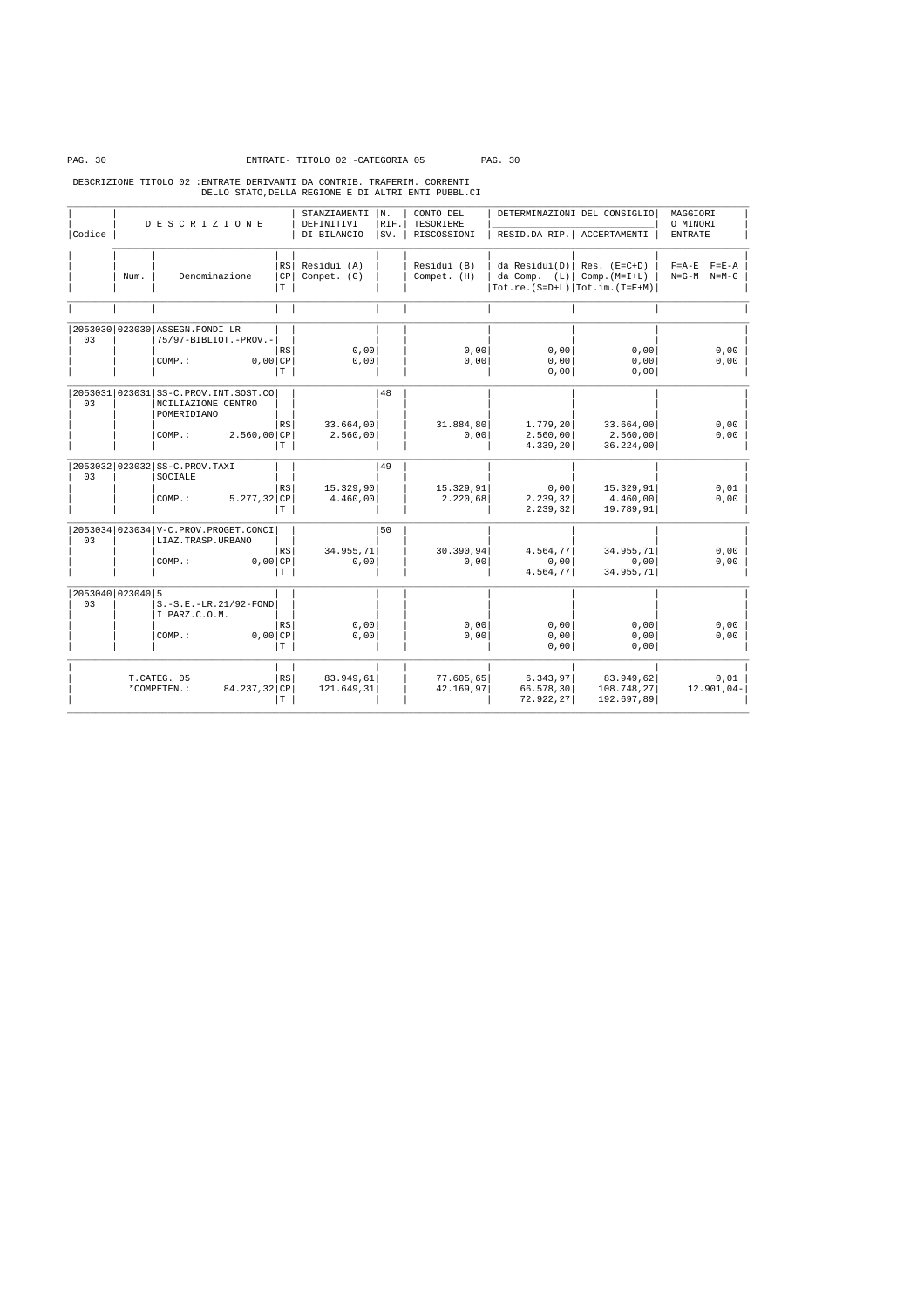| Codice                 | DESCRIZIONE |                                                                                                              |                   | STANZIAMENTI<br>DEFINITIVI<br>DI BILANCIO | IN.<br>RIF.<br>SV. | CONTO DEL<br>TESORIERE<br>RISCOSSIONI |                                    | DETERMINAZIONI DEL CONSIGLIO<br>RESID.DA RIP.   ACCERTAMENTI                                             | MAGGIORI<br>O MINORI<br><b>ENTRATE</b>             |
|------------------------|-------------|--------------------------------------------------------------------------------------------------------------|-------------------|-------------------------------------------|--------------------|---------------------------------------|------------------------------------|----------------------------------------------------------------------------------------------------------|----------------------------------------------------|
|                        | Num.        | Denominazione                                                                                                | RS<br>CP<br>T     | Residui (A)<br>$Compet.$ (G)              |                    | Residui (B)<br>Compet. (H)            |                                    | da Residui(D)   Res. (E=C+D)<br>da Comp. $(L)  $ Comp. $(M=I+L)$<br>$ Tot,re.(S=D+L)   Tot.in.(T=E+M)  $ | $F = A - E$ $F = E - A$<br>$N = G - M$ $N = M - G$ |
|                        |             |                                                                                                              |                   |                                           |                    |                                       |                                    |                                                                                                          |                                                    |
| 03                     |             | 2053030 023030 ASSEGN. FONDI LR<br>75/97-BIBLIOT.-PROV.-<br>$0,00$  CP<br>COMP.:                             | RS<br>$\mathbf T$ | 0,00<br>0,00                              |                    | 0.00<br>0,00                          | 0.00<br>0,00<br>0,00               | 0.00<br>0,00<br>0,00                                                                                     | 0.00<br>0,00                                       |
| 03                     |             | 2053031   023031   SS-C. PROV. INT. SOST. CO<br>NCILIAZIONE CENTRO<br>POMERIDIANO<br>$2.560,00$ CP<br>COMP.: | l RS<br>T.        | 33.664,00<br>2.560,00                     | 48                 | 31.884,80<br>0,00                     | 1.779, 20<br>2.560,00<br>4.339,20  | 33.664,00<br>2.560,00<br>36.224,00                                                                       | 0.00<br>0,00                                       |
| 03                     |             | 2053032 023032 SS-C. PROV. TAXI<br>SOCIALE<br>5.277, 32 CP<br>COMP.:                                         | <b>RS</b><br>T.   | 15.329,90<br>4.460,00                     | 49                 | 15.329,91<br>2.220,68                 | 0,00<br>2.239, 32<br>2.239,32      | 15.329,91<br>4.460,00<br>19.789,91                                                                       | 0,01<br>0,00                                       |
| 03                     |             | 2053034 023034 V-C. PROV. PROGET. CONCI<br>LIAZ.TRASP.URBANO<br>$0.00$ <sub>c</sub> $P$<br>COMP.:            | <b>RS</b><br>T.   | 34.955,71<br>0,00                         | 150                | 30.390, 94<br>0,00                    | 4.564,77<br>0,00<br>4.564,77       | 34.955,71<br>0.00<br>34.955,71                                                                           | 0,00<br>0,00                                       |
| 2053040 023040 5<br>03 |             | S.-S.E.-LR.21/92-FOND<br>I PARZ.C.O.M.<br>$0.00$ <sub>c</sub> $P$<br>COMP.:                                  | <b>RS</b><br>T    | 0,00<br>0,00                              |                    | 0,00<br>0,00                          | 0,00<br>0,00<br>0,00               | 0,00<br>0,00<br>0,00                                                                                     | 0,00<br>0,00                                       |
|                        |             | T.CATEG. 05<br>84.237.32 CP<br>*COMPETEN. :                                                                  | RS<br>T.          | 83.949,61<br>121.649,31                   |                    | 77.605,65<br>42.169,97                | 6.343,97<br>66.578,30<br>72.922,27 | 83.949,62<br>108.748,27<br>192.697,89                                                                    | 0,01<br>$12.901,04-$                               |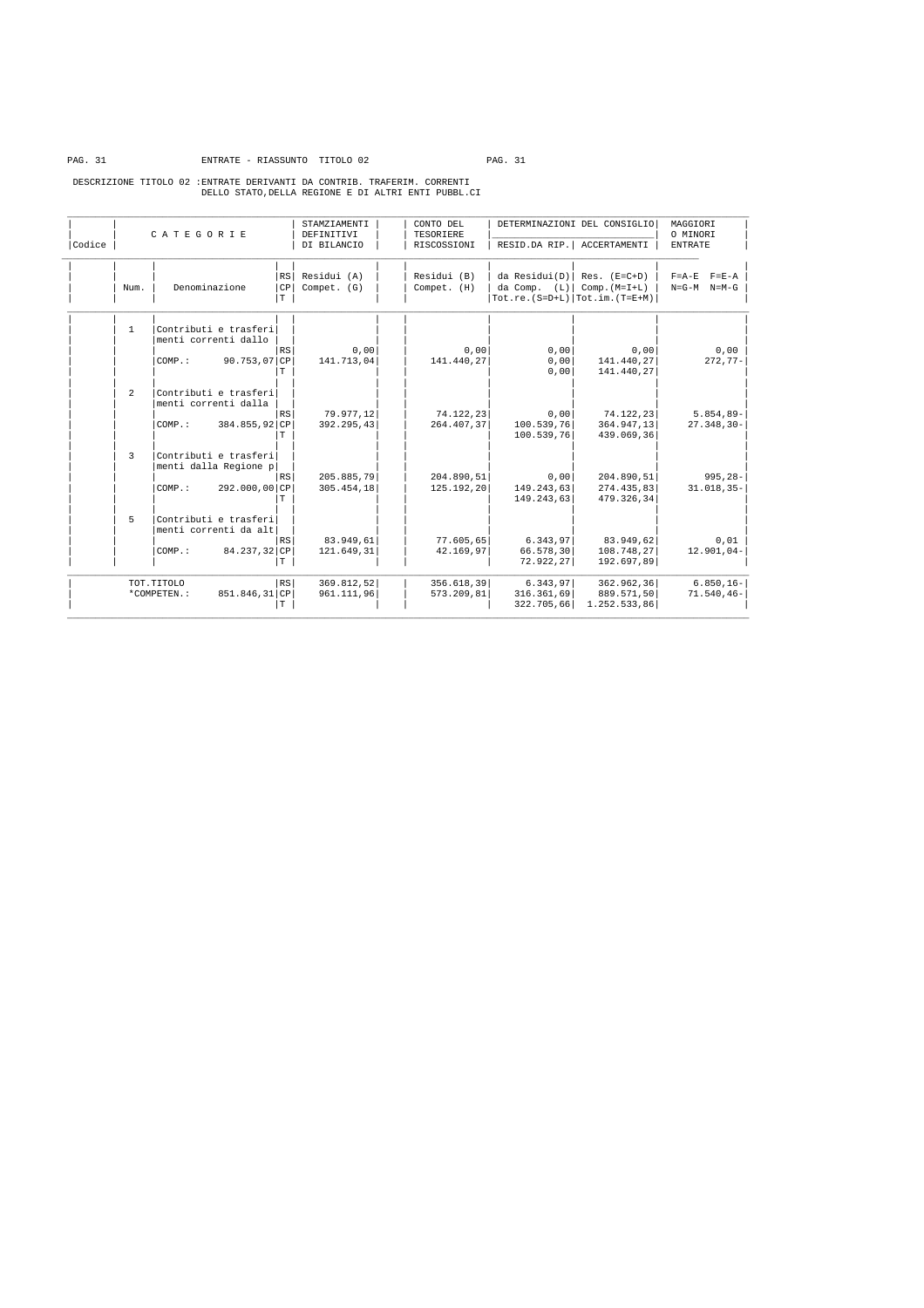### PAG. 31 ENTRATE - RIASSUNTO TITOLO 02 PAG. 31

| Codice |                | CATEGORIE                                                                |                      | STAMZIAMENTI<br>DEFINITIVI<br>DI BILANCIO | CONTO DEL<br>TESORIERE<br>RISCOSSIONI |                                      | DETERMINAZIONI DEL CONSIGLIO<br>RESID.DA RIP.   ACCERTAMENTI                                                | MAGGIORI<br>O MINORI<br><b>ENTRATE</b>             |
|--------|----------------|--------------------------------------------------------------------------|----------------------|-------------------------------------------|---------------------------------------|--------------------------------------|-------------------------------------------------------------------------------------------------------------|----------------------------------------------------|
|        | Num.           | Denominazione                                                            | <b>RS</b><br>CP<br>T | Residui (A)<br>$Compet.$ (G)              | Residui (B)<br>Compet. (H)            | da Residui(D)   Res. $(E=C+D)$       | da Comp. $(L)  $ Comp. $(M=I+L)$<br>$ {\rm Tot} . {\rm re} .$ (S=D+L) $ {\rm Tot} . {\rm im} .$ (T=E+M) $ $ | $F = A - E$ $F = E - A$<br>$N = G - M$ $N = M - G$ |
|        | $\mathbf{1}$   | Contributi e trasferi<br>menti correnti dallo<br>90.753,07 CP<br>COMP.:  | <b>RS</b>            | 0,00<br>141.713,04                        | 0,00<br>141.440,27                    | 0,00<br>0,00<br>0.00                 | 0,00<br>141.440,27<br>141.440.27                                                                            | 0,00<br>$272,77-$                                  |
|        | 2              | Contributi e trasferi<br>menti correnti dalla<br>384.855.92 CP<br>COMP.: | RS                   | 79.977,12<br>392.295.43                   | 74.122,23<br>264, 407, 37             | 0,00<br>100.539,76<br>100.539.76     | 74.122,23<br>364.947.13<br>439,069,36                                                                       | $5.854.89-$<br>$27.348,30-$                        |
|        | $\overline{3}$ | Contributi e trasferi<br>menti dalla Regione p<br>292.000.00 CP<br>COMP: | <b>RS</b>            | 205.885,79<br>305.454,18                  | 204.890,51<br>125.192,20              | 0,00<br>149.243.63<br>149.243,63     | 204.890,51<br>274.435,83<br>479.326,34                                                                      | $995, 28 -$<br>$31.018, 35 -$                      |
|        | 5              | Contributi e trasferi<br>menti correnti da alt<br>COMP.:<br>84.237.32 CP | RS<br>т              | 83.949.61<br>121.649,31                   | 77.605.65<br>42.169,97                | 6.343.97<br>66.578,30<br>72.922, 27  | 83.949.62<br>108.748,27<br>192.697,89                                                                       | 0.01<br>$12.901,04-$                               |
|        |                | TOT.TITOLO<br>851.846,31 CP<br>*COMPETEN.:                               | RS                   | 369.812,52<br>961.111,96                  | 356.618,39<br>573.209,81              | 6.343,97<br>316.361,69<br>322.705,66 | 362.962,36<br>889.571,50<br>1.252.533.86                                                                    | $6.850.16 -$<br>$71.540.46 -$                      |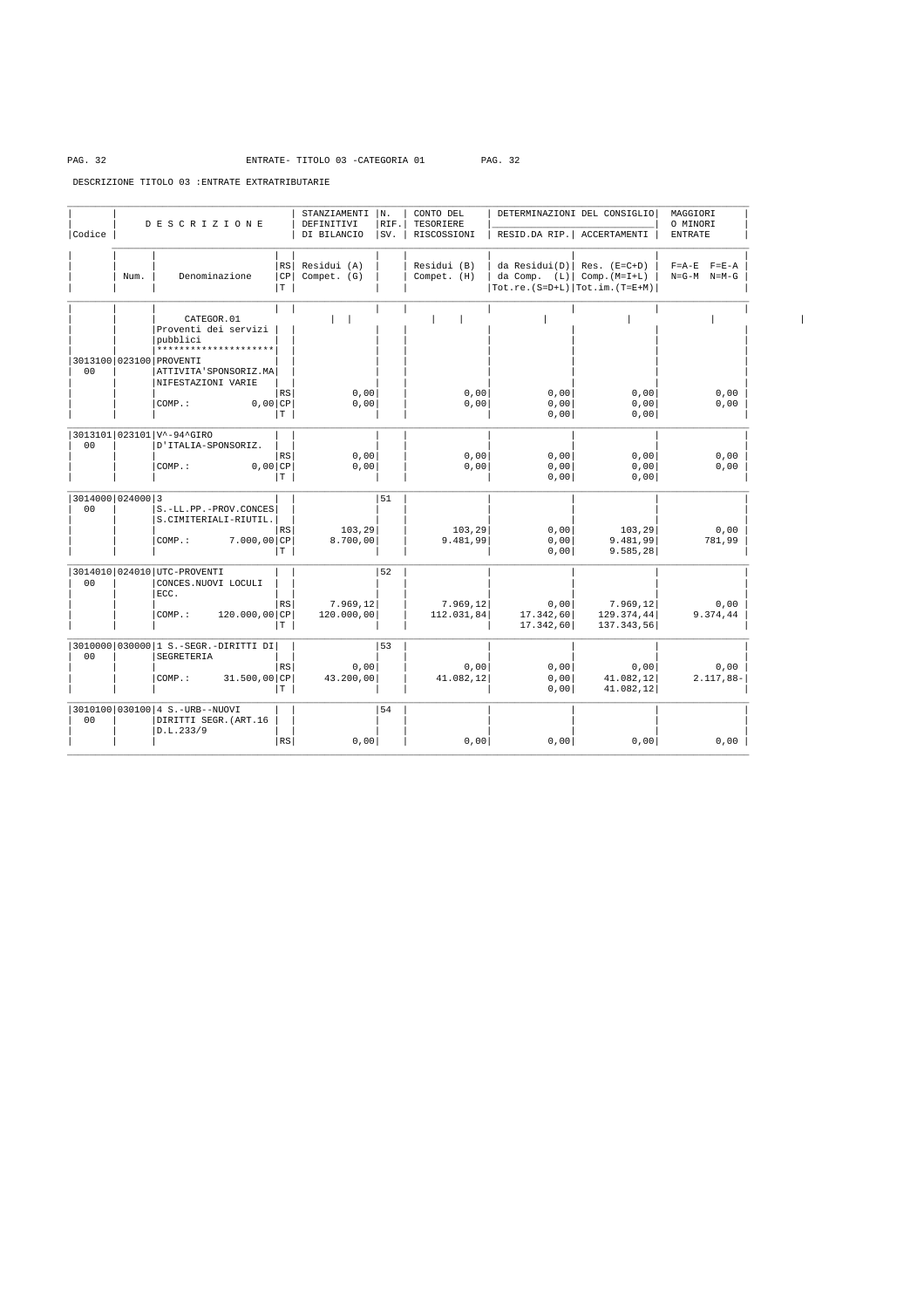### PAG. 32 ENTRATE- TITOLO 03 -CATEGORIA 01 PAG. 32

| Codice                                 |      | <b>DESCRIZIONE</b>                                                                                                                                | STANZIAMENTI<br>DEFINITIVI<br>DI BILANCIO | IN.<br>RIF.<br>SV. | CONTO DEL<br>TESORIERE<br>RISCOSSIONI |                                                                    | DETERMINAZIONI DEL CONSIGLIO<br>RESID.DA RIP.   ACCERTAMENTI | MAGGIORI<br>O MINORI<br><b>ENTRATE</b>             |
|----------------------------------------|------|---------------------------------------------------------------------------------------------------------------------------------------------------|-------------------------------------------|--------------------|---------------------------------------|--------------------------------------------------------------------|--------------------------------------------------------------|----------------------------------------------------|
|                                        | Num. | RS<br>Denominazione<br>CP<br>$\mathbb T$                                                                                                          | Residui (A)<br>Compet. (G)                |                    | Residui (B)<br>Compet. (H)            | da Residui(D)   Res. $(E=C+D)$<br>da Comp. $(L)  $ Comp. $(M=I+L)$ | $ Tot.re.(S=D+L)   Tot.in.(T=E+M)  $                         | $F = A - E$ $F = E - A$<br>$N = G - M$ $N = M - G$ |
| 0 <sub>0</sub>                         |      | CATEGOR.01<br>Proventi dei servizi<br>pubblici<br>*********************<br>3013100 023100 PROVENTI<br>ATTIVITA'SPONSORIZ.MA<br>NIFESTAZIONI VARIE |                                           |                    |                                       |                                                                    |                                                              |                                                    |
|                                        |      | RS<br>$0,00$ <sub>CP</sub><br>COMP.:<br>$\mathbb T$                                                                                               | 0,00<br>0,00                              |                    | 0,00<br>0,00                          | 0,00<br>0,00<br>0,00                                               | 0,00<br>0,00<br>0,00                                         | 0,00<br>0,00                                       |
| 0 <sub>0</sub>                         |      | 3013101 023101 V ~- 94 ~ GIRO<br>D'ITALIA-SPONSORIZ.<br>RS<br>$0,00$  CP<br>COMP.:<br>$\mathbb T$                                                 | 0,00<br>0,00                              |                    | 0,00<br>0,00                          | 0,00<br>0,00<br>0,00                                               | 0,00<br>0,00<br>0,00                                         | 0,00<br>0,00                                       |
| 3014000   024000   3<br>0 <sup>0</sup> |      | S. -LL. PP. - PROV. CONCES<br>S. CIMITERIALI-RIUTIL.<br>RS<br>7.000,00 CP<br>COMP.:<br>$\mathbb T$                                                | 103,29<br>8.700,00                        | 51                 | 103,29<br>9.481.99                    | 0,00<br>0,00<br>0,00                                               | 103,29<br>9.481,99<br>9.585,28                               | 0,00<br>781,99                                     |
| 0 <sup>0</sup>                         |      | 3014010 024010 UTC-PROVENTI<br>CONCES.NUOVI LOCULI<br>ECC.<br>RS<br>120.000,00 CP<br>COMP.:<br>T.                                                 | 7.969,12<br>120.000,00                    | 52                 | 7.969,12<br>112.031,84                | 0,00<br>17.342,60<br>17.342,60                                     | 7.969,12<br>129.374,44<br>137.343,56                         | 0,00<br>9.374,44                                   |
| 0 <sup>0</sup>                         |      | 3010000   030000   1 S. - SEGR. - DIRITTI DI  <br>SEGRETERIA<br>RS<br>COMP.:<br>31.500,00 CP<br>$\mathbb T$                                       | 0,00<br>43.200,00                         | 53                 | 0,00<br>41.082,12                     | 0,00<br>0,00<br>0,00                                               | 0,00<br>41.082,12<br>41.082,12                               | 0,00<br>$2.117,88-$                                |
| 0 <sub>0</sub>                         |      | 3010100 030100 4 S.-URB--NUOVI<br>DIRITTI SEGR. (ART. 16<br>D.L.233/9<br>RS                                                                       | 0,00                                      | 54                 | 0,00                                  | 0,00                                                               | 0,00                                                         | 0,00                                               |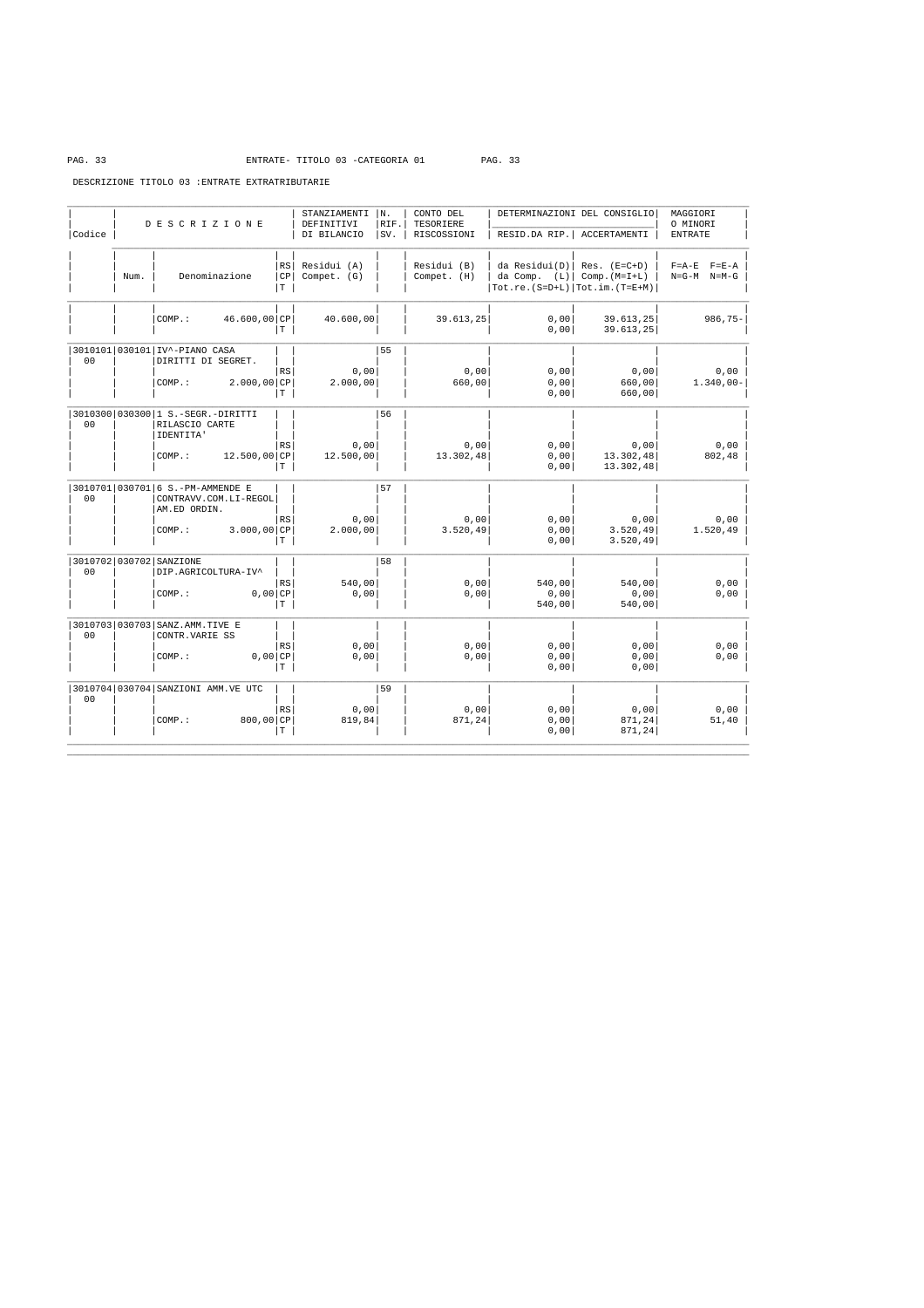### PAG. 33 ENTRATE- TITOLO 03 -CATEGORIA 01 PAG. 33

| Codice         |      | DESCRIZIONE                                                                                          |                     | STANZIAMENTI<br>DEFINITIVI<br>DI BILANCIO | IN.<br>RIF.<br> sv. | CONTO DEL<br>TESORIERE<br>RISCOSSIONI |                          | DETERMINAZIONI DEL CONSIGLIO<br>RESID.DA RIP.   ACCERTAMENTI                                             | MAGGIORI<br>O MINORI<br><b>ENTRATE</b>             |
|----------------|------|------------------------------------------------------------------------------------------------------|---------------------|-------------------------------------------|---------------------|---------------------------------------|--------------------------|----------------------------------------------------------------------------------------------------------|----------------------------------------------------|
|                | Num. | Denominazione                                                                                        | RS<br>CP<br>ΙT.     | Residui (A)<br>Compet. (G)                |                     | Residui (B)<br>Compet. (H)            |                          | da Residui(D)   Res. $(E=C+D)$<br>da Comp. $(L)$ Comp. $(M=I+L)$<br>$ Tot.re.(S=D+L)   Tot.in.(T=E+M)  $ | $F = A - E$ $F = E - A$<br>$N = G - M$ $N = M - G$ |
|                |      | 46.600,00 CP<br>COMP.:                                                                               | $\mathbf T$ .       | 40.600,00                                 |                     | 39.613,25                             | 0,00<br>0,00             | 39.613, 25<br>39.613,25                                                                                  | $986,75-$                                          |
| 0 <sub>0</sub> |      | 3010101 030101 V'-PIANO CASA<br>DIRITTI DI SEGRET.<br>$2.000,00$ CP<br>COMP.:                        | RS.<br>T.           | 0,00<br>2.000,00                          | 55                  | 0,00<br>660,00                        | 0,00<br>0,00<br>0,00     | 0,00<br>660,00<br>660,00                                                                                 | 0,00<br>$1.340,00 -$                               |
| 0 <sup>0</sup> |      | 3010300 030300   1 S. - SEGR. - DIRITTI<br>RILASCIO CARTE<br>IDENTITA'<br>12.500,00 CP<br>COMP.:     | <b>RS</b><br>T.     | 0,00<br>12.500,00                         | 56                  | 0.00<br>13.302,48                     | 0,00<br>0,00<br>0,00     | 0.00<br>13.302,48<br>13.302,48                                                                           | 0.00<br>802,48                                     |
| 0 <sup>0</sup> |      | 3010701 030701 6 S.-PM-AMMENDE E<br>CONTRAVV.COM.LI-REGOL<br>AM.ED ORDIN.<br>$3.000,00$ CP<br>COMP.: | RS.<br>$\mathbb T$  | 0.00<br>2.000,00                          | 57                  | 0.00<br>3.520,49                      | 0.001<br>0,00<br>0,00    | 0.00<br>3.520, 49<br>3.520, 49                                                                           | 0.00<br>1.520,49                                   |
| 0 <sup>0</sup> |      | 3010702 030702 SANZIONE<br>DIP.AGRICOLTURA-IV^<br>$0.00$ <sub>c</sub> $P$<br>COMP.:                  | RS<br>T.            | 540,00<br>0,00                            | 58                  | 0,00<br>0,00                          | 540,00<br>0,00<br>540,00 | 540,00<br>0,00<br>540,00                                                                                 | 0,00<br>0,00                                       |
| 0 <sup>0</sup> |      | 3010703   030703   SANZ.AMM.TIVE E<br>CONTR.VARIE SS<br>0,00 CP<br>COMP.:                            | RS<br>T.            | 0,00<br>0,00                              |                     | 0,00<br>0,00                          | 0,00<br>0,00<br>0,00     | 0,00<br>0,00<br>0,00                                                                                     | 0,00<br>0,00                                       |
| 0 <sup>0</sup> |      | 3010704 030704 SANZIONI AMM. VE UTC<br>800,00 CP<br>COMP.:                                           | RS<br>$\mathbf T$ . | 0.00<br>819,84                            | 59                  | 0.00<br>871,24                        | 0.00<br>0,00<br>0,00     | 0,00<br>871,24<br>871,24                                                                                 | 0,00<br>51,40                                      |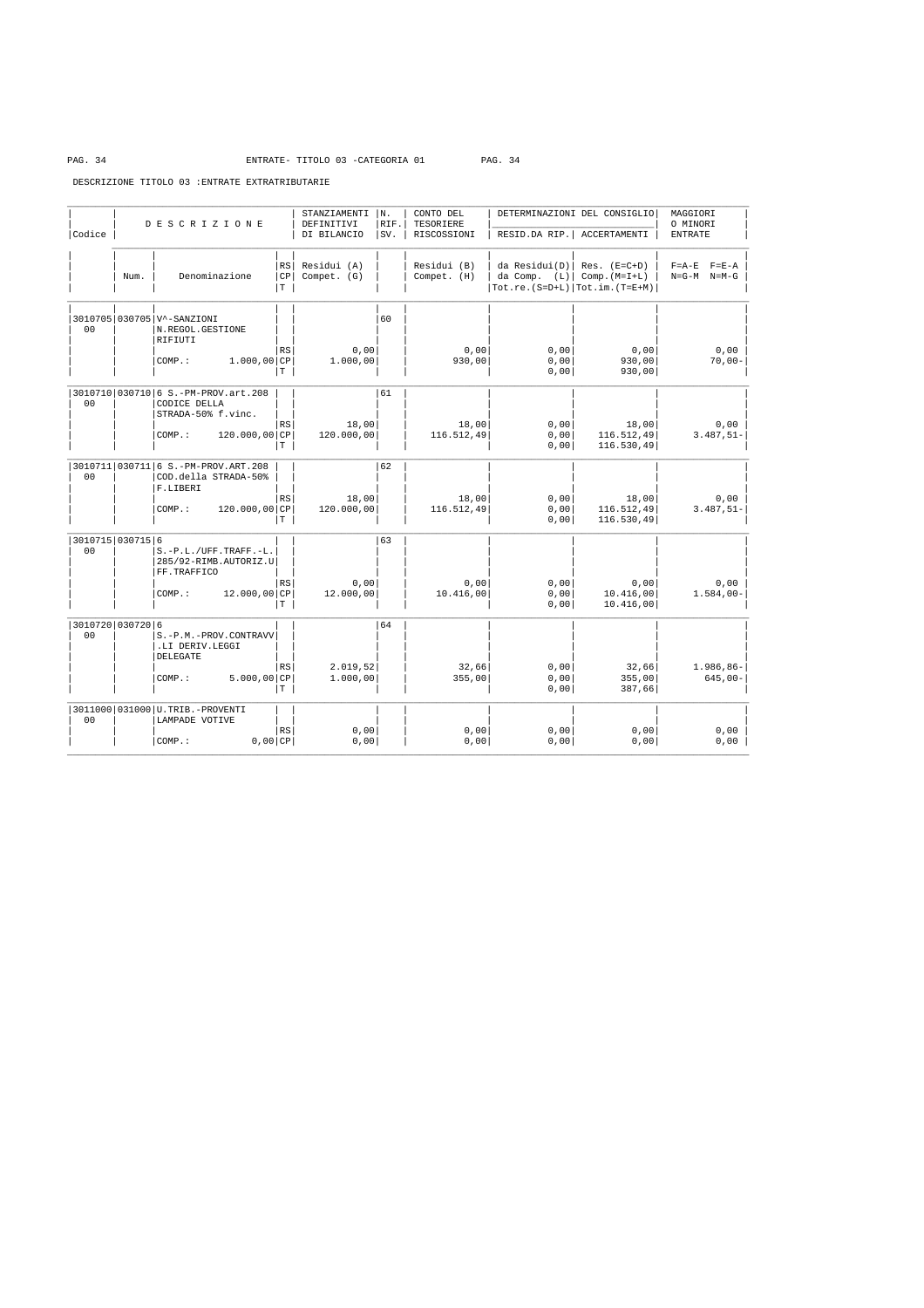### PAG. 34 ENTRATE- TITOLO 03 -CATEGORIA 01 PAG. 34

| Codice                             |      | DESCRIZIONE                                                                                                |                   | STANZIAMENTI<br>DEFINITIVI<br>DI BILANCIO | $ N$ .<br>RIF.<br> sv. | CONTO DEL<br>TESORIERE<br>RISCOSSIONI |                      | DETERMINAZIONI DEL CONSIGLIO<br>RESID.DA RIP.   ACCERTAMENTI                                               | MAGGIORI<br>O MINORI<br><b>ENTRATE</b>             |
|------------------------------------|------|------------------------------------------------------------------------------------------------------------|-------------------|-------------------------------------------|------------------------|---------------------------------------|----------------------|------------------------------------------------------------------------------------------------------------|----------------------------------------------------|
|                                    | Num. | Denominazione                                                                                              | RS<br>CP<br>TГ    | Residui (A)<br>Compet. (G)                |                        | Residui (B)<br>Compet. (H)            |                      | da Residui(D)   Res. $(E=C+D)$<br>da Comp. $(L)  $ Comp. $(M=I+L)$<br>$ Tot.re.(S=D+L)   Tot.in.(T=E+M)  $ | $F = A - E$ $F = E - A$<br>$N = G - M$ $N = M - G$ |
| 0 <sub>0</sub>                     |      | 3010705 030705 V <sup>^</sup> -SANZIONI<br>N.REGOL.GESTIONE<br>RIFIUTI<br>1.000,00 CP<br>COMP.:            | RS<br>$\mathbb T$ | 0,00<br>1.000,00                          | 60                     | 0,00<br>930,00                        | 0,00<br>0,00<br>0,00 | 0,00<br>930,00<br>930,00                                                                                   | 0,00<br>$70,00-$                                   |
| 0 <sup>0</sup>                     |      | 3010710   030710   6 S.-PM-PROV.art.208<br>CODICE DELLA<br>STRADA-50% f.vinc.<br>120.000,00 CP<br>COMP.:   | RS<br>T           | 18,00<br>120.000,00                       | 61                     | 18,00<br>116.512,49                   | 0,00<br>0,00<br>0,00 | 18,00<br>116.512,49<br>116.530,49                                                                          | 0,00<br>$3.487, 51 -$                              |
| 0 <sup>0</sup>                     |      | 3010711   030711   6 S. - PM-PROV. ART. 208<br>COD.della STRADA-50%<br>F.LIBERI<br>COMP.:<br>120.000,00 CP | RS<br>$\mathbf T$ | 18,00<br>120.000,00                       | 62                     | 18,00<br>116.512,49                   | 0,00<br>0,00<br>0,00 | 18,00<br>116.512,49<br>116.530,49                                                                          | 0,00<br>$3.487, 51 -$                              |
| 3010715 030715 6<br>0 <sup>0</sup> |      | S.-P.L./UFF.TRAFF.-L.<br>285/92-RIMB.AUTORIZ.U<br>FF.TRAFFICO<br>COMP.:<br>12.000,00 CP                    | RS<br>T.          | 0,00<br>12.000,00                         | 63                     | 0,00<br>10.416,00                     | 0,00<br>0,00<br>0,00 | 0,00<br>10.416,00<br>10.416,00                                                                             | 0,00<br>$1.584,00-$                                |
| 3010720 030720 6<br>0 <sup>0</sup> |      | S. - P.M. - PROV. CONTRAVV<br>.LI DERIV.LEGGI<br><b>DELEGATE</b><br>5.000,00 CP<br>COMP.:                  | RS<br>$\mathbb T$ | 2.019,52<br>1.000,00                      | 64                     | 32,66<br>355,00                       | 0,00<br>0,00<br>0,00 | 32,66<br>355,00<br>387,66                                                                                  | $1.986, 86 -$<br>$645,00-$                         |
| 0 <sup>0</sup>                     |      | 3011000 031000 U.TRIB.-PROVENTI<br>LAMPADE VOTIVE<br>0,00 CP <br>COMP.:                                    | RS                | 0,00<br>0,00                              |                        | 0,00<br>0,00                          | 0,00<br>0,00         | 0.00<br>0,00                                                                                               | 0.00<br>0,00                                       |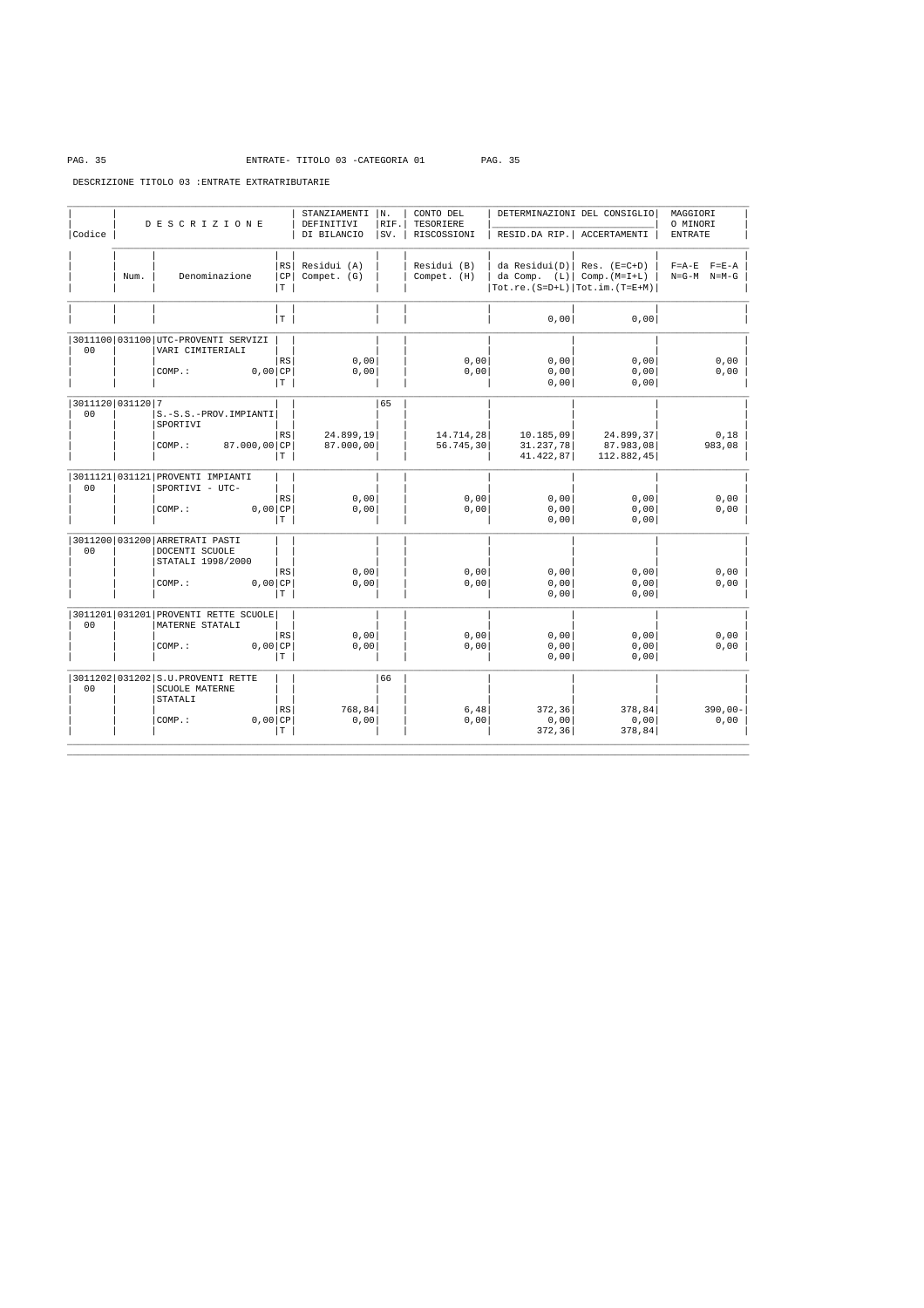### PAG. 35 ENTRATE- TITOLO 03 -CATEGORIA 01 PAG. 35

| Codice                     |      | DESCRIZIONE                                                                                        |                          | STANZIAMENTI<br>$ N$ .<br>DEFINITIVI<br>DI BILANCIO | RIF.<br> sv. | CONTO DEL<br>TESORIERE<br>RISCOSSIONI |                                     | DETERMINAZIONI DEL CONSIGLIO<br>RESID.DA RIP.   ACCERTAMENTI                                               | MAGGIORI<br>O MINORI<br><b>ENTRATE</b>             |
|----------------------------|------|----------------------------------------------------------------------------------------------------|--------------------------|-----------------------------------------------------|--------------|---------------------------------------|-------------------------------------|------------------------------------------------------------------------------------------------------------|----------------------------------------------------|
|                            | Num. | Denominazione                                                                                      | RS<br>CP<br>T.           | Residui (A)<br>Compet. (G)                          |              | Residui (B)<br>Compet. (H)            |                                     | da Residui(D)   Res. $(E=C+D)$<br>da Comp. $(L)  $ Comp. $(M=I+L)$<br>$ Tot.re.(S=D+L)   Tot.in.(T=E+M)  $ | $F = A - E$ $F = E - A$<br>$N = G - M$ $N = M - G$ |
|                            |      |                                                                                                    | T                        |                                                     |              |                                       | 0,00                                | 0,00                                                                                                       |                                                    |
| 0 <sub>0</sub>             |      | 3011100   031100   UTC-PROVENTI SERVIZI<br>VARI CIMITERIALI<br>COMP.:<br>$0,00$  CP                | RS<br>T.                 | 0,00<br>0,00                                        |              | 0,00<br>0,00                          | 0,00<br>0,00<br>0,00                | 0,00<br>0,00<br>0,00                                                                                       | 0,00<br>0,00                                       |
| 3011120 031120 7<br>$00\,$ |      | S.-S.S.-PROV. IMPIANTI<br>SPORTIVI<br>87.000,00 CP<br>COMP.:                                       | RS<br>T                  | 24.899,19<br>87.000,00                              | 65           | 14.714,28<br>56.745,30                | 10.185,09<br>31.237,78<br>41.422,87 | 24.899,37<br>87.983,08<br>112.882,45                                                                       | 0,18<br>983,08                                     |
| 0 <sup>0</sup>             |      | 3011121 031121 PROVENTI IMPIANTI<br>SPORTIVI - UTC-<br>0,00 CP<br>COMP.:                           | <b>RS</b><br>l T         | 0,00<br>0,00                                        |              | 0,00<br>0,00                          | 0,00<br>0,00<br>0,00                | 0,00<br>0,00<br>0,00                                                                                       | 0,00<br>0,00                                       |
| 0 <sup>0</sup>             |      | 3011200 031200 ARRETRATI PASTI<br>DOCENTI SCUOLE<br>STATALI 1998/2000<br>COMP.:<br>$0,00$  CP      | <b>RS</b><br>T.          | 0,00<br>0,00                                        |              | 0,00<br>0,00                          | 0,00<br>0,00<br>0,00                | 0,00<br>0,00<br>0,00                                                                                       | 0,00<br>0,00                                       |
| 0 <sup>0</sup>             |      | 3011201   031201   PROVENTI RETTE SCUOLE  <br>MATERNE STATALI<br>0,00 CP<br>COMP.:                 | l RS<br>T.               | 0,00<br>0,00                                        |              | 0.00<br>0,00                          | 0,00<br>0,00<br>0,00                | 0.00<br>0,00<br>0,00                                                                                       | 0.00<br>0,00                                       |
| 0 <sup>0</sup>             |      | 3011202   031202   S.U. PROVENTI RETTE<br><b>SCUOLE MATERNE</b><br>STATALI<br>$0,00$  CP<br>COMP.: | <b>RS</b><br>$\mathbb T$ | 768,84<br>0,00                                      | 66           | 6,48<br>0,00                          | 372.36<br>0,00<br>372, 36           | 378,84<br>0,00<br>378,84                                                                                   | $390.00 -$<br>0,00                                 |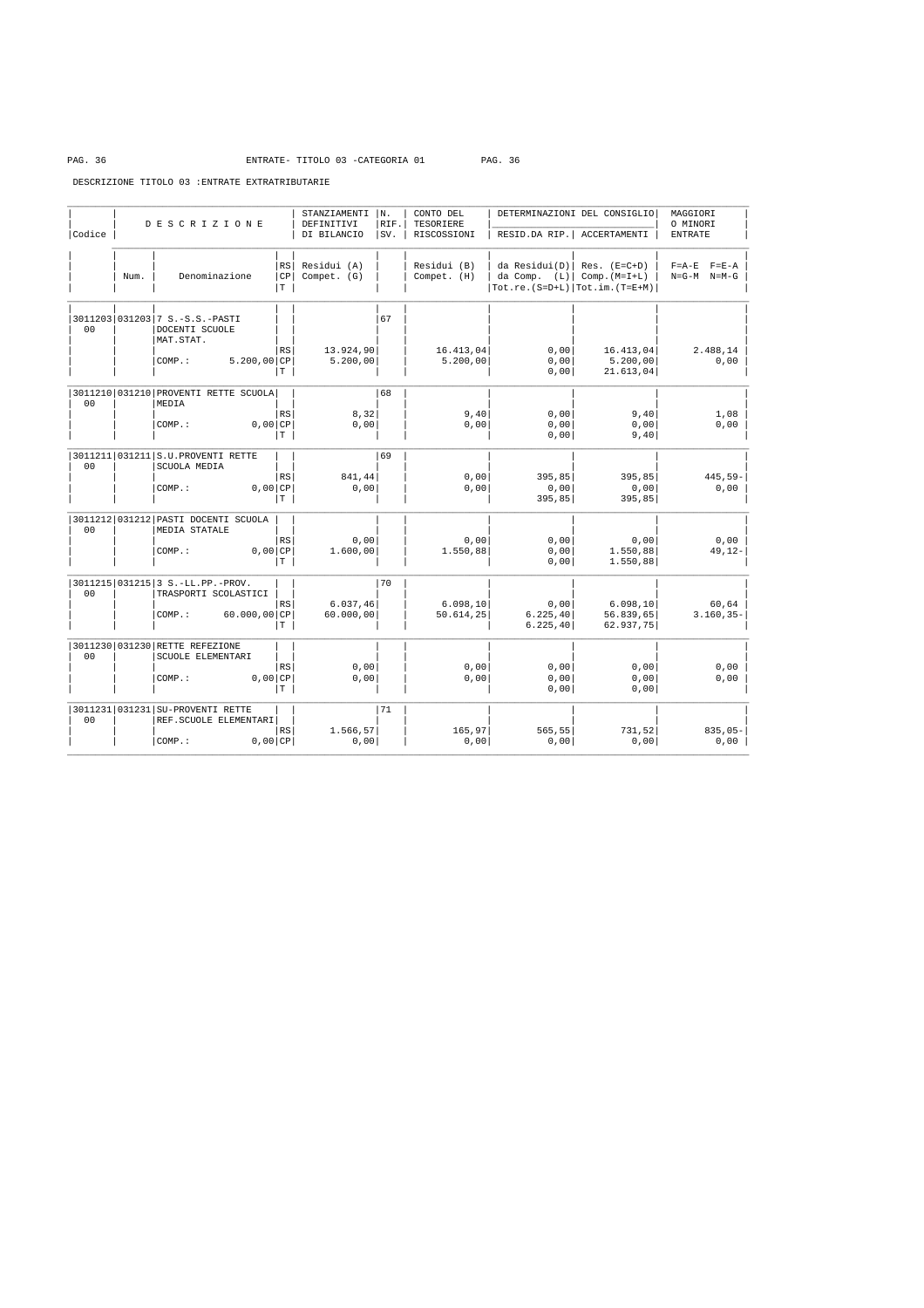### PAG. 36 ENTRATE- TITOLO 03 -CATEGORIA 01 PAG. 36

| Codice         |      | DESCRIZIONE                                                                               |                   | STANZIAMENTI<br>DEFINITIVI<br>DI BILANCIO | IN.<br>RIF.<br>ISV. | CONTO DEL<br>TESORIERE<br>RISCOSSIONI |                                | DETERMINAZIONI DEL CONSIGLIO<br>RESID.DA RIP.   ACCERTAMENTI                                               | MAGGIORI<br>O MINORI<br><b>ENTRATE</b>             |
|----------------|------|-------------------------------------------------------------------------------------------|-------------------|-------------------------------------------|---------------------|---------------------------------------|--------------------------------|------------------------------------------------------------------------------------------------------------|----------------------------------------------------|
|                | Num. | Denominazione                                                                             | RS<br>CP<br>T     | Residui (A)<br>Compet. (G)                |                     | Residui (B)<br>Compet. (H)            |                                | da Residui(D)   Res. $(E=C+D)$<br>da Comp. $(L)  $ Comp. $(M=I+L)$<br>$ Tot.re.(S=D+L)   Tot.in.(T=E+M)  $ | $F = A - E$ $F = E - A$<br>$N = G - M$ $N = M - G$ |
| 0 <sub>0</sub> |      | 3011203 031203 7 S.-S.S.-PASTI<br>DOCENTI SCUOLE<br>MAT. STAT.<br>$5.200,00$ CP<br>COMP.: | RS<br>$\mathbb T$ | 13.924,90<br>5.200,00                     | 67                  | 16.413,04<br>5.200,00                 | 0,00<br>0,00<br>0,00           | 16.413.04<br>5.200,00<br>21.613,04                                                                         | 2.488.14<br>0,00                                   |
| 0 <sub>0</sub> |      | 3011210   031210   PROVENTI RETTE SCUOLA  <br>MEDIA<br>COMP.:<br>$0,00$ CP                | RS<br>T.          | 8,32<br>0,00                              | 68                  | 9,40<br>0,00                          | 0,00<br>0,00<br>0,00           | 9,40<br>0,00<br>9,40                                                                                       | 1,08<br>0,00                                       |
| 0 <sub>0</sub> |      | 3011211 031211 S.U. PROVENTI RETTE<br>SCUOLA MEDIA<br>COMP.:<br>$0,00$  CP                | $_{\rm RS}$<br>T. | 841,44<br>0,00                            | 69                  | 0,00<br>0,00                          | 395,85<br>0,00<br>395,85       | 395,85<br>0,00<br>395,85                                                                                   | $445, 59 -$<br>0,00                                |
| 0 <sup>0</sup> |      | 3011212 031212 PASTI DOCENTI SCUOLA<br>MEDIA STATALE<br>$0,00$ <sub>CP</sub><br>COMP.:    | RS.<br>T.         | 0,00<br>1.600,00                          |                     | 0,00<br>1.550,88                      | 0,00<br>0,00<br>0,00           | 0,00<br>1.550,88<br>1.550, 88                                                                              | 0,00<br>$49, 12 -$                                 |
| 0 <sup>0</sup> |      | 3011215   031215   3 S.-LL.PP.-PROV.<br>TRASPORTI SCOLASTICI<br>COMP.:<br>60.000.00 CP    | RS<br>T.          | 6.037,46<br>60.000.00                     | 70                  | 6.098, 10<br>50.614.25                | 0,00<br>6.225, 40<br>6.225, 40 | 6.098, 10<br>56.839,65<br>62.937,75                                                                        | 60,64<br>$3.160, 35 -$                             |
| 0 <sub>0</sub> |      | 3011230   031230   RETTE REFEZIONE<br>SCUOLE ELEMENTARI<br>$0,00$  CP<br>COMP.:           | RS<br>$\mathbb T$ | 0,00<br>0,00                              |                     | 0,00<br>0,00                          | 0,00<br>0,00<br>0,00           | 0,00<br>0,00<br>0,00                                                                                       | 0,00<br>0,00                                       |
| 0 <sub>0</sub> |      | 3011231 031231 SU-PROVENTI RETTE<br>REF. SCUOLE ELEMENTARI<br>0,00 CP<br>COMP.:           | RS                | 1.566,57<br>0,00                          | 71                  | 165.97<br>0,00                        | 565.55<br>0,00                 | 731.52<br>0,00                                                                                             | $835.05 -$<br>0,00                                 |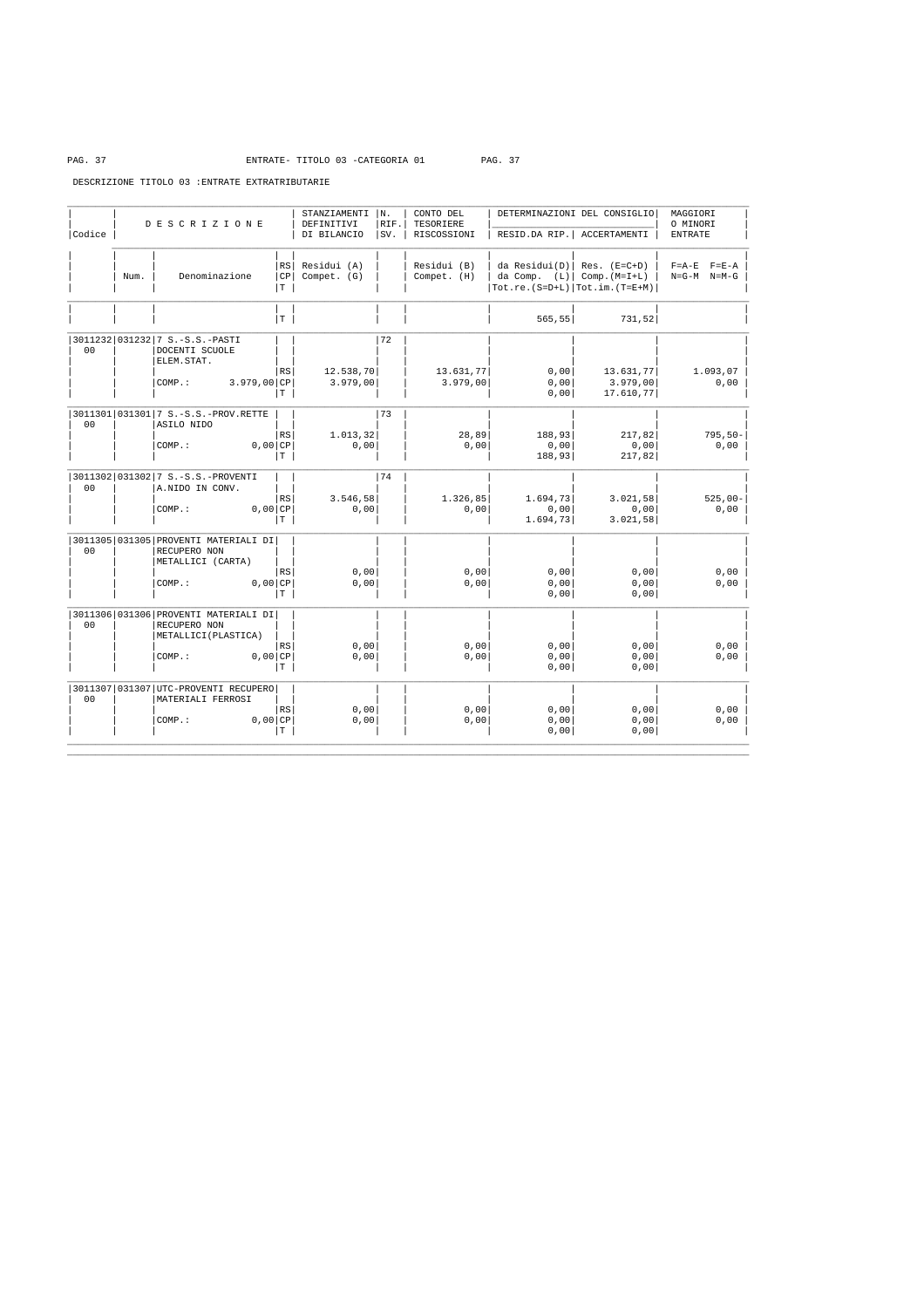### PAG. 37 ENTRATE- TITOLO 03 -CATEGORIA 01 PAG. 37

| Codice         |      | DESCRIZIONE                                                                                                       |                     | STANZIAMENTI<br>DEFINITIVI<br>DI BILANCIO | IN.<br>RIF.<br> sv. | CONTO DEL<br>TESORIERE<br>RISCOSSIONI |                                | DETERMINAZIONI DEL CONSIGLIO<br>RESID.DA RIP.   ACCERTAMENTI                                               | MAGGIORI<br>O MINORI<br><b>ENTRATE</b>             |
|----------------|------|-------------------------------------------------------------------------------------------------------------------|---------------------|-------------------------------------------|---------------------|---------------------------------------|--------------------------------|------------------------------------------------------------------------------------------------------------|----------------------------------------------------|
|                | Num. | Denominazione                                                                                                     | RS<br>CP<br>T.      | Residui (A)<br>Compet. (G)                |                     | Residui (B)<br>Compet. (H)            |                                | da Residui(D)   Res. $(E=C+D)$<br>da Comp. $(L)  $ Comp. $(M=I+L)$<br>$ Tot.re.(S=D+L)   Tot.in.(T=E+M)  $ | $F = A - E$ $F = E - A$<br>$N = G - M$ $N = M - G$ |
|                |      |                                                                                                                   | IТ                  |                                           |                     |                                       | 565, 55                        | 731,52                                                                                                     |                                                    |
| 0 <sub>0</sub> |      | 3011232   031232   7 S.-S.S.-PASTI<br>DOCENTI SCUOLE<br>ELEM. STAT.<br>3.979,00 CP<br>COMP.:                      | <b>RS</b><br>T.     | 12.538,70<br>3.979,00                     | 172                 | 13.631,77<br>3.979,00                 | 0,00<br>0,00<br>0,00           | 13.631,77<br>3.979,00<br>17.610,77                                                                         | 1.093,07<br>0,00                                   |
| 00             |      | 3011301   031301   7 S. - S. S. - PROV. RETTE<br>ASILO NIDO<br>COMP.:<br>$0.00$ <sub>c</sub> $P$                  | RS<br>T.            | 1.013,32<br>0,00                          | 73                  | 28,89<br>0,00                         | 188,93<br>0,00<br>188,93       | 217,82<br>0,00<br>217,82                                                                                   | $795, 50 -$<br>0,00                                |
| 0 <sub>0</sub> |      | 3011302 031302 7 S.-S.S.-PROVENTI<br>A.NIDO IN CONV.<br>COMP.:<br>$0.00$ <sub>c</sub> $P$                         | <b>RS</b><br>l T    | 3.546,58<br>0,00                          | 74                  | 1.326,85<br>0,00                      | 1.694, 73<br>0,00<br>1.694, 73 | 3.021,58<br>0,00<br>3.021, 58                                                                              | $525,00-$<br>0,00                                  |
| 00             |      | 3011305 031305 PROVENTI MATERIALI DI<br>RECUPERO NON<br>METALLICI (CARTA)<br>0,00 CP<br>COMP.:                    | <b>RS</b><br>T.     | 0,00<br>0,00                              |                     | 0,00<br>0,00                          | 0,00<br>0,00<br>0,00           | 0,00<br>0,00<br>0,00                                                                                       | 0,00<br>0,00                                       |
| 0 <sup>0</sup> |      | 3011306 031306 PROVENTI MATERIALI DI<br>RECUPERO NON<br>METALLICI (PLASTICA)<br>$0.00$ <sub>c</sub> $P$<br>COMP.: | <b>RS</b><br>T.     | 0,00<br>0,00                              |                     | 0,00<br>0,00                          | 0,00<br>0,00<br>0,00           | 0,00<br>0,00<br>0,00                                                                                       | 0,00<br>0,00                                       |
| 0 <sup>0</sup> |      | 3011307   031307   UTC-PROVENTI RECUPERO  <br>MATERIALI FERROSI<br>0,00 CP<br>COMP.:                              | RS<br>$\mathbf T$ . | 0.00<br>0,00                              |                     | 0.00<br>0,00                          | 0.00<br>0,00<br>0,00           | 0.00<br>0,00<br>0,00                                                                                       | 0.00<br>0,00                                       |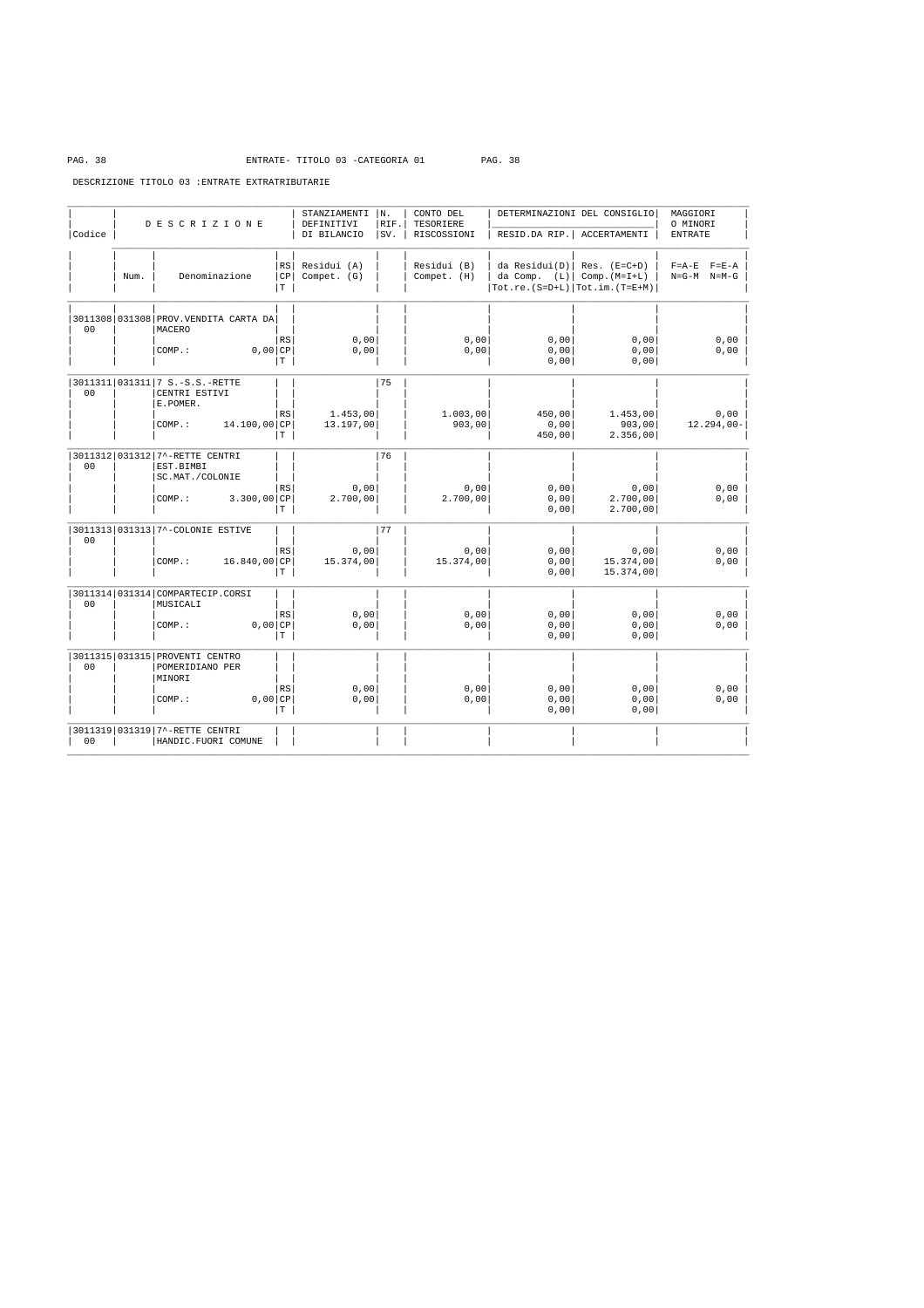### PAG. 38 ENTRATE- TITOLO 03 -CATEGORIA 01 PAG. 38

| Codice         |      | DESCRIZIONE                                                                                   |                | STANZIAMENTI<br>DEFINITIVI<br>DI BILANCIO | IN.<br>RIF.<br>SV. | CONTO DEL<br>TESORIERE<br>RISCOSSIONI |                          | DETERMINAZIONI DEL CONSIGLIO<br>RESID.DA RIP.   ACCERTAMENTI                                              | MAGGIORI<br>O MINORI<br><b>ENTRATE</b>             |
|----------------|------|-----------------------------------------------------------------------------------------------|----------------|-------------------------------------------|--------------------|---------------------------------------|--------------------------|-----------------------------------------------------------------------------------------------------------|----------------------------------------------------|
|                | Num. | Denominazione<br>T                                                                            | RS<br>CP       | Residui (A)<br>Compet. (G)                |                    | Residui (B)<br>Compet. (H)            |                          | da Residui(D)   Res. $(E=C+D)$<br>da Comp. $(L)  $ Comp. $(M=I+L)$<br>$ Tot.re.(S=D+L)   Tot.in.(T=E+M) $ | $F = A - E$ $F = E - A$<br>$N = G - M$ $N = M - G$ |
| 0 <sub>0</sub> |      | 3011308   031308   PROV. VENDITA CARTA DA<br>MACERO                                           |                |                                           |                    |                                       |                          |                                                                                                           |                                                    |
|                |      | $0,00$  CP<br>COMP.:                                                                          | RS<br>T        | 0,00<br>0,00                              |                    | 0,00<br>0,00                          | 0,00<br>0,00<br>0,00     | 0,00<br>0,00<br>0,00                                                                                      | 0,00<br>0,00                                       |
| 0 <sup>0</sup> |      | 3011311 031311 7 S.-S.S.-RETTE<br>CENTRI ESTIVI<br>E.POMER.                                   |                |                                           | 75                 |                                       |                          |                                                                                                           |                                                    |
|                |      | COMP.:<br>14.100,00 CP                                                                        | RS<br>T.       | 1.453,00<br>13.197,00                     |                    | 1.003,00<br>903,00                    | 450,00<br>0,00<br>450,00 | 1.453,00<br>903,00<br>2.356,00                                                                            | 0,00<br>$12.294,00-$                               |
| 0 <sub>0</sub> |      | 3011312 031312 7^-RETTE CENTRI<br>EST. BIMBI<br>SC.MAT./COLONIE<br>COMP.:<br>$3.300,00$ CP    | RS<br>T.       | 0,00<br>2.700,00                          | 76                 | 0,00<br>2.700,00                      | 0,00<br>0,00<br>0,00     | 0,00<br>2.700,00<br>2.700,00                                                                              | 0,00<br>0,00                                       |
| 00             |      | 3011313 031313 7^-COLONIE ESTIVE<br>16.840,00 CP<br>COMP.:                                    | RS<br>T.       | 0,00<br>15.374,00                         | 77                 | 0,00<br>15.374,00                     | 0,00<br>0,00<br>0,00     | 0,00<br>15.374,00<br>15.374,00                                                                            | 0,00<br>0,00                                       |
| 0 <sup>0</sup> |      | 3011314   031314   COMPARTECIP. CORSI<br>MUSICALI<br>$0,00$ <sub>CP</sub><br>COMP.:           | <b>RS</b><br>T | 0,00<br>0,00                              |                    | 0,00<br>0,00                          | 0,00<br>0,00<br>0,00     | 0,00<br>0,00<br>0,00                                                                                      | 0.00<br>0,00                                       |
| 00             |      | 3011315 031315 PROVENTI CENTRO<br>POMERIDIANO PER<br>MINORI<br>$0,00$ <sub>CP</sub><br>COMP.: | RS<br>T        | 0,00<br>0,00                              |                    | 0,00<br>0,00                          | 0,00<br>0,00<br>0,00     | 0,00<br>0,00<br>0,00                                                                                      | 0,00<br>0,00                                       |
| 00             |      | 3011319   031319   7^-RETTE CENTRI<br>HANDIC. FUORI COMUNE                                    |                |                                           |                    |                                       |                          |                                                                                                           |                                                    |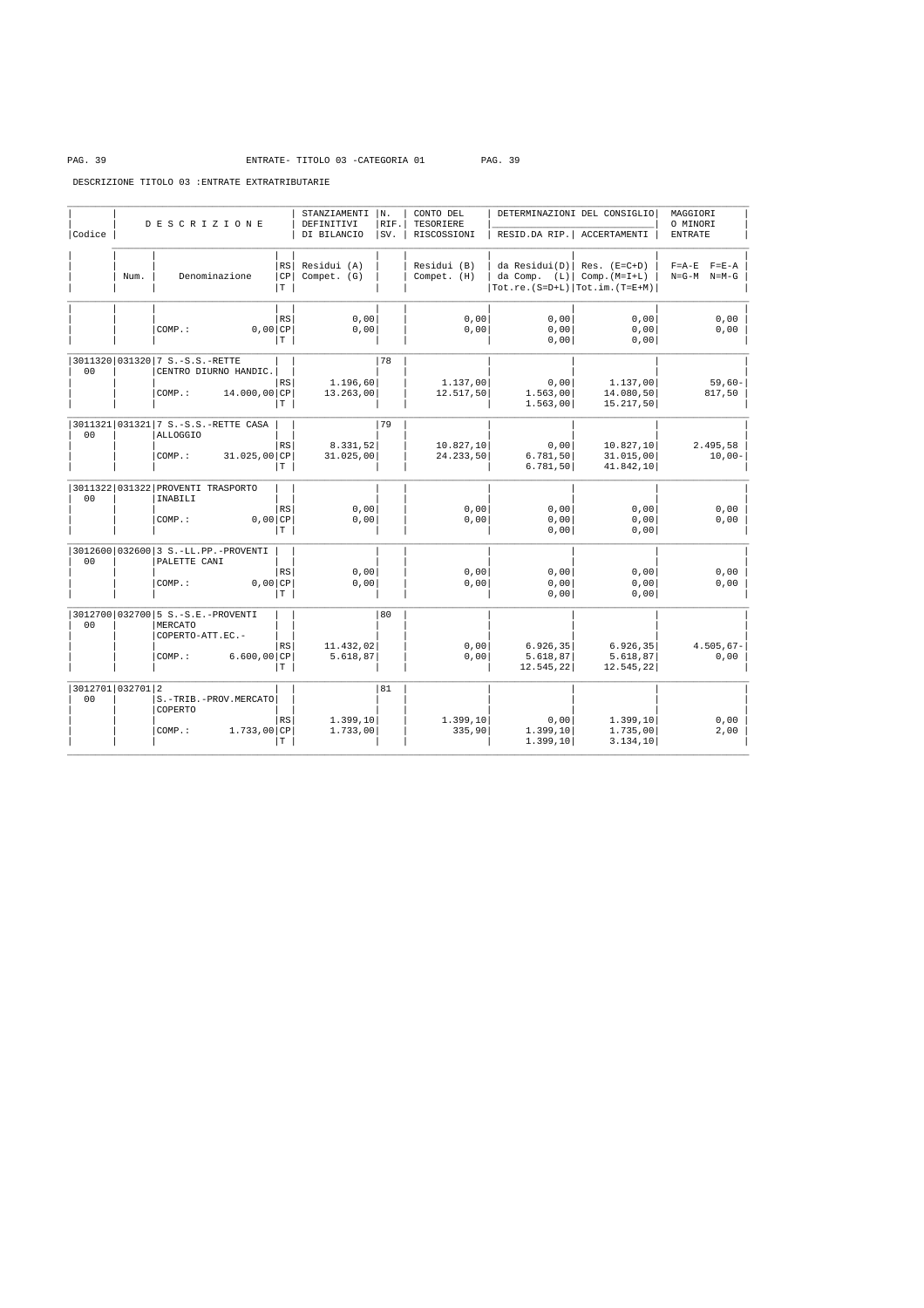## PAG. 39 ENTRATE- TITOLO 03 -CATEGORIA 01 PAG. 39

| Codice                             |      | DESCRIZIONE                                                                                 |               | STANZIAMENTI<br>DEFINITIVI<br>DI BILANCIO | IN.<br>RIF.<br>SV. | CONTO DEL<br>TESORIERE<br>RISCOSSIONI |                                    | DETERMINAZIONI DEL CONSIGLIO<br>RESID.DA RIP.   ACCERTAMENTI                                               | MAGGIORI<br>O MINORI<br><b>ENTRATE</b>             |
|------------------------------------|------|---------------------------------------------------------------------------------------------|---------------|-------------------------------------------|--------------------|---------------------------------------|------------------------------------|------------------------------------------------------------------------------------------------------------|----------------------------------------------------|
|                                    | Num. | Denominazione                                                                               | RS<br>CP<br>T | Residui (A)<br>Compet. (G)                |                    | Residui (B)<br>Compet. (H)            |                                    | da Residui(D)   Res. $(E=C+D)$<br>da Comp. $(L)  $ Comp. $(M=I+L)$<br>$ Tot.re.(S=D+L)   Tot.in.(T=E+M)  $ | $F = A - E$ $F = E - A$<br>$N = G - M$ $N = M - G$ |
|                                    |      | $0.00$ <sub>c</sub> $P$<br>COMP.:                                                           | RS.<br>T.     | 0,00<br>0,00                              |                    | 0.00<br>0,00                          | 0,00<br>0,00<br>0,00               | 0.001<br>0,00<br>0,00                                                                                      | 0.00<br>0,00                                       |
| 0 <sub>0</sub>                     |      | 3011320   031320   7 S. - S. S. - RETTE<br>CENTRO DIURNO HANDIC.<br>COMP.:<br>14.000,00 CP  | RS<br>T       | 1.196,60<br>13.263,00                     | 78                 | 1.137,00<br>12.517,50                 | 0,00<br>1.563,00<br>1.563,00       | 1.137,00<br>14.080,50<br>15.217,50                                                                         | $59,60-$<br>817,50                                 |
| 00                                 |      | 3011321   031321   7 S. - S. S. - RETTE CASA<br><b>ALLOGGIO</b><br>COMP.:<br>31.025,00 CP   | RS<br>T       | 8.331,52<br>31.025,00                     | 79                 | 10.827,10<br>24.233,50                | 0,00<br>6.781,50<br>6.781, 50      | 10.827, 10<br>31.015,00<br>41.842,10                                                                       | 2.495,58<br>$10,00-$                               |
| 00                                 |      | 3011322   031322   PROVENTI TRASPORTO<br>INABILI<br>$0.00$ <sub>c</sub> $P$<br>COMP.:       | RS<br>T.      | 0,00<br>0,00                              |                    | 0,00<br>0,00                          | 0,00<br>0,00<br>0,00               | 0,00<br>0,00<br>0,00                                                                                       | 0.00<br>0,00                                       |
| 0 <sub>0</sub>                     |      | 3012600   032600   3 S. - LL. PP. - PROVENTI<br>PALETTE CANI<br>$0,00$  CP<br>COMP.:        | RS<br>Iт      | 0,00<br>0,00                              |                    | 0,00<br>0,00                          | 0,00<br>0,00<br>0,00               | 0,00<br>0,00<br>0,00                                                                                       | 0,00<br>0,00                                       |
| 0 <sup>0</sup>                     |      | 3012700 032700 5 S.-S.E.-PROVENTI<br>MERCATO<br>COPERTO-ATT.EC.-<br>COMP.:<br>$6.600,00$ CP | RS<br>т       | 11.432,02<br>5.618,87                     | 180                | 0,00<br>0,00                          | 6.926, 35<br>5.618,87<br>12.545,22 | 6.926, 35<br>5.618, 87<br>12.545,22                                                                        | $4.505,67-$<br>0,00                                |
| 3012701 032701 2<br>0 <sup>0</sup> |      | S. - TRIB. - PROV. MERCATO<br>COPERTO<br>COMP.:<br>1.733.00 CP                              | RS<br>T.      | 1.399, 10<br>1.733,00                     | 81                 | 1.399,10<br>335,90                    | 0,00<br>1.399,10<br>1.399, 10      | 1.399, 10<br>1.735,00<br>3.134, 10                                                                         | 0,00<br>2,00                                       |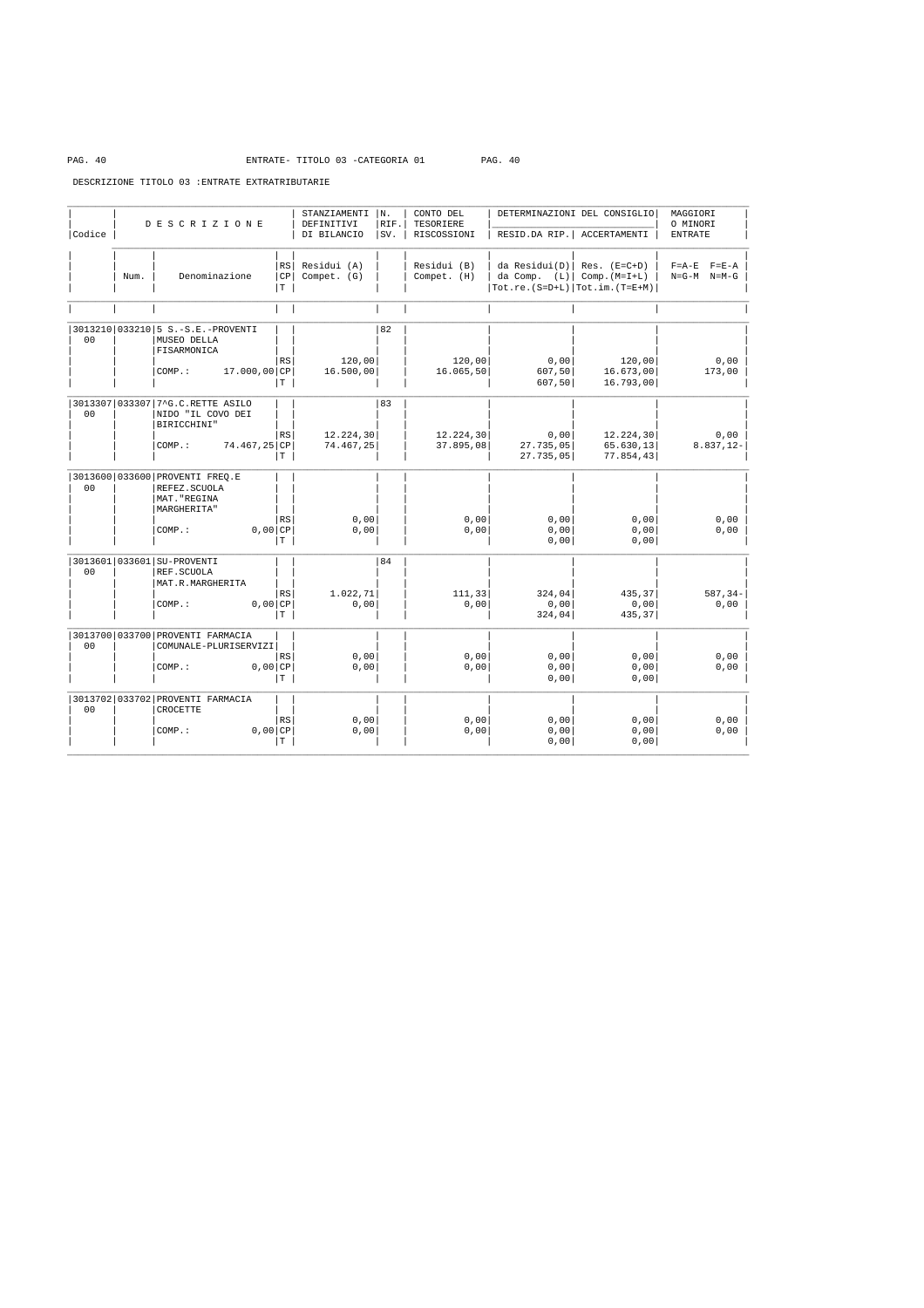### PAG. 40 ENTRATE- TITOLO 03 -CATEGORIA 01 PAG. 40

| Codice         |      | DESCRIZIONE                                                                                  |                          | STANZIAMENTI<br>DEFINITIVI<br>DI BILANCIO | IN.<br>RIF.<br> sv. | CONTO DEL<br>TESORIERE<br>RISCOSSIONI |                                | DETERMINAZIONI DEL CONSIGLIO<br>RESID.DA RIP.   ACCERTAMENTI                                               | MAGGIORI<br>O MINORI<br><b>ENTRATE</b>             |
|----------------|------|----------------------------------------------------------------------------------------------|--------------------------|-------------------------------------------|---------------------|---------------------------------------|--------------------------------|------------------------------------------------------------------------------------------------------------|----------------------------------------------------|
|                | Num. | Denominazione                                                                                | RS<br>CP<br>TГ           | Residui (A)<br>Compet. (G)                |                     | Residui (B)<br>Compet. (H)            |                                | da Residui(D)   Res. $(E=C+D)$<br>da Comp. $(L)  $ Comp. $(M=I+L)$<br>$ Tot.re.(S=D+L)   Tot.in.(T=E+M)  $ | $F = A - E$ $F = E - A$<br>$N = G - M$ $N = M - G$ |
|                |      |                                                                                              |                          |                                           |                     |                                       |                                |                                                                                                            |                                                    |
| 0 <sub>0</sub> |      | 3013210 033210 5 S.-S.E.-PROVENTI<br>MUSEO DELLA<br>FISARMONICA<br>17.000,00 CP<br>COMP.:    | RS<br>T.                 | 120,00<br>16.500,00                       | 82                  | 120,00<br>16.065,50                   | 0,00<br>607, 50<br>607,50      | 120,00<br>16.673,00<br>16.793,00                                                                           | 0,00<br>173,00                                     |
| 0 <sub>0</sub> |      | 3013307   033307   7^G.C.RETTE ASILO<br>NIDO "IL COVO DEI                                    |                          |                                           | 83                  |                                       |                                |                                                                                                            |                                                    |
|                |      | BIRICCHINI"<br>74.467,25 CP<br>COMP.:                                                        | RS<br>T                  | 12.224,30<br>74.467,25                    |                     | 12.224,30<br>37.895,08                | 0,00<br>27.735,05<br>27.735,05 | 12.224,30<br>65.630, 13<br>77.854,43                                                                       | 0,00<br>$8.837, 12 -$                              |
| 0 <sup>0</sup> |      | 3013600   033600   PROVENTI FREQ.E<br>REFEZ. SCUOLA<br>MAT. "REGINA<br>MARGHERITA"           |                          |                                           |                     |                                       |                                |                                                                                                            |                                                    |
|                |      | $0,00$  CP<br>COMP.:                                                                         | <b>RS</b><br>$\mathbb T$ | 0,00<br>0,00                              |                     | 0.00<br>0,00                          | 0.00<br>0,00<br>0,00           | 0.00<br>0,00<br>0,00                                                                                       | 0.00<br>0,00                                       |
| 0 <sup>0</sup> |      | 3013601 033601 SU-PROVENTI<br>REF. SCUOLA<br>MAT.R.MARGHERITA                                | RS.                      | 1.022,71                                  | 84                  | 111, 33                               | 324,04                         | 435,37                                                                                                     | $587, 34-$                                         |
|                |      | $0,00$  CP<br>COMP.:                                                                         | $\mathbb T$              | 0,00                                      |                     | 0,00                                  | 0,00<br>324,04                 | 0,00<br>435,37                                                                                             | 0,00                                               |
| 0 <sup>0</sup> |      | 3013700 033700 PROVENTI FARMACIA<br>COMUNALE-PLURISERVIZI<br>$0,00$  CP<br>COMP.:            | RS<br>$\mathbb T$        | 0,00<br>0,00                              |                     | 0,00<br>0,00                          | 0,00<br>0,00<br>0,00           | 0,00<br>0,00<br>0,00                                                                                       | 0,00<br>0,00                                       |
| 0 <sup>0</sup> |      | 3013702   033702   PROVENTI FARMACIA<br><b>CROCETTE</b><br>$0.00$ <sub>c</sub> $P$<br>COMP.: | RS<br>T.                 | 0,00<br>0,00                              |                     | 0,00<br>0,00                          | 0,00<br>0,00<br>0,00           | 0,00<br>0,00<br>0,00                                                                                       | 0,00<br>0,00                                       |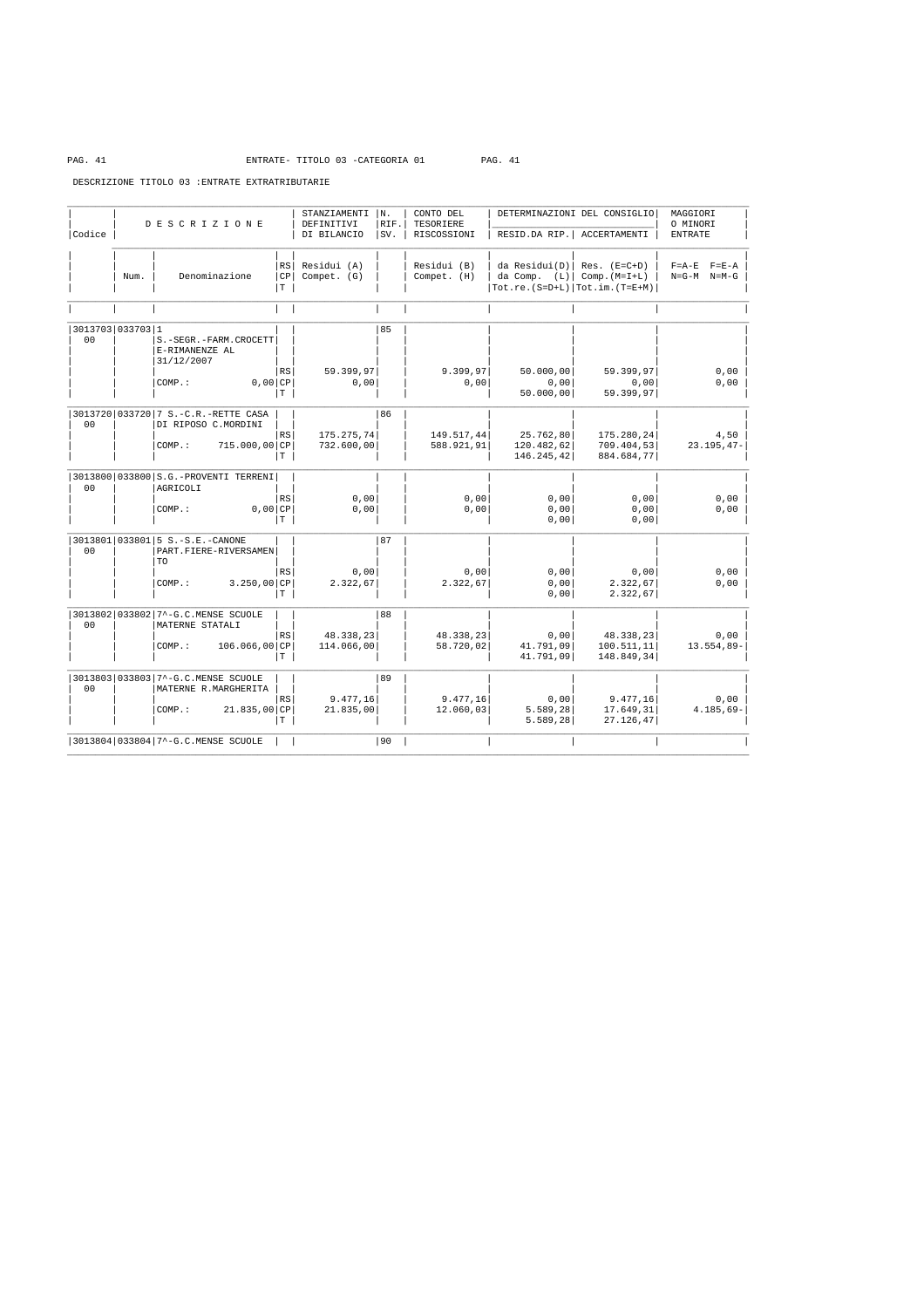### PAG. 41 ENTRATE- TITOLO 03 -CATEGORIA 01 PAG. 41

| Codice                             |      | DESCRIZIONE                                                                |                  | STANZIAMENTI   N.<br>DEFINITIVI<br>DI BILANCIO | RIF.<br> sv. | CONTO DEL<br>TESORIERE<br>RISCOSSIONI |                                       | DETERMINAZIONI DEL CONSIGLIO<br>RESID.DA RIP.   ACCERTAMENTI                                             | MAGGIORI<br>O MINORI<br><b>ENTRATE</b>             |
|------------------------------------|------|----------------------------------------------------------------------------|------------------|------------------------------------------------|--------------|---------------------------------------|---------------------------------------|----------------------------------------------------------------------------------------------------------|----------------------------------------------------|
|                                    | Num. | Denominazione                                                              | RS<br>CP<br>TГ   | Residui (A)<br>Compet. (G)                     |              | Residui (B)<br>Compet. (H)            |                                       | da Residui(D)   Res. $(E=C+D)$<br>da Comp. $(L)$ Comp. $(M=I+L)$<br>$ Tot.re.(S=D+L)   Tot.in.(T=E+M)  $ | $F = A - E$ $F = E - A$<br>$N = G - M$ $N = M - G$ |
|                                    |      |                                                                            |                  |                                                |              |                                       |                                       |                                                                                                          |                                                    |
| 3013703 033703 1<br>0 <sub>0</sub> |      | S.-SEGR.-FARM.CROCETT<br>E-RIMANENZE AL<br>31/12/2007                      |                  |                                                | 85           |                                       |                                       |                                                                                                          |                                                    |
|                                    |      | $0.00$ <sub>c</sub> $P$<br>COMP.:                                          | <b>RS</b><br>T.  | 59.399,97<br>0,00                              |              | 9.399,97<br>0,00                      | 50.000,00<br>0,00<br>50.000,00        | 59.399,97<br>0,00<br>59.399,97                                                                           | 0,00<br>0,00                                       |
| 00                                 |      | 3013720 033720 7 S.-C.R.-RETTE CASA<br>DI RIPOSO C.MORDINI                 |                  |                                                | 86           |                                       |                                       |                                                                                                          |                                                    |
|                                    |      | COMP:<br>715.000,00 CP                                                     | RS<br>T          | 175.275,74<br>732.600,00                       |              | 149.517,44<br>588.921,91              | 25.762,80<br>120.482,62<br>146.245,42 | 175.280,24<br>709.404,53<br>884.684,77                                                                   | 4,50<br>$23.195, 47-$                              |
| 0 <sub>0</sub>                     |      | 3013800   033800   S.G.-PROVENTI TERRENI<br>AGRICOLI                       |                  |                                                |              |                                       |                                       |                                                                                                          |                                                    |
|                                    |      | $0.00$ <sub>c</sub> $P$<br>COMP.:                                          | <b>RS</b><br>l T | 0,00<br>0,00                                   |              | 0,00<br>0,00                          | 0,00<br>0,00<br>0,00                  | 0,00<br>0,00<br>0,00                                                                                     | 0,00<br>0,00                                       |
| 0 <sup>0</sup>                     |      | 3013801   033801   5 S.-S.E.-CANONE<br>PART. FIERE-RIVERSAMEN<br><b>TO</b> |                  |                                                | 187          |                                       |                                       |                                                                                                          |                                                    |
|                                    |      | $3.250,00$ CP<br>COMP.:                                                    | <b>RS</b><br> T  | 0,00<br>2.322,67                               |              | 0,00<br>2.322,67                      | 0,00<br>0,00<br>0,00                  | 0,00<br>2.322,67<br>2.322,67                                                                             | 0,00<br>0,00                                       |
| 0 <sub>0</sub>                     |      | 3013802 033802 7^-G.C.MENSE SCUOLE<br>MATERNE STATALI                      |                  |                                                | 88           |                                       |                                       |                                                                                                          |                                                    |
|                                    |      | COMP.:<br>106.066,00 CP                                                    | RS<br>T          | 48.338,23<br>114.066,00                        |              | 48.338,23<br>58.720,02                | 0.00<br>41.791,09<br>41.791,09        | 48.338,23<br>100.511, 11<br>148.849,34                                                                   | 0.00<br>13.554,89-                                 |
| 0 <sup>0</sup>                     |      | 3013803 033803 7^-G.C.MENSE SCUOLE<br>MATERNE R.MARGHERITA                 |                  |                                                | 89           |                                       |                                       |                                                                                                          |                                                    |
|                                    |      | COMP.:<br>21.835,00 CP                                                     | RS<br>T.         | 9.477,16<br>21.835,00                          |              | 9.477,16<br>12.060,03                 | 0,00<br>5.589.28<br>5.589, 28         | 9.477, 16<br>17.649, 31<br>27.126, 47                                                                    | 0.00<br>$4.185,69-$                                |
|                                    |      | 3013804 033804 7^-G.C.MENSE SCUOLE                                         |                  |                                                | 90           |                                       |                                       |                                                                                                          |                                                    |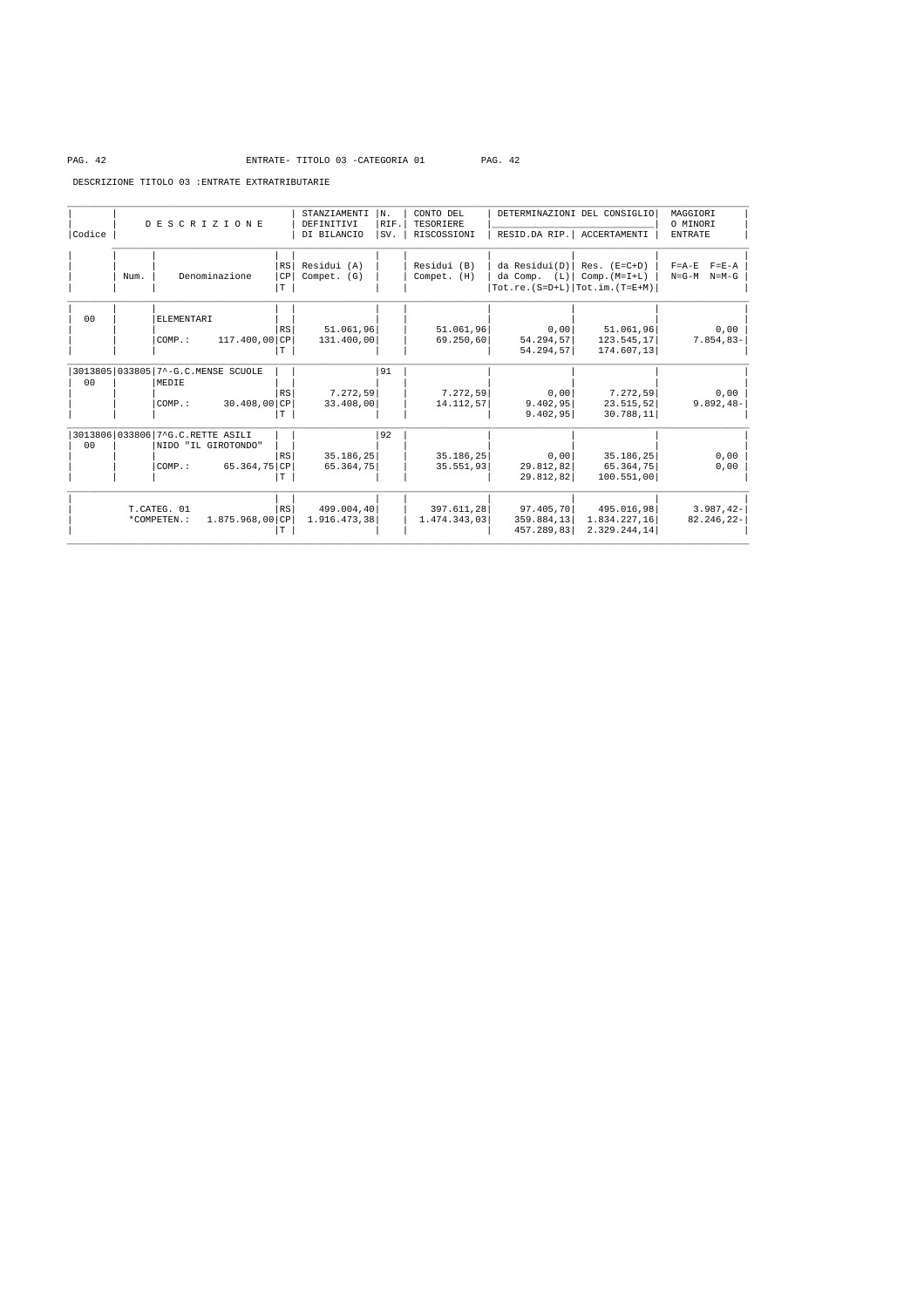### PAG. 42 ENTRATE- TITOLO 03 -CATEGORIA 01 PAG. 42 DESCRIZIONE TITOLO 03 :ENTRATE EXTRATRIBUTARIE

| Codice         |      |                             | <b>DESCRIZIONE</b>                                                      |               | STANZIAMENTI<br>DEFINITIVI<br>DI BILANCIO | IN.<br>RIF.<br>lsv. | CONTO DEL<br>TESORIERE<br>RISCOSSIONI | RESID.DA RIP. ACCERTAMENTI            | DETERMINAZIONI DEL CONSIGLIO                                         | MAGGIORI<br>O MINORI<br><b>ENTRATE</b>             |
|----------------|------|-----------------------------|-------------------------------------------------------------------------|---------------|-------------------------------------------|---------------------|---------------------------------------|---------------------------------------|----------------------------------------------------------------------|----------------------------------------------------|
|                | Num. |                             | Denominazione                                                           | RS<br>CP<br>T | Residui (A)<br>$Compet.$ (G)              |                     | Residui (B)<br>Compet. (H)            | da Residui(D)   Res. (E=C+D)          | da Comp. $(L)$ Comp. $(M=I+L)$<br>$ Tot,re.(S=D+L)  Tot.in.(T=E+M) $ | $F = A - E$ $F = E - A$<br>$N = G - M$ $N = M - G$ |
| 00             |      | <b>ELEMENTARI</b><br>COMP.: | 117,400,00 CP                                                           | RS<br>т       | 51.061.96<br>131,400,00                   |                     | 51.061.96<br>69.250.60                | 0.001<br>54.294,57<br>54.294.57       | 51.061.96<br>123.545,17<br>174.607,13                                | 0.00<br>$7.854,83-$                                |
| 0 <sub>0</sub> |      | <b>MEDTE</b><br>COMP.:      | 3013805 033805 7^-G.C.MENSE SCUOLE<br>30.408.00 CP                      | <b>RS</b>     | 7.272,59<br>33.408,00                     | 91                  | 7.272,59<br>14.112,57                 | 0,00<br>9.402,95<br>9.402.95          | 7.272,59<br>23.515,52<br>30.788.11                                   | 0,00<br>$9.892, 48 -$                              |
| 0 <sub>0</sub> |      | COMP:                       | 3013806 033806 7^G.C.RETTE ASILI<br>NIDO "IL GIROTONDO"<br>65.364.75 CP | RS<br>T.      | 35.186.25<br>65.364.75                    | 92                  | 35.186.25<br>35.551.93                | 0.00<br>29.812,82<br>29.812,82        | 35.186.25<br>65.364.75<br>100.551,00                                 | 0.00<br>0,00                                       |
|                |      | T.CATEG. 01<br>*COMPETEN.:  | 1.875.968.00 CP                                                         | RS.           | 499.004,40<br>1.916.473.38                |                     | 397.611,28<br>1.474.343.03            | 97.405,70<br>359.884.13<br>457.289.83 | 495.016,98<br>1.834.227.16<br>2.329.244,14                           | $3.987, 42-$<br>$82.246, 22 -$                     |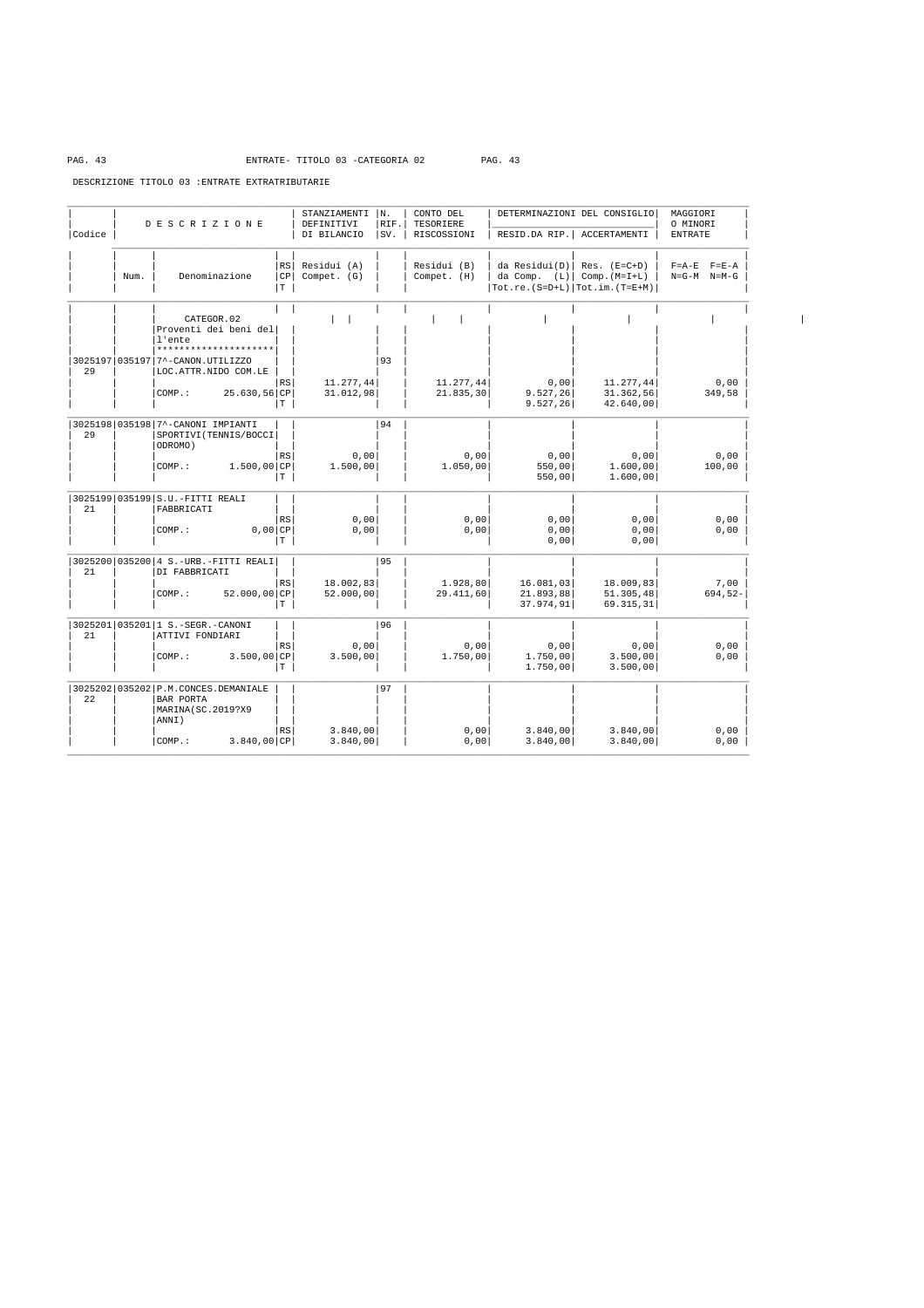### PAG. 43 ENTRATE- TITOLO 03 -CATEGORIA 02 PAG. 43

| Codice |      | <b>DESCRIZIONE</b>                                                                                              | STANZIAMENTI<br>DEFINITIVI<br>DI BILANCIO | IN.<br>RIF.<br>SV. | CONTO DEL<br>TESORIERE<br>RISCOSSIONI |                                     | DETERMINAZIONI DEL CONSIGLIO<br>RESID.DA RIP.   ACCERTAMENTI                                               | MAGGIORI<br>O MINORI<br><b>ENTRATE</b>             |
|--------|------|-----------------------------------------------------------------------------------------------------------------|-------------------------------------------|--------------------|---------------------------------------|-------------------------------------|------------------------------------------------------------------------------------------------------------|----------------------------------------------------|
|        | Num. | RS<br>Denominazione<br>CP<br>$\mathbb T$                                                                        | Residui (A)<br>Compet. (G)                |                    | Residui (B)<br>Compet. (H)            |                                     | da Residui(D)   Res. $(E=C+D)$<br>da Comp. $(L)  $ Comp. $(M=I+L)$<br>$ Tot.re.(S=D+L)   Tot.in.(T=E+M)  $ | $F = A - E$ $F = E - A$<br>$N = G - M$ $N = M - G$ |
|        |      | CATEGOR.02<br>Proventi dei beni del<br>1'ente<br>*********************<br>3025197   035197   7^-CANON. UTILIZZO |                                           | 93                 |                                       |                                     |                                                                                                            |                                                    |
| 29     |      | LOC. ATTR. NIDO COM. LE<br>RS<br>COMP.:<br>25.630,56 CP<br>$\mathbb T$                                          | 11.277,44<br>31.012,98                    |                    | 11.277,44<br>21.835,30                | 0,00<br>9.527,26<br>9.527, 26       | 11.277,44<br>31.362,56<br>42.640,00                                                                        | 0,00<br>349,58                                     |
| 29     |      | 3025198 035198 7^-CANONI IMPIANTI<br>SPORTIVI (TENNIS/BOCCI<br>ODROMO)                                          |                                           | 94                 |                                       |                                     |                                                                                                            |                                                    |
|        |      | RS<br>COMP.:<br>$1.500,00$ CP<br>T.                                                                             | 0,00<br>1.500,00                          |                    | 0,00<br>1.050,00                      | 0,00<br>550,00<br>550,00            | 0,00<br>1.600,00<br>1.600,00                                                                               | 0,00<br>100,00                                     |
| 21     |      | 3025199 035199 S.U.-FITTI REALI<br>FABBRICATI                                                                   |                                           |                    |                                       |                                     |                                                                                                            |                                                    |
|        |      | RS<br>$0,00$ <sub>CP</sub><br>COMP.:<br>$\mathbf T$ .                                                           | 0,00<br>0,00                              |                    | 0,00<br>0,00                          | 0,00<br>0,00<br>0,00                | 0,00<br>0,00<br>0,00                                                                                       | 0,00<br>0,00                                       |
| 21     |      | 3025200   035200   4 S. - URB. - FITTI REALI<br>DI FABBRICATI                                                   |                                           | 95                 |                                       |                                     |                                                                                                            |                                                    |
|        |      | RS<br>COMP.:<br>52.000,00 CP<br>T.                                                                              | 18.002,83<br>52.000,00                    |                    | 1.928,80<br>29.411,60                 | 16.081,03<br>21.893,88<br>37.974,91 | 18.009,83<br>51.305,48<br>69.315,31                                                                        | 7,00<br>$694, 52 -$                                |
| 21     |      | 3025201 035201   1 S. - SEGR. - CANONI<br>ATTIVI FONDIARI                                                       |                                           | 96                 |                                       |                                     |                                                                                                            |                                                    |
|        |      | RS<br>$3.500,00$ CP<br>COMP.:<br>$\mathbb T$                                                                    | 0,00<br>3.500,00                          |                    | 0,00<br>1.750,00                      | 0,00<br>1.750,00<br>1.750,00        | 0,00<br>3.500,00<br>3.500,00                                                                               | 0,00<br>0,00                                       |
| 22     |      | 3025202   035202   P.M. CONCES. DEMANIALE<br>BAR PORTA<br>MARINA (SC. 2019?X9<br>ANNI)                          |                                           | 97                 |                                       |                                     |                                                                                                            |                                                    |
|        |      | <b>RS</b><br>$3.840,00$ CP<br>COMP.:                                                                            | 3.840.00<br>3.840,00                      |                    | 0,00<br>0,00                          | 3.840.00<br>3.840,00                | 3.840.00<br>3.840,00                                                                                       | 0,00<br>0,00                                       |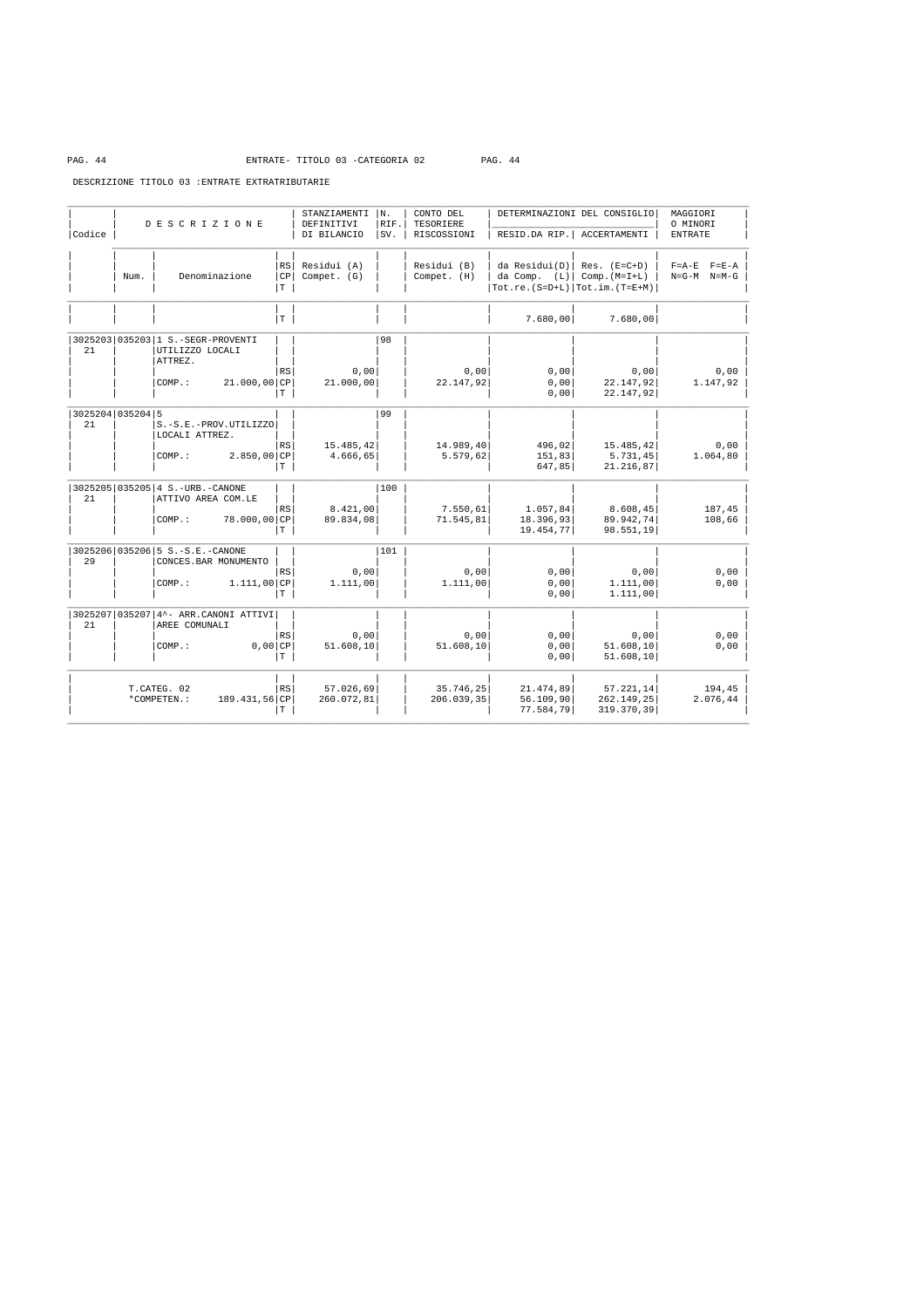### PAG. 44 ENTRATE- TITOLO 03 -CATEGORIA 02 PAG. 44

| Codice                 |      | DESCRIZIONE                                                                                     |                 | STANZIAMENTI N.<br>DEFINITIVI<br>DI BILANCIO | RIF.<br>lsv. | CONTO DEL<br>TESORIERE<br>RISCOSSIONI |                                     | DETERMINAZIONI DEL CONSIGLIO<br>RESID.DA RIP.   ACCERTAMENTI           | MAGGIORI<br>O MINORI<br><b>ENTRATE</b>             |
|------------------------|------|-------------------------------------------------------------------------------------------------|-----------------|----------------------------------------------|--------------|---------------------------------------|-------------------------------------|------------------------------------------------------------------------|----------------------------------------------------|
|                        | Num. | Denominazione                                                                                   | RS<br>CP<br>T.  | Residui (A)<br>Compet. (G)                   |              | Residui (B)<br>Compet. (H)            | da Residui(D)   Res. (E=C+D)        | da Comp. $(L)$ Comp. $(M=I+L)$<br>$ Tot.re.(S=D+L)   Tot.in.(T=E+M)  $ | $F = A - E$ $F = E - A$<br>$N = G - M$ $N = M - G$ |
|                        |      |                                                                                                 | Iт              |                                              |              |                                       | 7.680,00                            | 7.680,00                                                               |                                                    |
| 21                     |      | 3025203 035203 1 S.-SEGR-PROVENTI<br>UTILIZZO LOCALI<br>ATTREZ.<br>21.000,00 CP<br>COMP.:       | RS<br>T.        | 0.00<br>21.000,00                            | 98           | 0.00<br>22.147,92                     | 0.001<br>0,00<br>0,00               | 0.00<br>22.147,92<br>22.147,92                                         | 0.00<br>1.147,92                                   |
| 3025204 035204 5<br>21 |      | $S.-S.E.-PROV.UTLILZZO$<br>LOCALI ATTREZ.<br>COMP.:<br>$2.850.00$ CP                            | RS<br>T.        | 15.485,42<br>4.666,65                        | 99           | 14.989,40<br>5.579.62                 | 496,02<br>151,83<br>647,85          | 15.485,42<br>5.731, 45<br>21.216,87                                    | 0.00<br>1.064,80                                   |
| 21                     |      | 3025205   035205   4 S. - URB. - CANONE<br>ATTIVO AREA COM.LE<br>78.000,00 CP<br>COMP.:         | <b>RS</b><br>T. | 8.421,00<br>89.834,08                        | 100          | 7.550, 61<br>71.545,81                | 1.057, 84<br>18.396,93<br>19.454,77 | 8.608, 45<br>89.942,74<br>98.551,19                                    | 187,45<br>108,66                                   |
| 29                     |      | 3025206   035206   5 S. - S.E. - CANONE<br>CONCES. BAR MONUMENTO<br>1.111.00 CP<br>COMP.:       | RS<br>T.        | 0,00<br>1.111,00                             | 101          | 0.00<br>1.111,00                      | 0.00<br>0,00<br>0,00                | 0.00<br>1.111,00<br>1.111,00                                           | 0.00<br>0.00                                       |
| 21                     |      | 3025207   035207   4^- ARR. CANONI ATTIVI<br>AREE COMUNALI<br>$0.00$ <sub>c</sub> $P$<br>COMP.: | <b>RS</b><br>T. | 0,00<br>51.608, 10                           |              | 0,00<br>51.608,10                     | 0,00<br>0,00<br>0,00                | 0,00<br>51.608, 10<br>51.608, 10                                       | 0,00<br>0,00                                       |
|                        |      | T.CATEG. 02<br>*COMPETEN. :<br>189.431.56 CP                                                    | RS<br>T.        | 57.026,69<br>260.072,81                      |              | 35.746,25<br>206.039,35               | 21.474,89<br>56.109,90<br>77.584,79 | 57.221, 14<br>262.149,25<br>319.370,39                                 | 194,45<br>2.076,44                                 |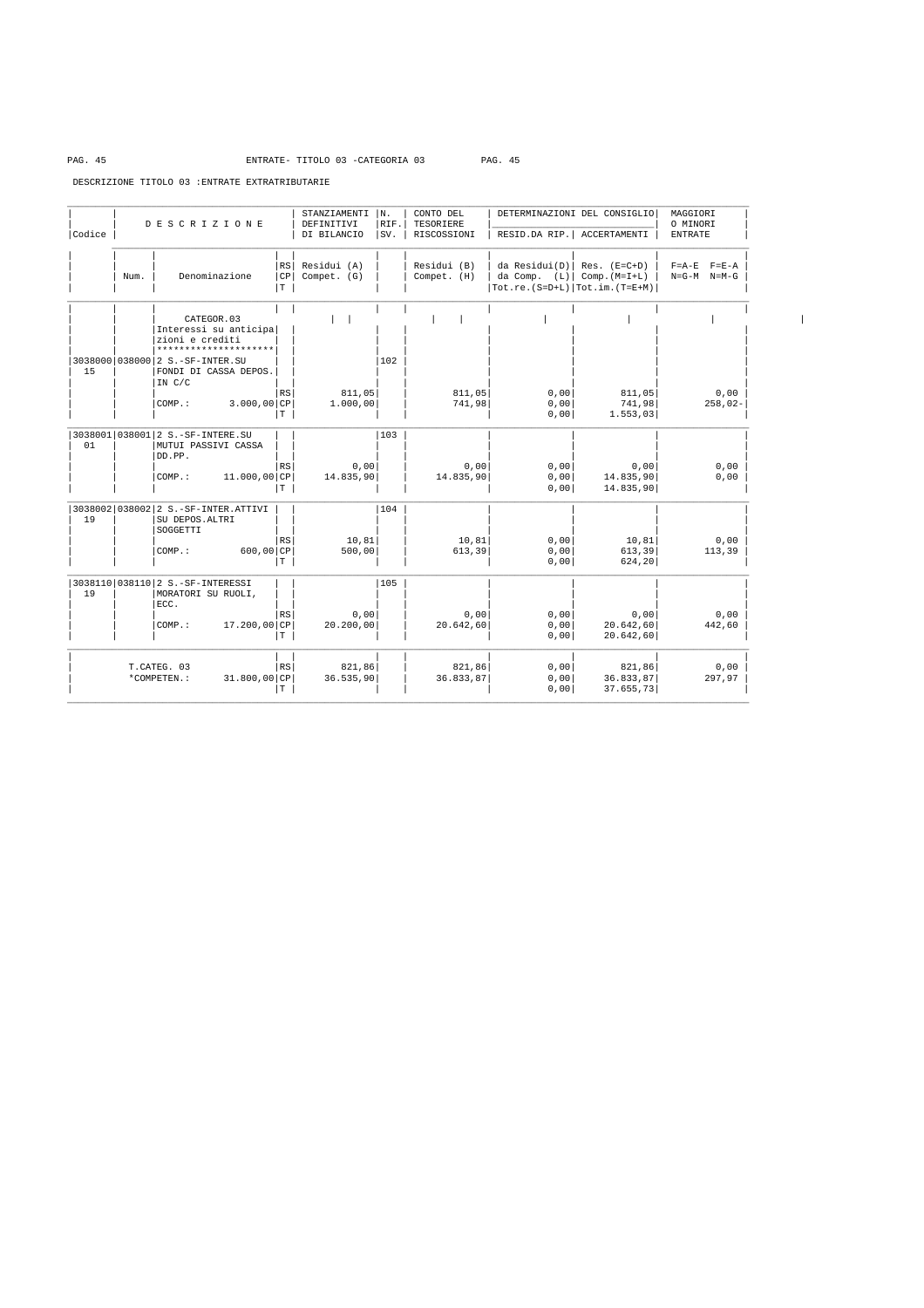### PAG. 45 ENTRATE- TITOLO 03 -CATEGORIA 03 PAG. 45

| Codice |      | <b>DESCRIZIONE</b>                                                                                                                         |                   | STANZIAMENTI<br>DEFINITIVI<br>DI BILANCIO | IN.<br>RIF.<br>SV. | CONTO DEL<br>TESORIERE<br>RISCOSSIONI | RESID.DA RIP.                                                                                           | DETERMINAZIONI DEL CONSIGLIO<br>ACCERTAMENTI | MAGGIORI<br>O MINORI<br><b>ENTRATE</b>             |
|--------|------|--------------------------------------------------------------------------------------------------------------------------------------------|-------------------|-------------------------------------------|--------------------|---------------------------------------|---------------------------------------------------------------------------------------------------------|----------------------------------------------|----------------------------------------------------|
|        | Num. | Denominazione                                                                                                                              | RS<br>CP<br>T     | Residui (A)<br>Compet. (G)                |                    | Residui (B)<br>Compet. (H)            | da Residui(D)   Res. $(E=C+D)$<br>da Comp. $(L)$ Comp. $(M=I+L)$<br>$Tot.re.(S=D+L)   Tot.in.(T=E+M)  $ |                                              | $F = A - E$ $F = E - A$<br>$N = G - M$ $N = M - G$ |
| 15     |      | CATEGOR.03<br>Interessi su anticipa<br>zioni e crediti<br>********<br>3038000 038000 2 S. - SF-INTER.SU<br>FONDI DI CASSA DEPOS.<br>IN C/C |                   |                                           | 102                |                                       |                                                                                                         |                                              |                                                    |
|        |      | $3.000,00$ CP<br>COMP.:                                                                                                                    | RS<br>T.          | 811,05<br>1.000,00                        |                    | 811,05<br>741,98                      | 0,00<br>0,00<br>0,00                                                                                    | 811,05<br>741,98<br>1.553,03                 | 0,00<br>$258,02-$                                  |
| 01     |      | 3038001 038001 2 S. - SF-INTERE. SU<br>MUTUI PASSIVI CASSA<br>DD.PP.                                                                       |                   |                                           | 103                |                                       |                                                                                                         |                                              |                                                    |
|        |      | COMP.:<br>11.000,00 CP                                                                                                                     | RS<br>$\mathbb T$ | 0,00<br>14.835,90                         |                    | 0,00<br>14.835,90                     | 0,00<br>0,00<br>0,00                                                                                    | 0,00<br>14.835,90<br>14.835,90               | 0,00<br>0,00                                       |
| 19     |      | 3038002 038002 2 S.-SF-INTER.ATTIVI<br>SU DEPOS. ALTRI<br>SOGGETTI                                                                         |                   |                                           | 104                |                                       |                                                                                                         |                                              |                                                    |
|        |      | 600,00 CP<br>COMP.:                                                                                                                        | RS<br>T.          | 10,81<br>500,00                           |                    | 10,81<br>613,39                       | 0,00<br>0,00<br>0,00                                                                                    | 10,81<br>613,39<br>624, 20                   | 0,00<br>113,39                                     |
| 19     |      | 3038110 038110 2 S.-SF-INTERESSI<br>MORATORI SU RUOLI,<br>ECC.                                                                             |                   |                                           | 105                |                                       |                                                                                                         |                                              |                                                    |
|        |      | 17.200,00 CP<br>COMP.:                                                                                                                     | RS<br>T.          | 0,00<br>20.200,00                         |                    | 0,00<br>20.642,60                     | 0,00<br>0,00<br>0,00                                                                                    | 0.00<br>20.642,60<br>20.642,60               | 0,00<br>442,60                                     |
|        |      | T. CATEG. 03<br>*COMPETEN. :<br>31.800,00 CP                                                                                               | RS<br>T.          | 821,86<br>36.535,90                       |                    | 821,86<br>36.833,87                   | 0,00<br>0,00<br>0,00                                                                                    | 821,86<br>36.833,87<br>37.655,73             | 0,00<br>297,97                                     |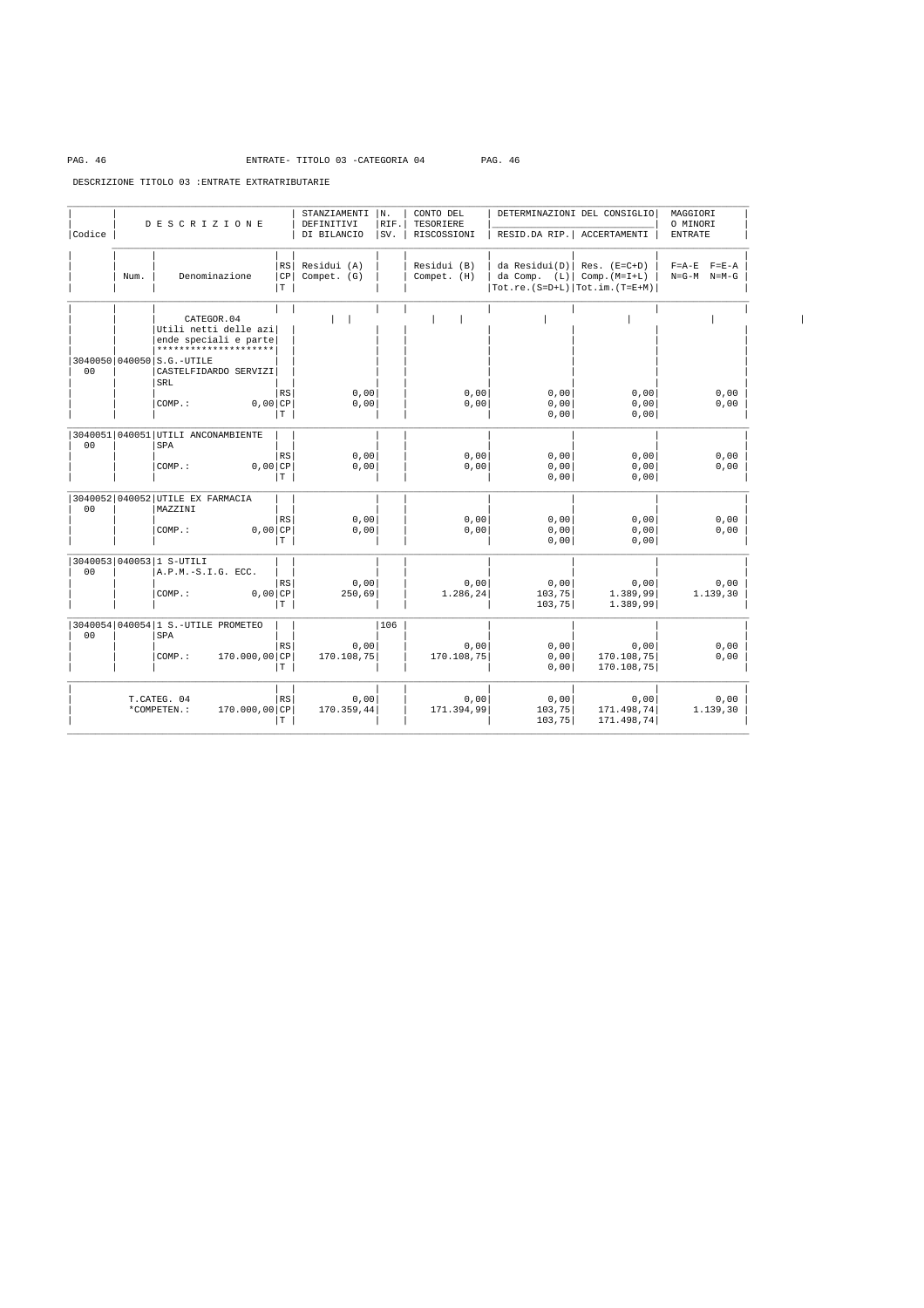### PAG. 46 ENTRATE- TITOLO 03 -CATEGORIA 04 PAG. 46

| Codice         |      | <b>DESCRIZIONE</b>                                                                                                                                 |                                              | STANZIAMENTI<br>DEFINITIVI<br>DI BILANCIO | IN.<br>RIF.<br>SV. | CONTO DEL<br>TESORIERE<br>RISCOSSIONI | RESID.DA RIP.                                                                          | DETERMINAZIONI DEL CONSIGLIO<br>ACCERTAMENTI | MAGGIORI<br>O MINORI<br><b>ENTRATE</b>             |
|----------------|------|----------------------------------------------------------------------------------------------------------------------------------------------------|----------------------------------------------|-------------------------------------------|--------------------|---------------------------------------|----------------------------------------------------------------------------------------|----------------------------------------------|----------------------------------------------------|
|                | Num. | Denominazione                                                                                                                                      | RS<br>CP<br>$\mathbb T$                      | Residui (A)<br>$Compet.$ (G)              |                    | Residui (B)<br>Compet. (H)            | da Residui(D)<br>da Comp. $(L)$ Comp. $(M=I+L)$<br>$Tot.re.(S=D+L)   Tot.in.(T=E+M)  $ | $Res.$ ( $E=C+D$ )                           | $F = A - E$ $F = E - A$<br>$N = G - M$ $N = M - G$ |
| 0 <sub>0</sub> |      | CATEGOR.04<br>Utili netti delle azi<br>ende speciali e parte<br>*********************<br>3040050 040050 S.G.-UTILE<br>CASTELFIDARDO SERVIZI<br>SRL |                                              |                                           |                    |                                       |                                                                                        |                                              |                                                    |
|                |      | COMP.:                                                                                                                                             | RS<br>$0,00$ <sub>CP</sub><br>T.             | 0.00<br>0,00                              |                    | 0,00<br>0,00                          | 0.00<br>0,00<br>0,00                                                                   | 0.00<br>0,00<br>0,00                         | 0,00<br>0,00                                       |
| 0 <sub>0</sub> |      | 3040051 040051 UTILI ANCONAMBIENTE<br>SPA<br>COMP.:                                                                                                | RS<br>$0.00$ <sub>c</sub> $P$<br>$\mathbb T$ | 0,00<br>0,00                              |                    | 0,00<br>0,00                          | 0,00<br>0,00<br>0,00                                                                   | 0,00<br>0,00<br>0,00                         | 0,00<br>0,00                                       |
| 0 <sub>0</sub> |      | 3040052 040052 UTILE EX FARMACIA<br>MAZZINI<br>COMP.:                                                                                              | RS<br>$0,00$ <sub>CP</sub><br>$\mathbb T$    | 0,00<br>0,00                              |                    | 0,00<br>0,00                          | 0,00<br>0,00<br>0,00                                                                   | 0,00<br>0,00<br>0,00                         | 0,00<br>0,00                                       |
| 00             |      | 3040053 040053 1 S-UTILI<br>A.P.M.-S.I.G. ECC.<br>COMP.:                                                                                           | RS<br>$0,00$ <sub>CP</sub><br>$\mathbb T$    | 0,00<br>250,69                            |                    | 0,00<br>1.286,24                      | 0,00<br>103,75<br>103, 75                                                              | 0,00<br>1.389,99<br>1.389,99                 | 0,00<br>1.139,30                                   |
| 0 <sub>0</sub> |      | 3040054 040054 1 S.-UTILE PROMETEO<br>SPA<br>170.000,00 CP<br>COMP.:                                                                               | RS<br>$\mathbb T$                            | 0,00<br>170.108,75                        | 106                | 0,00<br>170.108,75                    | 0,00<br>0,00<br>0,00                                                                   | 0,00<br>170.108,75<br>170.108,75             | 0,00<br>0,00                                       |
|                |      | T. CATEG. 04<br>170.000,00 CP<br>*COMPETEN. :                                                                                                      | RS<br>$\mathbb T$                            | 0,00<br>170.359,44                        |                    | 0,00<br>171.394,99                    | 0,00<br>103,75<br>103, 75                                                              | 0,00<br>171.498,74<br>171.498,74             | 0,00<br>1.139,30                                   |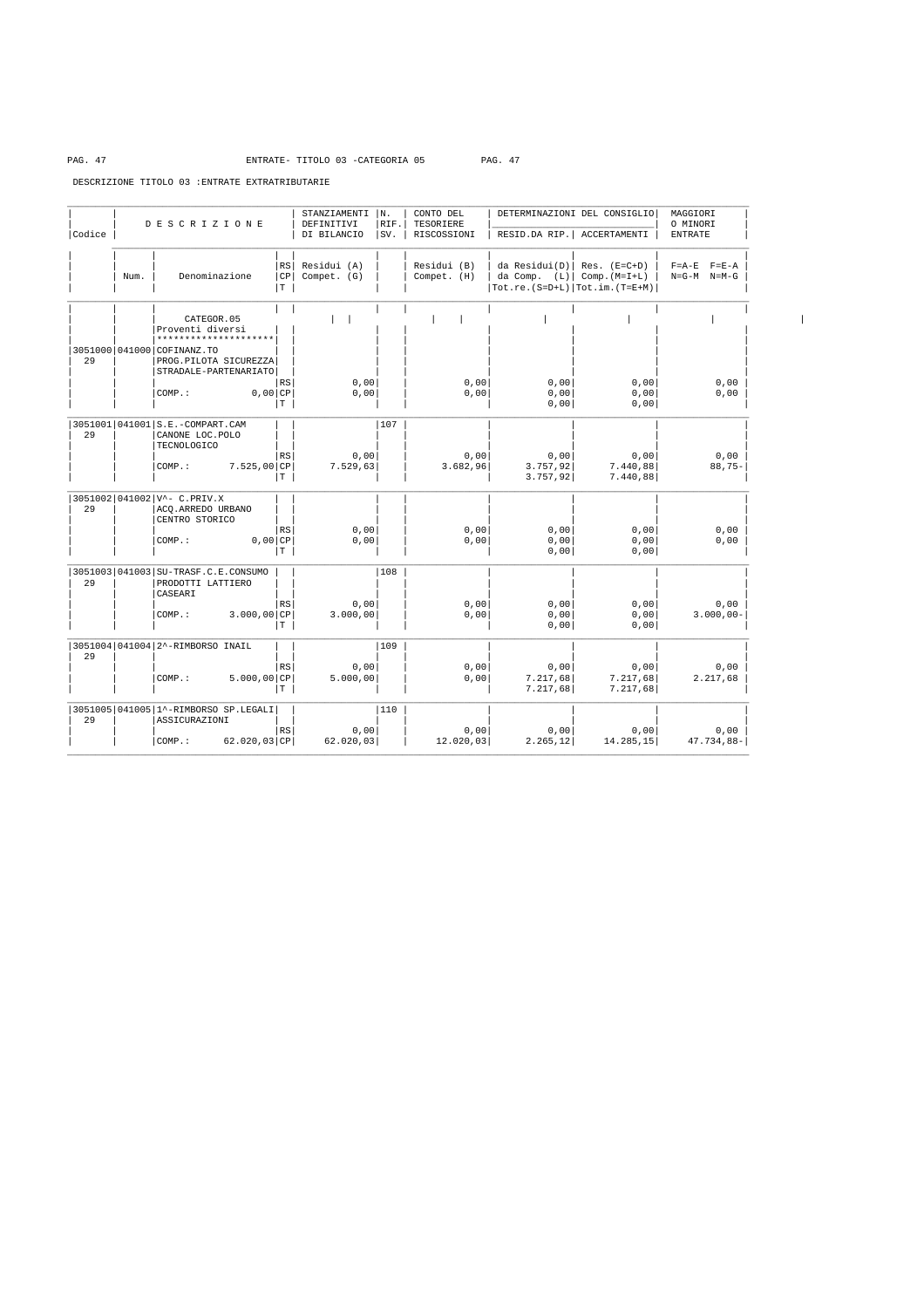### PAG. 47 ENTRATE- TITOLO 03 -CATEGORIA 05 PAG. 47

| Codice |      | <b>DESCRIZIONE</b>                                                               | STANZIAMENTI<br>DEFINITIVI<br>DI BILANCIO | N.<br>RIF.<br>SV. | CONTO DEL<br>TESORIERE<br>RISCOSSIONI | RESID.DA RIP.                                     | DETERMINAZIONI DEL CONSIGLIO<br>ACCERTAMENTI              | MAGGIORI<br>O MINORI<br><b>ENTRATE</b>             |
|--------|------|----------------------------------------------------------------------------------|-------------------------------------------|-------------------|---------------------------------------|---------------------------------------------------|-----------------------------------------------------------|----------------------------------------------------|
|        | Num. | RS<br>Denominazione<br>CP<br>$\mathbb T$                                         | Residui (A)<br>Compet. (G)                |                   | Residui (B)<br>Compet. (H)            | da Residui(D)<br>da Comp. $(L)  $ Comp. $(M=I+L)$ | $Res.$ ( $E=C+D$ )<br>$Tot.re.(S=D+L)   Tot.in.(T=E+M)  $ | $F = A - E$ $F = E - A$<br>$N = G - M$ $N = M - G$ |
|        |      | CATEGOR.05<br>Proventi diversi<br>*********************                          |                                           |                   |                                       |                                                   |                                                           |                                                    |
| 29     |      | 3051000   041000   COFINANZ.TO<br>PROG.PILOTA SICUREZZA<br>STRADALE-PARTENARIATO |                                           |                   |                                       |                                                   |                                                           |                                                    |
|        |      | RS<br>$0,00$ <sub>CP</sub><br>COMP.:<br>$\mathbb T$                              | 0,00<br>0,00                              |                   | 0,00<br>0,00                          | 0,00<br>0,00<br>0,00                              | 0,00<br>0,00<br>0,00                                      | 0,00<br>0,00                                       |
| 29     |      | 3051001   041001   S.E. - COMPART. CAM<br>CANONE LOC. POLO<br>TECNOLOGICO        |                                           | 107               |                                       |                                                   |                                                           |                                                    |
|        |      | RS<br>$7.525,00$ CP<br>COMP.:<br>$\mathbb T$                                     | 0,00<br>7.529,63                          |                   | 0,00<br>3.682,96                      | 0,00<br>3.757,92<br>3.757,92                      | 0,00<br>7.440,88<br>7.440,88                              | 0,00<br>$88,75-$                                   |
| 29     |      | 3051002   041002   V^- C.PRIV.X<br>ACQ.ARREDO URBANO<br>CENTRO STORICO           |                                           |                   |                                       |                                                   |                                                           |                                                    |
|        |      | RS<br>$0,00$  CP<br>COMP.:<br>$\mathbb T$                                        | 0,00<br>0,00                              |                   | 0,00<br>0,00                          | 0,00<br>0,00<br>0,00                              | 0,00<br>0,00<br>0,00                                      | 0,00<br>0,00                                       |
| 29     |      | 3051003   041003   SU-TRASF.C.E.CONSUMO<br>PRODOTTI LATTIERO<br>CASEARI          |                                           | 108               |                                       |                                                   |                                                           |                                                    |
|        |      | RS<br>$3.000,00$ CP<br>COMP.:<br>$\mathbb T$                                     | 0,00<br>3.000,00                          |                   | 0,00<br>0,00                          | 0,00<br>0,00<br>0,00                              | 0,00<br>0,00<br>0,00                                      | 0,00<br>$3.000,00 -$                               |
| 29     |      | 3051004   041004   2^-RIMBORSO INAIL                                             |                                           | 109               |                                       |                                                   |                                                           |                                                    |
|        |      | RS<br>$5.000,00$ CP<br>COMP.:<br>$\mathbb T$                                     | 0,00<br>5.000,00                          |                   | 0,00<br>0,00                          | 0,00<br>7.217,68<br>7.217,68                      | 0,00<br>7.217,68<br>7.217,68                              | 0,00<br>2.217,68                                   |
| 29     |      | 3051005   041005   1^-RIMBORSO SP.LEGALI<br>ASSICURAZIONI                        |                                           | 110               |                                       |                                                   |                                                           |                                                    |
|        |      | <b>RS</b><br>$62.020,03$ CP<br>COMP:                                             | 0,00<br>62.020,03                         |                   | 0,00<br>12.020,03                     | 0,00<br>2.265, 12                                 | 0,00<br>14.285,15                                         | 0,00<br>47.734,88-                                 |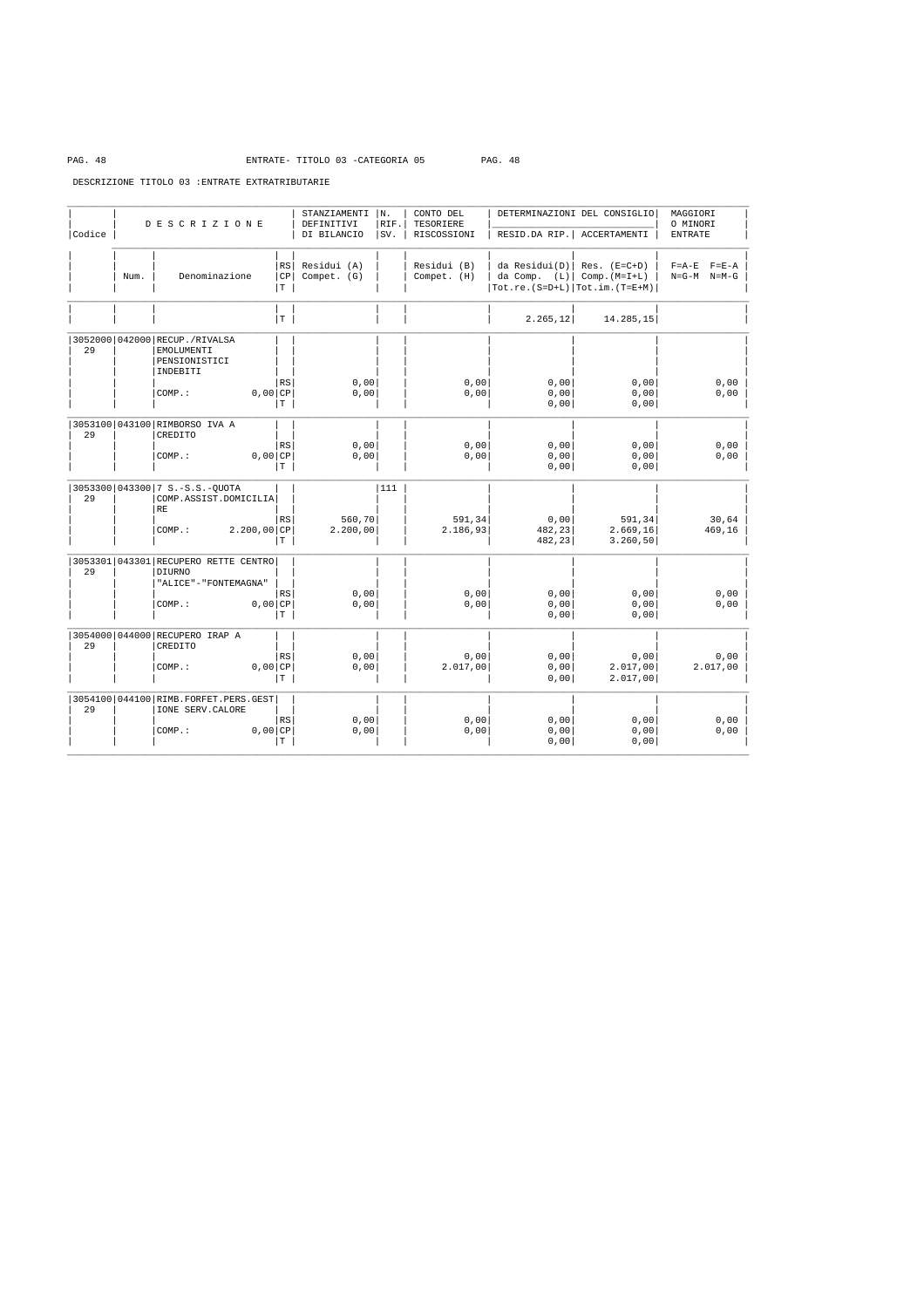### PAG. 48 ENTRATE- TITOLO 03 -CATEGORIA 05 PAG. 48

| Codice |      | DESCRIZIONE                                                                                                   |                     | STANZIAMENTI<br>DEFINITIVI<br>DI BILANCIO | IN.<br>RIF.<br> sv. | CONTO DEL<br>TESORIERE<br>RISCOSSIONI |                          | DETERMINAZIONI DEL CONSIGLIO<br>RESID.DA RIP.   ACCERTAMENTI                                               | MAGGIORI<br>O MINORI<br><b>ENTRATE</b>             |
|--------|------|---------------------------------------------------------------------------------------------------------------|---------------------|-------------------------------------------|---------------------|---------------------------------------|--------------------------|------------------------------------------------------------------------------------------------------------|----------------------------------------------------|
|        | Num. | Denominazione                                                                                                 | RS<br>CP<br>Г       | Residui (A)<br>Compet. (G)                |                     | Residui (B)<br>Compet. (H)            |                          | da Residui(D)   Res. $(E=C+D)$<br>da Comp. $(L)  $ Comp. $(M=I+L)$<br>$ Tot.re.(S=D+L)   Tot.in.(T=E+M)  $ | $F = A - E$ $F = E - A$<br>$N = G - M$ $N = M - G$ |
|        |      |                                                                                                               | IТ                  |                                           |                     |                                       | 2.265, 12                | 14.285,15                                                                                                  |                                                    |
| 29     |      | 3052000   042000   RECUP. / RIVALSA<br><b>EMOLUMENTI</b><br>PENSIONISTICI<br>INDEBITI<br>$0,00$  CP<br>COMP.: | RS<br>T             | 0,00<br>0,00                              |                     | 0,00<br>0,00                          | 0,00<br>0,00<br>0,00     | 0,00<br>0,00<br>0,00                                                                                       | 0,00<br>0,00                                       |
| 29     |      | 3053100 043100 RIMBORSO IVA A<br>CREDITO                                                                      |                     |                                           |                     |                                       |                          |                                                                                                            |                                                    |
|        |      | $0,00$  CP<br>COMP.:                                                                                          | <b>RS</b><br>T      | 0,00<br>0,00                              |                     | 0,00<br>0,00                          | 0,00<br>0,00<br>0,00     | 0,00<br>0,00<br>0,00                                                                                       | 0,00<br>0,00                                       |
| 29     |      | 3053300   043300   7 S.-S.S.-OUOTA<br>COMP.ASSIST.DOMICILIA<br>RE                                             |                     |                                           | 111                 |                                       |                          |                                                                                                            |                                                    |
|        |      | 2.200,00 CP<br>COMP.:                                                                                         | RS.<br>T.           | 560,70<br>2.200,00                        |                     | 591, 34<br>2.186,93                   | 0,00<br>482,23<br>482,23 | 591, 34<br>2.669,16<br>3.260, 50                                                                           | 30.64<br>469,16                                    |
| 29     |      | 3053301   043301   RECUPERO RETTE CENTRO<br>DIURNO<br>"ALICE" - "FONTEMAGNA"<br>COMP.:<br>$0,00$  CP          | l RS<br>$\mathbb T$ | 0,00<br>0,00                              |                     | 0,00<br>0,00                          | 0,00<br>0,00<br>0,00     | 0,00<br>0,00<br>0,00                                                                                       | 0,00<br>0,00                                       |
| 29     |      | 3054000 044000 RECUPERO IRAP A<br>CREDITO<br>$0,00$  CP<br>COMP.:                                             | RS<br>T.            | 0,00<br>0,00                              |                     | 0,00<br>2.017,00                      | 0,00<br>0,00<br>0,00     | 0,00<br>2.017,00<br>2.017,00                                                                               | 0,00<br>2.017,00                                   |
| 29     |      | 3054100   044100   RIMB. FORFET. PERS. GEST<br>IONE SERV. CALORE<br>COMP.:<br>$0.00$ <sub>c</sub> $P$         | RS<br>T.            | 0,00<br>0,00                              |                     | 0,00<br>0,00                          | 0,00<br>0,00<br>0,00     | 0,00<br>0,00<br>0,00                                                                                       | 0,00<br>0,00                                       |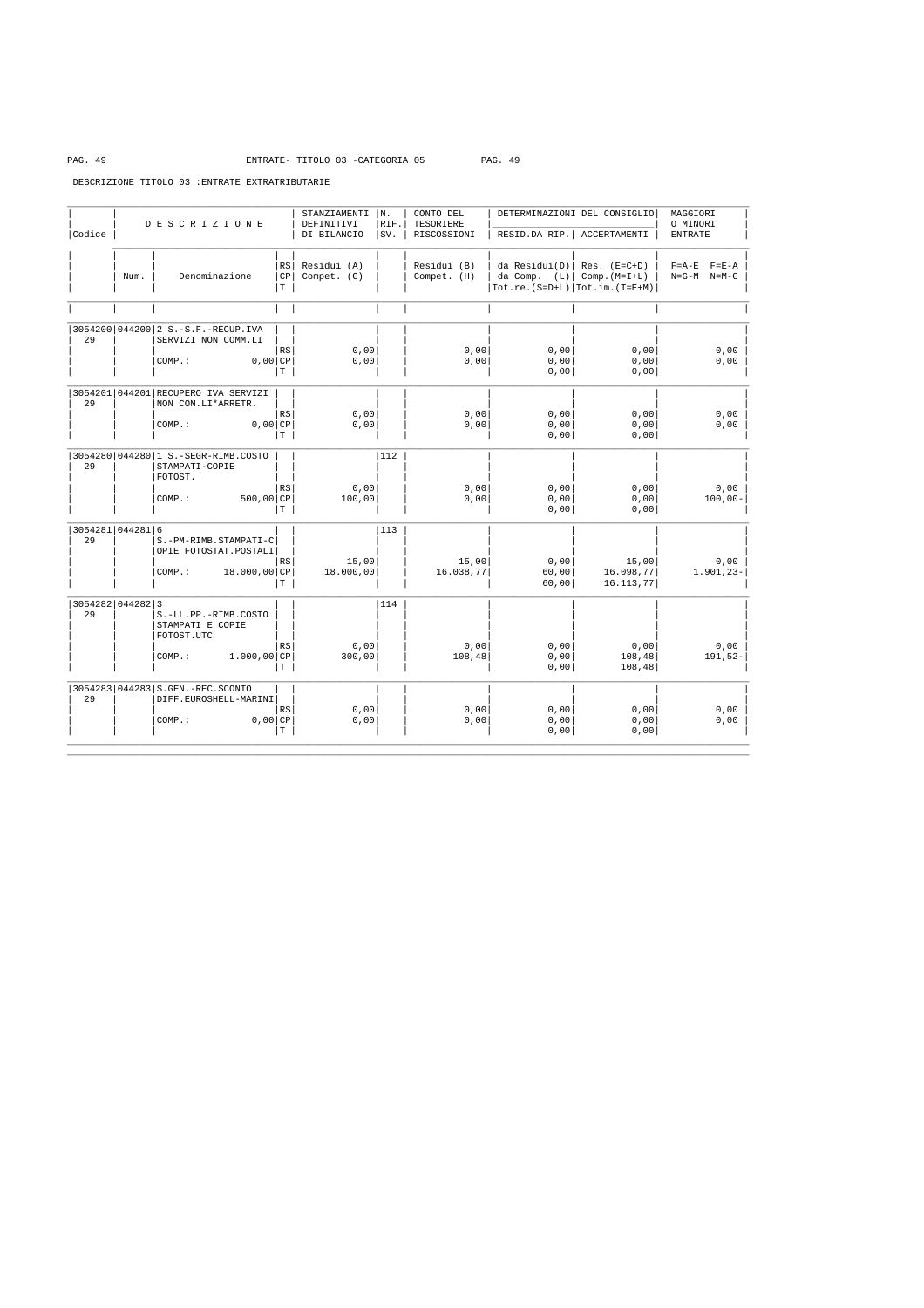### PAG. 49 ENTRATE- TITOLO 03 -CATEGORIA 05 PAG. 49

| Codice                 |      | DESCRIZIONE                                                                                   |                   | STANZIAMENTI<br>DEFINITIVI<br>DI BILANCIO | IN.<br>RIF.<br> sv. | CONTO DEL<br>TESORIERE<br>RISCOSSIONI |                        | DETERMINAZIONI DEL CONSIGLIO<br>RESID.DA RIP.   ACCERTAMENTI                                               | MAGGIORI<br>O MINORI<br><b>ENTRATE</b>             |
|------------------------|------|-----------------------------------------------------------------------------------------------|-------------------|-------------------------------------------|---------------------|---------------------------------------|------------------------|------------------------------------------------------------------------------------------------------------|----------------------------------------------------|
|                        | Num. | Denominazione                                                                                 | RS<br>CP<br>Г     | Residui (A)<br>Compet. (G)                |                     | Residui (B)<br>Compet. (H)            |                        | da Residui(D)   Res. $(E=C+D)$<br>da Comp. $(L)  $ Comp. $(M=I+L)$<br>$ Tot.re.(S=D+L)   Tot.in.(T=E+M)  $ | $F = A - E$ $F = E - A$<br>$N = G - M$ $N = M - G$ |
|                        |      |                                                                                               |                   |                                           |                     |                                       |                        |                                                                                                            |                                                    |
| 29                     |      | 3054200   044200   2 S. - S. F. - RECUP. IVA<br>SERVIZI NON COMM.LI<br>$0,00$  CP<br>COMP.:   | RS<br>$\mathbb T$ | 0,00<br>0,00                              |                     | 0,00<br>0,00                          | 0,00<br>0,00<br>0,00   | 0.00<br>0,00<br>0,00                                                                                       | 0,00<br>0,00                                       |
| 29                     |      | 3054201   044201   RECUPERO IVA SERVIZI<br>NON COM.LI*ARRETR.<br>$0,00$  CP<br>COMP.:         | RS.<br>T.         | 0,00<br>0,00                              |                     | 0.00<br>0,00                          | 0,00<br>0,00<br>0,00   | 0,00<br>0,00<br>0,00                                                                                       | 0.00<br>0,00                                       |
| 29                     |      | 3054280   044280   1 S. - SEGR-RIMB.COSTO<br>STAMPATI-COPIE<br>FOTOST.<br>500,00 CP<br>COMP.: | RS<br>$\mathbb T$ | 0,00<br>100,00                            | $112$               | 0,00<br>0,00                          | 0,00<br>0,00<br>0,00   | 0,00<br>0,00<br>0,00                                                                                       | 0,00<br>$100,00-$                                  |
| 3054281 044281 6<br>29 |      | S.-PM-RIMB.STAMPATI-C<br>OPIE FOTOSTAT. POSTALI<br>18.000,00 CP<br>COMP.:                     | <b>RS</b><br>T    | 15,00<br>18.000,00                        | 113                 | 15,00<br>16.038,77                    | 0,00<br>60,00<br>60,00 | 15,00<br>16.098,77<br>16.113,77                                                                            | 0,00<br>$1.901, 23 -$                              |
| 3054282 044282 3<br>29 |      | S.-LL.PP.-RIMB.COSTO<br>STAMPATI E COPIE<br>FOTOST.UTC<br>1.000,00 CP<br>COMP.:               | <b>RS</b>         | 0,00<br>300,00                            | $114$               | 0,00<br>108,48                        | 0,00<br>0,00           | 0,00<br>108, 48                                                                                            | 0,00<br>$191, 52 -$                                |
|                        |      |                                                                                               | T.                |                                           |                     |                                       | 0,00                   | 108, 48                                                                                                    |                                                    |
| 29                     |      | 3054283   044283   S. GEN. - REC. SCONTO<br>DIFF.EUROSHELL-MARINI<br>$0,00$  CP<br>COMP.:     | RS<br>$\mathbb T$ | 0.00<br>0,00                              |                     | 0.00<br>0,00                          | 0.00<br>0,00<br>0,00   | 0,00<br>0,00<br>0,00                                                                                       | 0.00<br>0,00                                       |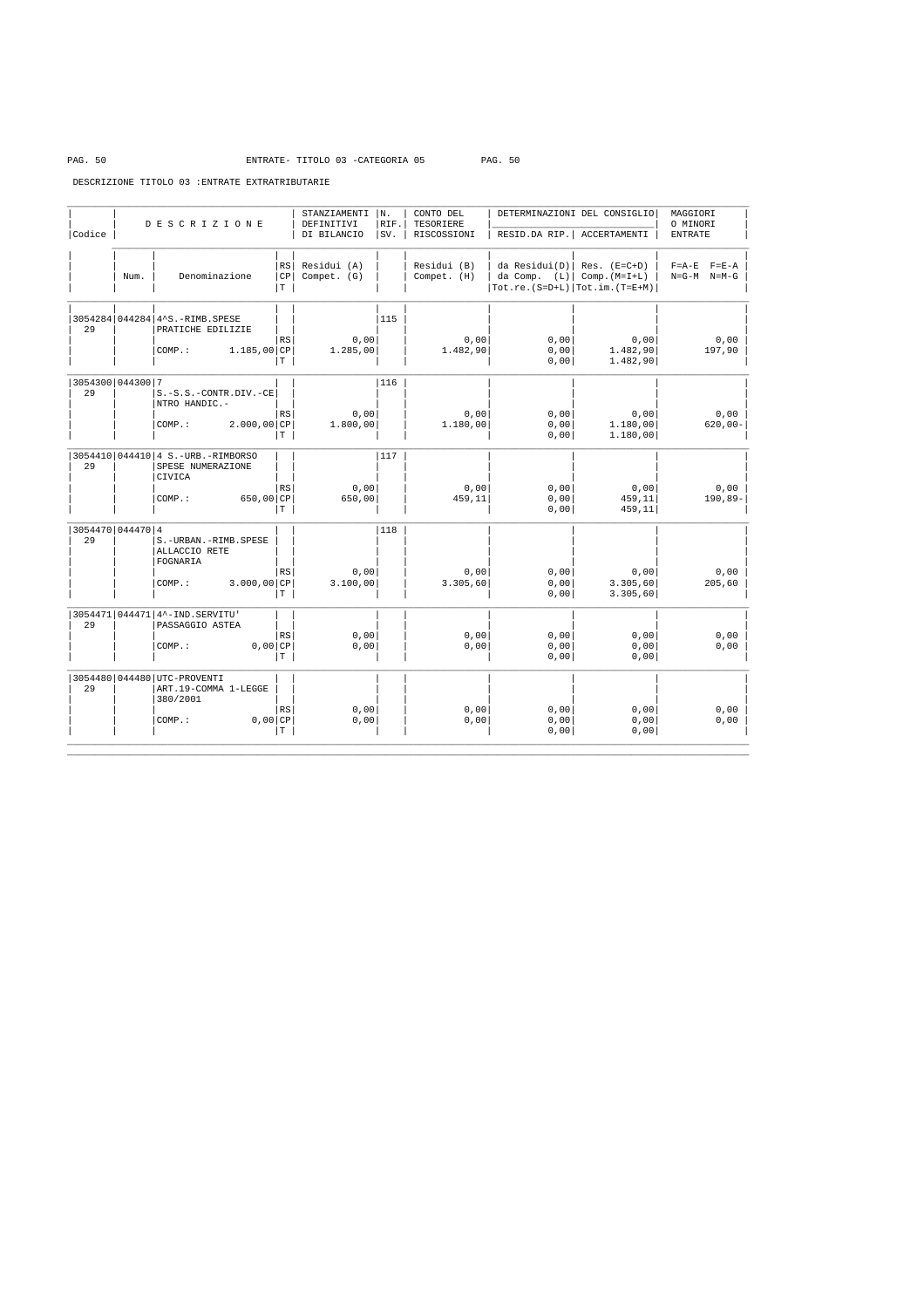### PAG. 50 ENTRATE- TITOLO 03 -CATEGORIA 05 PAG. 50

| Codice                     |      | DESCRIZIONE                                                                                 |                     | STANZIAMENTI<br>DEFINITIVI<br>DI BILANCIO | $ N$ .<br>RIF.<br> sv. | CONTO DEL<br>TESORIERE<br>RISCOSSIONI |                      | DETERMINAZIONI DEL CONSIGLIO<br>RESID.DA RIP.   ACCERTAMENTI                                             | MAGGIORI<br>O MINORI<br><b>ENTRATE</b>             |
|----------------------------|------|---------------------------------------------------------------------------------------------|---------------------|-------------------------------------------|------------------------|---------------------------------------|----------------------|----------------------------------------------------------------------------------------------------------|----------------------------------------------------|
|                            | Num. | Denominazione                                                                               | RS<br>CP<br>Г       | Residui (A)<br>Compet. (G)                |                        | Residui (B)<br>Compet. (H)            |                      | da Residui(D)   Res. $(E=C+D)$<br>da Comp. $(L)$ Comp. $(M=I+L)$<br>$ Tot.re.(S=D+L)   Tot.in.(T=E+M)  $ | $F = A - E$ $F = E - A$<br>$N = G - M$ $N = M - G$ |
| 29                         |      | 3054284 044284 4 ^S. - RIMB. SPESE<br>PRATICHE EDILIZIE<br>COMP.:<br>1.185.00 CP            | l RS<br>T.          | 0,00<br>1.285,00                          | 115                    | 0,00<br>1.482,90                      | 0,00<br>0,00<br>0,00 | 0,00<br>1.482.90<br>1.482,90                                                                             | 0,00<br>197,90                                     |
| 3054300   044300   7<br>29 |      | $S.-S.S.-CONTR.DIV.-CE$<br>NTRO HANDIC.-<br>COMP.:<br>$2.000,00$ CP                         | RS.<br>T.           | 0,00<br>1.800,00                          | 116                    | 0,00<br>1.180,00                      | 0,00<br>0,00<br>0,00 | 0,00<br>1.180,00<br>1.180,00                                                                             | 0.00<br>$620,00-$                                  |
| 29                         |      | 3054410   044410   4 S.-URB.-RIMBORSO<br>SPESE NUMERAZIONE<br>CIVICA<br>650,00 CP<br>COMP.: | l RS<br>$\mathbb T$ | 0,00<br>650,00                            | 117                    | 0,00<br>459,11                        | 0,00<br>0,00<br>0,00 | 0,00<br>459, 11<br>459,11                                                                                | 0,00<br>$190,89-$                                  |
| 3054470   044470   4<br>29 |      | S.-URBAN.-RIMB.SPESE<br>ALLACCIO RETE<br>FOGNARIA<br>COMP.:<br>$3.000,00$ CP                | <b>RS</b><br>l T    | 0,00<br>3.100,00                          | 1118                   | 0,00<br>3.305,60                      | 0,00<br>0,00<br>0,00 | 0,00<br>3.305,60<br>3.305,60                                                                             | 0,00<br>205,60                                     |
| 29                         |      | 3054471 044471 4 ^ - IND. SERVITU'<br>PASSAGGIO ASTEA<br>$0,00$  CP<br>COMP.:               | RS<br>$\mathbb T$   | 0.00<br>0,00                              |                        | 0.00<br>0,00                          | 0.00<br>0,00<br>0,00 | 0.00<br>0,00<br>0,00                                                                                     | 0.00<br>0,00                                       |
| 29                         |      | 3054480   044480   UTC-PROVENTI<br>ART.19-COMMA 1-LEGGE<br>380/2001<br>$0,00$  CP<br>COMP.: | RS<br>$\mathbb T$   | 0.00<br>0,00                              |                        | 0.00<br>0,00                          | 0.00<br>0,00<br>0,00 | 0.00<br>0,00<br>0,00                                                                                     | 0.00<br>0,00                                       |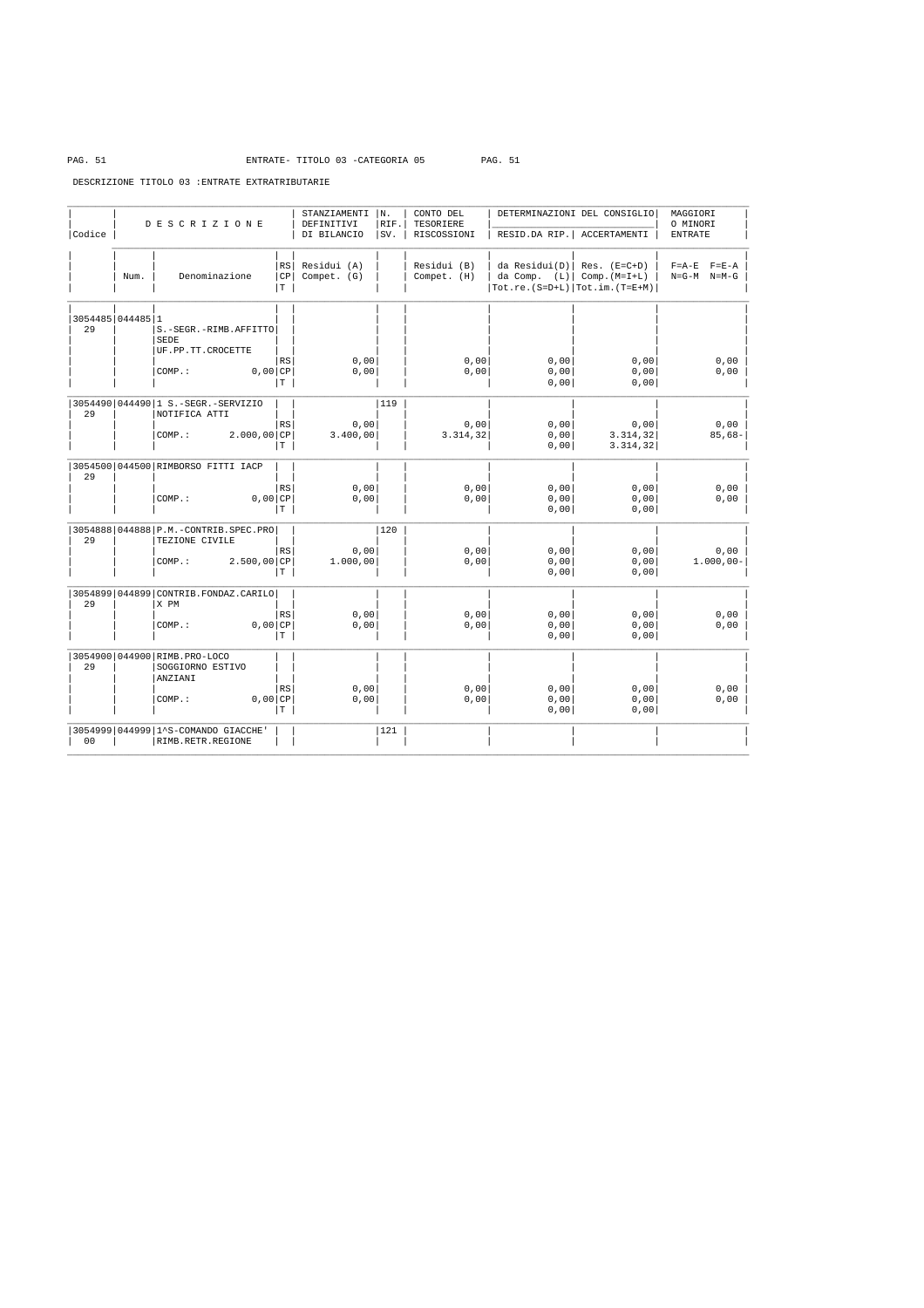## PAG. 51 ENTRATE- TITOLO 03 -CATEGORIA 05 PAG. 51

| Codice                     |      | DESCRIZIONE                                                                               |                     | STANZIAMENTI<br>DEFINITIVI<br>DI BILANCIO | N.<br>RIF.<br> sv. | CONTO DEL<br>TESORIERE<br>RISCOSSIONI |                      | DETERMINAZIONI DEL CONSIGLIO<br>RESID.DA RIP.   ACCERTAMENTI                                              | MAGGIORI<br>O MINORI<br><b>ENTRATE</b>             |
|----------------------------|------|-------------------------------------------------------------------------------------------|---------------------|-------------------------------------------|--------------------|---------------------------------------|----------------------|-----------------------------------------------------------------------------------------------------------|----------------------------------------------------|
|                            | Num. | Denominazione                                                                             | RS<br>CP<br>T       | Residui (A)<br>Compet. (G)                |                    | Residui (B)<br>Compet. (H)            |                      | da Residui(D)   Res. $(E=C+D)$<br>da Comp. $(L)  $ Comp. $(M=I+L)$<br>$ Tot.re.(S=D+L)   Tot.in.(T=E+M) $ | $F = A - E$ $F = E - A$<br>$N = G - M$ $N = M - G$ |
| 3054485   044485   1<br>29 |      | S.-SEGR.-RIMB.AFFITTO<br><b>SEDE</b><br>UF.PP.TT.CROCETTE<br>$0,00$  CP<br>COMP.:         | RS                  | 0,00<br>0,00                              |                    | 0,00<br>0,00                          | 0,00<br>0,00         | 0,00<br>0,00                                                                                              | 0,00<br>0,00                                       |
|                            |      |                                                                                           | T.                  |                                           |                    |                                       | 0,00                 | 0,00                                                                                                      |                                                    |
| 29                         |      | 3054490   044490   1 S. - SEGR. - SERVIZIO<br>NOTIFICA ATTI<br>COMP.:<br>$2.000,00$ CP    | RS<br>T.            | 0,00<br>3.400,00                          | 119                | 0,00<br>3.314,32                      | 0,00<br>0,00<br>0,00 | 0,00<br>3.314, 32<br>3.314, 32                                                                            | 0,00<br>$85,68-$                                   |
| 29                         |      | 3054500 044500 RIMBORSO FITTI IACP<br>0,00 CP<br>COMP.:                                   | RS<br>T.            | 0,00<br>0,00                              |                    | 0,00<br>0,00                          | 0,00<br>0,00<br>0,00 | 0,00<br>0,00<br>0,00                                                                                      | 0,00<br>0,00                                       |
| 29                         |      | 3054888   044888   P.M. - CONTRIB. SPEC. PRO<br>TEZIONE CIVILE<br>COMP.:<br>$2.500,00$ CP | RS<br>T.            | 0,00<br>1.000,00                          | 1120               | 0,00<br>0,00                          | 0,00<br>0,00<br>0,00 | 0,00<br>0,00<br>0,00                                                                                      | 0,00<br>$1.000,00 -$                               |
| 29                         |      | 3054899 044899 CONTRIB. FONDAZ. CARILO<br>X PM<br>$0,00$ <sub>CP</sub><br>COMP.:          | l RS<br>$\mathbb T$ | 0,00<br>0,00                              |                    | 0,00<br>0,00                          | 0,00<br>0,00<br>0,00 | 0,00<br>0,00<br>0,00                                                                                      | 0,00<br>0,00                                       |
| 29                         |      | 3054900   044900   RIMB. PRO-LOCO<br>SOGGIORNO ESTIVO<br>ANZIANI<br>$0,00$  CP<br>COMP.:  | RS<br>$\mathbb T$   | 0,00<br>0,00                              |                    | 0,00<br>0,00                          | 0,00<br>0,00<br>0,00 | 0,00<br>0,00<br>0,00                                                                                      | 0,00<br>0,00                                       |
| 00                         |      | 3054999 044999 1 ^S-COMANDO GIACCHE<br>RIMB.RETR.REGIONE                                  |                     |                                           | 121                |                                       |                      |                                                                                                           |                                                    |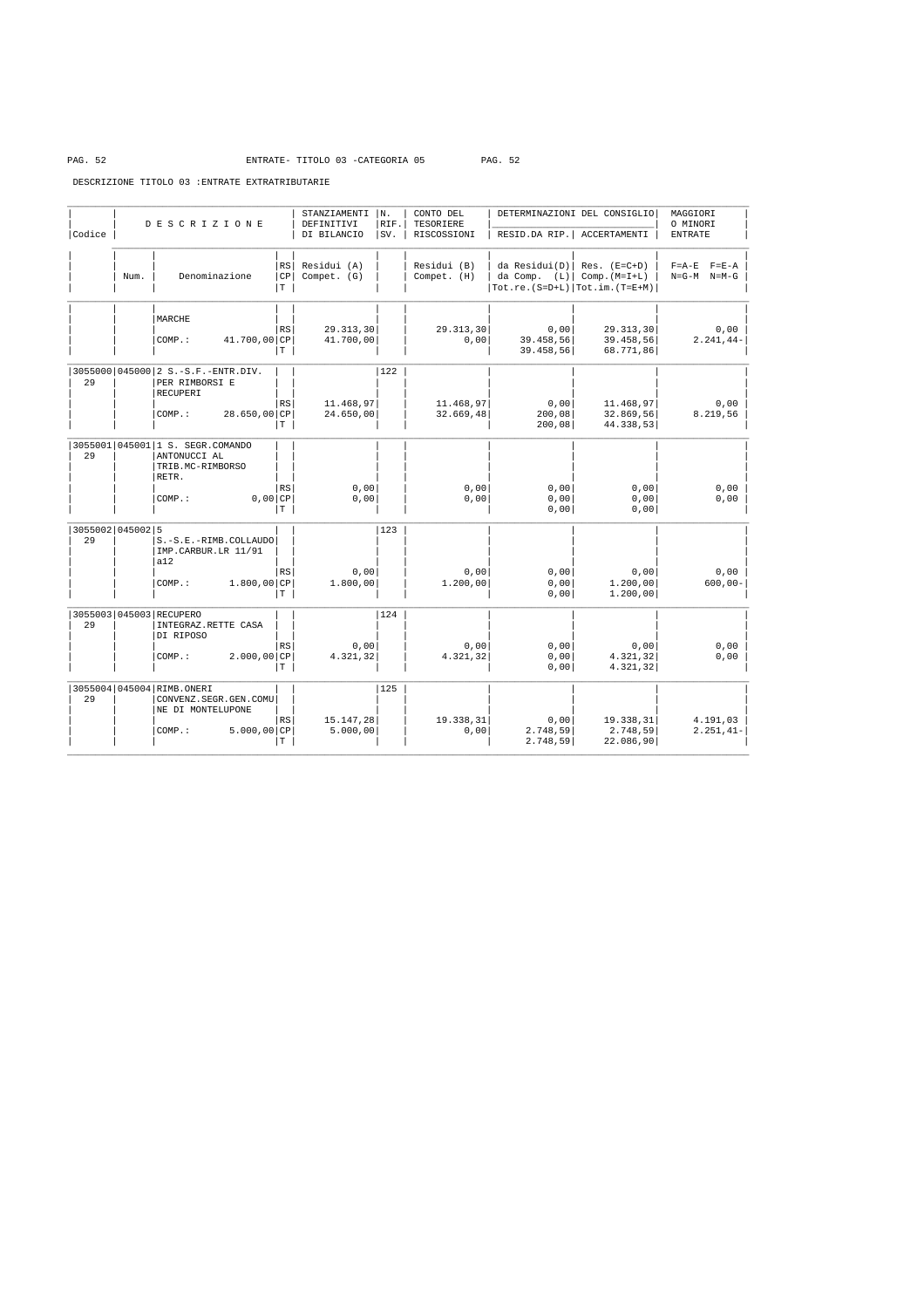### PAG. 52 ENTRATE- TITOLO 03 -CATEGORIA 05 PAG. 52

| Codice                 |      | DESCRIZIONE                                                                                                |                          | STANZIAMENTI<br>DEFINITIVI<br>DI BILANCIO | IN.<br>RIF.<br> sv. | CONTO DEL<br>TESORIERE<br>RISCOSSIONI |                                | DETERMINAZIONI DEL CONSIGLIO<br>RESID.DA RIP.   ACCERTAMENTI                                               | MAGGIORI<br>O MINORI<br><b>ENTRATE</b>             |
|------------------------|------|------------------------------------------------------------------------------------------------------------|--------------------------|-------------------------------------------|---------------------|---------------------------------------|--------------------------------|------------------------------------------------------------------------------------------------------------|----------------------------------------------------|
|                        | Num. | Denominazione                                                                                              | RS<br>CP<br>TГ           | Residui (A)<br>Compet. (G)                |                     | Residui (B)<br>Compet. (H)            |                                | da Residui(D)   Res. $(E=C+D)$<br>da Comp. $(L)  $ Comp. $(M=I+L)$<br>$ Tot.re.(S=D+L)   Tot.in.(T=E+M)  $ | $F = A - E$ $F = E - A$<br>$N = G - M$ $N = M - G$ |
|                        |      | MARCHE<br>41.700,00 CP<br>COMP.:                                                                           | RS<br>T.                 | 29.313,30<br>41.700,00                    |                     | 29.313,30<br>0,00                     | 0.00<br>39.458,56<br>39.458,56 | 29.313,30<br>39.458,56<br>68.771,86                                                                        | 0.00<br>$2.241, 44-$                               |
| 29                     |      | 3055000   045000   2 S. - S. F. - ENTR. DIV.<br>PER RIMBORSI E<br>RECUPERI<br>28.650,00 CP<br>COMP.:       | RS<br>T.                 | 11.468,97<br>24.650,00                    | 1122                | 11.468,97<br>32.669,48                | 0,00<br>200,08<br>200,08       | 11.468,97<br>32.869,56<br>44.338,53                                                                        | 0,00<br>8.219,56                                   |
| 29                     |      | 3055001   045001   1 S. SEGR. COMANDO<br>ANTONUCCI AL<br>TRIB.MC-RIMBORSO<br>RETR.<br>$0,00$  CP<br>COMP.: | <b>RS</b><br>$\mathbb T$ | 0,00<br>0,00                              |                     | 0,00<br>0,00                          | 0,00<br>0,00<br>0,00           | 0,00<br>0,00<br>0,00                                                                                       | 0.00<br>0,00                                       |
| 3055002104500215<br>29 |      | S.-S.E.-RIMB.COLLAUDO<br>IMP.CARBUR.LR 11/91<br>a12<br>1.800,00 CP<br>COMP.:                               | <b>RS</b><br>T.          | 0,00<br>1.800,00                          | 123                 | 0,00<br>1.200,00                      | 0,00<br>0,00<br>0,00           | 0,00<br>1.200,00<br>1.200,00                                                                               | 0,00<br>$600,00 -$                                 |
| 29                     |      | 3055003 045003 RECUPERO<br>INTEGRAZ.RETTE CASA<br>DI RIPOSO<br>$2.000,00$ CP<br>COMP.:                     | RS<br>т                  | 0,00<br>4.321,32                          | 124                 | 0,00<br>4.321,32                      | 0,00<br>0,00<br>0,00           | 0,00<br>4.321,32<br>4.321,32                                                                               | 0,00<br>0,00                                       |
| 29                     |      | 3055004   045004   RIMB. ONERI<br>CONVENZ.SEGR.GEN.COMU<br>NE DI MONTELUPONE<br>COMP.:<br>$5.000.00$ $CP$  | RS<br>T.                 | 15.147, 28<br>5.000,00                    | 125                 | 19.338,31<br>0,00                     | 0,00<br>2.748.59<br>2.748,59   | 19.338,31<br>2.748,59<br>22.086,90                                                                         | 4.191,03<br>$2.251, 41-$                           |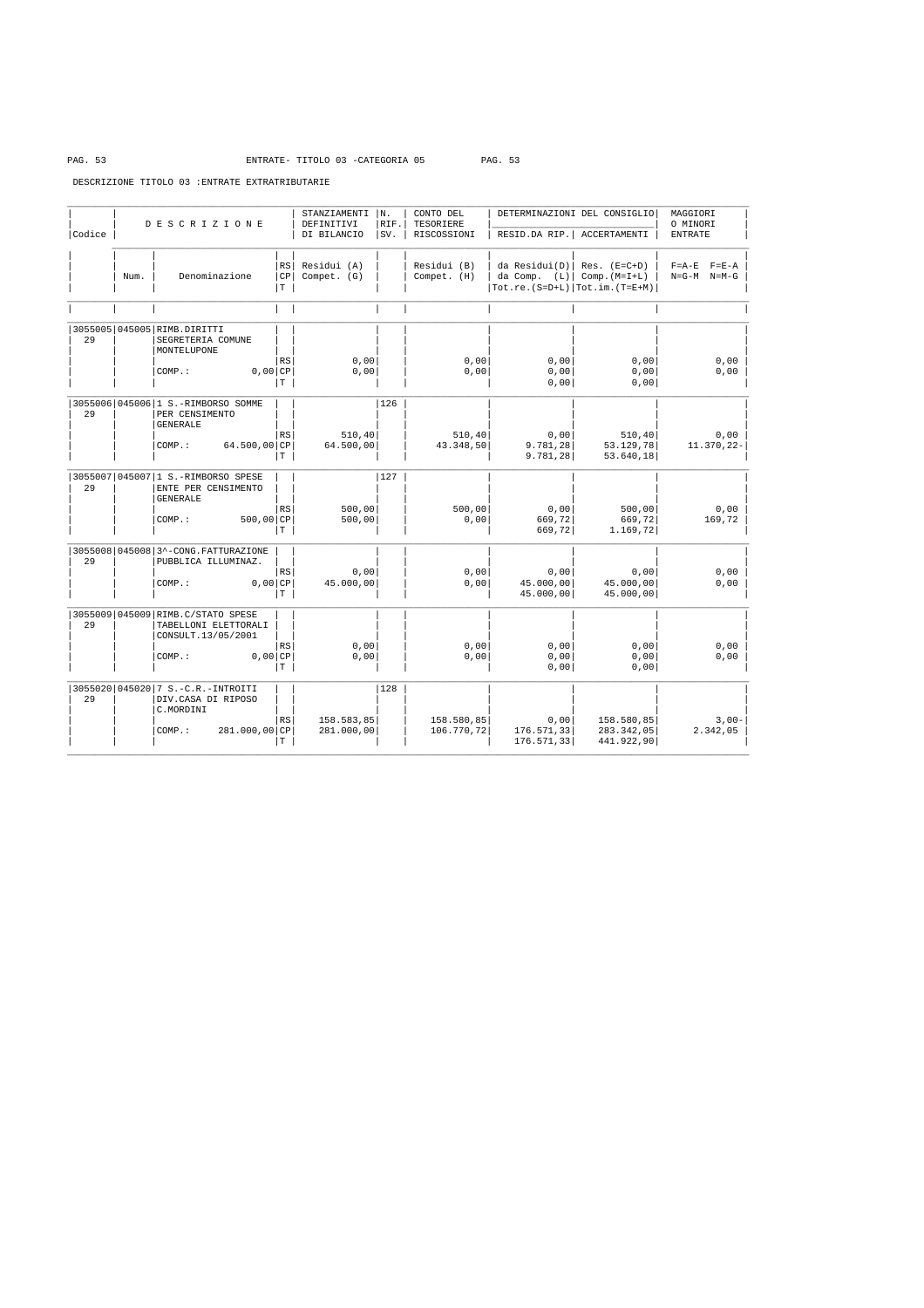### PAG. 53 ENTRATE- TITOLO 03 -CATEGORIA 05 PAG. 53

| Codice |      | DESCRIZIONE                                                                              |                        | STANZIAMENTI<br>DEFINITIVI<br>DI BILANCIO | IN.<br>RIF.<br> sv. | CONTO DEL<br>TESORIERE<br>RISCOSSIONI |                                   | DETERMINAZIONI DEL CONSIGLIO<br>RESID.DA RIP.   ACCERTAMENTI                                               | MAGGIORI<br>O MINORI<br><b>ENTRATE</b>             |
|--------|------|------------------------------------------------------------------------------------------|------------------------|-------------------------------------------|---------------------|---------------------------------------|-----------------------------------|------------------------------------------------------------------------------------------------------------|----------------------------------------------------|
|        | Num. | Denominazione                                                                            | $_{\rm RS}$<br>CP<br>T | Residui (A)<br>Compet. (G)                |                     | Residui (B)<br>Compet. (H)            |                                   | da Residui(D)   Res. $(E=C+D)$<br>da Comp. $(L)  $ Comp. $(M=I+L)$<br>$ Tot.re.(S=D+L)   Tot.in.(T=E+M)  $ | $F = A - E$ $F = E - A$<br>$N = G - M$ $N = M - G$ |
|        |      |                                                                                          |                        |                                           |                     |                                       |                                   |                                                                                                            |                                                    |
| 29     |      | 3055005 045005 RIMB. DIRITTI<br>SEGRETERIA COMUNE<br>MONTELUPONE<br>$0,00$  CP<br>COMP.: | RS<br>T.               | 0,00<br>0,00                              |                     | 0,00<br>0,00                          | 0,00<br>0,00<br>0,00              | 0,00<br>0,00<br>0,00                                                                                       | 0,00<br>0,00                                       |
|        |      | 3055006 045006 1 S.-RIMBORSO SOMME                                                       |                        |                                           | 126                 |                                       |                                   |                                                                                                            |                                                    |
| 29     |      | PER CENSIMENTO<br><b>GENERALE</b>                                                        |                        |                                           |                     |                                       |                                   |                                                                                                            |                                                    |
|        |      | 64.500,00 CP<br>COMP.:                                                                   | RS<br>T                | 510, 40<br>64.500,00                      |                     | 510, 40<br>43.348,50                  | 0,00<br>9.781, 28<br>9.781, 28    | 510, 40<br>53.129,78<br>53.640,18                                                                          | 0,00<br>11.370,22-                                 |
| 29     |      | 3055007   045007   1 S. - RIMBORSO SPESE<br>ENTE PER CENSIMENTO                          |                        |                                           | 127                 |                                       |                                   |                                                                                                            |                                                    |
|        |      | <b>GENERALE</b><br>500,00 CP<br>COMP.:                                                   | RS<br>T.               | 500,00<br>500,00                          |                     | 500,00<br>0,00                        | 0,00<br>669,72<br>669,72          | 500,00<br>669,72<br>1.169, 72                                                                              | 0,00<br>169,72                                     |
| 29     |      | 3055008   045008   3^-CONG. FATTURAZIONE<br>PUBBLICA ILLUMINAZ.                          |                        |                                           |                     |                                       |                                   |                                                                                                            |                                                    |
|        |      | $0,00$  CP<br>COMP.:                                                                     | <b>RS</b><br>ΙT.       | 0,00<br>45.000,00                         |                     | 0,00<br>0,00                          | 0,00<br>45.000,00<br>45.000,00    | 0,00<br>45.000,00<br>45.000,00                                                                             | 0,00<br>0,00                                       |
| 29     |      | 3055009 045009 RIMB.C/STATO SPESE<br>TABELLONI ELETTORALI<br>CONSULT.13/05/2001          |                        |                                           |                     |                                       |                                   |                                                                                                            |                                                    |
|        |      | COMP.:<br>$0,00$  CP                                                                     | RS<br>T.               | 0,00<br>0,00                              |                     | 0,00<br>0,00                          | 0,00<br>0,00<br>0,00              | 0,00<br>0,00<br>0,00                                                                                       | 0,00<br>0,00                                       |
| 29     |      | 3055020 045020 7 S.-C.R.-INTROITI<br>DIV.CASA DI RIPOSO<br>C.MORDINI                     |                        |                                           | 128                 |                                       |                                   |                                                                                                            |                                                    |
|        |      | COMP.:<br>281.000.00 CP                                                                  | RS<br>T.               | 158.583,85<br>281.000,00                  |                     | 158.580,85<br>106.770,72              | 0,00<br>176.571, 33<br>176.571,33 | 158.580,85<br>283.342,05<br>441.922,90                                                                     | $3,00-$<br>2.342,05                                |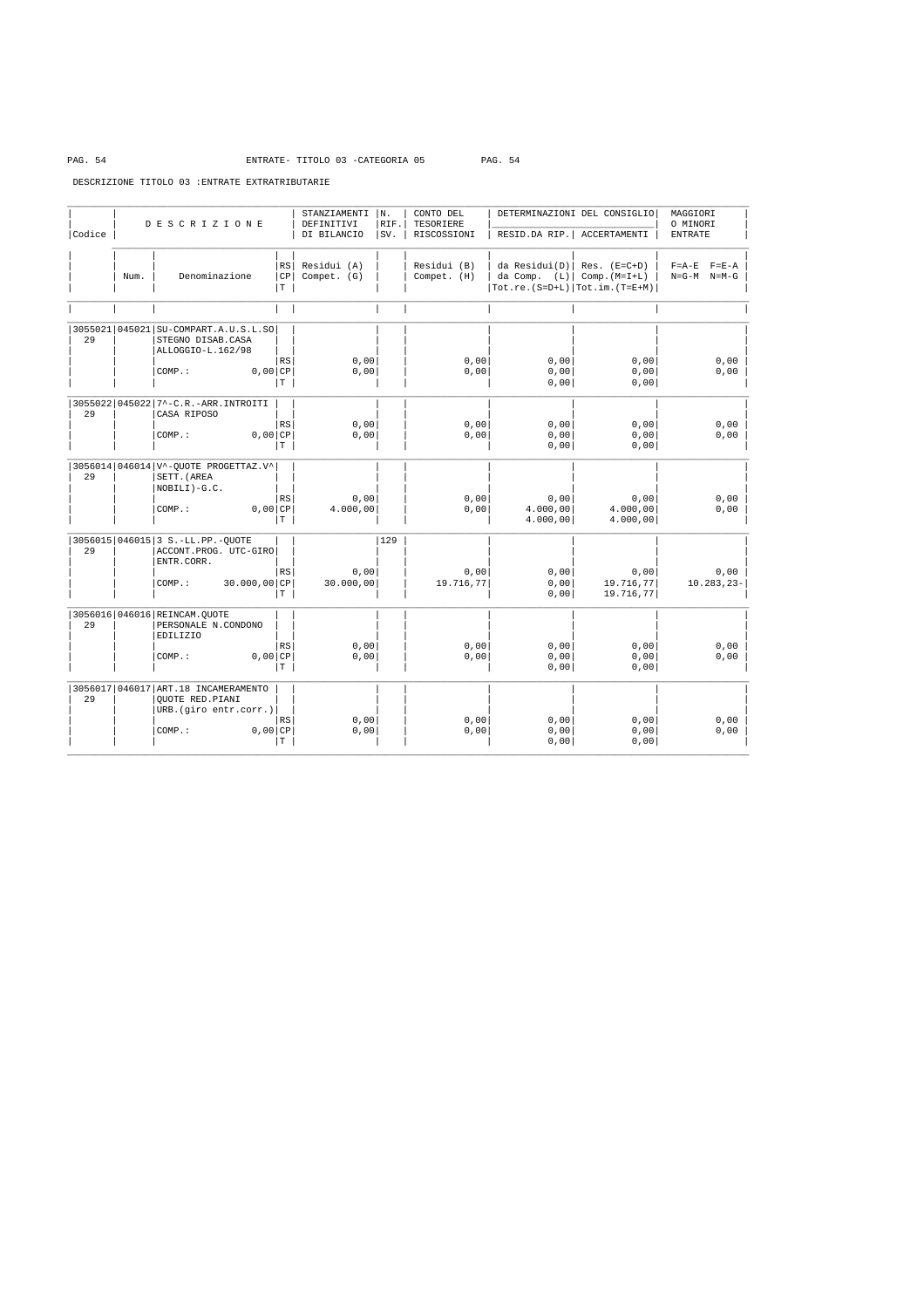### PAG. 54 ENTRATE- TITOLO 03 -CATEGORIA 05 PAG. 54

| Codice |      | DESCRIZIONE                                                                                                          |                  | STANZIAMENTI<br>DEFINITIVI<br>DI BILANCIO | IN.<br>RIF.<br> sv. | CONTO DEL<br>TESORIERE<br>RISCOSSIONI |                              | DETERMINAZIONI DEL CONSIGLIO<br>RESID.DA RIP.   ACCERTAMENTI                                               | MAGGIORI<br>O MINORI<br><b>ENTRATE</b>             |
|--------|------|----------------------------------------------------------------------------------------------------------------------|------------------|-------------------------------------------|---------------------|---------------------------------------|------------------------------|------------------------------------------------------------------------------------------------------------|----------------------------------------------------|
|        | Num. | Denominazione                                                                                                        | RS<br>CP<br>Г    | Residui (A)<br>Compet. (G)                |                     | Residui (B)<br>Compet. (H)            |                              | da Residui(D)   Res. $(E=C+D)$<br>da Comp. $(L)  $ Comp. $(M=I+L)$<br>$ Tot.re.(S=D+L)   Tot.in.(T=E+M)  $ | $F = A - E$ $F = E - A$<br>$N = G - M$ $N = M - G$ |
|        |      |                                                                                                                      |                  |                                           |                     |                                       |                              |                                                                                                            |                                                    |
| 29     |      | 3055021 045021 SU-COMPART.A.U.S.L.SO<br>STEGNO DISAB.CASA<br>ALLOGGIO-L.162/98<br>$0,00$  CP<br>COMP.:               | RS<br>T          | 0,00<br>0,00                              |                     | 0,00<br>0,00                          | 0,00<br>0,00<br>0,00         | 0,00<br>0,00<br>0,00                                                                                       | 0,00<br>0,00                                       |
| 29     |      | 3055022   045022   7^-C.R.-ARR. INTROITI<br>CASA RIPOSO<br>$0,00$  CP<br>COMP.:                                      | <b>RS</b><br>T   | 0,00<br>0,00                              |                     | 0,00<br>0,00                          | 0,00<br>0,00<br>0,00         | 0,00<br>0,00<br>0,00                                                                                       | 0,00<br>0,00                                       |
| 29     |      | 3056014   046014   V^-OUOTE PROGETTAZ.V^  <br>SETT. (AREA<br>$NOBILI$ )-G.C.<br>COMP.:<br>$0,00$  CP                 | <b>RS</b><br>l T | 0,00<br>4.000,00                          |                     | 0,00<br>0,00                          | 0,00<br>4.000,00<br>4.000,00 | 0,00<br>4.000,00<br>4.000,00                                                                               | 0,00<br>0,00                                       |
| 29     |      | 3056015   046015   3 S. - LL. PP. - QUOTE<br>ACCONT. PROG. UTC-GIRO<br>ENTR.CORR.<br>COMP.:<br>30.000,00 CP          | <b>RS</b><br>T.  | 0,00<br>30.000,00                         | 1129                | 0,00<br>19.716,77                     | 0,00<br>0,00<br>0,00         | 0,00<br>19.716,77<br>19.716,77                                                                             | 0,00<br>$10.283, 23 -$                             |
| 29     |      | 3056016   046016   REINCAM. QUOTE<br>PERSONALE N. CONDONO<br>EDILIZIO<br>0,00 CP<br>COMP.:                           | RS<br>T.         | 0,00<br>0,00                              |                     | 0,00<br>0,00                          | 0,00<br>0,00<br>0,00         | 0,00<br>0,00<br>0,00                                                                                       | 0,00<br>0,00                                       |
| 29     |      | 3056017   046017   ART.18 INCAMERAMENTO<br><b>OUOTE RED. PIANI</b><br>URB. (giro entr.corr.)<br>COMP.:<br>$0,00$  CP | RS<br>T.         | 0,00<br>0,00                              |                     | 0,00<br>0,00                          | 0,00<br>0,00<br>0,00         | 0,00<br>0,00<br>0,00                                                                                       | 0,00<br>0,00                                       |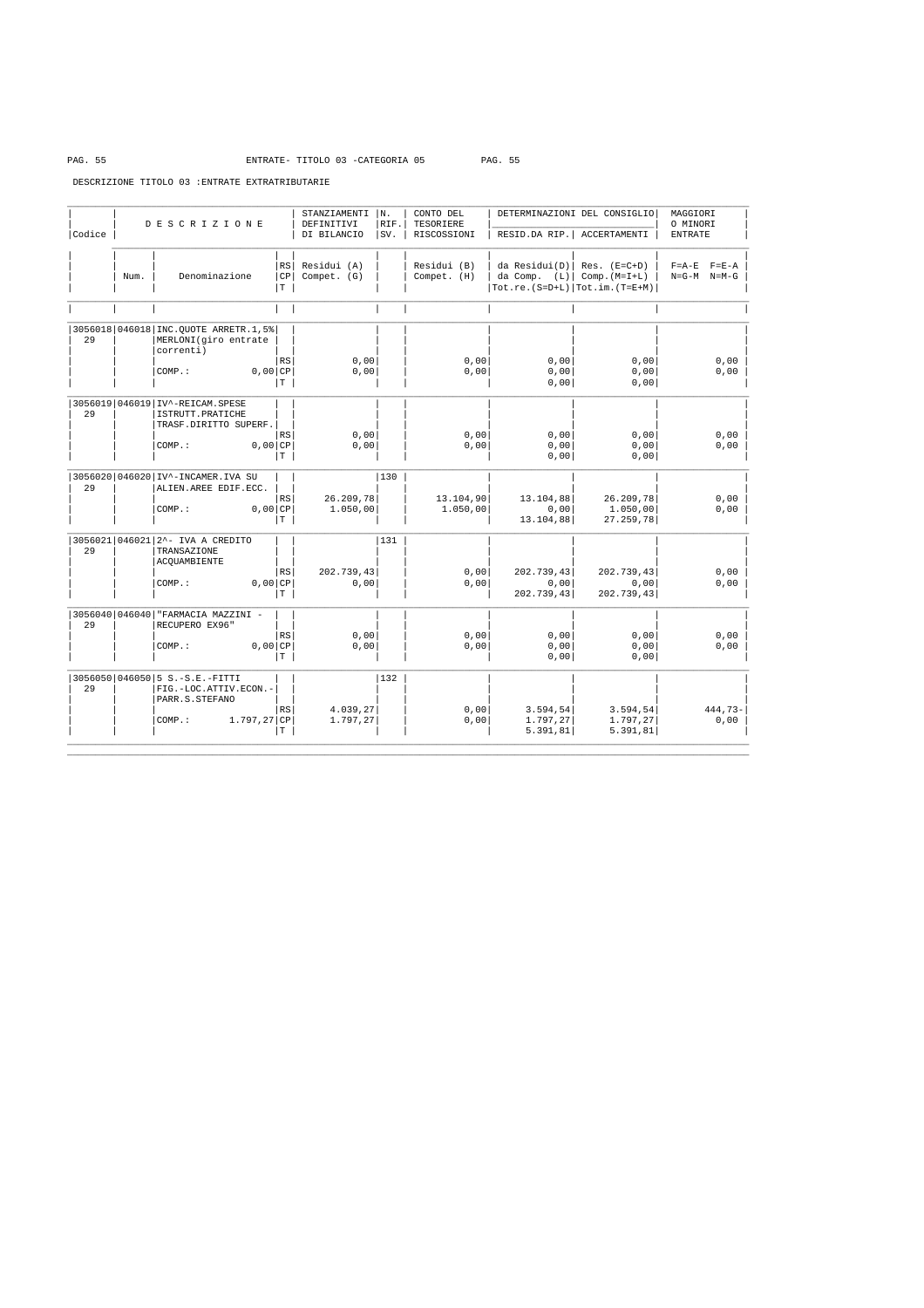### PAG. 55 ENTRATE- TITOLO 03 -CATEGORIA 05 PAG. 55

| Codice |      | DESCRIZIONE                                                                                                |                          | STANZIAMENTI   N.<br>DEFINITIVI<br>DI BILANCIO | RIF.<br> sv. | CONTO DEL<br>TESORIERE<br>RISCOSSIONI |                                     | DETERMINAZIONI DEL CONSIGLIO<br>RESID.DA RIP.   ACCERTAMENTI                                               | MAGGIORI<br>O MINORI<br><b>ENTRATE</b>             |
|--------|------|------------------------------------------------------------------------------------------------------------|--------------------------|------------------------------------------------|--------------|---------------------------------------|-------------------------------------|------------------------------------------------------------------------------------------------------------|----------------------------------------------------|
|        | Num. | Denominazione                                                                                              | RS<br>CP<br>TГ           | Residui (A)<br>Compet. (G)                     |              | Residui (B)<br>Compet. (H)            |                                     | da Residui(D)   Res. $(E=C+D)$<br>da Comp. $(L)  $ Comp. $(M=I+L)$<br>$ Tot.re.(S=D+L)   Tot.in.(T=E+M)  $ | $F = A - E$ $F = E - A$<br>$N = G - M$ $N = M - G$ |
|        |      |                                                                                                            |                          |                                                |              |                                       |                                     |                                                                                                            |                                                    |
| 29     |      | 3056018   046018   INC. OUOTE ARRETR. 1, 5%  <br>MERLONI(giro entrate<br>correnti)<br>COMP.:<br>$0,00$  CP | RS<br>T.                 | 0,00<br>0,00                                   |              | 0,00<br>0,00                          | 0,00<br>0,00<br>0,00                | 0,00<br>0,00<br>0,00                                                                                       | 0,00<br>0,00                                       |
| 29     |      | 3056019   046019   IV^-REICAM. SPESE<br>ISTRUTT.PRATICHE<br>TRASF.DIRITTO SUPERF.<br>$0,00$  CP<br>COMP.:  | RS<br>T.                 | 0,00<br>0,00                                   |              | 0,00<br>0,00                          | 0,00<br>0,00<br>0,00                | 0,00<br>0,00<br>0,00                                                                                       | 0,00<br>0,00                                       |
| 29     |      | 3056020   046020   IV^-INCAMER. IVA SU<br>ALIEN.AREE EDIF.ECC.<br>$0,00$  CP<br>COMP.:                     | <b>RS</b><br>l T         | 26.209,78<br>1.050,00                          | 130          | 13.104,90<br>1.050,00                 | 13.104,88<br>0,00<br>13.104,88      | 26.209,78<br>1.050,00<br>27.259,78                                                                         | 0,00<br>0,00                                       |
| 29     |      | 3056021 046021 2^- IVA A CREDITO<br>TRANSAZIONE<br><b>ACQUAMBIENTE</b><br>$0,00$  CP<br>COMP.:             | RS I<br>IΤ.              | 202.739,43<br>0,00                             | 131          | 0,00<br>0,00                          | 202.739,43<br>0,00<br>202.739,43    | 202.739,43<br>0,00<br>202.739,43                                                                           | 0,00<br>0,00                                       |
| 29     |      | 3056040 046040   "FARMACIA MAZZINI -<br>RECUPERO EX96"<br>$0,00$  CP<br>COMP.:                             | l RS<br>T.               | 0,00<br>0,00                                   |              | 0.00<br>0,00                          | 0,00<br>0,00<br>0,00                | 0.00<br>0,00<br>0,00                                                                                       | 0.00<br>0,00                                       |
| 29     |      | 3056050   046050   5 S.-S.E.-FITTI<br>FIG.-LOC.ATTIV.ECON.-<br>PARR.S. STEFANO<br>1.797, 27 CP <br>COMP.:  | <b>RS</b><br>$\mathbb T$ | 4.039,27<br>1.797,27                           | 132          | 0.00<br>0,00                          | 3.594, 54<br>1.797, 27<br>5.391, 81 | 3.594, 54<br>1.797, 27<br>5.391, 81                                                                        | $444.73-$<br>0,00                                  |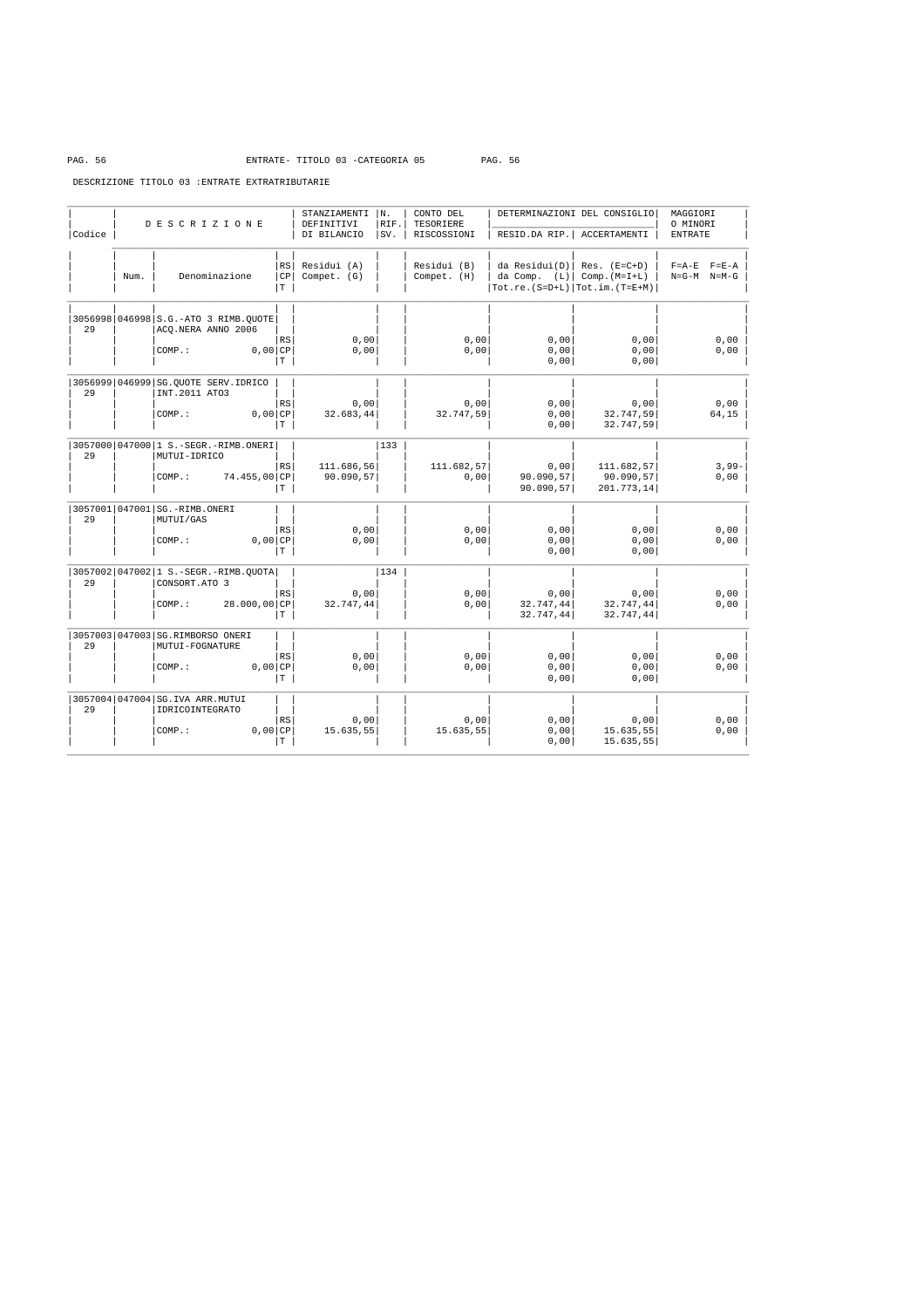### PAG. 56 ENTRATE- TITOLO 03 -CATEGORIA 05 PAG. 56

| Codice |      | DESCRIZIONE                                                                                          |             | STANZIAMENTI<br>DEFINITIVI<br>DI BILANCIO | IN.<br>RIF.<br>SV. | CONTO DEL<br>TESORIERE<br>RISCOSSIONI |                        | DETERMINAZIONI DEL CONSIGLIO<br>RESID.DA RIP.   ACCERTAMENTI                                               | MAGGIORI<br>O MINORI<br><b>ENTRATE</b>             |
|--------|------|------------------------------------------------------------------------------------------------------|-------------|-------------------------------------------|--------------------|---------------------------------------|------------------------|------------------------------------------------------------------------------------------------------------|----------------------------------------------------|
|        | Num. | Denominazione<br>TГ                                                                                  | RS<br>CP    | Residui (A)<br>Compet. (G)                |                    | Residui (B)<br>Compet. (H)            |                        | da Residui(D)   Res. $(E=C+D)$<br>da Comp. $(L)  $ Comp. $(M=I+L)$<br>$ Tot.re.(S=D+L)   Tot.in.(T=E+M)  $ | $F = A - E$ $F = E - A$<br>$N = G - M$ $N = M - G$ |
| 29     |      | 3056998   046998   S.G.-ATO 3 RIMB. QUOTE<br>ACO.NERA ANNO 2006<br>$0.00$ <sub>c</sub> $P$<br>COMP.: | RS          | 0,00<br>0,00                              |                    | 0,00<br>0,00                          | 0,00<br>0,00           | 0,00<br>0.001                                                                                              | 0,00<br>0,00                                       |
| 29     |      | 3056999   046999   SG. OUOTE SERV. IDRICO<br>INT.2011 AT03                                           | T.          |                                           |                    |                                       | 0,00                   | 0,00                                                                                                       |                                                    |
|        |      | $0,00$  CP<br>COMP.:                                                                                 | RS<br>T.    | 0,00<br>32.683,44                         |                    | 0,00<br>32.747,59                     | 0,00<br>0,00<br>0,00   | 0,00<br>32.747,59<br>32.747,59                                                                             | 0,00<br>64,15                                      |
| 29     |      | 3057000   047000   1 S. - SEGR. - RIMB. ONERI<br>MUTUI-IDRICO<br>COMP.:<br>74.455,00 CP              | RS          | 111.686,56<br>90.090,57                   | 133                | 111.682,57<br>0,00                    | 0,00<br>90.090, 57     | 111.682,57<br>90.090, 57                                                                                   | $3,99-$<br>0,00                                    |
|        |      |                                                                                                      | T.          |                                           |                    |                                       | 90.090, 57             | 201.773, 14                                                                                                |                                                    |
| 29     |      | 3057001   047001   SG. - RIMB. ONERI<br>MUTUI/GAS<br>$0.00$ <sub>c</sub> $P$<br>COMP:                | RS<br>T.    | 0,00<br>0,00                              |                    | 0,00<br>0,00                          | 0,00<br>0,00<br>0,00   | 0,00<br>0,00<br>0,00                                                                                       | 0,00<br>0,00                                       |
| 29     |      | 3057002   047002   1 S. - SEGR. - RIMB. OUOTA  <br>CONSORT.ATO 3                                     | RS.         | 0,00                                      | $134$              | 0,00                                  | 0.00                   | 0,00                                                                                                       | 0,00                                               |
|        |      | 28.000,00 CP<br>COMP.:                                                                               | $\mathbb T$ | 32.747,44                                 |                    | 0,00                                  | 32.747,44<br>32.747,44 | 32.747,44<br>32.747,44                                                                                     | 0,00                                               |
| 29     |      | 3057003 047003 SG.RIMBORSO ONERI<br>MUTUI-FOGNATURE<br>$0,00$  CP<br>COMP.:                          | RS<br>T.    | 0,00<br>0,00                              |                    | 0,00<br>0,00                          | 0,00<br>0,00<br>0,00   | 0,00<br>0,00<br>0,00                                                                                       | 0,00<br>0,00                                       |
| 29     |      | 3057004   047004   SG. IVA ARR. MUTUI<br>IDRICOINTEGRATO<br>$0.00$ <sub>c</sub> $P$<br>COMP.:        | RS<br>T.    | 0,00<br>15.635,55                         |                    | 0,00<br>15.635,55                     | 0,00<br>0,00<br>0,00   | 0,00<br>15.635,55<br>15.635,55                                                                             | 0,00<br>0,00                                       |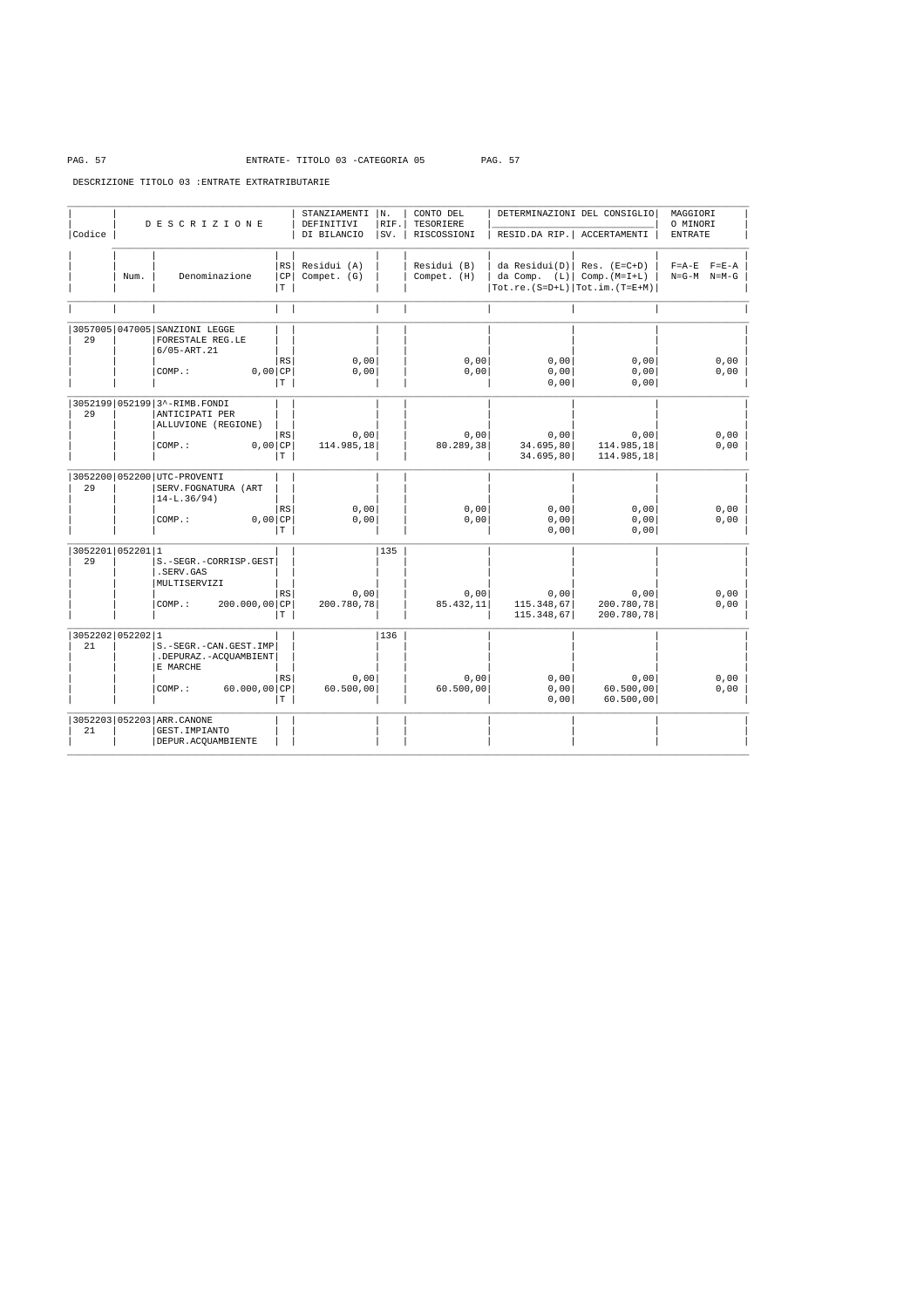### PAG. 57 ENTRATE- TITOLO 03 -CATEGORIA 05 PAG. 57

| Codice                   |      | DESCRIZIONE                                                                                               |                 | STANZIAMENTI<br>DEFINITIVI<br>DI BILANCIO | IN.<br>RIF.<br> sv. | CONTO DEL<br>TESORIERE<br>RISCOSSIONI |                                  | DETERMINAZIONI DEL CONSIGLIO<br>RESID.DA RIP.   ACCERTAMENTI                                               | MAGGIORI<br>O MINORI<br><b>ENTRATE</b>             |
|--------------------------|------|-----------------------------------------------------------------------------------------------------------|-----------------|-------------------------------------------|---------------------|---------------------------------------|----------------------------------|------------------------------------------------------------------------------------------------------------|----------------------------------------------------|
|                          | Num. | Denominazione                                                                                             | RS<br>CP<br>T   | Residui (A)<br>Compet. (G)                |                     | Residui (B)<br>Compet. (H)            |                                  | da Residui(D)   Res. $(E=C+D)$<br>da Comp. $(L)  $ Comp. $(M=I+L)$<br>$ Tot.re.(S=D+L)   Tot.in.(T=E+M)  $ | $F = A - E$ $F = E - A$<br>$N = G - M$ $N = M - G$ |
|                          |      |                                                                                                           |                 |                                           |                     |                                       |                                  |                                                                                                            |                                                    |
| 29                       |      | 3057005 047005 SANZIONI LEGGE<br>FORESTALE REG.LE<br>$6/05 - ART.21$<br>$0,00$  CP<br>COMP.:              | RS<br>T.        | 0,00<br>0,00                              |                     | 0,00<br>0,00                          | 0,00<br>0,00<br>0,00             | 0,00<br>0,00<br>0,00                                                                                       | 0,00<br>0,00                                       |
| 29                       |      | 3052199 052199 3^-RIMB. FONDI<br>ANTICIPATI PER<br>ALLUVIONE (REGIONE)<br>$0,00$  CP<br>COMP.:            | RS<br>T.        | 0,00<br>114.985,18                        |                     | 0,00<br>80.289,38                     | 0,00<br>34.695,80<br>34.695,80   | 0,00<br>114.985,18<br>114.985,18                                                                           | 0,00<br>0,00                                       |
| 29                       |      | 3052200 052200 UTC-PROVENTI<br>SERV. FOGNATURA (ART<br>$14-L.36/94)$<br>$0.00$ <sub>c</sub> $P$<br>COMP.: | RS<br>T.        | 0,00<br>0,00                              |                     | 0,00<br>0,00                          | 0,00<br>0,00<br>0,00             | 0,00<br>0,00<br>0,00                                                                                       | 0,00<br>0,00                                       |
| 3052201 052201   1<br>29 |      | S.-SEGR.-CORRISP.GEST<br>.SERV.GAS<br>MULTISERVIZI<br>200.000,00 CP<br>COMP.:                             | <b>RS</b><br>T. | 0,00<br>200.780,78                        | 135                 | 0,00<br>85.432,11                     | 0,00<br>115.348,67<br>115.348,67 | 0,00<br>200.780,78<br>200.780,78                                                                           | 0,00<br>0,00                                       |
| 3052202 052202 1<br>21   |      | S. - SEGR. - CAN. GEST. IMP<br>.DEPURAZ.-ACQUAMBIENT<br>E MARCHE<br>COMP.:<br>$60.000,00$ CP              | RS<br>T.        | 0,00<br>60.500,00                         | 136                 | 0,00<br>60.500,00                     | 0,00<br>0,00<br>0,00             | 0,00<br>60.500,00<br>60.500,00                                                                             | 0,00<br>0,00                                       |
| 21                       |      | 3052203   052203   ARR. CANONE<br>GEST. IMPIANTO<br>DEPUR.ACQUAMBIENTE                                    |                 |                                           |                     |                                       |                                  |                                                                                                            |                                                    |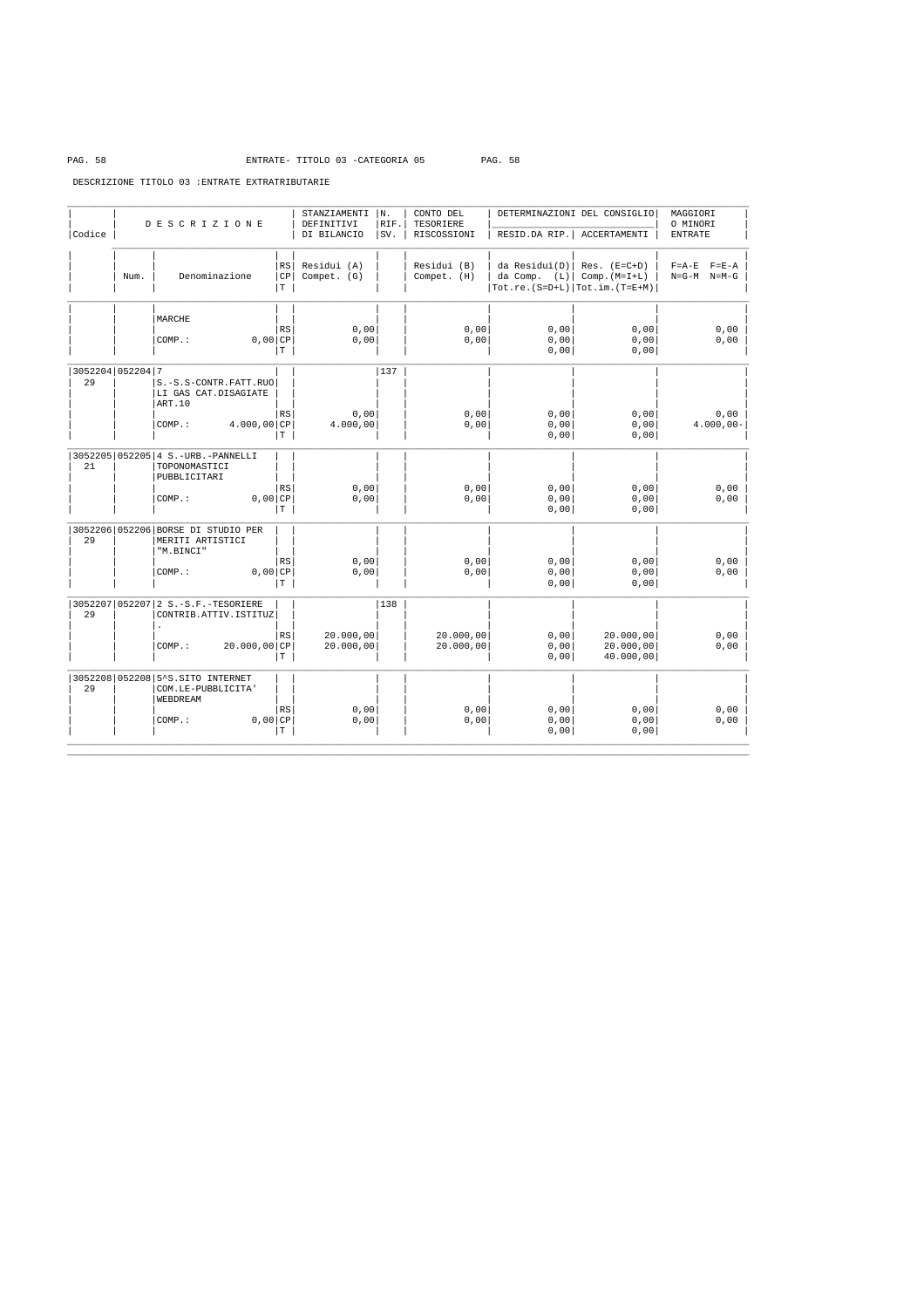### PAG. 58 ENTRATE- TITOLO 03 -CATEGORIA 05 PAG. 58

| Codice                     |      | DESCRIZIONE                                                                                                    |                        | STANZIAMENTI<br>DEFINITIVI<br>DI BILANCIO | IN.<br>RIF.<br>ISV. | CONTO DEL<br>TESORIERE<br>RISCOSSIONI |                      | DETERMINAZIONI DEL CONSIGLIO<br>RESID.DA RIP.   ACCERTAMENTI                                               | MAGGIORI<br>O MINORI<br><b>ENTRATE</b>             |
|----------------------------|------|----------------------------------------------------------------------------------------------------------------|------------------------|-------------------------------------------|---------------------|---------------------------------------|----------------------|------------------------------------------------------------------------------------------------------------|----------------------------------------------------|
|                            | Num. | Denominazione                                                                                                  | $_{\rm RS}$<br>CP<br>Г | Residui (A)<br>Compet. (G)                |                     | Residui (B)<br>Compet. (H)            |                      | da Residui(D)   Res. $(E=C+D)$<br>da Comp. $(L)  $ Comp. $(M=I+L)$<br>$ Tot.re.(S=D+L)   Tot.in.(T=E+M)  $ | $F = A - E$ $F = E - A$<br>$N = G - M$ $N = M - G$ |
|                            |      | MARCHE<br>$0,00$  CP<br>COMP.:                                                                                 | RS<br>T.               | 0,00<br>0,00                              |                     | 0,00<br>0,00                          | 0,00<br>0,00<br>0,00 | 0,00<br>0,00<br>0,00                                                                                       | 0.00<br>0,00                                       |
| 3052204   052204   7<br>29 |      | S.-S.S-CONTR.FATT.RUO<br>LI GAS CAT.DISAGIATE<br>ART. 10<br>COMP.:<br>$4.000,00$ CP                            | <b>RS</b><br>T.        | 0,00<br>4.000,00                          | 137                 | 0,00<br>0,00                          | 0,00<br>0,00<br>0,00 | 0,00<br>0,00<br>0,00                                                                                       | 0,00<br>$4.000,00 -$                               |
| 21                         |      | 3052205   052205   4 S. - URB. - PANNELLI<br>TOPONOMASTICI<br>PUBBLICITARI<br>$0,00$ <sub>CP</sub><br>COMP.:   | RS<br>$\mathbb T$      | 0,00<br>0,00                              |                     | 0,00<br>0,00                          | 0,00<br>0,00<br>0,00 | 0,00<br>0,00<br>0,00                                                                                       | 0,00<br>0,00                                       |
| 29                         |      | 3052206 052206 BORSE DI STUDIO PER<br>MERITI ARTISTICI<br>"M.BINCI"<br>$0,00$  CP<br>COMP.:                    | RS<br>T.               | 0,00<br>0,00                              |                     | 0,00<br>0,00                          | 0,00<br>0,00<br>0,00 | 0,00<br>0,00<br>0,00                                                                                       | 0,00<br>0,00                                       |
| 29                         |      | 3052207   052207   2 S. - S. F. - TESORIERE<br>CONTRIB.ATTIV.ISTITUZ<br>$\mathbf{r}$<br>20.000,00 CP<br>COMP.: | RS<br>T                | 20.000,00<br>20.000,00                    | 138                 | 20.000,00<br>20.000,00                | 0,00<br>0,00<br>0,00 | 20.000,00<br>20.000,00<br>40.000,00                                                                        | 0.00<br>0,00                                       |
| 29                         |      | 3052208   052208   5^S. SITO INTERNET<br>COM.LE-PUBBLICITA'<br>WEBDREAM<br>$0,00$  CP<br>COMP.:                | RS<br>$\mathbb T$      | 0,00<br>0,00                              |                     | 0,00<br>0,00                          | 0,00<br>0,00<br>0,00 | 0,00<br>0,00<br>0,00                                                                                       | 0.00<br>0,00                                       |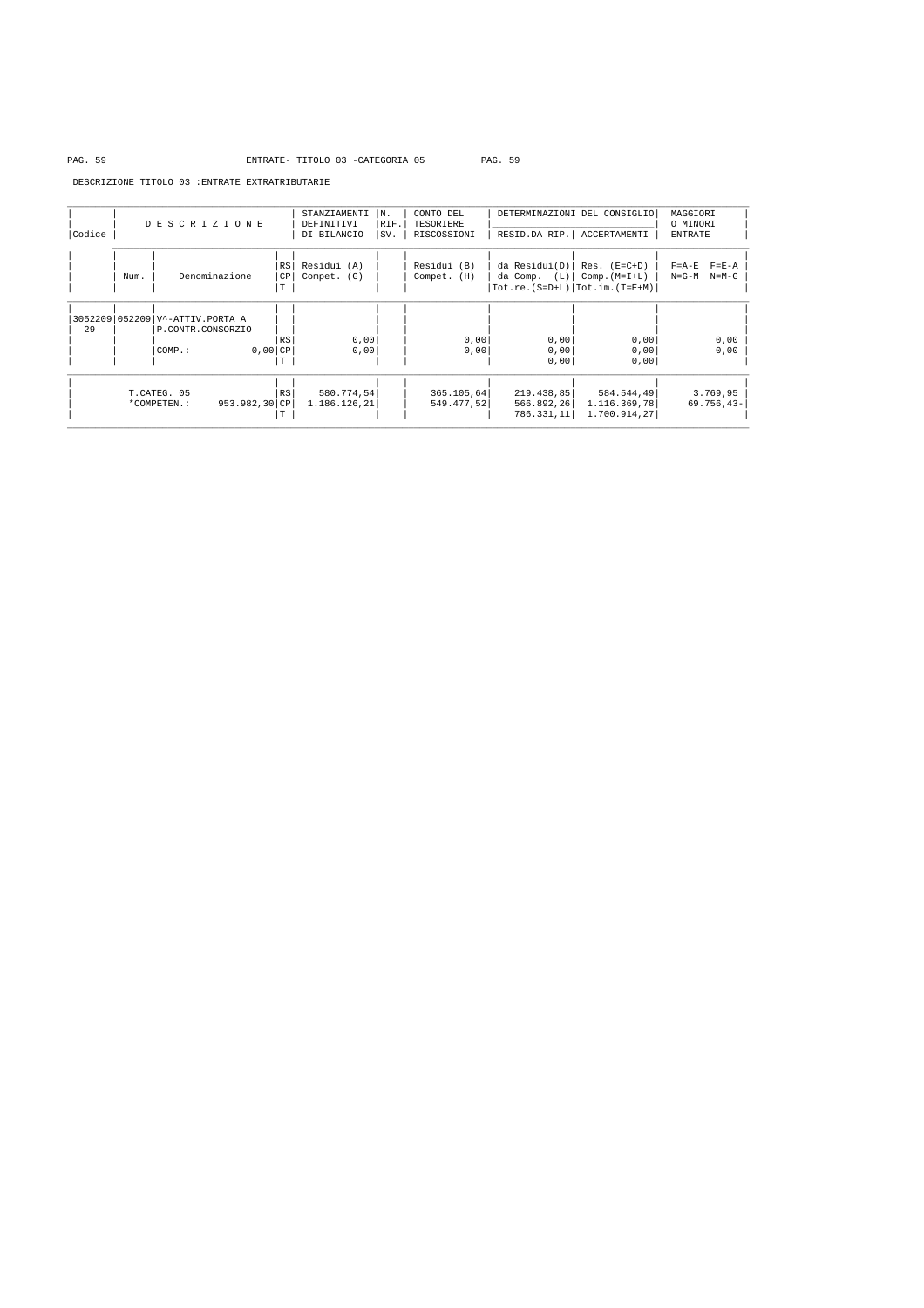### PAG. 59 ENTRATE- TITOLO 03 -CATEGORIA 05 PAG. 59 DESCRIZIONE TITOLO 03 :ENTRATE EXTRATRIBUTARIE

| Codice |      | D E S C R T Z T O N E                                                        |                          | N.<br>STANZIAMENTI<br>DEFINITIVI<br>RIF.<br>SV.<br>DI BILANCIO | CONTO DEL<br>TESORIERE<br>RISCOSSIONI | DETERMINAZIONI DEL CONSIGLIO<br>RESID.DA RIP. ACCERTAMENTI             |                                            | MAGGIORI<br>O MINORI<br><b>ENTRATE</b>            |
|--------|------|------------------------------------------------------------------------------|--------------------------|----------------------------------------------------------------|---------------------------------------|------------------------------------------------------------------------|--------------------------------------------|---------------------------------------------------|
|        | Num. | Denominazione                                                                | RS<br>CP<br>Т            | Residui (A)<br>$Compet.$ (G)                                   | Residui (B)<br>Compet. (H)            | da Residui(D)<br>da Comp. $(L)$<br>$Tot.re.(S=D+L)   Tot.in.(T=E+M)  $ | $Res.$ $(E=C+D)$<br>$Comp.(M=I+L)$         | $F = A - E$ $F = E - A$<br>$N = G - M$<br>$N=M-G$ |
| 29     |      | 3052209 052209 V <sup>*</sup> -ATTIV. PORTA A<br>P.CONTR.CONSORZIO<br>COMP.: | RS<br>0,00 CP<br>т       | 0,00<br>0,00                                                   | 0,00<br>0,00                          | 0,00<br>0,00<br>0,00                                                   | 0,00<br>0,00<br>0,00                       | 0,00<br>0,00                                      |
|        |      | T.CATEG. 05<br>*COMPETEN.:                                                   | RS<br>953.982.30 CP<br>т | 580.774,54<br>1.186.126,21                                     | 365.105,64<br>549.477,52              | 219.438,85<br>566.892,26<br>786.331,11                                 | 584.544,49<br>1.116.369,78<br>1.700.914,27 | 3.769,95<br>$69.756, 43-$                         |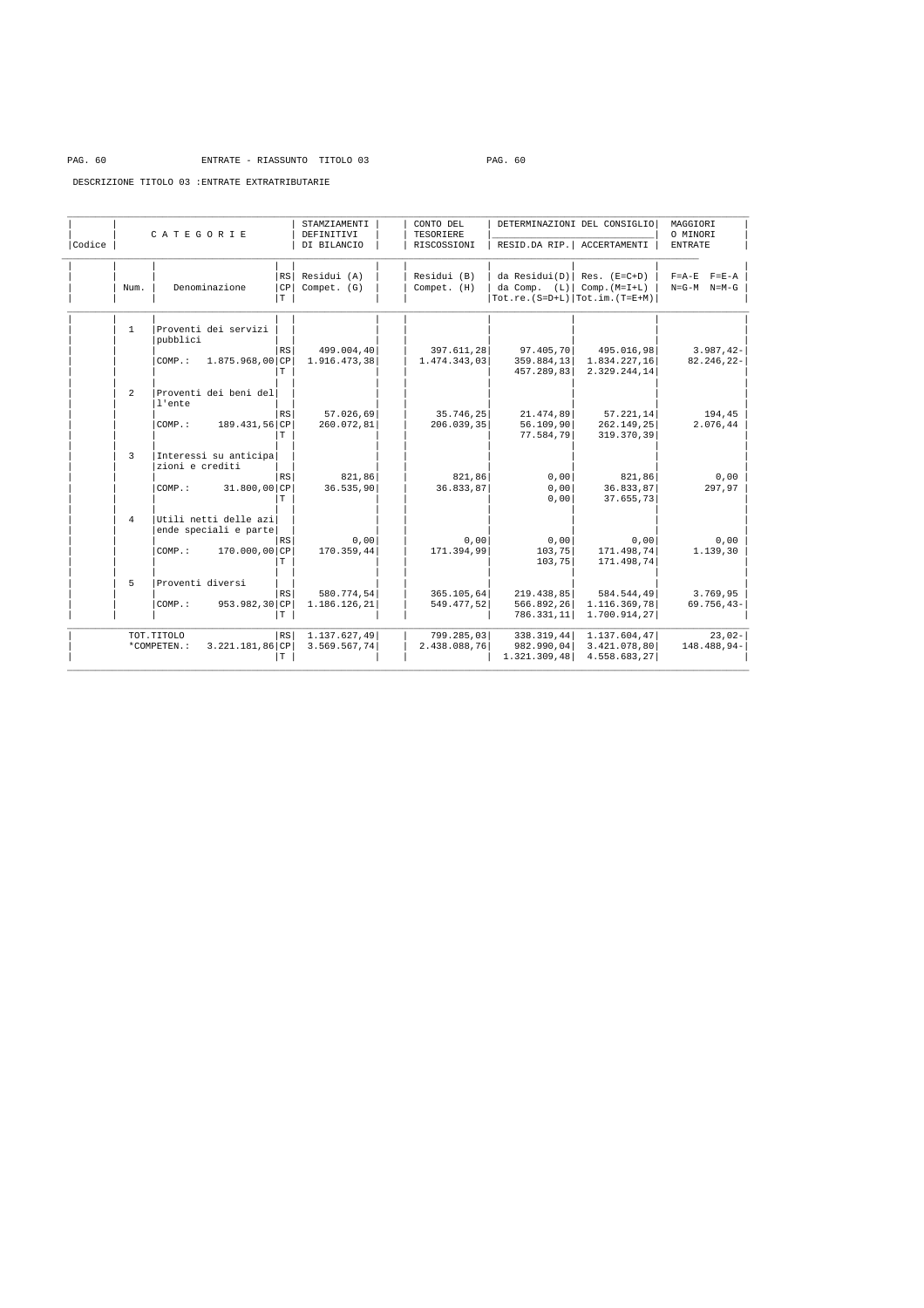### PAG. 60 ENTRATE - RIASSUNTO TITOLO 03 PAG. 60

| Codice |                | CATEGORIE                                                                       | STAMZIAMENTI<br>DEFINITIVI<br>DI BILANCIO | CONTO DEL<br>TESORIERE<br>RISCOSSIONI | DETERMINAZIONI DEL CONSIGLIO<br>RESID.DA RIP.   ACCERTAMENTI                                             | MAGGIORI<br>O MINORI<br><b>ENTRATE</b>             |
|--------|----------------|---------------------------------------------------------------------------------|-------------------------------------------|---------------------------------------|----------------------------------------------------------------------------------------------------------|----------------------------------------------------|
|        | Num.           | Denominazione<br>$\mathbf T$                                                    | Residui (A)<br>RS<br>CP<br>Compet. (G)    | Residui (B)<br>Compet. (H)            | da Residui(D)   Res. $(E=C+D)$<br>da Comp. $(L)$ Comp. $(M=I+L)$<br>$ Tot.re.(S=D+L)   Tot.in.(T=E+M)  $ | $F = A - E$ $F = E - A$<br>$N = G - M$ $N = M - G$ |
|        | $\mathbf{1}$   | Proventi dei servizi<br> pubblici<br>1.875.968,00 CP <br>COMP.:                 | RS I<br>499.004,40<br>1.916.473,38        | 397.611,28<br>1.474.343.03            | 97.405,70<br>495.016,98<br>359.884,13<br>1.834.227,16<br>457.289.83<br>2.329.244.14                      | $3.987, 42-$<br>$82.246, 22 -$                     |
|        | $\overline{a}$ | Proventi dei beni del <br>ll'ente<br>189.431,56 CP<br>COMP.:                    | RS<br>57.026,69<br>260.072,81             | 35.746,25<br>206.039, 35              | 21.474,89<br>57.221, 14<br>56.109,90<br>262.149,25<br>77.584,79<br>319.370,39                            | 194,45<br>2.076,44                                 |
|        | 3              | Interessi su anticipa<br>zioni e crediti<br>31.800.00 CP<br>COMP.:              | 821,86<br>RS<br>36.535.90                 | 821,86<br>36.833.87                   | 821,86<br>0,00<br>0,00<br>36.833.87<br>0,00<br>37.655.73                                                 | 0.00<br>297,97                                     |
|        | $\overline{4}$ | Utili netti delle azi<br>ende speciali e parte<br>170.000.00 CP<br>COMP.:<br>T. | 0.00<br>RS<br>170.359,44                  | 0.00<br>171.394,99                    | 0,00<br>0.00<br>103,75<br>171.498,74<br>103,75<br>171.498,74                                             | 0.00<br>1.139,30                                   |
|        | 5              | Proventi diversi<br>953.982,30 CP<br>COMP:                                      | RS.<br>580.774,54<br>1.186.126,21<br>T.   | 365.105,64<br>549.477,52              | 219.438,85<br>584.544,49<br>566.892,26<br>1.116.369,78<br>786.331,11<br>1.700.914,27                     | 3.769,95<br>$69.756, 43 -$                         |
|        |                | TOT.TITOLO<br>3.221.181.86 CP<br>*COMPETEN.:<br>т                               | 1.137.627,49<br> RS <br>3.569.567.74      | 799.285.03<br>2.438.088,76            | 1.137.604, 47<br>338.319.44<br>982.990.04<br>3.421.078.80<br>1.321.309,48<br>4.558.683,27                | $23.02 -$<br>148.488.94-                           |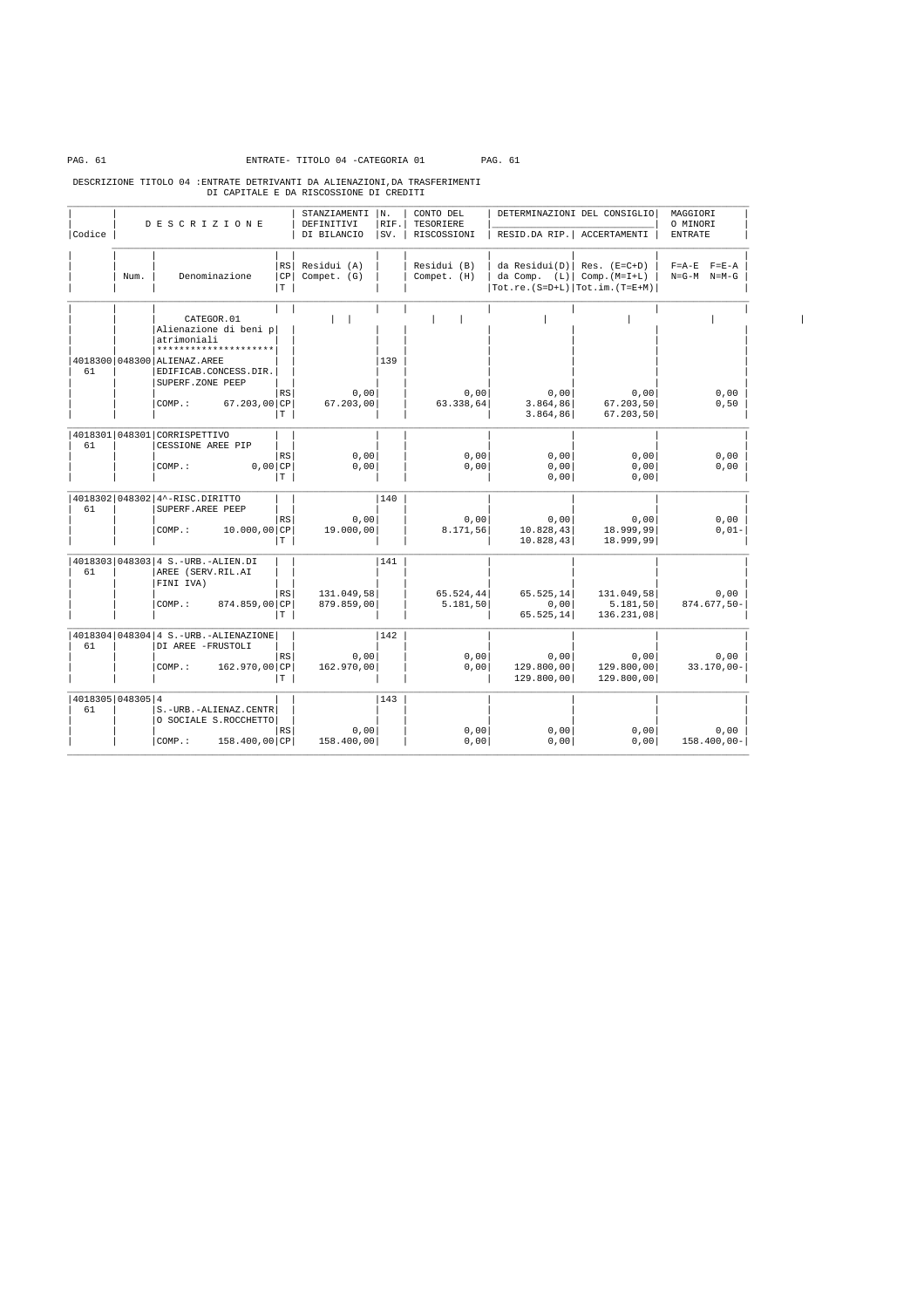| Codice                     |      | <b>DESCRIZIONE</b>                                                                                                                                                                                          | STANZIAMENTI<br>DEFINITIVI<br>DI BILANCIO | İΝ.<br>RIF.<br>SV. | CONTO DEL<br>TESORIERE<br>RISCOSSIONI |                                                                    | DETERMINAZIONI DEL CONSIGLIO<br>RESID.DA RIP.   ACCERTAMENTI | MAGGIORI<br>O MINORI<br><b>ENTRATE</b>             |
|----------------------------|------|-------------------------------------------------------------------------------------------------------------------------------------------------------------------------------------------------------------|-------------------------------------------|--------------------|---------------------------------------|--------------------------------------------------------------------|--------------------------------------------------------------|----------------------------------------------------|
|                            | Num. | RS<br>Denominazione<br>CP<br>$\mathbb T$                                                                                                                                                                    | Residui (A)<br>Compet. (G)                |                    | Residui (B)<br>Compet. (H)            | da Residui(D)   Res. $(E=C+D)$<br>da Comp. $(L)  $ Comp. $(M=I+L)$ | $ Tot.re.(S=D+L)   Tot.in.(T=E+M)  $                         | $F = A - E$ $F = E - A$<br>$N = G - M$ $N = M - G$ |
| 61                         |      | CATEGOR.01<br>Alienazione di beni p<br>atrimoniali<br>*********************<br>4018300   048300   ALIENAZ.AREE<br>EDIFICAB.CONCESS.DIR.<br>SUPERF. ZONE PEEP<br>RS<br>67.203,00 CP<br>COMP.:<br>$\mathbb T$ | 0,00<br>67.203,00                         | 139                | 0,00<br>63.338,64                     | 0,00<br>3.864,86<br>3.864, 86                                      | 0,00<br>67.203,50<br>67.203,50                               | 0,00<br>0,50                                       |
| 61                         |      | 4018301 048301 CORRISPETTIVO<br>CESSIONE AREE PIP<br>RS<br>$0,00$  CP<br>COMP.:<br>T.                                                                                                                       | 0,00<br>0,00                              |                    | 0,00<br>0,00                          | 0,00<br>0,00<br>0,00                                               | 0,00<br>0,00<br>0,00                                         | 0,00<br>0,00                                       |
| 61                         |      | 4018302 048302 4^-RISC.DIRITTO<br>SUPERF.AREE PEEP<br>RS<br>10.000,00 CP<br>COMP.:<br>$\mathbb T$                                                                                                           | 0.00<br>19.000,00                         | 140                | 0.00<br>8.171,56                      | 0,00<br>10.828,43<br>10.828, 43                                    | 0.00<br>18.999,99<br>18.999,99                               | 0,00<br>$0,01-$                                    |
| 61                         |      | 4018303   048303   4 S.-URB.-ALIEN.DI<br>AREE (SERV.RIL.AI<br>FINI IVA)<br>RS<br>874.859,00 CP<br>COMP.:<br>$\mathbb T$                                                                                     | 131.049,58<br>879.859,00                  | 141                | 65.524,44<br>5.181,50                 | 65.525, 14<br>0,00<br>65.525,14                                    | 131.049,58<br>5.181,50<br>136.231,08                         | 0,00<br>874.677,50-                                |
| 61                         |      | 4018304   048304   4 S.-URB.-ALIENAZIONE<br>DI AREE -FRUSTOLI<br>RS<br>162.970,00 CP<br>COMP.:<br>$\mathbb T$                                                                                               | 0,00<br>162.970,00                        | 142                | 0,00<br>0,00                          | 0,00<br>129.800,00<br>129.800,00                                   | 0,00<br>129.800,00<br>129.800,00                             | 0,00<br>$33.170,00 -$                              |
| 4018305   048305   4<br>61 |      | S.-URB.-ALIENAZ.CENTR<br>O SOCIALE S.ROCCHETTO<br><b>RS</b><br>158.400,00 CP<br>$COMP$ .:                                                                                                                   | 0.00<br>158.400,00                        | 143                | 0,00<br>0,00                          | 0,00<br>0,00                                                       | 0,00<br>0,00                                                 | 0,00<br>$158.400,00 -$                             |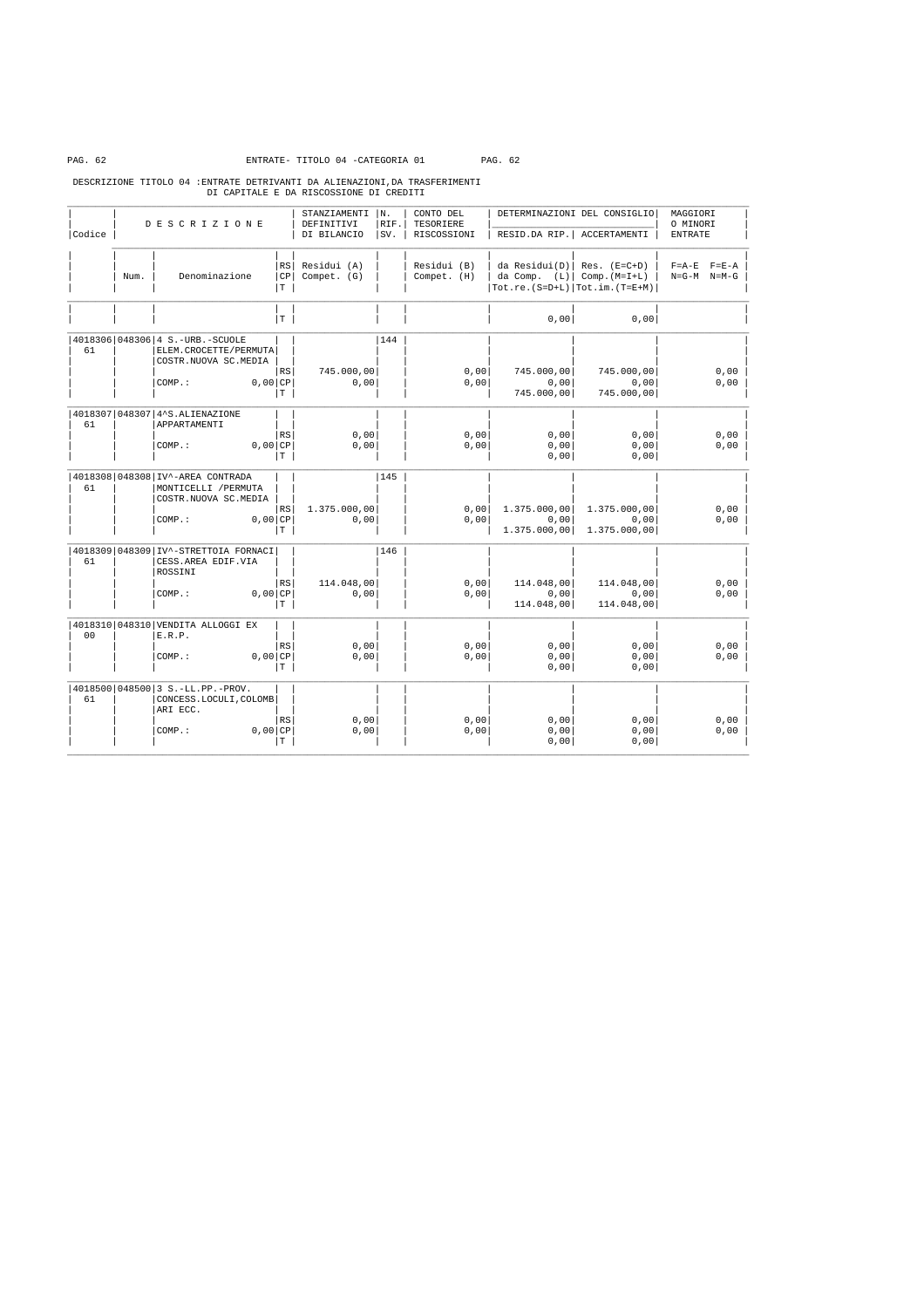| Codice         |      | DESCRIZIONE                                                                                                               |                     | STANZIAMENTI<br>DEFINITIVI<br>DI BILANCIO | $ N$ .<br>RIF.<br> sv. | CONTO DEL<br>TESORIERE<br>RISCOSSIONI |                                       | DETERMINAZIONI DEL CONSIGLIO<br>RESID.DA RIP.   ACCERTAMENTI                                               | MAGGIORI<br>O MINORI<br><b>ENTRATE</b>             |
|----------------|------|---------------------------------------------------------------------------------------------------------------------------|---------------------|-------------------------------------------|------------------------|---------------------------------------|---------------------------------------|------------------------------------------------------------------------------------------------------------|----------------------------------------------------|
|                | Num. | Denominazione                                                                                                             | RS<br>CP<br>ΙT.     | Residui (A)<br>Compet. (G)                |                        | Residui (B)<br>Compet. (H)            |                                       | da Residui(D)   Res. $(E=C+D)$<br>da Comp. $(L)  $ Comp. $(M=I+L)$<br>$ Tot.re.(S=D+L)   Tot.in.(T=E+M)  $ | $F = A - E$ $F = E - A$<br>$N = G - M$ $N = M - G$ |
|                |      |                                                                                                                           | IТ                  |                                           |                        |                                       | 0,00                                  | 0,00                                                                                                       |                                                    |
| 61             |      | 4018306   048306   4 S. - URB. - SCUOLE<br>ELEM. CROCETTE / PERMUTA<br>COSTR.NUOVA SC.MEDIA<br>$0,00$  CP<br>COMP.:       | l RS<br>T.          | 745.000,00<br>0,00                        | $144$                  | 0,00<br>0,00                          | 745.000,00<br>0,00<br>745.000,00      | 745.000,00<br>0,00<br>745.000,00                                                                           | 0,00<br>0,00                                       |
| 61             |      | 4018307 048307 4^S. ALIENAZIONE<br>APPARTAMENTI<br>$0.00$ <sub>c</sub> $P$<br>COMP.:                                      | RS <br>T.           | 0,00<br>0,00                              |                        | 0,00<br>0,00                          | 0,00<br>0,00<br>0,00                  | 0,00<br>0,00<br>0,00                                                                                       | 0,00<br>0,00                                       |
| 61             |      | 4018308   048308   IV^-AREA CONTRADA<br>MONTICELLI / PERMUTA<br>COSTR.NUOVA SC.MEDIA<br>$0.00$ <sub>c</sub> $P$<br>COMP.: | RS <br>T.           | 1.375.000,00<br>0,00                      | 145                    | 0,00<br>0.00                          | 1.375.000,00<br>0.001<br>1.375.000,00 | 1.375.000,00<br>0.001<br>1.375.000,00                                                                      | 0,00<br>0,00                                       |
| 61             |      | 4018309   048309   IV^-STRETTOIA FORNACI  <br>CESS.AREA EDIF.VIA<br>ROSSINI<br>$0.00$ <sub>c</sub> $P$<br>COMP.:          | R <sub>S</sub><br>T | 114.048,00<br>0,00                        | 1146                   | 0,00<br>0,00                          | 114.048,00<br>0,00<br>114.048,00      | 114.048,00<br>0,00<br>114.048,00                                                                           | 0,00<br>0,00                                       |
| 0 <sup>0</sup> |      | 4018310 048310 VENDITA ALLOGGI EX<br>E.R.P.<br>$0.00$ <sub>c</sub> $P$<br>COMP.:                                          | RS<br>T.            | 0,00<br>0,00                              |                        | 0,00<br>0,00                          | 0,00<br>0,00<br>0,00                  | 0,00<br>0,00<br>0,00                                                                                       | 0,00<br>0,00                                       |
| 61             |      | 4018500 048500 3 S.-LL.PP.-PROV.<br>CONCESS.LOCULI, COLOMB<br>ARI ECC.<br>COMP.:<br>$0.00$ <sub>c</sub> $P$               | RS<br>T.            | 0,00<br>0,00                              |                        | 0,00<br>0,00                          | 0,00<br>0,00<br>0,00                  | 0,00<br>0,00<br>0,00                                                                                       | 0,00<br>0,00                                       |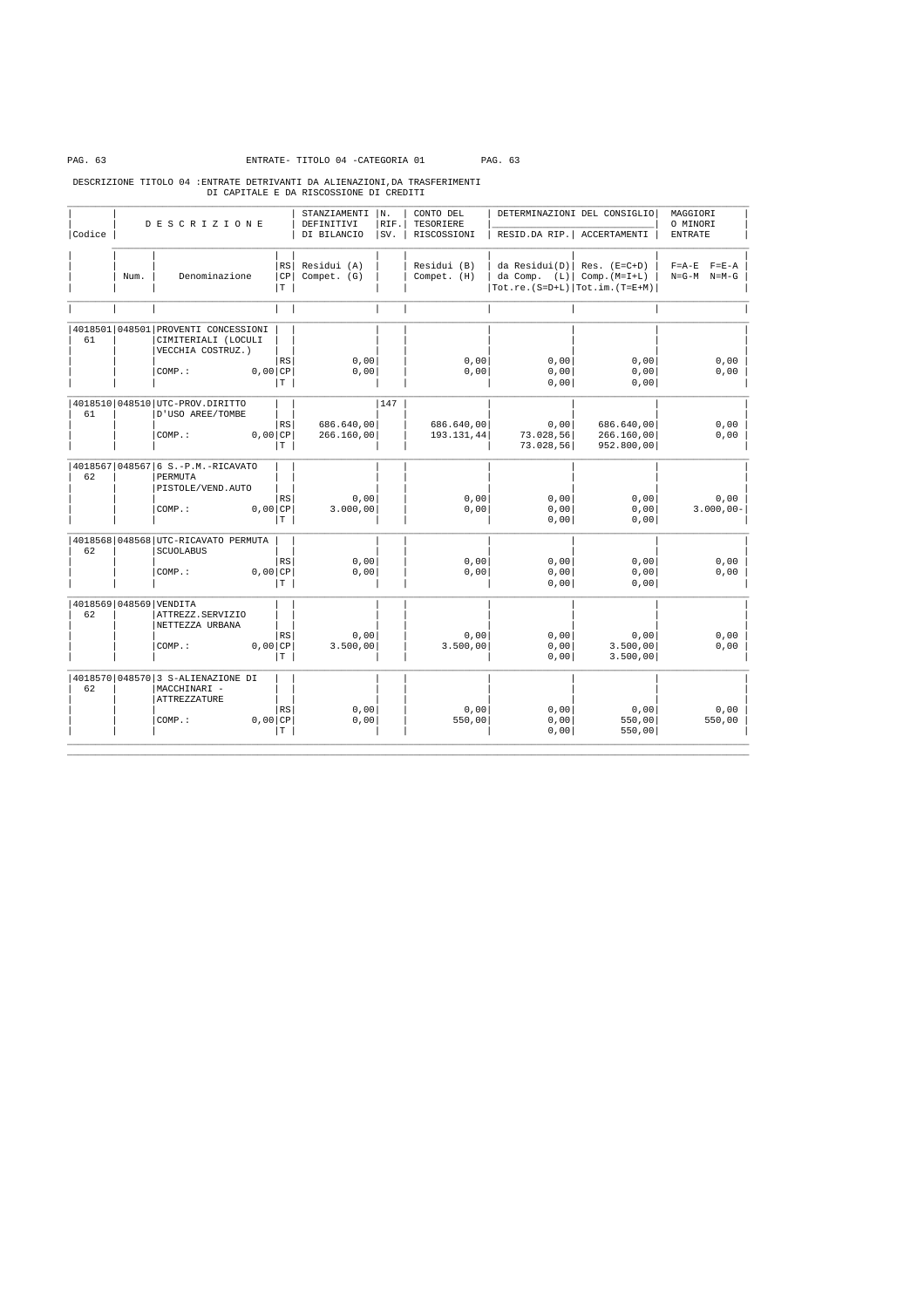| Codice |      | DESCRIZIONE                                                                               |                                 | STANZIAMENTI   N.<br>DEFINITIVI<br>DI BILANCIO | RIF.<br> sv. | CONTO DEL<br>TESORIERE<br>RISCOSSIONI |                                | DETERMINAZIONI DEL CONSIGLIO<br>RESID.DA RIP.   ACCERTAMENTI                                               | MAGGIORI<br>O MINORI<br><b>ENTRATE</b>             |
|--------|------|-------------------------------------------------------------------------------------------|---------------------------------|------------------------------------------------|--------------|---------------------------------------|--------------------------------|------------------------------------------------------------------------------------------------------------|----------------------------------------------------|
|        | Num. | Denominazione                                                                             | RS<br>CP<br>TГ                  | Residui (A)<br>Compet. (G)                     |              | Residui (B)<br>Compet. (H)            |                                | da Residui(D)   Res. $(E=C+D)$<br>da Comp. $(L)  $ Comp. $(M=I+L)$<br>$ Tot.re.(S=D+L)   Tot.in.(T=E+M)  $ | $F = A - E$ $F = E - A$<br>$N = G - M$ $N = M - G$ |
|        |      |                                                                                           |                                 |                                                |              |                                       |                                |                                                                                                            |                                                    |
| 61     |      | 4018501 048501 PROVENTI CONCESSIONI<br>CIMITERIALI (LOCULI<br>VECCHIA COSTRUZ.)<br>COMP.: | RS<br>$0,00$  CP<br>$\mathbb T$ | 0,00<br>0,00                                   |              | 0,00<br>0,00                          | 0,00<br>0,00<br>0,00           | 0,00<br>0,00<br>0,00                                                                                       | 0,00<br>0,00                                       |
| 61     |      | 4018510   048510   UTC-PROV. DIRITTO<br>D'USO AREE/TOMBE<br>COMP.:                        | <b>RS</b><br>$0,00$  CP<br>T    | 686.640,00<br>266.160,00                       | 147          | 686.640,00<br>193.131,44              | 0,00<br>73.028,56<br>73.028,56 | 686.640,00<br>266.160,00<br>952.800,00                                                                     | 0,00<br>0,00                                       |
| 62     |      | 4018567   048567   6 S. - P.M. - RICAVATO<br>PERMUTA<br>PISTOLE/VEND. AUTO<br>COMP.:      | <b>RS</b><br>0,00 CP<br>l T     | 0,00<br>3.000,00                               |              | 0,00<br>0,00                          | 0,00<br>0,00<br>0,00           | 0,00<br>0,00<br>0,00                                                                                       | 0,00<br>$3.000,00 -$                               |
| 62     |      | 4018568   048568   UTC-RICAVATO PERMUTA<br><b>SCUOLABUS</b><br>COMP.:                     | RS<br>$0,00$  CP<br>T.          | 0,00<br>0,00                                   |              | 0,00<br>0,00                          | 0,00<br>0,00<br>0,00           | 0,00<br>0,00<br>0,00                                                                                       | 0.00<br>0,00                                       |
| 62     |      | 4018569 048569 VENDITA<br>ATTREZZ.SERVIZIO<br>NETTEZZA URBANA<br>COMP.:                   | <b>RS</b><br>0,00 CP<br>T.      | 0,00<br>3.500,00                               |              | 0.00<br>3.500,00                      | 0,00<br>0,00<br>0,00           | 0.00<br>3.500,00<br>3.500,00                                                                               | 0.00<br>0,00                                       |
| 62     |      | 4018570 048570 3 S-ALIENAZIONE DI<br>MACCHINARI -<br><b>ATTREZZATURE</b><br>COMP.:        | RS<br>0,00 CP<br>$\mathbb T$    | 0.00<br>0,00                                   |              | 0.00<br>550,00                        | 0.00<br>0,00<br>0,00           | 0,00<br>550,00<br>550,00                                                                                   | 0.00<br>550,00                                     |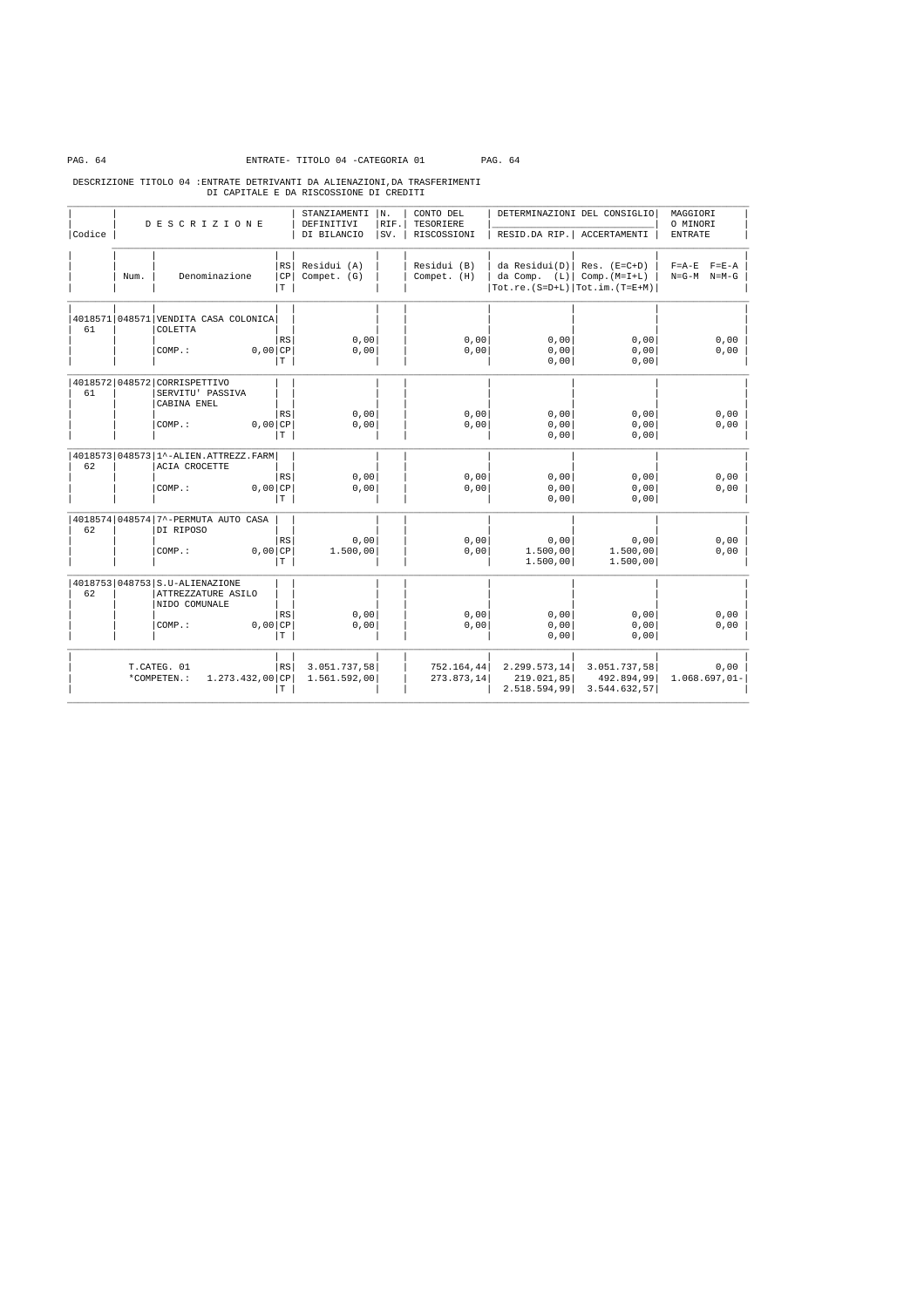| Codice |      | DESCRIZIONE                                                                                          |                   | STANZIAMENTI<br>IN.<br>DEFINITIVI<br>DI BILANCIO<br>SV. | RIF. | CONTO DEL<br>TESORIERE<br>RISCOSSIONI |                                             | DETERMINAZIONI DEL CONSIGLIO<br>RESID.DA RIP.   ACCERTAMENTI                                             | MAGGIORI<br>O MINORI<br><b>ENTRATE</b>             |
|--------|------|------------------------------------------------------------------------------------------------------|-------------------|---------------------------------------------------------|------|---------------------------------------|---------------------------------------------|----------------------------------------------------------------------------------------------------------|----------------------------------------------------|
|        | Num. | Denominazione                                                                                        | RS<br>CP<br>T     | Residui (A)<br>Compet. (G)                              |      | Residui (B)<br>Compet. (H)            |                                             | da Residui(D)   Res. $(E=C+D)$<br>da Comp. $(L)$ Comp. $(M=I+L)$<br>$ Tot.re.(S=D+L)   Tot.in.(T=E+M)  $ | $F = A - E$ $F = E - A$<br>$N = G - M$ $N = M - G$ |
| 61     |      | 4018571 048571 VENDITA CASA COLONICA<br>COLETTA<br>$0.00$ <sub>c</sub> $P$<br>COMP.:                 | RS<br>T.          | 0,00<br>0,00                                            |      | 0,00<br>0,00                          | 0,00<br>0.00<br>0,00                        | 0,00<br>0.00<br>0,00                                                                                     | 0,00<br>0,00                                       |
| 61     |      | 4018572 048572 CORRISPETTIVO<br>SERVITU' PASSIVA<br>CABINA ENEL<br>$0.00$ <sub>c</sub> $P$<br>COMP.: | <b>RS</b><br>T.   | 0,00<br>0,00                                            |      | 0,00<br>0,00                          | 0,00<br>0,00<br>0,00                        | 0.00<br>0,00<br>0,00                                                                                     | 0,00<br>0,00                                       |
| 62     |      | 4018573 048573 11^-ALIEN.ATTREZZ.FARM<br>ACIA CROCETTE<br>COMP.:<br>$0,00$  CP                       | RS<br>т           | 0,00<br>0,00                                            |      | 0,00<br>0,00                          | 0,00<br>0,00<br>0,00                        | 0,00<br>0,00<br>0,00                                                                                     | 0,00<br>0,00                                       |
| 62     |      | 4018574 048574 7^-PERMUTA AUTO CASA<br>DI RIPOSO<br>$0.00$ <sub>c</sub> $P$<br>COMP.:                | RS<br>T.          | 0,00<br>1.500,00                                        |      | 0,00<br>0,00                          | 0,00<br>1.500,00<br>1.500,00                | 0,00<br>1.500,00<br>1.500,00                                                                             | 0.00<br>0,00                                       |
| 62     |      | 4018753   048753   S.U-ALIENAZIONE<br>ATTREZZATURE ASILO<br>NIDO COMUNALE<br>0,00 CP<br>COMP.:       | RS<br>T.          | 0,00<br>0,00                                            |      | 0,00<br>0,00                          | 0,00<br>0,00<br>0,00                        | 0,00<br>0,00<br>0,00                                                                                     | 0,00<br>0,00                                       |
|        |      | T. CATEG. 01<br>*COMPETEN. :<br>$1.273.432,00$ CP                                                    | $_{\rm RS}$<br>T. | 3.051.737,58<br>1.561.592,00                            |      | 752.164,44<br>273.873,14              | 2.299.573, 14<br>219.021,85<br>2.518.594,99 | 3.051.737,58<br>492.894,99<br>3.544.632,57                                                               | 0,00<br>$1.068.697,01-$                            |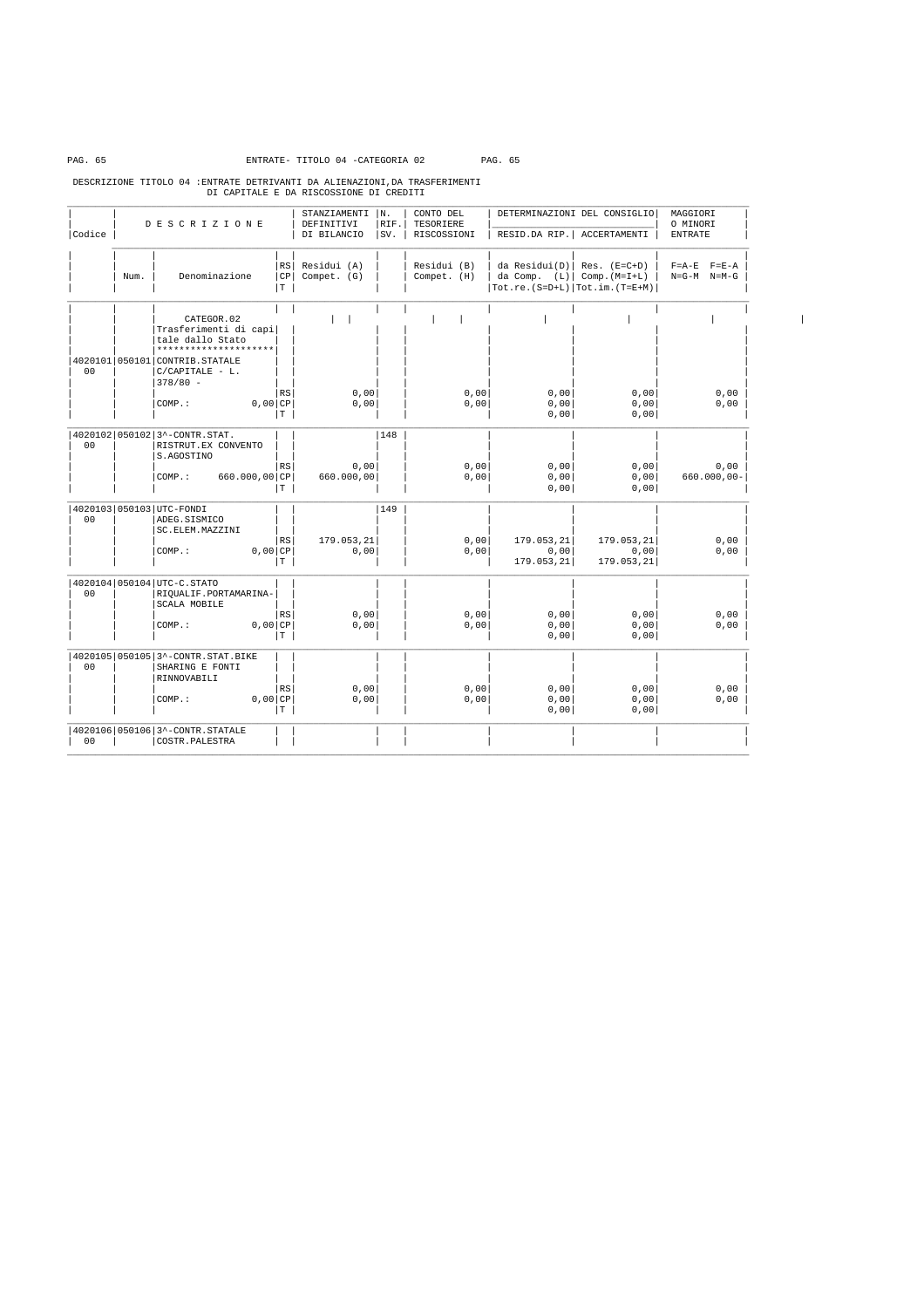| Codice         |      | <b>DESCRIZIONE</b>                                                                                                                                         | STANZIAMENTI<br>DEFINITIVI<br>DI BILANCIO | N.<br>RIF.<br>SV. | CONTO DEL<br>TESORIERE<br>RISCOSSIONI |                                                                    | DETERMINAZIONI DEL CONSIGLIO<br>RESID.DA RIP.   ACCERTAMENTI | MAGGIORI<br>O MINORI<br><b>ENTRATE</b>             |
|----------------|------|------------------------------------------------------------------------------------------------------------------------------------------------------------|-------------------------------------------|-------------------|---------------------------------------|--------------------------------------------------------------------|--------------------------------------------------------------|----------------------------------------------------|
|                | Num. | RS<br>Denominazione<br>$_{\rm CP}$<br>$\mathbb T$                                                                                                          | Residui (A)<br>Compet. (G)                |                   | Residui (B)<br>Compet. (H)            | da Residui(D)   Res. $(E=C+D)$<br>da Comp. $(L)  $ Comp. $(M=I+L)$ | $Tot.re.(S=D+L)   Tot.in.(T=E+M)  $                          | $F = A - E$ $F = E - A$<br>$N = G - M$ $N = M - G$ |
| 0 <sub>0</sub> |      | CATEGOR.02<br>Trasferimenti di capi<br>tale dallo Stato<br>*********************<br>4020101   050101   CONTRIB. STATALE<br>$C/CAPITALE - L.$<br>$378/80 -$ |                                           |                   |                                       |                                                                    |                                                              |                                                    |
|                |      | RS<br>$0,00$ <sub>CP</sub><br>COMP.:<br>$\mathbf T$                                                                                                        | 0,00<br>0,00                              |                   | 0,00<br>0,00                          | 0,00<br>0,00<br>0,00                                               | 0,00<br>0,00<br>0,00                                         | 0,00<br>0,00                                       |
| 0 <sub>0</sub> |      | 4020102   050102   3^-CONTR. STAT.<br>RISTRUT.EX CONVENTO<br>S.AGOSTINO<br>RS<br>660.000,00 CP<br>COMP.:<br>$\mathbb T$                                    | 0,00<br>660.000,00                        | 148               | 0,00<br>0,00                          | 0,00<br>0,00<br>0,00                                               | 0,00<br>0,00<br>0,00                                         | 0,00<br>$660.000,00 -$                             |
| 00             |      | 4020103 050103 UTC-FONDI<br>ADEG.SISMICO<br>SC.ELEM.MAZZINI<br>RS<br>0,00 CP<br>COMP.:<br>T.                                                               | 179.053,21<br>0,00                        | 149               | 0,00<br>0,00                          | 179.053,21<br>0,00<br>179.053, 21                                  | 179.053,21<br>0,00<br>179.053,21                             | 0,00<br>0,00                                       |
| 00             |      | 4020104   050104   UTC-C. STATO<br>RIQUALIF.PORTAMARINA-<br><b>SCALA MOBILE</b><br>RS<br>$0,00$ <sub>CP</sub><br>COMP.:<br>$\mathbf T$                     | 0,00<br>0,00                              |                   | 0,00<br>0,00                          | 0,00<br>0,00<br>0,00                                               | 0,00<br>0,00<br>0,00                                         | 0,00<br>0,00                                       |
| 0 <sup>0</sup> |      | 4020105   050105   3^-CONTR. STAT. BIKE<br>SHARING E FONTI<br>RINNOVABILI<br>RS<br>$0,00$  CP<br>COMP.:<br>T.                                              | 0,00<br>0,00                              |                   | 0,00<br>0,00                          | 0,00<br>0,00<br>0,00                                               | 0,00<br>0,00<br>0,00                                         | 0,00<br>0,00                                       |
| 00             |      | 4020106   050106   3^-CONTR. STATALE<br>COSTR. PALESTRA                                                                                                    |                                           |                   |                                       |                                                                    |                                                              |                                                    |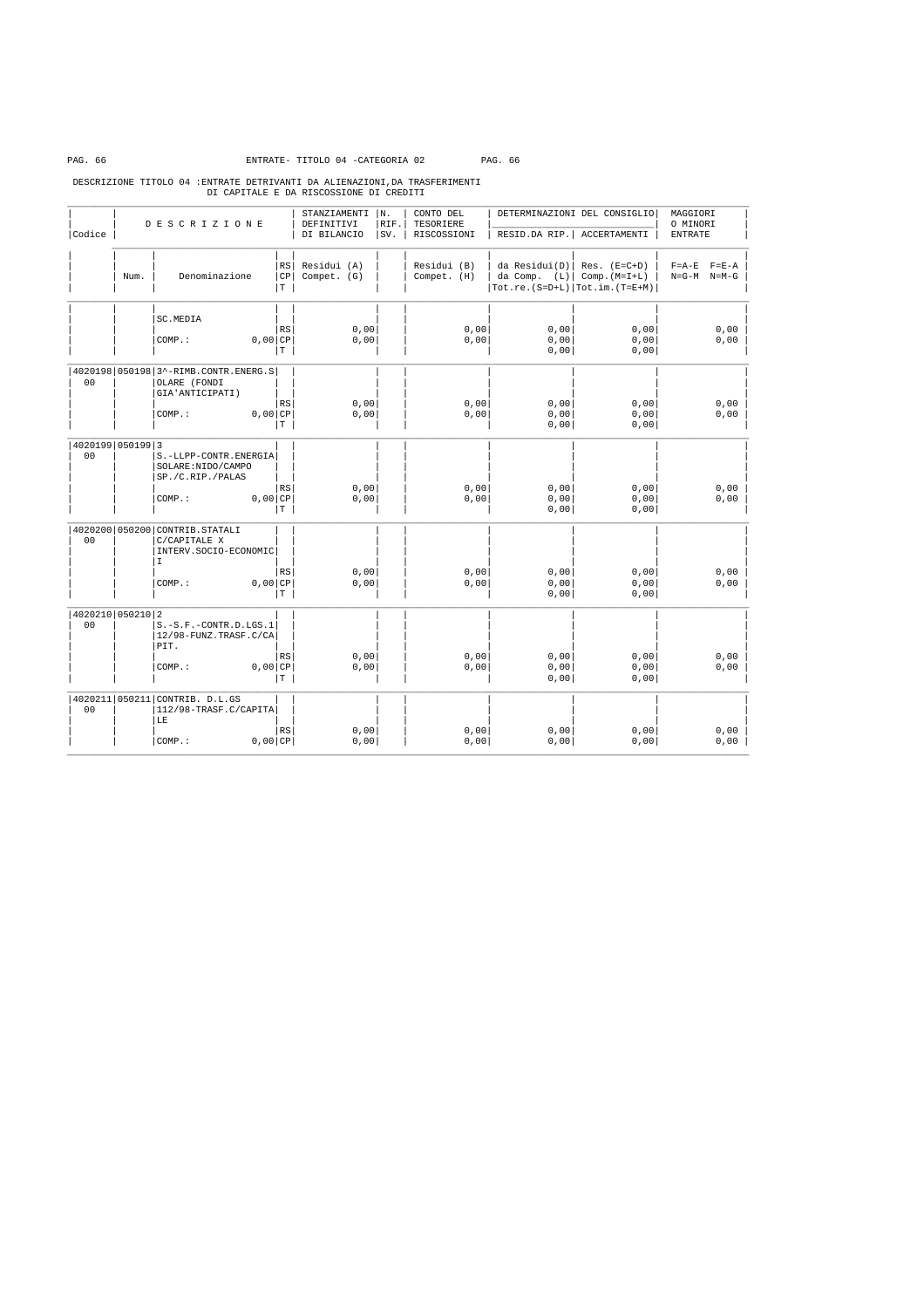| Codice                             |      | DESCRIZIONE                                                                                                          |                        | STANZIAMENTI<br>N.<br>RIF.<br>DEFINITIVI<br>DI BILANCIO<br>SV. | CONTO DEL<br>TESORIERE<br>RISCOSSIONI |                      | DETERMINAZIONI DEL CONSIGLIO<br>RESID.DA RIP.   ACCERTAMENTI                                 | MAGGIORI<br>O MINORI<br><b>ENTRATE</b>             |
|------------------------------------|------|----------------------------------------------------------------------------------------------------------------------|------------------------|----------------------------------------------------------------|---------------------------------------|----------------------|----------------------------------------------------------------------------------------------|----------------------------------------------------|
|                                    | Num. | Denominazione                                                                                                        | $_{\rm RS}$<br>CP<br>T | Residui (A)<br>Compet. (G)                                     | Residui (B)<br>Compet. (H)            | da Residui(D)        | $Res.$ $(E=C+D)$<br>da Comp. $(L)  $ Comp. $(M=I+L)$<br>$ Tot.re.(S=D+L)   Tot.in.(T=E+M)  $ | $F = A - E$ $F = E - A$<br>$N = G - M$ $N = M - G$ |
|                                    |      | SC.MEDIA<br>$0,00$  CP<br>COMP.:                                                                                     | RS<br>T.               | 0,00<br>0,00                                                   | 0,00<br>0,00                          | 0,00<br>0,00<br>0,00 | 0,00<br>0,00<br>0,00                                                                         | 0,00<br>0,00                                       |
| 0 <sup>0</sup>                     |      | 4020198   050198   3^-RIMB.CONTR.ENERG.S <br>OLARE (FONDI<br>GIA' ANTICIPATI)<br>$0,00$  CP<br>COMP.:                | RS<br>T.               | 0,00<br>0,00                                                   | 0,00<br>0,00                          | 0,00<br>0,00<br>0,00 | 0,00<br>0,00<br>0,00                                                                         | 0,00<br>0,00                                       |
| 4020199 050199 3<br>00             |      | S. - LLPP-CONTR. ENERGIA<br>SOLARE: NIDO/CAMPO<br>SP./C.RIP./PALAS<br>$0,00$ <sub>CP</sub><br>COMP.:                 | RS<br>$\mathbb T$      | 0,00<br>0,00                                                   | 0,00<br>0,00                          | 0,00<br>0,00<br>0,00 | 0,00<br>0,00<br>0,00                                                                         | 0,00<br>0,00                                       |
| 00                                 |      | 4020200   050200   CONTRIB. STATALI<br>C/CAPITALE X<br>INTERV. SOCIO-ECONOMIC<br>T<br>$0,00$ <sub>CP</sub><br>COMP.: | RS<br>T.               | 0,00<br>0,00                                                   | 0,00<br>0,00                          | 0,00<br>0,00<br>0,00 | 0,00<br>0,00<br>0,00                                                                         | 0,00<br>0,00                                       |
| 4020210 050210 2<br>0 <sub>0</sub> |      | S.-S.F.-CONTR.D.LGS.1<br>12/98-FUNZ.TRASF.C/CA<br>PIT.<br>$0,00$  CP<br>COMP.:                                       | RS<br>т                | 0,00<br>0,00                                                   | 0,00<br>0,00                          | 0,00<br>0,00<br>0,00 | 0,00<br>0,00<br>0,00                                                                         | 0,00<br>0,00                                       |
| 0 <sub>0</sub>                     |      | 4020211 050211 CONTRIB. D.L.GS<br>112/98-TRASF.C/CAPITA<br>LE<br>0,00 CP<br>COMP.:                                   | RS                     | 0,00<br>0,00                                                   | 0,00<br>0,00                          | 0,00<br>0,00         | 0,00<br>0,00                                                                                 | 0,00<br>0,00                                       |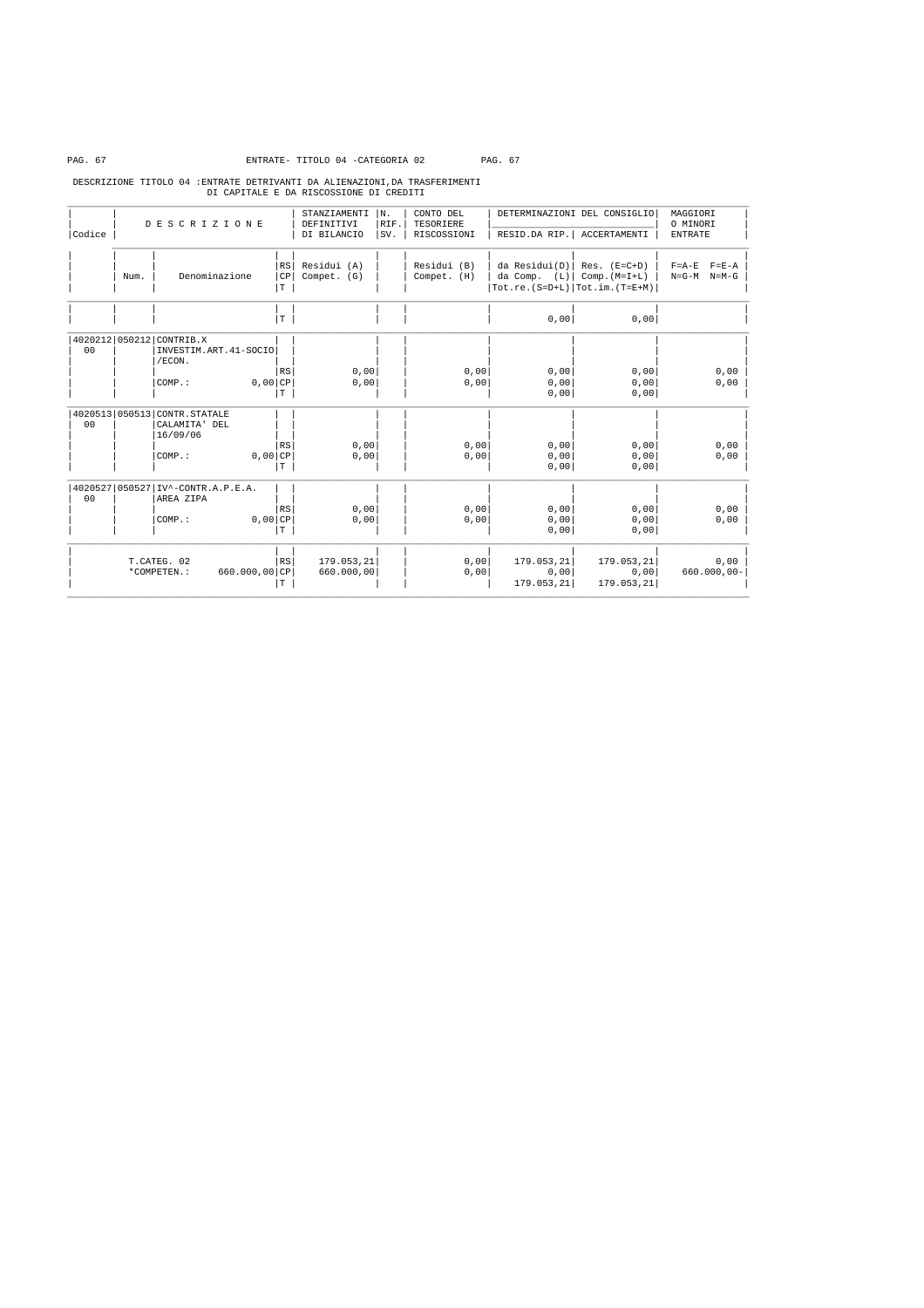| Codice         |      | <b>DESCRIZIONE</b>                                              |                         | N.<br>STANZIAMENTI<br>RIF.<br>DEFINITIVI<br>lsv.<br>DI BILANCIO |  | CONTO DEL<br>TESORIERE<br>RISCOSSIONI |                                  | DETERMINAZIONI DEL CONSIGLIO<br>RESID.DA RIP. ACCERTAMENTI                                               | MAGGIORI<br>O MINORI<br><b>ENTRATE</b>             |
|----------------|------|-----------------------------------------------------------------|-------------------------|-----------------------------------------------------------------|--|---------------------------------------|----------------------------------|----------------------------------------------------------------------------------------------------------|----------------------------------------------------|
|                | Num. | Denominazione                                                   | RS<br>CP<br>$\mathbb T$ | Residui (A)<br>$Compet.$ (G)                                    |  | Residui (B)<br>Compet. (H)            |                                  | da Residui(D)   Res. $(E=C+D)$<br>da Comp. $(L)$ Comp. $(M=I+L)$<br>$ Tot.re.(S=D+L)   Tot.in.(T=E+M)  $ | $F = A - E$ $F = E - A$<br>$N = G - M$ $N = M - G$ |
|                |      |                                                                 | $\mathbf T$             |                                                                 |  |                                       | 0,00                             | 0,00                                                                                                     |                                                    |
| 0 <sub>0</sub> |      | 4020212 050212 CONTRIB.X<br>INVESTIM.ART. 41-SOCIO<br>$/ECON$ . |                         |                                                                 |  |                                       |                                  |                                                                                                          |                                                    |
|                |      | $0.00$ <sub>c</sub> $P$<br>COMP.:                               | RS.<br>T                | 0,00<br>0,00                                                    |  | 0.00<br>0,00                          | 0,00<br>0,00<br>0,00             | 0,00<br>0,00<br>0,00                                                                                     | 0.00<br>0,00                                       |
| 0 <sub>0</sub> |      | 4020513 050513 CONTR. STATALE<br>CALAMITA' DEL<br>16/09/06      |                         |                                                                 |  |                                       |                                  |                                                                                                          |                                                    |
|                |      | $0,00$  CP<br>COMP.:                                            | RS<br>T                 | 0,00<br>0,00                                                    |  | 0,00<br>0,00                          | 0,00<br>0,00<br>0,00             | 0,00<br>0,00<br>0,00                                                                                     | 0,00<br>0,00                                       |
| 0 <sub>0</sub> |      | 4020527   050527   IV^-CONTR.A.P.E.A.<br>AREA ZIPA              |                         |                                                                 |  |                                       |                                  |                                                                                                          |                                                    |
|                |      | $0,00$ CP<br>COMP.:                                             | <b>RS</b><br>T          | 0,00<br>0,00                                                    |  | 0,00<br>0,00                          | 0,00<br>0,00<br>0,00             | 0,00<br>0,00<br>0,00                                                                                     | 0,00<br>0,00                                       |
|                |      | T.CATEG. 02<br>660.000,00 CP<br>*COMPETEN.:                     | RS <br>T                | 179.053,21<br>660.000,00                                        |  | 0,00<br>0,00                          | 179.053,21<br>0,00<br>179.053,21 | 179.053,21<br>0,00<br>179.053,21                                                                         | 0,00<br>$660.000,00 -$                             |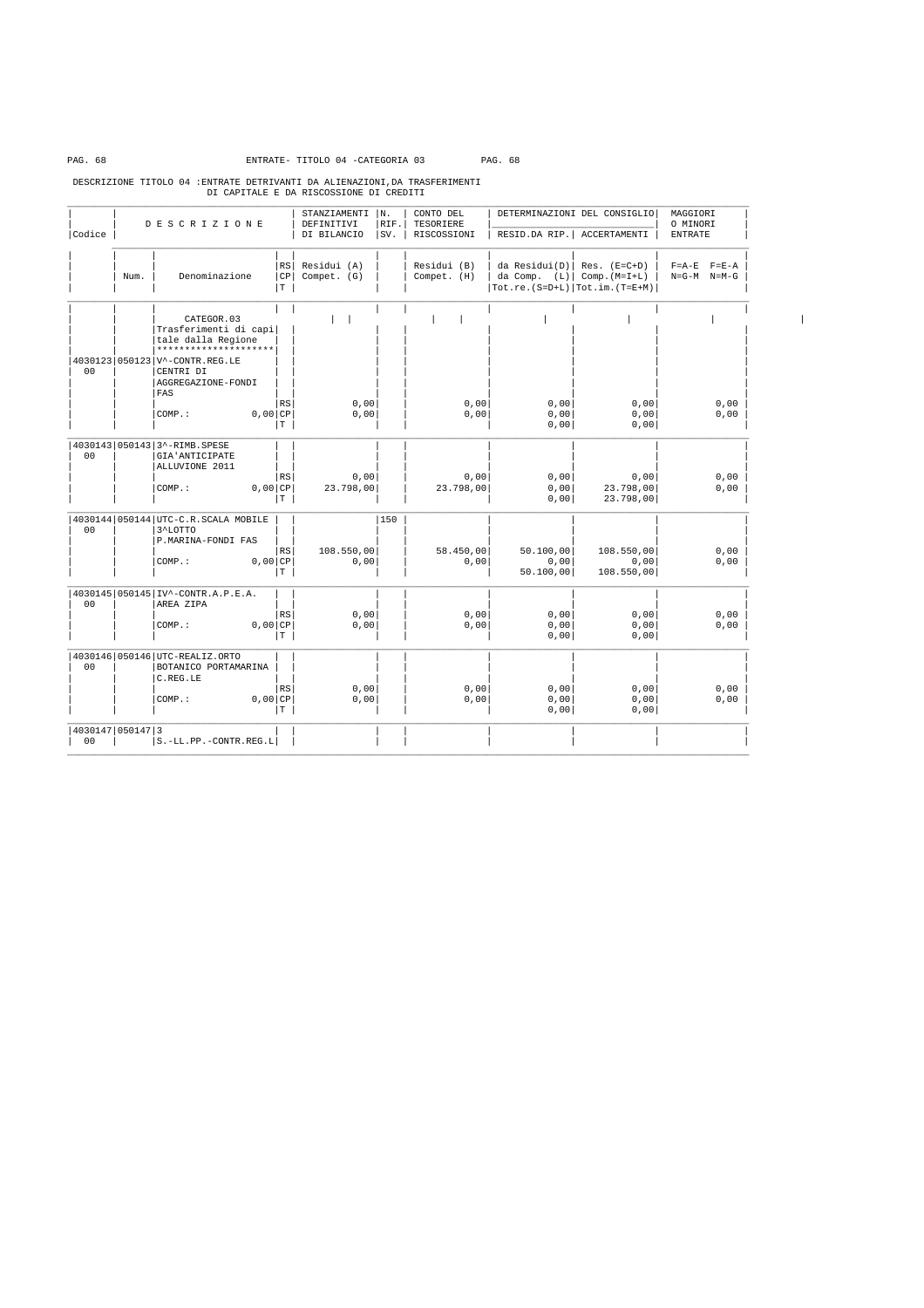| RS<br>Residui (A)<br>Residui (B)<br>da Residui(D)<br>$Res.$ ( $E=C+D$ )<br>$F = A - E$ $F = E - A$<br>Denominazione<br>CP<br>Compet. (G)<br>Compet. (H)<br>da Comp. $(L)  $ Comp. $(M=I+L)$<br>$N = G - M$ $N = M - G$<br>Num.<br>$\mathbb T$<br>$Tot.re.(S=D+L)   Tot.in.(T=E+M)  $<br>CATEGOR.03<br>Trasferimenti di capi<br>tale dalla Regione<br>*********************<br>4030123   050123   V^-CONTR.REG.LE<br>0 <sub>0</sub><br>CENTRI DI<br>AGGREGAZIONE-FONDI<br>FAS<br>0,00<br>0,00<br>0,00<br>0,00<br>RS<br>0,00<br>$0,00$ <sub>CP</sub><br>0,00<br>0,00<br>0,00<br>0,00<br>COMP.:<br>0,00<br>T.<br>0,00<br>0,00<br>4030143   050143   3^-RIMB.SPESE<br>00<br>GIA' ANTICIPATE<br>ALLUVIONE 2011<br>0,00<br>0,00<br>0,00<br>0,00<br>0,00<br>RS<br>COMP.:<br>$0,00$  CP<br>23.798,00<br>23.798,00<br>0,00<br>23.798,00<br>0,00<br>T.<br>0,00<br>23.798,00<br>4030144   050144   UTC-C.R. SCALA MOBILE<br>150<br>00<br>3^LOTTO<br>P.MARINA-FONDI FAS<br>108.550,00<br>58.450,00<br>50.100,00<br>108.550,00<br>0,00<br>RS<br>$0,00$  CP<br>0,00<br>0,00<br>0,00<br>0,00<br>COMP.:<br>0,00<br>T.<br>50.100,00<br>108.550,00<br>4030145   050145   IV^-CONTR.A.P.E.A.<br>0 <sup>0</sup><br>AREA ZIPA<br>RS<br>0,00<br>0,00<br>0,00<br>0,00<br>0,00<br>$0,00$ <sub>CP</sub><br>COMP.:<br>0,00<br>0,00<br>0,00<br>0,00<br>0,00<br>$\mathbb T$<br>0,00<br>0,00<br>4030146   050146   UTC-REALIZ.ORTO | Codice | DESCRIZIONE | STANZIAMENTI<br>DEFINITIVI<br>DI BILANCIO | N.<br>RIF.<br>SV. | CONTO DEL<br>TESORIERE<br>RISCOSSIONI | DETERMINAZIONI DEL CONSIGLIO<br>RESID.DA RIP.   ACCERTAMENTI | MAGGIORI<br>O MINORI<br><b>ENTRATE</b> |
|-------------------------------------------------------------------------------------------------------------------------------------------------------------------------------------------------------------------------------------------------------------------------------------------------------------------------------------------------------------------------------------------------------------------------------------------------------------------------------------------------------------------------------------------------------------------------------------------------------------------------------------------------------------------------------------------------------------------------------------------------------------------------------------------------------------------------------------------------------------------------------------------------------------------------------------------------------------------------------------------------------------------------------------------------------------------------------------------------------------------------------------------------------------------------------------------------------------------------------------------------------------------------------------------------------------------------------------------------------------------------------------------------------|--------|-------------|-------------------------------------------|-------------------|---------------------------------------|--------------------------------------------------------------|----------------------------------------|
|                                                                                                                                                                                                                                                                                                                                                                                                                                                                                                                                                                                                                                                                                                                                                                                                                                                                                                                                                                                                                                                                                                                                                                                                                                                                                                                                                                                                       |        |             |                                           |                   |                                       |                                                              |                                        |
|                                                                                                                                                                                                                                                                                                                                                                                                                                                                                                                                                                                                                                                                                                                                                                                                                                                                                                                                                                                                                                                                                                                                                                                                                                                                                                                                                                                                       |        |             |                                           |                   |                                       |                                                              |                                        |
|                                                                                                                                                                                                                                                                                                                                                                                                                                                                                                                                                                                                                                                                                                                                                                                                                                                                                                                                                                                                                                                                                                                                                                                                                                                                                                                                                                                                       |        |             |                                           |                   |                                       |                                                              |                                        |
|                                                                                                                                                                                                                                                                                                                                                                                                                                                                                                                                                                                                                                                                                                                                                                                                                                                                                                                                                                                                                                                                                                                                                                                                                                                                                                                                                                                                       |        |             |                                           |                   |                                       |                                                              |                                        |
|                                                                                                                                                                                                                                                                                                                                                                                                                                                                                                                                                                                                                                                                                                                                                                                                                                                                                                                                                                                                                                                                                                                                                                                                                                                                                                                                                                                                       |        |             |                                           |                   |                                       |                                                              |                                        |
|                                                                                                                                                                                                                                                                                                                                                                                                                                                                                                                                                                                                                                                                                                                                                                                                                                                                                                                                                                                                                                                                                                                                                                                                                                                                                                                                                                                                       |        |             |                                           |                   |                                       |                                                              |                                        |
|                                                                                                                                                                                                                                                                                                                                                                                                                                                                                                                                                                                                                                                                                                                                                                                                                                                                                                                                                                                                                                                                                                                                                                                                                                                                                                                                                                                                       |        |             |                                           |                   |                                       |                                                              |                                        |
|                                                                                                                                                                                                                                                                                                                                                                                                                                                                                                                                                                                                                                                                                                                                                                                                                                                                                                                                                                                                                                                                                                                                                                                                                                                                                                                                                                                                       |        |             |                                           |                   |                                       |                                                              |                                        |
|                                                                                                                                                                                                                                                                                                                                                                                                                                                                                                                                                                                                                                                                                                                                                                                                                                                                                                                                                                                                                                                                                                                                                                                                                                                                                                                                                                                                       |        |             |                                           |                   |                                       |                                                              |                                        |
| 0 <sup>0</sup><br>BOTANICO PORTAMARINA<br>C.REG.LE<br>0,00<br>0,00<br>0,00<br>0,00<br>0,00<br>RS<br>$0,00$ CP<br>0,00<br>0,00<br>COMP.:<br>0,00<br>0,00<br>0,00                                                                                                                                                                                                                                                                                                                                                                                                                                                                                                                                                                                                                                                                                                                                                                                                                                                                                                                                                                                                                                                                                                                                                                                                                                       |        |             |                                           |                   |                                       |                                                              |                                        |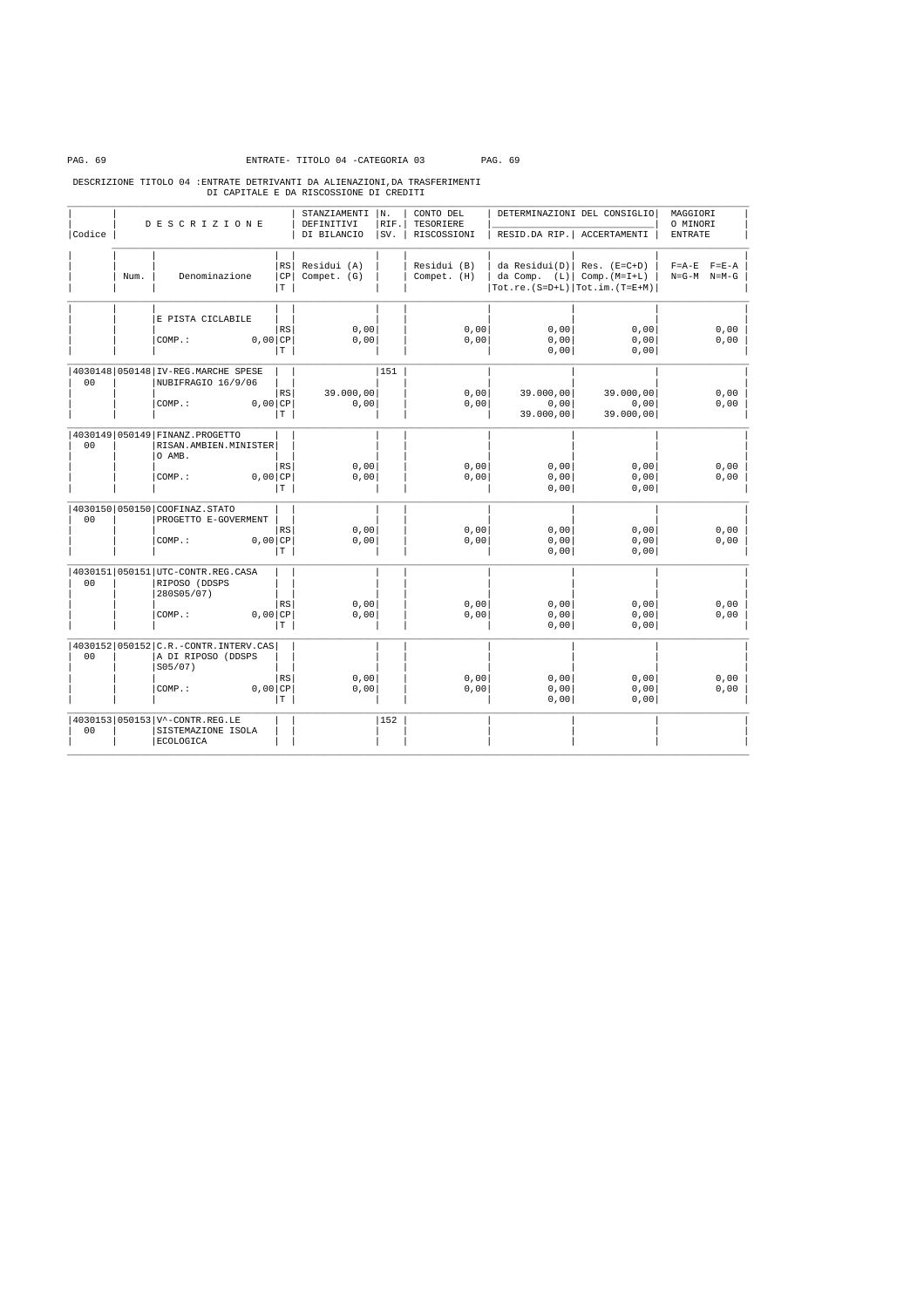| Codice         |      | DESCRIZIONE                                                                                                                     | STANZIAMENTI<br>DEFINITIVI<br>DI BILANCIO | IN.<br>RIF.<br>ISV. | CONTO DEL<br>TESORIERE<br>RISCOSSIONI |                                | DETERMINAZIONI DEL CONSIGLIO<br>RESID.DA RIP.   ACCERTAMENTI                                               | MAGGIORI<br>O MINORI<br><b>ENTRATE</b>             |
|----------------|------|---------------------------------------------------------------------------------------------------------------------------------|-------------------------------------------|---------------------|---------------------------------------|--------------------------------|------------------------------------------------------------------------------------------------------------|----------------------------------------------------|
|                | Num. | RS<br>Denominazione<br>CP<br>Г                                                                                                  | Residui (A)<br>Compet. (G)                |                     | Residui (B)<br>Compet. (H)            |                                | da Residui(D)   Res. $(E=C+D)$<br>da Comp. $(L)  $ Comp. $(M=I+L)$<br>$ Tot.re.(S=D+L)   Tot.in.(T=E+M)  $ | $F = A - E$ $F = E - A$<br>$N = G - M$ $N = M - G$ |
|                |      | E PISTA CICLABILE<br>RS<br>$0,00$  CP<br>COMP.:<br>ΙT.                                                                          | 0,00<br>0,00                              |                     | 0,00<br>0,00                          | 0,00<br>0,00<br>0,00           | 0,00<br>0,00<br>0,00                                                                                       | 0.00<br>0,00                                       |
| 0 <sup>0</sup> |      | 4030148 050148   IV-REG. MARCHE SPESE<br>NUBIFRAGIO 16/9/06<br>RS<br>$0,00$ <sub>CP</sub><br>COMP.:<br>$\mathbb T$              | 39.000,00<br>0,00                         | 151                 | 0,00<br>0,00                          | 39.000,00<br>0,00<br>39.000,00 | 39.000,00<br>0,00<br>39.000,00                                                                             | 0,00<br>0,00                                       |
| 0 <sub>0</sub> |      | 4030149   050149   FINANZ. PROGETTO<br>RISAN. AMBIEN. MINISTER<br>O AMB.<br>RS<br>$0,00$  CP<br>COMP.:<br>T.                    | 0,00<br>0,00                              |                     | 0,00<br>0,00                          | 0,00<br>0,00<br>0,00           | 0,00<br>0,00<br>0,00                                                                                       | 0,00<br>0,00                                       |
| 0 <sup>0</sup> |      | 4030150   050150   COOFINAZ.STATO<br>PROGETTO E-GOVERMENT<br>RS<br>$0,00$  CP<br>COMP.:<br>$\mathbb T$                          | 0,00<br>0,00                              |                     | 0,00<br>0,00                          | 0,00<br>0,00<br>0,00           | 0,00<br>0,00<br>0,00                                                                                       | 0,00<br>0,00                                       |
| 0 <sup>0</sup> |      | 4030151 050151 UTC-CONTR.REG.CASA<br>RIPOSO (DDSPS<br>280S05/07)<br>RS<br>$0.00$ <sub>c</sub> $P$<br>COMP.:<br>T.               | 0,00<br>0,00                              |                     | 0,00<br>0,00                          | 0,00<br>0,00<br>0,00           | 0,00<br>0,00<br>0,00                                                                                       | 0,00<br>0,00                                       |
| 0 <sub>0</sub> |      | 4030152   050152   C.R. - CONTR. INTERV. CAS  <br>A DI RIPOSO (DDSPS<br>$S05/07$ )<br>RS<br>$0,00$  CP<br>COMP.:<br>$\mathbb T$ | 0,00<br>0,00                              |                     | 0,00<br>0,00                          | 0,00<br>0,00<br>0,00           | 0,00<br>0,00<br>0,00                                                                                       | 0,00<br>0,00                                       |
| 0 <sub>0</sub> |      | 4030153   050153   V^-CONTR.REG.LE<br>SISTEMAZIONE ISOLA<br><b>ECOLOGICA</b>                                                    |                                           | 152                 |                                       |                                |                                                                                                            |                                                    |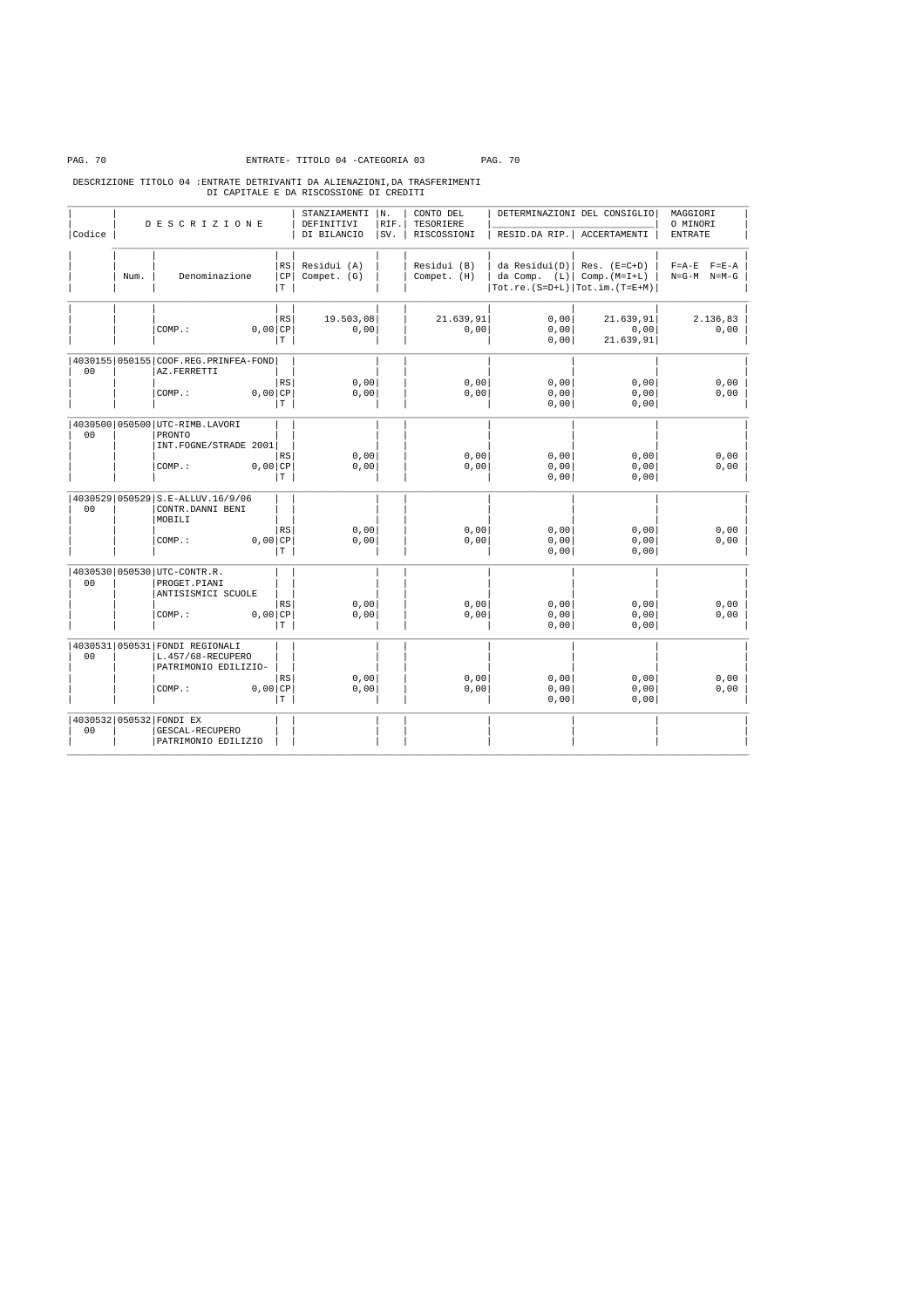| Codice         |      | DESCRIZIONE                                                                                                                  |                   | STANZIAMENTI<br>DEFINITIVI<br>DI BILANCIO | IN.<br>RIF.<br>SV. | CONTO DEL<br>TESORIERE<br>RISCOSSIONI |                      | DETERMINAZIONI DEL CONSIGLIO<br>RESID.DA RIP.   ACCERTAMENTI                                               | MAGGIORI<br>O MINORI<br><b>ENTRATE</b>             |
|----------------|------|------------------------------------------------------------------------------------------------------------------------------|-------------------|-------------------------------------------|--------------------|---------------------------------------|----------------------|------------------------------------------------------------------------------------------------------------|----------------------------------------------------|
|                | Num. | Denominazione<br>Г                                                                                                           | $_{\rm RS}$<br>CP | Residui (A)<br>Compet. (G)                |                    | Residui (B)<br>Compet. (H)            |                      | da Residui(D)   Res. $(E=C+D)$<br>da Comp. $(L)  $ Comp. $(M=I+L)$<br>$ Tot.re.(S=D+L)   Tot.in.(T=E+M)  $ | $F = A - E$ $F = E - A$<br>$N = G - M$ $N = M - G$ |
|                |      | $0.00$ <sub>c</sub> $P$<br>COMP.:                                                                                            | RS<br>T.          | 19.503,08<br>0,00                         |                    | 21.639,91<br>0,00                     | 0,00<br>0,00<br>0,00 | 21.639,91<br>0,00<br>21.639,91                                                                             | 2.136,83<br>0,00                                   |
| 0 <sub>0</sub> |      | 4030155   050155   COOF.REG. PRINFEA-FOND<br>AZ.FERRETTI<br>$0,00$  CP<br>COMP.:                                             | RS<br>T.          | 0,00<br>$0$ , $00$                        |                    | 0,00<br>0,00                          | 0,00<br>0,00<br>0,00 | 0,00<br>0,00<br>0,00                                                                                       | 0,00<br>0,00                                       |
| 0 <sub>0</sub> |      | 4030500   050500   UTC-RIMB. LAVORI<br>PRONTO<br>INT. FOGNE/STRADE 2001<br>$0,00$  CP<br>COMP.:<br>T.                        | RS                | 0,00<br>0,00                              |                    | 0,00<br>0,00                          | 0,00<br>0,00<br>0,00 | 0,00<br>0,00<br>0,00                                                                                       | 0,00<br>0,00                                       |
| 0 <sup>0</sup> |      | 4030529 050529 S.E-ALLUV.16/9/06<br>CONTR.DANNI BENI<br>MOBILI<br>$0.00$ <sub>c</sub> $P$<br>COMP.:<br>T.                    | RS                | 0,00<br>0,00                              |                    | 0,00<br>0,00                          | 0,00<br>0,00<br>0,00 | 0,00<br>0,00<br>0,00                                                                                       | 0,00<br>0,00                                       |
| 0 <sub>0</sub> |      | 4030530   050530   UTC-CONTR.R.<br>PROGET.PIANI<br>ANTISISMICI SCUOLE<br>$0.00$ <sub>c</sub> $P$<br>COMP.:<br>T              | RS                | 0,00<br>0,00                              |                    | 0,00<br>0,00                          | 0,00<br>0,00<br>0,00 | 0,00<br>0,00<br>0,00                                                                                       | 0,00<br>0,00                                       |
| 0 <sub>0</sub> |      | 4030531 050531 FONDI REGIONALI<br>L.457/68-RECUPERO<br>PATRIMONIO EDILIZIO-<br>COMP.:<br>$0,00$ <sub>CP</sub><br>$\mathbb T$ | RS                | 0,00<br>0,00                              |                    | 0,00<br>0,00                          | 0,00<br>0,00<br>0,00 | 0,00<br>0,00<br>0,00                                                                                       | 0,00<br>0,00                                       |
| 0 <sub>0</sub> |      | 4030532 050532 FONDI EX<br>GESCAL-RECUPERO<br>PATRIMONIO EDILIZIO                                                            |                   |                                           |                    |                                       |                      |                                                                                                            |                                                    |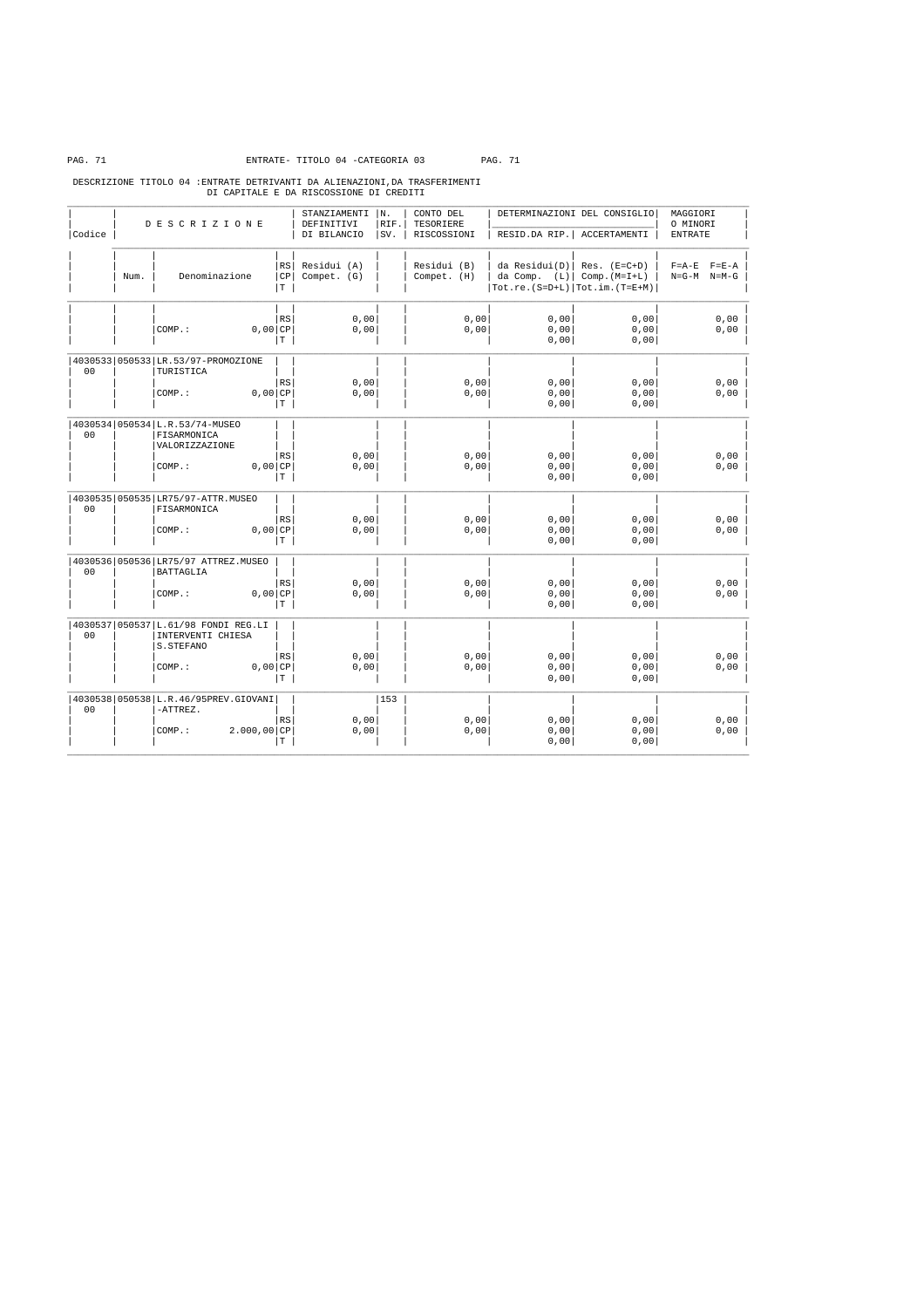| Codice         |      | DESCRIZIONE                                                                                    |                        | STANZIAMENTI<br>DEFINITIVI<br>DI BILANCIO | IN.<br>RIF.<br>ISV. | CONTO DEL<br>TESORIERE<br>RISCOSSIONI |                      | DETERMINAZIONI DEL CONSIGLIO<br>RESID.DA RIP.   ACCERTAMENTI                                | MAGGIORI<br>O MINORI<br><b>ENTRATE</b>                |
|----------------|------|------------------------------------------------------------------------------------------------|------------------------|-------------------------------------------|---------------------|---------------------------------------|----------------------|---------------------------------------------------------------------------------------------|-------------------------------------------------------|
|                | Num. | Denominazione                                                                                  | $_{\rm RS}$<br>CP<br>Г | Residui (A)<br>Compet. (G)                |                     | Residui (B)<br>Compet. (H)            | da Residui(D)        | $Res.$ $(E=C+D)$<br>da Comp. $(L)  $ Comp. $(M=I+L)$<br>$ Tot.re.(S=D+L)   Tot.in.(T=E+M) $ | $F = A - E$<br>$F = E - A$<br>$N = G - M$ $N = M - G$ |
|                |      | $0.00$ <sub>c</sub> $P$<br>COMP.:                                                              | RS<br>$\mathbb T$      | 0,00<br>0,00                              |                     | 0,00<br>0,00                          | 0,00<br>0,00<br>0,00 | 0,00<br>0,00<br>0,00                                                                        | 0,00<br>0,00                                          |
| 0 <sub>0</sub> |      | 4030533   050533   LR.53/97-PROMOZIONE<br>TURISTICA<br>$0,00$  CP<br>COMP.:                    | RS<br>T.               | 0,00<br>0,00                              |                     | 0,00<br>0,00                          | 0,00<br>0,00<br>0,00 | 0,00<br>0,00<br>0,00                                                                        | 0,00<br>0,00                                          |
| 0 <sub>0</sub> |      | 4030534   050534   L.R.53/74-MUSEO<br>FISARMONICA<br>VALORIZZAZIONE<br>0,00 CP<br>COMP.:       | RS<br>T.               | 0,00<br>0,00                              |                     | 0,00<br>0,00                          | 0,00<br>0,00<br>0,00 | 0,00<br>0,00<br>0,00                                                                        | 0,00<br>0,00                                          |
| 0 <sub>0</sub> |      | 4030535   050535   LR75/97-ATTR. MUSEO<br>FISARMONICA<br>$0,00$ <sub>CP</sub><br>COMP.:        | l RS<br>$\mathbf T$    | 0,00<br>0,00                              |                     | 0,00<br>0,00                          | 0,00<br>0,00<br>0,00 | 0,00<br>0,00<br>0,00                                                                        | 0,00<br>0,00                                          |
| 0 <sup>0</sup> |      | 4030536 050536 LR75/97 ATTREZ.MUSEO<br><b>BATTAGLIA</b><br>$0,00$  CP<br>COMP.:                | RS<br>$\mathbb T$      | 0,00<br>0,00                              |                     | 0,00<br>0,00                          | 0,00<br>0,00<br>0,00 | 0,00<br>0,00<br>0,00                                                                        | 0,00<br>0,00                                          |
| 0 <sup>0</sup> |      | 4030537 050537 L.61/98 FONDI REG.LI<br>INTERVENTI CHIESA<br>S. STEFANO<br>$0,00$  CP<br>COMP.: | RS<br>$\mathbb T$      | 0,00<br>0,00                              |                     | 0,00<br>0,00                          | 0,00<br>0,00<br>0,00 | 0,00<br>0,00<br>0,00                                                                        | 0,00<br>0,00                                          |
| 0 <sup>0</sup> |      | 4030538   050538   L.R. 46/95PREV. GIOVANI  <br>$-ATTREZ$ .<br>COMP.:<br>$2.000,00$ CP         | RS<br>T.               | 0,00<br>0,00                              | 153                 | 0,00<br>0,00                          | 0,00<br>0,00<br>0,00 | 0,00<br>0,00<br>0,00                                                                        | 0,00<br>0,00                                          |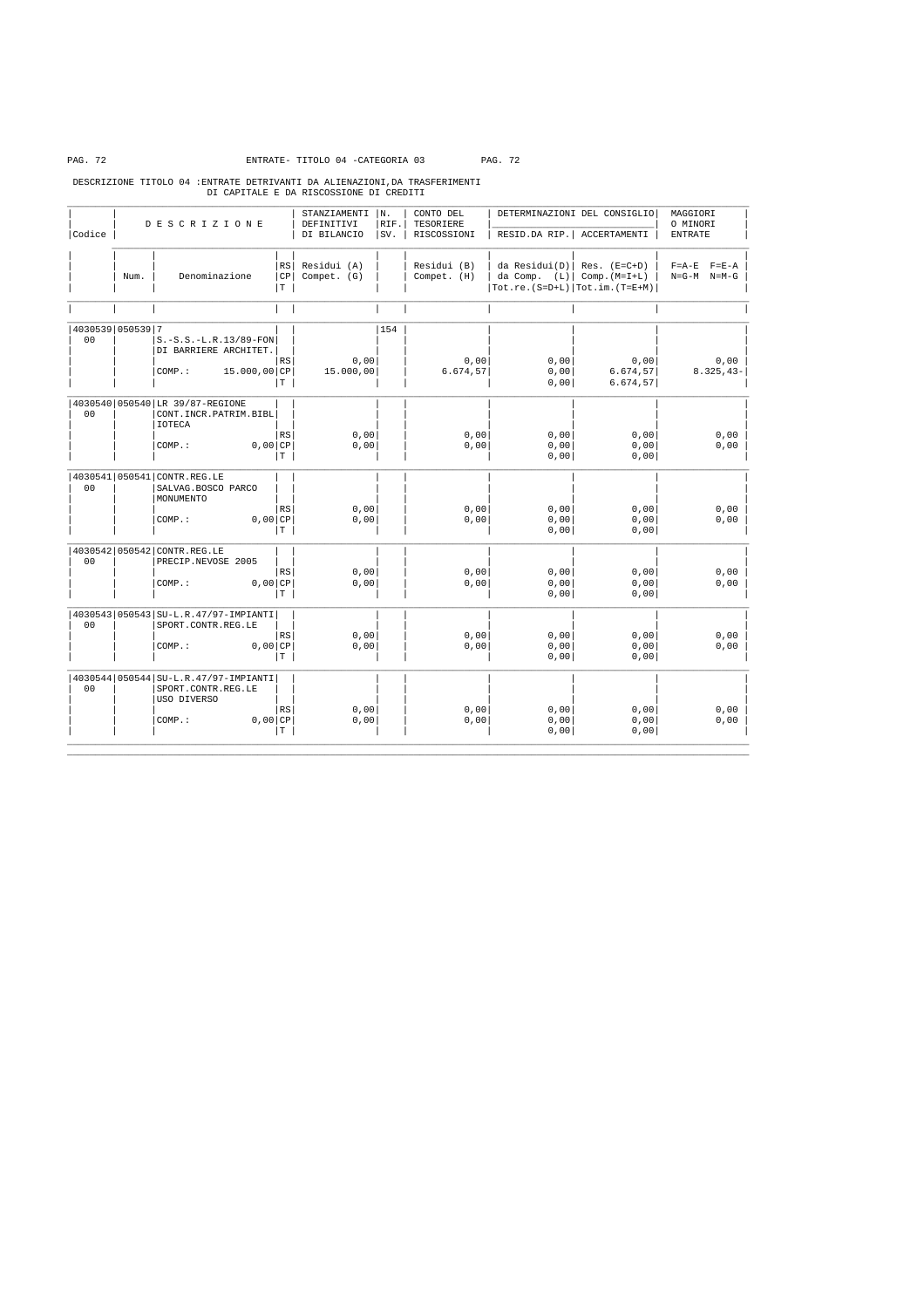| Codice                             |      | DESCRIZIONE                                                                                              |                  | STANZIAMENTI<br>DEFINITIVI<br>DI BILANCIO | IN.<br>RIF.<br> sv. | CONTO DEL<br>TESORIERE<br>RISCOSSIONI |                      | DETERMINAZIONI DEL CONSIGLIO<br>RESID.DA RIP.   ACCERTAMENTI                                               | MAGGIORI<br>O MINORI<br><b>ENTRATE</b>             |
|------------------------------------|------|----------------------------------------------------------------------------------------------------------|------------------|-------------------------------------------|---------------------|---------------------------------------|----------------------|------------------------------------------------------------------------------------------------------------|----------------------------------------------------|
|                                    | Num. | Denominazione                                                                                            | RS<br>CP<br>Г    | Residui (A)<br>Compet. (G)                |                     | Residui (B)<br>Compet. (H)            |                      | da Residui(D)   Res. $(E=C+D)$<br>da Comp. $(L)  $ Comp. $(M=I+L)$<br>$ Tot.re.(S=D+L)   Tot.in.(T=E+M)  $ | $F = A - E$ $F = E - A$<br>$N = G - M$ $N = M - G$ |
|                                    |      |                                                                                                          |                  |                                           |                     |                                       |                      |                                                                                                            |                                                    |
| 4030539105053917<br>0 <sub>0</sub> |      | $S.-S.S.-L.R.13/89-FON$<br>DI BARRIERE ARCHITET.<br>COMP.:<br>15.000,00 CP                               | RS<br>T.         | 0,00<br>15.000,00                         | 154                 | 0,00<br>6.674, 57                     | 0,00<br>0,00<br>0,00 | 0,00<br>6.674, 57<br>6.674, 57                                                                             | 0,00<br>$8.325, 43-$                               |
| 0 <sup>0</sup>                     |      | 4030540 050540 LR 39/87-REGIONE<br>CONT. INCR. PATRIM. BIBL<br>IOTECA<br>$0,00$  CP<br>COMP.:            | RS<br>T.         | 0,00<br>0,00                              |                     | 0,00<br>0,00                          | 0,00<br>0,00<br>0,00 | 0,00<br>0,00<br>0,00                                                                                       | 0,00<br>0,00                                       |
| 00                                 |      | 4030541   050541   CONTR.REG.LE<br>SALVAG. BOSCO PARCO<br>MONUMENTO<br>$0.00$ <sub>c</sub> $P$<br>COMP.: | RS<br>T          | 0,00<br>0,00                              |                     | 0,00<br>0,00                          | 0,00<br>0,00<br>0,00 | 0,00<br>0,00<br>0,00                                                                                       | 0,00<br>0,00                                       |
| 0 <sub>0</sub>                     |      | 4030542   050542   CONTR.REG.LE<br>PRECIP.NEVOSE 2005<br>0,00 CP<br>COMP.:                               | <b>RS</b><br>Iт. | 0,00<br>0,00                              |                     | 0,00<br>0,00                          | 0,00<br>0,00<br>0,00 | 0,00<br>0,00<br>0,00                                                                                       | 0,00<br>0,00                                       |
| 0 <sup>0</sup>                     |      | 4030543   050543   SU-L.R. 47/97-IMPIANTI  <br>SPORT.CONTR.REG.LE<br>$0,00$  CP<br>COMP.:                | <b>RS</b><br>T.  | 0.00<br>0,00                              |                     | 0.00<br>0,00                          | 0,00<br>0,00<br>0,00 | 0.00<br>0,00<br>0,00                                                                                       | 0.00<br>0,00                                       |
| 00                                 |      | 4030544   050544   SU-L.R. 47/97-IMPIANTI<br>SPORT.CONTR.REG.LE<br>USO DIVERSO<br>$0,00$  CP<br>COMP.:   | <b>RS</b><br>T.  | 0.00<br>0,00                              |                     | 0.00<br>0,00                          | 0.00<br>0,00<br>0,00 | 0,00<br>0,00<br>0,00                                                                                       | 0.00<br>0,00                                       |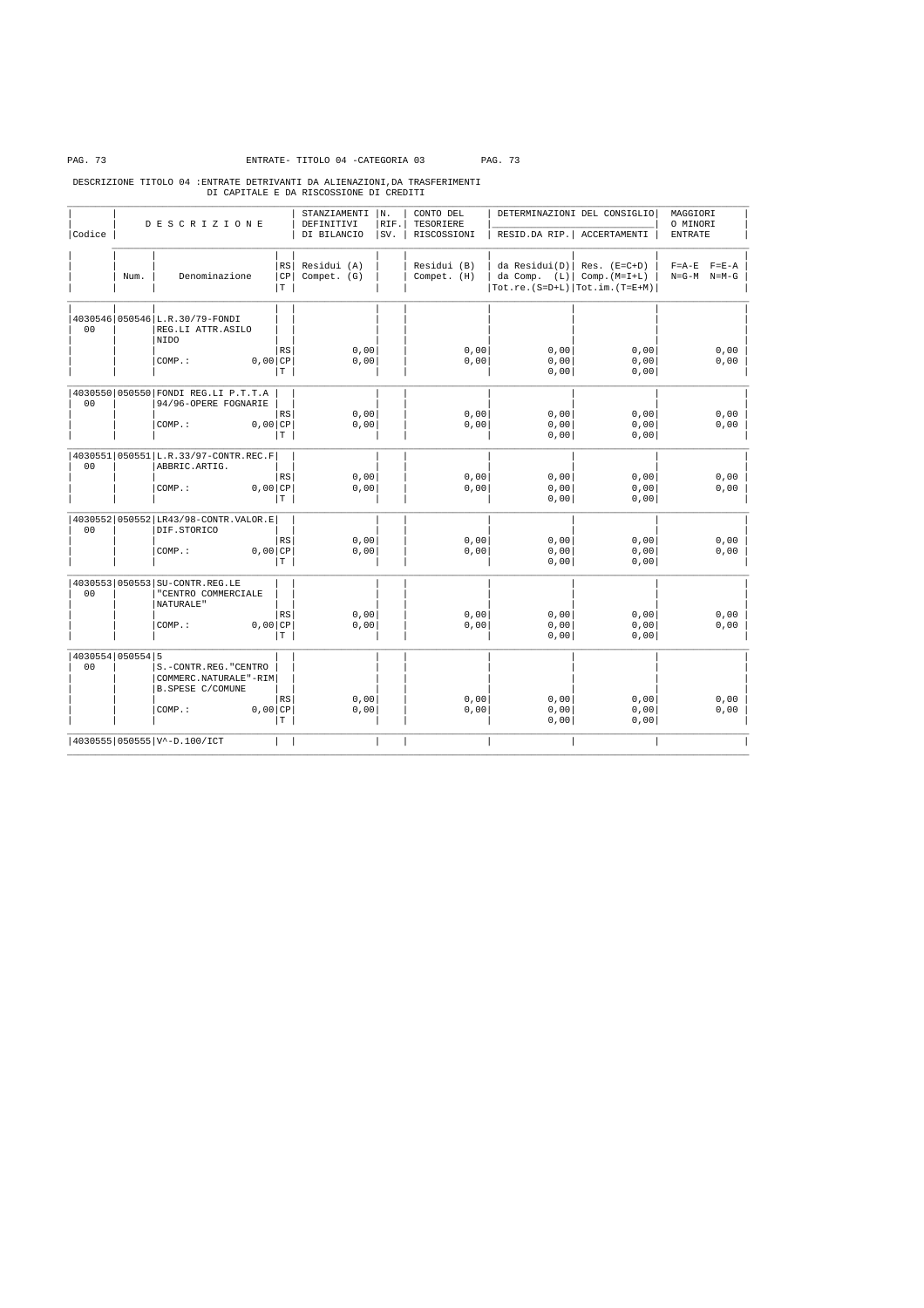| Codice                 |      | DESCRIZIONE                                                                                                                                                   |                        | STANZIAMENTI<br>DEFINITIVI<br>DI BILANCIO | IN.<br>RIF.<br>ISV. | CONTO DEL<br>TESORIERE<br>RISCOSSIONI |                                                      | DETERMINAZIONI DEL CONSIGLIO<br>RESID.DA RIP.   ACCERTAMENTI | MAGGIORI<br>O MINORI<br><b>ENTRATE</b>             |
|------------------------|------|---------------------------------------------------------------------------------------------------------------------------------------------------------------|------------------------|-------------------------------------------|---------------------|---------------------------------------|------------------------------------------------------|--------------------------------------------------------------|----------------------------------------------------|
|                        | Num. | Denominazione                                                                                                                                                 | $_{\rm RS}$<br>CP<br>T | Residui (A)<br>Compet. (G)                |                     | Residui (B)<br>Compet. (H)            | da Residui $(D)$<br>da Comp. $(L)  $ Comp. $(M=I+L)$ | $Res.$ $(E=C+D)$<br>$ Tot.re.(S=D+L)   Tot.in.(T=E+M)  $     | $F = A - E$ $F = E - A$<br>$N = G - M$ $N = M - G$ |
| 0 <sub>0</sub>         |      | 4030546   050546   L.R.30/79-FONDI<br>REG.LI ATTR.ASILO<br><b>NIDO</b><br>$0,00$  CP<br>COMP.:                                                                | RS<br>$\mathbb T$      | 0,00<br>0,00                              |                     | 0,00<br>0,00                          | 0,00<br>0,00<br>0,00                                 | 0,00<br>0,00<br>0,00                                         | 0,00<br>0,00                                       |
| 0 <sub>0</sub>         |      | 4030550 050550 FONDI REG.LI P.T.T.A<br>94/96-OPERE FOGNARIE<br>COMP.:<br>$0,00$ CP                                                                            | RS<br>T.               | 0,00<br>0,00                              |                     | 0,00<br>0,00                          | 0,00<br>0,00<br>0,00                                 | 0,00<br>0,00<br>0,00                                         | 0,00<br>0,00                                       |
| 0 <sub>0</sub>         |      | 4030551   050551   L.R. 33/97-CONTR.REC.F<br>ABBRIC.ARTIG.<br>COMP.:<br>$0,00$  CP                                                                            | RS<br>T.               | 0,00<br>0,00                              |                     | 0,00<br>0,00                          | 0,00<br>0,00<br>0,00                                 | 0,00<br>0,00<br>0,00                                         | 0,00<br>0,00                                       |
| 0 <sub>0</sub>         |      | 4030552   050552   LR43/98-CONTR. VALOR. E<br>DIF.STORICO<br>$0,00$ <sub>CP</sub><br>COMP.:                                                                   | <b>RS</b><br>T         | 0,00<br>0,00                              |                     | 0,00<br>0,00                          | 0,00<br>0,00<br>0,00                                 | 0,00<br>0,00<br>0,00                                         | 0,00<br>0,00                                       |
| 0 <sup>0</sup>         |      | 4030553   050553   SU-CONTR.REG.LE<br>"CENTRO COMMERCIALE<br>NATURALE"<br>COMP.:<br>$0,00$ CP                                                                 | RS<br>$\mathbb T$      | 0,00<br>0,00                              |                     | 0,00<br>0,00                          | 0,00<br>0,00<br>0,00                                 | 0,00<br>0,00<br>0,00                                         | 0,00<br>0,00                                       |
| 4030554105055415<br>00 |      | S. - CONTR. REG. "CENTRO<br>COMMERC.NATURALE"-RIM<br><b>B. SPESE C/COMUNE</b><br>$0,00$ <sub>CP</sub><br>COMP.:<br>4030555 050555   V <sup>^</sup> -D.100/ICT | RS<br>T.               | 0,00<br>0,00                              |                     | 0,00<br>0,00                          | 0,00<br>0,00<br>0,00                                 | 0,00<br>0,00<br>0,00                                         | 0,00<br>0,00                                       |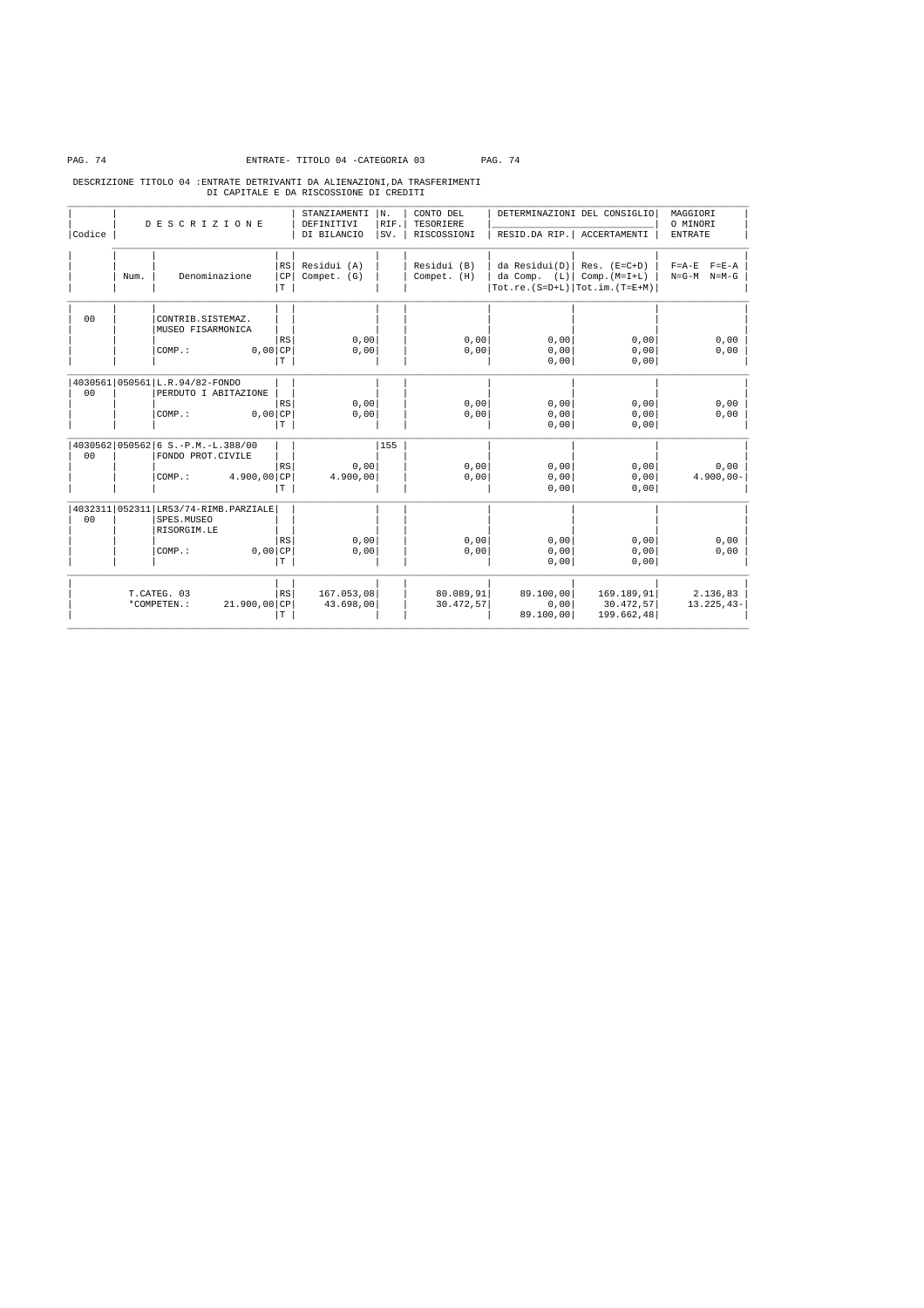| Codice         |      | <b>DESCRIZIONE</b>                                                                                          |                 | STANZIAMENTI<br>IN.<br>DEFINITIVI<br>DI BILANCIO | RIF.<br>lsv. | CONTO DEL<br>TESORIERE<br>RISCOSSIONI | RESID.DA RIP.   ACCERTAMENTI   | DETERMINAZIONI DEL CONSIGLIO                                                                           | MAGGIORI<br>O MINORI<br><b>ENTRATE</b>             |
|----------------|------|-------------------------------------------------------------------------------------------------------------|-----------------|--------------------------------------------------|--------------|---------------------------------------|--------------------------------|--------------------------------------------------------------------------------------------------------|----------------------------------------------------|
|                | Num. | Denominazione                                                                                               | RS<br>CP<br>Г   | Residui (A)<br>Compet. (G)                       |              | Residui (B)<br>Compet. (H)            |                                | da Residui(D)   Res. (E=C+D)<br>da Comp. $(L)$ Comp. $(M=I+L)$<br>$ Tot.re.(S=D+L)   Tot.in.(T=E+M)  $ | $F = A - E$ $F = E - A$<br>$N = G - M$ $N = M - G$ |
| 0 <sub>0</sub> |      | CONTRIB.SISTEMAZ.<br>MUSEO FISARMONICA<br>$0.00$ <sub>c</sub> $P$<br>COMP.:                                 | <b>RS</b><br>T. | 0,00<br>0,00                                     |              | 0,00<br>0,00                          | 0,00<br>0.00<br>0,00           | 0,00<br>0.00<br>0,00                                                                                   | 0,00<br>0.00                                       |
| 0 <sup>0</sup> |      | 4030561 050561 L.R.94/82-FONDO<br>PERDUTO I ABITAZIONE<br>COMP.:<br>$0,00$ <sub>CP</sub>                    | RS<br>T.        | 0,00<br>0,00                                     |              | 0,00<br>0,00                          | 0,00<br>0,00<br>0,00           | 0,00<br>0,00<br>0,00                                                                                   | 0,00<br>0,00                                       |
| 0 <sub>0</sub> |      | 4030562 050562 6 S.-P.M.-L.388/00<br>FONDO PROT. CIVILE<br>4.900,00 CP<br>COMP.:                            | <b>RS</b><br>T  | 0,00<br>4.900,00                                 | 155          | 0,00<br>0,00                          | 0,00<br>0,00<br>0,00           | 0,00<br>0,00<br>0,00                                                                                   | 0.00<br>$4.900,00 -$                               |
| 0 <sub>0</sub> |      | 4032311   052311   LR53/74-RIMB. PARZIALE<br>SPES.MUSEO<br>RISORGIM.LE<br>$0.00$ <sub>c</sub> $P$<br>COMP.: | RS<br>T         | 0,00<br>0,00                                     |              | 0,00<br>0,00                          | 0,00<br>0,00<br>0,00           | 0,00<br>0,00<br>0,00                                                                                   | 0,00<br>0,00                                       |
|                |      | T.CATEG. 03<br>*COMPETEN. :<br>21.900,00 CP                                                                 | RS<br>т         | 167.053,08<br>43.698,00                          |              | 80.089,91<br>30.472,57                | 89.100,00<br>0,00<br>89.100,00 | 169.189,91<br>30.472,57<br>199.662,48                                                                  | 2.136,83<br>$13.225.43-$                           |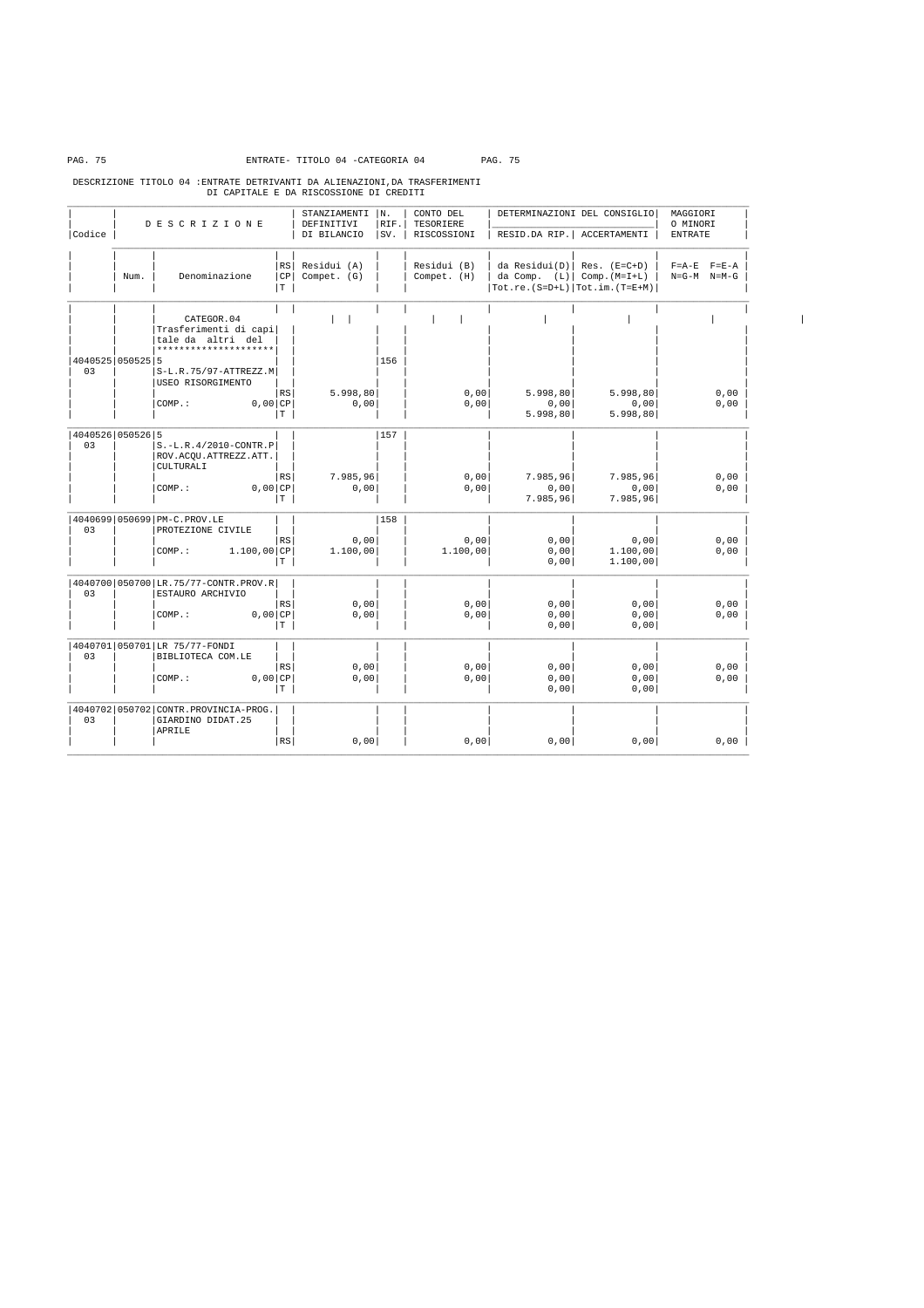| Codice                 |      | <b>DESCRIZIONE</b>                                                                                                                |                          | STANZIAMENTI<br>DEFINITIVI<br>DI BILANCIO | N.<br>RIF.<br>SV. | CONTO DEL<br>TESORIERE<br>RISCOSSIONI |                                                                  | DETERMINAZIONI DEL CONSIGLIO<br>RESID.DA RIP.   ACCERTAMENTI | MAGGIORI<br>O MINORI<br><b>ENTRATE</b>             |
|------------------------|------|-----------------------------------------------------------------------------------------------------------------------------------|--------------------------|-------------------------------------------|-------------------|---------------------------------------|------------------------------------------------------------------|--------------------------------------------------------------|----------------------------------------------------|
|                        | Num. | Denominazione                                                                                                                     | RS<br>CP<br>$\mathbb T$  | Residui (A)<br>Compet. (G)                |                   | Residui (B)<br>Compet. (H)            | da Residui(D)   Res. $(E=C+D)$<br>da Comp. $(L)$ Comp. $(M=I+L)$ | $ Tot.re.(S=D+L)   Tot.in.(T=E+M)  $                         | $F = A - E$ $F = E - A$<br>$N = G - M$ $N = M - G$ |
| 4040525 050525 5<br>03 |      | CATEGOR.04<br>Trasferimenti di capi<br>tale da altri del<br>*********************<br>$S-L.R.75/97-ATTREZZ.M$<br>USEO RISORGIMENTO | RS                       | 5.998,80                                  | 156               | 0,00                                  | 5.998,80                                                         | 5.998,80                                                     | 0,00                                               |
|                        |      | $0,00$  CP<br>COMP.:                                                                                                              | $\mathbb T$              | 0,00                                      |                   | 0,00                                  | 0,00<br>5.998, 80                                                | 0,00<br>5.998,80                                             | 0,00                                               |
| 4040526 050526 5<br>03 |      | S.-L.R. 4/2010-CONTR. P<br>ROV.ACOU.ATTREZZ.ATT.<br>CULTURALI                                                                     |                          |                                           | 157               |                                       |                                                                  |                                                              |                                                    |
|                        |      | $0,00$ <sub>CP</sub><br>COMP.:                                                                                                    | <b>RS</b><br>$\mathbb T$ | 7.985,96<br>0,00                          |                   | 0,00<br>0,00                          | 7.985,96<br>0,00<br>7.985,96                                     | 7.985,96<br>0,00<br>7.985,96                                 | 0,00<br>0,00                                       |
| 03                     |      | 4040699   050699   PM-C. PROV. LE<br>PROTEZIONE CIVILE                                                                            |                          |                                           | 158               |                                       |                                                                  |                                                              |                                                    |
|                        |      | 1.100,00 CP<br>COMP.:                                                                                                             | <b>RS</b><br>$\mathbb T$ | 0,00<br>1.100,00                          |                   | 0,00<br>1.100,00                      | 0,00<br>0,00<br>0,00                                             | 0,00<br>1.100,00<br>1.100,00                                 | 0,00<br>0,00                                       |
| 03                     |      | 4040700   050700   LR.75/77-CONTR.PROV.R<br>ESTAURO ARCHIVIO                                                                      |                          |                                           |                   |                                       |                                                                  |                                                              |                                                    |
|                        |      | $0,00$ <sub>CP</sub><br>COMP.:                                                                                                    | RS<br>$\mathbb T$        | 0,00<br>0,00                              |                   | 0,00<br>0,00                          | 0,00<br>0,00<br>0,00                                             | 0,00<br>0,00<br>0,00                                         | 0,00<br>0,00                                       |
| 03                     |      | 4040701 050701 LR 75/77-FONDI<br>BIBLIOTECA COM.LE                                                                                | RS                       | 0,00                                      |                   | 0,00                                  | 0,00                                                             | 0,00                                                         | 0,00                                               |
|                        |      | COMP.:<br>$0,00$ <sub>CP</sub>                                                                                                    | $\mathbb T$              | 0,00                                      |                   | 0,00                                  | 0,00<br>0,00                                                     | 0,00<br>0,00                                                 | 0,00                                               |
| 03                     |      | 4040702   050702   CONTR. PROVINCIA-PROG.<br>GIARDINO DIDAT.25<br>APRILE                                                          |                          |                                           |                   |                                       |                                                                  |                                                              |                                                    |
|                        |      |                                                                                                                                   | RS                       | 0,00                                      |                   | 0,00                                  | 0,00                                                             | 0,00                                                         | 0,00                                               |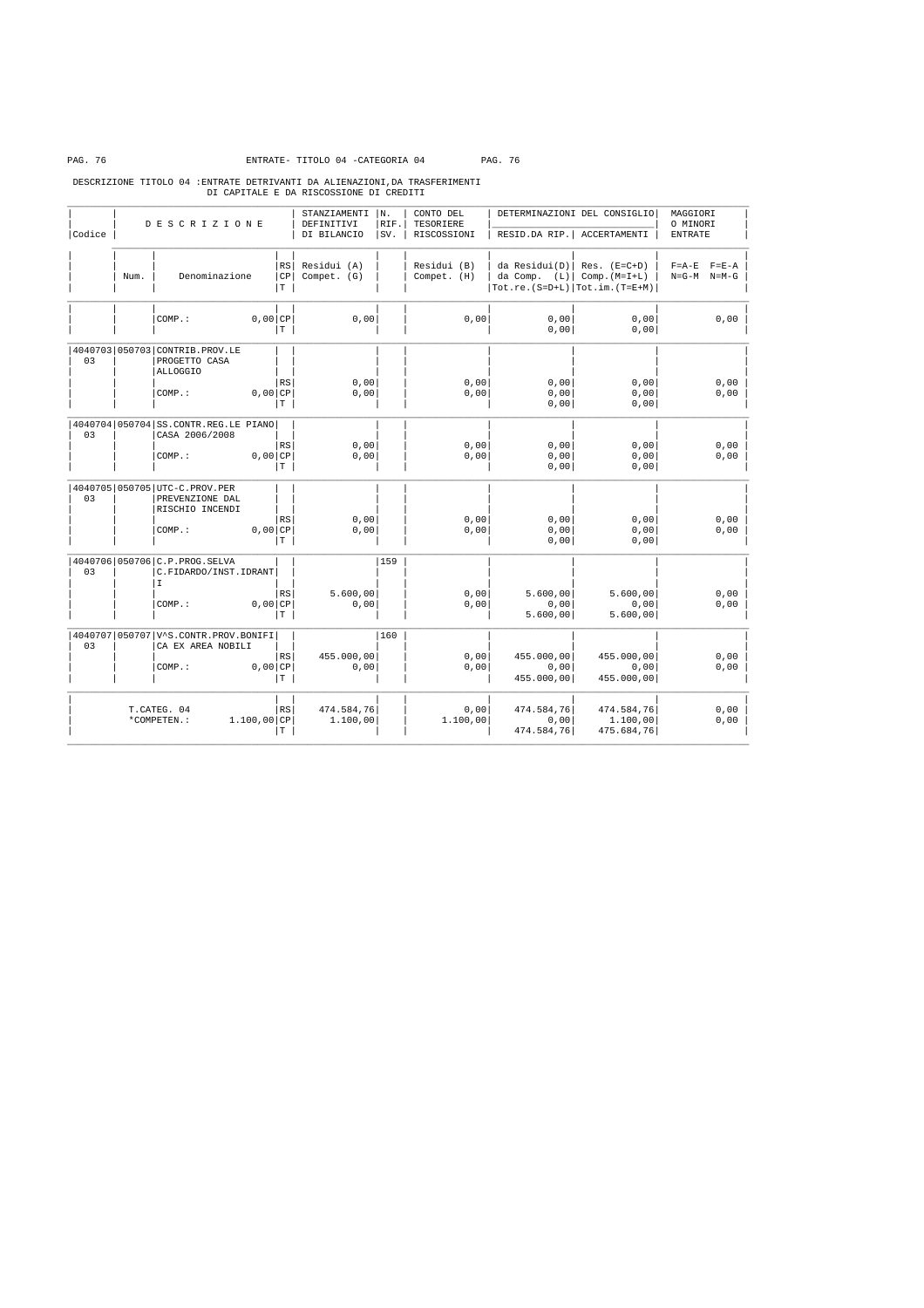| Codice |      | DESCRIZIONE                                                                                                 |                                  | STANZIAMENTI<br>DEFINITIVI<br>DI BILANCIO | N.<br>RIF.<br>SV. | CONTO DEL<br>TESORIERE<br>RISCOSSIONI |                                  | DETERMINAZIONI DEL CONSIGLIO<br>RESID.DA RIP.   ACCERTAMENTI                                               | MAGGIORI<br>O MINORI<br><b>ENTRATE</b>             |
|--------|------|-------------------------------------------------------------------------------------------------------------|----------------------------------|-------------------------------------------|-------------------|---------------------------------------|----------------------------------|------------------------------------------------------------------------------------------------------------|----------------------------------------------------|
|        | Num. | Denominazione                                                                                               | $_{\rm RS}$<br>CP<br>$\mathbb T$ | Residui (A)<br>Compet. (G)                |                   | Residui (B)<br>Compet. (H)            |                                  | da Residui(D)   Res. $(E=C+D)$<br>da Comp. $(L)  $ Comp. $(M=I+L)$<br>$ Tot.re.(S=D+L)   Tot.in.(T=E+M)  $ | $F = A - E$ $F = E - A$<br>$N = G - M$ $N = M - G$ |
|        |      | $0,00$  CP<br>COMP.:                                                                                        | $\mathbb T$                      | 0,00                                      |                   | 0,00                                  | 0,00<br>0,00                     | 0,00<br>0,00                                                                                               | 0,00                                               |
| 03     |      | 4040703   050703   CONTRIB. PROV. LE<br>PROGETTO CASA<br><b>ALLOGGIO</b><br>0,00 CP<br>COMP.:               | RS<br>T                          | 0,00<br>0,00                              |                   | 0,00<br>0,00                          | 0,00<br>0,00<br>0,00             | 0,00<br>0,00<br>0,00                                                                                       | 0,00<br>0,00                                       |
| 03     |      | 4040704   050704   SS. CONTR. REG. LE PIANO  <br>CASA 2006/2008<br>$0,00$ <sub>CP</sub><br>COMP.:           | RS<br>$\mathbb T$                | 0,00<br>0,00                              |                   | 0,00<br>0,00                          | 0,00<br>0,00<br>0,00             | 0,00<br>0,00<br>0,00                                                                                       | 0,00<br>0,00                                       |
| 03     |      | 4040705   050705   UTC-C. PROV. PER<br>PREVENZIONE DAL<br>RISCHIO INCENDI<br>COMP.:<br>$0,00$ <sub>CP</sub> | <b>RS</b><br>$\mathbb T$         | 0,00<br>0,00                              |                   | 0,00<br>0,00                          | 0,00<br>0,00<br>0,00             | 0,00<br>0,00<br>0,00                                                                                       | 0,00<br>0,00                                       |
| 03     |      | 4040706 050706 C.P.PROG. SELVA<br>C. FIDARDO/INST. IDRANT<br>T                                              | RS.                              | 5.600,00                                  | 159               | 0,00                                  | 5.600,00                         | 5.600,00                                                                                                   | 0,00                                               |
|        |      | $0,00$ <sub>CP</sub><br>COMP.:<br>4040707   050707   V^S.CONTR. PROV. BONIFI                                | $\mathbb T$                      | $0$ , $00$                                | 160               | 0,00                                  | 0,00<br>5.600,00                 | 0,00<br>5.600,00                                                                                           | 0,00                                               |
| 03     |      | CA EX AREA NOBILI<br>$0,00$ <sub>CP</sub><br>COMP.:                                                         | <b>RS</b><br>$\mathbb T$         | 455,000,00<br>0,00                        |                   | 0,00<br>0,00                          | 455.000.00<br>0,00<br>455.000,00 | 455,000,00<br>0,00<br>455.000,00                                                                           | 0.00<br>0,00                                       |
|        |      | T. CATEG. 04<br>*COMPETEN. :<br>1.100,00 CP                                                                 | RS<br>T.                         | 474.584,76<br>1.100,00                    |                   | 0,00<br>1.100,00                      | 474.584,76<br>0,00<br>474.584,76 | 474.584,76<br>1.100,00<br>475.684,76                                                                       | 0,00<br>0,00                                       |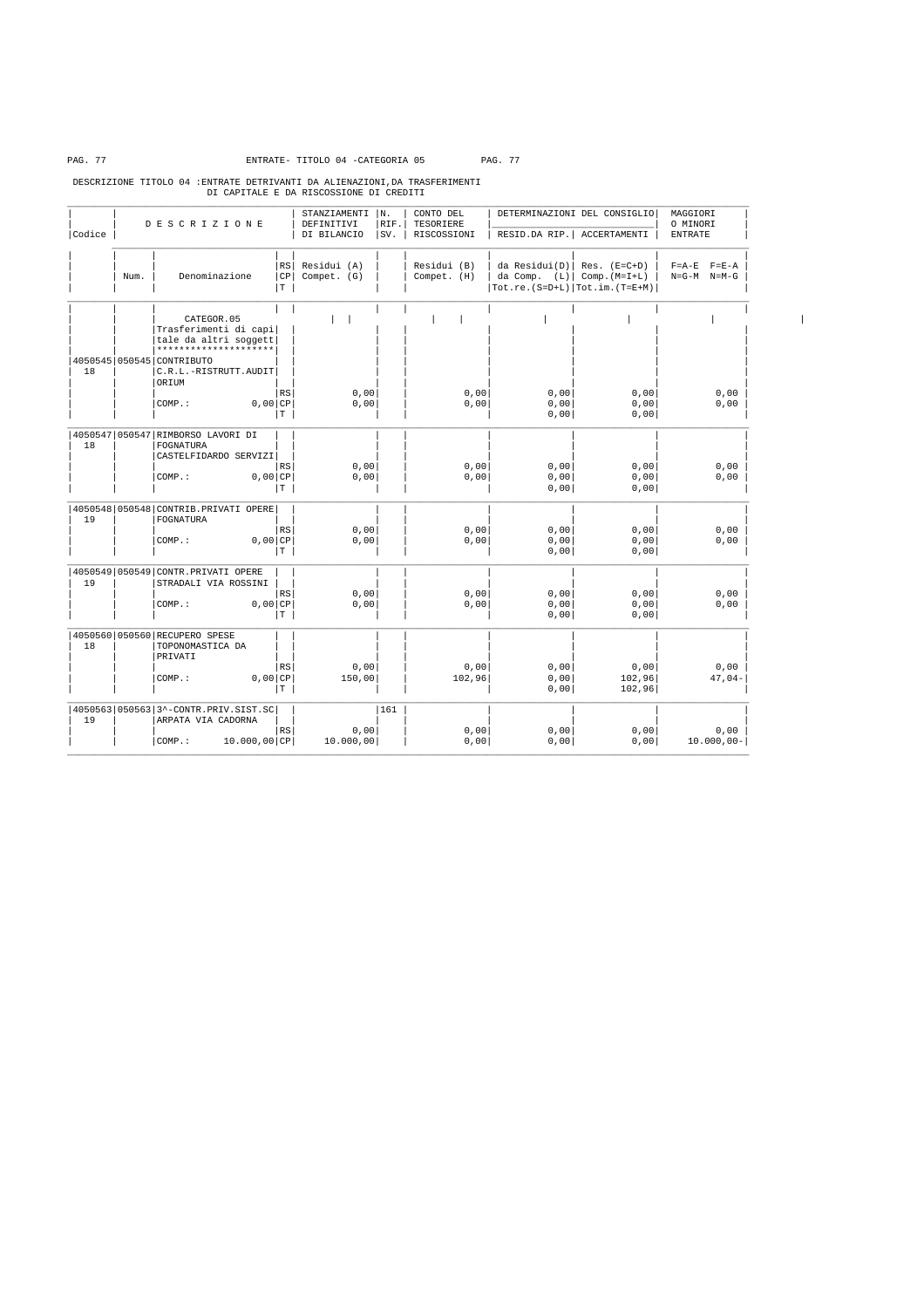| Codice |      | <b>DESCRIZIONE</b>                                                                                                                                       |                                  | STANZIAMENTI<br>DEFINITIVI<br>DI BILANCIO | N.<br>RIF.<br>SV. | CONTO DEL<br>TESORIERE<br>RISCOSSIONI |                                                   | DETERMINAZIONI DEL CONSIGLIO<br>RESID.DA RIP.   ACCERTAMENTI | MAGGIORI<br>O MINORI<br><b>ENTRATE</b>             |
|--------|------|----------------------------------------------------------------------------------------------------------------------------------------------------------|----------------------------------|-------------------------------------------|-------------------|---------------------------------------|---------------------------------------------------|--------------------------------------------------------------|----------------------------------------------------|
|        | Num. | Denominazione                                                                                                                                            | RS<br>$_{\rm CP}$<br>$\mathbb T$ | Residui (A)<br>Compet. (G)                |                   | Residui (B)<br>Compet. (H)            | da Residui(D)<br>da Comp. $(L)  $ Comp. $(M=I+L)$ | $Res.$ ( $E=C+D$ )<br>$Tot.re.(S=D+L)   Tot.in.(T=E+M)  $    | $F = A - E$ $F = E - A$<br>$N = G - M$ $N = M - G$ |
| $18\,$ |      | CATEGOR.05<br>Trasferimenti di capi<br>tale da altri soggett<br>*********************<br>4050545   050545   CONTRIBUTO<br>C.R.L.-RISTRUTT.AUDIT<br>ORIUM |                                  |                                           |                   |                                       |                                                   |                                                              |                                                    |
|        |      | $0,00$ <sub>CP</sub><br>COMP.:                                                                                                                           | RS<br>$\mathbb T$                | 0,00<br>0,00                              |                   | 0,00<br>0,00                          | 0,00<br>0,00<br>0,00                              | 0,00<br>0,00<br>0,00                                         | 0,00<br>0,00                                       |
| 18     |      | 4050547 050547 RIMBORSO LAVORI DI<br>FOGNATURA<br>CASTELFIDARDO SERVIZI                                                                                  | RS                               | 0,00                                      |                   | 0,00                                  | 0,00                                              | 0,00                                                         | 0,00                                               |
|        |      | $0,00$ <sub>CP</sub><br>COMP.:                                                                                                                           | $\mathbb T$                      | 0,00                                      |                   | 0,00                                  | 0,00<br>0,00                                      | 0,00<br>0,00                                                 | 0,00                                               |
| 19     |      | 4050548   050548   CONTRIB. PRIVATI OPERE<br>FOGNATURA                                                                                                   | RS                               | 0,00                                      |                   | 0,00                                  | 0,00                                              | 0,00                                                         | 0,00                                               |
|        |      | $0,00$  CP<br>COMP.:                                                                                                                                     | $\mathbb T$                      | 0,00                                      |                   | 0,00                                  | 0,00<br>0,00                                      | 0,00<br>0,00                                                 | 0,00                                               |
| 19     |      | 4050549   050549   CONTR. PRIVATI OPERE<br>STRADALI VIA ROSSINI                                                                                          |                                  |                                           |                   |                                       |                                                   |                                                              |                                                    |
|        |      | $0,00$ CP<br>COMP.:                                                                                                                                      | RS<br>$\mathbb T$                | 0,00<br>0,00                              |                   | 0,00<br>0,00                          | 0,00<br>0,00<br>0,00                              | 0,00<br>0,00<br>0,00                                         | 0,00<br>0,00                                       |
| 18     |      | 4050560 050560 RECUPERO SPESE<br>TOPONOMASTICA DA<br>PRIVATI                                                                                             |                                  |                                           |                   |                                       |                                                   |                                                              |                                                    |
|        |      | $0,00$ <sub>CP</sub><br>COMP.:                                                                                                                           | RS<br>$\mathbb T$                | 0,00<br>150,00                            |                   | 0,00<br>102,96                        | 0,00<br>0,00<br>0,00                              | 0,00<br>102,96<br>102,96                                     | 0,00<br>$47,04-$                                   |
| 19     |      | 4050563   050563   3^-CONTR. PRIV. SIST. SC<br>ARPATA VIA CADORNA                                                                                        |                                  |                                           | 161               |                                       |                                                   |                                                              |                                                    |
|        |      | 10.000,00 CP<br>COMP.:                                                                                                                                   | RS                               | 0,00<br>10.000,00                         |                   | 0,00<br>0,00                          | 0,00<br>0,00                                      | 0,00<br>0,00                                                 | 0,00<br>$10.000,00-$                               |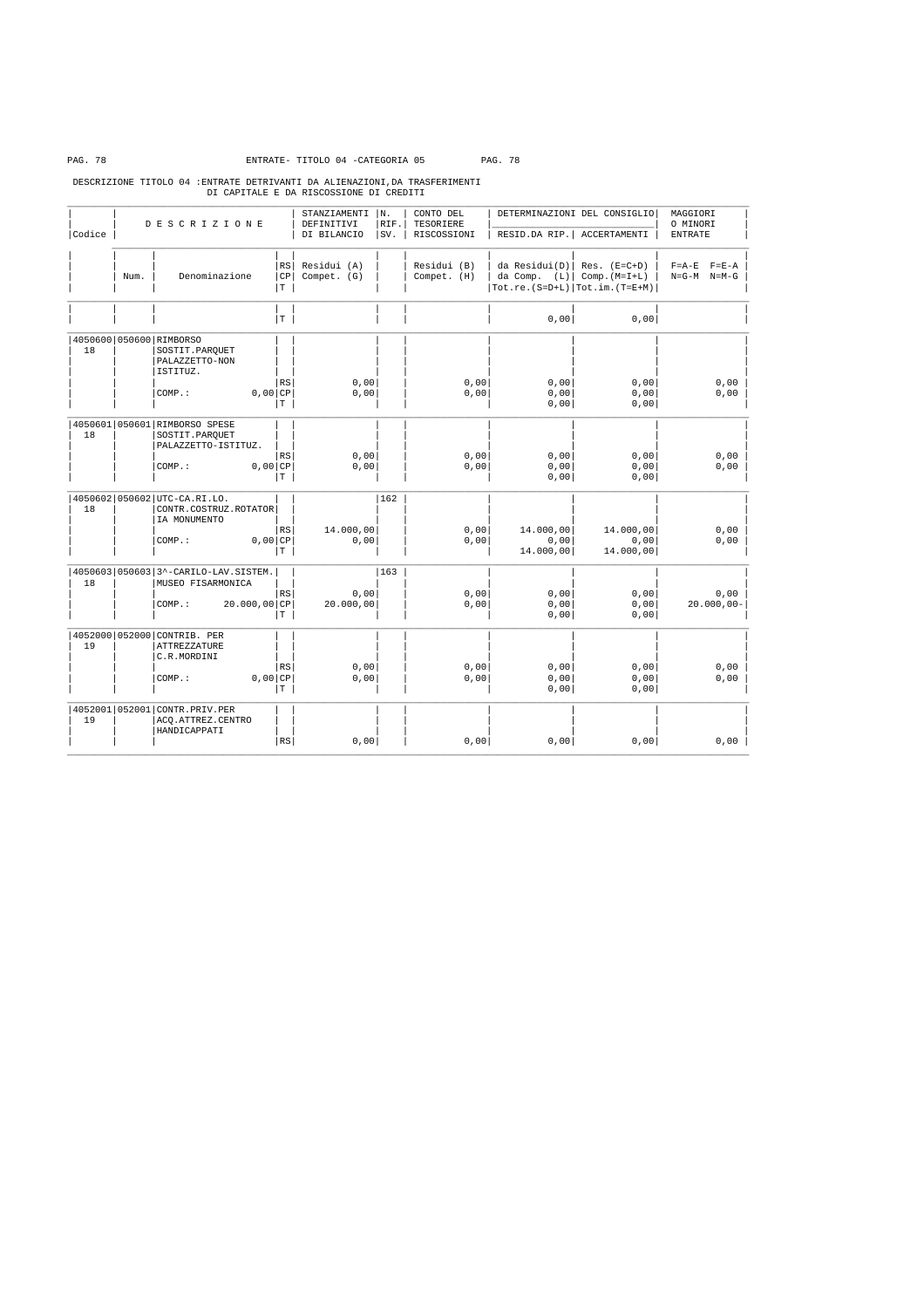| Codice |      | DESCRIZIONE                                                                                   |                         | STANZIAMENTI<br>DEFINITIVI<br>DI BILANCIO | IN.<br>RIF.<br> sv. | CONTO DEL<br>TESORIERE<br>RISCOSSIONI |                                | DETERMINAZIONI DEL CONSIGLIO<br>RESID.DA RIP.   ACCERTAMENTI                                               | MAGGIORI<br>O MINORI<br><b>ENTRATE</b>             |
|--------|------|-----------------------------------------------------------------------------------------------|-------------------------|-------------------------------------------|---------------------|---------------------------------------|--------------------------------|------------------------------------------------------------------------------------------------------------|----------------------------------------------------|
|        | Num. | Denominazione                                                                                 | RS<br>CP<br>$\mathbb T$ | Residui (A)<br>Compet. (G)                |                     | Residui (B)<br>Compet. (H)            |                                | da Residui(D)   Res. $(E=C+D)$<br>da Comp. $(L)  $ Comp. $(M=I+L)$<br>$ Tot.re.(S=D+L)   Tot.in.(T=E+M)  $ | $F = A - E$ $F = E - A$<br>$N = G - M$ $N = M - G$ |
|        |      |                                                                                               | IТ                      |                                           |                     |                                       | 0,00                           | 0,00                                                                                                       |                                                    |
| 18     |      | 4050600 050600 RIMBORSO<br>SOSTIT. PAROUET<br>PALAZZETTO-NON<br>ISTITUZ.<br>0,00 CP<br>COMP.: | RS<br>$\mathbb T$       | 0,00<br>0,00                              |                     | 0,00<br>0,00                          | 0,00<br>0,00<br>0,00           | 0,00<br>0,00<br>0,00                                                                                       | 0,00<br>0,00                                       |
| 18     |      | 4050601 050601 RIMBORSO SPESE<br>SOSTIT. PAROUET<br>PALAZZETTO-ISTITUZ.<br>0,00 CP<br>COMP.:  | RS<br>$\mathbb T$       | 0,00<br>0,00                              |                     | 0,00<br>0,00                          | 0,00<br>0,00<br>0,00           | 0,00<br>0,00<br>0,00                                                                                       | 0,00<br>0,00                                       |
| 18     |      | 4050602 050602 UTC-CA.RI.LO.<br>CONTR.COSTRUZ.ROTATOR<br>IA MONUMENTO<br>$0,00$  CP<br>COMP.: | RS<br>T.                | 14.000,00<br>0,00                         | 162                 | 0,00<br>0,00                          | 14.000,00<br>0.00<br>14.000,00 | 14.000,00<br>0.00<br>14.000,00                                                                             | 0,00<br>0,00                                       |
| 18     |      | 4050603   050603   3^-CARILO-LAV. SISTEM.<br>MUSEO FISARMONICA<br>20.000,00 CP<br>COMP.:      | l RS<br>$\mathbb T$     | 0,00<br>20.000,00                         | 163                 | 0,00<br>0,00                          | 0,00<br>0,00<br>0,00           | 0,00<br>0,00<br>0,00                                                                                       | 0.00<br>$20.000,00 -$                              |
| 19     |      | 4052000 052000 CONTRIB. PER<br><b>ATTREZZATURE</b><br>C.R.MORDINI<br>$0,00$  CP<br>COMP.:     | RS<br>$\mathbb T$       | 0,00<br>0,00                              |                     | 0,00<br>0,00                          | 0,00<br>0,00<br>0,00           | 0,00<br>0,00<br>0,00                                                                                       | 0,00<br>0,00                                       |
| 19     |      | 4052001 052001 CONTR. PRIV. PER<br>ACQ. ATTREZ. CENTRO<br>HANDICAPPATI                        | RS                      | 0,00                                      |                     | 0,00                                  | 0,00                           | 0,00                                                                                                       | 0,00                                               |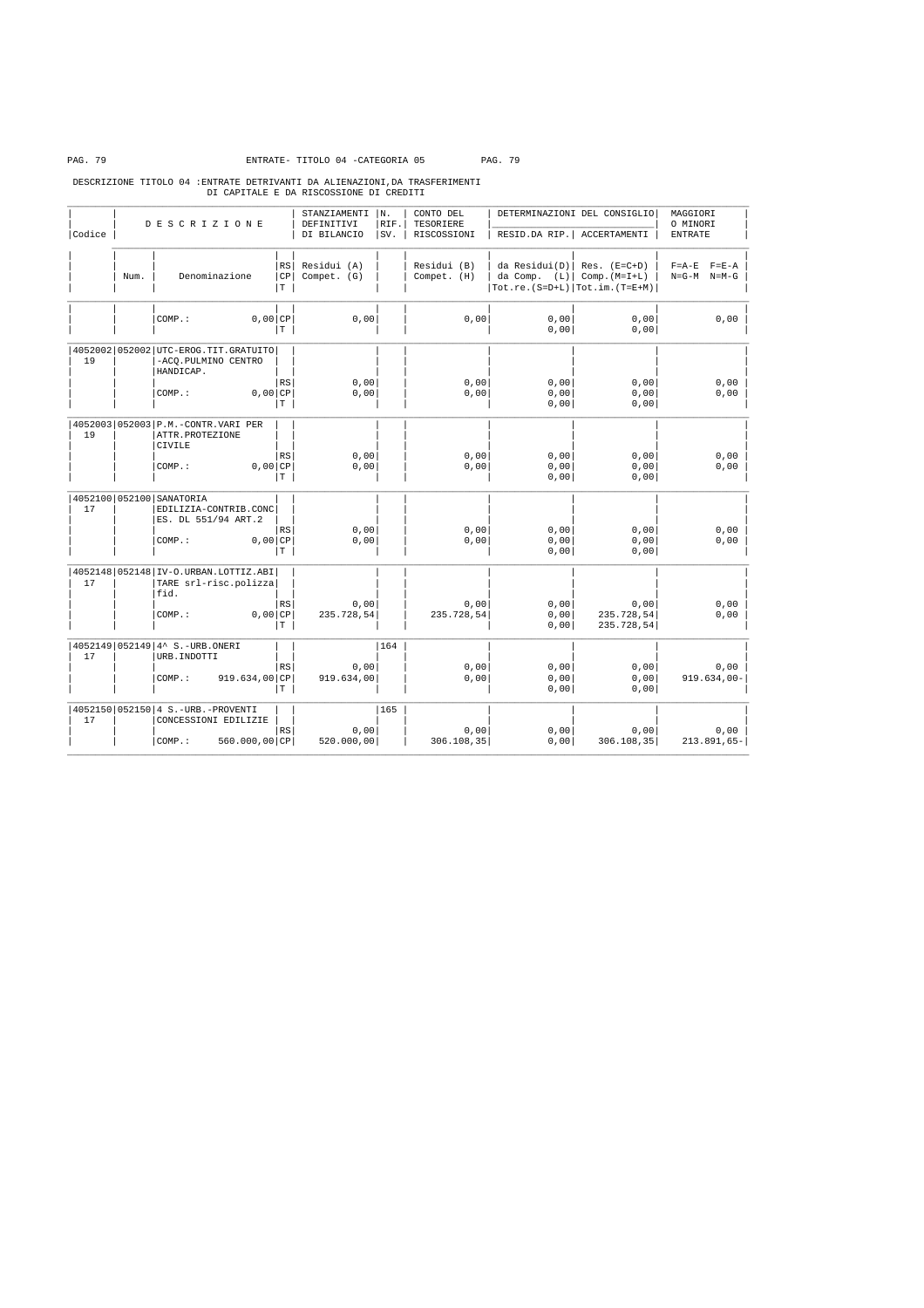| Codice |      | DESCRIZIONE                                                                                                 |                                  | STANZIAMENTI<br>DEFINITIVI<br>DI BILANCIO | IN.<br>RIF.<br>Isv. | CONTO DEL<br>TESORIERE<br>RISCOSSIONI |                      | DETERMINAZIONI DEL CONSIGLIO<br>RESID.DA RIP.   ACCERTAMENTI                                 | MAGGIORI<br>O MINORI<br><b>ENTRATE</b>             |
|--------|------|-------------------------------------------------------------------------------------------------------------|----------------------------------|-------------------------------------------|---------------------|---------------------------------------|----------------------|----------------------------------------------------------------------------------------------|----------------------------------------------------|
|        | Num. | Denominazione                                                                                               | $_{\rm RS}$<br>CP<br>$\mathbb T$ | Residui (A)<br>Compet. (G)                |                     | Residui (B)<br>Compet. (H)            | da Residui(D)        | $Res.$ $(E=C+D)$<br>da Comp. $(L)  $ Comp. $(M=I+L)$<br>$ Tot.re.(S=D+L)   Tot.in.(T=E+M)  $ | $F = A - E$ $F = E - A$<br>$N = G - M$ $N = M - G$ |
|        |      | $0,00$  CP<br>COMP.:                                                                                        | T.                               | 0,00                                      |                     | 0,00                                  | 0,00<br>0,00         | 0,00<br>0,00                                                                                 | 0,00                                               |
| 19     |      | 4052002   052002   UTC-EROG.TIT.GRATUITO<br>-ACQ. PULMINO CENTRO<br>HANDICAP.<br>$0,00$  CP<br>COMP.:       | RS<br>T                          | 0,00<br>0,00                              |                     | 0,00<br>0,00                          | 0,00<br>0,00<br>0,00 | 0,00<br>0,00<br>0,00                                                                         | 0,00<br>0,00                                       |
| 19     |      | 4052003 052003 P.M. - CONTR. VARI PER<br>ATTR. PROTEZIONE<br>CIVILE<br>$0,00$  CP<br>COMP.:                 | RS<br>T.                         | 0,00<br>0,00                              |                     | 0,00<br>0,00                          | 0,00<br>0,00<br>0,00 | 0,00<br>0,00<br>0,00                                                                         | 0,00<br>0,00                                       |
| 17     |      | 4052100   052100   SANATORIA<br>EDILIZIA-CONTRIB.CONC<br>ES. DL 551/94 ART.2<br>$0,00$  CP<br>COMP.:        | RS<br>T.                         | 0,00<br>0,00                              |                     | 0,00<br>0,00                          | 0,00<br>0,00<br>0,00 | 0,00<br>0,00<br>0,00                                                                         | 0,00<br>0,00                                       |
| 17     |      | 4052148   052148   IV-O.URBAN.LOTTIZ.ABI<br>TARE srl-risc.polizza<br>fid.<br>$0,00$ <sub>CP</sub><br>COMP.: | RS<br>T.                         | 0,00<br>235.728,54                        |                     | 0,00<br>235.728,54                    | 0,00<br>0,00<br>0,00 | 0,00<br>235.728,54<br>235.728,54                                                             | 0,00<br>0,00                                       |
| 17     |      | 4052149   052149   4^ S.-URB.ONERI<br>URB. INDOTTI<br>919.634,00 CP<br>COMP.:                               | RS<br>$\mathbb T$                | 0,00<br>919.634,00                        | 164                 | 0,00<br>0,00                          | 0,00<br>0,00<br>0,00 | 0,00<br>0,00<br>0,00                                                                         | 0,00<br>$919.634,00 -$                             |
| 17     |      | 4052150   052150   4 S. - URB. - PROVENTI<br>CONCESSIONI EDILIZIE<br>560.000,00 CP<br>COMP.:                | RS                               | 0,00<br>520.000,00                        | 165                 | 0,00<br>306.108, 35                   | 0,00<br>0,00         | 0,00<br>306.108, 35                                                                          | 0.00<br>$213.891,65-$                              |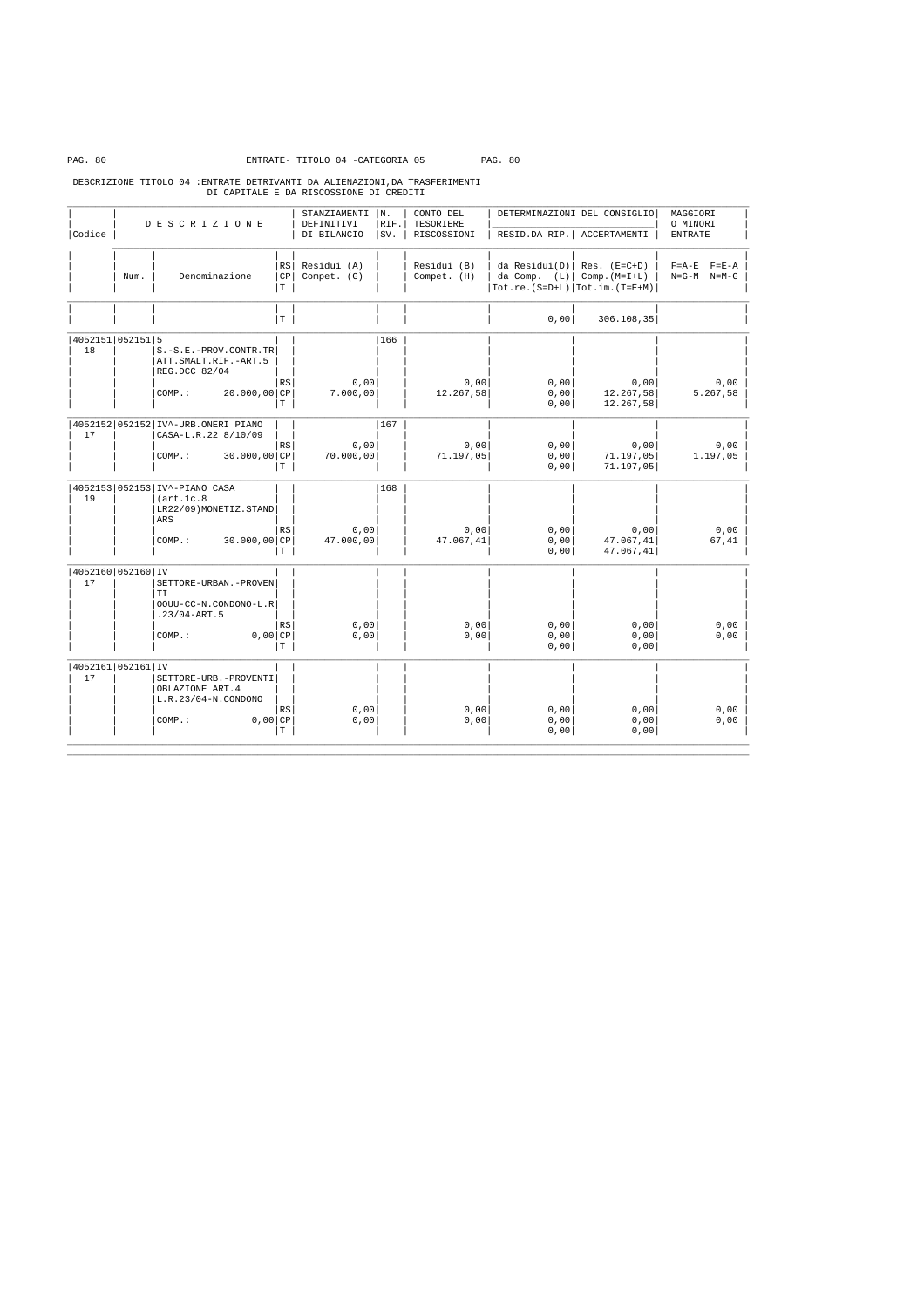| Codice                     |      | DESCRIZIONE                                                                               |                            | STANZIAMENTI   N.<br>DEFINITIVI<br>DI BILANCIO | RIF.<br> sv. | CONTO DEL<br>TESORIERE<br>RISCOSSIONI |                      | DETERMINAZIONI DEL CONSIGLIO<br>RESID.DA RIP.   ACCERTAMENTI                                               | MAGGIORI<br>O MINORI<br><b>ENTRATE</b>             |
|----------------------------|------|-------------------------------------------------------------------------------------------|----------------------------|------------------------------------------------|--------------|---------------------------------------|----------------------|------------------------------------------------------------------------------------------------------------|----------------------------------------------------|
|                            | Num. | Denominazione                                                                             | RS<br>CP<br>T.             | Residui (A)<br>Compet. (G)                     |              | Residui (B)<br>Compet. (H)            |                      | da Residui(D)   Res. $(E=C+D)$<br>da Comp. $(L)  $ Comp. $(M=I+L)$<br>$ Tot.re.(S=D+L)   Tot.in.(T=E+M)  $ | $F = A - E$ $F = E - A$<br>$N = G - M$ $N = M - G$ |
|                            |      |                                                                                           | IТ                         |                                                |              |                                       | 0,00                 | 306.108,35                                                                                                 |                                                    |
| 4052151   052151   5<br>18 |      | S.-S.E.-PROV.CONTR.TR<br>ATT. SMALT.RIF.-ART.5<br>REG.DCC 82/04<br>COMP.:<br>20.000,00 CP | RS                         | 0,00<br>7.000,00                               | 166          | 0,00<br>12.267,58                     | 0,00<br>0,00         | 0,00<br>12.267,58                                                                                          | 0,00<br>5.267,58                                   |
|                            |      |                                                                                           | T.                         |                                                |              |                                       | 0,00                 | 12.267,58                                                                                                  |                                                    |
| 17                         |      | 4052152   052152   IV^-URB.ONERI PIANO<br>CASA-L.R.22 8/10/09<br>30.000,00 CP<br>COMP.:   | RS<br>T                    | 0,00<br>70.000,00                              | 167          | 0,00<br>71.197,05                     | 0,00<br>0,00<br>0,00 | 0.00<br>71.197.05<br>71.197.05                                                                             | 0.00<br>1.197,05                                   |
| 19                         |      | 4052153   052153   IV^-PIANO CASA<br>$(\text{art}.1c.8$<br>LR22/09) MONETIZ. STAND<br>ARS | RS                         | 0,00                                           | 168          | 0,00                                  | 0,00                 | 0,00                                                                                                       | 0,00                                               |
|                            |      | 30.000,00 CP<br>COMP.:                                                                    | T.                         | 47.000,00                                      |              | 47.067,41                             | 0,00<br>0,00         | 47.067,41<br>47.067, 41                                                                                    | 67,41                                              |
| 4052160 052160   IV<br>17  |      | SETTORE-URBAN.-PROVEN<br>TI<br>OOUU-CC-N.CONDONO-L.R                                      |                            |                                                |              |                                       |                      |                                                                                                            |                                                    |
|                            |      | $.23/04 - ART.5$<br>$0.00$ <sub>c</sub> $P$<br>COMP.:                                     | RS<br>T.                   | 0,00<br>0,00                                   |              | 0,00<br>0,00                          | 0,00<br>0,00<br>0,00 | 0,00<br>0,00<br>0,00                                                                                       | 0,00<br>0,00                                       |
| 4052161 052161   IV<br>17  |      | SETTORE-URB.-PROVENTI<br>OBLAZIONE ART.4<br>$L.R.23/04-N.CONDONO$                         |                            |                                                |              |                                       |                      |                                                                                                            |                                                    |
|                            |      | $0,00$  CP<br>COMP.:                                                                      | <b>RS</b><br>$\mathbf T$ . | 0.00<br>0,00                                   |              | 0.00<br>0,00                          | 0.00<br>0,00<br>0,00 | 0,00<br>0,00<br>0,00                                                                                       | 0.00<br>0,00                                       |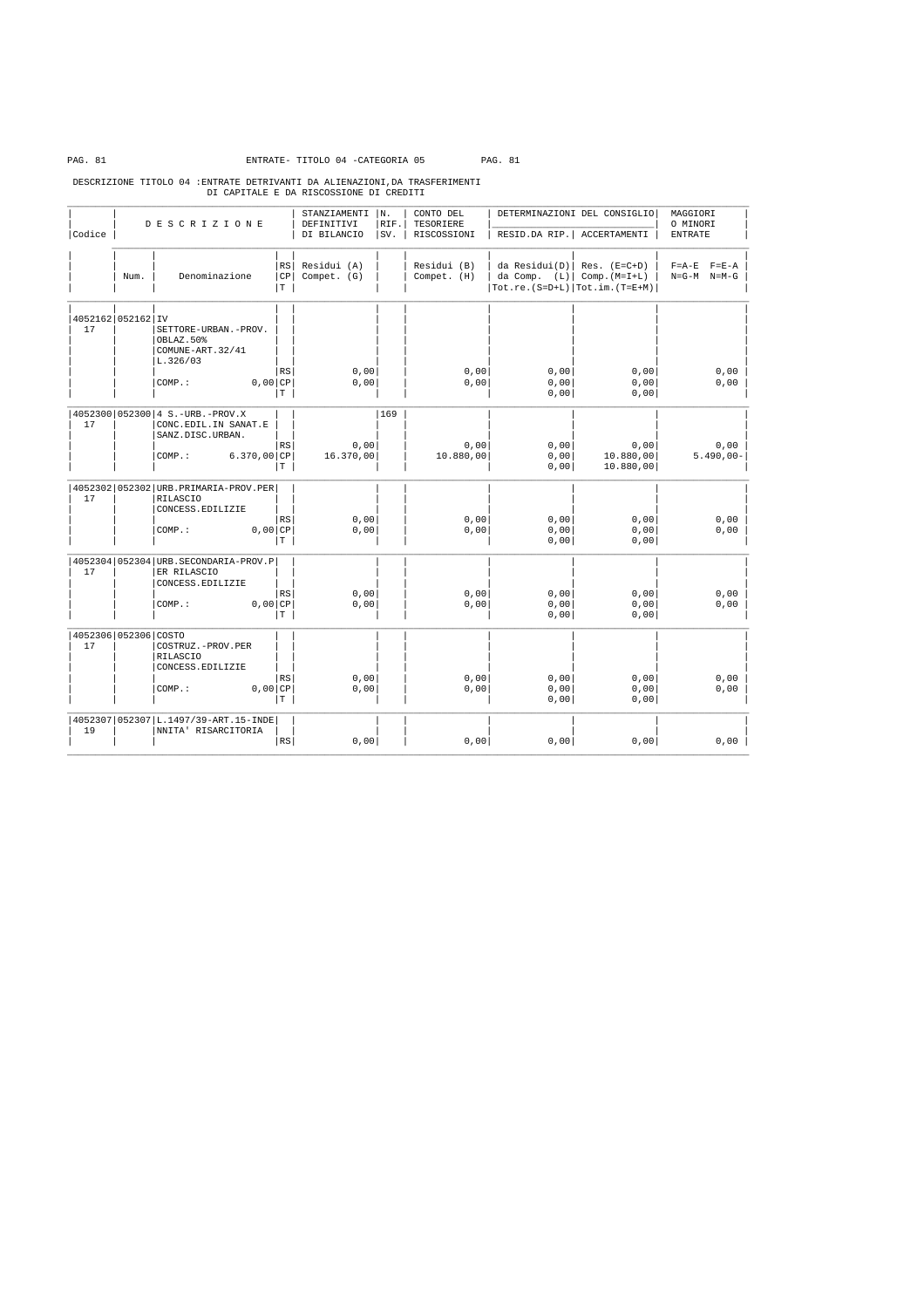| Codice                     |      | DESCRIZIONE                                                                                               |                        | STANZIAMENTI<br>DEFINITIVI<br>DI BILANCIO | IN.<br>RIF.<br> sv. | CONTO DEL<br>TESORIERE<br>RISCOSSIONI |                      | DETERMINAZIONI DEL CONSIGLIO<br>RESID.DA RIP.   ACCERTAMENTI                                               | MAGGIORI<br>O MINORI<br><b>ENTRATE</b>             |
|----------------------------|------|-----------------------------------------------------------------------------------------------------------|------------------------|-------------------------------------------|---------------------|---------------------------------------|----------------------|------------------------------------------------------------------------------------------------------------|----------------------------------------------------|
|                            | Num. | Denominazione                                                                                             | $_{\rm RS}$<br>CP<br>T | Residui (A)<br>Compet. (G)                |                     | Residui (B)<br>Compet. (H)            |                      | da Residui(D)   Res. $(E=C+D)$<br>da Comp. $(L)  $ Comp. $(M=I+L)$<br>$ Tot.re.(S=D+L)   Tot.in.(T=E+M)  $ | $F = A - E$ $F = E - A$<br>$N = G - M$ $N = M - G$ |
| 4052162 052162 IV<br>17    |      | SETTORE-URBAN.-PROV.<br>OBLAZ.50%<br>COMUNE-ART. 32/41<br>L.326/03<br>$0,00$  CP<br>COMP.:                | <b>RS</b>              | 0,00<br>0,00                              |                     | 0,00<br>0,00                          | 0,00<br>0,00         | 0,00<br>0,00                                                                                               | 0,00<br>0,00                                       |
|                            |      | 4052300 052300   4 S.-URB.-PROV.X                                                                         | T.                     |                                           | 1169                |                                       | 0,00                 | 0,00                                                                                                       |                                                    |
| 17                         |      | CONC. EDIL. IN SANAT. E<br>SANZ.DISC.URBAN.<br>$6.370,00$ CP<br>COMP.:                                    | <b>RS</b><br>T.        | 0,00<br>16.370,00                         |                     | 0,00<br>10.880,00                     | 0,00<br>0,00<br>0,00 | 0.00<br>10.880,00<br>10.880,00                                                                             | 0.00<br>$5.490,00 -$                               |
| 17                         |      | 4052302   052302   URB. PRIMARIA-PROV. PER<br><b>RILASCIO</b><br>CONCESS.EDILIZIE<br>$0,00$  CP<br>COMP.: | RS.<br>T.              | 0,00<br>0,00                              |                     | 0.00<br>0,00                          | 0,00<br>0,00<br>0,00 | 0,00<br>0,00<br>0,00                                                                                       | 0.00<br>0,00                                       |
| 17                         |      | 4052304   052304   URB. SECONDARIA-PROV. P<br>ER RILASCIO<br>CONCESS.EDILIZIE<br>$0,00$  CP<br>COMP.:     | l RS<br>$\mathbb T$    | 0,00<br>0,00                              |                     | 0,00<br>0,00                          | 0,00<br>0,00<br>0,00 | 0,00<br>0,00<br>0,00                                                                                       | 0,00<br>0,00                                       |
| 4052306 052306 COSTO<br>17 |      | COSTRUZ.-PROV.PER<br><b>RILASCIO</b><br>CONCESS.EDILIZIE<br>$0.00$ <sub>c</sub> $P$<br>COMP.:             | RS<br>$\mathbb T$      | 0,00<br>0,00                              |                     | 0,00<br>0,00                          | 0,00<br>0,00<br>0,00 | 0,00<br>0,00<br>0,00                                                                                       | 0,00<br>0,00                                       |
| 19                         |      | 4052307   052307   L.1497/39-ART.15-INDE  <br>NNITA' RISARCITORIA                                         | RS                     | 0,00                                      |                     | 0,00                                  | 0,00                 | 0,00                                                                                                       | 0,00                                               |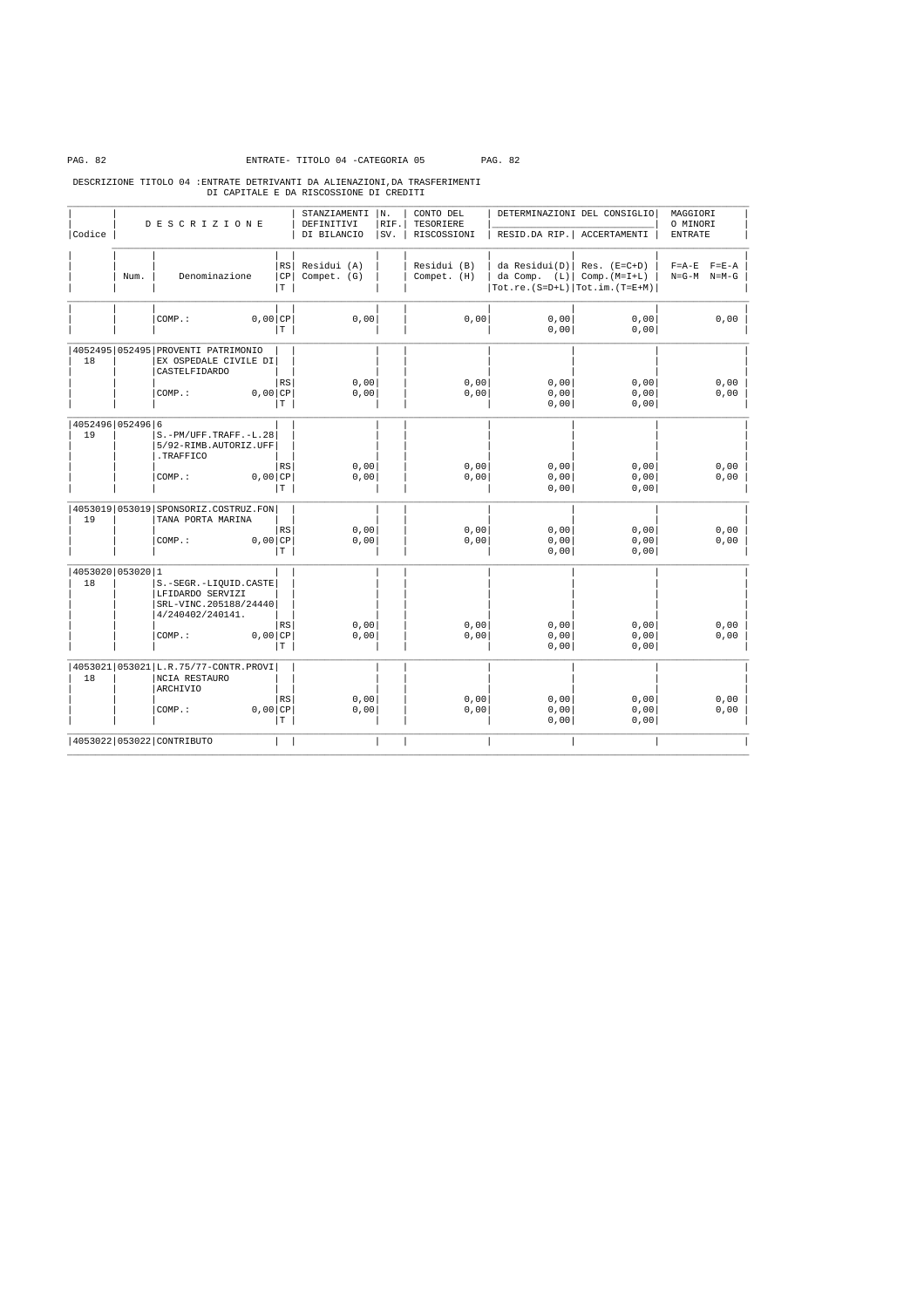| Codice                 |      | DESCRIZIONE                                                                                                                                         |                                  | STANZIAMENTI<br>DEFINITIVI<br>DI BILANCIO | IN.<br>RIF.<br>ISV. | CONTO DEL<br>TESORIERE<br>RISCOSSIONI |                      | DETERMINAZIONI DEL CONSIGLIO<br>RESID.DA RIP.   ACCERTAMENTI                                 | MAGGIORI<br>O MINORI<br><b>ENTRATE</b>             |
|------------------------|------|-----------------------------------------------------------------------------------------------------------------------------------------------------|----------------------------------|-------------------------------------------|---------------------|---------------------------------------|----------------------|----------------------------------------------------------------------------------------------|----------------------------------------------------|
|                        | Num. | Denominazione                                                                                                                                       | $_{\rm RS}$<br>CP<br>$\mathbb T$ | Residui (A)<br>Compet. (G)                |                     | Residui (B)<br>Compet. (H)            | da Residui $(D)$     | $Res.$ $(E=C+D)$<br>da Comp. $(L)  $ Comp. $(M=I+L)$<br>$ Tot.re.(S=D+L)   Tot.in.(T=E+M)  $ | $F = A - E$ $F = E - A$<br>$N = G - M$ $N = M - G$ |
|                        |      | $0,00$  CP<br>COMP.:                                                                                                                                | ΙT.                              | 0,00                                      |                     | 0,00                                  | 0,00<br>0,00         | 0,00<br>0,00                                                                                 | 0,00                                               |
| 18                     |      | 4052495 052495 PROVENTI PATRIMONIO<br>EX OSPEDALE CIVILE DI<br><b>CASTELFIDARDO</b><br>$0,00$  CP<br>COMP.:                                         | RS<br>T                          | 0,00<br>0,00                              |                     | 0,00<br>0,00                          | 0,00<br>0,00<br>0,00 | 0,00<br>0,00<br>0,00                                                                         | 0,00<br>0,00                                       |
| 4052496 052496 6<br>19 |      | S.-PM/UFF.TRAFF.-L.28<br>5/92-RIMB.AUTORIZ.UFF<br>.TRAFFICO<br>COMP.:<br>$0,00$ CP                                                                  | RS<br>$\mathbb T$                | 0,00<br>0,00                              |                     | 0,00<br>0,00                          | 0,00<br>0,00<br>0,00 | 0,00<br>0,00<br>0,00                                                                         | 0,00<br>0,00                                       |
| 19                     |      | 4053019   053019   SPONSORIZ.COSTRUZ.FON<br>TANA PORTA MARINA<br>$0.00$ <sub>c</sub> $P$<br>COMP.:                                                  | RS<br>T.                         | 0,00<br>0,00                              |                     | 0,00<br>0,00                          | 0,00<br>0,00<br>0,00 | 0,00<br>0,00<br>0,00                                                                         | 0,00<br>0,00                                       |
| 4053020 053020 1<br>18 |      | S.-SEGR.-LIQUID.CASTE<br>LFIDARDO SERVIZI<br>SRL-VINC.205188/24440<br>4/240402/240141.<br>$0.00$ <sub>c</sub> $P$<br>COMP.:                         | RS<br>T.                         | 0,00<br>0,00                              |                     | 0,00<br>0,00                          | 0,00<br>0,00<br>0,00 | 0,00<br>0,00<br>0,00                                                                         | 0,00<br>0,00                                       |
| 18                     |      | 4053021   053021   L.R. 75/77-CONTR. PROVI<br><b>NCIA RESTAURO</b><br>ARCHIVIO<br>$0,00$ <sub>CP</sub><br>COMP.:<br>  4053022   053022   CONTRIBUTO | RS<br>$\mathbb T$                | 0,00<br>0,00                              |                     | 0,00<br>0,00                          | 0,00<br>0,00<br>0,00 | 0,00<br>0,00<br>0,00                                                                         | 0,00<br>0,00                                       |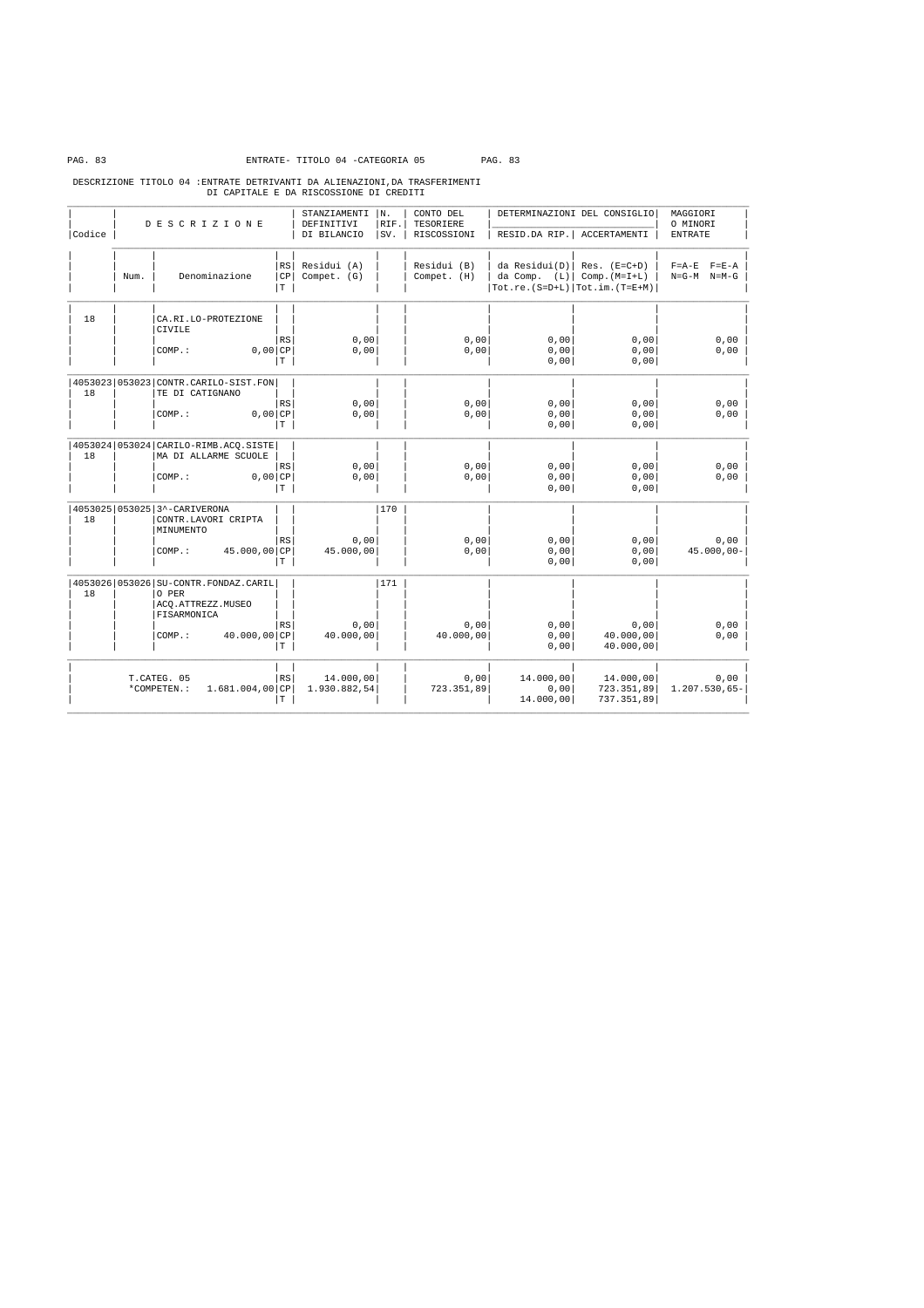| Codice |      | DESCRIZIONE                                                                                                         |                   | STANZIAMENTI<br>DEFINITIVI<br>DI BILANCIO | N.<br>RIF.<br>SV. | CONTO DEL<br>TESORIERE<br>RISCOSSIONI |                                | DETERMINAZIONI DEL CONSIGLIO<br>RESID.DA RIP.   ACCERTAMENTI                                            | MAGGIORI<br>O MINORI<br><b>ENTRATE</b>             |
|--------|------|---------------------------------------------------------------------------------------------------------------------|-------------------|-------------------------------------------|-------------------|---------------------------------------|--------------------------------|---------------------------------------------------------------------------------------------------------|----------------------------------------------------|
|        | Num. | Denominazione                                                                                                       | RS<br>CP<br>т     | Residui (A)<br>Compet. (G)                |                   | Residui (B)<br>Compet. (H)            |                                | da Residui(D)   Res. $(E=C+D)$<br>da Comp. $(L)$ Comp. $(M=I+L)$<br>$Tot.re.(S=D+L)   Tot.in.(T=E+M)  $ | $F = A - E$ $F = E - A$<br>$N = G - M$ $N = M - G$ |
| 18     |      | CA.RI.LO-PROTEZIONE<br>CTVTLE<br>$0.00$ <sub>c</sub> $P$<br>COMP.:                                                  | RS<br>T.          | 0,00<br>0,00                              |                   | 0,00<br>0,00                          | 0,00<br>0,00<br>0,00           | 0,00<br>0,00<br>0,00                                                                                    | 0,00<br>0,00                                       |
| 18     |      | 4053023   053023   CONTR. CARILO-SIST. FON<br>TE DI CATIGNANO<br>$0,00$  CP<br>COMP.:                               | RS<br>T.          | 0,00<br>0,00                              |                   | 0,00<br>0,00                          | 0,00<br>0,00<br>0,00           | 0,00<br>0,00<br>0,00                                                                                    | 0,00<br>0,00                                       |
| 18     |      | 4053024   053024   CARILO-RIMB.ACQ.SISTE  <br>MA DI ALLARME SCUOLE<br>$0,00$  CP<br>COMP.:                          | RS<br>T.          | 0,00<br>0,00                              |                   | 0,00<br>0,00                          | 0,00<br>0,00<br>0,00           | 0,00<br>0,00<br>0,00                                                                                    | 0,00<br>0,00                                       |
| 18     |      | 4053025   053025   3^-CARIVERONA<br>CONTR.LAVORI CRIPTA<br>MINUMENTO<br>45.000,00 CP<br>COMP.:                      | <b>RS</b><br>T    | 0,00<br>45.000,00                         | 1170              | 0,00<br>0,00                          | 0,00<br>0,00<br>0,00           | 0,00<br>0,00<br>0,00                                                                                    | 0,00<br>$45.000,00 -$                              |
| 18     |      | 4053026   053026   SU-CONTR. FONDAZ. CARIL<br>O PER<br>ACO. ATTREZZ. MUSEO<br>FISARMONICA<br>40.000.00 CP<br>COMP.: | RS<br>$\mathbb T$ | 0,00<br>40.000,00                         | 171               | 0,00<br>40.000,00                     | 0,00<br>0,00<br>0,00           | 0,00<br>40.000,00<br>40.000,00                                                                          | 0,00<br>0,00                                       |
|        |      | T. CATEG. 05<br>1.681.004,00 CP<br>*COMPETEN. :                                                                     | RS<br>T.          | 14.000,00<br>1.930.882,54                 |                   | 0,00<br>723.351,89                    | 14.000,00<br>0,00<br>14.000,00 | 14.000,00<br>723.351,89<br>737.351,89                                                                   | 0,00<br>$1.207.530.65 -$                           |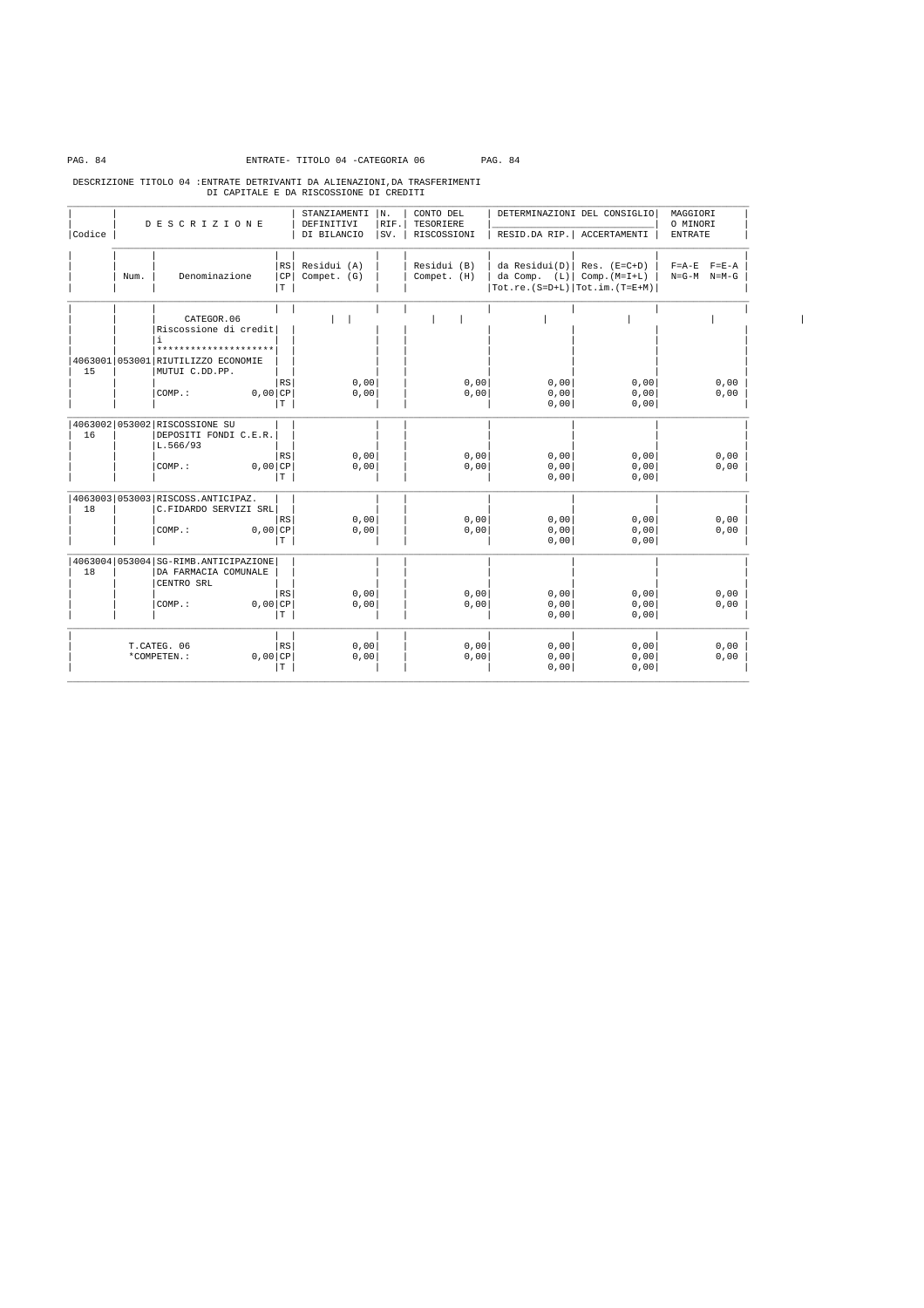| Codice |      | <b>DESCRIZIONE</b>                                                                                                                     |                                  | STANZIAMENTI<br>DEFINITIVI<br>DI BILANCIO | IN.<br>RIF.<br>ISV. | CONTO DEL<br>TESORIERE<br>RISCOSSIONI | RESID.DA RIP.   ACCERTAMENTI                                                             | DETERMINAZIONI DEL CONSIGLIO | MAGGIORI<br>O MINORI<br><b>ENTRATE</b>             |  |
|--------|------|----------------------------------------------------------------------------------------------------------------------------------------|----------------------------------|-------------------------------------------|---------------------|---------------------------------------|------------------------------------------------------------------------------------------|------------------------------|----------------------------------------------------|--|
|        | Num. | Denominazione                                                                                                                          | $_{\rm RS}$<br>CP<br>$\mathbf T$ | Residui (A)<br>Compet. (G)                |                     | Residui (B)<br>Compet. (H)            | da Residui(D)<br>da Comp. $(L)  $ Comp. $(M=I+L)$<br>$ Tot.re.(S=D+L)   Tot.in.(T=E+M) $ | $Res.$ ( $E=C+D$ )           | $F = A - E$ $F = E - A$<br>$N = G - M$ $N = M - G$ |  |
| 15     |      | CATEGOR.06<br>Riscossione di credit<br>i<br>**********<br>4063001 053001 RIUTILIZZO ECONOMIE<br>MUTUI C.DD.PP.<br>$0,00$  CP<br>COMP.: | RS<br>$\mathbb T$                | 0,00<br>0,00                              |                     | 0,00<br>0,00                          | 0,00<br>0,00<br>0,00                                                                     | 0,00<br>0,00<br>0,00         | 0,00<br>0,00                                       |  |
| 16     |      | 4063002 053002 RISCOSSIONE SU<br>DEPOSITI FONDI C.E.R.<br>L.566/93<br>$0,00$  CP<br>COMP.:                                             | RS<br>$\mathbb T$                | 0,00<br>0,00                              |                     | 0,00<br>0,00                          | 0,00<br>0,00<br>0,00                                                                     | 0,00<br>0,00<br>0,00         | 0,00<br>0,00                                       |  |
| 18     |      | 4063003 053003 RISCOSS. ANTICIPAZ.<br>C.FIDARDO SERVIZI SRL<br>$0,00$  CP<br>COMP.:                                                    | RS<br>$\mathbb T$                | 0,00<br>0,00                              |                     | 0,00<br>0,00                          | 0,00<br>0,00<br>0,00                                                                     | 0,00<br>0,00<br>0,00         | 0,00<br>0,00                                       |  |
| 18     |      | 4063004   053004   SG-RIMB. ANTICIPAZIONE<br>DA FARMACIA COMUNALE<br>CENTRO SRL<br>$0,00$  CP<br>COMP.:                                | RS<br>$\mathbb T$                | 0,00<br>0,00                              |                     | 0,00<br>0,00                          | 0,00<br>0,00<br>0,00                                                                     | 0,00<br>0,00<br>0,00         | 0,00<br>0,00                                       |  |
|        |      | T.CATEG. 06<br>*COMPETEN. :<br>$0,00$  CP                                                                                              | RS<br>$\mathbb T$                | 0,00<br>0,00                              |                     | 0,00<br>0,00                          | 0,00<br>0,00<br>0,00                                                                     | 0,00<br>0,00<br>0,00         | 0,00<br>0,00                                       |  |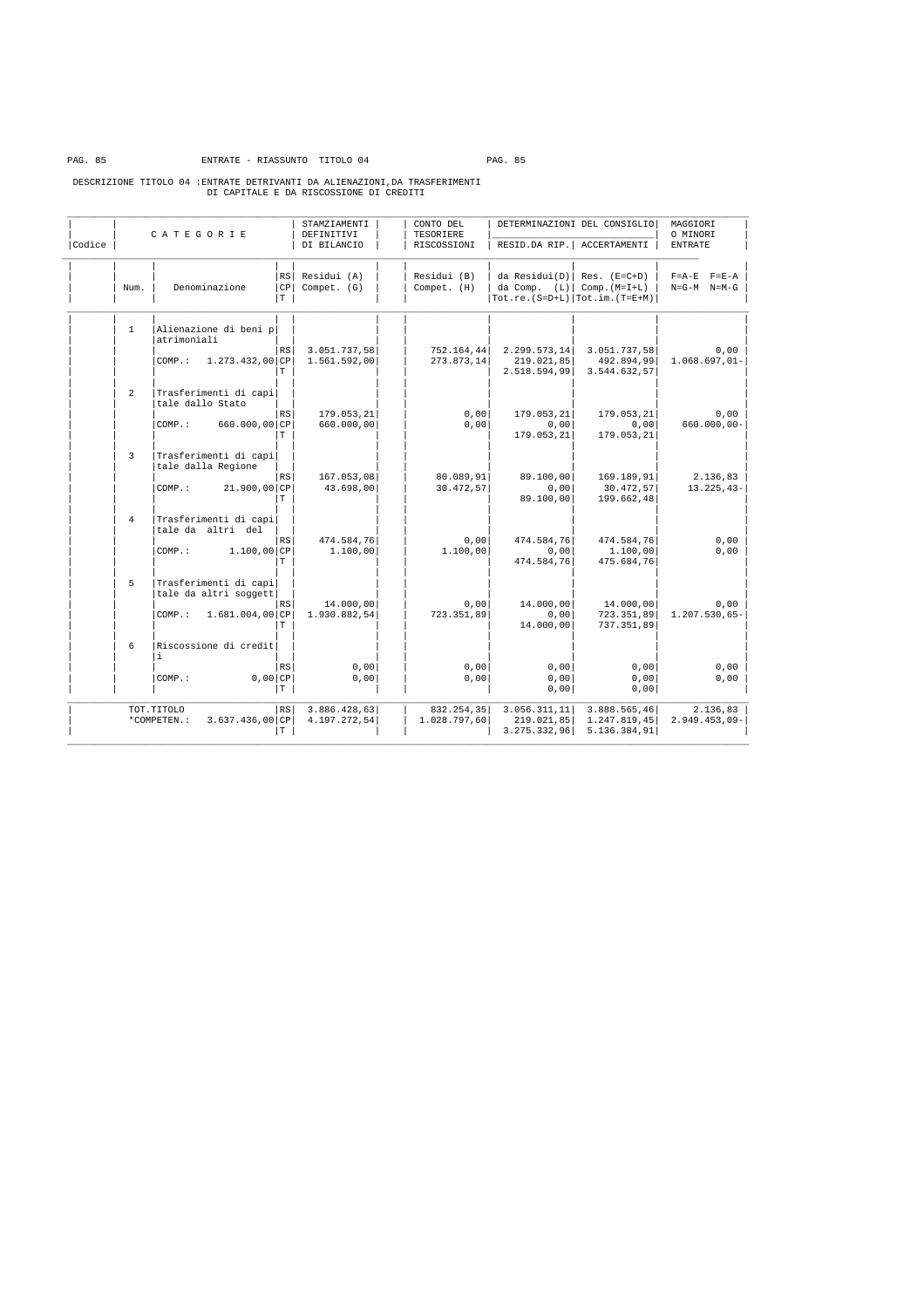|        |                | CATEGORIE                                                             |                           | STAMZIAMENTI<br>DEFINITIVI   | CONTO DEL<br>TESORIERE     |                                             | DETERMINAZIONI DEL CONSIGLIO                                              | MAGGIORI<br>O MINORI                               |
|--------|----------------|-----------------------------------------------------------------------|---------------------------|------------------------------|----------------------------|---------------------------------------------|---------------------------------------------------------------------------|----------------------------------------------------|
| Codice |                |                                                                       |                           | DI BILANCIO                  | RISCOSSIONI                |                                             | RESID.DA RIP.   ACCERTAMENTI                                              | <b>ENTRATE</b>                                     |
|        | Num.           | Denominazione                                                         | RS<br>CP<br>$\mathbf T$ . | Residui (A)<br>Compet. (G)   | Residui (B)<br>Compet. (H) | da Residui(D)   Res. $(E=C+D)$              | da Comp. $(L)  $ Comp. $(M=I+L)$<br>Tot.re. $(S=D+L)$   Tot.im. $(T=E+M)$ | $F = A - E$ $F = E - A$<br>$N = G - M$ $N = M - G$ |
|        | $\mathbf{1}$   | Alienazione di beni p<br>atrimoniali                                  | RS                        | 3.051.737,58                 | 752.164,44                 | 2.299.573,14                                | 3.051.737,58                                                              | 0.00                                               |
|        |                | 1.273.432,00 CP<br>COMP.:                                             | T.                        | 1.561.592,00                 | 273.873,14                 | 219.021,85<br>2.518.594,99                  | 492.894,99<br>3.544.632,57                                                | $1.068.697,01-$                                    |
|        | $\overline{a}$ | Trasferimenti di capi<br>tale dallo Stato                             | <b>RS</b>                 | 179.053,21                   | 0,00                       | 179.053,21                                  | 179.053,21                                                                | 0,00                                               |
|        |                | 660.000,00 CP<br>COMP.:                                               | T.                        | 660.000,00                   | 0,00                       | 0,00<br>179.053,21                          | 0,00<br>179.053,21                                                        | $660.000,00 -$                                     |
|        | $\overline{3}$ | Trasferimenti di capi<br>tale dalla Regione<br>21.900,00 CP<br>COMP.: | RS                        | 167.053,08<br>43.698,00      | 80.089, 91<br>30.472,57    | 89.100,00<br>0,00                           | 169.189.91<br>30.472,57                                                   | 2.136,83<br>$13.225.43-$                           |
|        | $\overline{4}$ | Trasferimenti di capi<br>tale da altri del                            | T.                        |                              |                            | 89.100,00                                   | 199.662,48                                                                |                                                    |
|        |                | 1.100,00 CP<br>COMP.:                                                 | RS<br>T.                  | 474.584,76<br>1.100,00       | 0.00<br>1.100,00           | 474.584.76<br>0,00<br>474.584,76            | 474.584.76<br>1.100,00<br>475.684,76                                      | 0.00<br>0,00                                       |
|        | 5              | Trasferimenti di capi<br>tale da altri soggett                        | RS                        | 14.000,00                    | 0.00                       | 14,000,00                                   | 14.000,00                                                                 | 0.00                                               |
|        | 6              | COMP.:<br>1.681.004,00 CP<br>Riscossione di credit                    |                           | 1.930.882.54                 | 723.351,89                 | 0.00<br>14.000,00                           | 723.351,89<br>737.351,89                                                  | $1.207.530.65 -$                                   |
|        |                | H.                                                                    | RS                        | 0,00                         | 0,00                       | 0,00                                        | 0,00                                                                      | 0,00                                               |
|        |                | 0,00 CP <br>COMP.:                                                    | T                         | 0,00                         | 0,00                       | 0.001<br>0,00                               | 0,00<br>0,00                                                              | 0,00                                               |
|        |                | TOT.TITOLO<br>$3.637.436,00$ CP<br>*COMPETEN. :                       | RS.<br>T.                 | 3.886.428,63<br>4.197.272,54 | 832.254,35<br>1.028.797,60 | 3.056.311, 11<br>219.021,85<br>3.275.332.96 | 3.888.565,46<br>1.247.819,45<br>5.136.384,91                              | 2.136,83<br>$2.949.453,09-$                        |

\_\_\_\_\_\_\_\_\_\_\_\_\_\_\_\_\_\_\_\_\_\_\_\_\_\_\_\_\_\_\_\_\_\_\_\_\_\_\_\_\_\_\_\_\_\_\_\_\_\_\_\_\_\_\_\_\_\_\_\_\_\_\_\_\_\_\_\_\_\_\_\_\_\_\_\_\_\_\_\_\_\_\_\_\_\_\_\_\_\_\_\_\_\_\_\_\_\_\_\_\_\_\_\_\_\_\_\_\_\_\_\_\_\_\_\_\_\_\_\_\_\_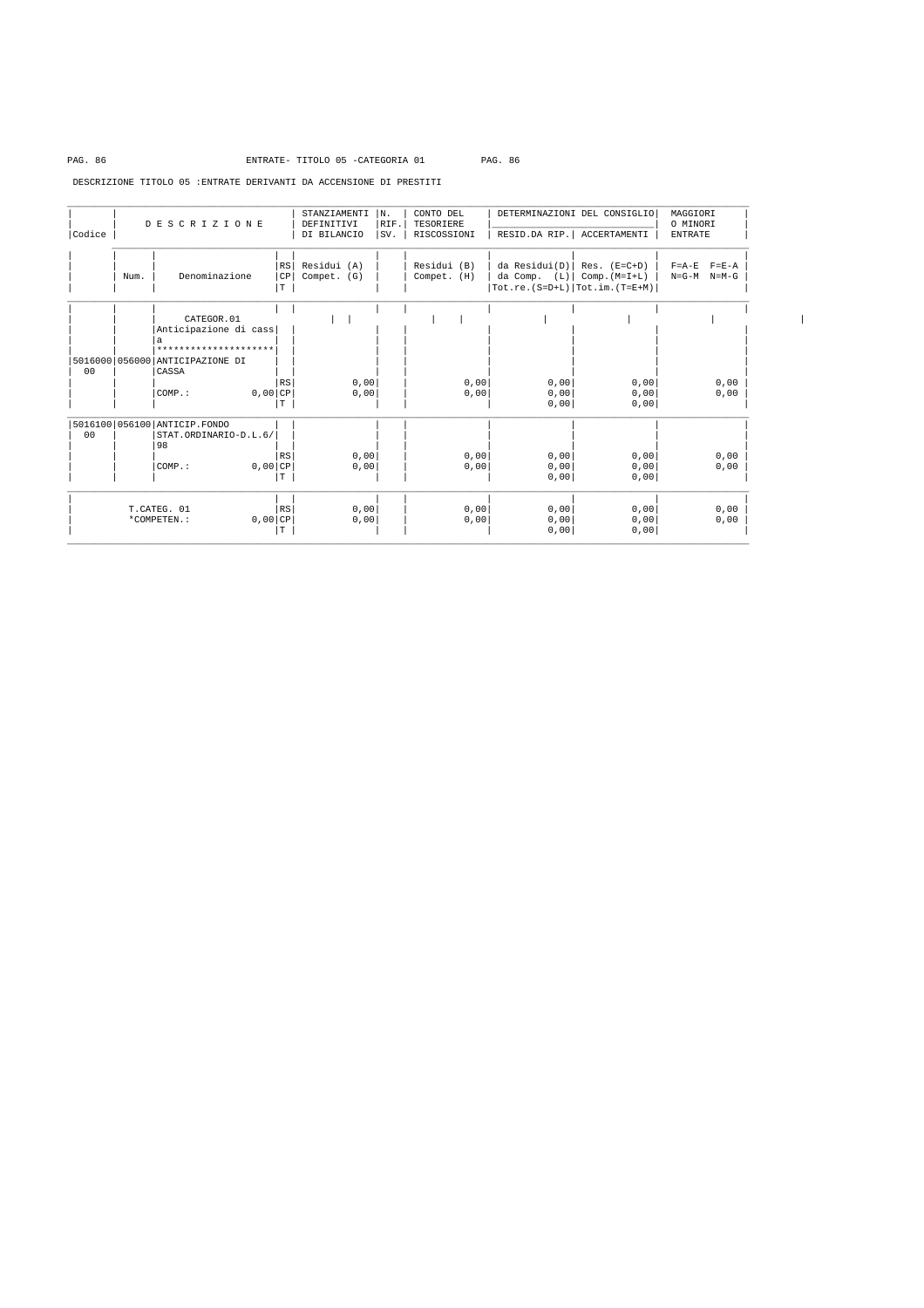## PAG. 86 ENTRATE- TITOLO 05 -CATEGORIA 01 PAG. 86

| Codice         | <b>DESCRIZIONE</b> |                                                                                                                     |                                  | STANZIAMENTI<br>DEFINITIVI<br>DI BILANCIO | N.<br>RIF.<br>SV. | CONTO DEL<br>TESORIERE<br>RISCOSSIONI |              | DETERMINAZIONI DEL CONSIGLIO<br>RESID.DA RIP.   ACCERTAMENTI                            |                      | MAGGIORI<br>O MINORI<br><b>ENTRATE</b>                |  |
|----------------|--------------------|---------------------------------------------------------------------------------------------------------------------|----------------------------------|-------------------------------------------|-------------------|---------------------------------------|--------------|-----------------------------------------------------------------------------------------|----------------------|-------------------------------------------------------|--|
|                | Num.               | Denominazione                                                                                                       | $_{\rm RS}$<br>CP<br>$\mathbb T$ | Residui (A)<br>Compet. (G)                |                   | Residui (B)<br>Compet. (H)            |              | da Residui(D)<br>da Comp. $(L)$ Comp. $(M=I+L)$<br>$ Tot.re.(S=D+L)   Tot.in.(T=E+M)  $ | $Res.$ $(E=C+D)$     | $F = A - E$<br>$F = E - A$<br>$N = G - M$ $N = M - G$ |  |
|                |                    | CATEGOR.01<br>Anticipazione di cass<br>$\mathbf{a}$<br>*********************<br>5016000   056000   ANTICIPAZIONE DI |                                  |                                           |                   |                                       |              |                                                                                         |                      |                                                       |  |
| 0 <sub>0</sub> |                    | CASSA<br>COMP.:                                                                                                     | RS<br>0,00 CP<br>T               | 0,00<br>0,00                              |                   |                                       | 0,00<br>0,00 | 0,00<br>0,00<br>0,00                                                                    | 0,00<br>0,00<br>0,00 | 0,00<br>0,00                                          |  |
| 0 <sub>0</sub> |                    | 5016100 056100 ANTICIP. FONDO<br>STAT.ORDINARIO-D.L.6/<br>98                                                        |                                  |                                           |                   |                                       |              |                                                                                         |                      |                                                       |  |
|                |                    | COMP.:                                                                                                              | RS<br>$0,00$  CP<br>T            | 0,00<br>0,00                              |                   |                                       | 0,00<br>0,00 | 0,00<br>0,00<br>0,00                                                                    | 0,00<br>0,00<br>0,00 | 0,00<br>0,00                                          |  |
|                |                    | T. CATEG. 01<br>*COMPETEN. :                                                                                        | RS<br>0,00 CP<br>Т               | 0,00<br>0,00                              |                   |                                       | 0,00<br>0,00 | 0,00<br>0,00<br>0,00                                                                    | 0,00<br>0,00<br>0,00 | 0,00<br>0,00                                          |  |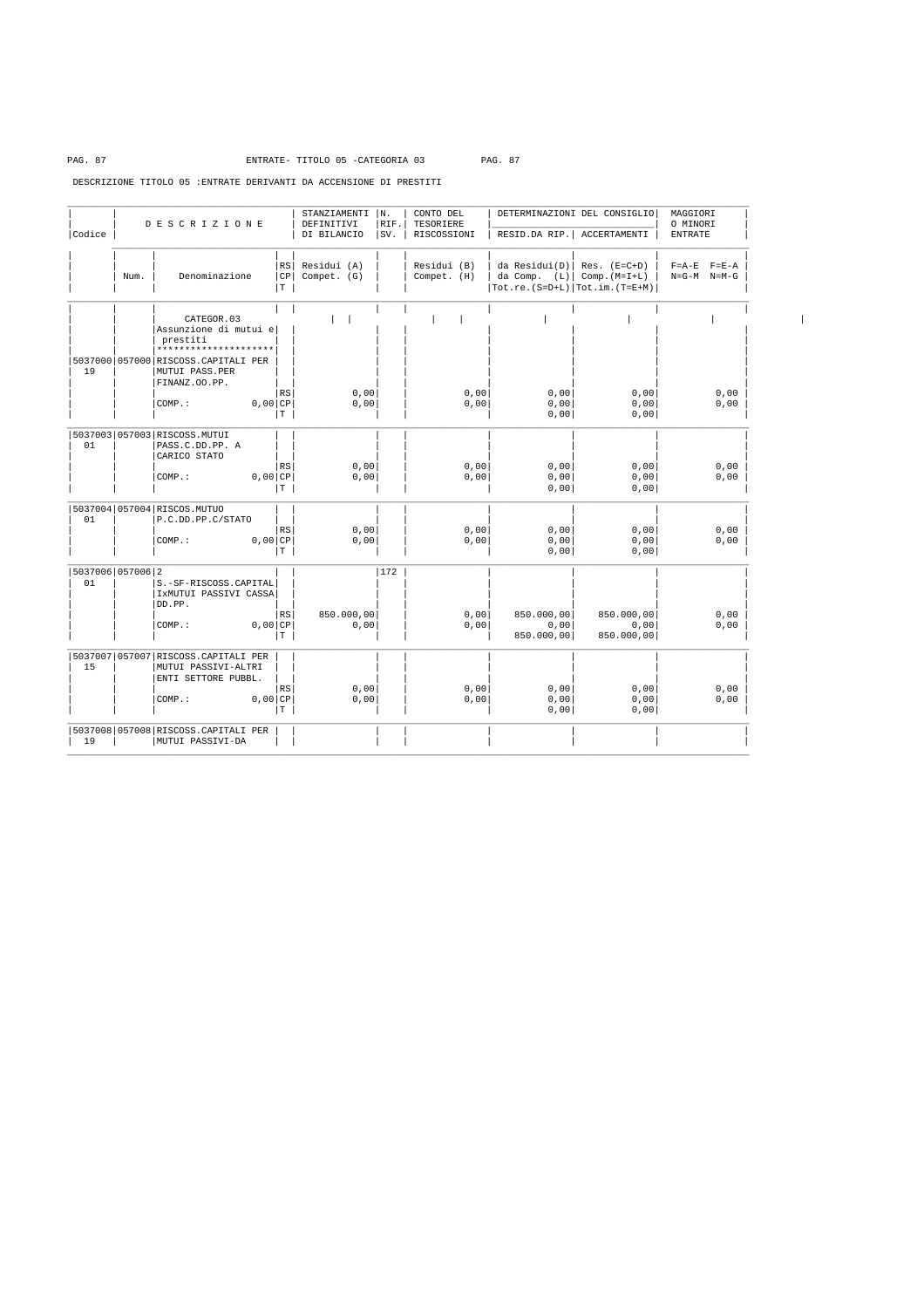## PAG. 87 ENTRATE- TITOLO 05 -CATEGORIA 03 PAG. 87

| Codice                 |      | <b>DESCRIZIONE</b>                                                                                                                   |                                  | STANZIAMENTI<br>DEFINITIVI<br>DI BILANCIO | N.<br>RIF.<br>SV. | CONTO DEL<br>TESORIERE<br>RISCOSSIONI |                                                   | DETERMINAZIONI DEL CONSIGLIO<br>RESID.DA RIP.   ACCERTAMENTI | MAGGIORI<br>O MINORI<br><b>ENTRATE</b>             |
|------------------------|------|--------------------------------------------------------------------------------------------------------------------------------------|----------------------------------|-------------------------------------------|-------------------|---------------------------------------|---------------------------------------------------|--------------------------------------------------------------|----------------------------------------------------|
|                        | Num. | Denominazione                                                                                                                        | RS<br>$_{\rm CP}$<br>$\mathbb T$ | Residui (A)<br>Compet. (G)                |                   | Residui (B)<br>Compet. (H)            | da Residui(D)<br>da Comp. $(L)  $ Comp. $(M=I+L)$ | $Res.$ ( $E=C+D$ )<br>$Tot.re.(S=D+L)   Tot.in.(T=E+M)  $    | $F = A - E$ $F = E - A$<br>$N = G - M$ $N = M - G$ |
| 19                     |      | CATEGOR.03<br>Assunzione di mutui e<br>prestiti<br>******<br>5037000 057000 RISCOSS. CAPITALI PER<br>MUTUI PASS.PER<br>FINANZ.00.PP. |                                  |                                           |                   |                                       |                                                   |                                                              |                                                    |
|                        |      | $0,00$ <sub>CP</sub><br>COMP.:                                                                                                       | RS<br>$\mathbf T$                | 0,00<br>0,00                              |                   | 0,00<br>0,00                          | 0,00<br>0,00<br>0,00                              | 0,00<br>0,00<br>0,00                                         | 0,00<br>0,00                                       |
| 01                     |      | 5037003 057003 RISCOSS. MUTUI<br>PASS.C.DD.PP. A<br>CARICO STATO                                                                     | RS                               |                                           |                   | 0,00                                  | 0,00                                              | 0,00                                                         | 0,00                                               |
|                        |      | $0,00$ <sub>CP</sub><br>COMP.:                                                                                                       | $\mathbf T$                      | 0,00<br>0,00                              |                   | 0,00                                  | 0,00<br>0,00                                      | 0,00<br>0,00                                                 | 0,00                                               |
|                        |      | 5037004 057004 RISCOS. MUTUO                                                                                                         |                                  |                                           |                   |                                       |                                                   |                                                              |                                                    |
| 01                     |      | P.C.DD.PP.C/STATO<br>$0,00$  CP<br>COMP.:                                                                                            | RS<br>$\mathbb T$                | 0,00<br>0,00                              |                   | 0,00<br>0,00                          | 0,00<br>0,00<br>0,00                              | 0,00<br>0,00<br>0,00                                         | 0,00<br>0,00                                       |
| 5037006 057006 2<br>01 |      | S.-SF-RISCOSS.CAPITAL<br>IXMUTUI PASSIVI CASSA                                                                                       |                                  |                                           | 172               |                                       |                                                   |                                                              |                                                    |
|                        |      | DD.PP.<br>0,00 CP<br>COMP.:                                                                                                          | RS<br>$\mathbb T$                | 850.000,00<br>0,00                        |                   | 0,00<br>0,00                          | 850.000,00<br>0,00<br>850.000,00                  | 850.000,00<br>0,00<br>850.000,00                             | 0,00<br>0,00                                       |
| 15                     |      | 5037007   057007   RISCOSS. CAPITALI PER<br>MUTUI PASSIVI-ALTRI<br>ENTI SETTORE PUBBL.                                               | RS                               | 0,00                                      |                   | 0,00                                  | 0,00                                              | 0,00                                                         | 0,00                                               |
|                        |      | $0,00$ CP<br>COMP.:                                                                                                                  | $\mathbb T$                      | 0,00                                      |                   | 0,00                                  | 0,00<br>0,00                                      | 0,00<br>0,00                                                 | 0,00                                               |
| 19                     |      | 5037008 057008 RISCOSS. CAPITALI PER<br>MUTUI PASSIVI-DA                                                                             |                                  |                                           |                   |                                       |                                                   |                                                              |                                                    |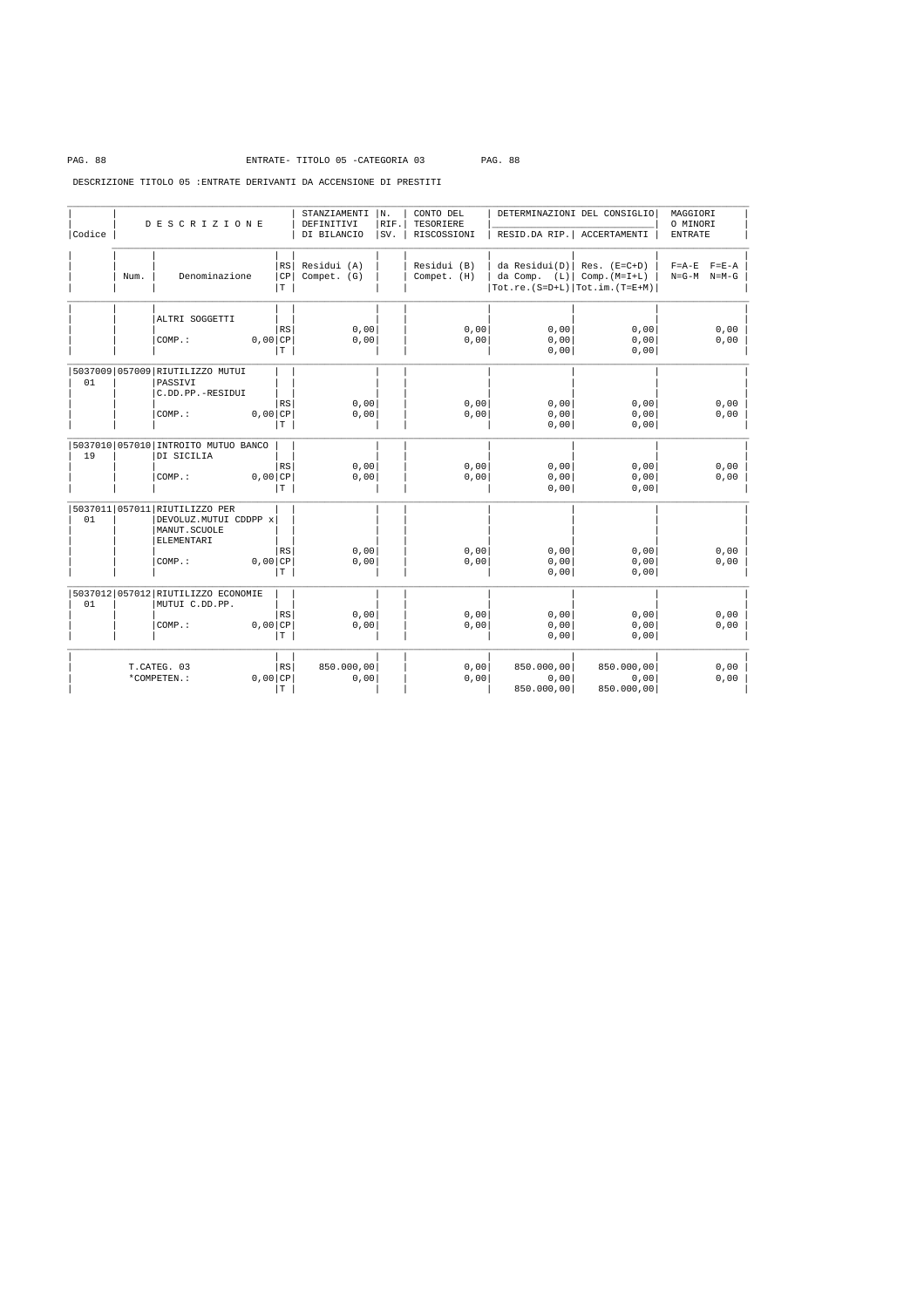## PAG. 88 ENTRATE- TITOLO 05 -CATEGORIA 03 PAG. 88

| Codice | DESCRIZIONE |                                                                                                        |                         | STANZIAMENTI<br>DEFINITIVI<br>DI BILANCIO | N.<br>RIF.<br>SV.          | CONTO DEL<br>TESORIERE<br>RISCOSSIONI | DETERMINAZIONI DEL CONSIGLIO<br>RESID.DA RIP.   ACCERTAMENTI |                                  | MAGGIORI<br>O MINORI<br><b>ENTRATE</b>                                                                     |                                                    |
|--------|-------------|--------------------------------------------------------------------------------------------------------|-------------------------|-------------------------------------------|----------------------------|---------------------------------------|--------------------------------------------------------------|----------------------------------|------------------------------------------------------------------------------------------------------------|----------------------------------------------------|
|        | Num.        | Denominazione                                                                                          |                         | RS<br>CP<br>Г                             | Residui (A)<br>Compet. (G) |                                       | Residui (B)<br>Compet. (H)                                   |                                  | da Residui(D)   Res. $(E=C+D)$<br>da Comp. $(L)  $ Comp. $(M=I+L)$<br>$ Tot.re.(S=D+L)   Tot.in.(T=E+M)  $ | $F = A - E$ $F = E - A$<br>$N = G - M$ $N = M - G$ |
|        |             | ALTRI SOGGETTI<br>COMP.:                                                                               | $0,00$ CP               | RS<br>T                                   | 0,00<br>0,00               |                                       | 0,00<br>0,00                                                 | 0,00<br>0,00<br>0,00             | 0,00<br>0,00<br>0,00                                                                                       | 0,00<br>0,00                                       |
| 01     |             | 5037009   057009   RIUTILIZZO MUTUI<br>PASSIVI<br>C.DD.PP.-RESIDUI<br>COMP.:                           | $0,00$  CP              | <b>RS</b><br>T.                           | 0,00<br>0,00               |                                       | 0,00<br>0,00                                                 | 0,00<br>0,00<br>0,00             | 0,00<br>0,00<br>0,00                                                                                       | 0,00<br>0,00                                       |
| 19     |             | 5037010 057010 INTROITO MUTUO BANCO<br>DI SICILIA<br>COMP.:                                            | $0.00$ <sub>c</sub> $P$ | RS<br>T.                                  | 0,00<br>0,00               |                                       | 0,00<br>0,00                                                 | 0,00<br>0,00<br>0,00             | 0,00<br>0,00<br>0,00                                                                                       | 0,00<br>0,00                                       |
| 01     |             | 5037011 057011 RIUTILIZZO PER<br>DEVOLUZ.MUTUI CDDPP x<br>MANUT. SCUOLE<br><b>ELEMENTARI</b><br>COMP.: | $0.00$ <sub>c</sub> $P$ | RS<br>T.                                  | 0,00<br>0,00               |                                       | 0,00<br>0,00                                                 | 0,00<br>0,00<br>0,00             | 0,00<br>0,00<br>0,00                                                                                       | 0,00<br>0,00                                       |
| 01     |             | 5037012   057012   RIUTILIZZO ECONOMIE<br>MUTUI C.DD.PP.<br>COMP.:                                     | $0,00$  CP              | RS<br>T                                   | 0,00<br>0,00               |                                       | 0,00<br>0,00                                                 | 0,00<br>0,00<br>0,00             | 0,00<br>0,00<br>0,00                                                                                       | 0,00<br>0,00                                       |
|        |             | T. CATEG. 03<br>*COMPETEN. :                                                                           | $0.00$ <sub>c</sub> $P$ | RS<br>T                                   | 850.000,00<br>0,00         |                                       | 0,00<br>0,00                                                 | 850.000,00<br>0,00<br>850.000,00 | 850.000,00<br>0,00<br>850.000,00                                                                           | 0,00<br>0,00                                       |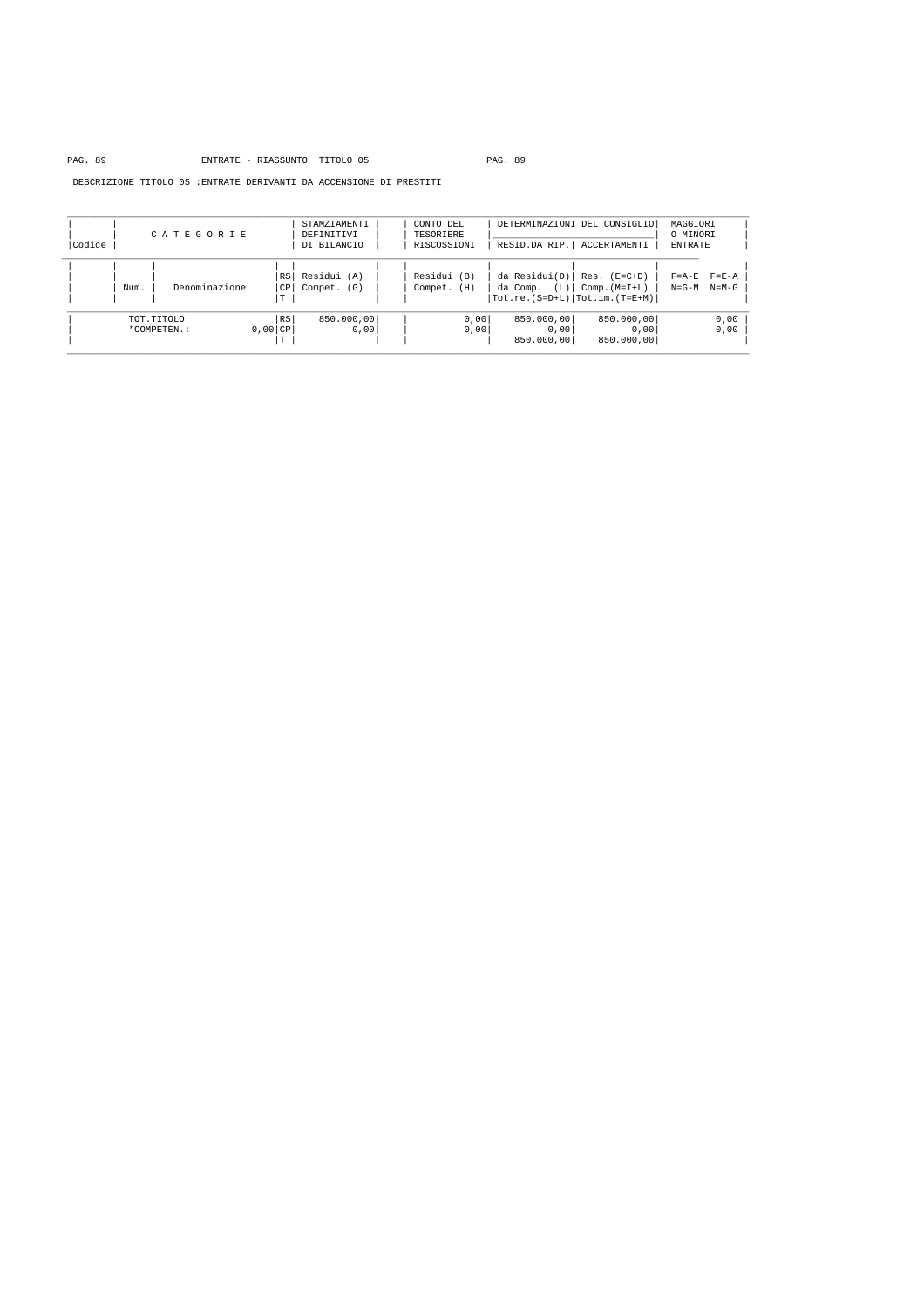## PAG. 89 ENTRATE - RIASSUNTO TITOLO 05 PAG. 89

| Codice | CATEGORIE                 |                                 | STAMZIAMENTI<br>DEFINITIVI<br>DI BILANCIO | CONTO DEL<br>TESORIERE<br>RISCOSSIONI |              | RESID.DA RIP.                    | DETERMINAZIONI DEL CONSIGLIO<br>ACCERTAMENTI                                     | MAGGIORI<br>O MINORI<br><b>ENTRATE</b> |                                    |
|--------|---------------------------|---------------------------------|-------------------------------------------|---------------------------------------|--------------|----------------------------------|----------------------------------------------------------------------------------|----------------------------------------|------------------------------------|
|        | Denominazione<br>Num.     | RS.<br>CP<br>T                  | Residui (A)<br>$Compet.$ (G)              | Residui (B)<br>Compet. (H)            |              | da Residui(D)<br>da Comp.        | $Res.$ $(E=C+D)$<br>$(L)$ Comp. $(M=I+L)$<br>$Tot.re.(S=D+L)   Tot.in.(T=E+M)  $ | $N = G - M$                            | $F = A - E$ $F = E - A$<br>$N=M-G$ |
|        | TOT.TITOLO<br>*COMPETEN.: | RS<br>$0.00$ <sub>CP</sub><br>т | 850.000,00<br>0.00                        |                                       | 0.00<br>0.00 | 850.000,00<br>0,00<br>850.000,00 | 850.000,00<br>0.00<br>850.000,00                                                 |                                        | 0,00<br>0,00                       |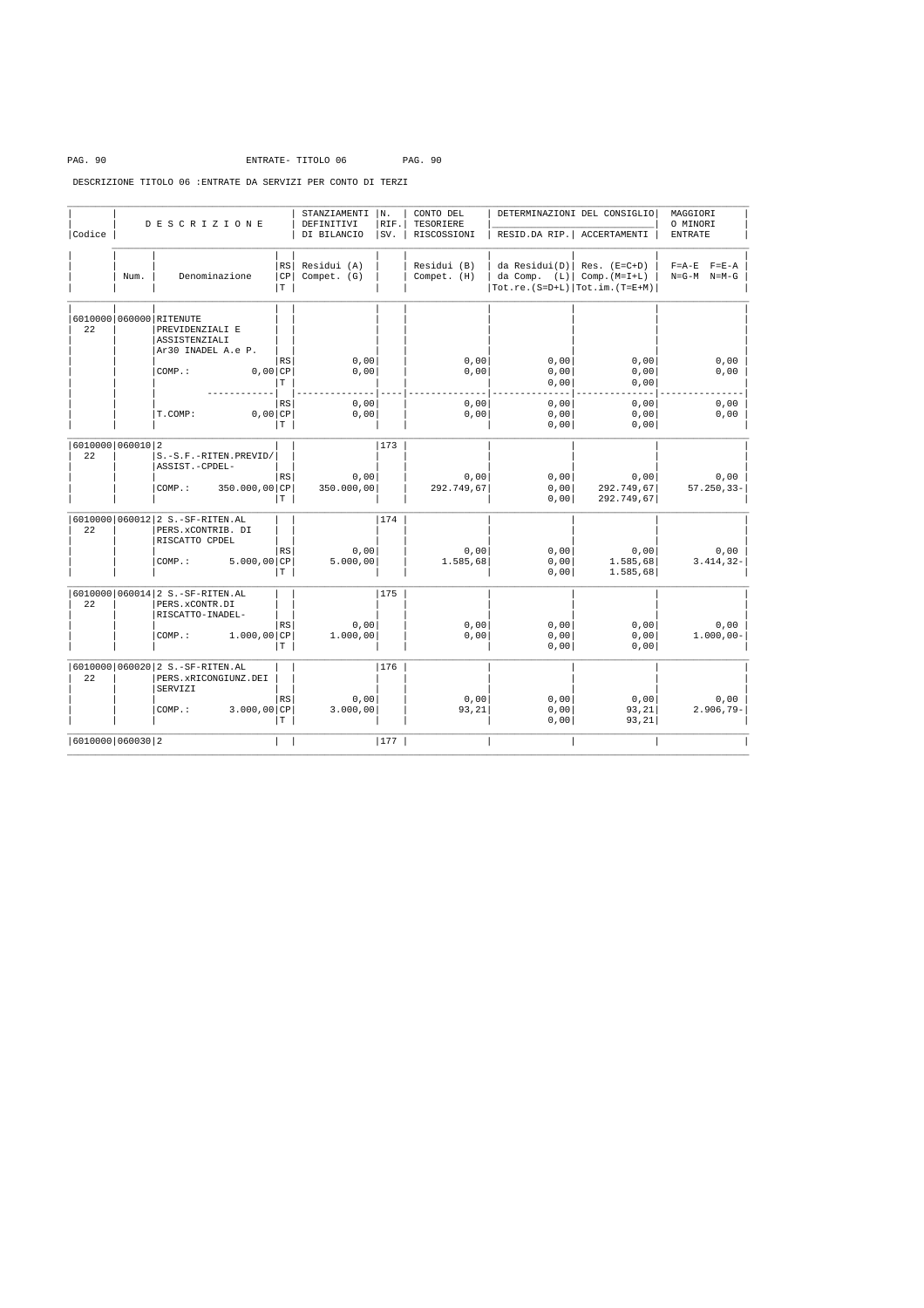## PAG. 90 ENTRATE- TITOLO 06 PAG. 90

| Codice                 |      | DESCRIZIONE                                                                                  |                       | STANZIAMENTI<br>DEFINITIVI<br>DI BILANCIO | IN.<br>RIF.<br> sv. | CONTO DEL<br>TESORIERE<br>RISCOSSIONI |                                     | DETERMINAZIONI DEL CONSIGLIO<br>RESID.DA RIP.   ACCERTAMENTI                                               | MAGGIORI<br>O MINORI<br><b>ENTRATE</b>             |
|------------------------|------|----------------------------------------------------------------------------------------------|-----------------------|-------------------------------------------|---------------------|---------------------------------------|-------------------------------------|------------------------------------------------------------------------------------------------------------|----------------------------------------------------|
|                        | Num. | Denominazione                                                                                | RS<br>CP<br> T        | Residui (A)<br>Compet. (G)                |                     | Residui (B)<br>Compet. (H)            |                                     | da Residui(D)   Res. $(E=C+D)$<br>da Comp. $(L)  $ Comp. $(M=I+L)$<br>$ Tot,re.(S=D+L)   Tot.in.(T=E+M)  $ | $F = A - E$ $F = E - A$<br>$N = G - M$ $N = M - G$ |
| 22                     |      | 6010000   060000   RITENUTE<br>PREVIDENZIALI E<br><b>ASSISTENZIALI</b><br>Ar30 INADEL A.e P. |                       |                                           |                     |                                       |                                     |                                                                                                            |                                                    |
|                        |      | COMP.:<br>$0.00$ <sub>c</sub> $P$                                                            | RS<br>T.              | 0,00<br>0,00                              |                     | 0,00<br>0,00                          | 0,00<br>0,00<br>0,00<br>$- - - - -$ | 0,00<br>0,00<br>0,00<br>$- - - -$                                                                          | 0,00<br>0,00<br>$- - - -$                          |
|                        |      | T.COMP:<br>$0,00$  CP                                                                        | RS<br>T.              | 0,00<br>0,00                              |                     | 0,00<br>0,00                          | 0,00<br>0,00<br>0,00                | 0,00<br>0,00<br>0,00                                                                                       | 0,00<br>0,00                                       |
| 6010000106001012<br>22 |      | S.-S.F.-RITEN.PREVID/<br>ASSIST.-CPDEL-                                                      |                       |                                           | 1173                |                                       |                                     |                                                                                                            |                                                    |
|                        |      | COMP.:<br>350.000,00 CP                                                                      | RS<br>T.              | 0,00<br>350.000,00                        |                     | 0,00<br>292.749,67                    | 0,00<br>0,00<br>0,00                | 0,00<br>292.749,67<br>292.749,67                                                                           | 0,00<br>$57.250, 33 -$                             |
| 22                     |      | 6010000 060012 2 S.-SF-RITEN.AL<br>PERS. xCONTRIB. DI<br>RISCATTO CPDEL                      | RS                    | 0,00                                      | 174                 | 0,00                                  | 0,00                                | 0,00                                                                                                       | 0,00                                               |
|                        |      | 5.000,00 CP <br>COMP.:                                                                       | ΙT.                   | 5.000,00                                  |                     | 1.585,68                              | 0,00<br>0,00                        | 1.585,68<br>1.585,68                                                                                       | $3.414, 32-$                                       |
| 22                     |      | 6010000 060014 2 S.-SF-RITEN.AL<br>PERS. xCONTR. DI<br>RISCATTO-INADEL-                      |                       |                                           | 1175                |                                       |                                     |                                                                                                            |                                                    |
|                        |      | $1.000.00$ $ CP $<br>COMP.:                                                                  | R <sub>S</sub><br>ΙT. | 0,00<br>1.000,00                          |                     | 0,00<br>0,00                          | 0,00<br>0,00<br>0,00                | 0,00<br>0,00<br>0,00                                                                                       | 0,00<br>$1.000,00 -$                               |
| 22                     |      | 6010000   060020   2 S. - SF-RITEN. AL<br>PERS.xRICONGIUNZ.DEI<br>SERVIZI                    |                       |                                           | 1176                |                                       |                                     |                                                                                                            |                                                    |
|                        |      | $3.000,00$ CP<br>COMP.:                                                                      | RS<br>T.              | 0,00<br>3.000,00                          |                     | 0,00<br>93, 21                        | 0,00<br>0,00<br>0,00                | 0,00<br>93, 21<br>93, 21                                                                                   | 0,00<br>$2.906, 79 -$                              |
| 6010000 060030 2       |      |                                                                                              |                       |                                           | 177                 |                                       |                                     |                                                                                                            |                                                    |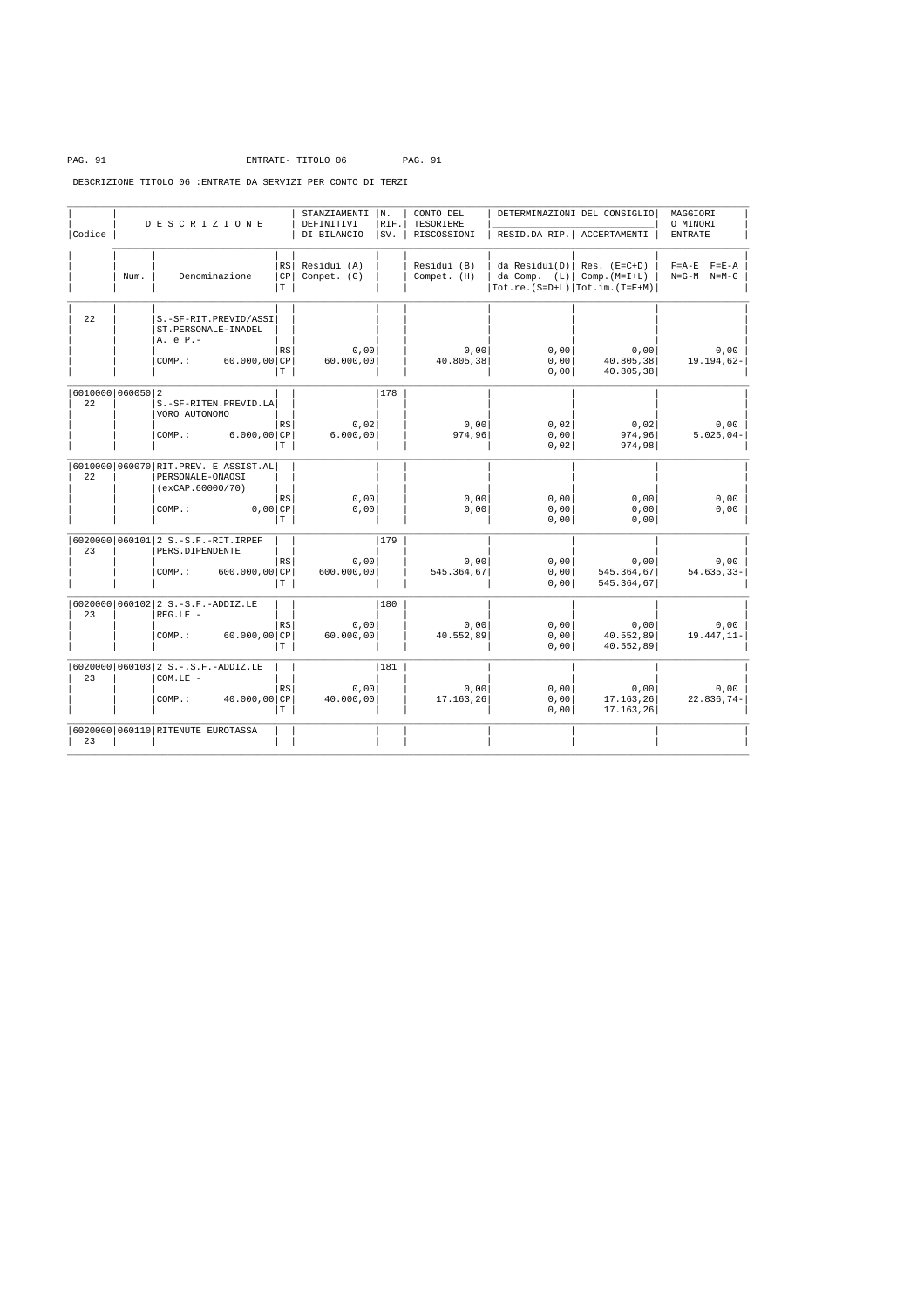## PAG. 91 ENTRATE- TITOLO 06 PAG. 91

| Codice                 |      | DESCRIZIONE                                                                                                |                  | STANZIAMENTI<br>DEFINITIVI<br>DI BILANCIO | IN.<br>RIF.<br> sv. | CONTO DEL<br>TESORIERE<br>RISCOSSIONI |                      | DETERMINAZIONI DEL CONSIGLIO<br>RESID.DA RIP.   ACCERTAMENTI                                               | MAGGIORI<br>O MINORI<br><b>ENTRATE</b>             |
|------------------------|------|------------------------------------------------------------------------------------------------------------|------------------|-------------------------------------------|---------------------|---------------------------------------|----------------------|------------------------------------------------------------------------------------------------------------|----------------------------------------------------|
|                        | Num. | Denominazione<br>ΙT                                                                                        | RS<br>CP         | Residui (A)<br>Compet. (G)                |                     | Residui (B)<br>Compet. (H)            |                      | da Residui(D)   Res. $(E=C+D)$<br>da Comp. $(L)  $ Comp. $(M=I+L)$<br>$ Tot,re.(S=D+L)   Tot.in.(T=E+M)  $ | $F = A - E$ $F = E - A$<br>$N = G - M$ $N = M - G$ |
| 22                     |      | S.-SF-RIT.PREVID/ASSI<br>ST.PERSONALE-INADEL<br>A. e P.-<br>COMP.:<br>$60.000,00$ CP                       | RS<br>T.         | 0,00<br>60.000,00                         |                     | 0,00<br>40.805,38                     | 0,00<br>0,00<br>0,00 | 0,00<br>40.805, 38<br>40.805,38                                                                            | 0,00<br>$19.194.62 -$                              |
| 6010000 060050 2<br>22 |      | S.-SF-RITEN.PREVID.LA<br>VORO AUTONOMO<br>COMP.:<br>$6.000,00$ CP                                          | RS<br>T.         | 0,02<br>6.000,00                          | 1178                | 0,00<br>974,96                        | 0,02<br>0,00<br>0,02 | 0,02<br>974,96<br>974,98                                                                                   | 0,00<br>$5.025,04-$                                |
| 22                     |      | 6010000   060070   RIT. PREV. E ASSIST. AL<br>PERSONALE-ONAOSI<br>(exCAP.60000/70)<br>$0,00$  CP<br>COMP.: | <b>RS</b><br>l T | 0,00<br>0,00                              |                     | 0,00<br>0,00                          | 0,00<br>0,00<br>0,00 | 0,00<br>0,00<br>0,00                                                                                       | 0,00<br>0,00                                       |
| 23                     |      | 6020000   060101   2 S. - S. F. - RIT. IRPEF<br>PERS.DIPENDENTE<br>600.000,00 CP<br>COMP.:                 | RS<br>T          | 0,00<br>600.000,00                        | 1179                | 0,00<br>545.364,67                    | 0,00<br>0,00<br>0,00 | 0,00<br>545.364,67<br>545.364,67                                                                           | 0,00<br>$54.635, 33 -$                             |
| 23                     |      | 6020000 060102 2 S.-S.F.-ADDIZ.LE<br>$REG.LE$ -<br>60.000.00 CP<br>COMP.:                                  | RS<br>T.         | 0,00<br>60.000,00                         | 1180                | 0,00<br>40.552,89                     | 0,00<br>0,00<br>0,00 | 0,00<br>40.552,89<br>40.552,89                                                                             | 0,00<br>$19.447, 11-$                              |
| 23                     |      | 6020000 060103 2 S.-.S.F.-ADDIZ.LE<br>COM.LE -<br>40.000,00 CP<br>COMP.:                                   | <b>RS</b><br>T   | 0,00<br>40.000,00                         | $ 181$              | 0,00<br>17.163,26                     | 0,00<br>0,00<br>0,00 | 0,00<br>17.163, 26<br>17.163,26                                                                            | 0,00<br>$22.836,74-$                               |
| 23                     |      | 6020000 060110 RITENUTE EUROTASSA                                                                          |                  |                                           |                     |                                       |                      |                                                                                                            |                                                    |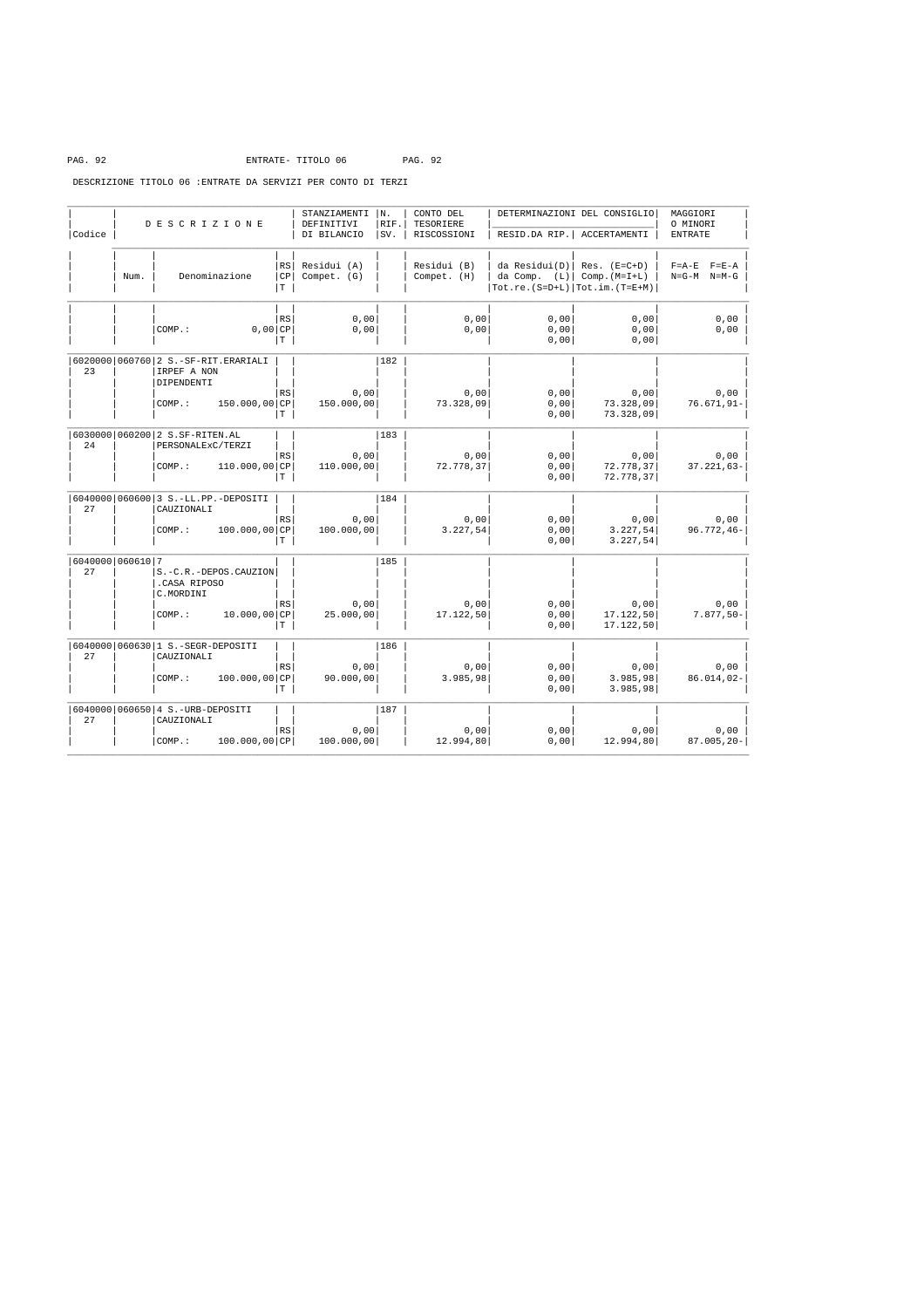## PAG. 92 ENTRATE- TITOLO 06 PAG. 92

| Codice                 |      | DESCRIZIONE                                                                                        |                    | STANZIAMENTI<br>DEFINITIVI<br>DI BILANCIO | IN.<br>RIF.<br>SV. | CONTO DEL<br>TESORIERE<br>RISCOSSIONI |                      | DETERMINAZIONI DEL CONSIGLIO<br>RESID.DA RIP.   ACCERTAMENTI                                               | MAGGIORI<br>O MINORI<br><b>ENTRATE</b>             |
|------------------------|------|----------------------------------------------------------------------------------------------------|--------------------|-------------------------------------------|--------------------|---------------------------------------|----------------------|------------------------------------------------------------------------------------------------------------|----------------------------------------------------|
|                        | Num. | Denominazione                                                                                      | RS<br>CP<br>TГ     | Residui (A)<br>Compet. (G)                |                    | Residui (B)<br>Compet. (H)            |                      | da Residui(D)   Res. $(E=C+D)$<br>da Comp. $(L)  $ Comp. $(M=I+L)$<br>$ Tot.re.(S=D+L)   Tot.in.(T=E+M)  $ | $F = A - E$ $F = E - A$<br>$N = G - M$ $N = M - G$ |
|                        |      | $0.00$ <sub>c</sub> $P$<br>COMP.:                                                                  | RS.<br>$\mathbf T$ | 0,00<br>0,00                              |                    | 0,00<br>0,00                          | 0,00<br>0,00<br>0,00 | 0.001<br>0,00<br>0,00                                                                                      | 0.00<br>0,00                                       |
| 23                     |      | 6020000   060760   2 S. - SF-RIT. ERARIALI<br>IRPEF A NON<br>DIPENDENTI<br>150.000,00 CP<br>COMP.: | RS<br>т            | 0,00<br>150.000,00                        | 182                | 0,00<br>73.328,09                     | 0,00<br>0,00<br>0,00 | 0,00<br>73.328,09<br>73.328,09                                                                             | 0,00<br>$76.671, 91 -$                             |
| 2.4                    |      | 6030000   060200   2 S. SF-RITEN. AL<br>PERSONALEXC/TERZI<br>110.000,00 CP<br>COMP.:               | RS<br>T.           | 0,00<br>110.000,00                        | 183                | 0,00<br>72.778,37                     | 0,00<br>0,00<br>0,00 | 0,00<br>72.778,37<br>72.778,37                                                                             | 0,00<br>$37.221,63-$                               |
| 27                     |      | 6040000   060600   3 S.-LL.PP.-DEPOSITI<br>CAUZIONALI<br>100.000,00 CP<br>COMP.:                   | RS.<br>$\mathbb T$ | 0.00<br>100.000,00                        | 184                | 0.00<br>3.227,54                      | 0.00<br>0,00<br>0,00 | 0,00<br>3.227,54<br>3.227,54                                                                               | 0.00<br>$96.772, 46 -$                             |
| 6040000 060610 7<br>27 |      | S.-C.R.-DEPOS.CAUZION<br>.CASA RIPOSO<br>C.MORDINI<br>COMP.:<br>10.000,00 CP                       | RS<br>T.           | 0,00<br>25.000,00                         | 185                | 0,00<br>17.122,50                     | 0,00<br>0,00<br>0,00 | 0,00<br>17.122,50<br>17.122,50                                                                             | 0,00<br>$7.877,50-$                                |
| 27                     |      | 6040000 060630 1 S.-SEGR-DEPOSITI<br>CAUZIONALI<br>100.000,00 CP<br>COMP.:                         | RS<br>T.           | 0,00<br>90.000,00                         | 186                | 0,00<br>3.985,98                      | 0,00<br>0,00<br>0,00 | 0,00<br>3.985,98<br>3.985,98                                                                               | 0,00<br>$86.014,02-$                               |
| 27                     |      | 6040000 060650 4 S.-URB-DEPOSITI<br>CAUZIONALI<br>100.000,00 CP <br>COMP:                          | RS                 | 0,00<br>100.000,00                        | 187                | 0,00<br>12.994,80                     | 0,00<br>0,00         | 0.001<br>12.994, 80                                                                                        | 0.00<br>$87.005, 20 -$                             |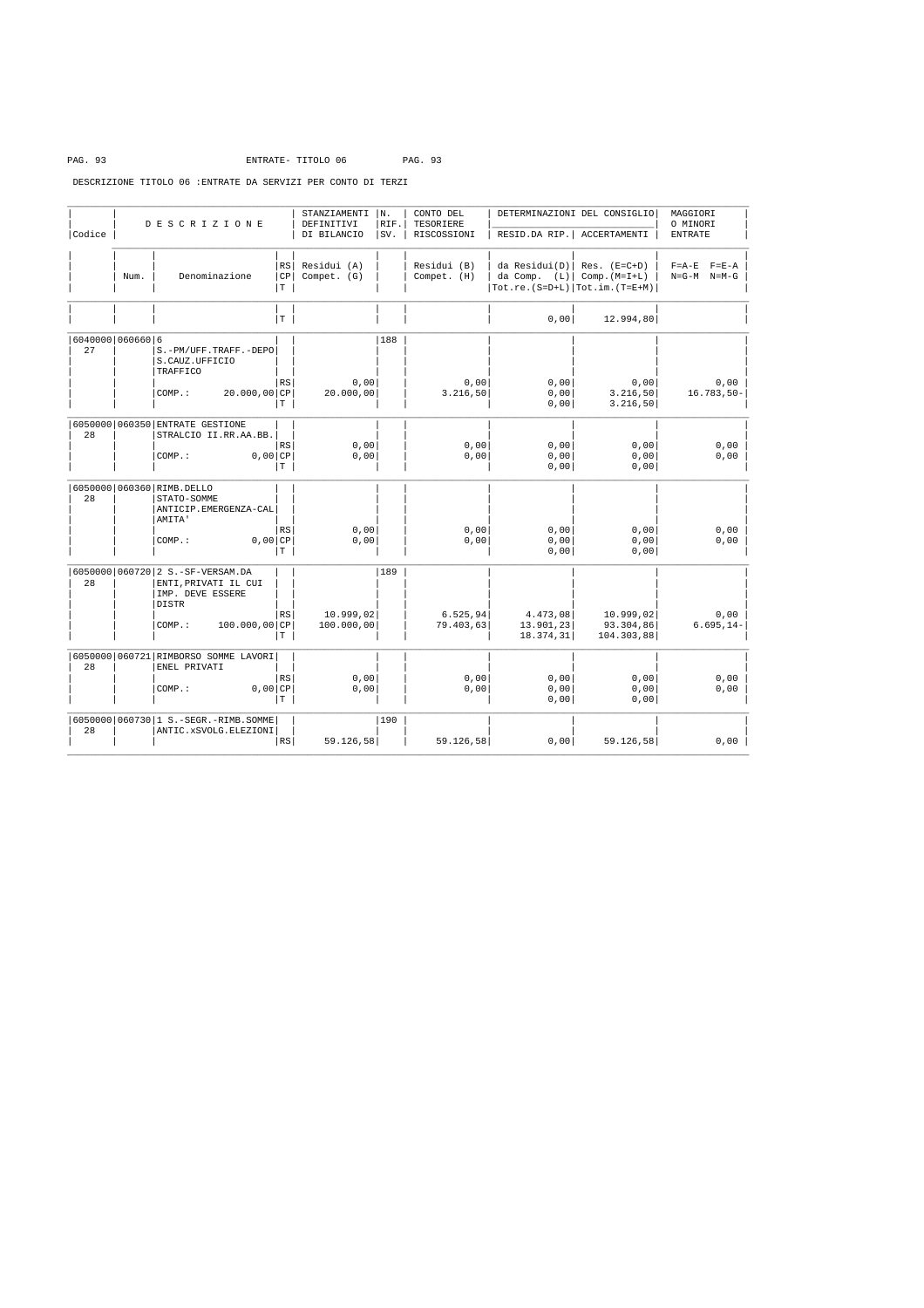## PAG. 93 ENTRATE- TITOLO 06 PAG. 93

| Codice                 |      | DESCRIZIONE                                                                                                                   |               | STANZIAMENTI<br>DEFINITIVI<br>DI BILANCIO | $ N$ .<br>RIF.<br>ISV. | CONTO DEL<br>TESORIERE<br>RISCOSSIONI |                                     | DETERMINAZIONI DEL CONSIGLIO<br>RESID.DA RIP.   ACCERTAMENTI                                               | MAGGIORI<br>O MINORI<br><b>ENTRATE</b>             |
|------------------------|------|-------------------------------------------------------------------------------------------------------------------------------|---------------|-------------------------------------------|------------------------|---------------------------------------|-------------------------------------|------------------------------------------------------------------------------------------------------------|----------------------------------------------------|
|                        | Num. | Denominazione                                                                                                                 | RS<br>CP<br>Г | Residui (A)<br>Compet. (G)                |                        | Residui (B)<br>Compet. (H)            |                                     | da Residui(D)   Res. $(E=C+D)$<br>da Comp. $(L)  $ Comp. $(M=I+L)$<br>$ Tot.re.(S=D+L)   Tot.in.(T=E+M)  $ | $F = A - E$ $F = E - A$<br>$N = G - M$ $N = M - G$ |
|                        |      |                                                                                                                               | IТ            |                                           |                        |                                       | 0,00                                | 12.994,80                                                                                                  |                                                    |
| 6040000 060660 6<br>27 |      | S.-PM/UFF.TRAFF.-DEPO<br>S. CAUZ. UFFICIO<br>TRAFFICO<br>20.000,00 CP<br>COMP.:                                               | RS<br>T.      | 0,00<br>20.000,00                         | 188                    | 0,00<br>3.216,50                      | 0,00<br>0,00<br>0,00                | 0,00<br>3.216, 50<br>3.216, 50                                                                             | 0,00<br>$16.783, 50 -$                             |
| 28                     |      | 6050000 060350 ENTRATE GESTIONE<br>STRALCIO II.RR.AA.BB.<br>$0,00$  CP<br>COMP.:                                              | RS<br>T.      | 0,00<br>0,00                              |                        | 0,00<br>0,00                          | 0,00<br>0,00<br>0,00                | 0,00<br>0,00<br>0,00                                                                                       | 0,00<br>0,00                                       |
| 28                     |      | 6050000 060360 RIMB. DELLO<br>STATO-SOMME<br>ANTICIP.EMERGENZA-CAL<br>AMITA'<br>$0.00$ <sub>c</sub> $P$<br>COMP:              | RS<br>T.      | 0,00<br>0,00                              |                        | 0,00<br>0,00                          | 0,00<br>0,00<br>0,00                | 0,00<br>0,00<br>0,00                                                                                       | 0,00<br>0,00                                       |
| 28                     |      | 6050000   060720   2 S. - SF-VERSAM.DA<br>ENTI, PRIVATI IL CUI<br>IMP. DEVE ESSERE<br><b>DISTR</b><br>COMP.:<br>100.000,00 CP | RS<br>T       | 10.999,02<br>100.000,00                   | 189                    | 6.525, 94<br>79.403,63                | 4.473,08<br>13.901, 23<br>18.374,31 | 10.999,02<br>93.304,86<br>104.303,88                                                                       | 0.00<br>$6.695, 14-$                               |
| 28                     |      | 6050000   060721   RIMBORSO SOMME LAVORI<br>ENEL PRIVATI<br>COMP.:<br>$0.00$ <sub>c</sub> $P$                                 | RS<br>T.      | 0,00<br>0,00                              |                        | 0,00<br>0,00                          | 0,00<br>0,00<br>0,00                | 0,00<br>0,00<br>0,00                                                                                       | 0,00<br>0,00                                       |
| 28                     |      | 6050000   060730   1 S. - SEGR. - RIMB. SOMME<br>ANTIC. xSVOLG. ELEZIONI                                                      | RS            | 59.126, 58                                | 1190                   | 59.126, 58                            | 0,00                                | 59.126,58                                                                                                  | 0,00                                               |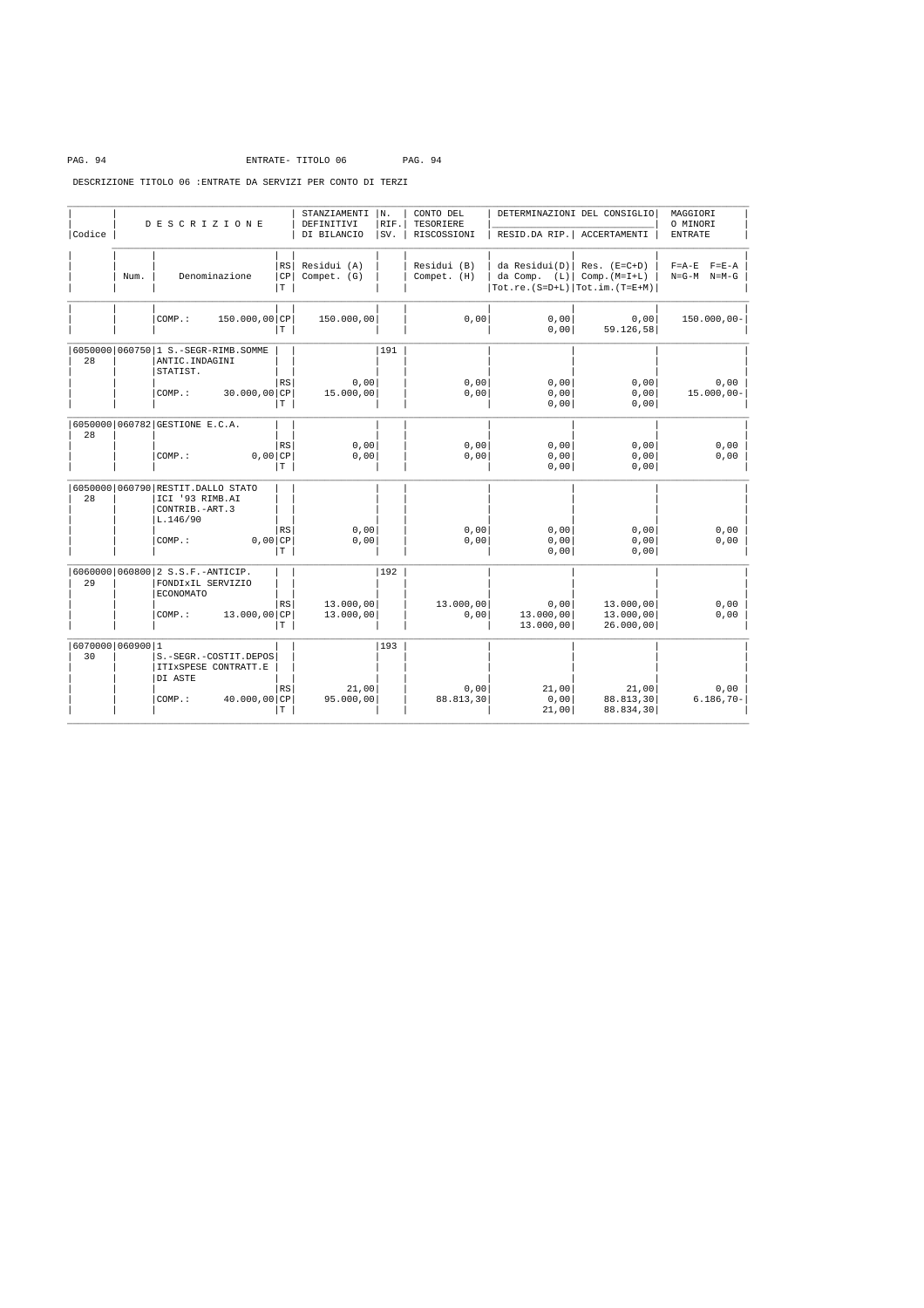## PAG. 94 ENTRATE- TITOLO 06 PAG. 94

| Codice                 |      | DESCRIZIONE                                                                                                    |                                  | STANZIAMENTI<br>N.<br>DEFINITIVI<br>DI BILANCIO | RIF.<br>lsv. | CONTO DEL<br>TESORIERE<br>RISCOSSIONI | RESID.DA RIP.   ACCERTAMENTI                                                                           | DETERMINAZIONI DEL CONSIGLIO        | MAGGIORI<br>O MINORI<br><b>ENTRATE</b>             |
|------------------------|------|----------------------------------------------------------------------------------------------------------------|----------------------------------|-------------------------------------------------|--------------|---------------------------------------|--------------------------------------------------------------------------------------------------------|-------------------------------------|----------------------------------------------------|
|                        | Num. | Denominazione                                                                                                  | RS<br>$_{\rm CP}$<br>$\mathbb T$ | Residui (A)<br>Compet. (G)                      |              | Residui (B)<br>Compet. (H)            | da Residui(D)   Res. (E=C+D)<br>da Comp. $(L)$ Comp. $(M=I+L)$<br>$ Tot.re.(S=D+L)   Tot.in.(T=E+M)  $ |                                     | $F = A - E$ $F = E - A$<br>$N = G - M$ $N = M - G$ |
|                        |      | 150.000,00 CP<br>COMP.:                                                                                        | T.                               | 150.000,00                                      |              | 0,00                                  | 0,00<br>0,00                                                                                           | 0,00<br>59.126,58                   | $150.000,00 -$                                     |
| 28                     |      | 6050000 060750 1 S.-SEGR-RIMB. SOMME<br>ANTIC. INDAGINI<br>STATIST.<br>COMP.:<br>$30.000,00$ CP                | RS<br>T.                         | 0,00<br>15.000,00                               | 191          | 0,00<br>0,00                          | 0,00<br>0,00<br>0,00                                                                                   | 0,00<br>0,00<br>0,00                | 0,00<br>$15.000,00 -$                              |
| 28                     |      | 6050000   060782   GESTIONE E.C.A.<br>$0.00$ <sub>c</sub> $P$<br>COMP.:                                        | RS<br>T.                         | 0,00<br>0,00                                    |              | 0,00<br>0,00                          | 0,00<br>0,00<br>0,00                                                                                   | 0,00<br>0,00<br>0,00                | 0,00<br>0,00                                       |
| 28                     |      | 6050000 060790 RESTIT. DALLO STATO<br>ICI '93 RIMB.AI<br>CONTRIB. - ART. 3<br>L.146/90<br>$0,00$  CP<br>COMP.: | RS<br>T.                         | 0,00<br>0,00                                    |              | 0,00<br>0,00                          | 0,00<br>0,00<br>0,00                                                                                   | 0,00<br>0,00<br>0,00                | 0,00<br>0,00                                       |
| 29                     |      | 6060000 060800 2 S.S.F.-ANTICIP.<br>FONDIXIL SERVIZIO<br><b>ECONOMATO</b><br>13.000.00 CP<br>COMP.:            | RS<br>T.                         | 13.000,00<br>13.000,00                          | 192          | 13,000,00<br>0,00                     | 0,00<br>13.000,00<br>13.000,00                                                                         | 13.000,00<br>13.000,00<br>26.000,00 | 0.00<br>0,00                                       |
| 6070000 060900 1<br>30 |      | S.-SEGR.-COSTIT.DEPOS<br>ITIXSPESE CONTRATT.E<br>DI ASTE<br>40.000.00 CP<br>COMP.:                             | RS<br>T.                         | 21,00<br>95.000,00                              | 193          | 0,00<br>88.813,30                     | 21,00<br>0,00<br>21,00                                                                                 | 21,00<br>88.813,30<br>88.834,30     | 0,00<br>$6.186, 70 -$                              |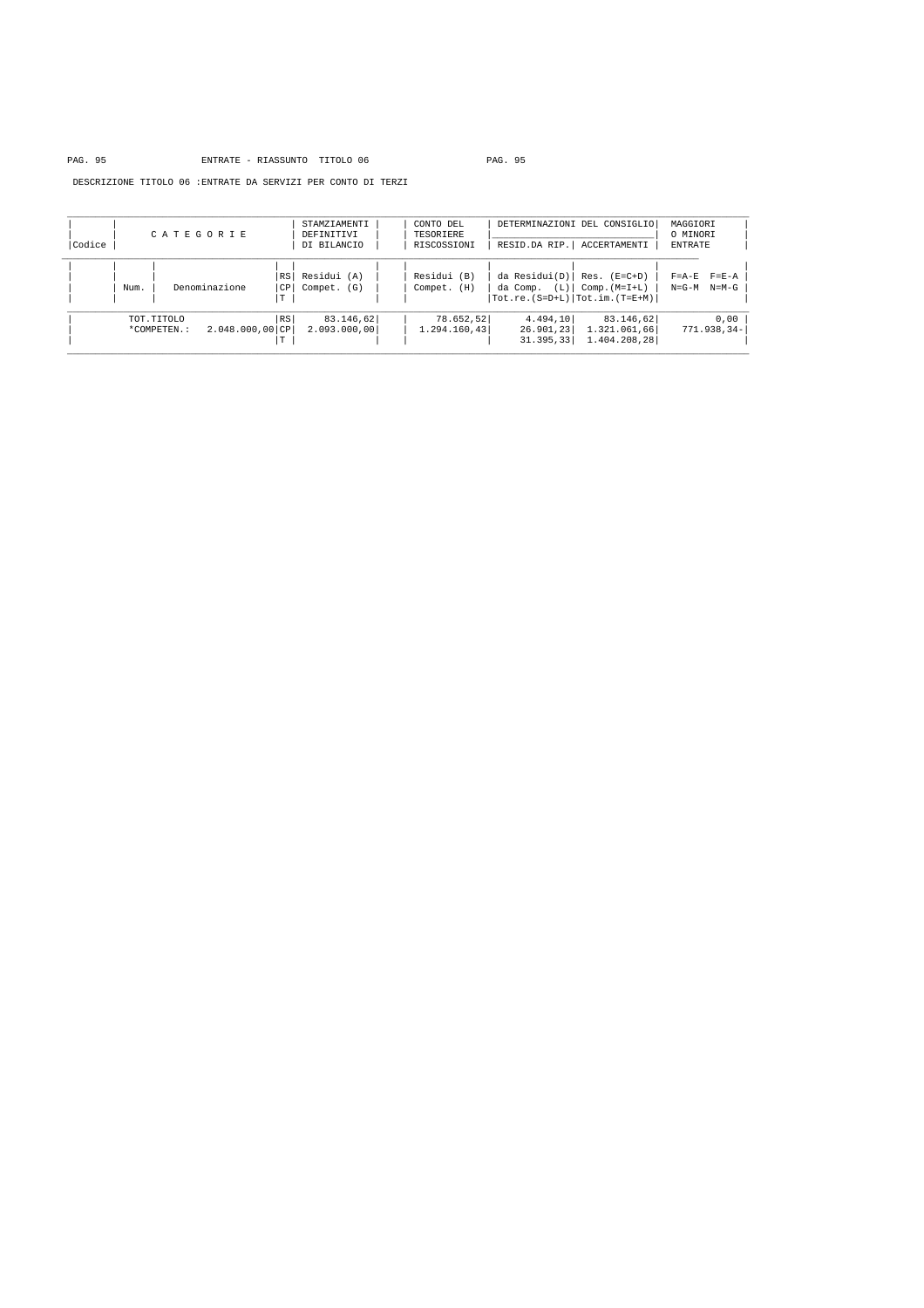### PAG. 95 ENTRATE - RIASSUNTO TITOLO 06 PAG. 95

| Codice | CATEGORIE                                      |                | STAMZIAMENTI<br>DEFINITIVI<br>DI BILANCIO | CONTO DEL<br>TESORIERE<br>RISCOSSIONI | DETERMINAZIONI DEL CONSIGLIO<br>RESID.DA RIP.<br>ACCERTAMENTI                                              | MAGGIORI<br>O MINORI<br><b>ENTRATE</b>            |
|--------|------------------------------------------------|----------------|-------------------------------------------|---------------------------------------|------------------------------------------------------------------------------------------------------------|---------------------------------------------------|
|        | Denominazione<br>Num.                          | RS.<br>CP<br>T | Residui (A)<br>$Compet.$ (G)              | Residui (B)<br>Compet. (H)            | da Residui(D)<br>$Res.$ $(E=C+D)$<br>da Comp. $(L)$ Comp. $(M=I+L)$<br>$Tot.re.(S=D+L)   Tot.in.(T=E+M)  $ | $F = A - E$ $F = E - A$<br>$N = G - M$<br>$N=M-G$ |
|        | TOT.TITOLO<br>$2.048.000.00$ CP<br>*COMPETEN.: | RS<br>т        | 83.146,62<br>2.093.000,00                 | 78.652,52<br>1.294.160, 43            | 4.494, 10<br>83.146,62<br>26.901,23<br>1.321.061,66<br>31.395,33<br>1.404.208,28                           | 0.00<br>771.938,34-                               |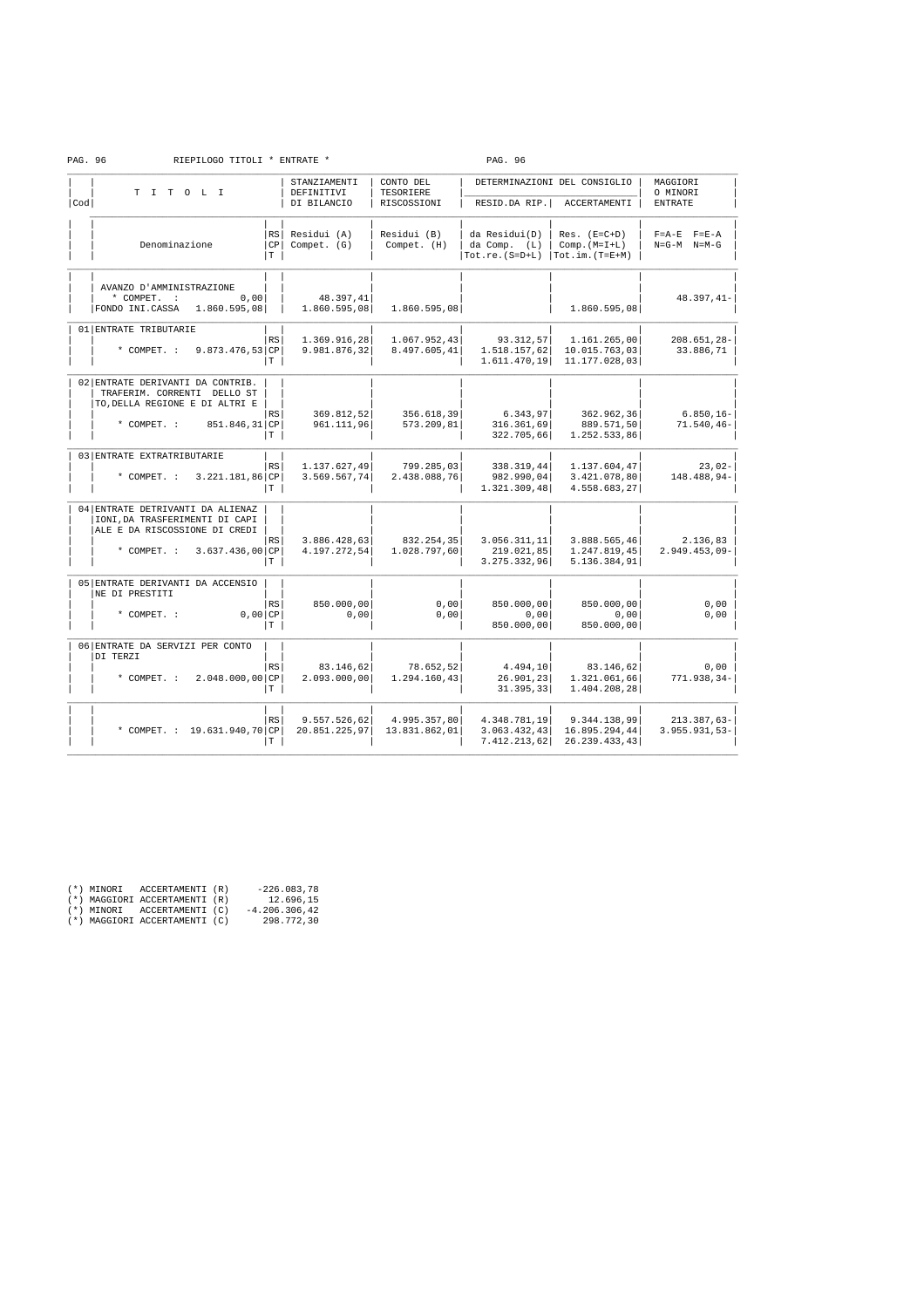| PAG. 96 | RIEPILOGO TITOLI * ENTRATE *                                                                                                         |                   |                               |                               | PAG. 96                                                            |                                                |                                                    |
|---------|--------------------------------------------------------------------------------------------------------------------------------------|-------------------|-------------------------------|-------------------------------|--------------------------------------------------------------------|------------------------------------------------|----------------------------------------------------|
|         | TITOLI                                                                                                                               |                   | STANZIAMENTI<br>DEFINITIVI    | CONTO DEL<br>TESORIERE        |                                                                    | DETERMINAZIONI DEL CONSIGLIO                   | MAGGIORI<br>O MINORI                               |
| cod     |                                                                                                                                      |                   | DI BILANCIO                   | RISCOSSIONI                   | RESID.DA RIP.                                                      | ACCERTAMENTI                                   | <b>ENTRATE</b>                                     |
|         | Denominazione                                                                                                                        | RS<br>CP<br>l T   | Residui (A)<br>Compet. (G)    | Residui (B)<br>Compet. (H)    | da Residui(D)<br>da Comp. (L)<br>$Tot.re.(S=D+L)   Tot.in.(T=E+M)$ | $Res.$ $(E=C+D)$<br>$Comp.(M=I+L)$             | $F = A - E$ $F = E - A$<br>$N = G - M$ $N = M - G$ |
|         | AVANZO D'AMMINISTRAZIONE<br>0.001<br>* COMPET. :<br>1.860.595,08<br>FONDO INI.CASSA                                                  |                   | 48.397,41<br>1.860.595,08     | 1.860.595,08                  |                                                                    | 1.860.595,08                                   | $48.397, 41 -$                                     |
|         | 01 ENTRATE TRIBUTARIE<br>* COMPET. :<br>$9.873.476,53$ CP                                                                            | RS<br>IТ          | 1.369.916,28<br>9.981.876, 32 | 1.067.952,43<br>8.497.605,41  | 93.312,57<br>1.518.157.62<br>1.611.470.19                          | 1.161.265,00<br>10.015.763,03<br>11.177.028,03 | $208.651, 28 -$<br>33.886,71                       |
|         | 02 ENTRATE DERIVANTI DA CONTRIB.<br>TRAFERIM. CORRENTI DELLO ST<br>TO, DELLA REGIONE E DI ALTRI E<br>851.846,31 CP<br>* COMPET. :    | RS<br>l T         | 369.812,52<br>961.111,96      | 356.618,39<br>573.209,81      | 6.343,97<br>316.361,69<br>322.705,66                               | 362.962,36<br>889.571,50<br>1.252.533,86       | $6.850, 16 -$<br>$71.540.46 -$                     |
|         | 03 ENTRATE EXTRATRIBUTARIE<br>* COMPET. :<br>3.221.181.86 CP                                                                         | RS<br>ΙT.         | 1.137.627,49<br>3.569.567,74  | 799.285,03<br>2.438.088,76    | 338.319,44<br>982.990,04<br>1.321.309.48                           | 1.137.604.47<br>3.421.078,80<br>4.558.683,27   | $23.02-$<br>148.488,94-                            |
|         | 04 ENTRATE DETRIVANTI DA ALIENAZ<br>IONI.DA TRASFERIMENTI DI CAPI<br>ALE E DA RISCOSSIONE DI CREDI<br>* COMPET. :<br>3.637.436.00 CP | RS<br>IΤ          | 3.886.428,63<br>4.197.272,54  | 832.254,35<br>1.028.797,60    | 3.056.311, 11<br>219.021,85<br>3.275.332,96                        | 3.888.565,46<br>1.247.819,45<br>5.136.384,91   | 2.136,83<br>$2.949.453,09-$                        |
|         | 05 ENTRATE DERIVANTI DA ACCENSIO<br>NE DI PRESTITI<br>$0.00$ <sub>c</sub> $P$<br>* COMPET. :                                         | RS<br>T.          | 850.000,00<br>0,00            | 0,00<br>0,00                  | 850.000,00<br>0,00<br>850.000,00                                   | 850.000,00<br>0.00<br>850.000,00               | 0,00<br>0,00                                       |
|         | 06 ENTRATE DA SERVIZI PER CONTO<br>DI TERZI<br>* COMPET. :<br>$2.048.000,00$ CP                                                      | $_{\rm RS}$<br>IТ | 83.146,62<br>2.093.000,00     | 78.652,52<br>1.294.160,43     | 4.494, 10<br>26.901, 23<br>31.395,33                               | 83.146,62<br>1.321.061,66<br>1.404.208,28      | 0,00<br>771.938,34-                                |
|         | * COMPET. : 19.631.940.70 CP                                                                                                         | <b>RS</b><br>ΙT.  | 9.557.526,62<br>20.851.225,97 | 4.995.357,80<br>13.831.862.01 | 4.348.781,19<br>3.063.432.43<br>7.412.213.62                       | 9.344.138,99<br>16.895.294,44<br>26.239.433,43 | $213.387.63-$<br>$3.955.931,53-$                   |

| (*) MINORI | ACCERTAMENTI (R)              | $-226.083.78$   |
|------------|-------------------------------|-----------------|
|            | (*) MAGGIORI ACCERTAMENTI (R) | 12.696.15       |
|            | (*) MINORI ACCERTAMENTI (C)   | $-4.206.306.42$ |
|            | (*) MAGGIORI ACCERTAMENTI (C) | 298.772.30      |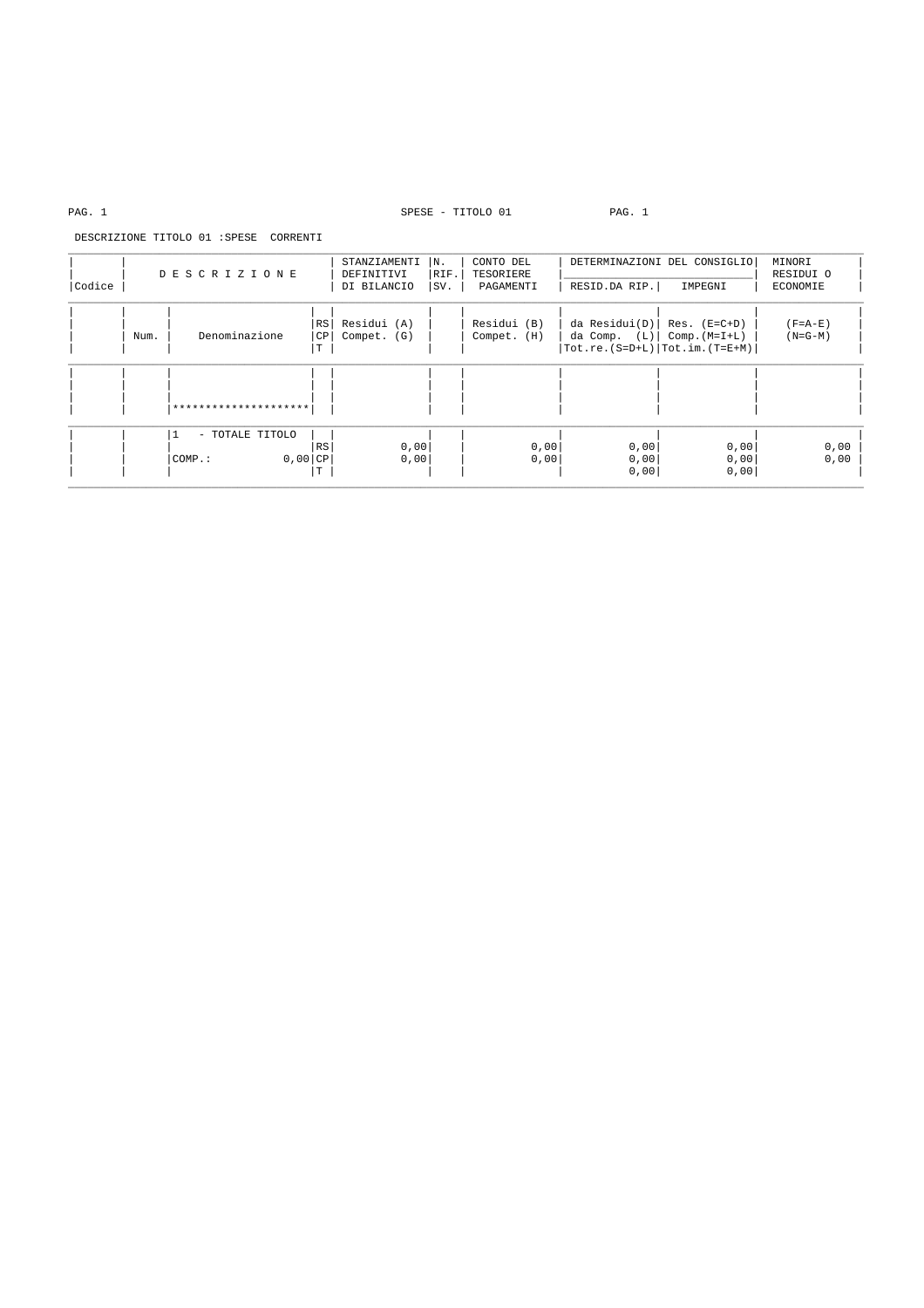### SPESE - TITOLO 01 PAG. 1

### DESCRIZIONE TITOLO 01 : SPESE CORRENTI

| Codice |      | DESCRIZIONE           |                | STANZIAMENTI<br>DEFINITIVI<br>DI BILANCIO | N.<br>RIF.<br>SV. | CONTO DEL<br>TESORIERE<br>PAGAMENTI | RESID.DA RIP.                                                          | DETERMINAZIONI DEL CONSIGLIO<br>IMPEGNI | MINORI<br>RESIDUI O<br>ECONOMIE |
|--------|------|-----------------------|----------------|-------------------------------------------|-------------------|-------------------------------------|------------------------------------------------------------------------|-----------------------------------------|---------------------------------|
|        | Num. | Denominazione         | RS!<br>CP<br>Т | Residui<br>(A)<br>$Compet.$ (G)           |                   | Residui (B)<br>Compet. (H)          | da Residui(D)<br>da Comp. (L)<br>Tot.re. $(S=D+L)$   Tot.im. $(T=E+M)$ | $Res.$ $(E=C+D)$<br>$Comp.(M=I+L)$      | $(F=A-E)$<br>$( N = G - M )$    |
|        |      |                       |                |                                           |                   |                                     |                                                                        |                                         |                                 |
|        |      | ********************* |                |                                           |                   |                                     |                                                                        |                                         |                                 |
|        |      | - TOTALE TITOLO       |                |                                           |                   |                                     |                                                                        |                                         |                                 |
|        |      |                       | RS             | 0,00                                      |                   | 0,00                                | 0,00                                                                   | 0,00                                    | 0,00                            |
|        |      | COMP:<br>$0.00$ CP    |                | 0,00                                      |                   | 0,00                                | 0,00                                                                   | 0,00                                    | 0,00                            |
|        |      |                       | m              |                                           |                   |                                     | 0,00                                                                   | 0,00                                    |                                 |

 $PAG. 1$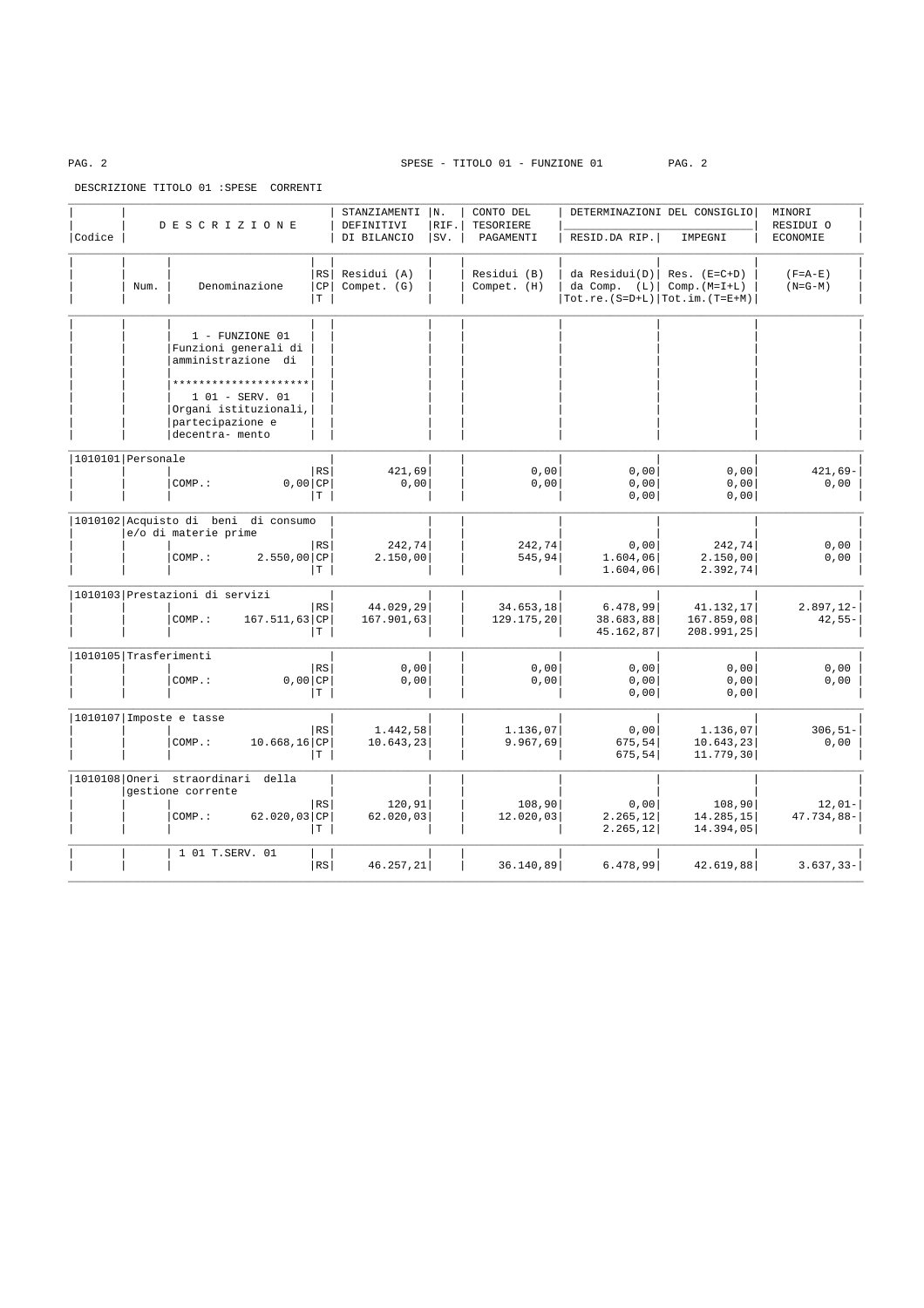### PAG. 2 SPESE - TITOLO 01 - FUNZIONE 01 PAG. 2

| Codice                |      | DESCRIZIONE                                                                            |                   | STANZIAMENTI<br>$ N$ .<br>DEFINITIVI<br>DI BILANCIO | RIF.<br>Isv. | CONTO DEL<br>TESORIERE<br>PAGAMENTI | RESID.DA RIP.                                     | DETERMINAZIONI DEL CONSIGLIO<br>IMPEGNI                 | MINORI<br>RESIDUI 0<br>ECONOMIE |
|-----------------------|------|----------------------------------------------------------------------------------------|-------------------|-----------------------------------------------------|--------------|-------------------------------------|---------------------------------------------------|---------------------------------------------------------|---------------------------------|
|                       | Num. | Denominazione                                                                          | RS<br>CP<br>IТ    | Residui (A)<br>$Compet.$ (G)                        |              | Residui (B)<br>Compet. (H)          | da Residui(D)<br>da Comp. $(L)  $ Comp. $(M=I+L)$ | $Res.$ $(E=C+D)$<br>$Tot.re.(S=D+L)   Tot.in.(T=E+M)  $ | $(F=A-E)$<br>$(N = G - M)$      |
|                       |      | 1 - FUNZIONE 01<br>Funzioni generali di<br>amministrazione di<br>********************* |                   |                                                     |              |                                     |                                                   |                                                         |                                 |
|                       |      | 1 01 - SERV. 01<br>Organi istituzionali,<br>partecipazione e<br>decentra- mento        |                   |                                                     |              |                                     |                                                   |                                                         |                                 |
| 1010101 Personale     |      | $0,00$  CP<br>COMP:                                                                    | RS<br>T           | 421,69<br>0,00                                      |              | 0,00<br>0,00                        | 0,00<br>0,00<br>0,00                              | 0,00<br>0,00<br>0,00                                    | $421,69-$<br>0,00               |
|                       |      | 1010102 Acquisto di beni di consumo<br>e/o di materie prime<br>COMP:<br>2.550,00 CP    | RS<br>IТ          | 242,74<br>2.150,00                                  |              | 242,74<br>545,94                    | 0,00<br>1.604,06<br>1.604,06                      | 242,74<br>2.150,00<br>2.392,74                          | 0,00<br>0,00                    |
|                       |      | 1010103 Prestazioni di servizi<br>COMP.:<br>167.511,63 CP                              | RS<br> T          | 44.029,29<br>167.901,63                             |              | 34.653,18<br>129.175,20             | 6.478,99<br>38.683,88<br>45.162,87                | 41.132,17<br>167.859,08<br>208.991, 25                  | $2.897, 12 -$<br>$42,55-$       |
| 1010105 Trasferimenti |      | COMP.:<br>$0,00$  CP                                                                   | RS<br>IΤ.         | 0,00<br>0,00                                        |              | 0,00<br>0,00                        | 0,00<br>0,00<br>0,00                              | 0,00<br>0,00<br>0,00                                    | 0,00<br>0,00                    |
|                       |      | 1010107 Imposte e tasse<br>10.668,16 CP<br>COMP.:                                      | RS<br>$\mathbb T$ | 1.442,58<br>10.643,23                               |              | 1.136,07<br>9.967,69                | 0,00<br>675,54<br>675, 54                         | 1.136,07<br>10.643, 23<br>11.779, 30                    | $306.51 -$<br>0,00              |
|                       |      | 1010108 Oneri straordinari<br>della<br>gestione corrente<br>$62.020,03$ CP<br>COMP.:   | RS<br>$\mathbf T$ | 120,91<br>62.020,03                                 |              | 108,90<br>12.020,03                 | 0,00<br>2.265,12<br>2.265, 12                     | 108,90<br>14.285,15<br>14.394,05                        | $12,01-$<br>47.734,88-          |
|                       |      | 1 01 T.SERV. 01                                                                        | RS                | 46.257, 21                                          |              | 36.140.89                           | 6.478,99                                          | 42.619,88                                               | $3.637, 33 -$                   |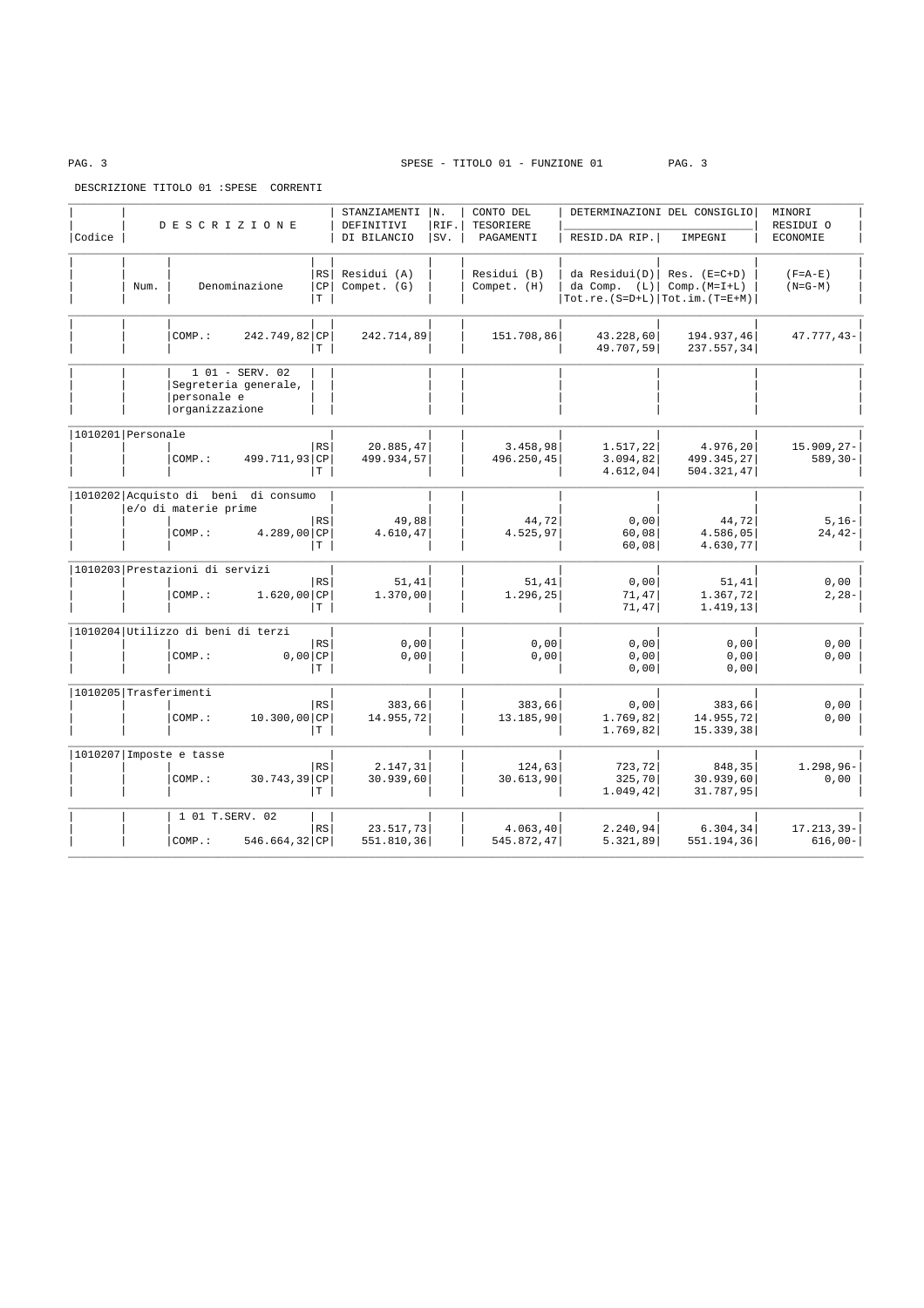### PAG. 3 SPESE - TITOLO 01 - FUNZIONE 01 PAG. 3

| Codice                |      | DESCRIZIONE                       |                                         |                   | STANZIAMENTI<br>DEFINITIVI<br>DI BILANCIO | $ N$ .<br>RIF.<br>SV. | CONTO DEL<br>TESORIERE<br>PAGAMENTI | RESID.DA RIP.                    | DETERMINAZIONI DEL CONSIGLIO<br>IMPEGNI                                                               | MINORI<br>RESIDUI 0<br><b>ECONOMIE</b> |
|-----------------------|------|-----------------------------------|-----------------------------------------|-------------------|-------------------------------------------|-----------------------|-------------------------------------|----------------------------------|-------------------------------------------------------------------------------------------------------|----------------------------------------|
|                       | Num. |                                   | Denominazione                           | RS<br>CP<br>IΤ    | Residui (A)<br>$Compet.$ (G)              |                       | Residui (B)<br>Compet. (H)          |                                  | da Residui(D)   Res. $(E=C+D)$<br>da Comp. $(L)$ Comp. $(M=I+L)$<br>$Tot.re.(S=D+L)   Tot.in.(T=E+M)$ | $(F = A - E)$<br>$(N = G - M)$         |
|                       |      | COMP:                             | 242.749,82 CP                           | T.                | 242.714,89                                |                       | 151.708,86                          | 43.228,60<br>49.707,59           | 194.937,46<br>237.557,34                                                                              | $47.777.43-$                           |
|                       |      | personale e<br>organizzazione     | 1 01 - SERV. 02<br>Segreteria generale, |                   |                                           |                       |                                     |                                  |                                                                                                       |                                        |
| 1010201 Personale     |      | COMP:                             | 499.711,93 CP                           | <b>RS</b><br>T.   | 20.885,47<br>499.934,57                   |                       | 3.458,98<br>496.250,45              | 1.517,22<br>3.094,82<br>4.612,04 | 4.976,20<br>499.345,27<br>504.321, 47                                                                 | $15.909, 27 -$<br>$589, 30 -$          |
|                       |      |                                   | 1010202 Acquisto di beni di consumo     |                   |                                           |                       |                                     |                                  |                                                                                                       |                                        |
|                       |      | e/o di materie prime              |                                         | RS                | 49,88                                     |                       | 44,72                               | 0,00                             | 44,72                                                                                                 | $5, 16 -$                              |
|                       |      | COMP.:                            | 4.289,00 CP                             | T                 | 4.610,47                                  |                       | 4.525,97                            | 60,08<br>60,08                   | 4.586,05<br>4.630,77                                                                                  | $24, 42-$                              |
|                       |      | 1010203 Prestazioni di servizi    |                                         |                   |                                           |                       |                                     |                                  |                                                                                                       |                                        |
|                       |      | COMP:                             | 1.620,00 CP                             | RS<br>$\mathbf T$ | 51,41<br>1.370,00                         |                       | 51,41<br>1.296,25                   | 0,00<br>71,47<br>71,47           | 51, 41<br>1.367,72<br>1.419, 13                                                                       | 0.00<br>$2, 28 -$                      |
|                       |      | 1010204 Utilizzo di beni di terzi |                                         |                   |                                           |                       |                                     |                                  |                                                                                                       |                                        |
|                       |      | COMP.:                            | $0,00$  CP                              | RS<br>$\mathbb T$ | 0,00<br>0,00                              |                       | 0,00<br>0,00                        | 0,00<br>0,00<br>0,00             | 0,00<br>0,00<br>0,00                                                                                  | 0,00<br>0,00                           |
| 1010205 Trasferimenti |      |                                   |                                         |                   |                                           |                       |                                     |                                  |                                                                                                       |                                        |
|                       |      | COMP:                             | 10.300,00 CP                            | RS<br>$\mathbf T$ | 383,66<br>14.955,72                       |                       | 383,66<br>13.185,90                 | 0,00<br>1.769,82<br>1.769, 82    | 383,66<br>14.955,72<br>15.339,38                                                                      | 0,00<br>0,00                           |
|                       |      | 1010207 Imposte e tasse           |                                         |                   |                                           |                       |                                     |                                  |                                                                                                       |                                        |
|                       |      | COMP.:                            | 30.743,39 CP                            | RS<br>T           | 2.147,31<br>30.939,60                     |                       | 124,63<br>30.613,90                 | 723,72<br>325,70<br>1.049, 42    | 848,35<br>30.939,60<br>31.787,95                                                                      | $1.298,96 -$<br>0,00                   |
|                       |      | 1 01 T.SERV. 02                   |                                         |                   |                                           |                       |                                     |                                  |                                                                                                       |                                        |
|                       |      | COMP:                             | 546.664, 32 CP                          | RS                | 23.517,73<br>551.810,36                   |                       | 4.063,40<br>545.872,47              | 2.240,94<br>5.321,89             | 6.304,34<br>551.194,36                                                                                | $17.213.39 -$<br>$616,00-$             |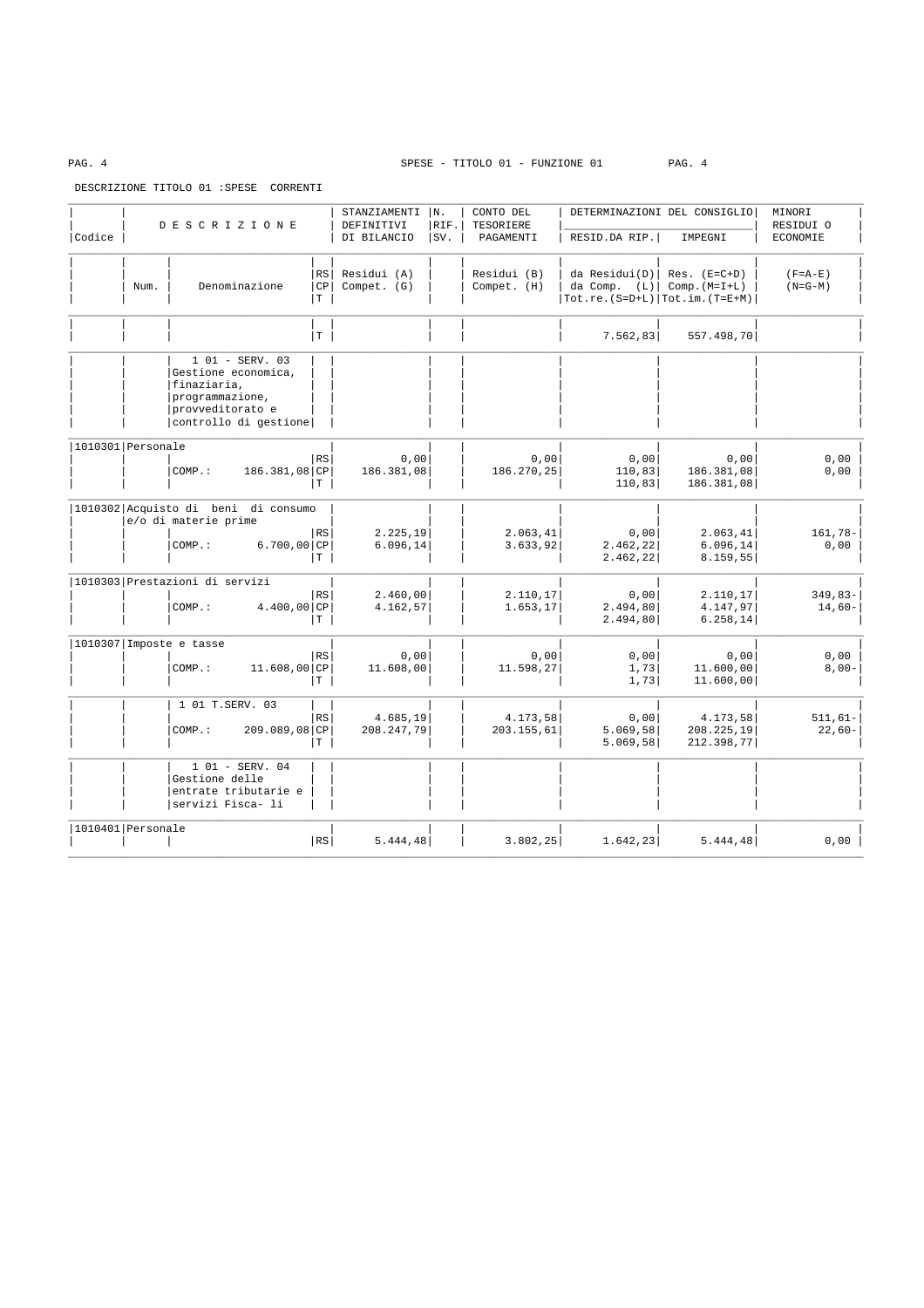### PAG. 4 SPESE - TITOLO 01 - FUNZIONE 01 PAG. 4

| Codice            |      | DESCRIZIONE                                                                                                           |                          | STANZIAMENTI<br>DEFINITIVI<br>DI BILANCIO | $ N$ .<br>RIF.<br>SV. | CONTO DEL<br>TESORIERE<br>PAGAMENTI | RESID.DA RIP.                                                    | DETERMINAZIONI DEL CONSIGLIO<br>IMPEGNI | MINORI<br>RESIDUI 0<br><b>ECONOMIE</b> |
|-------------------|------|-----------------------------------------------------------------------------------------------------------------------|--------------------------|-------------------------------------------|-----------------------|-------------------------------------|------------------------------------------------------------------|-----------------------------------------|----------------------------------------|
|                   | Num. | Denominazione                                                                                                         | RS<br>CP<br>IΤ           | Residui (A)<br>$Compet.$ (G)              |                       | Residui (B)<br>$Compet.$ (H)        | da Residui(D)   Res. $(E=C+D)$<br>da Comp. $(L)$ Comp. $(M=I+L)$ | $ Tot.re.(S=D+L)   Tot.in.(T=E+M)  $    | $(F=A-E)$<br>$(N = G - M)$             |
|                   |      |                                                                                                                       | T                        |                                           |                       |                                     | 7.562,83                                                         | 557.498,70                              |                                        |
|                   |      | 1 01 - SERV. 03<br>Gestione economica,<br>finaziaria,<br>programmazione,<br>provveditorato e<br>controllo di gestione |                          |                                           |                       |                                     |                                                                  |                                         |                                        |
| 1010301 Personale |      | 186.381,08 CP<br>COMP:                                                                                                | RS<br>T                  | 0.00<br>186.381,08                        |                       | 0.00<br>186.270,25                  | 0.001<br>110,83<br>110,83                                        | 0.00<br>186.381,08<br>186.381,08        | 0.00<br>0,00                           |
|                   |      | 1010302 Acquisto di beni di consumo<br>e/o di materie prime                                                           |                          |                                           |                       |                                     |                                                                  |                                         |                                        |
|                   |      | COMP:                                                                                                                 | RS<br>$6.700,00$ CP<br>T | 2.225, 19<br>6.096, 14                    |                       | 2.063, 41<br>3.633,92               | 0,00<br>2.462,22<br>2.462, 22                                    | 2.063, 41<br>6.096, 14<br>8.159, 55     | $161,78-$<br>0,00                      |
|                   |      | 1010303 Prestazioni di servizi                                                                                        | RS                       | 2.460,00                                  |                       | 2.110,17                            | 0,00                                                             | 2.110, 17                               | $349,83-$                              |
|                   |      | COMP:                                                                                                                 | 4.400,00 CP<br>T         | 4.162,57                                  |                       | 1.653,17                            | 2.494,80<br>2.494,80                                             | 4.147,97<br>6.258, 14                   | $14,60-$                               |
|                   |      | 1010307 Imposte e tasse                                                                                               | RS                       | 0,00                                      |                       | 0,00                                | 0,00                                                             | 0,00                                    | 0,00                                   |
|                   |      | COMP.:                                                                                                                | 11,608,00 CP<br>T.       | 11.608,00                                 |                       | 11.598,27                           | 1,73<br>1,73                                                     | 11.600,00<br>11.600,00                  | $8,00-$                                |
|                   |      | 1 01 T.SERV. 03<br>209.089,08 CP<br>COMP:                                                                             | RS<br>T                  | 4.685,19<br>208.247,79                    |                       | 4.173,58<br>203.155,61              | 0,00<br>5.069, 58<br>5.069, 58                                   | 4.173,58<br>208.225,19<br>212.398,77    | $511,61-$<br>$22,60-$                  |
|                   |      | 1 01 - SERV. 04<br>Gestione delle<br>entrate tributarie e<br>servizi Fisca- li                                        |                          |                                           |                       |                                     |                                                                  |                                         |                                        |
| 1010401 Personale |      |                                                                                                                       | RS                       | 5.444, 48                                 |                       | 3.802, 25                           | 1.642, 23                                                        | 5.444, 48                               | 0,00                                   |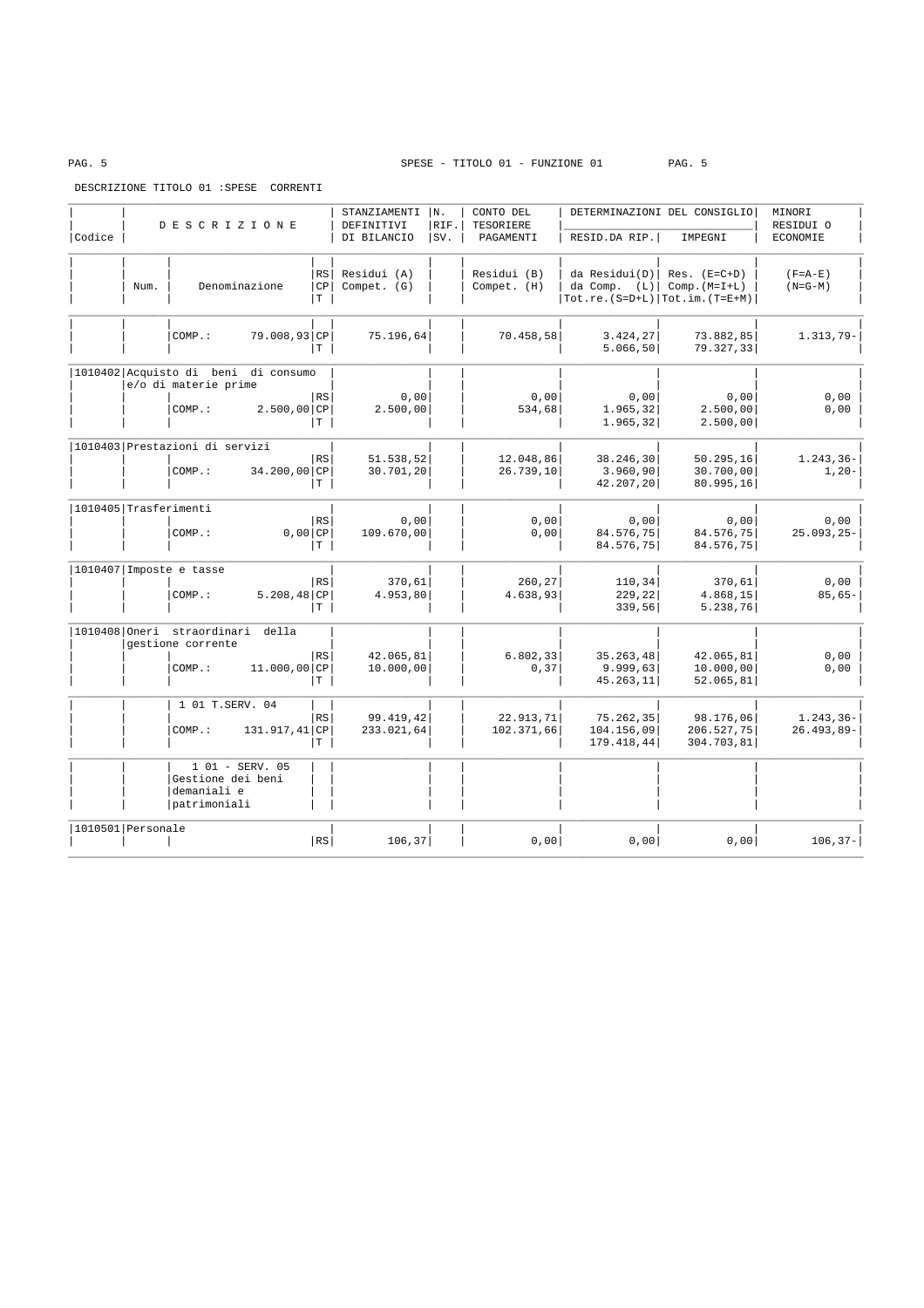### PAG. 5 SPESE - TITOLO 01 - FUNZIONE 01 PAG. 5

| Codice                |      | DESCRIZIONE                                                                           |                        | STANZIAMENTI<br>$ N$ .<br>RIF.<br>DEFINITIVI<br>DI BILANCIO<br>lsv. | CONTO DEL<br>TESORIERE<br>PAGAMENTI | RESID.DA RIP.                          | DETERMINAZIONI DEL CONSIGLIO<br>IMPEGNI                                                               | MINORI<br>RESIDUI 0<br><b>ECONOMIE</b> |
|-----------------------|------|---------------------------------------------------------------------------------------|------------------------|---------------------------------------------------------------------|-------------------------------------|----------------------------------------|-------------------------------------------------------------------------------------------------------|----------------------------------------|
|                       | Num. | Denominazione                                                                         | RS<br>CP<br>IΤ         | Residui (A)<br>$Compet.$ (G)                                        | Residui (B)<br>Compet. (H)          |                                        | da Residui(D)   Res. $(E=C+D)$<br>da Comp. $(L)$ Comp. $(M=I+L)$<br>$Tot.re.(S=D+L)   Tot.in.(T=E+M)$ | $(F=A-E)$<br>$( N = G - M )$           |
|                       |      | COMP:<br>79.008,93 CP                                                                 | T                      | 75.196,64                                                           | 70.458,58                           | 3.424, 27<br>5.066, 50                 | 73.882,85<br>79.327,33                                                                                | $1.313,79-$                            |
|                       |      | 1010402 Acquisto di beni di consumo<br>e/o di materie prime<br>COMP:<br>$2.500,00$ CP | RS<br>T.               | 0,00<br>2.500,00                                                    | 0,00<br>534,68                      | 0,00<br>1.965,32<br>1.965, 32          | 0,00<br>2.500,00<br>2.500,00                                                                          | 0,00<br>0,00                           |
|                       |      | 1010403 Prestazioni di servizi<br>COMP:<br>34.200,00 CP                               | RS<br>T                | 51.538,52<br>30.701,20                                              | 12.048,86<br>26.739,10              | 38.246,30<br>3.960, 90<br>42.207, 20   | 50.295, 16<br>30.700,00<br>80.995, 16                                                                 | $1.243, 36 -$<br>$1,20-$               |
| 1010405 Trasferimenti |      | COMP.:                                                                                | RS<br>$0,00$  CP<br>T. | 0,00<br>109.670,00                                                  | 0,00<br>0,00                        | 0,00<br>84.576,75<br>84.576,75         | 0,00<br>84.576,75<br>84.576,75                                                                        | 0.00<br>$25.093, 25 -$                 |
|                       |      | 1010407 Imposte e tasse<br>$5.208, 48$ CP<br>COMP:                                    | RS<br>T                | 370.61<br>4.953,80                                                  | 260,27<br>4.638,93                  | 110, 34<br>229,22<br>339,56            | 370.61<br>4.868,15<br>5.238,76                                                                        | 0.00<br>$85,65-$                       |
|                       |      | 1010408 Oneri straordinari della<br>gestione corrente<br>COMP.:<br>11,000,00 CP       | RS<br>T.               | 42.065,81<br>10.000,00                                              | 6.802, 33<br>0, 37                  | 35.263, 48<br>9.999.63<br>45.263, 11   | 42.065,81<br>10.000,00<br>52.065, 81                                                                  | 0,00<br>0,00                           |
|                       |      | 1 01 T.SERV. 04<br>131.917,41 CP<br>COMP:                                             | RS<br>T.               | 99.419,42<br>233.021,64                                             | 22.913,71<br>102.371,66             | 75.262, 35<br>104.156,09<br>179.418,44 | 98.176,06<br>206.527,75<br>304.703, 81                                                                | $1.243, 36 -$<br>$26.493.89 -$         |
|                       |      | 1 01 - SERV. 05<br>Gestione dei beni<br>demaniali e<br>patrimoniali                   |                        |                                                                     |                                     |                                        |                                                                                                       |                                        |
| 1010501 Personale     |      |                                                                                       | RS                     | 106, 37                                                             | 0,00                                | 0,00                                   | 0,00                                                                                                  | $106, 37 -$                            |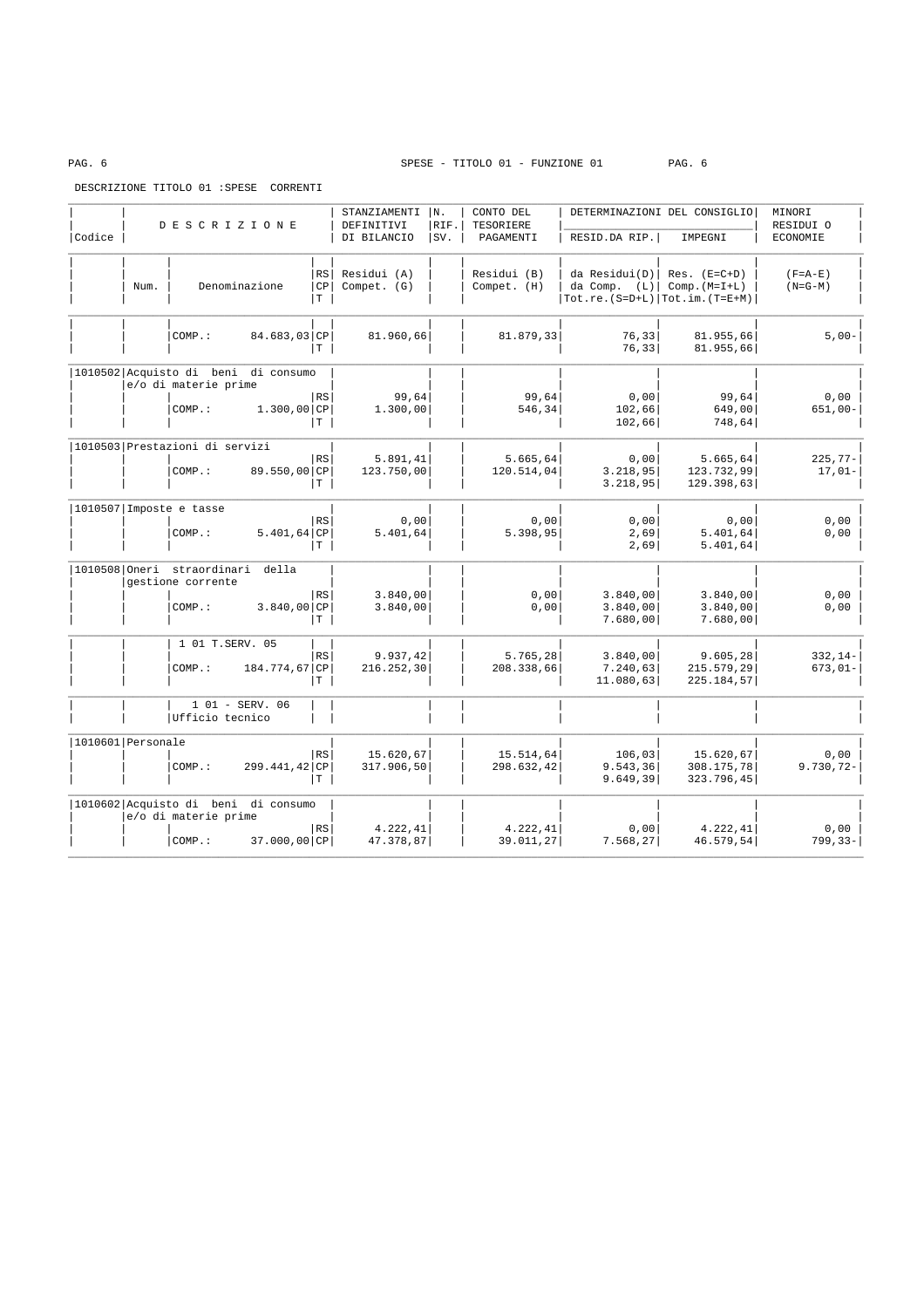### PAG. 6 SPESE - TITOLO 01 - FUNZIONE 01 PAG. 6

| Codice            |      | DESCRIZIONE                                               |                                                       |                   | STANZIAMENTI<br>DEFINITIVI<br>DI BILANCIO | $ N$ .<br>RIF.<br>SV. | CONTO DEL<br>TESORIERE<br>PAGAMENTI | RESID.DA RIP.                         | DETERMINAZIONI DEL CONSIGLIO<br>IMPEGNI                          | MINORI<br>RESIDUI 0<br><b>ECONOMIE</b> |
|-------------------|------|-----------------------------------------------------------|-------------------------------------------------------|-------------------|-------------------------------------------|-----------------------|-------------------------------------|---------------------------------------|------------------------------------------------------------------|----------------------------------------|
|                   | Num. |                                                           | Denominazione                                         | RS<br>CP<br>IΤ    | Residui (A)<br>$Compet.$ (G)              |                       | Residui (B)<br>Compet. (H)          | Tot.re. $(S=D+L)$   Tot.im. $(T=E+M)$ | da Residui(D)   Res. $(E=C+D)$<br>da Comp. $(L)$ Comp. $(M=I+L)$ | $(F=A-E)$<br>$(N = G - M)$             |
|                   |      | COMP:                                                     | 84.683,03 CP                                          | T                 | 81.960,66                                 |                       | 81.879,33                           | 76, 33<br>76, 33                      | 81.955,66<br>81.955,66                                           | $5,00-$                                |
|                   |      | e/o di materie prime<br>COMP:                             | 1010502 Acquisto di beni di consumo<br>1.300,00 CP    | RS<br>T           | 99,64<br>1,300,00                         |                       | 99,64<br>546,34                     | 0,00<br>102,66<br>102,66              | 99,64<br>649,00<br>748,64                                        | 0,00<br>$651,00-$                      |
|                   |      | 1010503 Prestazioni di servizi<br>COMP:                   | 89.550,00 CP                                          | RS<br>T           | 5.891,41<br>123.750,00                    |                       | 5.665, 64<br>120.514,04             | 0,00<br>3.218,95<br>3.218,95          | 5.665, 64<br>123.732,99<br>129.398,63                            | $225,77-$<br>$17,01-$                  |
|                   |      | 1010507 Imposte e tasse<br>COMP.:                         | $5.401, 64$ CP                                        | RS<br>T.          | 0,00<br>5.401,64                          |                       | 0,00<br>5.398,95                    | 0,00<br>2,69<br>2,69                  | 0,00<br>5.401, 64<br>5.401, 64                                   | 0.00<br>0,00                           |
|                   |      | 1010508 Oneri straordinari<br>gestione corrente<br>COMP.: | della<br>$3.840,00$ CP                                | RS<br>T           | 3.840,00<br>3.840,00                      |                       | 0,00<br>0,00                        | 3.840,00<br>3.840,00<br>7.680,00      | 3.840,00<br>3.840,00<br>7.680,00                                 | 0,00<br>0,00                           |
|                   |      | 1 01 T.SERV. 05<br>COMP.:                                 | 184.774,67 CP                                         | RS<br>T.          | 9.937,42<br>216.252,30                    |                       | 5.765,28<br>208.338,66              | 3.840,00<br>7.240,63<br>11.080,63     | 9.605, 28<br>215.579,29<br>225.184,57                            | $332, 14-$<br>$673,01-$                |
|                   |      | Ufficio tecnico                                           | 1 01 - SERV. 06                                       |                   |                                           |                       |                                     |                                       |                                                                  |                                        |
| 1010601 Personale |      | COMP.:                                                    | 299.441,42 CP                                         | RS<br>$\mathbf T$ | 15.620,67<br>317.906,50                   |                       | 15.514,64<br>298.632,42             | 106,03<br>9.543,36<br>9.649,39        | 15.620.67<br>308.175,78<br>323.796, 45                           | 0,00<br>$9.730, 72 -$                  |
|                   |      | e/o di materie prime<br>COMP:                             | 1010602 Acquisto di beni di consumo<br>$37.000,00$ CP | RS                | 4.222,41<br>47.378,87                     |                       | 4.222,41<br>39.011, 27              | 0,00<br>7.568, 27                     | 4.222,41<br>46.579,54                                            | 0,00<br>$799, 33 -$                    |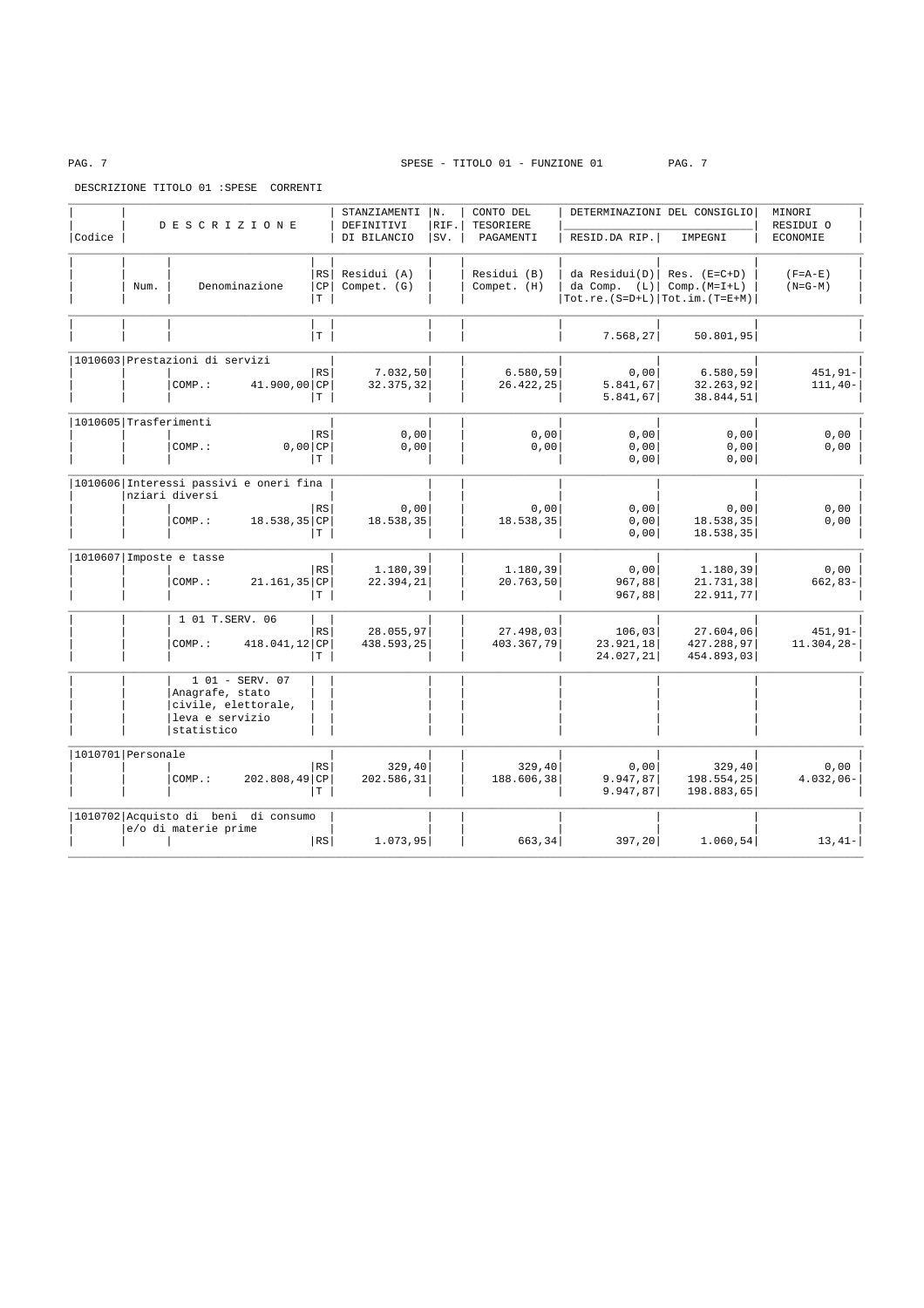### PAG. 7 SPESE - TITOLO 01 - FUNZIONE 01 PAG. 7

| Codice                |      | DESCRIZIONE                                                                                |                       | STANZIAMENTI<br>$ N$ .<br>RIF.<br>DEFINITIVI<br>DI BILANCIO<br>SV. | CONTO DEL<br>TESORIERE<br>PAGAMENTI | RESID.DA RIP.                                                    | DETERMINAZIONI DEL CONSIGLIO<br>IMPEGNI | MINORI<br>RESIDUI 0<br><b>ECONOMIE</b> |
|-----------------------|------|--------------------------------------------------------------------------------------------|-----------------------|--------------------------------------------------------------------|-------------------------------------|------------------------------------------------------------------|-----------------------------------------|----------------------------------------|
|                       | Num. | Denominazione                                                                              | RS<br>CP<br>IΤ        | Residui (A)<br>$Compet.$ (G)                                       | Residui (B)<br>Compet. (H)          | da Residui(D)   Res. $(E=C+D)$<br>da Comp. $(L)$ Comp. $(M=I+L)$ | $ Tot.re.(S=D+L)   Tot.in.(T=E+M)$      | $(F = A - E)$<br>$(N = G - M)$         |
|                       |      |                                                                                            | T                     |                                                                    |                                     | 7.568, 27                                                        | 50.801,95                               |                                        |
|                       |      | 1010603 Prestazioni di servizi<br>COMP:<br>41.900,00 CP                                    | RS<br>T               | 7.032,50<br>32.375,32                                              | 6.580,59<br>26.422,25               | 0,00<br>5.841, 67<br>5.841, 67                                   | 6.580,59<br>32.263,92<br>38.844, 51     | $451, 91 -$<br>$111, 40-$              |
| 1010605 Trasferimenti |      | COMP:                                                                                      | RS<br>$0,00$  CP<br>T | 0,00<br>0,00                                                       | 0,00<br>0,00                        | 0,00<br>0,00<br>0,00                                             | 0,00<br>0,00<br>0,00                    | 0,00<br>0,00                           |
|                       |      | 1010606 Interessi passivi e oneri fina<br>nziari diversi<br>18.538,35 CP<br>COMP:          | RS<br>T.              | 0,00<br>18.538,35                                                  | 0,00<br>18.538,35                   | 0,00<br>0,00<br>0,00                                             | 0,00<br>18.538,35<br>18.538, 35         | 0,00<br>0,00                           |
|                       |      | 1010607 Imposte e tasse<br>21.161, 35 CP<br>COMP:                                          | RS<br>T.              | 1.180,39<br>22.394,21                                              | 1.180,39<br>20.763,50               | 0,00<br>967,88<br>967,88                                         | 1.180, 39<br>21.731,38<br>22.911,77     | 0,00<br>$662,83-$                      |
|                       |      | 1 01 T.SERV. 06<br>COMP.:<br>418.041,12 CP                                                 | RS<br>T               | 28.055,97<br>438.593,25                                            | 27.498,03<br>403.367,79             | 106,03<br>23.921,18<br>24.027, 21                                | 27.604,06<br>427.288,97<br>454.893,03   | $451, 91 -$<br>$11.304, 28 -$          |
|                       |      | 1 01 - SERV. 07<br>Anagrafe, stato<br>civile, elettorale,<br>leva e servizio<br>statistico |                       |                                                                    |                                     |                                                                  |                                         |                                        |
| 1010701 Personale     |      | 202.808,49 CP<br>COMP.:                                                                    | RS<br>IΤ.             | 329,40<br>202.586,31                                               | 329,40<br>188.606,38                | 0,00<br>9.947,87<br>9.947,87                                     | 329, 40<br>198.554,25<br>198.883,65     | 0,00<br>$4.032,06-$                    |
|                       |      | 1010702 Acquisto di beni di consumo<br>e/o di materie prime                                | RS                    | 1.073,95                                                           | 663, 34                             | 397, 20                                                          | 1.060, 54                               | $13, 41 -$                             |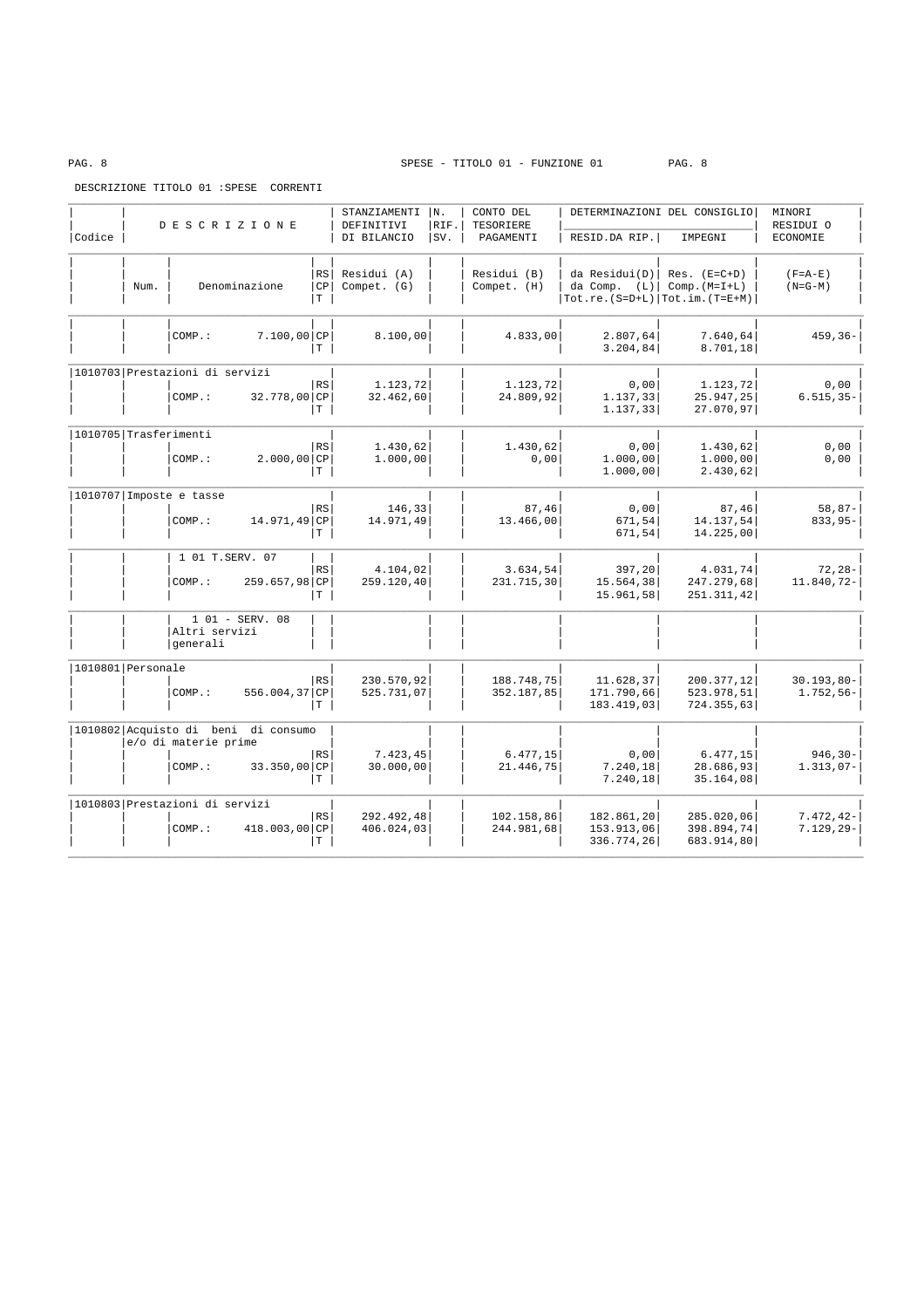### PAG. 8 PAG. 8 SPESE - TITOLO 01 - FUNZIONE 01

| Codice                |      | DESCRIZIONE                    |                                     |                   | STANZIAMENTI<br>DEFINITIVI<br>DI BILANCIO | $ N$ .<br>RIF.<br>lsv. | CONTO DEL<br>TESORIERE<br>PAGAMENTI | RESID.DA RIP.                                                        | DETERMINAZIONI DEL CONSIGLIO<br>IMPEGNI | MINORI<br>RESIDUI 0<br><b>ECONOMIE</b> |
|-----------------------|------|--------------------------------|-------------------------------------|-------------------|-------------------------------------------|------------------------|-------------------------------------|----------------------------------------------------------------------|-----------------------------------------|----------------------------------------|
|                       | Num. |                                | Denominazione                       | RS<br>CP<br>IΤ    | Residui (A)<br>$Compet.$ (G)              |                        | Residui (B)<br>Compet. (H)          | da Comp. $(L)$ Comp. $(M=I+L)$<br>$ Tot,re.(S=D+L)   Tot.in.(T=E+M)$ | da Residui(D)   Res. $(E=C+D)$          | $(F=A-E)$<br>$( N = G - M )$           |
|                       |      | COMP:                          | 7.100.00 CP                         | T.                | 8.100,00                                  |                        | 4.833,00                            | 2.807,64<br>3.204, 84                                                | 7.640, 64<br>8.701,18                   | $459, 36 -$                            |
|                       |      | 1010703 Prestazioni di servizi |                                     |                   |                                           |                        |                                     |                                                                      |                                         |                                        |
|                       |      | COMP:                          | 32.778,00 CP                        | RS<br>T.          | 1.123,72<br>32.462,60                     |                        | 1.123.72<br>24.809,92               | 0,00<br>1.137, 33<br>1.137, 33                                       | 1.123,72<br>25.947,25<br>27.070,97      | 0,00<br>$6.515, 35 -$                  |
| 1010705 Trasferimenti |      |                                |                                     |                   |                                           |                        |                                     |                                                                      |                                         |                                        |
|                       |      | COMP:                          | $2.000.00$ $CP$                     | RS<br>l T         | 1.430,62<br>1,000,00                      |                        | 1.430,62<br>0,00                    | 0,00<br>1.000,00<br>1.000,00                                         | 1.430,62<br>1.000,00<br>2.430,62        | 0.00<br>0,00                           |
|                       |      | 1010707 Imposte e tasse        |                                     |                   |                                           |                        |                                     |                                                                      |                                         |                                        |
|                       |      | COMP:                          | 14.971,49 CP                        | RS<br>T           | 146,33<br>14.971,49                       |                        | 87,46<br>13.466,00                  | 0,00<br>671,54<br>671, 54                                            | 87,46<br>14.137,54<br>14.225,00         | $58,87-$<br>$833,95-$                  |
|                       |      | 1 01 T.SERV. 07                |                                     |                   |                                           |                        |                                     |                                                                      |                                         |                                        |
|                       |      | COMP:                          | 259.657,98 CP                       | RS<br>T           | 4.104,02<br>259.120,40                    |                        | 3.634,54<br>231.715,30              | 397,20<br>15.564,38<br>15.961,58                                     | 4.031,74<br>247.279,68<br>251.311,42    | $72, 28 -$<br>11.840,72-               |
|                       |      | Altri servizi<br>qenerali      | 1 01 - SERV. 08                     |                   |                                           |                        |                                     |                                                                      |                                         |                                        |
| 1010801 Personale     |      |                                |                                     |                   |                                           |                        |                                     |                                                                      |                                         |                                        |
|                       |      | COMP.:                         | 556.004,37 CP                       | RS<br>T.          | 230.570,92<br>525.731,07                  |                        | 188.748,75<br>352.187,85            | 11.628, 37<br>171.790,66<br>183.419,03                               | 200.377,12<br>523.978,51<br>724.355,63  | $30.193.80 -$<br>$1.752, 56 -$         |
|                       |      |                                | 1010802 Acquisto di beni di consumo |                   |                                           |                        |                                     |                                                                      |                                         |                                        |
|                       |      | e/o di materie prime           |                                     |                   |                                           |                        |                                     |                                                                      |                                         |                                        |
|                       |      | COMP:                          | 33.350,00 CP                        | RS<br>$\mathbf T$ | 7.423,45<br>30.000,00                     |                        | 6.477,15<br>21.446,75               | 0,00<br>7.240,18<br>7.240, 18                                        | 6.477, 15<br>28.686,93<br>35.164,08     | $946, 30 -$<br>$1.313.07-$             |
|                       |      | 1010803 Prestazioni di servizi |                                     |                   |                                           |                        |                                     |                                                                      |                                         |                                        |
|                       |      | COMP:                          | 418.003,00 CP                       | RS<br>Т           | 292.492,48<br>406.024,03                  |                        | 102.158,86<br>244.981,68            | 182.861,20<br>153.913,06<br>336.774,26                               | 285.020,06<br>398.894,74<br>683.914,80  | $7.472.42-$<br>$7.129, 29 -$           |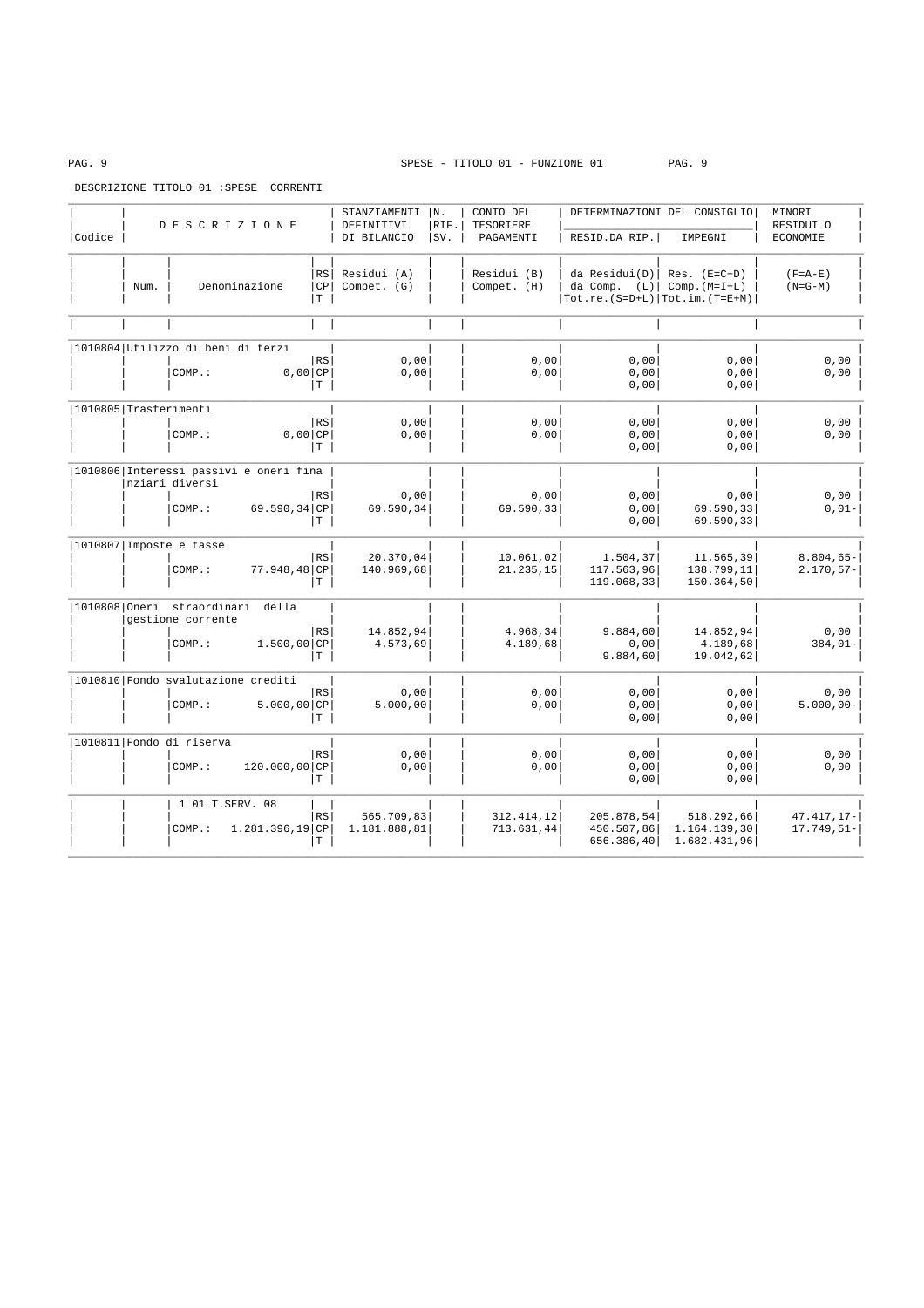### PAG. 9 SPESE - TITOLO 01 - FUNZIONE 01 PAG. 9

| Codice |                       |                                                 | DESCRIZIONE                                            |                   | STANZIAMENTI<br>DEFINITIVI<br>DI BILANCIO | $ N$ .<br>RIF.<br>SV. | CONTO DEL<br>TESORIERE<br>PAGAMENTI | RESID.DA RIP.                                                    | DETERMINAZIONI DEL CONSIGLIO<br>IMPEGNI    | MINORI<br>RESIDUI 0<br><b>ECONOMIE</b> |
|--------|-----------------------|-------------------------------------------------|--------------------------------------------------------|-------------------|-------------------------------------------|-----------------------|-------------------------------------|------------------------------------------------------------------|--------------------------------------------|----------------------------------------|
|        | Num.                  |                                                 | Denominazione                                          | RS<br>CP<br>IΤ    | Residui (A)<br>$Compet.$ (G)              |                       | Residui (B)<br>Compet. (H)          | da Residui(D)   Res. $(E=C+D)$<br>da Comp. $(L)$ Comp. $(M=I+L)$ | $ Tot.re.(S=D+L)   Tot.in.(T=E+M)$         | $(F = A - E)$<br>$(N = G - M)$         |
|        |                       |                                                 |                                                        |                   |                                           |                       |                                     |                                                                  |                                            |                                        |
|        |                       | 1010804 Utilizzo di beni di terzi<br>COMP:      | $0,00$  CP                                             | RS<br>T           | 0,00<br>0,00                              |                       | 0,00<br>0,00                        | 0,00<br>0,00<br>0,00                                             | 0,00<br>0,00<br>0,00                       | 0,00<br>0,00                           |
|        | 1010805 Trasferimenti | COMP.:                                          | $0,00$  CP                                             | RS<br>T           | 0,00<br>0,00                              |                       | 0,00<br>0,00                        | 0,00<br>0,00<br>0,00                                             | 0,00<br>0,00<br>0,00                       | 0,00<br>0,00                           |
|        |                       | nziari diversi<br>COMP.:                        | 1010806 Interessi passivi e oneri fina<br>69.590,34 CP | RS<br>$\mathbf T$ | 0,00<br>69.590,34                         |                       | 0,00<br>69.590,33                   | 0,00<br>0,00<br>0,00                                             | 0,00<br>69.590,33<br>69.590, 33            | 0,00<br>$0,01-$                        |
|        |                       | 1010807 Imposte e tasse<br>COMP:                | 77.948,48 CP                                           | RS<br>IΤ.         | 20.370,04<br>140.969,68                   |                       | 10.061,02<br>21.235,15              | 1.504, 37<br>117.563,96<br>119.068,33                            | 11.565,39<br>138.799,11<br>150.364,50      | $8.804,65-$<br>$2.170, 57 -$           |
|        |                       | 1010808 Oneri straordinari<br>gestione corrente | della                                                  |                   |                                           |                       |                                     |                                                                  |                                            |                                        |
|        |                       | COMP.:                                          | 1.500,00 CP                                            | RS<br>IΤ.         | 14.852,94<br>4.573,69                     |                       | 4.968,34<br>4.189,68                | 9.884,60<br>0,00<br>9.884,60                                     | 14.852,94<br>4.189,68<br>19.042,62         | 0,00<br>$384,01-$                      |
|        |                       |                                                 | 1010810 Fondo svalutazione crediti                     |                   |                                           |                       |                                     |                                                                  |                                            |                                        |
|        |                       | COMP:                                           | $5.000,00$ CP                                          | RS<br>$\mathbb T$ | 0.00<br>5.000,00                          |                       | 0.00<br>0,00                        | 0,00<br>0,00<br>0,00                                             | 0,00<br>0,00<br>0,00                       | 0.00<br>$5.000,00 -$                   |
|        |                       | 1010811 Fondo di riserva<br>COMP.:              | 120.000,00 CP                                          | RS<br>T           | 0,00<br>0,00                              |                       | 0,00<br>0,00                        | 0,00<br>0,00<br>0,00                                             | 0,00<br>0,00<br>0,00                       | 0,00<br>0,00                           |
|        |                       | 1 01 T.SERV. 08<br>COMP.:                       | 1.281.396,19 CP                                        | RS<br>T           | 565.709,83<br>1.181.888,81                |                       | 312.414,12<br>713.631,44            | 205.878,54<br>450.507,86<br>656.386,40                           | 518.292,66<br>1.164.139,30<br>1.682.431,96 | 47.417,17-<br>$17.749, 51 -$           |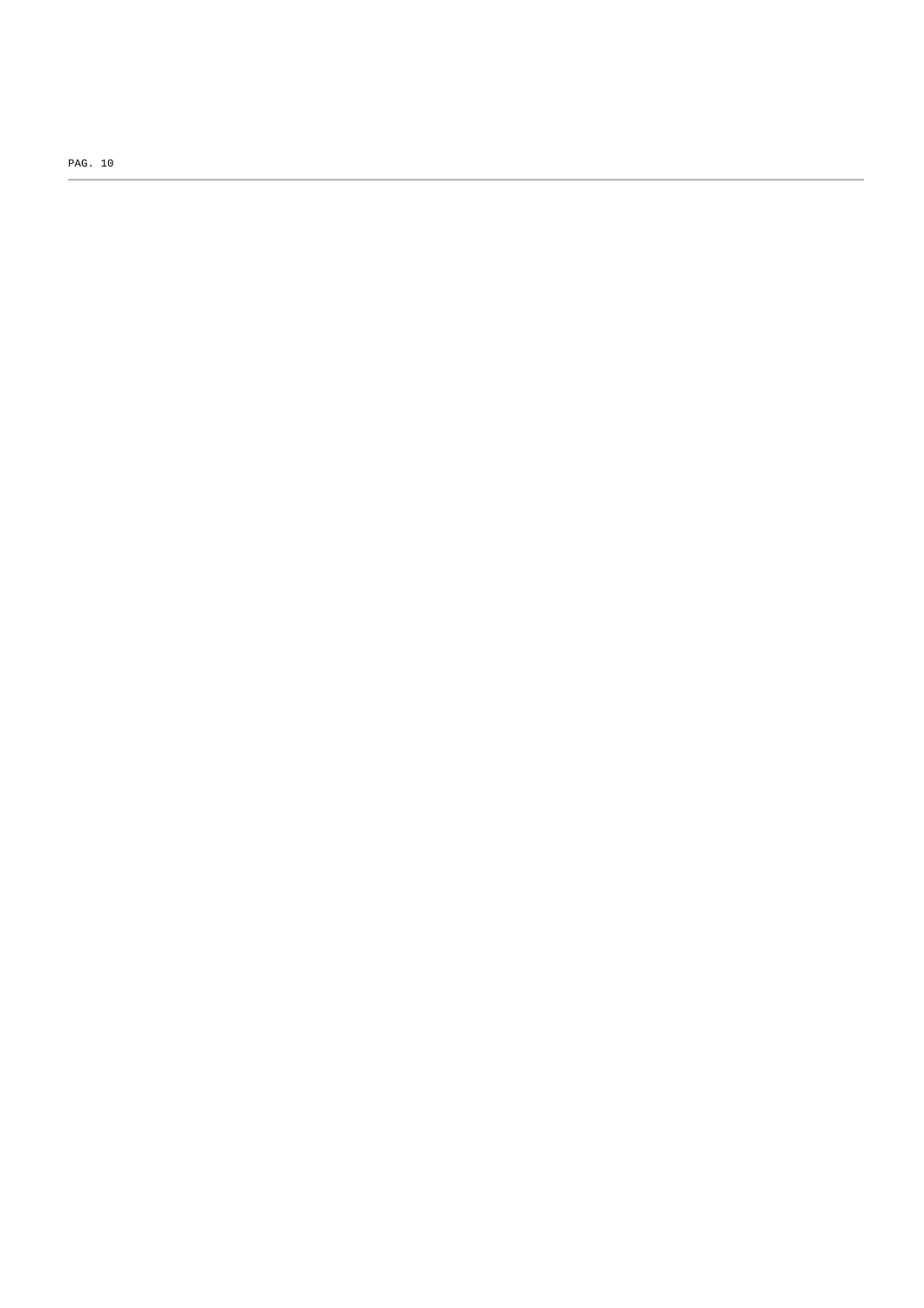PAG. 10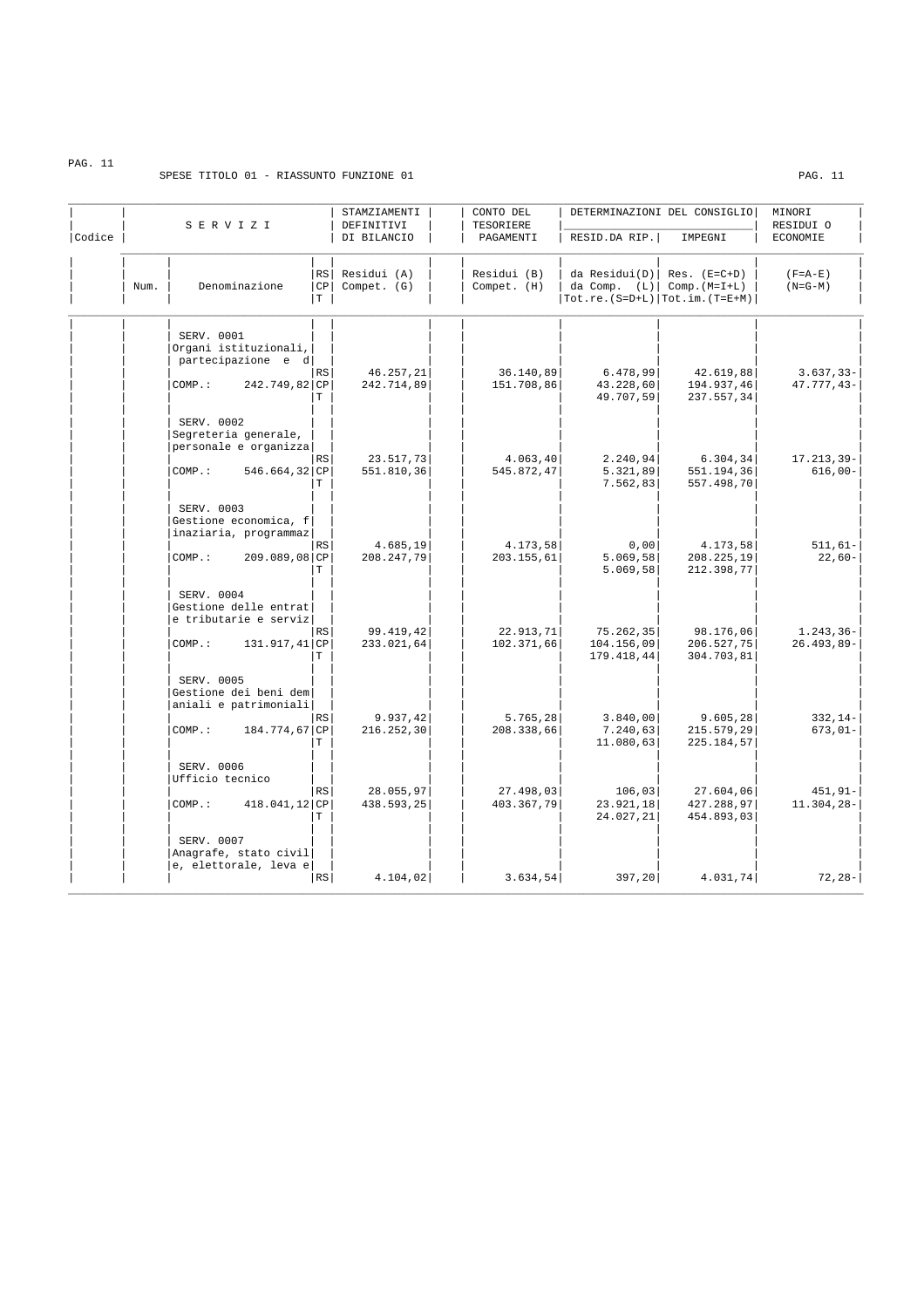### PAG. 11 SPESE TITOLO 01 - RIASSUNTO FUNZIONE 01 PAG. 11

|        |      | SERVIZI                                                                                |                 | STAMZIAMENTI<br>DEFINITIVI | CONTO DEL<br>TESORIERE       |                                       | DETERMINAZIONI DEL CONSIGLIO                                                                             | MINORI<br>RESIDUI 0             |
|--------|------|----------------------------------------------------------------------------------------|-----------------|----------------------------|------------------------------|---------------------------------------|----------------------------------------------------------------------------------------------------------|---------------------------------|
| Codice |      |                                                                                        |                 | DI BILANCIO                | PAGAMENTI                    | RESID.DA RIP.                         | IMPEGNI                                                                                                  | ECONOMIE                        |
|        | Num. | Denominazione                                                                          | RS<br>CP<br>IΤ. | Residui (A)<br>Compet. (G) | Residui (B)<br>$Compet.$ (H) |                                       | da Residui(D)   Res. $(E=C+D)$<br>da Comp. $(L)$ Comp. $(M=I+L)$<br>$ Tot.re.(S=D+L)   Tot.in.(T=E+M)  $ | $(F=A-E)$<br>$(N = G - M)$      |
|        |      | SERV. 0001<br>Organi istituzionali,<br>partecipazione e d<br>$COMP$ :<br>242.749,82 CP | RS<br>T.        | 46.257,21<br>242.714,89    | 36.140,89<br>151.708,86      | 6.478,99<br>43.228,60<br>49.707,59    | 42.619,88<br>194.937,46<br>237.557,34                                                                    | $3.637, 33 -$<br>$47.777, 43 -$ |
|        |      | SERV. 0002<br>Segreteria generale,<br>personale e organizza<br>COMP:<br>546.664,32 CP  | RS<br>т         | 23.517,73<br>551.810,36    | 4.063, 40<br>545.872,47      | 2.240,94<br>5.321,89<br>7.562,83      | 6.304, 34<br>551.194,36<br>557.498,70                                                                    | $17.213,39-$<br>$616,00-$       |
|        |      | SERV. 0003<br>Gestione economica, f<br>inaziaria, programmaz<br>COMP:<br>209.089,08 CP | RS<br>T.        | 4.685,19<br>208.247,79     | 4.173,58<br>203.155.61       | 0,00<br>5.069, 58<br>5.069, 58        | 4.173,58<br>208.225,19<br>212.398,77                                                                     | $511,61-$<br>$22,60-$           |
|        |      | SERV. 0004<br>Gestione delle entrat<br>e tributarie e serviz<br>COMP:<br>131.917,41 CP | RS<br>T.        | 99.419,42<br>233.021,64    | 22.913, 71<br>102.371,66     | 75.262,35<br>104.156,09<br>179.418,44 | 98.176,06<br>206.527,75<br>304.703,81                                                                    | $1.243, 36 -$<br>$26.493,89-$   |
|        |      | SERV. 0005<br>Gestione dei beni dem<br>aniali e patrimoniali<br>COMP:<br>184.774,67 CP | RS<br>T.        | 9.937, 42<br>216.252,30    | 5.765, 28<br>208.338,66      | 3.840,00<br>7.240,63<br>11.080,63     | 9.605, 28<br>215.579,29<br>225.184,57                                                                    | $332,14-$<br>$673,01-$          |
|        |      | SERV. 0006<br>Ufficio tecnico<br>COMP:<br>418.041,12 CP                                | RS              | 28.055,97<br>438.593,25    | 27.498,03<br>403.367,79      | 106,03<br>23.921, 18<br>24.027,21     | 27.604,06<br>427.288,97<br>454.893,03                                                                    | $451, 91 -$<br>$11.304, 28 -$   |
|        |      | SERV. 0007<br>Anagrafe, stato civil<br>e, elettorale, leva e                           | RS              | 4.104,02                   | 3.634,54                     | 397, 20                               | 4.031,74                                                                                                 | $72, 28 -$                      |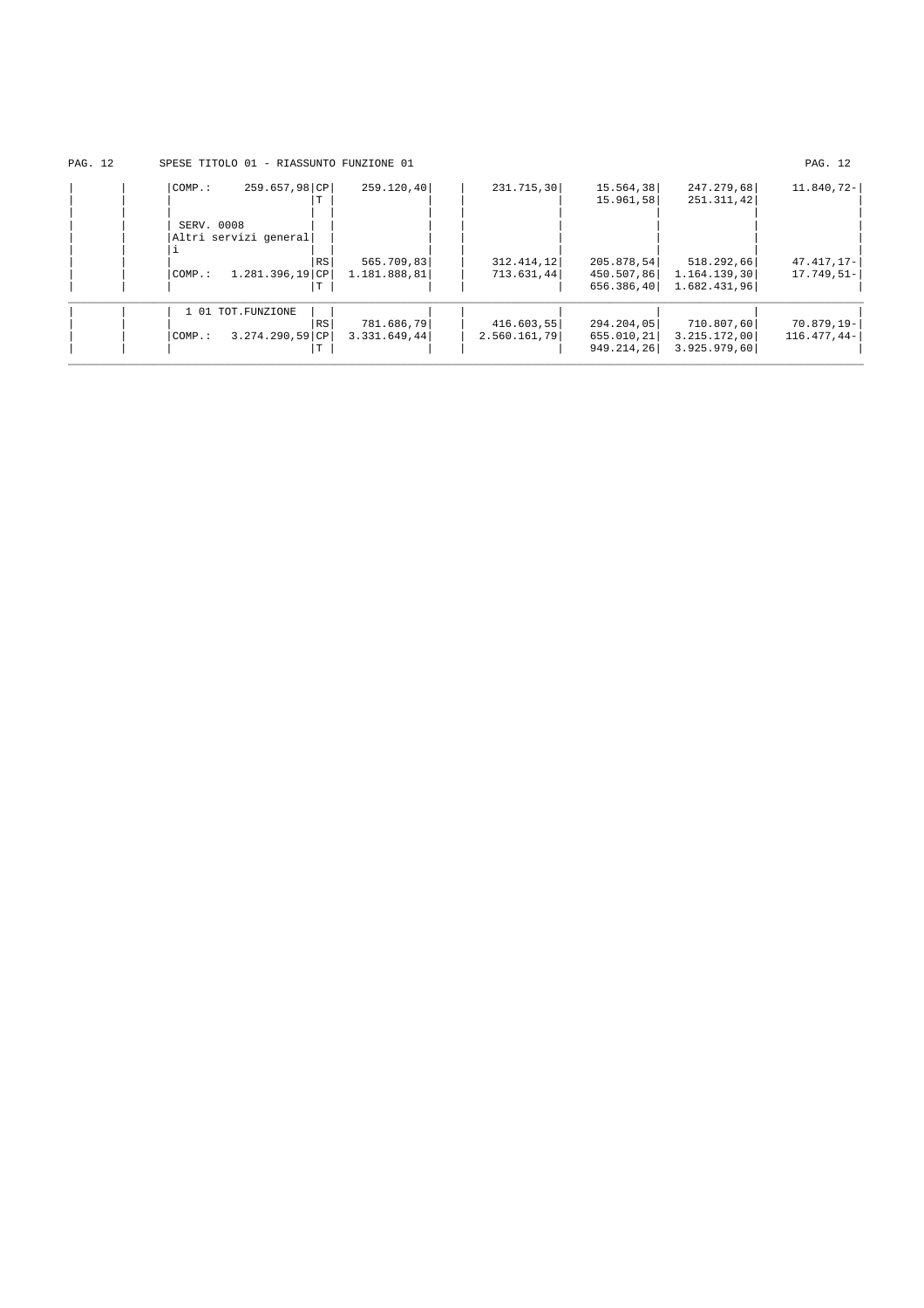| PAG. 12 | SPESE TITOLO 01 - RIASSUNTO FUNZIONE 01 | PAG. |
|---------|-----------------------------------------|------|
|---------|-----------------------------------------|------|

| 259.657,98 CP<br>COMP.:     | 259.120.40   | 231.715,30   | 15.564,38   | 247.279.68   | 11.840,72-     |
|-----------------------------|--------------|--------------|-------------|--------------|----------------|
|                             |              |              | 15.961,58   | 251.311,42   |                |
| SERV. 0008                  |              |              |             |              |                |
| Altri servizi general       |              |              |             |              |                |
|                             |              |              |             |              |                |
| <b>RS</b>                   | 565.709.83   | 312.414,12   | 205.878,54  | 518.292,66   | $47.417.17 -$  |
| $1.281.396, 19$ CP<br>COMP: | 1.181.888,81 | 713.631,44   | 450.507,86  | 1.164.139.30 | $17.749.51 -$  |
|                             |              |              | 656.386,40  | 1.682.431,96 |                |
| 1 01 TOT.FUNZIONE           |              |              |             |              |                |
| RS                          | 781.686,79   | 416.603,55   | 294.204,05  | 710.807,60   | $70.879, 19 -$ |
| $3.274.290.59$ CP<br>COMP:  | 3.331.649.44 | 2.560.161,79 | 655.010,21  | 3.215.172.00 | $116.477.44-$  |
|                             |              |              | 949.214, 26 | 3.925.979.60 |                |
|                             |              |              |             |              |                |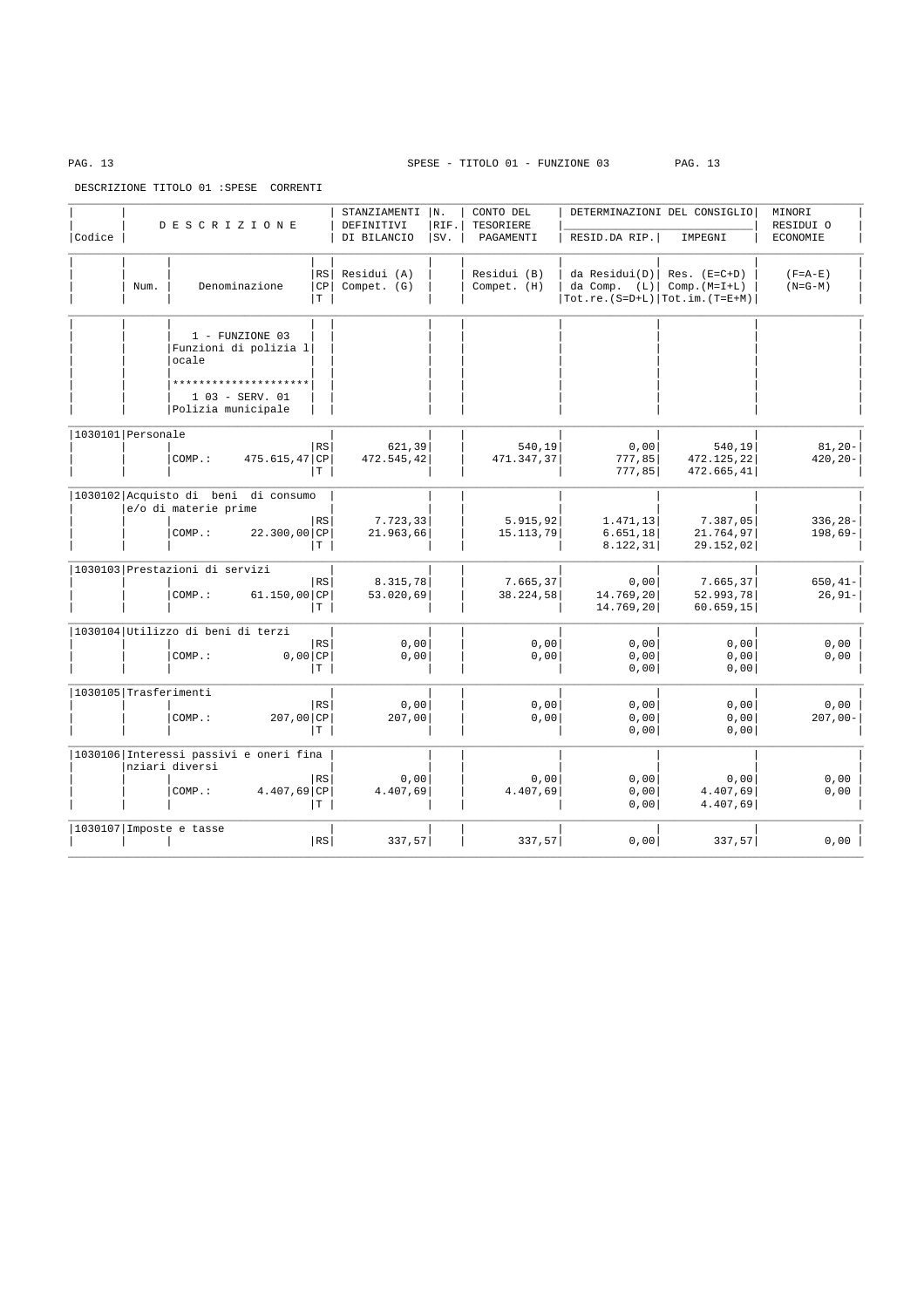# PAG. 13 SPESE - TITOLO 01 - FUNZIONE 03 PAG. 13

| Codice                |      | DESCRIZIONE                                                                                                         |               |                 | STANZIAMENTI<br>DEFINITIVI<br>DI BILANCIO | $ N$ .<br>RIF.<br>SV. | CONTO DEL<br>TESORIERE<br>PAGAMENTI | RESID.DA RIP.                       | DETERMINAZIONI DEL CONSIGLIO<br>IMPEGNI                                                                  | MINORI<br>RESIDUI 0<br><b>ECONOMIE</b> |
|-----------------------|------|---------------------------------------------------------------------------------------------------------------------|---------------|-----------------|-------------------------------------------|-----------------------|-------------------------------------|-------------------------------------|----------------------------------------------------------------------------------------------------------|----------------------------------------|
|                       | Num. | Denominazione                                                                                                       |               | RS<br>CP<br>IΤ. | Residui (A)<br>$Compet.$ (G)              |                       | Residui (B)<br>$Compet.$ (H)        |                                     | da Residui(D)   Res. $(E=C+D)$<br>da Comp. $(L)$ Comp. $(M=I+L)$<br>$ Tot.re.(S=D+L)   Tot.in.(T=E+M)  $ | $(F=A-E)$<br>$(N = G - M)$             |
|                       |      | 1 - FUNZIONE 03<br>Funzioni di polizia l<br>ocale<br>*********************<br>1 03 - SERV. 01<br>Polizia municipale |               |                 |                                           |                       |                                     |                                     |                                                                                                          |                                        |
| 1030101 Personale     |      | COMP:                                                                                                               | 475.615,47 CP | <b>RS</b><br>T. | 621,39<br>472.545,42                      |                       | 540,19<br>471.347,37                | 0,00<br>777,85<br>777,85            | 540,19<br>472.125,22<br>472.665, 41                                                                      | $81, 20 -$<br>$420, 20 -$              |
|                       |      | 1030102 Acquisto di beni di consumo                                                                                 |               |                 |                                           |                       |                                     |                                     |                                                                                                          |                                        |
|                       |      | e/o di materie prime<br>COMP.:                                                                                      | 22.300,00 CP  | RS<br>T         | 7.723,33<br>21.963,66                     |                       | 5.915,92<br>15.113,79               | 1.471, 13<br>6.651, 18<br>8.122, 31 | 7.387,05<br>21.764,97<br>29.152,02                                                                       | $336, 28 -$<br>$198,69-$               |
|                       |      | 1030103 Prestazioni di servizi<br>COMP.:                                                                            | 61.150,00 CP  | RS<br>T.        | 8.315,78<br>53.020,69                     |                       | 7.665,37<br>38.224,58               | 0.00<br>14.769,20<br>14.769, 20     | 7.665, 37<br>52.993,78<br>60.659, 15                                                                     | $650, 41 -$<br>$26, 91 -$              |
|                       |      | 1030104 Utilizzo di beni di terzi<br>COMP.:                                                                         | $0,00$  CP    | RS<br>T         | 0,00<br>0,00                              |                       | 0,00<br>0,00                        | 0,00<br>0,00<br>0,00                | 0,00<br>0,00<br>0,00                                                                                     | 0,00<br>0,00                           |
| 1030105 Trasferimenti |      | COMP.:                                                                                                              | $207,00$ CP   | RS<br>IΤ.       | 0,00<br>207,00                            |                       | 0,00<br>0,00                        | 0,00<br>0,00<br>0,00                | 0,00<br>0,00<br>0,00                                                                                     | 0,00<br>$207,00-$                      |
|                       |      | 1030106 Interessi passivi e oneri fina<br>nziari diversi<br>COMP.:                                                  | $4.407,69$ CP | RS <br>T        | 0,00<br>4.407,69                          |                       | 0,00<br>4.407,69                    | 0,00<br>0,00<br>0,00                | 0,00<br>4.407,69<br>4.407,69                                                                             | 0.00<br>0,00                           |
|                       |      | 1030107 Imposte e tasse                                                                                             |               | RS              | 337,57                                    |                       | 337,57                              | 0,00                                | 337,57                                                                                                   | 0,00                                   |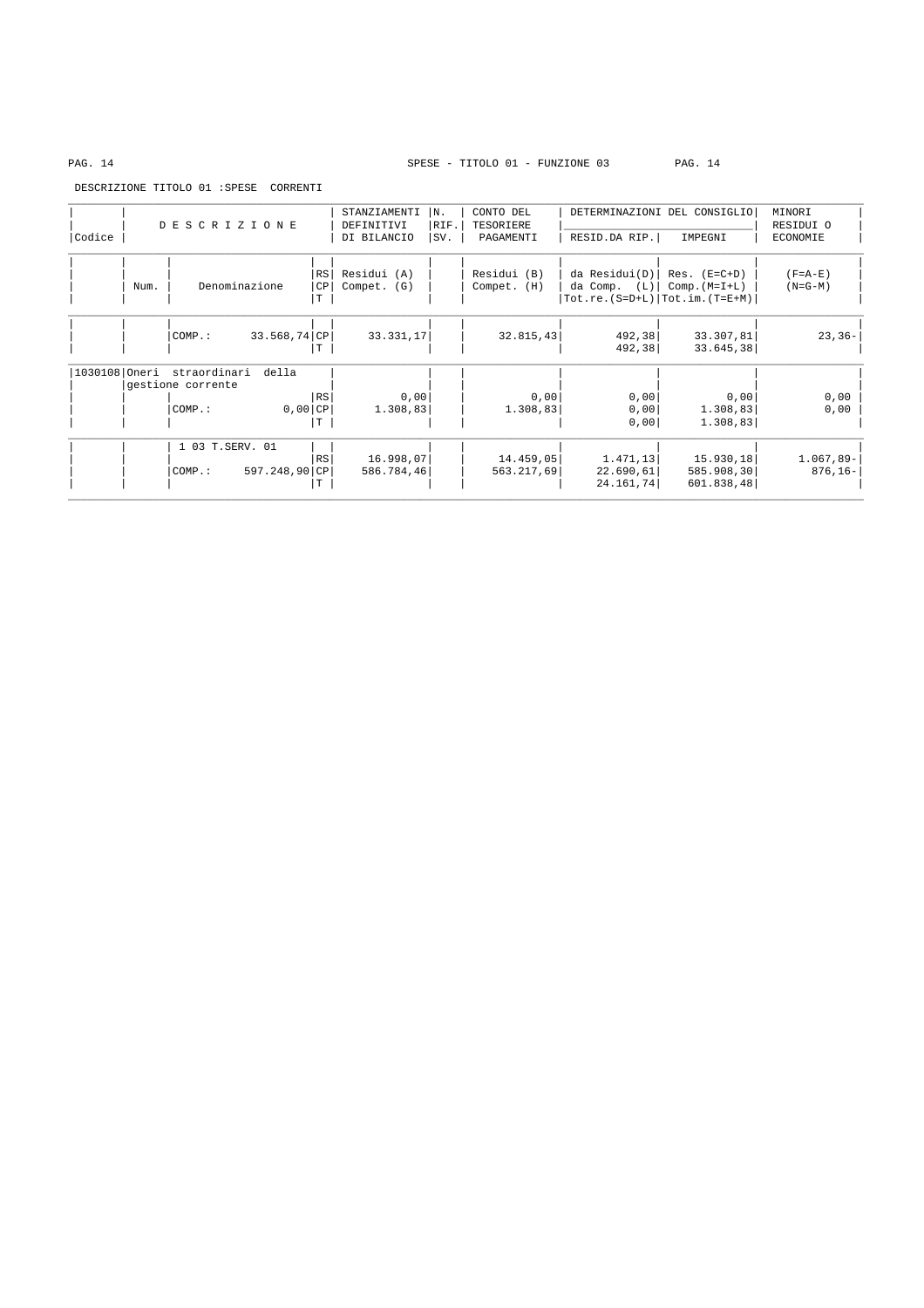## PAG. 14 SPESE - TITOLO 01 - FUNZIONE 03 PAG. 14

| Codice | DESCRIZIONE                                              |                         | IN.<br>STANZIAMENTI<br>DEFINITIVI<br>RIF.<br>SV.<br>DI BILANCIO | CONTO DEL<br>TESORIERE<br>PAGAMENTI | DETERMINAZIONI DEL CONSIGLIO<br>RESID.DA RIP.                                         | IMPEGNI                        | MINORI<br>RESIDUI O<br>ECONOMIE |
|--------|----------------------------------------------------------|-------------------------|-----------------------------------------------------------------|-------------------------------------|---------------------------------------------------------------------------------------|--------------------------------|---------------------------------|
| Num.   | Denominazione                                            | RS<br>CP<br>$\mathbf T$ | Residui (A)<br>$Compet.$ (G)                                    | Residui (B)<br>Compet. (H)          | da Residui(D)<br>da Comp. $(L)$ Comp. $(M=I+L)$<br>$ Tot,re.(S=D+L)   Tot.in.(T=E+M)$ | $Res.$ $(E=C+D)$               | $(F=A-E)$<br>$( N = G - M )$    |
|        | $33.568,74$ CP<br>COMP:                                  |                         | 33.331,17                                                       | 32.815,43                           | 492,38<br>492, 38                                                                     | 33.307,81<br>33.645, 38        | $23, 36 -$                      |
|        | 1030108 Oneri straordinari<br>della<br>gestione corrente |                         |                                                                 |                                     |                                                                                       |                                |                                 |
|        | 0,00 CP<br>COMP:                                         | RS<br>Т                 | 0,00<br>1.308,83                                                | 0,00<br>1.308,83                    | 0,00<br>0,00<br>0,00                                                                  | 0,00<br>1.308, 83<br>1.308, 83 | 0,00<br>0,00                    |
|        | 1 03 T.SERV. 01                                          | <b>RS</b>               | 16.998,07                                                       | 14.459,05                           | 1.471, 13                                                                             | 15.930,18                      | $1.067,89-$                     |
|        | 597.248,90 CP<br>COMP:                                   |                         | 586.784,46                                                      | 563.217,69                          | 22.690,61<br>24.161,74                                                                | 585.908,30<br>601.838,48       | $876, 16 -$                     |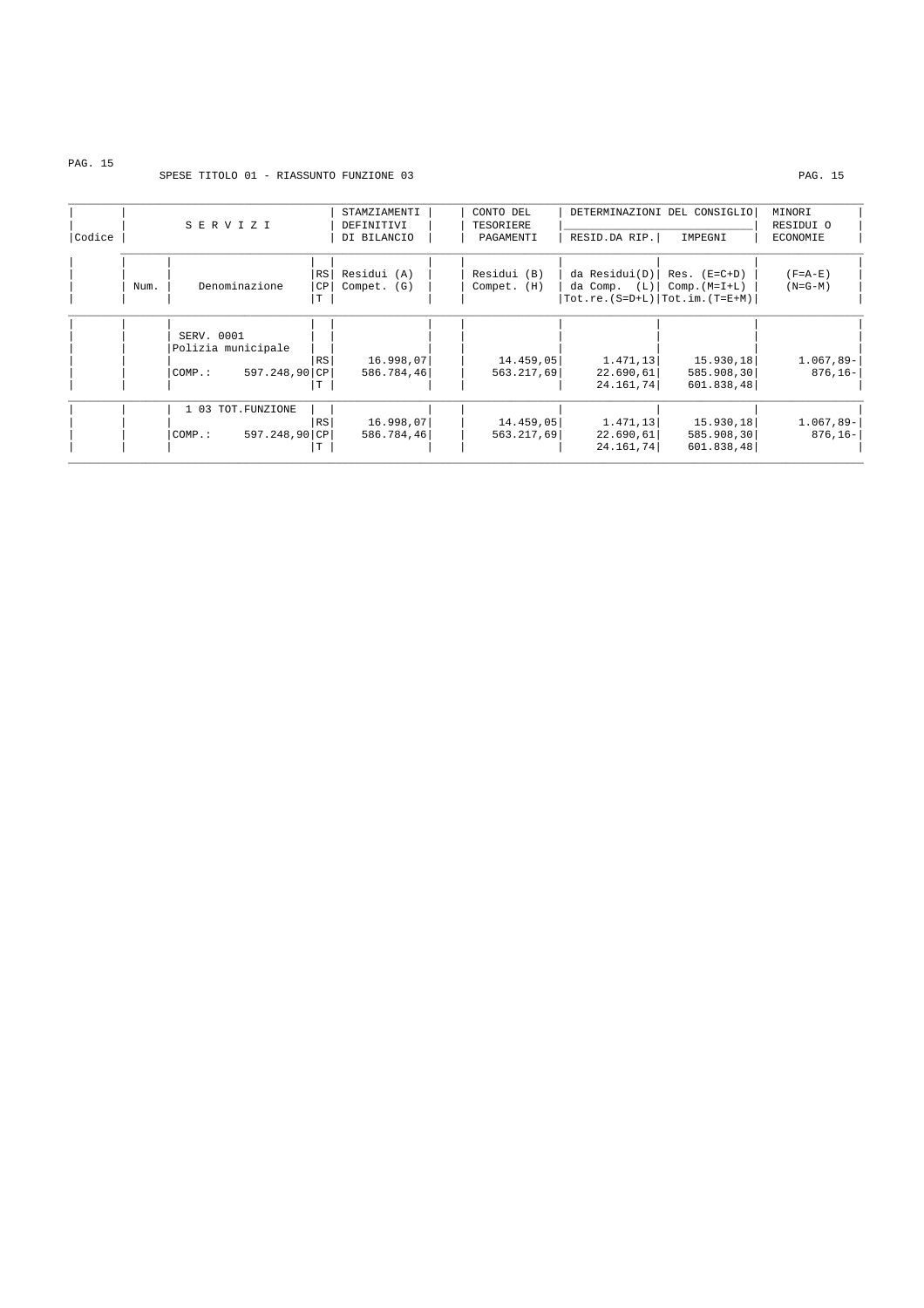## PAG. 15 SPESE TITOLO 01 - RIASSUNTO FUNZIONE 03 PAG. 15

| Codice |      | SERVIZI                                                    |                                | STAMZIAMENTI<br>DEFINITIVI<br>DI BILANCIO | CONTO DEL<br>TESORIERE<br>PAGAMENTI | RESID.DA RIP.                                                                        | DETERMINAZIONI DEL CONSIGLIO<br>IMPEGNI | MINORI<br>RESIDUI O<br>ECONOMIE |
|--------|------|------------------------------------------------------------|--------------------------------|-------------------------------------------|-------------------------------------|--------------------------------------------------------------------------------------|-----------------------------------------|---------------------------------|
|        | Num. | Denominazione                                              | <b>RS</b><br>CP<br>$\mathbf T$ | Residui (A)<br>$Compet.$ (G)              | Residui (B)<br>$Compet.$ $(H)$      | da Residui(D)<br>da Comp. $(L)$ Comp. $(M=I+L)$<br>$Tot.re.(S=D+L)   Tot.in.(T=E+M)$ | $Res.$ $(E=C+D)$                        | $(F=A-E)$<br>$( N = G - M )$    |
|        |      | SERV. 0001<br>Polizia municipale<br>597.248,90 CP<br>COMP: | RS<br>T                        | 16.998,07<br>586.784,46                   | 14.459,05<br>563.217,69             | 1.471,13<br>22.690, 61<br>24.161,74                                                  | 15.930,18<br>585.908,30<br>601.838,48   | $1.067,89-$<br>$876, 16 -$      |
|        |      | 1 03 TOT. FUNZIONE<br>597.248,90 CP<br>COMP:               | <b>RS</b><br>T                 | 16.998,07<br>586.784,46                   | 14.459,05<br>563.217,69             | 1.471,13<br>22.690,61<br>24.161,74                                                   | 15.930,18<br>585.908,30<br>601.838,48   | $1.067,89-$<br>$876, 16 -$      |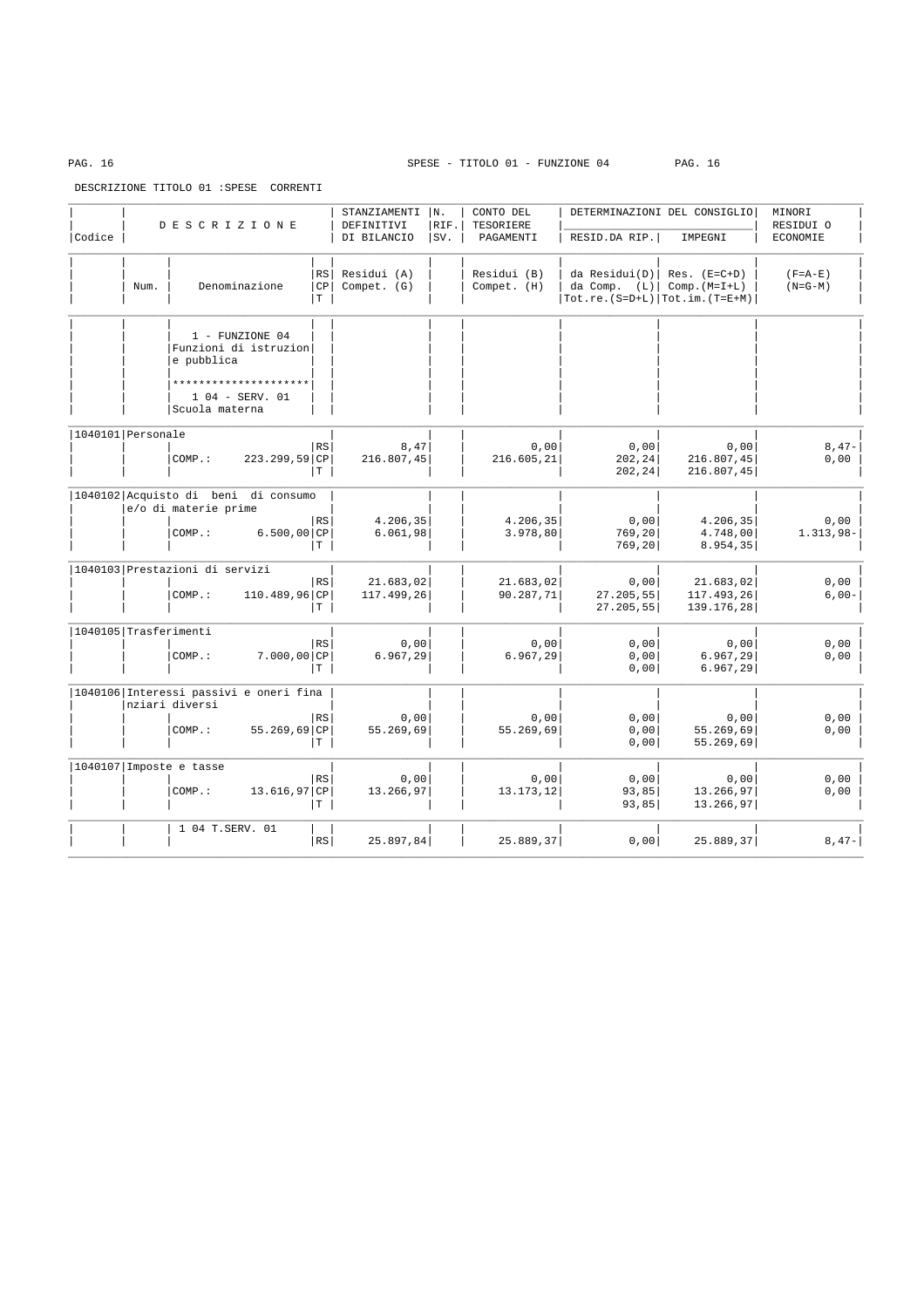# PAG. 16 SPESE - TITOLO 01 - FUNZIONE 04 PAG. 16

| Codice                |      | DESCRIZIONE                    |                                                                                      |                   | STANZIAMENTI<br>DEFINITIVI<br>DI BILANCIO | $ N$ .<br>RIF.<br>lsv. | CONTO DEL<br>TESORIERE<br>PAGAMENTI | RESID.DA RIP.                  | DETERMINAZIONI DEL CONSIGLIO<br>IMPEGNI                                                                  | MINORI<br>RESIDUI 0<br><b>ECONOMIE</b> |
|-----------------------|------|--------------------------------|--------------------------------------------------------------------------------------|-------------------|-------------------------------------------|------------------------|-------------------------------------|--------------------------------|----------------------------------------------------------------------------------------------------------|----------------------------------------|
|                       | Num. |                                | Denominazione                                                                        | RS<br>CP<br>IΤ    | Residui (A)<br>$Compet.$ (G)              |                        | Residui (B)<br>$Compet.$ (H)        |                                | da Residui(D)   Res. $(E=C+D)$<br>da Comp. $(L)$ Comp. $(M=I+L)$<br>$ Tot.re.(S=D+L)   Tot.in.(T=E+M)  $ | $(F = A - E)$<br>$(N = G - M)$         |
|                       |      | e pubblica<br>Scuola materna   | 1 - FUNZIONE 04<br>Funzioni di istruzion<br>*********************<br>1 04 - SERV. 01 |                   |                                           |                        |                                     |                                |                                                                                                          |                                        |
| 1040101 Personale     |      | COMP:                          | 223.299,59 CP                                                                        | <b>RS</b><br>T.   | 8,47<br>216.807,45                        |                        | 0,00<br>216.605,21                  | 0,00<br>202, 24<br>202, 24     | 0,00<br>216.807,45<br>216.807,45                                                                         | $8,47-$<br>0,00                        |
|                       |      |                                | 1040102 Acquisto di beni di consumo                                                  |                   |                                           |                        |                                     |                                |                                                                                                          |                                        |
|                       |      | e/o di materie prime           |                                                                                      | RS                | 4.206,35                                  |                        | 4.206,35                            | 0,00                           | 4.206, 35                                                                                                | 0,00                                   |
|                       |      | COMP.:                         | $6.500,00$  CP                                                                       | T.                | 6.061,98                                  |                        | 3.978,80                            | 769,20<br>769, 20              | 4.748,00<br>8.954, 35                                                                                    | $1.313,98-$                            |
|                       |      | 1040103 Prestazioni di servizi |                                                                                      |                   |                                           |                        |                                     |                                |                                                                                                          |                                        |
|                       |      | COMP.:                         | 110.489,96 CP                                                                        | RS<br>$\mathbf T$ | 21.683,02<br>117.499,26                   |                        | 21.683,02<br>90.287,71              | 0,00<br>27.205,55<br>27.205,55 | 21.683,02<br>117.493,26<br>139.176,28                                                                    | 0.00<br>$6,00-$                        |
| 1040105 Trasferimenti |      |                                |                                                                                      |                   |                                           |                        |                                     |                                |                                                                                                          |                                        |
|                       |      | COMP.:                         | 7.000,00 CP                                                                          | RS<br>$\mathbf T$ | 0,00<br>6.967,29                          |                        | 0,00<br>6.967,29                    | 0,00<br>0,00<br>0,00           | 0,00<br>6.967, 29<br>6.967, 29                                                                           | 0,00<br>0,00                           |
|                       |      |                                | 1040106  Interessi passivi e oneri fina                                              |                   |                                           |                        |                                     |                                |                                                                                                          |                                        |
|                       |      | nziari diversi                 |                                                                                      | RS                | 0,00                                      |                        | 0,00                                | 0,00                           | 0,00                                                                                                     | 0,00                                   |
|                       |      | COMP:                          | 55.269,69 CP                                                                         | $\mathbf T$       | 55.269,69                                 |                        | 55.269,69                           | 0,00<br>0,00                   | 55.269,69<br>55.269,69                                                                                   | 0,00                                   |
|                       |      | 1040107 Imposte e tasse        |                                                                                      |                   |                                           |                        |                                     |                                |                                                                                                          |                                        |
|                       |      | COMP.:                         | 13.616,97 CP                                                                         | $ _{RS}$<br>T     | 0,00<br>13.266,97                         |                        | 0,00<br>13.173,12                   | 0,00<br>93,85<br>93,85         | 0,00<br>13.266,97<br>13.266,97                                                                           | 0.00<br>0,00                           |
|                       |      | 1 04 T.SERV. 01                |                                                                                      | RS                | 25.897,84                                 |                        | 25.889,37                           | 0,00                           | 25.889, 37                                                                                               | $8,47-$                                |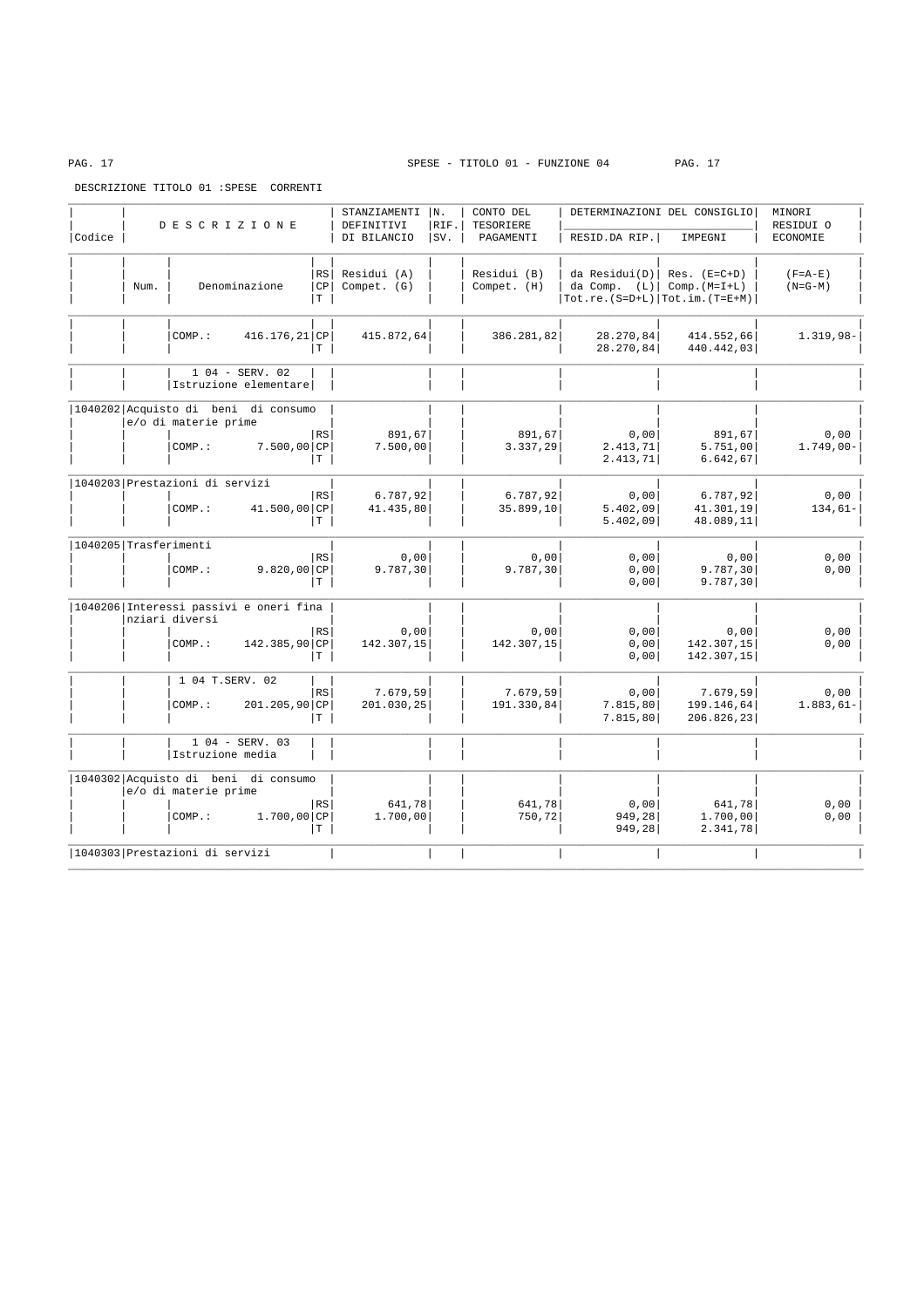## PAG. 17 **SPESE** - TITOLO 01 - FUNZIONE 04 **PAG.** 17

| Codice                |      | DESCRIZIONE                             |                                                         |                | STANZIAMENTI<br>DEFINITIVI<br>DI BILANCIO | $ N$ .<br>RIF.<br>Isv. | CONTO DEL<br>TESORIERE<br>PAGAMENTI | RESID.DA RIP.                  | DETERMINAZIONI DEL CONSIGLIO<br>IMPEGNI                             | MINORI<br>RESIDUI 0<br>ECONOMIE |
|-----------------------|------|-----------------------------------------|---------------------------------------------------------|----------------|-------------------------------------------|------------------------|-------------------------------------|--------------------------------|---------------------------------------------------------------------|---------------------------------|
|                       | Num. |                                         | Denominazione                                           | RS<br>CP<br>Iт | Residui (A)<br>Compet. $(G)$              |                        | Residui (B)<br>Compet. (H)          | da Comp. $(L)$ Comp. $(M=I+L)$ | da Residui(D)   Res. $(E=C+D)$<br>$Tot.re.(S=D+L)   Tot.in.(T=E+M)$ | $(F=A-E)$<br>$( N = G - M )$    |
|                       |      | COMP:                                   | 416.176,21 CP                                           | $\mathbf T$    | 415.872,64                                |                        | 386.281,82                          | 28.270,84<br>28.270,84         | 414.552,66<br>440.442,03                                            | $1.319.98 -$                    |
|                       |      |                                         | 1 04 - SERV. 02<br>Istruzione elementare                |                |                                           |                        |                                     |                                |                                                                     |                                 |
|                       |      | e/o di materie prime<br>COMP.:          | 1040202 Acquisto di beni di consumo<br>$7.500,00$ CP    | l RS<br>T.     | 891.67<br>7.500,00                        |                        | 891,67<br>3.337,29                  | 0.00<br>2.413, 71<br>2.413,71  | 891,67<br>5.751,00<br>6.642, 67                                     | 0,00<br>$1.749,00 -$            |
|                       |      | 1040203 Prestazioni di servizi<br>COMP: | 41.500,00 CP                                            | RS<br>IT.      | 6.787,92<br>41.435,80                     |                        | 6.787,92<br>35.899,10               | 0,00<br>5.402,09<br>5.402,09   | 6.787,92<br>41.301,19<br>48.089,11                                  | 0,00<br>$134,61-$               |
| 1040205 Trasferimenti |      | COMP.:                                  | 9.820,00 CP                                             | RS <br>T       | 0,00<br>9.787, 30                         |                        | 0.00<br>9.787,30                    | 0,00<br>0,00<br>0,00           | 0,00<br>9.787, 30<br>9.787, 30                                      | 0.00<br>0,00                    |
|                       |      | nziari diversi<br>COMP.:                | 1040206 Interessi passivi e oneri fina<br>142.385,90 CP | RS<br>IT.      | 0,00<br>142.307,15                        |                        | 0,00<br>142.307,15                  | 0,00<br>0,00<br>0,00           | 0,00<br>142.307,15<br>142.307,15                                    | 0,00<br>0,00                    |
|                       |      | 1 04 T.SERV. 02<br>COMP:                | 201.205,90 CP                                           | RS<br>T        | 7.679,59<br>201.030,25                    |                        | 7.679,59<br>191.330,84              | 0,00<br>7.815,80<br>7.815,80   | 7.679,59<br>199.146,64<br>206.826, 23                               | 0,00<br>$1.883,61-$             |
|                       |      | Istruzione media                        | 1 04 - SERV. 03                                         |                |                                           |                        |                                     |                                |                                                                     |                                 |
|                       |      | e/o di materie prime<br>COMP:           | 1040302 Acquisto di beni di consumo<br>1.700,00 CP      | RS<br>T        | 641,78<br>1.700,00                        |                        | 641,78<br>750,72                    | 0,00<br>949,28<br>949, 28      | 641,78<br>1.700,00<br>2.341,78                                      | 0,00<br>0,00                    |
|                       |      | 1040303 Prestazioni di servizi          |                                                         |                |                                           |                        |                                     |                                |                                                                     |                                 |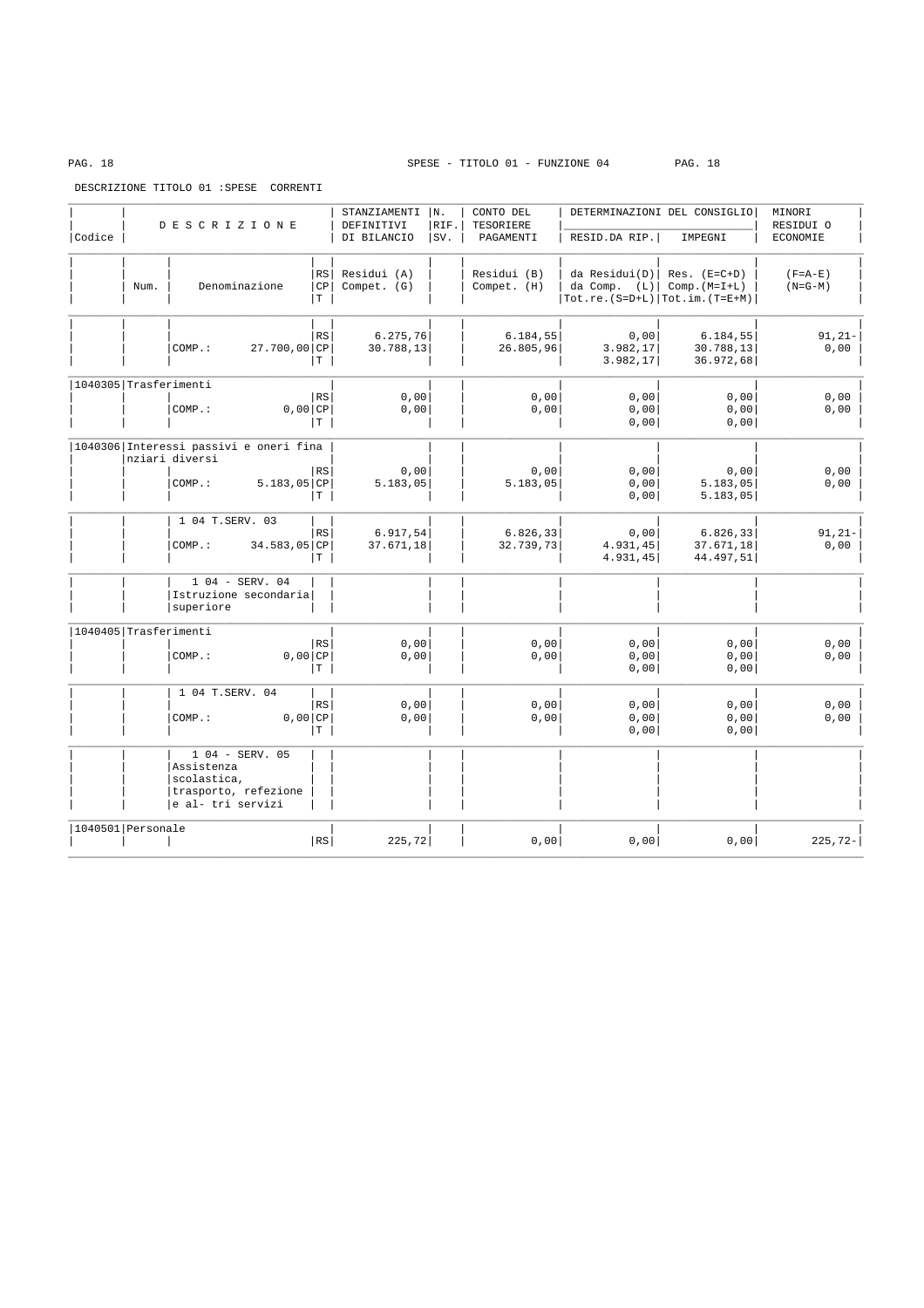## PAG. 18 SPESE - TITOLO 01 - FUNZIONE 04 PAG. 18

| Codice                |      | DESCRIZIONE                                                                               |                            | STANZIAMENTI<br>$ N$ .<br>RIF.<br>DEFINITIVI<br>DI BILANCIO<br>SV. | CONTO DEL<br>TESORIERE<br>PAGAMENTI | RESID.DA RIP.                 | DETERMINAZIONI DEL CONSIGLIO<br>IMPEGNI                                                                  | MINORI<br>RESIDUI 0<br><b>ECONOMIE</b> |
|-----------------------|------|-------------------------------------------------------------------------------------------|----------------------------|--------------------------------------------------------------------|-------------------------------------|-------------------------------|----------------------------------------------------------------------------------------------------------|----------------------------------------|
|                       | Num. | Denominazione                                                                             | RS<br>CP<br>IΤ             | Residui (A)<br>$Compet.$ (G)                                       | Residui (B)<br>Compet. (H)          |                               | da Residui(D)   Res. $(E=C+D)$<br>da Comp. $(L)  $ Comp. $(M=I+L)$<br>$ Tot.re.(S=D+L)   Tot.in.(T=E+M)$ | $(F = A - E)$<br>$(N = G - M)$         |
|                       |      | 27.700,00 CP<br>COMP:                                                                     | RS<br>T                    | 6.275,76<br>30.788,13                                              | 6.184,55<br>26.805,96               | 0,00<br>3.982,17<br>3.982, 17 | 6.184,55<br>30.788,13<br>36.972,68                                                                       | $91, 21 -$<br>0,00                     |
| 1040305 Trasferimenti |      | $0,00$  CP<br>COMP:                                                                       | RS<br>IΤ.                  | 0,00<br>0,00                                                       | 0,00<br>0,00                        | 0,00<br>0,00<br>0,00          | 0,00<br>0,00<br>0,00                                                                                     | 0,00<br>0,00                           |
|                       |      | 1040306 Interessi passivi e oneri fina<br>nziari diversi                                  |                            |                                                                    |                                     |                               |                                                                                                          |                                        |
|                       |      | $5.183.05$ CP<br>COMP.:                                                                   | RS<br>$\mathbb T$          | 0,00<br>5.183,05                                                   | 0,00<br>5.183,05                    | 0,00<br>0,00<br>0,00          | 0,00<br>5.183,05<br>5.183,05                                                                             | 0.00<br>0,00                           |
|                       |      | 1 04 T.SERV. 03                                                                           |                            |                                                                    |                                     |                               |                                                                                                          |                                        |
|                       |      | 34.583,05 CP<br>COMP.:                                                                    | $_{\rm RS}$<br>$\mathbf T$ | 6.917,54<br>37.671,18                                              | 6.826,33<br>32.739,73               | 0,00<br>4.931,45<br>4.931, 45 | 6.826, 33<br>37.671,18<br>44.497,51                                                                      | $91, 21 -$<br>0,00                     |
|                       |      | 1 04 - SERV. 04<br>Istruzione secondaria<br>superiore                                     |                            |                                                                    |                                     |                               |                                                                                                          |                                        |
| 1040405 Trasferimenti |      | $0,00$  CP<br>COMP.:                                                                      | RS<br>$\mathbf T$          | 0,00<br>0,00                                                       | 0,00<br>0,00                        | 0,00<br>0,00<br>0,00          | 0,00<br>0,00 <br>0,00                                                                                    | 0,00<br>0,00                           |
|                       |      | 1 04 T.SERV. 04<br>$0,00$  CP<br>COMP:                                                    | RS<br>T                    | 0,00<br>0,00                                                       | 0,00<br>0,00                        | 0,00<br>0,00<br>0,00          | 0,00<br>0,00<br>0,00                                                                                     | 0,00<br>0,00                           |
|                       |      | 1 04 - SERV. 05<br>Assistenza<br>scolastica,<br>trasporto, refezione<br>e al- tri servizi |                            |                                                                    |                                     |                               |                                                                                                          |                                        |
| 1040501 Personale     |      |                                                                                           | RS                         | 225, 72                                                            | 0,00                                | 0,00                          | 0,00                                                                                                     | $225,72-$                              |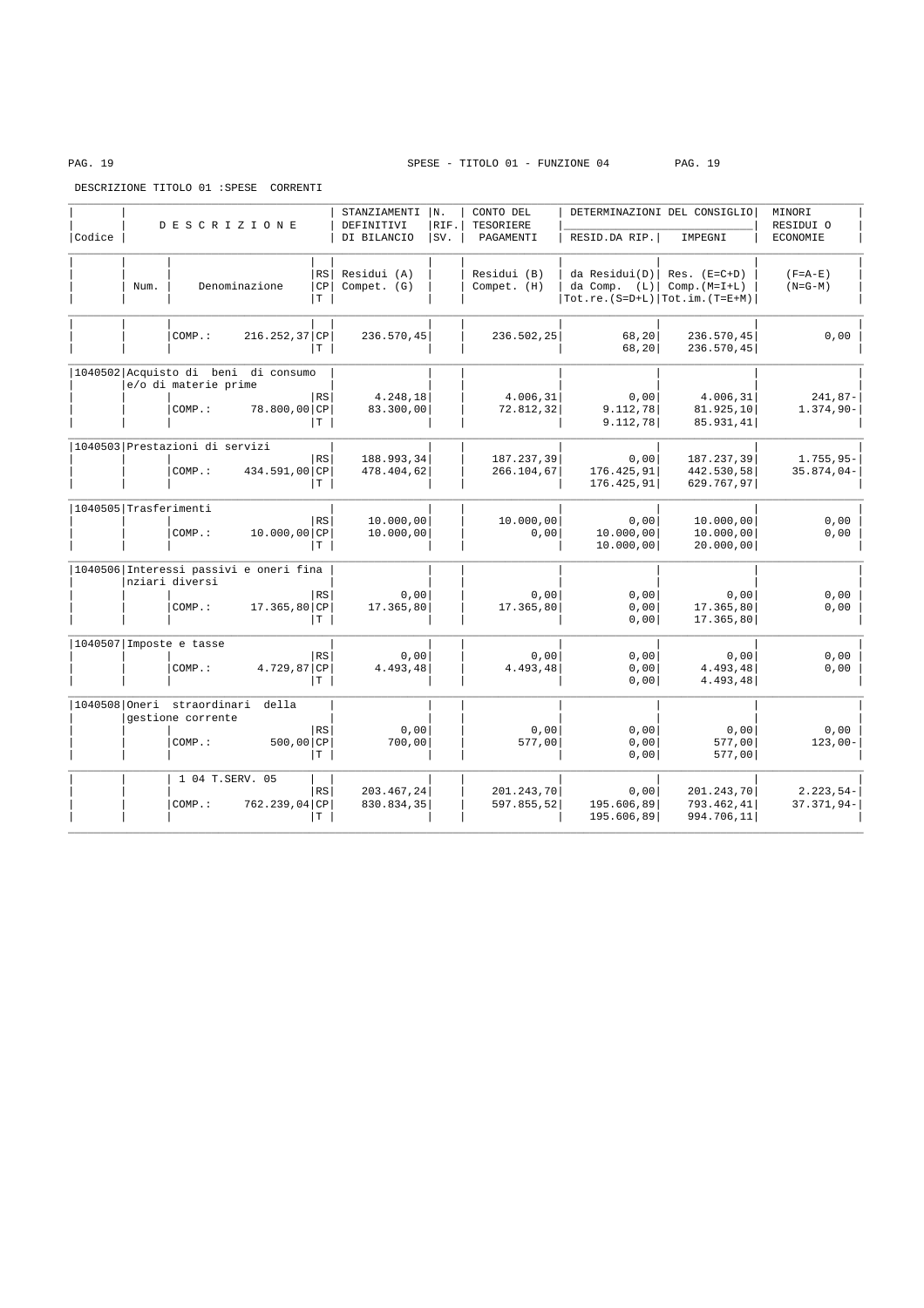## PAG. 19 SPESE - TITOLO 01 - FUNZIONE 04 PAG. 19

| Codice                |      | DESCRIZIONE                                              |                                                        |                          | STANZIAMENTI<br>DEFINITIVI<br>DI BILANCIO | $ N$ .<br>RIF.<br>Isv. | CONTO DEL<br>TESORIERE<br>PAGAMENTI | RESID.DA RIP.                     | DETERMINAZIONI DEL CONSIGLIO<br>IMPEGNI                                                               | MINORI<br>RESIDUI O<br>ECONOMIE  |
|-----------------------|------|----------------------------------------------------------|--------------------------------------------------------|--------------------------|-------------------------------------------|------------------------|-------------------------------------|-----------------------------------|-------------------------------------------------------------------------------------------------------|----------------------------------|
|                       | Num. |                                                          | Denominazione                                          | RS<br>CP<br>Г            | Residui (A)<br>Compet. (G)                |                        | Residui (B)<br>Compet. (H)          |                                   | da Residui(D)   Res. $(E=C+D)$<br>da Comp. $(L)$ Comp. $(M=I+L)$<br>$Tot.re.(S=D+L)   Tot.in.(T=E+M)$ | $(F = A - E)$<br>$( N = G - M )$ |
|                       |      | COMP.:                                                   | $216.252.37$ CP                                        | $\mathbf T$              | 236.570,45                                |                        | 236.502,25                          | 68,20<br>68,20                    | 236.570,45<br>236.570,45                                                                              | 0,00                             |
|                       |      | e/o di materie prime<br>COMP:                            | 1040502 Acquisto di beni di consumo<br>78.800,00 CP    | RS<br>T.                 | 4.248,18<br>83.300,00                     |                        | 4.006,31<br>72.812,32               | 0.00<br>9.112,78<br>9.112, 78     | 4.006.31<br>81.925,10<br>85.931,41                                                                    | $241,87-$<br>$1.374,90-$         |
|                       |      | 1040503 Prestazioni di servizi<br>COMP:                  | 434.591,00 CP                                          | RS <br>T.                | 188.993,34<br>478.404,62                  |                        | 187.237,39<br>266.104,67            | 0.001<br>176.425,91<br>176.425.91 | 187.237,39<br>442.530,58<br>629.767,97                                                                | $1.755,95 -$<br>$35.874,04-$     |
| 1040505 Trasferimenti |      | COMP:                                                    | 10.000,00 CP                                           | RS<br>T                  | 10,000,00<br>10.000,00                    |                        | 10,000,00<br>0,00                   | 0.00<br>10.000,00<br>10.000,00    | 10,000,00<br>10.000,00<br>20.000,00                                                                   | 0.00<br>0,00                     |
|                       |      | nziari diversi<br>COMP:                                  | 1040506 Interessi passivi e oneri fina<br>17.365,80 CP | RS<br>T                  | 0,00<br>17.365,80                         |                        | 0,00<br>17.365,80                   | 0,00<br>0,00<br>0,00              | 0,00<br>17.365,80<br>17.365,80                                                                        | 0,00<br>0,00                     |
|                       |      | $1040507$ Imposte e tasse<br>COMP:                       | 4.729,87 CP                                            | RS<br>T                  | 0,00<br>4.493,48                          |                        | 0,00<br>4.493,48                    | 0,00<br>0,00<br>0,00              | 0,00<br>4.493,48<br>4.493, 48                                                                         | 0,00<br>0,00                     |
|                       |      | 1040508 Oneri straordinari<br>gestione corrente<br>COMP: | della<br>$500,00$  CP                                  | RS<br>T.                 | 0,00<br>700,00                            |                        | 0,00<br>577,00                      | 0,00<br>0,00<br>0,00              | 0,00<br>577,00<br>577,00                                                                              | 0,00<br>$123,00-$                |
|                       |      | 1 04 T.SERV. 05<br>COMP.:                                | 762.239,04 CP                                          | <b>RS</b><br>$\mathbf T$ | 203.467,24<br>830.834,35                  |                        | 201.243,70<br>597.855,52            | 0,00<br>195.606,89<br>195.606,89  | 201.243,70<br>793.462,41<br>994.706,11                                                                | $2.223,54-$<br>$37.371,94-$      |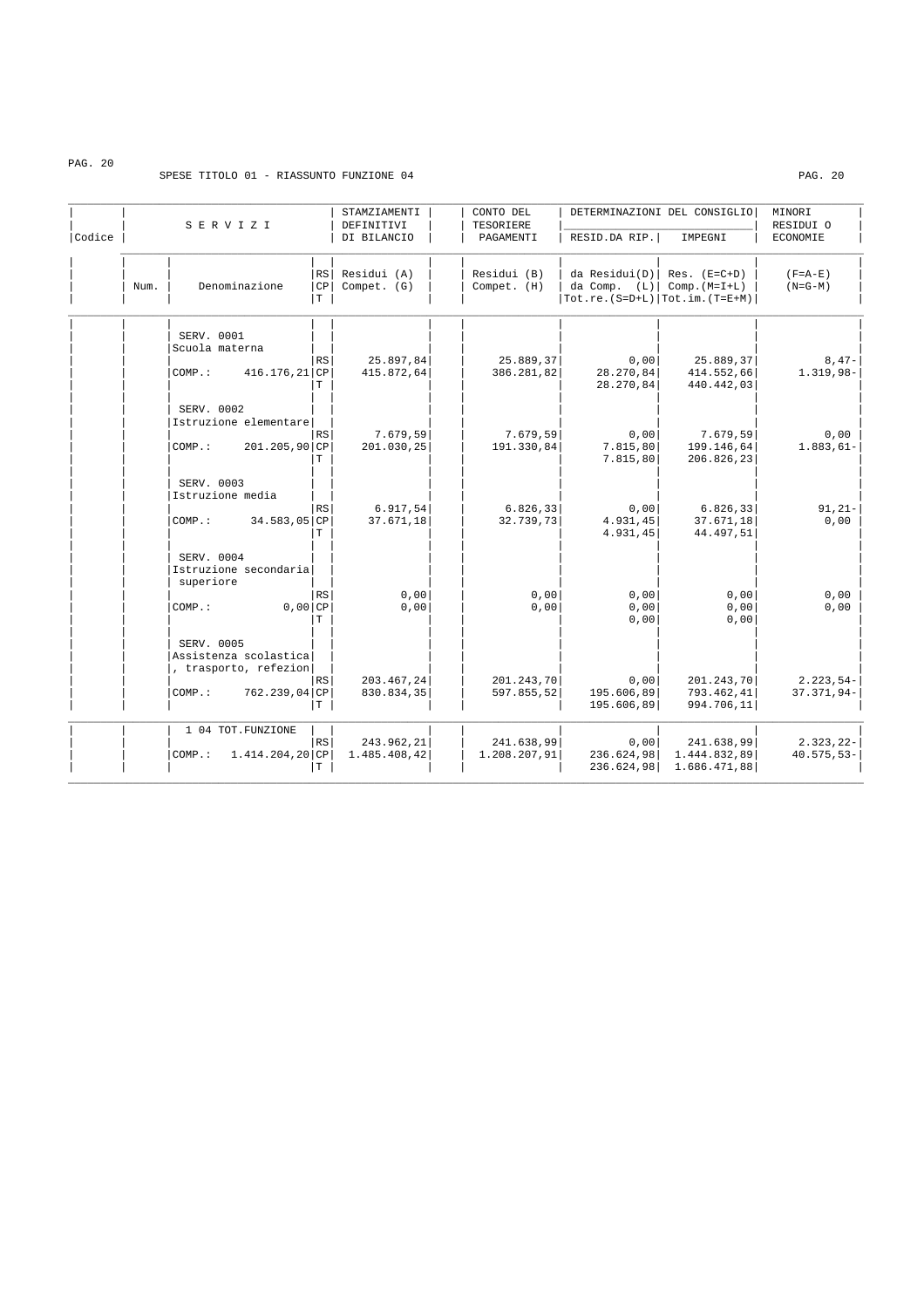## PAG. 20 SPESE TITOLO 01 - RIASSUNTO FUNZIONE 04 PAG. 20

|        |      | SERVIZI                                                                                |                 | STAMZIAMENTI<br>DEFINITIVI | CONTO DEL<br>TESORIERE     |                                   | DETERMINAZIONI DEL CONSIGLIO                                                                               | MINORI<br>RESIDUI O             |
|--------|------|----------------------------------------------------------------------------------------|-----------------|----------------------------|----------------------------|-----------------------------------|------------------------------------------------------------------------------------------------------------|---------------------------------|
| Codice |      |                                                                                        |                 | DI BILANCIO                | PAGAMENTI                  | RESID.DA RIP.                     | IMPEGNI                                                                                                    | ECONOMIE                        |
|        | Num. | Denominazione                                                                          | RS<br>CP<br>Г   | Residui (A)<br>Compet. (G) | Residui (B)<br>Compet. (H) |                                   | da Residui(D)   Res. $(E=C+D)$<br>da Comp. $(L)  $ Comp. $(M=I+L)$<br>$ Tot,re.(S=D+L)   Tot.in.(T=E+M)  $ | $(F = A - E)$<br>$(N = G - M)$  |
|        |      | SERV. 0001<br>Scuola materna<br>COMP:<br>416.176.21 CP                                 | <b>RS</b><br>T. | 25.897,84<br>415.872,64    | 25.889,37<br>386.281,82    | 0,00<br>28.270,84<br>28.270,84    | 25.889,37<br>414.552,66<br>440.442,03                                                                      | $8,47-$<br>$1.319,98-$          |
|        |      | SERV. 0002<br>Istruzione elementare<br>COMP:<br>201.205,90 CP                          | RS<br>T.        | 7.679, 59<br>201.030,25    | 7.679, 59<br>191.330,84    | 0,00<br>7.815,80<br>7.815, 80     | 7.679.59<br>199.146,64<br>206.826, 23                                                                      | 0,00<br>$1.883,61-$             |
|        |      | SERV. 0003<br>Istruzione media<br>34.583,05 CP<br>COMP:                                | RS<br>т         | 6.917,54<br>37.671,18      | 6.826, 33<br>32.739,73     | 0,00<br>4.931,45<br>4.931, 45     | 6.826, 33<br>37.671,18<br>44.497,51                                                                        | $91, 21 -$<br>0,00              |
|        |      | SERV. 0004<br>Istruzione secondaria<br>superiore<br>$0,00$  CP<br>COMP:                | RS<br>T.        | 0,00<br>0,00               | 0,00<br>0,00               | 0,00<br>0,00<br>0,00              | 0,00<br>0,00<br>0,00                                                                                       | 0,00<br>0,00                    |
|        |      | SERV. 0005<br>Assistenza scolastica<br>, trasporto, refezion<br>COMP:<br>762.239,04 CP | RS<br>T         | 203.467,24<br>830.834,35   | 201.243,70<br>597.855,52   | 0.001<br>195.606,89<br>195.606,89 | 201.243,70<br>793.462, 41<br>994.706,11                                                                    | $2.223,54-$<br>$37.371,94-$     |
|        |      | 1 04 TOT. FUNZIONE<br>1.414.204,20 CP<br>COMP:                                         | RS<br>T.        | 243.962,21<br>1.485.408,42 | 241.638,99<br>1.208.207,91 | 0,00<br>236.624,98<br>236.624,98  | 241.638,99<br>1.444.832.89<br>1.686.471,88                                                                 | $2.323, 22 -$<br>$40.575, 53 -$ |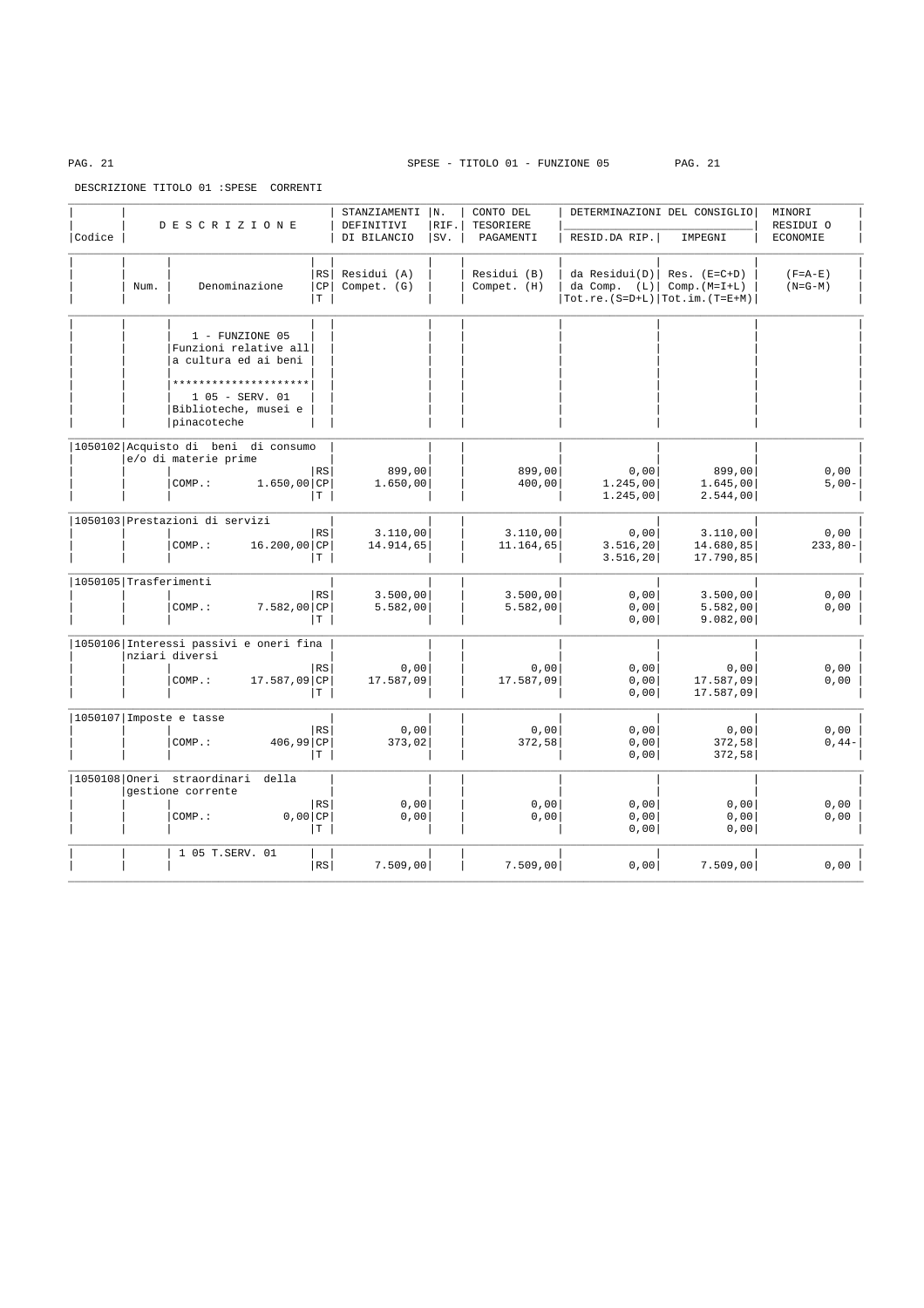# PAG. 21 SPESE - TITOLO 01 - FUNZIONE 05 PAG. 21

| Codice                |      | DESCRIZIONE                                                                                                                                         |                   | STANZIAMENTI<br>DEFINITIVI<br>DI BILANCIO | $ N$ .<br>RIF.<br>Isv. | CONTO DEL<br>TESORIERE<br>PAGAMENTI | RESID.DA RIP.                                     | DETERMINAZIONI DEL CONSIGLIO<br>IMPEGNI                 | MINORI<br>RESIDUI 0<br>ECONOMIE |
|-----------------------|------|-----------------------------------------------------------------------------------------------------------------------------------------------------|-------------------|-------------------------------------------|------------------------|-------------------------------------|---------------------------------------------------|---------------------------------------------------------|---------------------------------|
|                       | Num. | Denominazione                                                                                                                                       | RS<br>CP<br>IΤ    | Residui (A)<br>$Compet.$ (G)              |                        | Residui (B)<br>Compet. (H)          | da Residui(D)<br>da Comp. $(L)  $ Comp. $(M=I+L)$ | $Res.$ $(E=C+D)$<br>$Tot.re.(S=D+L)   Tot.in.(T=E+M)  $ | $(F=A-E)$<br>$(N = G - M)$      |
|                       |      | 1 - FUNZIONE 05<br>Funzioni relative all<br>a cultura ed ai beni<br>*********************<br>1 05 - SERV. 01<br>Biblioteche, musei e<br>pinacoteche |                   |                                           |                        |                                     |                                                   |                                                         |                                 |
|                       |      | 1050102 Acquisto di beni di consumo<br>e/o di materie prime<br>COMP.:<br>1.650,00 CP                                                                | RS<br>T           | 899,00<br>1.650,00                        |                        | 899,00<br>400,00                    | 0,00<br>1.245,00<br>1.245,00                      | 899,00<br>1.645,00<br>2.544,00                          | 0,00<br>$5,00-$                 |
|                       |      | 1050103 Prestazioni di servizi<br>16.200,00 CP<br>COMP:                                                                                             | RS<br>$\mathbb T$ | 3.110,00<br>14.914,65                     |                        | 3.110,00<br>11.164,65               | 0,00<br>3.516, 20<br>3.516, 20                    | 3.110,00<br>14.680,85<br>17.790,85                      | 0,00<br>$233,80-$               |
| 1050105 Trasferimenti |      | 7.582,00 CP<br>COMP.:                                                                                                                               | <b>RS</b><br>lт.  | 3.500,00<br>5.582,00                      |                        | 3.500,00<br>5.582,00                | 0,00<br>0,00<br>0,00                              | 3.500,00<br>5.582,00<br>9.082,00                        | 0,00<br>0,00                    |
|                       |      | 1050106 Interessi passivi e oneri fina<br>nziari diversi<br>17.587,09 CP<br>COMP:                                                                   | RS<br>IΤ.         | 0,00<br>17.587,09                         |                        | 0,00<br>17.587,09                   | 0,00<br>0,00<br>0,00                              | 0,00<br>17.587,09<br>17.587,09                          | 0,00<br>0,00                    |
|                       |      | 1050107 Imposte e tasse<br>406,99 CP<br>COMP.:                                                                                                      | RS<br>Г           | 0,00<br>373,02                            |                        | 0.00<br>372,58                      | 0,00<br>0,00<br>0,00                              | 0,00<br>372,58<br>372,58                                | 0.00<br>$0, 44-$                |
|                       |      | 1050108 Oneri straordinari<br>della<br>gestione corrente<br>$0,00$  CP<br>COMP.:                                                                    | RS<br>T           | 0,00<br>0,00                              |                        | 0,00<br>0,00                        | 0,00<br>0,00<br>0,00                              | 0,00<br>0,00<br>0,00                                    | 0,00<br>0,00                    |
|                       |      | 1 05 T.SERV. 01                                                                                                                                     | RS                | 7.509,00                                  |                        | 7.509,00                            | 0,00                                              | 7.509,00                                                | 0,00                            |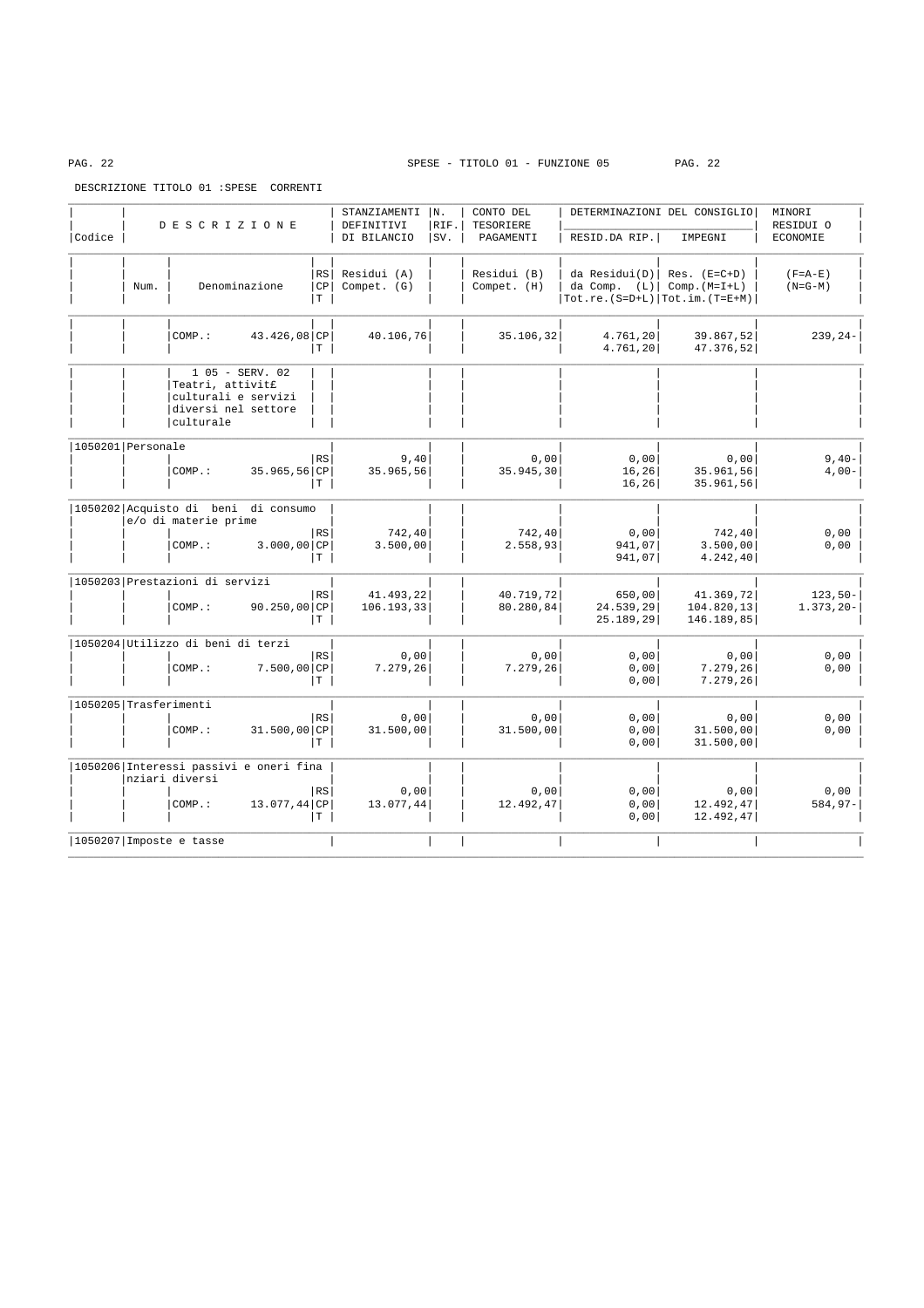# PAG. 22 SPESE - TITOLO 01 - FUNZIONE 05 PAG. 22

| Codice                |      | DESCRIZIONE                                                                                    |               |                | STANZIAMENTI<br>DEFINITIVI<br>DI BILANCIO | $ N$ .<br>RIF.<br>lsv. | CONTO DEL<br>TESORIERE<br>PAGAMENTI | RESID.DA RIP.                     | DETERMINAZIONI DEL CONSIGLIO<br>IMPEGNI                                                                | MINORI<br>RESIDUI 0<br><b>ECONOMIE</b> |
|-----------------------|------|------------------------------------------------------------------------------------------------|---------------|----------------|-------------------------------------------|------------------------|-------------------------------------|-----------------------------------|--------------------------------------------------------------------------------------------------------|----------------------------------------|
|                       | Num. | Denominazione                                                                                  |               | RS<br>CP<br>IΤ | Residui (A)<br>$Compet.$ (G)              |                        | Residui (B)<br>$Compet.$ (H)        |                                   | da Residui(D)   Res. $(E=C+D)$<br>da Comp. $(L)$ Comp. $(M=I+L)$<br>$ Tot.re.(S=D+L)   Tot.in.(T=E+M)$ | $(F=A-E)$<br>$(N = G - M)$             |
|                       |      | COMP:                                                                                          | 43.426.08 CP  | T              | 40.106,76                                 |                        | 35.106,32                           | 4.761,20<br>4.761, 20             | 39.867,52<br>47.376,52                                                                                 | $239, 24-$                             |
|                       |      | 1 05 - SERV. 02<br>Teatri, attivit£<br>culturali e servizi<br>diversi nel settore<br>culturale |               |                |                                           |                        |                                     |                                   |                                                                                                        |                                        |
| 1050201 Personale     |      | COMP:                                                                                          | 35.965,56 CP  | RS<br>IΤ.      | 9,40<br>35.965,56                         |                        | 0,00<br>35.945,30                   | 0,00<br>16, 26<br>16, 26          | 0.001<br>35.961,56<br>35.961,56                                                                        | $9.40 -$<br>$4,00-$                    |
|                       |      | 1050202 Acquisto di beni di consumo                                                            |               |                |                                           |                        |                                     |                                   |                                                                                                        |                                        |
|                       |      | e/o di materie prime<br>COMP:                                                                  | $3.000,00$ CP | RS<br>T        | 742,40<br>3.500,00                        |                        | 742,40<br>2.558,93                  | 0,00<br>941,07<br>941,07          | 742, 40<br>3.500,00<br>4.242, 40                                                                       | 0,00<br>0,00                           |
|                       |      | 1050203 Prestazioni di servizi                                                                 |               |                |                                           |                        |                                     |                                   |                                                                                                        |                                        |
|                       |      | COMP.:                                                                                         | 90.250,00 CP  | RS<br>T.       | 41.493,22<br>106.193,33                   |                        | 40.719,72<br>80.280,84              | 650,00<br>24.539,29<br>25.189, 29 | 41.369,72<br>104.820,13<br>146.189,85                                                                  | $123,50-$<br>$1.373, 20 -$             |
|                       |      | 1050204 Utilizzo di beni di terzi                                                              |               |                |                                           |                        |                                     |                                   |                                                                                                        |                                        |
|                       |      | COMP.:                                                                                         | $7.500,00$ CP | RS<br>T        | 0,00<br>7.279,26                          |                        | 0,00<br>7.279,26                    | 0,00<br>0,00<br>0,00              | 0,00<br>7.279,26<br>7.279, 26                                                                          | 0,00<br>0,00                           |
| 1050205 Trasferimenti |      |                                                                                                |               |                |                                           |                        |                                     |                                   |                                                                                                        |                                        |
|                       |      | COMP:                                                                                          | 31.500,00 CP  | RS <br>T       | 0,00<br>31.500,00                         |                        | 0,00<br>31.500,00                   | 0,00<br>0,00<br>0,00              | 0,00<br>31.500,00<br>31.500,00                                                                         | 0,00<br>0,00                           |
|                       |      | 1050206 Interessi passivi e oneri fina<br>nziari diversi                                       |               |                |                                           |                        |                                     |                                   |                                                                                                        |                                        |
|                       |      | COMP.:                                                                                         | 13.077,44 CP  | RS<br>T.       | 0,00<br>13.077,44                         |                        | 0,00<br>12.492, 47                  | 0,00<br>0,00<br>0,00              | 0,00<br>12.492,47<br>12.492, 47                                                                        | 0,00<br>$584, 97 -$                    |
|                       |      | $ 1050207 $ Imposte e tasse                                                                    |               |                |                                           |                        |                                     |                                   |                                                                                                        |                                        |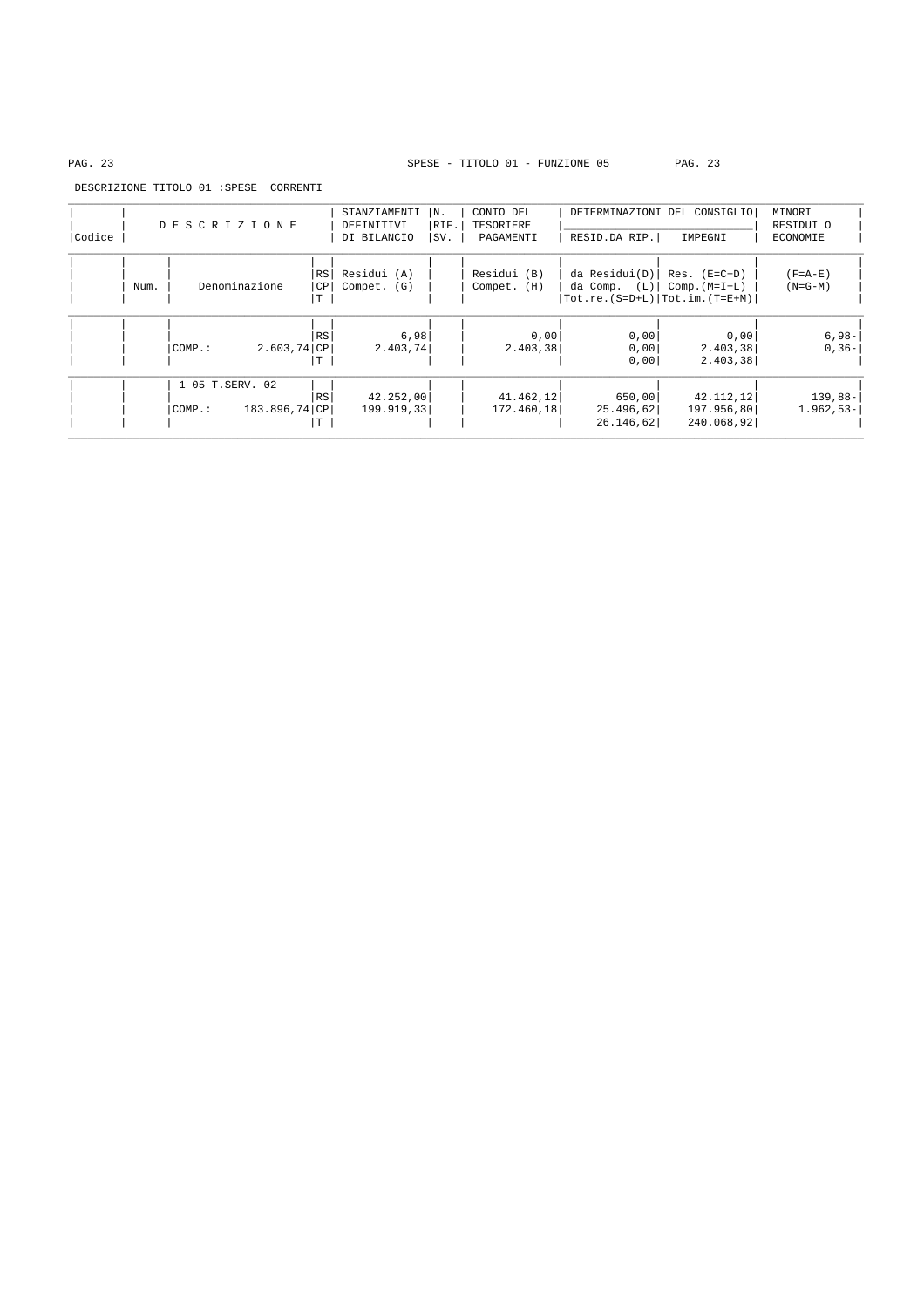## PAG. 23 **SPESE** - TITOLO 01 - FUNZIONE 05 **PAG.** 23

| Codice | DESCRIZIONE                               |                         | STANZIAMENTI<br>IN.<br>DEFINITIVI<br>RIF.<br>DI BILANCIO<br>SV. | CONTO DEL<br>TESORIERE<br>PAGAMENTI | RESID.DA RIP.                                                       | DETERMINAZIONI DEL CONSIGLIO<br>IMPEGNI | MINORI<br>RESIDUI O<br>ECONOMIE |
|--------|-------------------------------------------|-------------------------|-----------------------------------------------------------------|-------------------------------------|---------------------------------------------------------------------|-----------------------------------------|---------------------------------|
| Num.   | Denominazione                             | RS<br>CP<br>$\mathbf T$ | Residui (A)<br>$Compet.$ (G)                                    | Residui (B)<br>Compet. (H)          | da Residui(D)<br>da Comp. (L)<br>$ Tot,re.(S=D+L)   Tot.in.(T=E+M)$ | $Res.$ $(E=C+D)$<br>Comp. $(M=I+L)$     | $(F=A-E)$<br>$( N = G - M )$    |
|        | 2.603,74 CP<br>COMP:                      | RS<br>T                 | 6,98<br>2.403,74                                                | 0,00<br>2.403,38                    | 0,00<br>0,00<br>0,00                                                | 0,00<br>2.403,38<br>2.403,38            | $6,98-$<br>$0, 36 -$            |
|        | 1 05 T.SERV. 02<br>183.896,74 CP<br>COMP: | <b>RS</b><br>т          | 42.252,00<br>199.919,33                                         | 41.462, 12<br>172.460,18            | 650,00<br>25.496,62<br>26.146,62                                    | 42.112,12<br>197.956,80<br>240.068,92   | $139,88-$<br>$1.962,53-$        |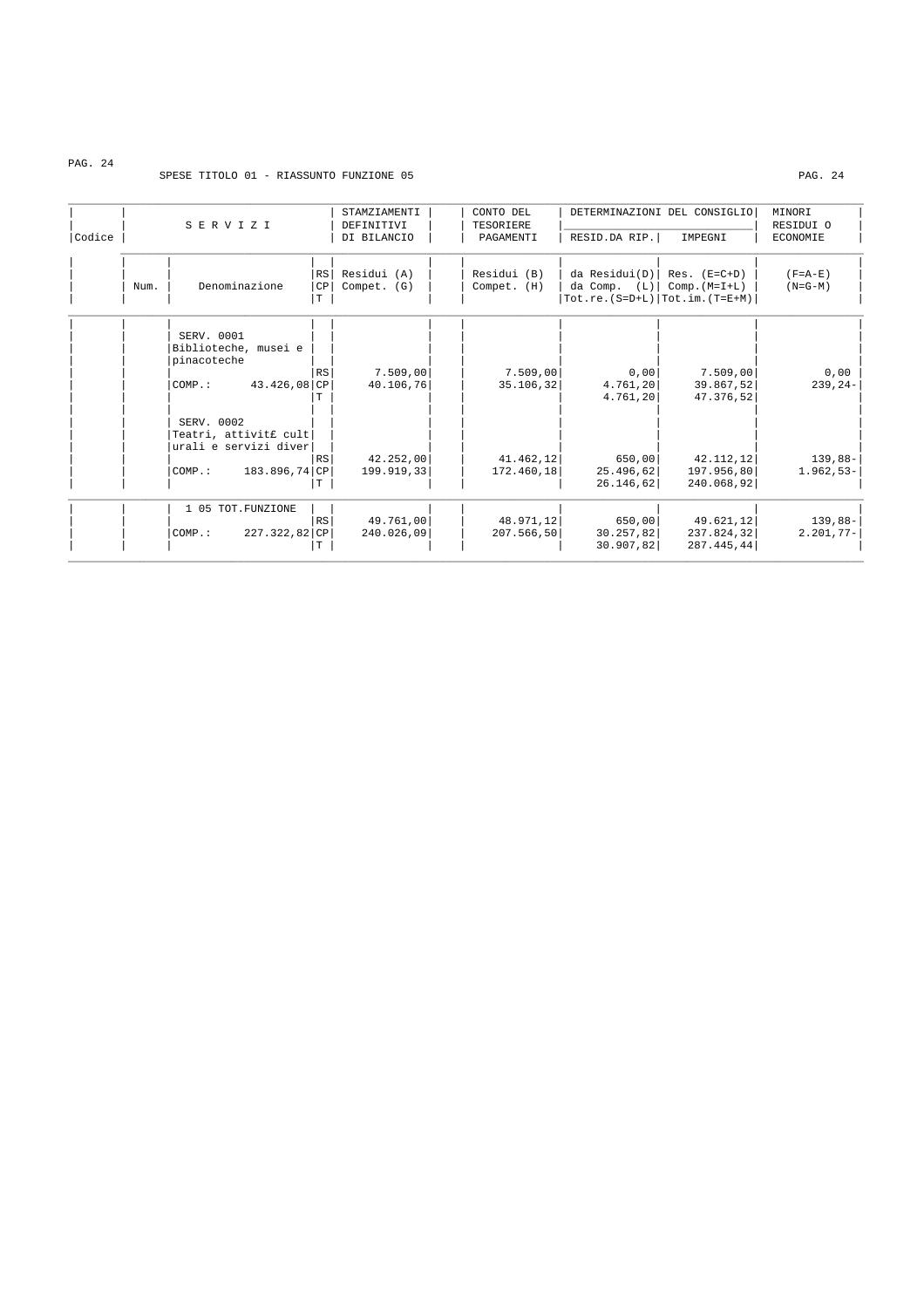## PAG. 24 SPESE TITOLO 01 - RIASSUNTO FUNZIONE 05 PAG. 24

| Codice |      | SERVIZI                                                                                |                                | STAMZIAMENTI<br>DEFINITIVI<br>DI BILANCIO | CONTO DEL<br>TESORIERE<br>PAGAMENTI | RESID.DA RIP.                    | DETERMINAZIONI DEL CONSIGLIO<br>IMPEGNI                                                                                   | MINORI<br>RESIDUI 0<br><b>ECONOMIE</b> |
|--------|------|----------------------------------------------------------------------------------------|--------------------------------|-------------------------------------------|-------------------------------------|----------------------------------|---------------------------------------------------------------------------------------------------------------------------|----------------------------------------|
|        | Num. | Denominazione                                                                          | RS<br><b>CP</b><br>$\mathbf T$ | Residui (A)<br>$Compet.$ (G)              | Residui (B)<br>$Compet.$ $(H)$      |                                  | da Residui(D)   Res. $(E=C+D)$<br>da Comp. $(L)$ Comp. $(M=I+L)$<br>$ {\rm Tot.re.}$ (S=D+L) $ {\rm Tot.in.}$ (T=E+M) $ $ | $(F=A-E)$<br>$( N = G - M )$           |
|        |      | SERV. 0001<br>Biblioteche, musei e<br>pinacoteche<br>43.426.08 CP<br>COMP:             | <b>RS</b>                      | 7.509,00<br>40.106,76                     | 7.509,00<br>35.106, 32              | 0,00<br>4.761, 20<br>4.761.20    | 7.509,00<br>39.867,52<br>47.376.52                                                                                        | 0,00<br>$239, 24-$                     |
|        |      | SERV. 0002<br>Teatri, attivit£ cult<br>urali e servizi diver<br>COMP:<br>183.896,74 CP | <b>RS</b>                      | 42.252,00<br>199.919,33                   | 41.462,12<br>172.460,18             | 650,00<br>25.496,62<br>26.146,62 | 42.112,12<br>197.956,80<br>240.068,92                                                                                     | $139,88-$<br>$1.962, 53 -$             |
|        |      | 1 05 TOT. FUNZIONE<br>227.322,82 CP<br>COMP:                                           | <b>RS</b><br>т                 | 49.761,00<br>240.026,09                   | 48.971,12<br>207.566,50             | 650,00<br>30.257,82<br>30.907,82 | 49.621,12<br>237.824,32<br>287.445,44                                                                                     | $139,88-$<br>$2.201,77-$               |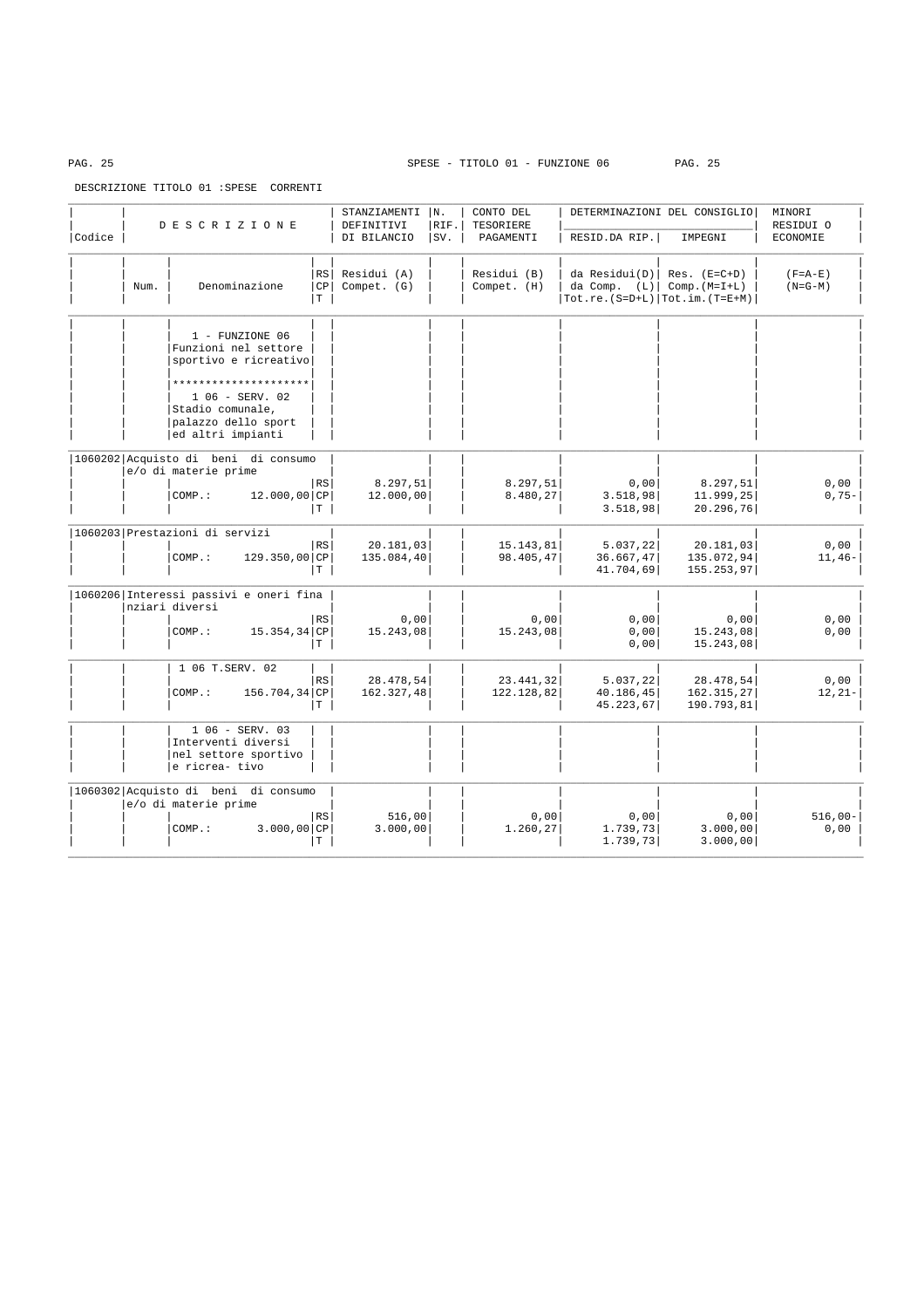# PAG. 25 SPESE - TITOLO 01 - FUNZIONE 06 PAG. 25

| Codice |      | DESCRIZIONE                                                  |                                                                                                              |                 | STANZIAMENTI<br>DEFINITIVI<br>DI BILANCIO | $ N$ .<br>RIF.<br>lsv. | CONTO DEL<br>TESORIERE<br>PAGAMENTI | RESID.DA RIP.                        | DETERMINAZIONI DEL CONSIGLIO<br>IMPEGNI                                                                  | MINORI<br>RESIDUI 0<br><b>ECONOMIE</b> |
|--------|------|--------------------------------------------------------------|--------------------------------------------------------------------------------------------------------------|-----------------|-------------------------------------------|------------------------|-------------------------------------|--------------------------------------|----------------------------------------------------------------------------------------------------------|----------------------------------------|
|        | Num. |                                                              | Denominazione                                                                                                | RS<br>CP<br>IΤ. | Residui (A)<br>$Compet.$ (G)              |                        | Residui (B)<br>$Compet.$ (H)        |                                      | da Residui(D)   Res. $(E=C+D)$<br>da Comp. $(L)$ Comp. $(M=I+L)$<br>$ Tot.re.(S=D+L)   Tot.in.(T=E+M)  $ | $(F = A - E)$<br>$(N = G - M)$         |
|        |      | Stadio comunale,<br>palazzo dello sport<br>ed altri impianti | 1 - FUNZIONE 06<br>Funzioni nel settore<br>sportivo e ricreativo<br>*********************<br>1 06 - SERV. 02 |                 |                                           |                        |                                     |                                      |                                                                                                          |                                        |
|        |      | e/o di materie prime<br>COMP:                                | 1060202 Acquisto di beni di consumo<br>12.000,00 CP                                                          | RS<br>T         | 8.297,51<br>12.000,00                     |                        | 8.297,51<br>8.480,27                | 0,00<br>3.518,98<br>3.518,98         | 8.297,51<br>11.999,25<br>20.296,76                                                                       | 0,00<br>$0,75-$                        |
|        |      | 1060203 Prestazioni di servizi<br>COMP:                      | 129.350,00 CP                                                                                                | RS<br>IΤ.       | 20.181,03<br>135.084,40                   |                        | 15.143,81<br>98.405,47              | 5.037, 22<br>36.667, 47<br>41.704,69 | 20.181,03<br>135.072,94<br>155.253,97                                                                    | 0,00<br>$11, 46-$                      |
|        |      | nziari diversi<br>COMP.:                                     | 1060206 Interessi passivi e oneri fina<br>15.354,34 CP                                                       | $ _{RS}$<br>T   | 0,00<br>15.243,08                         |                        | 0,00<br>15.243,08                   | 0,00<br>0,00<br>0,00                 | 0,00<br>15.243,08<br>15.243,08                                                                           | 0,00<br>0,00                           |
|        |      | 1 06 T.SERV. 02<br>COMP:                                     | 156.704,34 CP                                                                                                | RS<br>T.        | 28.478,54<br>162.327,48                   |                        | 23.441,32<br>122.128,82             | 5.037, 22<br>40.186, 45<br>45.223,67 | 28.478,54<br>162.315,27<br>190.793,81                                                                    | 0,00<br>$12, 21-$                      |
|        |      | Interventi diversi<br>e ricrea- tivo                         | 1 06 - SERV. 03<br>nel settore sportivo                                                                      |                 |                                           |                        |                                     |                                      |                                                                                                          |                                        |
|        |      | e/o di materie prime<br>COMP:                                | 1060302 Acquisto di beni di consumo<br>$3.000,00$ CP                                                         | RS<br>T         | 516,00<br>3.000,00                        |                        | 0,00<br>1.260,27                    | 0,00<br>1.739,73<br>1.739,73         | 0,00<br>3.000,00<br>3.000,00                                                                             | $516,00-$<br>0,00                      |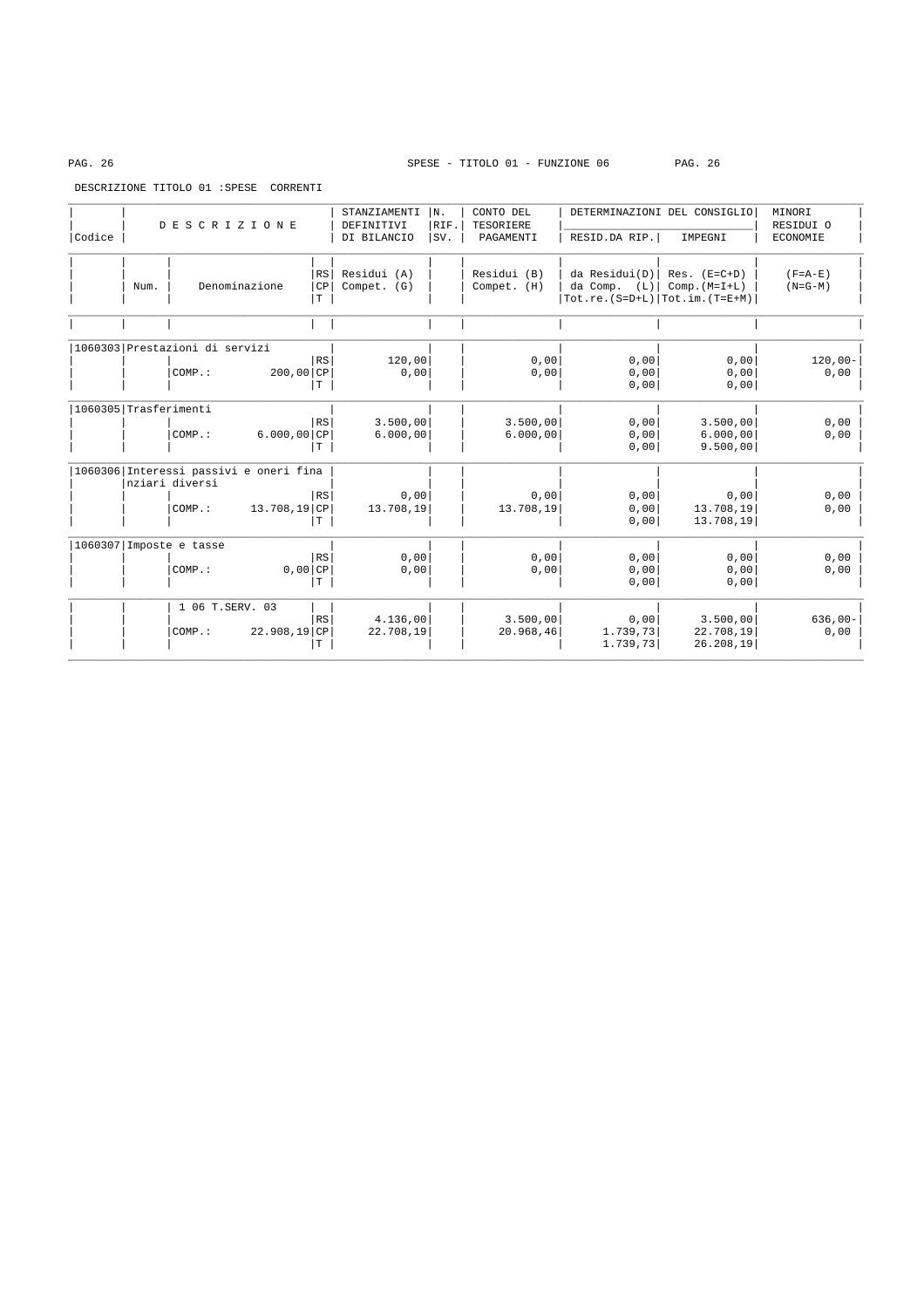## PAG. 26 SPESE - TITOLO 01 - FUNZIONE 06 PAG. 26

| Codice                |      | DESCRIZIONE                                                        |               |                                | STANZIAMENTI<br>DEFINITIVI<br>DI BILANCIO | $ N$ .<br>RIF.<br>SV. | CONTO DEL<br>TESORIERE<br>PAGAMENTI | RESID.DA RIP.                                       | DETERMINAZIONI DEL CONSIGLIO<br>IMPEGNI            | MINORI<br>RESIDUI 0<br><b>ECONOMIE</b> |
|-----------------------|------|--------------------------------------------------------------------|---------------|--------------------------------|-------------------------------------------|-----------------------|-------------------------------------|-----------------------------------------------------|----------------------------------------------------|----------------------------------------|
|                       | Num. | Denominazione                                                      |               | <b>RS</b><br>CP<br>$\mathbb T$ | Residui (A)<br>$Compet.$ (G)              |                       | Residui (B)<br>Compet. (H)          | da Residui(D)<br>$ Tot,re.(S=D+L)   Tot.in.(T=E+M)$ | $Res.$ $(E=C+D)$<br>da Comp. $(L)$ Comp. $(M=I+L)$ | $(F=A-E)$<br>$( N = G - M )$           |
|                       |      |                                                                    |               |                                |                                           |                       |                                     |                                                     |                                                    |                                        |
|                       |      | 1060303 Prestazioni di servizi<br>COMP:                            | 200,00 CP     | RS<br>T                        | 120,00<br>0,00                            |                       | 0,00<br>0,00                        | 0,00<br>0,00<br>0,00                                | 0,00<br>0,00<br>0,00                               | $120,00 -$<br>0,00                     |
| 1060305 Trasferimenti |      | COMP.:                                                             | $6.000,00$ CP | RS.<br>T                       | 3.500,00<br>6.000,00                      |                       | 3.500.00<br>6.000,00                | 0,00<br>0,00<br>0,00                                | 3.500,00<br>6.000,00<br>9.500,00                   | 0.00<br>0,00                           |
|                       |      | 1060306 Interessi passivi e oneri fina<br>nziari diversi<br>COMP.: | 13.708,19 CP  | <b>RS</b><br>T                 | 0,00<br>13.708,19                         |                       | 0,00<br>13.708,19                   | 0,00<br>0,00<br>0,00                                | 0,00<br>13.708,19<br>13.708,19                     | 0,00<br>0,00                           |
|                       |      | 1060307 Imposte e tasse<br>COMP.:                                  | $0,00$  CP    | RS<br>T                        | 0,00<br>0,00                              |                       | 0,00<br>0,00                        | 0,00<br>0,00<br>0,00                                | 0,00<br>0,00<br>0,00                               | 0,00<br>0,00                           |
|                       |      | 1 06 T.SERV. 03<br>COMP:                                           | 22.908,19 CP  | <b>RS</b><br>T                 | 4.136,00<br>22.708,19                     |                       | 3.500,00<br>20.968,46               | 0,00<br>1.739,73<br>1.739,73                        | 3.500,00<br>22.708, 19<br>26.208, 19               | $636,00-$<br>0,00                      |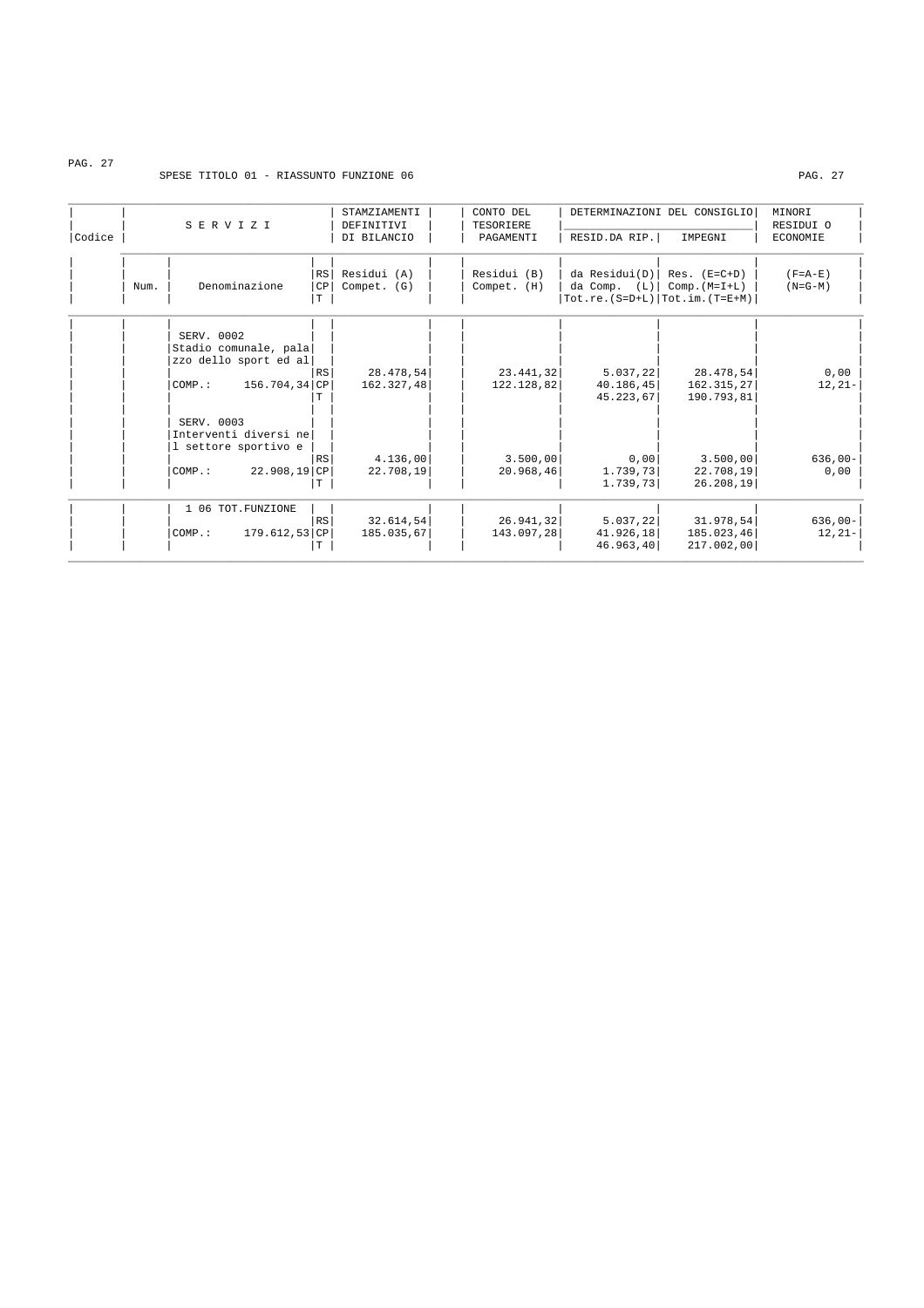## PAG. 27 SPESE TITOLO 01 - RIASSUNTO FUNZIONE 06 PAG. 27

| Codice |      | SERVIZI                                                                                |                         | STAMZIAMENTI<br>DEFINITIVI<br>DI BILANCIO | CONTO DEL<br>TESORIERE<br>PAGAMENTI | RESID.DA RIP.                                                                                                                           | DETERMINAZIONI DEL CONSIGLIO<br>IMPEGNI | MINORI<br>RESIDUI 0<br><b>ECONOMIE</b> |
|--------|------|----------------------------------------------------------------------------------------|-------------------------|-------------------------------------------|-------------------------------------|-----------------------------------------------------------------------------------------------------------------------------------------|-----------------------------------------|----------------------------------------|
|        | Num. | Denominazione                                                                          | RS<br>CP<br>$\mathbf T$ | Residui (A)<br>$Compet.$ (G)              | Residui (B)<br>$Compet.$ $(H)$      | da Residui(D)   Res. $(E=C+D)$<br>da Comp. $(L)$ Comp. $(M=I+L)$<br>$ {\rm Tot} . {\rm re} .$ (S=D+L) $ {\rm Tot} . {\rm im} .$ (T=E+M) |                                         | $(F=A-E)$<br>$( N = G - M )$           |
|        |      | SERV. 0002<br>Stadio comunale, pala<br>zzo dello sport ed al<br>COMP:<br>156.704,34 CP | <b>RS</b>               | 28.478.54<br>162.327,48                   | 23.441,32<br>122.128,82             | 5.037, 22<br>40.186, 45<br>45.223.67                                                                                                    | 28.478,54<br>162.315,27<br>190.793.81   | 0,00<br>$12,21-$                       |
|        |      | SERV. 0003<br>Interventi diversi ne<br>l settore sportivo e<br>22.908,19 CP<br>COMP:   | <b>RS</b>               | 4.136,00<br>22.708,19                     | 3.500,00<br>20.968,46               | 0,00<br>1.739.73<br>1.739.73                                                                                                            | 3.500,00<br>22.708,19<br>26.208, 19     | $636,00-$<br>0,00                      |
|        |      | 1 06 TOT. FUNZIONE<br>179.612,53 CP<br>COMP:                                           | <b>RS</b><br>т          | 32.614,54<br>185.035,67                   | 26.941,32<br>143.097,28             | 5.037, 22<br>41.926,18<br>46.963, 40                                                                                                    | 31.978,54<br>185.023, 46<br>217.002,00  | $636,00-$<br>$12,21-$                  |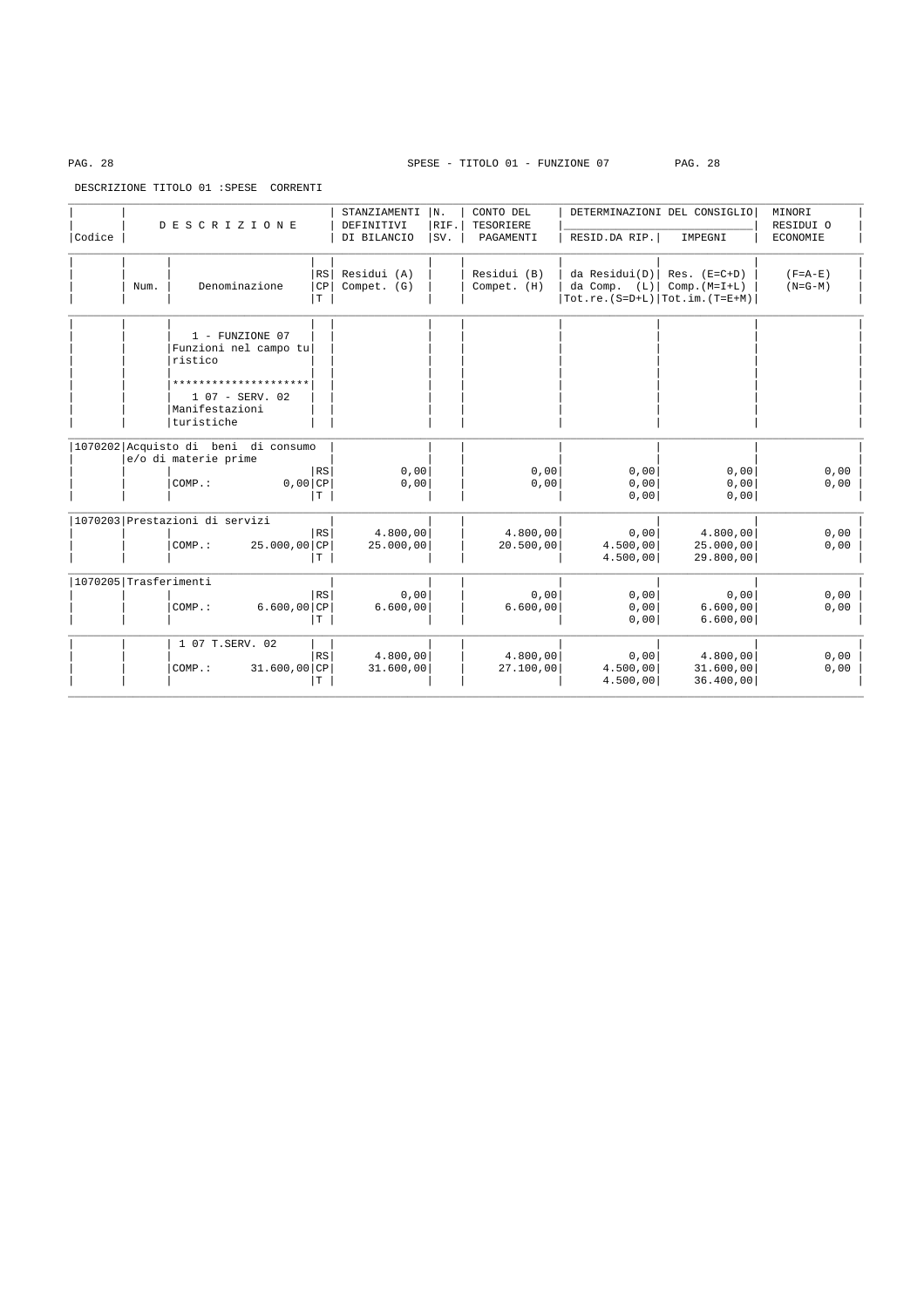# PAG. 28 SPESE - TITOLO 01 - FUNZIONE 07 PAG. 28

| Codice                |      | DESCRIZIONE                                                                                                                     |                         | STANZIAMENTI<br>N.<br>RIF.<br>DEFINITIVI<br>SV.<br>DI BILANCIO | CONTO DEL<br>TESORIERE<br>PAGAMENTI | RESID.DA RIP.                                                                                           | DETERMINAZIONI DEL CONSIGLIO<br>IMPEGNI | MINORI<br>RESIDUI 0<br>ECONOMIE |
|-----------------------|------|---------------------------------------------------------------------------------------------------------------------------------|-------------------------|----------------------------------------------------------------|-------------------------------------|---------------------------------------------------------------------------------------------------------|-----------------------------------------|---------------------------------|
|                       | Num. | Denominazione                                                                                                                   | RS<br>CP<br>$\mathbb T$ | Residui (A)<br>$Compet.$ (G)                                   | Residui (B)<br>Compet. (H)          | da Residui(D)   Res. $(E=C+D)$<br>da Comp. $(L)$ Comp. $(M=I+L)$<br>$ Tot,re.(S=D+L)   Tot.in.(T=E+M) $ |                                         | $(F=A-E)$<br>$( N = G - M )$    |
|                       |      | 1 - FUNZIONE 07<br>Funzioni nel campo tu<br>ristico<br>*********************<br>1 07 - SERV. 02<br>Manifestazioni<br>turistiche |                         |                                                                |                                     |                                                                                                         |                                         |                                 |
|                       |      | 1070202 Acquisto di beni di consumo<br>e/o di materie prime<br>$0,00$  CP<br>COMP:                                              | $ _{RS}$<br>T           | 0,00<br>0,00                                                   | 0,00<br>0,00                        | 0,00<br>0,00<br>0,00                                                                                    | 0,00<br>0,00<br>0,00                    | 0,00<br>0,00                    |
|                       |      | 1070203 Prestazioni di servizi<br>COMP.:<br>25.000,00 CP                                                                        | RS <br>T                | 4.800,00<br>25.000,00                                          | 4.800,00<br>20.500,00               | 0,00<br>4.500,00<br>4.500,00                                                                            | 4.800,00<br>25.000,00<br>29.800,00      | 0,00<br>0,00                    |
| 1070205 Trasferimenti |      | $6.600,00$ CP<br>COMP:                                                                                                          | RS.<br>T                | 0,00<br>6.600,00                                               | 0,00<br>6.600,00                    | 0,00<br>0,00<br>0,00                                                                                    | 0,00<br>6.600,00<br>6.600,00            | 0,00<br>0,00                    |
|                       |      | 1 07 T.SERV. 02<br>31.600,00 CP<br>COMP:                                                                                        | RS<br>T                 | 4.800.00<br>31.600,00                                          | 4.800.00<br>27.100,00               | 0.00<br>4.500,00<br>4.500,00                                                                            | 4.800.00<br>31.600,00<br>36.400,00      | 0.00<br>0,00                    |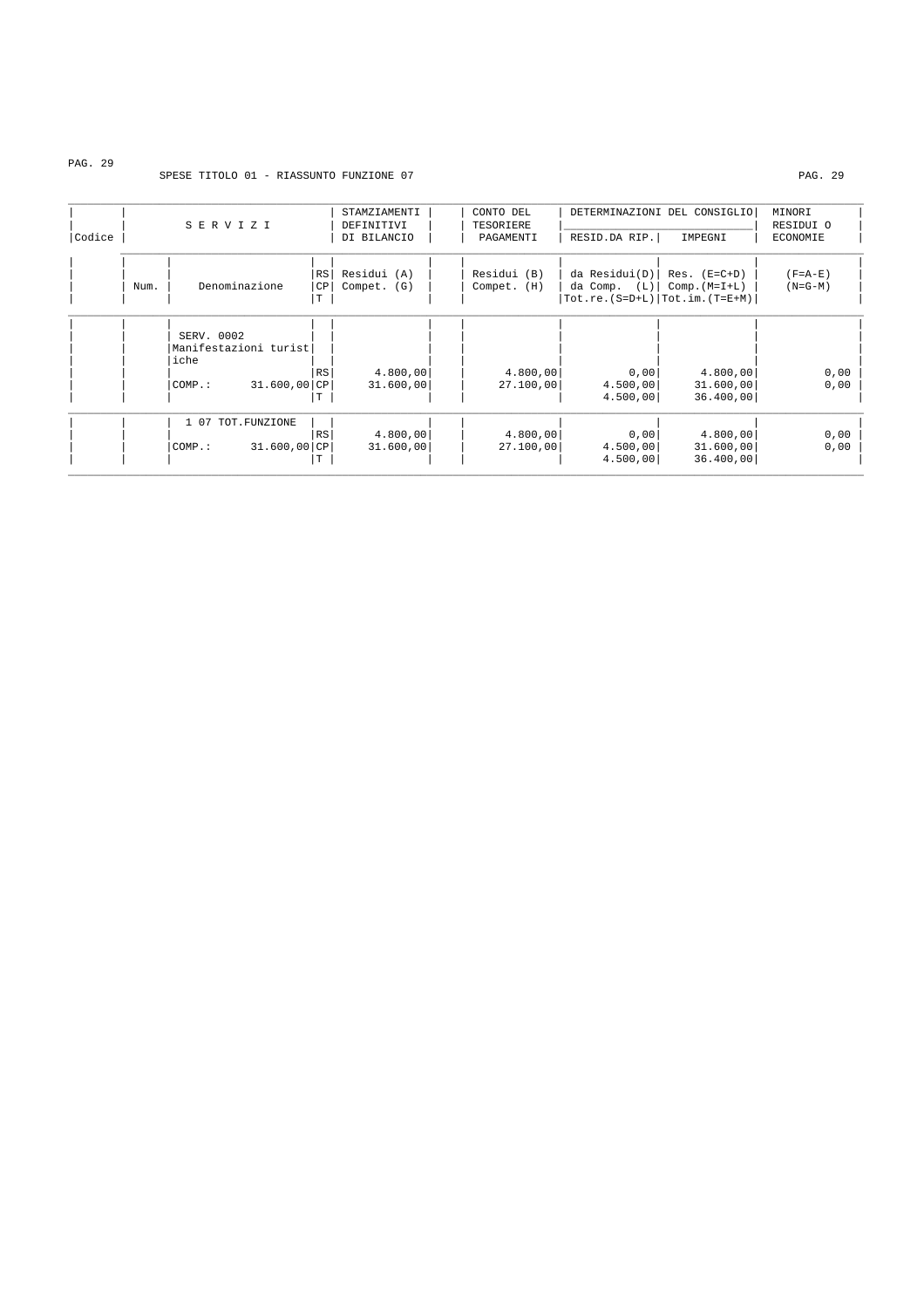## PAG. 29 SPESE TITOLO 01 - RIASSUNTO FUNZIONE 07 PAG. 29

| Codice |      | SERVIZI                                                              |                         | STAMZIAMENTI<br>DEFINITIVI<br>DI BILANCIO | CONTO DEL<br>TESORIERE<br>PAGAMENTI | RESID.DA RIP.                 | DETERMINAZIONI DEL CONSIGLIO<br>IMPEGNI                                             | MINORI<br>RESIDUI O<br>ECONOMIE |
|--------|------|----------------------------------------------------------------------|-------------------------|-------------------------------------------|-------------------------------------|-------------------------------|-------------------------------------------------------------------------------------|---------------------------------|
|        | Num. | Denominazione                                                        | RS<br>CP<br>$\mathbf T$ | Residui<br>(A)<br>$Compet.$ (G)           | Residui (B)<br>Compet. (H)          | da Residui(D)<br>da Comp. (L) | $Res.$ $(E=C+D)$<br>$\vert$ Comp. $(M=I+L)$<br>$ Tot,re.(S=D+L)   Tot.in.(T=E+M)  $ | $(F=A-E)$<br>$( N = G - M )$    |
|        |      | SERV. 0002<br>Manifestazioni turist<br>iche<br>31.600,00 CP<br>COMP: | <b>RS</b><br>Т          | 4.800,00<br>31.600,00                     | 4.800,00<br>27.100,00               | 0,00<br>4.500,00<br>4.500,00  | 4.800,00<br>31.600,00<br>36.400,00                                                  | 0,00<br>0,00                    |
|        |      | 1 07 TOT.FUNZIONE<br>31.600,00 CP<br>COMP:                           | <b>RS</b><br>T          | 4.800,00<br>31.600,00                     | 4.800,00<br>27.100,00               | 0,00<br>4.500,00<br>4.500,00  | 4.800,00<br>31.600,00<br>36.400,00                                                  | 0,00<br>0,00                    |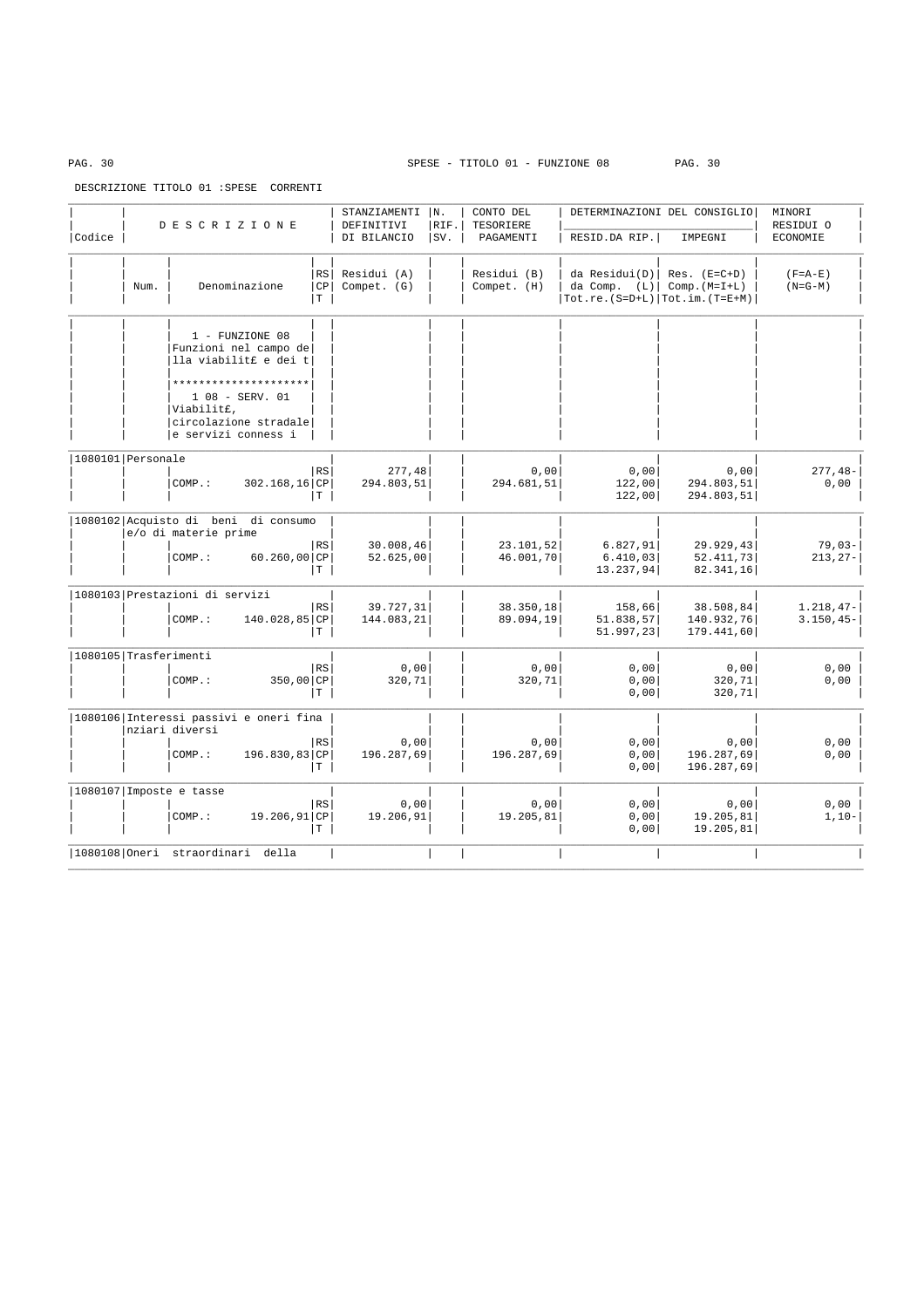# PAG. 30 SPESE - TITOLO 01 - FUNZIONE 08 PAG. 30

| Codice                |      | DESCRIZIONE                      |                                                                                                                                        |                 | STANZIAMENTI<br>DEFINITIVI<br>DI BILANCIO | $ N$ .<br>RIF.<br>Isv. | CONTO DEL<br>TESORIERE<br>PAGAMENTI | RESID.DA RIP.                     | DETERMINAZIONI DEL CONSIGLIO<br>IMPEGNI                                                                 | MINORI<br>RESIDUI 0<br>ECONOMIE  |
|-----------------------|------|----------------------------------|----------------------------------------------------------------------------------------------------------------------------------------|-----------------|-------------------------------------------|------------------------|-------------------------------------|-----------------------------------|---------------------------------------------------------------------------------------------------------|----------------------------------|
|                       | Num. |                                  | Denominazione                                                                                                                          | RS<br>CP<br>IΤ. | Residui (A)<br>Compet. $(G)$              |                        | Residui (B)<br>Compet. (H)          |                                   | da Residui(D)   Res. $(E=C+D)$<br>da Comp. $(L)$ Comp. $(M=I+L)$<br>$Tot.re.(S=D+L)   Tot.in.(T=E+M)  $ | $(F = A - E)$<br>$( N = G - M )$ |
|                       |      | Viabilit£,                       | 1 - FUNZIONE 08<br>Funzioni nel campo de<br>lla viabilit£ e dei t<br>*********************<br>1 08 - SERV. 01<br>circolazione stradale |                 |                                           |                        |                                     |                                   |                                                                                                         |                                  |
|                       |      |                                  | e servizi conness i                                                                                                                    |                 |                                           |                        |                                     |                                   |                                                                                                         |                                  |
| 1080101 Personale     |      | COMP.:                           | 302.168,16 CP                                                                                                                          | RS<br>T.        | 277,48<br>294.803,51                      |                        | 0,00<br>294.681,51                  | 0,00<br>122,00<br>122,00          | 0,00<br>294.803,51<br>294.803,51                                                                        | $277, 48-$<br>0,00               |
|                       |      | e/o di materie prime             | 1080102 Acquisto di beni di consumo                                                                                                    |                 |                                           |                        |                                     |                                   |                                                                                                         |                                  |
|                       |      | COMP:                            | $60.260,00$ CP                                                                                                                         | RS<br> T        | 30.008,46<br>52.625,00                    |                        | 23.101,52<br>46.001,70              | 6.827,91<br>6.410,03<br>13.237,94 | 29.929,43<br>52.411,73<br>82.341,16                                                                     | $79,03-$<br>$213, 27-$           |
|                       |      | 1080103 Prestazioni di servizi   |                                                                                                                                        | RS              |                                           |                        |                                     | 158,66                            | 38.508,84                                                                                               |                                  |
|                       |      | COMP.:                           | 140.028,85 CP                                                                                                                          | T               | 39.727,31<br>144.083,21                   |                        | 38.350,18<br>89.094,19              | 51.838, 57<br>51.997, 23          | 140.932,76<br>179.441,60                                                                                | $1.218, 47-$<br>$3.150, 45 -$    |
| 1080105 Trasferimenti |      | COMP:                            | 350,00 CP                                                                                                                              | RS<br>IΤ.       | 0,00<br>320,71                            |                        | 0,00<br>320,71                      | 0,00<br>0,00<br>0,00              | 0,00<br>320,71<br>320, 71                                                                               | 0,00<br>0,00                     |
|                       |      | nziari diversi                   | 1080106 Interessi passivi e oneri fina                                                                                                 |                 |                                           |                        |                                     |                                   |                                                                                                         |                                  |
|                       |      | COMP:                            | 196.830,83 CP                                                                                                                          | RS<br>T         | 0,00<br>196.287,69                        |                        | 0,00<br>196.287,69                  | 0,00<br>0,00<br>0,00              | 0,00<br>196.287,69<br>196.287,69                                                                        | 0,00<br>0,00                     |
|                       |      | 1080107 Imposte e tasse<br>COMP: | 19.206,91 CP                                                                                                                           | RS<br>T         | 0,00<br>19.206,91                         |                        | 0,00<br>19.205,81                   | 0,00<br>0,00<br>0,00              | 0,00<br>19.205, 81<br>19.205, 81                                                                        | 0,00<br>$1, 10-$                 |
|                       |      | 1080108 Oneri straordinari della |                                                                                                                                        |                 |                                           |                        |                                     |                                   |                                                                                                         |                                  |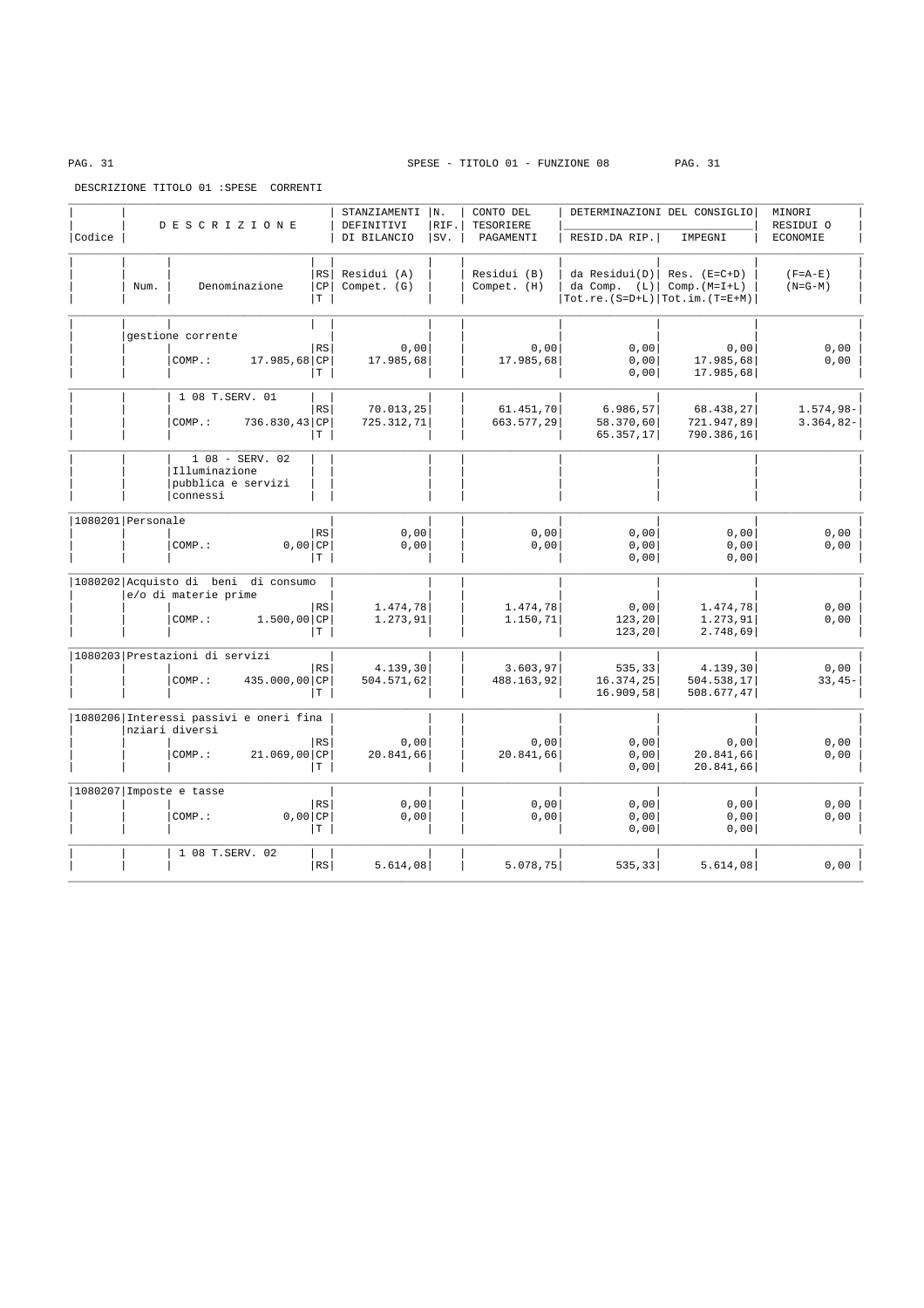## PAG. 31 SPESE - TITOLO 01 - FUNZIONE 08 PAG. 31

| Codice            |      | DESCRIZIONE                                                        |               |                   | STANZIAMENTI<br>DEFINITIVI<br>DI BILANCIO | $ N$ .<br>RIF.<br>Isv. | CONTO DEL<br>TESORIERE<br>PAGAMENTI | RESID.DA RIP.                      | DETERMINAZIONI DEL CONSIGLIO<br>IMPEGNI                                                     | MINORI<br>RESIDUI 0<br>ECONOMIE |
|-------------------|------|--------------------------------------------------------------------|---------------|-------------------|-------------------------------------------|------------------------|-------------------------------------|------------------------------------|---------------------------------------------------------------------------------------------|---------------------------------|
|                   | Num. | Denominazione                                                      |               | RS<br>CP<br>Iт    | Residui (A)<br>$Compet.$ (G)              |                        | Residui (B)<br>Compet. (H)          | da Residui(D)                      | $Res.$ $(E=C+D)$<br>da Comp. $(L)  $ Comp. $(M=I+L)$<br>$Tot.re.(S=D+L)   Tot.in.(T=E+M)  $ | $(F=A-E)$<br>$(N = G - M)$      |
|                   |      | gestione corrente<br>COMP:                                         | 17.985,68 CP  | l RS<br>T.        | 0,00<br>17.985,68                         |                        | 0,00<br>17.985,68                   | 0,00<br>0,00<br>0,00               | 0,00<br>17.985,68<br>17.985,68                                                              | 0,00<br>0,00                    |
|                   |      | 1 08 T.SERV. 01<br>COMP:                                           | 736.830,43 CP | RS<br>IΤ.         | 70.013,25<br>725.312,71                   |                        | 61.451,70<br>663.577,29             | 6.986,57<br>58.370,60<br>65.357,17 | 68.438,27<br>721.947,89<br>790.386,16                                                       | $1.574,98-$<br>$3.364,82-$      |
|                   |      | 1 08 - SERV. 02<br>Illuminazione<br>pubblica e servizi<br>connessi |               |                   |                                           |                        |                                     |                                    |                                                                                             |                                 |
| 1080201 Personale |      |                                                                    |               |                   |                                           |                        |                                     |                                    |                                                                                             |                                 |
|                   |      | COMP.:                                                             | $0,00$  CP    | RS<br>$\mathbb T$ | 0,00<br>0,00                              |                        | 0,00<br>0,00                        | 0,00<br>0,00<br>0,00               | 0,00<br>0,00<br>0,00                                                                        | 0.00<br>0,00                    |
|                   |      | 1080202 Acquisto di beni di consumo                                |               |                   |                                           |                        |                                     |                                    |                                                                                             |                                 |
|                   |      | e/o di materie prime<br>COMP:                                      | 1.500,00 CP   | RS<br> T          | 1.474,78<br>1.273,91                      |                        | 1.474,78<br>1.150,71                | 0,00<br>123, 20<br>123, 20         | 1.474, 78<br>1.273,91<br>2.748,69                                                           | 0,00<br>0,00                    |
|                   |      | 1080203 Prestazioni di servizi                                     |               |                   |                                           |                        |                                     |                                    |                                                                                             |                                 |
|                   |      | COMP.:                                                             | 435.000,00 CP | RS<br>IΤ.         | 4.139,30<br>504.571,62                    |                        | 3.603,97<br>488.163,92              | 535,33<br>16.374,25<br>16.909,58   | 4.139,30<br>504.538,17<br>508.677,47                                                        | 0,00<br>$33, 45-$               |
|                   |      | 1080206 Interessi passivi e oneri fina                             |               |                   |                                           |                        |                                     |                                    |                                                                                             |                                 |
|                   |      | nziari diversi<br>COMP:                                            | 21.069,00 CP  | RS<br>T           | 0,00<br>20.841,66                         |                        | 0,00<br>20.841,66                   | 0,00<br>0,00<br>0,00               | 0,00<br>20.841,66<br>20.841,66                                                              | 0,00<br>0,00                    |
|                   |      | 1080207 Imposte e tasse<br>COMP.:                                  | $0,00$  CP    | RS<br>T           | 0,00<br>0,00                              |                        | 0,00<br>0,00                        | 0,00<br>0,00<br>0,00               | 0,00<br>0,00<br>0,00                                                                        | 0,00<br>0,00                    |
|                   |      | 1 08 T.SERV. 02                                                    |               | RS                | 5.614,08                                  |                        | 5.078, 75                           | 535, 33                            | 5.614,08                                                                                    | 0,00                            |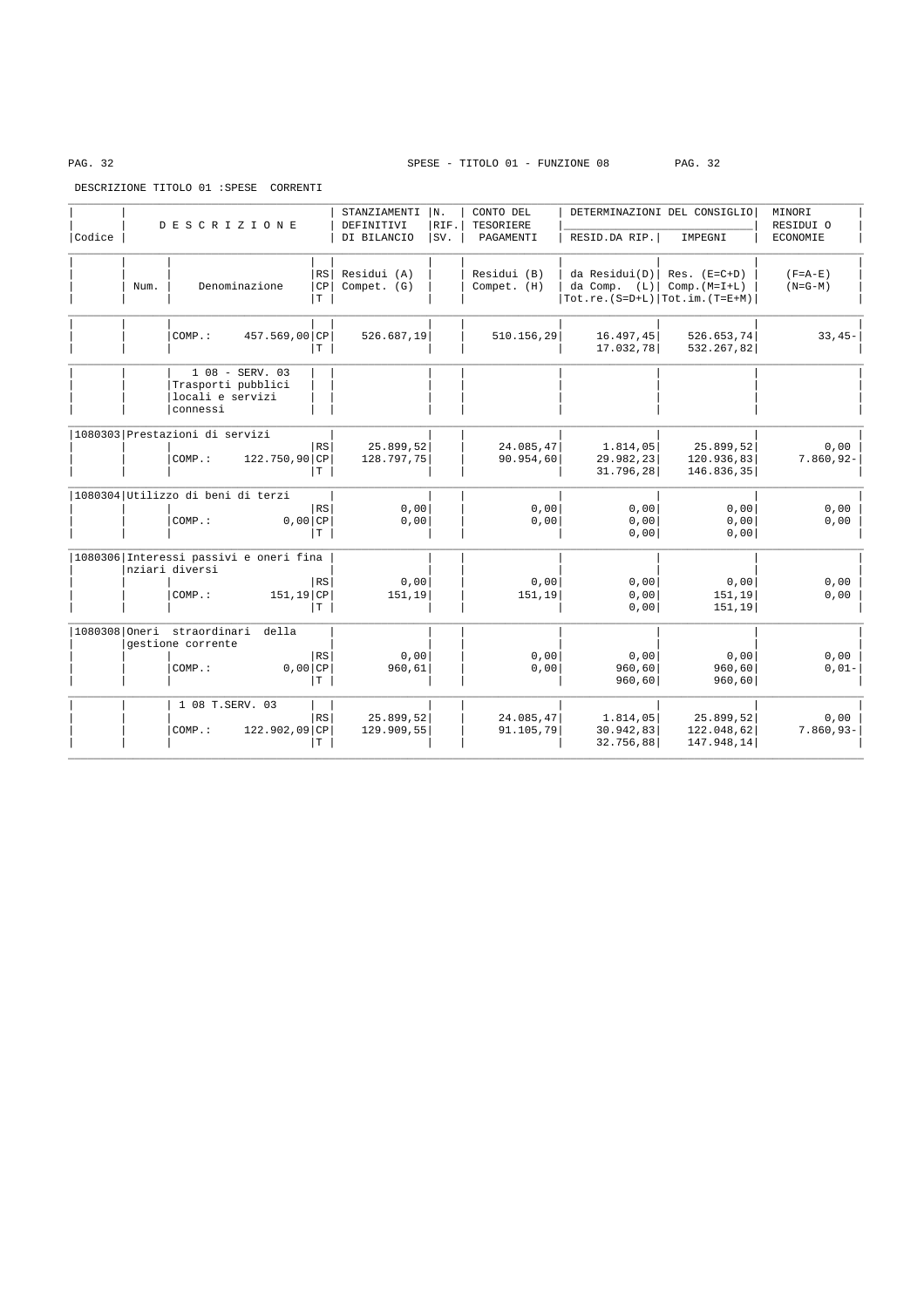## PAG. 32 SPESE - TITOLO 01 - FUNZIONE 08 PAG. 32

| Codice |      | DESCRIZIONE                                        |                                        |               | STANZIAMENTI<br>DEFINITIVI<br>DI BILANCIO | N.<br>RIF.<br>SV. | CONTO DEL<br>TESORIERE<br>PAGAMENTI | RESID.DA RIP.                                     | DETERMINAZIONI DEL CONSIGLIO<br>IMPEGNI                | MINORI<br>RESIDUI 0<br>ECONOMIE |
|--------|------|----------------------------------------------------|----------------------------------------|---------------|-------------------------------------------|-------------------|-------------------------------------|---------------------------------------------------|--------------------------------------------------------|---------------------------------|
|        | Num. |                                                    | Denominazione                          | RS<br>CP<br>T | Residui (A)<br>Compet. $(G)$              |                   | Residui (B)<br>Compet. (H)          | da Residui(D)<br>da Comp. $(L)  $ Comp. $(M=I+L)$ | $Res.$ $(E=C+D)$<br>$ Tot.re.(S=D+L)   Tot.in.(T=E+M)$ | $(F = A - E)$<br>$(N = G - M)$  |
|        |      | COMP:                                              | 457.569,00 CP                          | T.            | 526.687,19                                |                   | 510.156,29                          | 16.497,45<br>17.032,78                            | 526.653,74<br>532.267,82                               | $33, 45-$                       |
|        |      | Trasporti pubblici<br>locali e servizi<br>connessi | 1 08 - SERV. 03                        |               |                                           |                   |                                     |                                                   |                                                        |                                 |
|        |      | 1080303 Prestazioni di servizi                     |                                        |               |                                           |                   |                                     |                                                   |                                                        |                                 |
|        |      | $COMP$ .:                                          | 122.750,90 CP                          | l RS.<br>T    | 25.899,52<br>128.797,75                   |                   | 24.085,47<br>90.954,60              | 1.814,05<br>29.982,23<br>31.796, 28               | 25.899,52<br>120.936,83<br>146.836,35                  | 0,00<br>$7.860, 92 -$           |
|        |      | 1080304 Utilizzo di beni di terzi                  |                                        |               |                                           |                   |                                     |                                                   |                                                        |                                 |
|        |      | COMP.:                                             | $0.00$ <sub>c</sub> $P$                | RS<br>T       | 0,00<br>0,00                              |                   | 0,00<br>0,00                        | 0,00<br>0,00<br>0,00                              | 0,00<br>0,00<br>0,00                                   | 0,00<br>0,00                    |
|        |      |                                                    | 1080306 Interessi passivi e oneri fina |               |                                           |                   |                                     |                                                   |                                                        |                                 |
|        |      | nziari diversi<br>COMP.:                           | $151, 19$ CP                           | RS<br>T       | 0,00<br>151,19                            |                   | 0,00<br>151,19                      | 0,00<br>0,00<br>0,00                              | 0,00<br>151, 19<br>151, 19                             | 0,00<br>0,00                    |
|        |      | 1080308 Oneri straordinari                         | della                                  |               |                                           |                   |                                     |                                                   |                                                        |                                 |
|        |      | gestione corrente<br>COMP:                         | $0.00$ <sub>c</sub> $P$                | RS<br>T       | 0,00<br>960,61                            |                   | 0,00<br>0,00                        | 0.00<br>960, 60<br>960, 60                        | 0,00<br>960, 60<br>960,60                              | 0.00<br>$0,01-$                 |
|        |      | 1 08 T.SERV. 03<br>COMP:                           | 122.902.09 CP                          | RS<br>T       | 25.899,52<br>129.909,55                   |                   | 24.085, 47<br>91.105, 79            | 1.814.05<br>30.942, 83<br>32.756,88               | 25.899,52<br>122.048,62<br>147.948, 14                 | 0,00<br>$7.860, 93 -$           |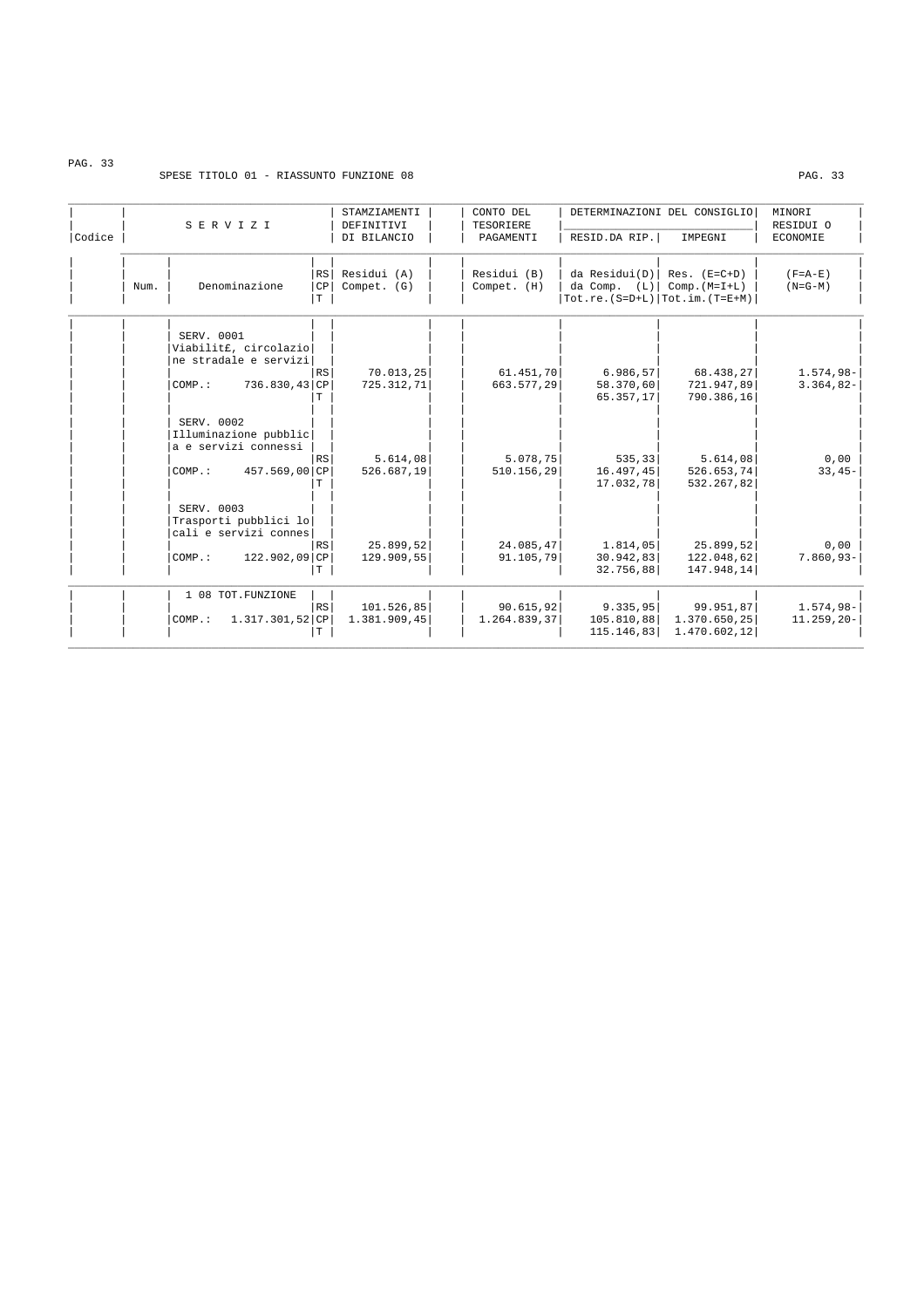## PAG. 33 SPESE TITOLO 01 - RIASSUNTO FUNZIONE 08 PAG. 33

| Codice |      | SERVIZI                                                                                 |                                        | STAMZIAMENTI<br>DEFINITIVI<br>DI BILANCIO | CONTO DEL<br>TESORIERE<br>PAGAMENTI | RESID.DA RIP.                                                                                           | DETERMINAZIONI DEL CONSIGLIO<br>IMPEGNI    | MINORI<br>RESIDUI O<br><b>ECONOMIE</b> |
|--------|------|-----------------------------------------------------------------------------------------|----------------------------------------|-------------------------------------------|-------------------------------------|---------------------------------------------------------------------------------------------------------|--------------------------------------------|----------------------------------------|
|        | Num. | Denominazione                                                                           | R <sub>S</sub><br>C <sub>P</sub><br>lт | Residui (A)<br>Compet. (G)                | Residui (B)<br>Compet. (H)          | da Residui(D)   Res. $(E=C+D)$<br>da Comp. $(L)$ Comp. $(M=I+L)$<br>$ Tot,re.(S=D+L)   Tot.in.(T=E+M) $ |                                            | $(F=A-E)$<br>$( N = G - M )$           |
|        |      | SERV. 0001<br>Viabilit£, circolazio<br>ne stradale e servizi<br>736.830,43 CP<br>COMP:  | RS                                     | 70.013, 25<br>725.312,71                  | 61.451,70<br>663.577,29             | 6.986, 57<br>58.370,60<br>65.357.17                                                                     | 68.438,27<br>721.947,89<br>790.386.16      | $1.574.98 -$<br>$3.364,82-$            |
|        |      | SERV. 0002<br>Illuminazione pubblic<br>a e servizi connessi<br>457.569,00 CP<br>COMP:   | <b>RS</b>                              | 5.614,08<br>526.687,19                    | 5.078, 75<br>510.156, 29            | 535, 33<br>16.497,45<br>17.032.78                                                                       | 5.614,08<br>526.653,74<br>532.267,82       | 0,00<br>$33,45-$                       |
|        |      | SERV. 0003<br>Trasporti pubblici lo<br>cali e servizi connes<br>COMP.:<br>122.902,09 CP | RS<br>т                                | 25.899,52<br>129.909,55                   | 24.085,47<br>91.105.79              | 1.814,05<br>30.942, 83<br>32.756,88                                                                     | 25.899,52<br>122.048,62<br>147.948,14      | 0,00<br>$7.860, 93 -$                  |
|        |      | 1 08 TOT. FUNZIONE<br>COMP.: 1.317.301.52 CP                                            | <b>RS</b>                              | 101.526, 85<br>1.381.909.45               | 90.615, 92<br>1.264.839.37          | 9.335,95<br>105.810,88<br>115.146.83                                                                    | 99.951,87<br>1.370.650.25<br>1.470.602, 12 | $1.574.98 -$<br>$11.259.20 -$          |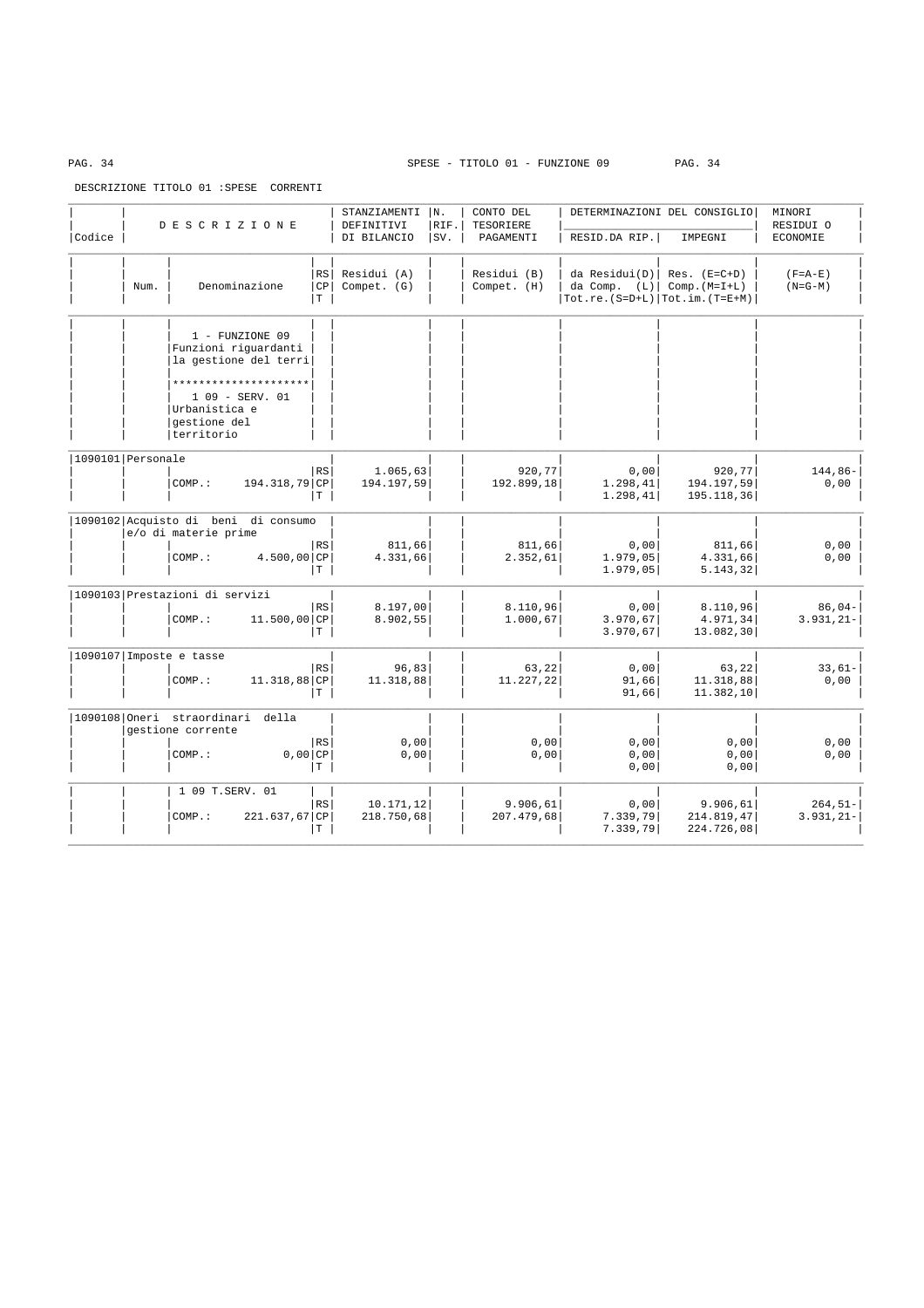## PAG. 34 SPESE - TITOLO 01 - FUNZIONE 09 PAG. 34

| Codice            |      | DESCRIZIONE                                                                             |                          | STANZIAMENTI<br>$ N$ .<br>DEFINITIVI<br>SV.<br>DI BILANCIO | CONTO DEL<br>RIF.<br>TESORIERE<br>PAGAMENTI | RESID.DA RIP.                            | DETERMINAZIONI DEL CONSIGLIO<br>IMPEGNI                                                                  | MINORI<br>RESIDUI 0<br>ECONOMIE  |
|-------------------|------|-----------------------------------------------------------------------------------------|--------------------------|------------------------------------------------------------|---------------------------------------------|------------------------------------------|----------------------------------------------------------------------------------------------------------|----------------------------------|
|                   | Num. | Denominazione                                                                           | RS<br>CP<br>IТ           | Residui (A)<br>Compet. (G)                                 | Residui (B)<br>Compet. (H)                  |                                          | da Residui(D)   Res. $(E=C+D)$<br>da Comp. $(L)$ Comp. $(M=I+L)$<br>$ Tot.re.(S=D+L)   Tot.in.(T=E+M)  $ | $(F = A - E)$<br>$( N = G - M )$ |
|                   |      | 1 - FUNZIONE 09<br>Funzioni riguardanti<br>la gestione del terri                        |                          |                                                            |                                             |                                          |                                                                                                          |                                  |
|                   |      | *********************<br>1 09 - SERV. 01<br>Urbanistica e<br>gestione del<br>territorio |                          |                                                            |                                             |                                          |                                                                                                          |                                  |
| 1090101 Personale |      | 194.318,79 CP<br>COMP.:                                                                 | RS<br>T                  | 1.065,63<br>194.197,59                                     | 192.899,18                                  | 920,77<br>0,00<br>1.298, 41<br>1.298, 41 | 920, 77<br>194.197,59<br>195.118,36                                                                      | $144,86-$<br>0,00                |
|                   |      | 1090102 Acquisto di beni di consumo<br>e/o di materie prime                             |                          |                                                            |                                             |                                          |                                                                                                          |                                  |
|                   |      | 4.500,00 CP<br>COMP:                                                                    | l RS.<br>IΤ.             | 811,66<br>4.331,66                                         | 2.352,61                                    | 811,66<br>0,00<br>1.979,05<br>1.979,05   | 811,66<br>4.331,66<br>5.143, 32                                                                          | 0,00<br>0,00                     |
|                   |      | 1090103 Prestazioni di servizi                                                          |                          |                                                            |                                             |                                          |                                                                                                          |                                  |
|                   |      | 11.500,00 CP<br>COMP:                                                                   | <b>RS</b><br>T           | 8.197,00<br>8.902,55                                       | 8.110,96<br>1.000, 67                       | 0,00<br>3.970, 67<br>3.970, 67           | 8.110,96<br>4.971, 34<br>13.082, 30                                                                      | $86,04-$<br>$3.931, 21 -$        |
|                   |      | 1090107 Imposte e tasse                                                                 | RS                       | 96.83                                                      |                                             |                                          | 63, 22                                                                                                   | $33.61 -$                        |
|                   |      | 11.318,88 CP<br>COMP:                                                                   | T.                       | 11.318,88                                                  | 11.227,22                                   | 63,22<br>0,00<br>91,66<br>91,66          | 11.318,88<br>11.382, 10                                                                                  | 0,00                             |
|                   |      | 1090108 Oneri straordinari<br>della                                                     |                          |                                                            |                                             |                                          |                                                                                                          |                                  |
|                   |      | gestione corrente<br>COMP:                                                              | RS <br>$0,00$  CP<br>T.  | 0,00<br>0,00                                               |                                             | 0,00<br>0,00<br>0,00<br>0,00<br>0,00     | 0,00<br>0,00<br>0,00                                                                                     | 0,00<br>0,00                     |
|                   |      | 1 09 T.SERV. 01<br>221.637,67 CP<br>COMP.:                                              | <b>RS</b><br>$\mathbb T$ | 10.171,12<br>218.750,68                                    | 9.906, 61<br>207.479,68                     | 0,00<br>7.339,79<br>7.339,79             | 9.906, 61<br>214.819,47<br>224.726,08                                                                    | $264,51-$<br>$3.931, 21 -$       |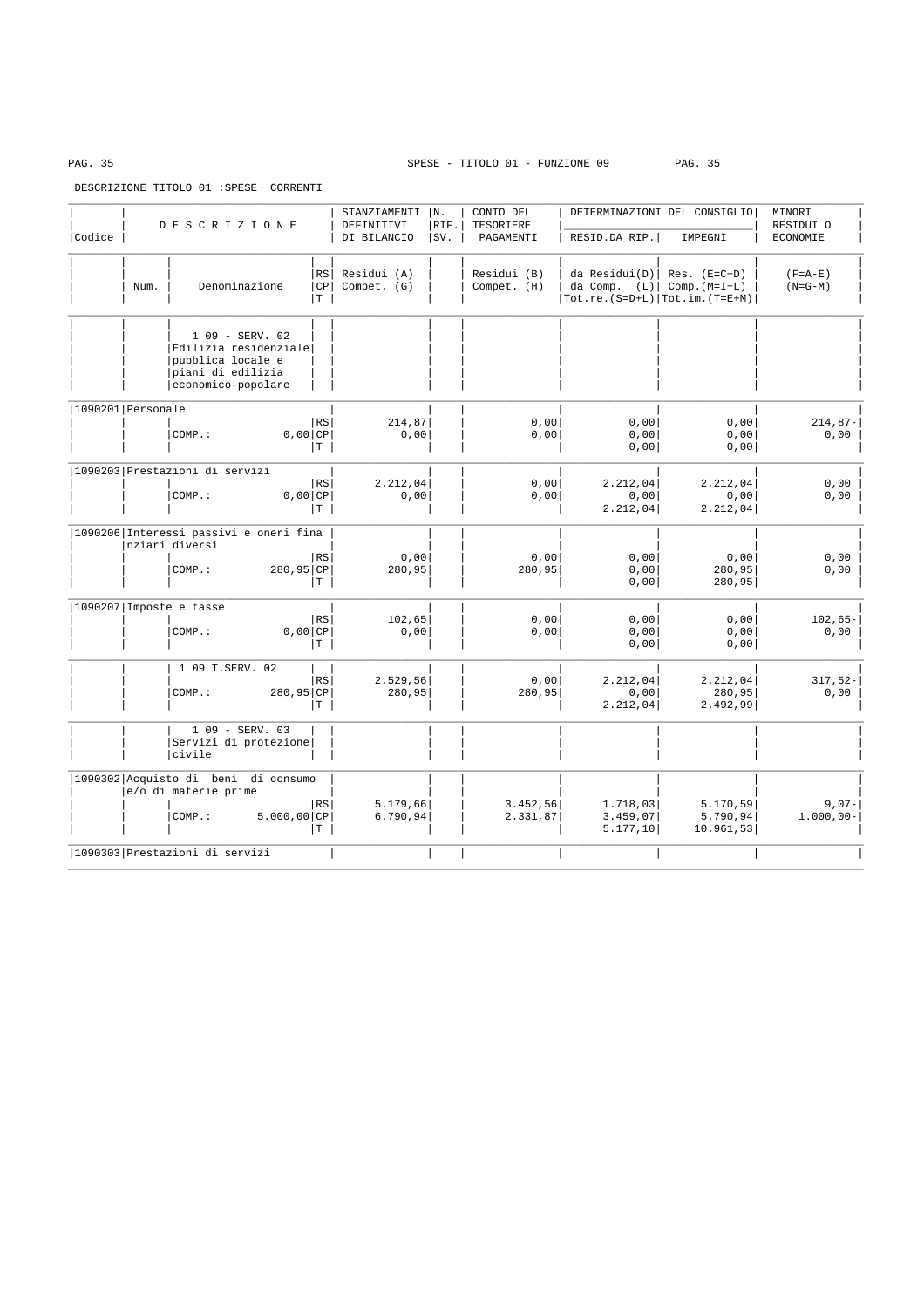# PAG. 35 SPESE - TITOLO 01 - FUNZIONE 09 PAG. 35

| Codice            |      | DESCRIZIONE                                                                                              |                   | STANZIAMENTI<br>DEFINITIVI<br>DI BILANCIO | $ N$ .<br>RIF.<br>Isv. | CONTO DEL<br>TESORIERE<br>PAGAMENTI | RESID.DA RIP.                     | DETERMINAZIONI DEL CONSIGLIO<br>IMPEGNI                                                                 | MINORI<br>RESIDUI 0<br>ECONOMIE |
|-------------------|------|----------------------------------------------------------------------------------------------------------|-------------------|-------------------------------------------|------------------------|-------------------------------------|-----------------------------------|---------------------------------------------------------------------------------------------------------|---------------------------------|
|                   | Num. | Denominazione                                                                                            | RS<br>CP<br>IТ    | Residui (A)<br>$Compet.$ (G)              |                        | Residui (B)<br>Compet. (H)          |                                   | da Residui(D)   Res. $(E=C+D)$<br>da Comp. $(L)$ Comp. $(M=I+L)$<br>$Tot.re.(S=D+L)   Tot.in.(T=E+M)  $ | $(F = A - E)$<br>$(N = G - M)$  |
|                   |      | 1 09 - SERV. 02<br>Edilizia residenziale<br>pubblica locale e<br>piani di edilizia<br>economico-popolare |                   |                                           |                        |                                     |                                   |                                                                                                         |                                 |
| 1090201 Personale |      | $0.00$ <sub>c</sub> $P$<br>COMP.:                                                                        | RS<br>$\mathbf T$ | 214,87<br>0,00                            |                        | 0,00<br>0,00                        | 0,00<br>0,00<br>0,00              | 0,00<br>0,00<br>0,00                                                                                    | $214,87-$<br>0,00               |
|                   |      | 1090203 Prestazioni di servizi<br>$0,00$  CP<br>COMP:                                                    | RS<br>T           | 2.212,04<br>0,00                          |                        | 0,00<br>0,00                        | 2.212,04<br>0,00<br>2.212,04      | 2.212,04<br>0,00<br>2.212,04                                                                            | 0,00<br>0,00                    |
|                   |      | 1090206 Interessi passivi e oneri fina<br>nziari diversi<br>280,95 CP<br>COMP:                           | RS<br>Г           | 0,00<br>280,95                            |                        | 0,00<br>280,95                      | 0,00<br>0,00<br>0,00              | 0,00<br>280,95<br>280,95                                                                                | 0,00<br>0,00                    |
|                   |      | 1090207 Imposte e tasse<br>$0,00$  CP<br>COMP:                                                           | RS<br>$\mathbf T$ | 102,65<br>0,00                            |                        | 0,00<br>0,00                        | 0,00<br>0,00<br>0,00              | 0,00<br>0,00<br>0,00                                                                                    | $102,65-$<br>0,00               |
|                   |      | 1 09 T.SERV. 02<br>COMP.:<br>280,95 CP                                                                   | RS<br>T.          | 2.529,56<br>280,95                        |                        | 0,00<br>280,95                      | 2.212,04<br>0,00<br>2.212,04      | 2.212,04<br>280,95<br>2.492,99                                                                          | $317,52-$<br>0,00               |
|                   |      | 1 09 - SERV. 03<br>Servizi di protezione<br>civile                                                       |                   |                                           |                        |                                     |                                   |                                                                                                         |                                 |
|                   |      | 1090302 Acquisto di beni di consumo<br>e/o di materie prime<br>$5.000,00$ CP<br>COMP:                    | RS<br>T           | 5.179,66<br>6.790,94                      |                        | 3.452,56<br>2.331,87                | 1.718,03<br>3.459,07<br>5.177, 10 | 5.170, 59<br>5.790, 94<br>10.961,53                                                                     | $9,07-$<br>$1.000,00-$          |
|                   |      | 1090303 Prestazioni di servizi                                                                           |                   |                                           |                        |                                     |                                   |                                                                                                         |                                 |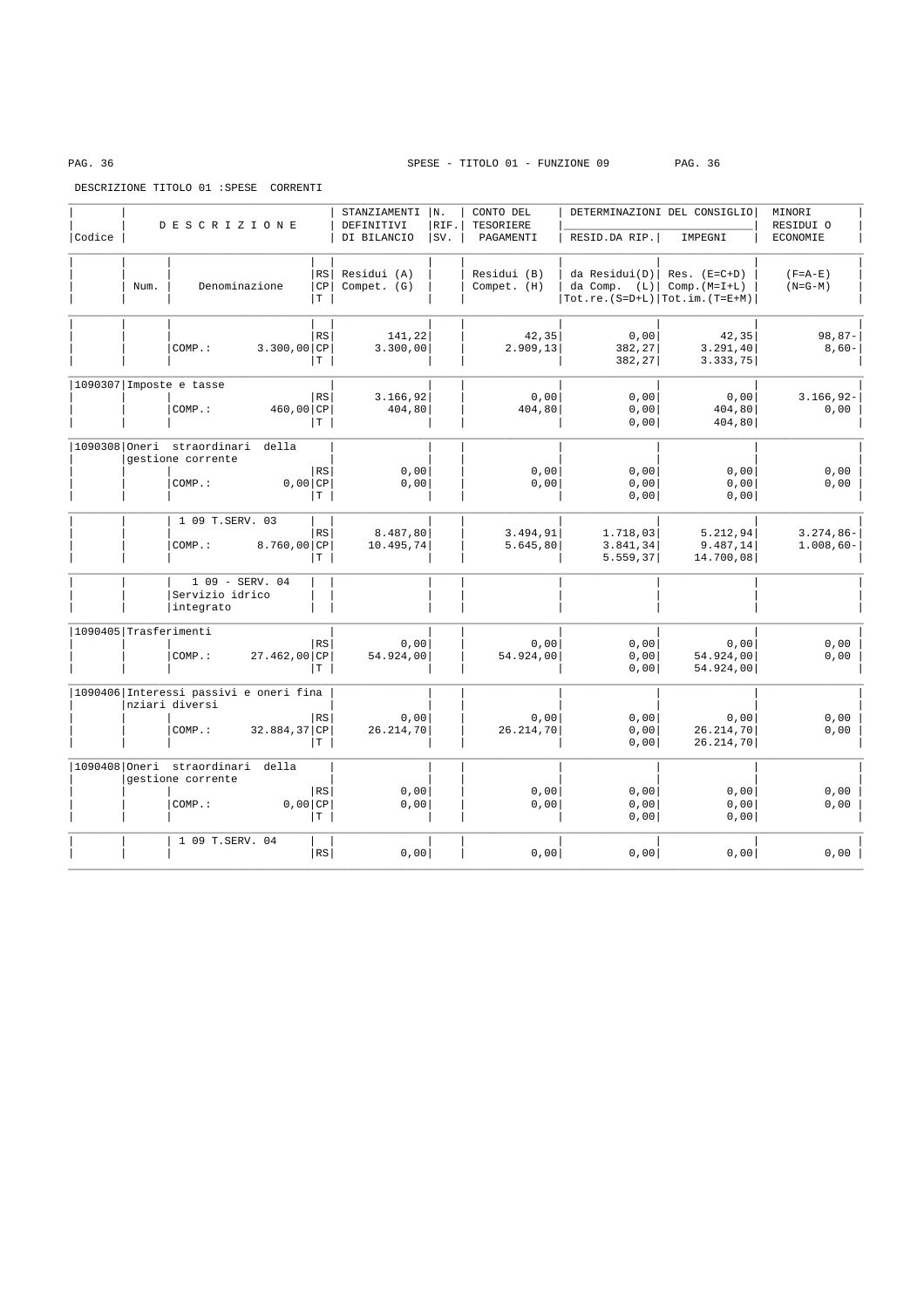## PAG. 36 SPESE - TITOLO 01 - FUNZIONE 09 PAG. 36

| Codice                |      | DESCRIZIONE                                                                        |                   | STANZIAMENTI<br>DEFINITIVI<br>DI BILANCIO | $ N$ .<br>RIF.<br>Isv. | CONTO DEL<br>TESORIERE<br>PAGAMENTI | RESID.DA RIP.                     | DETERMINAZIONI DEL CONSIGLIO<br>IMPEGNI                                                                 | MINORI<br>RESIDUI 0<br>ECONOMIE |
|-----------------------|------|------------------------------------------------------------------------------------|-------------------|-------------------------------------------|------------------------|-------------------------------------|-----------------------------------|---------------------------------------------------------------------------------------------------------|---------------------------------|
|                       | Num. | Denominazione                                                                      | RS<br>CP<br>IТ    | Residui (A)<br>$Compet.$ (G)              |                        | Residui (B)<br>Compet. (H)          |                                   | da Residui(D)   Res. $(E=C+D)$<br>da Comp. $(L)$ Comp. $(M=I+L)$<br>$Tot.re.(S=D+L)   Tot.in.(T=E+M)  $ | $(F=A-E)$<br>$( N = G - M )$    |
|                       |      | COMP:<br>$3.300.00$ CP                                                             | RS<br>$\mathbf T$ | 141,22<br>3.300,00                        |                        | 42,35<br>2.909,13                   | 0,00<br>382,27<br>382,27          | 42,35<br>3.291, 40<br>3.333,75                                                                          | $98,87-$<br>$8,60-$             |
|                       |      | 1090307 Imposte e tasse<br>460,00 CP<br>COMP:                                      | RS<br>IT.         | 3.166,92<br>404,80                        |                        | 0,00<br>404,80                      | 0,00<br>0,00<br>0,00              | 0,00<br>404,80<br>404,80                                                                                | $3.166, 92 -$<br>0,00           |
|                       |      | 1090308 Oneri straordinari<br>della                                                |                   |                                           |                        |                                     |                                   |                                                                                                         |                                 |
|                       |      | gestione corrente<br>$0,00$  CP<br>COMP.:                                          | RS<br>T.          | 0,00<br>0,00                              |                        | 0,00<br>0,00                        | 0,00<br>0,00<br>0,00              | 0,00<br>0,00<br>0,00                                                                                    | 0,00<br>0,00                    |
|                       |      | 1 09 T.SERV. 03<br>$8.760,00$ CP<br>COMP:                                          | RS<br>T           | 8.487,80<br>10.495,74                     |                        | 3.494, 91<br>5.645,80               | 1.718,03<br>3.841,34<br>5.559, 37 | 5.212,94<br>9.487, 14<br>14.700,08                                                                      | $3.274,86-$<br>$1.008,60 -$     |
|                       |      | 1 09 - SERV. 04<br>Servizio idrico<br>integrato                                    |                   |                                           |                        |                                     |                                   |                                                                                                         |                                 |
| 1090405 Trasferimenti |      | COMP:<br>27.462,00 CP                                                              | RS<br>$\mathbf T$ | 0.00<br>54.924,00                         |                        | 0.00<br>54.924,00                   | 0.00<br>0,00<br>0,00              | 0.00<br>54.924,00<br>54.924,00                                                                          | 0.00<br>0,00                    |
|                       |      | 1090406 Interessi passivi e oneri fina<br>nziari diversi<br>COMP.:<br>32.884,37 CP | RS<br>IΤ.         | 0,00<br>26.214,70                         |                        | 0,00<br>26.214,70                   | 0,00<br>0,00<br>0,00              | 0,00<br>26.214,70<br>26.214,70                                                                          | 0,00<br>0,00                    |
|                       |      | 1090408 Oneri straordinari della<br>gestione corrente<br>$0,00$  CP<br>COMP:       | RS<br>T           | 0,00<br>0,00                              |                        | 0,00<br>0,00                        | 0,00<br>0,00<br>0,00              | 0,00<br>0,00<br>0,00                                                                                    | 0,00<br>0,00                    |
|                       |      | 1 09 T.SERV. 04                                                                    | RS                | 0,00                                      |                        | 0,00                                | 0,00                              | 0,00                                                                                                    | 0,00                            |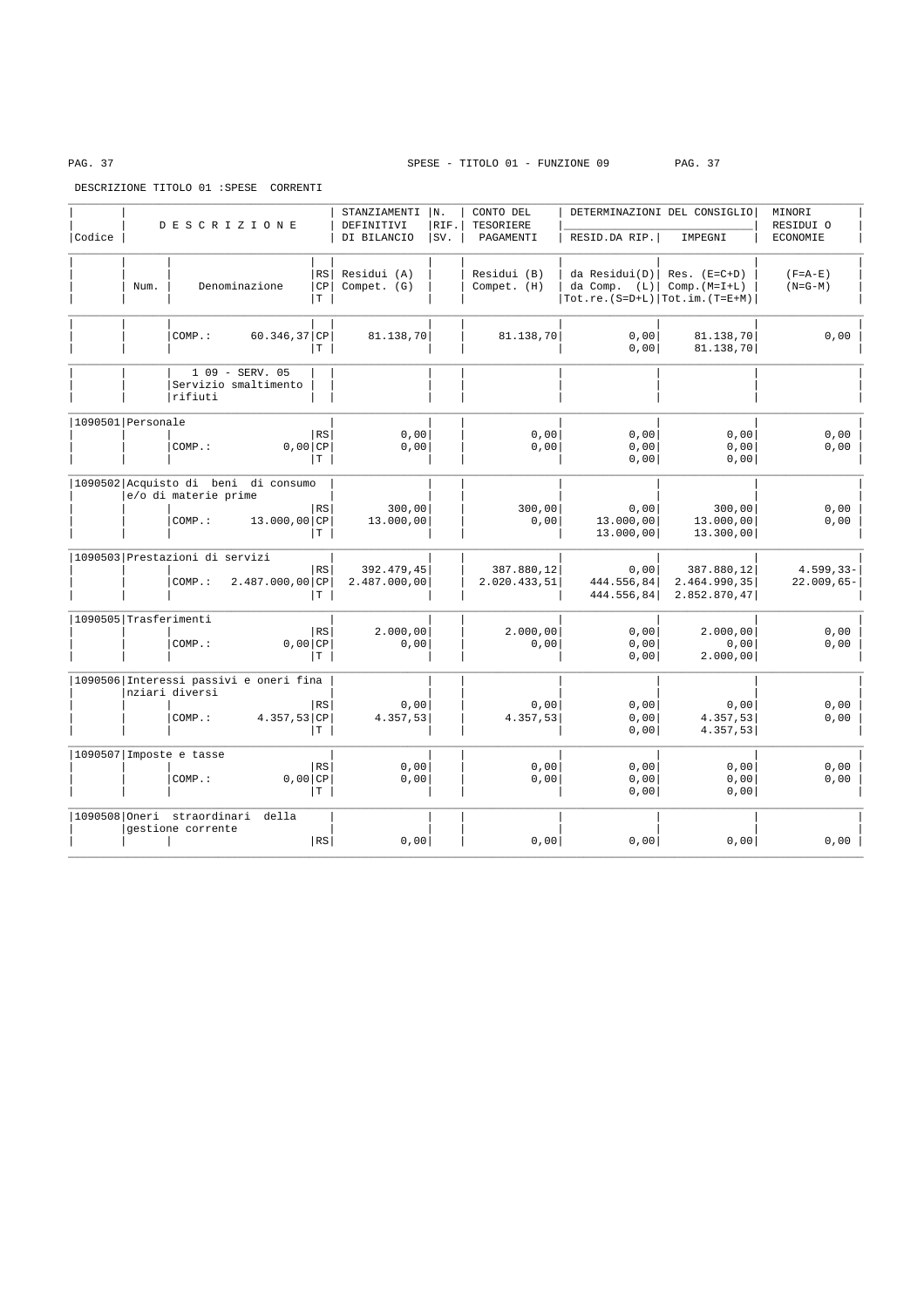## PAG. 37 **SPESE - TITOLO 01 - FUNZIONE 09** PAG. 37

| Codice                |      |                                | DESCRIZIONE                             |                | STANZIAMENTI<br>$ N$ .<br>DEFINITIVI<br>DI BILANCIO | RIF.<br>SV. | CONTO DEL<br>TESORIERE<br>PAGAMENTI | RESID.DA RIP.                                                                                          | DETERMINAZIONI DEL CONSIGLIO<br>IMPEGNI     | MINORI<br>RESIDUI 0<br><b>ECONOMIE</b> |
|-----------------------|------|--------------------------------|-----------------------------------------|----------------|-----------------------------------------------------|-------------|-------------------------------------|--------------------------------------------------------------------------------------------------------|---------------------------------------------|----------------------------------------|
|                       | Num. |                                | Denominazione                           | RS<br>CP<br>IТ | Residui (A)<br>$Compet.$ (G)                        |             | Residui (B)<br>Compet. (H)          | da Residui(D)   Res. $(E=C+D)$<br>da Comp. $(L)$ Comp. $(M=I+L)$<br>$ Tot.re.(S=D+L)   Tot.in.(T=E+M)$ |                                             | $(F=A-E)$<br>$(N = G - M)$             |
|                       |      | COMP:                          | 60.346,37 CP                            | T              | 81.138,70                                           |             | 81.138,70                           | 0.00<br>0,00                                                                                           | 81.138,70<br>81.138,70                      | 0,00                                   |
|                       |      | rifiuti                        | 1 09 - SERV. 05<br>Servizio smaltimento |                |                                                     |             |                                     |                                                                                                        |                                             |                                        |
| 1090501 Personale     |      |                                |                                         |                |                                                     |             |                                     |                                                                                                        |                                             |                                        |
|                       |      | COMP:                          | $0,00$  CP                              | RS<br>T        | 0,00<br>0,00                                        |             | 0,00<br>0,00                        | 0,00<br>0,00<br>0,00                                                                                   | 0,00<br>0,00<br>0,00                        | 0,00<br>0,00                           |
|                       |      |                                | 1090502 Acquisto di beni di consumo     |                |                                                     |             |                                     |                                                                                                        |                                             |                                        |
|                       |      | e/o di materie prime           |                                         | RS             | 300,00                                              |             | 300,00                              | 0,00                                                                                                   | 300,00                                      | 0,00                                   |
|                       |      | COMP:                          | 13.000,00 CP                            | IТ             | 13.000,00                                           |             | 0,00                                | 13.000,00<br>13.000,00                                                                                 | 13.000,00<br>13.300,00                      | 0,00                                   |
|                       |      | 1090503 Prestazioni di servizi |                                         |                |                                                     |             |                                     |                                                                                                        |                                             |                                        |
|                       |      | COMP.:                         | $2.487.000,00$ CP                       | <b>RS</b><br>T | 392.479,45<br>2.487.000,00                          |             | 387.880,12<br>2.020.433,51          | 0,00<br>444.556,84<br>444.556,84                                                                       | 387.880,12<br>2.464.990,35<br>2.852.870, 47 | $4.599.33-$<br>$22.009,65 -$           |
| 1090505 Trasferimenti |      |                                |                                         |                |                                                     |             |                                     |                                                                                                        |                                             |                                        |
|                       |      | COMP:                          | $0,00$  CP                              | RS<br>IΤ.      | 2.000,00<br>0,00                                    |             | 2.000,00<br>0,00                    | 0,00<br>0,00<br>0,00                                                                                   | 2.000,00<br>0,00<br>2.000,00                | $0,00$<br>0,00                         |
|                       |      |                                | 1090506 Interessi passivi e oneri fina  |                |                                                     |             |                                     |                                                                                                        |                                             |                                        |
|                       |      | nziari diversi<br>COMP:        | 4.357,53 CP                             | RS<br>T        | 0,00<br>4.357,53                                    |             | 0,00<br>4.357,53                    | 0,00<br>0,00<br>0,00                                                                                   | 0,00<br>4.357,53<br>4.357,53                | 0,00<br>0,00                           |
|                       |      | 1090507 Imposte e tasse        |                                         |                |                                                     |             |                                     |                                                                                                        |                                             |                                        |
|                       |      | COMP.:                         | $0.00$ <sub>c</sub> $P$                 | RS<br>T        | 0,00<br>0,00                                        |             | 0,00<br>0,00                        | 0,00<br>0,00<br>0,00                                                                                   | 0,00<br>0,00<br>0,00                        | 0,00<br>0,00                           |
| 1090508 Oneri         |      | straordinari                   | della                                   |                |                                                     |             |                                     |                                                                                                        |                                             |                                        |
|                       |      | gestione corrente              |                                         | RS             | 0,00                                                |             | 0,00                                | 0,00                                                                                                   | 0,00                                        | 0,00                                   |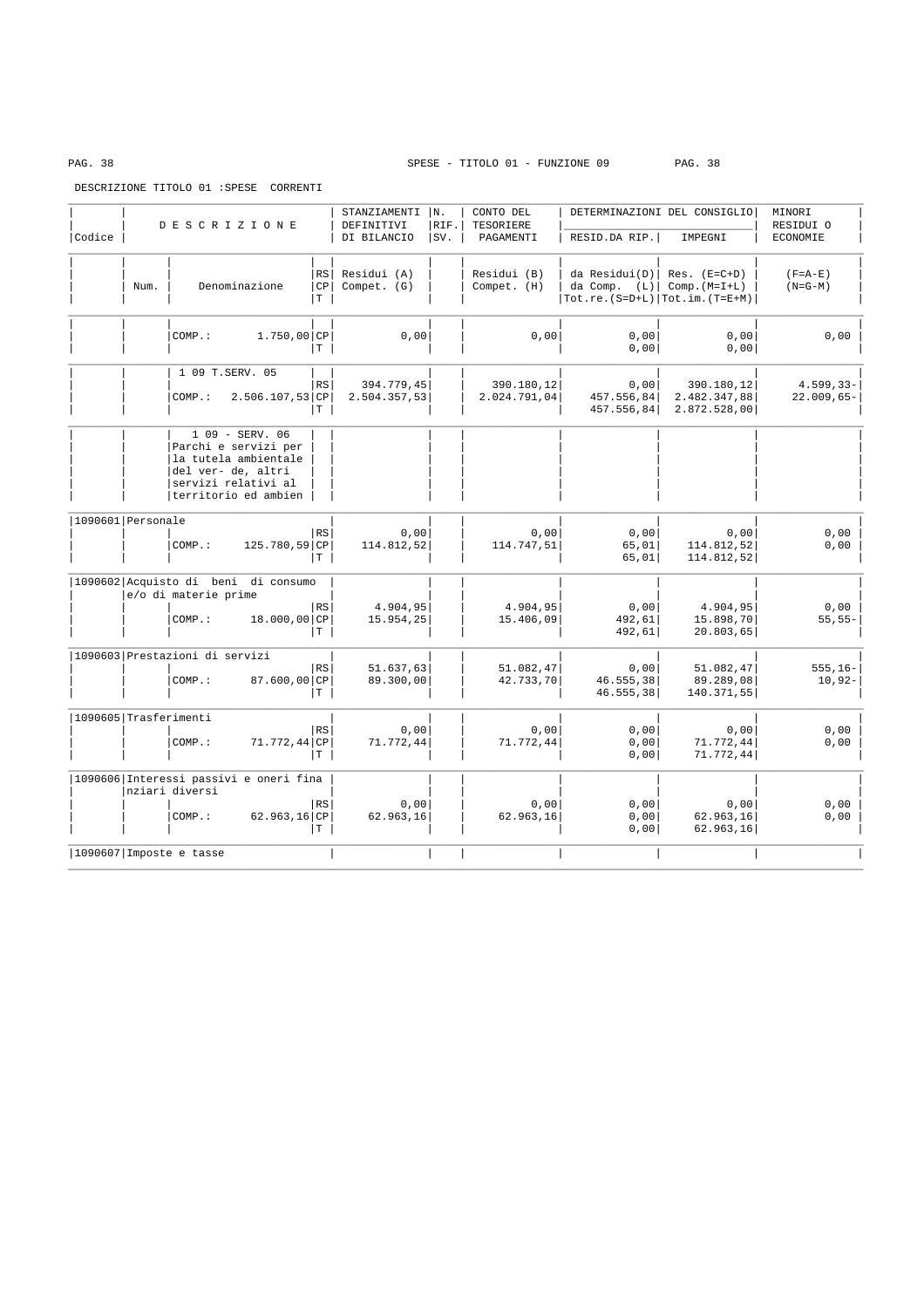## PAG. 38 SPESE - TITOLO 01 - FUNZIONE 09 PAG. 38

| RS<br>Residui (A)<br>Residui (B)<br>da Residui(D)   Res. $(E=C+D)$<br>$(F=A-E)$<br>Denominazione<br>CP<br>$Compet.$ (G)<br>da Comp. $(L)$ Comp. $(M=I+L)$<br>Compet. (H)<br>$( N = G - M )$<br>Num.<br>IТ<br>$Tot.re.(S=D+L)   Tot.in.(T=E+M)$<br>1.750,00 CP<br>0,00<br>0,00<br>0,00<br>0,00<br>0,00<br>COMP:<br>0,00<br>0,00<br>$\mathbb T$<br>1 09 T.SERV. 05<br>RS<br>394.779,45<br>390.180,12<br>0,00<br>390.180,12<br>$4.599.33-$<br>COMP.:<br>2.506.107,53 CP<br>2.504.357,53<br>2.024.791,04<br>457.556,84<br>2.482.347,88<br>$22.009,65 -$<br>457.556,84<br>2.872.528,00<br>IT.<br>1 09 - SERV, 06<br>Parchi e servizi per<br>la tutela ambientale<br>del ver- de, altri<br>servizi relativi al<br>territorio ed ambien<br>1090601 Personale<br>0,00<br>0,00<br>0,00<br>0,00<br>0,00<br> RS<br>125.780,59 CP<br>114.812,52<br>114.747,51<br>114.812,52<br>65,01<br>0,00<br>COMP:<br>IΤ.<br>65,01<br>114.812,52<br>1090602 Acquisto di beni di consumo<br>e/o di materie prime<br>4.904,95<br>4.904,95<br>0,00<br>4.904,95<br>0,00<br> RS<br>COMP.:<br>18.000,00 CP<br>15.954,25<br>15.406,09<br>492,61<br>15.898,70<br>$55, 55 -$<br>T<br>492,61<br>20.803,65<br>1090603 Prestazioni di servizi<br> RS<br>51.637,63<br>51.082,47<br>0,00<br>51.082,47<br>$555, 16 -$<br>87.600,00 CP<br>89.300,00<br>COMP:<br>42.733,70<br>46.555,38<br>89.289,08<br>$10,92-$<br>T<br>46.555, 38<br>140.371,55<br>1090605 Trasferimenti<br>0,00<br>0,00<br>0,00<br>0,00<br>0,00<br>  RS<br>71.772,44 CP<br>71.772,44<br>71.772,44<br>0,00<br>71.772,44<br>0,00<br>COMP:<br>0,00<br>71.772,44<br>IΤ.<br>1090606 Interessi passivi e oneri fina<br>nziari diversi<br>0,00<br>0,00<br>0,00<br>0,00<br>0,00<br>  RS<br>$62.963, 16$ CP<br>62.963,16<br>62.963,16<br>0,00<br>62.963, 16<br>0,00<br>COMP:<br>0,00<br>T<br>62.963, 16 | Codice | DESCRIZIONE | STANZIAMENTI<br>$ N$ .<br>RIF.<br>DEFINITIVI<br>DI BILANCIO<br>Isv. | CONTO DEL<br>TESORIERE<br>PAGAMENTI | RESID.DA RIP. | DETERMINAZIONI DEL CONSIGLIO<br>IMPEGNI | MINORI<br>RESIDUI 0<br>ECONOMIE |
|-------------------------------------------------------------------------------------------------------------------------------------------------------------------------------------------------------------------------------------------------------------------------------------------------------------------------------------------------------------------------------------------------------------------------------------------------------------------------------------------------------------------------------------------------------------------------------------------------------------------------------------------------------------------------------------------------------------------------------------------------------------------------------------------------------------------------------------------------------------------------------------------------------------------------------------------------------------------------------------------------------------------------------------------------------------------------------------------------------------------------------------------------------------------------------------------------------------------------------------------------------------------------------------------------------------------------------------------------------------------------------------------------------------------------------------------------------------------------------------------------------------------------------------------------------------------------------------------------------------------------------------------------------------------------------------------------------------------------------------------------------------------------------------------------------------------------|--------|-------------|---------------------------------------------------------------------|-------------------------------------|---------------|-----------------------------------------|---------------------------------|
|                                                                                                                                                                                                                                                                                                                                                                                                                                                                                                                                                                                                                                                                                                                                                                                                                                                                                                                                                                                                                                                                                                                                                                                                                                                                                                                                                                                                                                                                                                                                                                                                                                                                                                                                                                                                                         |        |             |                                                                     |                                     |               |                                         |                                 |
|                                                                                                                                                                                                                                                                                                                                                                                                                                                                                                                                                                                                                                                                                                                                                                                                                                                                                                                                                                                                                                                                                                                                                                                                                                                                                                                                                                                                                                                                                                                                                                                                                                                                                                                                                                                                                         |        |             |                                                                     |                                     |               |                                         |                                 |
|                                                                                                                                                                                                                                                                                                                                                                                                                                                                                                                                                                                                                                                                                                                                                                                                                                                                                                                                                                                                                                                                                                                                                                                                                                                                                                                                                                                                                                                                                                                                                                                                                                                                                                                                                                                                                         |        |             |                                                                     |                                     |               |                                         |                                 |
|                                                                                                                                                                                                                                                                                                                                                                                                                                                                                                                                                                                                                                                                                                                                                                                                                                                                                                                                                                                                                                                                                                                                                                                                                                                                                                                                                                                                                                                                                                                                                                                                                                                                                                                                                                                                                         |        |             |                                                                     |                                     |               |                                         |                                 |
|                                                                                                                                                                                                                                                                                                                                                                                                                                                                                                                                                                                                                                                                                                                                                                                                                                                                                                                                                                                                                                                                                                                                                                                                                                                                                                                                                                                                                                                                                                                                                                                                                                                                                                                                                                                                                         |        |             |                                                                     |                                     |               |                                         |                                 |
|                                                                                                                                                                                                                                                                                                                                                                                                                                                                                                                                                                                                                                                                                                                                                                                                                                                                                                                                                                                                                                                                                                                                                                                                                                                                                                                                                                                                                                                                                                                                                                                                                                                                                                                                                                                                                         |        |             |                                                                     |                                     |               |                                         |                                 |
|                                                                                                                                                                                                                                                                                                                                                                                                                                                                                                                                                                                                                                                                                                                                                                                                                                                                                                                                                                                                                                                                                                                                                                                                                                                                                                                                                                                                                                                                                                                                                                                                                                                                                                                                                                                                                         |        |             |                                                                     |                                     |               |                                         |                                 |
|                                                                                                                                                                                                                                                                                                                                                                                                                                                                                                                                                                                                                                                                                                                                                                                                                                                                                                                                                                                                                                                                                                                                                                                                                                                                                                                                                                                                                                                                                                                                                                                                                                                                                                                                                                                                                         |        |             |                                                                     |                                     |               |                                         |                                 |
| 1090607 Imposte e tasse                                                                                                                                                                                                                                                                                                                                                                                                                                                                                                                                                                                                                                                                                                                                                                                                                                                                                                                                                                                                                                                                                                                                                                                                                                                                                                                                                                                                                                                                                                                                                                                                                                                                                                                                                                                                 |        |             |                                                                     |                                     |               |                                         |                                 |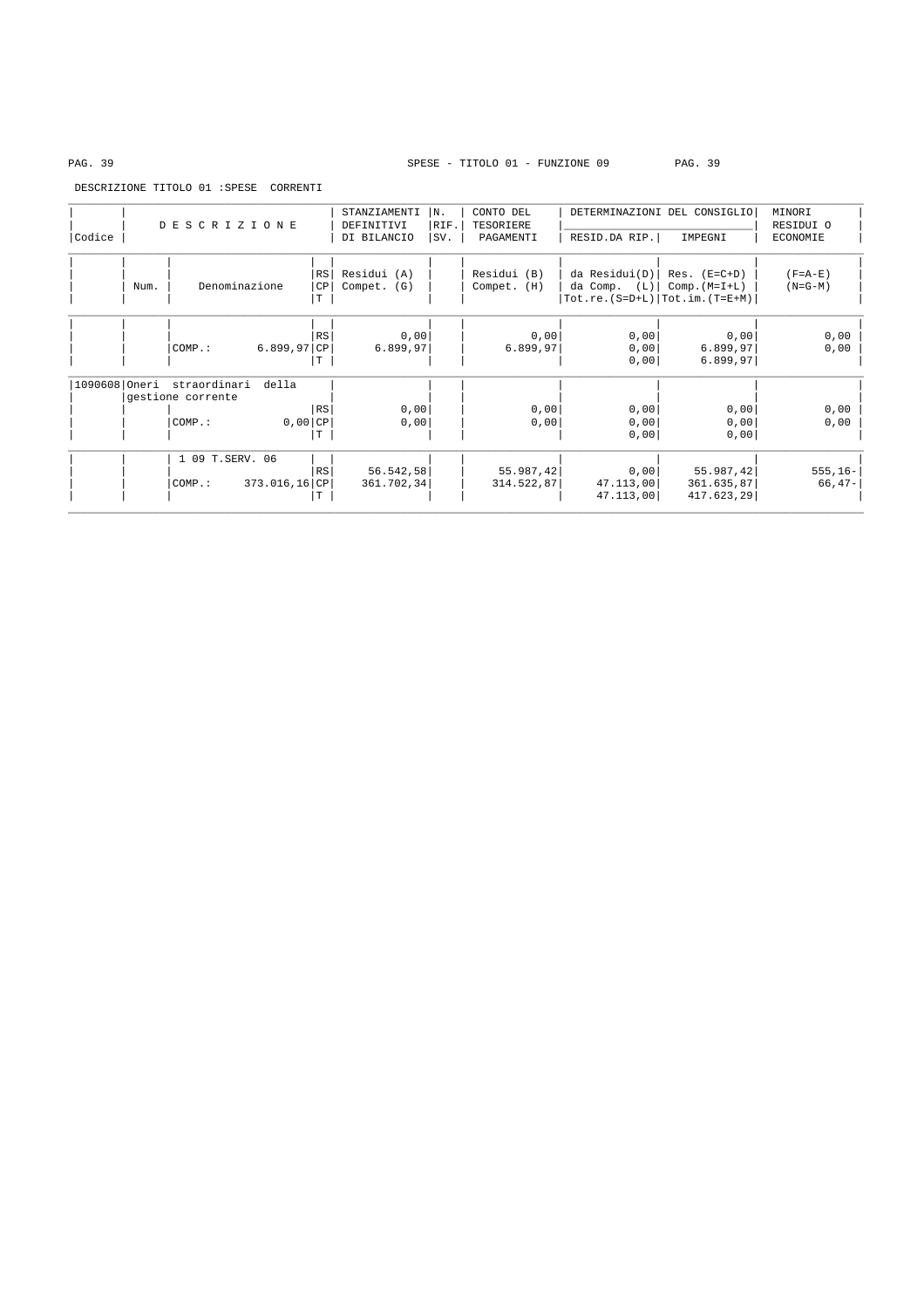## PAG. 39 SPESE - TITOLO 01 - FUNZIONE 09 PAG. 39

| Codice        |      | <b>DESCRIZIONE</b>                |               |                         | STANZIAMENTI<br>DEFINITIVI<br>DI BILANCIO | N.<br>RIF.<br>SV. | CONTO DEL<br>TESORIERE<br>PAGAMENTI | RESID.DA RIP.                                                       | DETERMINAZIONI DEL CONSIGLIO<br>IMPEGNI | MINORI<br>RESIDUI O<br>ECONOMIE |
|---------------|------|-----------------------------------|---------------|-------------------------|-------------------------------------------|-------------------|-------------------------------------|---------------------------------------------------------------------|-----------------------------------------|---------------------------------|
|               | Num. |                                   | Denominazione | RS<br>CP<br>$\mathbf T$ | Residui<br>(A)<br>$Compet.$ (G)           |                   | Residui (B)<br>Compet. (H)          | da Residui(D)<br>da Comp. (L)<br>$ Tot,re.(S=D+L)   Tot.in.(T=E+M)$ | $Res.$ $(E=C+D)$<br>$Comp.(M=I+L)$      | $(F=A-E)$<br>$( N = G - M )$    |
|               |      | COMP:                             | 6.899,97 CP   | <b>RS</b><br>T          | 0,00<br>6.899,97                          |                   | 0,00<br>6.899,97                    | 0,00<br>0,00<br>0,00                                                | 0,00<br>6.899,97<br>6.899,97            | 0,00<br>0,00                    |
| 1090608 Oneri |      | straordinari<br>gestione corrente | della         |                         |                                           |                   |                                     |                                                                     |                                         |                                 |
|               |      | COMP:                             | $0,00$  CP    | RS<br>$\mathbb T$       | 0,00<br>0,00                              |                   | 0,00<br>0,00                        | 0,00<br>0,00<br>0,00                                                | 0,00<br>0,00<br>0,00                    | 0,00<br>0,00                    |
|               |      | 1 09 T.SERV. 06<br>COMP:          | 373.016,16 CP | RS                      | 56.542,58<br>361.702,34                   |                   | 55.987,42<br>314.522,87             | 0,00<br>47.113,00<br>47.113,00                                      | 55.987,42<br>361.635,87<br>417.623, 29  | $555, 16 -$<br>$66, 47-$        |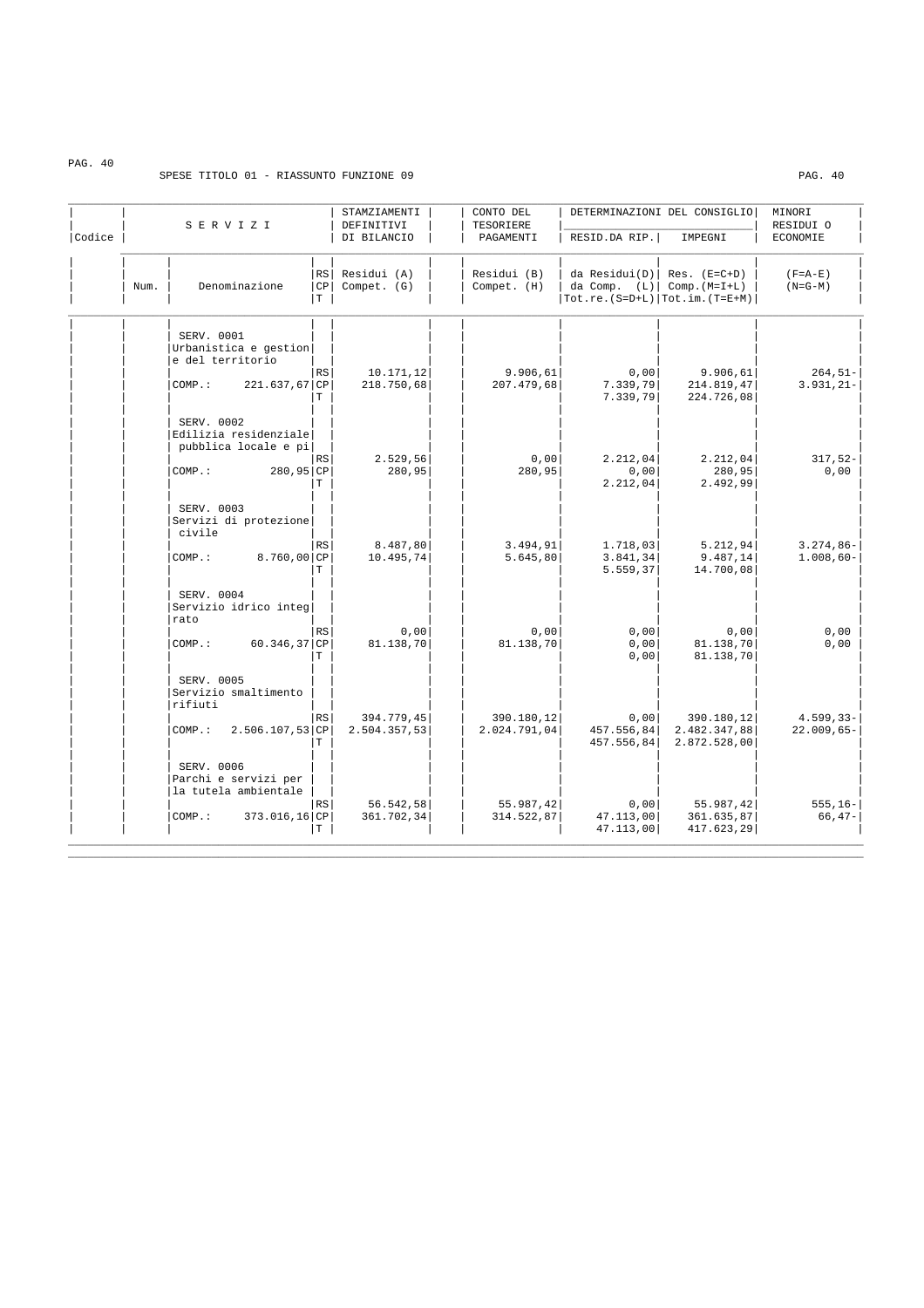# PAG. 40

## SPESE TITOLO 01 - RIASSUNTO FUNZIONE 09

| Codice |      | SERVIZI                                                                                         |                 | STAMZIAMENTI<br>DEFINITIVI<br>DI BILANCIO | CONTO DEL<br>TESORIERE<br>PAGAMENTI | RESID.DA RIP.                                                                                            | DETERMINAZIONI DEL CONSIGLIO<br>IMPEGNI               | MINORI<br>RESIDUI 0<br>ECONOMIE |
|--------|------|-------------------------------------------------------------------------------------------------|-----------------|-------------------------------------------|-------------------------------------|----------------------------------------------------------------------------------------------------------|-------------------------------------------------------|---------------------------------|
|        | Num. | Denominazione                                                                                   | RS <br>CP<br>IΤ | Residui (A)<br>Compet. (G)                | Residui (B)<br>Compet. (H)          | da Residui(D)   Res. $(E=C+D)$<br>da Comp. $(L)$ Comp. $(M=I+L)$<br>$ Tot.re.(S=D+L)   Tot.in.(T=E+M)  $ |                                                       | $(F=A-E)$<br>$(N = G - M)$      |
|        |      | SERV. 0001<br>Urbanistica e gestion<br>e del territorio<br>COMP:<br>221.637,67 CP<br>SERV. 0002 | RS<br>T.        | 10.171, 12<br>218.750,68                  | 9.906, 61<br>207.479,68             | 0,00<br>7.339,79<br>7.339,79                                                                             | 9.906, 61<br>214.819,47<br>224.726,08                 | $264,51-$<br>$3.931, 21 -$      |
|        |      | Edilizia residenziale<br>pubblica locale e pi<br>COMP:<br>280,95 CP                             | RS<br>T         | 2.529,56<br>280,95                        | 0,00<br>280,95                      | 2.212,04<br>0,00<br>2.212,04                                                                             | 2.212,04<br>280,95<br>2.492,99                        | $317,52-$<br>0,00               |
|        |      | SERV. 0003<br>Servizi di protezione<br>civile<br>$8.760,00$ CP<br>COMP:                         | RS<br>T         | 8.487, 80<br>10.495,74                    | 3.494, 91<br>5.645,80               | 1.718,03<br>3.841, 34<br>5.559, 37                                                                       | 5.212,94<br>9.487, 14<br>14.700,08                    | $3.274,86-$<br>$1.008,60 -$     |
|        |      | SERV. 0004<br>Servizio idrico integ<br>rato<br>60.346,37 CP<br>COMP:                            | RS<br>T         | 0,00<br>81.138,70                         | 0,00<br>81.138,70                   | 0,00<br>0,00<br>0,00                                                                                     | 0,00<br>81.138,70<br>81.138,70                        | 0,00<br>0,00                    |
|        |      | SERV. 0005<br>Servizio smaltimento<br>rifiuti<br>COMP:<br>2.506.107,53 CP                       | RS              | 394.779,45<br>2.504.357,53                | 390.180,12<br>2.024.791,04          | 0,00<br>457.556,84                                                                                       | 390.180,12<br>2.482.347,88                            | $4.599.33-$<br>$22.009,65 -$    |
|        |      | SERV. 0006<br>Parchi e servizi per<br>la tutela ambientale<br>COMP:<br>373.016,16 CP            | T.<br>RS<br>T   | 56.542, 58<br>361.702,34                  | 55.987,42<br>314.522,87             | 457.556,84<br>0,00<br>47.113,00<br>47.113,00                                                             | 2.872.528,00<br>55.987,42<br>361.635,87<br>417.623,29 | $555, 16 -$<br>$66, 47-$        |

\_\_\_\_\_\_\_\_\_\_\_\_\_\_\_\_\_\_\_\_\_\_\_\_\_\_\_\_\_\_\_\_\_\_\_\_\_\_\_\_\_\_\_\_\_\_\_\_\_\_\_\_\_\_\_\_\_\_\_\_\_\_\_\_\_\_\_\_\_\_\_\_\_\_\_\_\_\_\_\_\_\_\_\_\_\_\_\_\_\_\_\_\_\_\_\_\_\_\_\_\_\_\_\_\_\_\_\_\_\_\_\_\_\_\_\_\_\_\_\_\_\_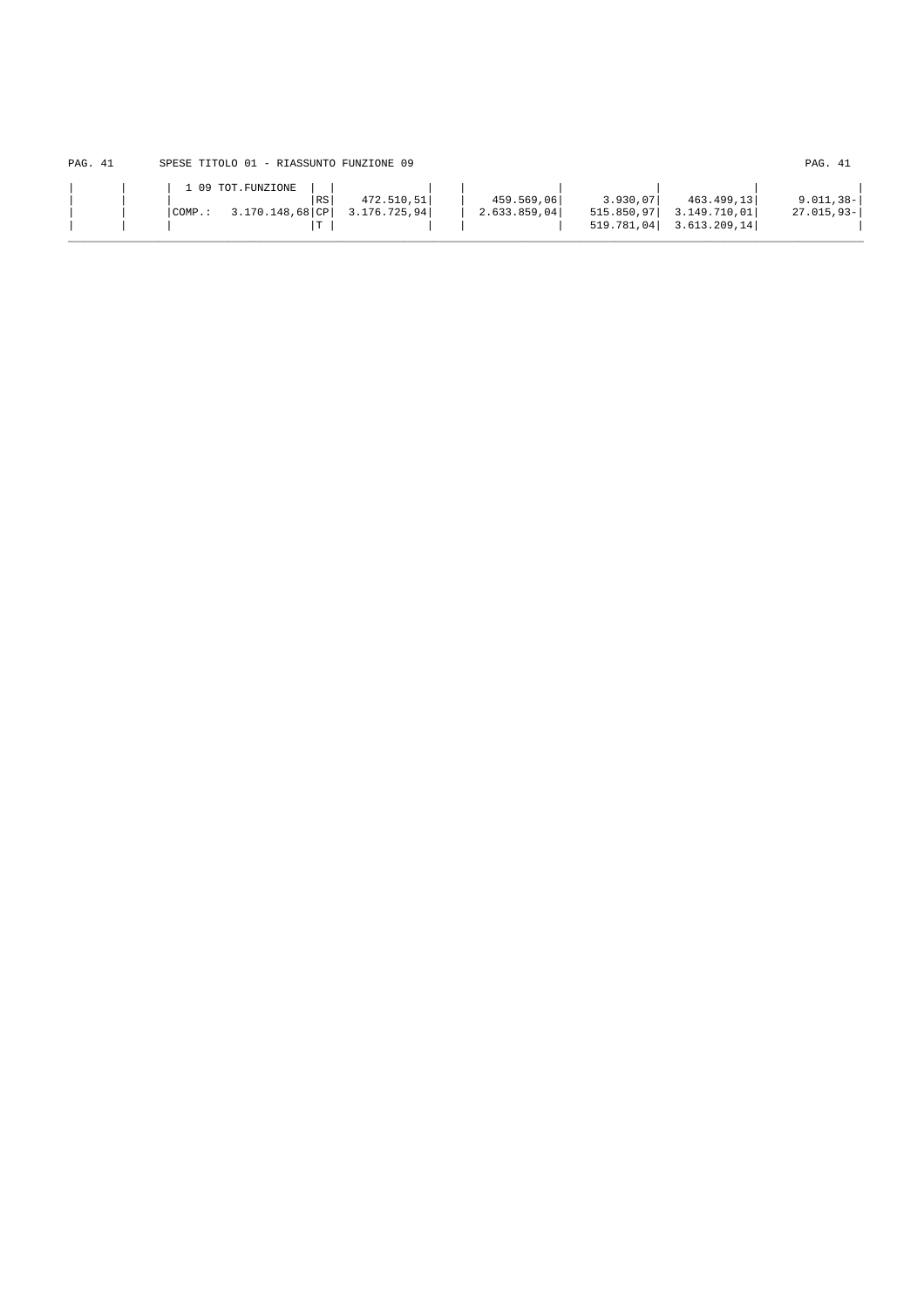| PAG. 41 | SPESE TITOLO 01 - RIASSUNTO FUNZIONE 09         |                                  |                            |                                      |                                            |                               |  |  |  |  |
|---------|-------------------------------------------------|----------------------------------|----------------------------|--------------------------------------|--------------------------------------------|-------------------------------|--|--|--|--|
|         | 1 09 TOT.FUNZIONE<br>3.170.148.68 CP <br>COMP.: | 472.510.51<br>RS<br>3.176.725.94 | 459.569,06<br>2.633.859.04 | 3.930,07<br>515.850,97<br>519.781,04 | 463.499,13<br>3.149.710.01<br>3.613.209.14 | $9.011, 38 -$<br>$27.015,93-$ |  |  |  |  |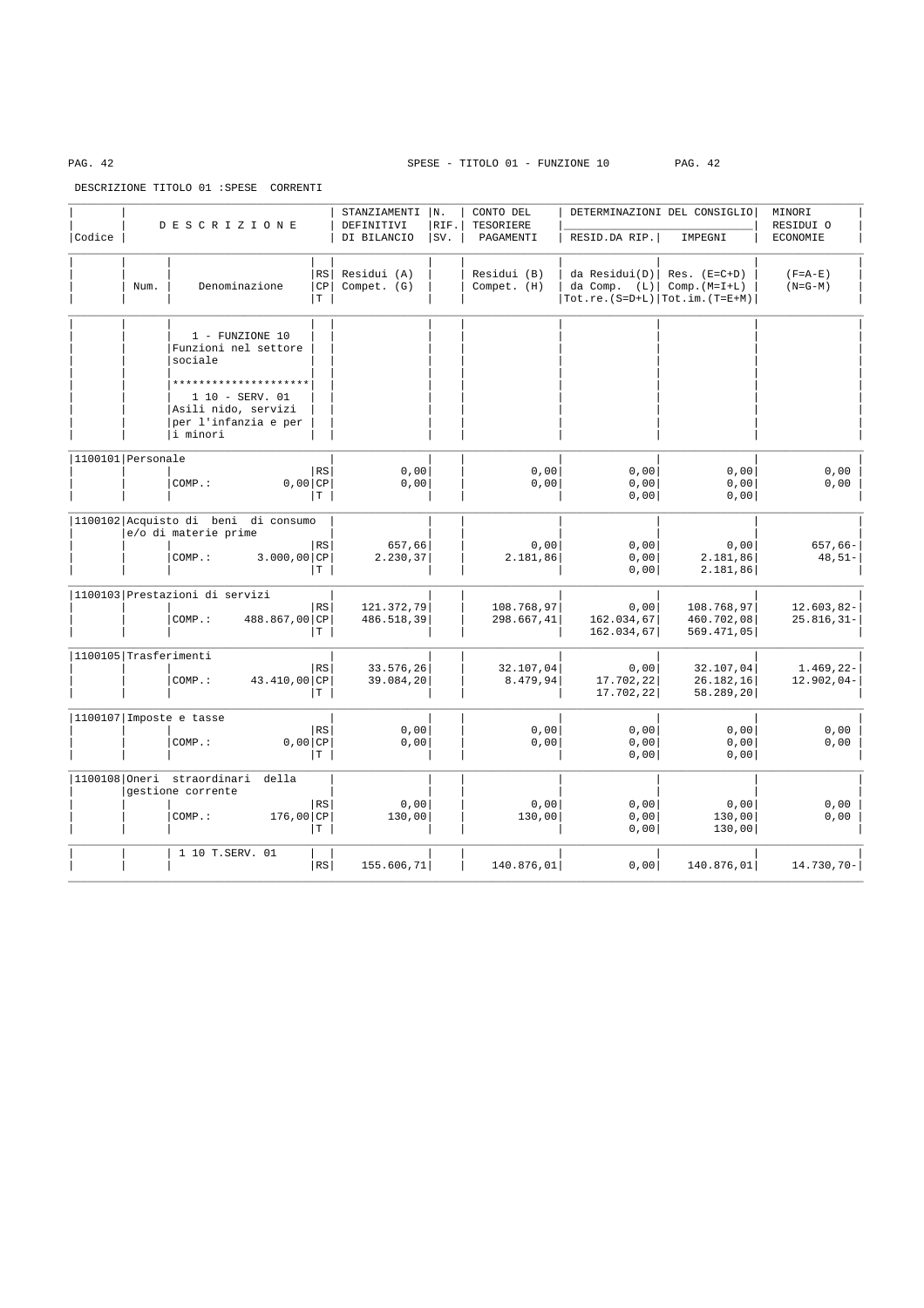# PAG. 42 SPESE - TITOLO 01 - FUNZIONE 10 PAG. 42

| Codice                |      | DESCRIZIONE                                                                                         |                | STANZIAMENTI<br>$ N$ .<br>DEFINITIVI<br>DI BILANCIO | RIF.<br>Isv. | CONTO DEL<br>TESORIERE<br>PAGAMENTI | RESID.DA RIP.                                      | DETERMINAZIONI DEL CONSIGLIO<br>IMPEGNI                 | MINORI<br>RESIDUI 0<br>ECONOMIE |
|-----------------------|------|-----------------------------------------------------------------------------------------------------|----------------|-----------------------------------------------------|--------------|-------------------------------------|----------------------------------------------------|---------------------------------------------------------|---------------------------------|
|                       | Num. | Denominazione                                                                                       | RS<br>CP<br>T  | Residui (A)<br>$Compet.$ (G)                        |              | Residui (B)<br>Compet. (H)          | da Residui(D) <br>da Comp. $(L)  $ Comp. $(M=I+L)$ | $Res.$ $(E=C+D)$<br>$Tot.re.(S=D+L)   Tot.in.(T=E+M)  $ | $(F=A-E)$<br>$(N = G - M)$      |
|                       |      | 1 - FUNZIONE 10<br>Funzioni nel settore<br>sociale                                                  |                |                                                     |              |                                     |                                                    |                                                         |                                 |
|                       |      | *********************<br>1 10 - SERV. 01<br>Asili nido, servizi<br>per l'infanzia e per<br>i minori |                |                                                     |              |                                     |                                                    |                                                         |                                 |
| 1100101 Personale     |      | $0,00$  CP<br>COMP:                                                                                 | RS<br>T        | 0,00<br>0,00                                        |              | 0,00<br>0,00                        | 0,00<br>0,00<br>0,00                               | 0,00<br>0,00<br>0,00                                    | 0,00<br>0,00                    |
|                       |      | 1100102 Acquisto di beni di consumo<br>e/o di materie prime<br>COMP.:<br>$3.000,00$ CP              | RS<br>IТ       | 657,66<br>2.230,37                                  |              | 0,00<br>2.181,86                    | 0,00<br>0,00<br>0,00                               | 0,00<br>2.181,86<br>2.181, 86                           | $657,66-$<br>$48,51-$           |
|                       |      | 1100103 Prestazioni di servizi<br>COMP.:<br>488.867,00 CP                                           | RS<br>T        | 121.372,79<br>486.518,39                            |              | 108.768,97<br>298.667,41            | 0,00<br>162.034,67<br>162.034,67                   | 108.768,97<br>460.702,08<br>569.471,05                  | $12.603,82-$<br>$25.816, 31 -$  |
| 1100105 Trasferimenti |      | 43.410,00 CP<br>COMP:                                                                               | <b>RS</b><br>T | 33.576,26<br>39.084,20                              |              | 32.107,04<br>8.479,94               | 0,00<br>17.702,22<br>17.702,22                     | 32.107,04<br>26.182,16<br>58.289,20                     | $1.469, 22 -$<br>$12.902,04-$   |
|                       |      | 1100107 Imposte e tasse<br>$0,00$  CP<br>COMP:                                                      | RS<br>T        | 0,00<br>0,00                                        |              | 0.00<br>0,00                        | 0,00<br>0,00<br>0,00                               | 0.001<br>0,00<br>0,00                                   | 0.00<br>0,00                    |
|                       |      | 1100108 Oneri straordinari<br>della<br>gestione corrente<br>176,00 CP<br>COMP.:                     | RS<br>T        | 0,00<br>130,00                                      |              | 0,00<br>130,00                      | 0,00<br>0,00<br>0,00                               | 0,00<br>130,00<br>130,00                                | 0,00<br>0,00                    |
|                       |      | 1 10 T.SERV. 01                                                                                     | RS             | 155.606, 71                                         |              | 140.876,01                          | 0,00                                               | 140.876,01                                              | $14.730.70 -$                   |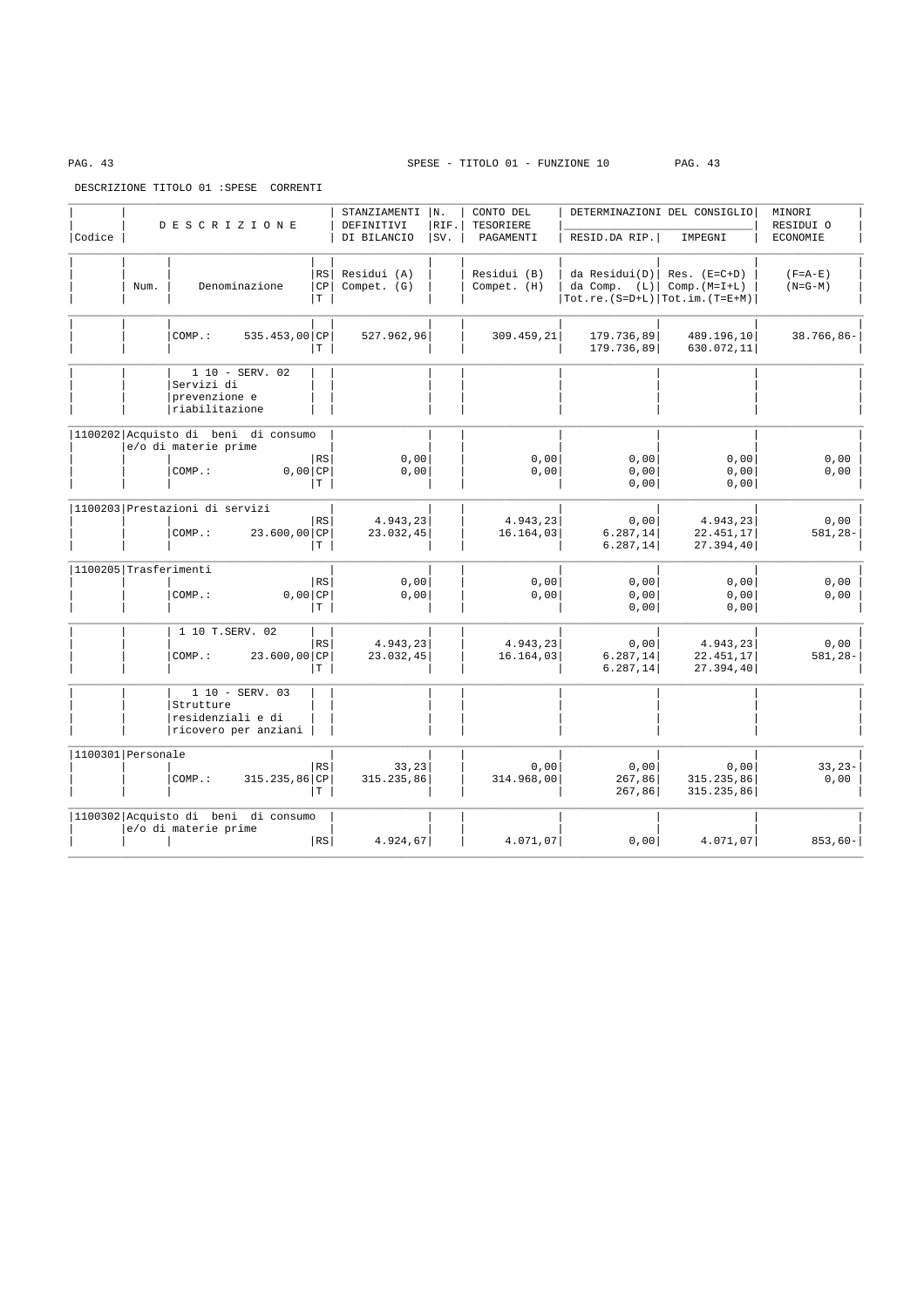## PAG. 43 SPESE - TITOLO 01 - FUNZIONE 10 PAG. 43

| Codice                |      | DESCRIZIONE                                                                        |                            | STANZIAMENTI<br>DEFINITIVI<br>DI BILANCIO | $ N$ .<br>RIF.<br>SV. | CONTO DEL<br>TESORIERE<br>PAGAMENTI | RESID.DA RIP.                  | DETERMINAZIONI DEL CONSIGLIO<br>IMPEGNI                                                                | MINORI<br>RESIDUI 0<br><b>ECONOMIE</b> |
|-----------------------|------|------------------------------------------------------------------------------------|----------------------------|-------------------------------------------|-----------------------|-------------------------------------|--------------------------------|--------------------------------------------------------------------------------------------------------|----------------------------------------|
|                       | Num. | Denominazione                                                                      | RS<br>CP<br>IΤ             | Residui (A)<br>$Compet.$ (G)              |                       | Residui (B)<br>Compet. (H)          |                                | da Residui(D)   Res. $(E=C+D)$<br>da Comp. $(L)$ Comp. $(M=I+L)$<br>$ Tot.re.(S=D+L)   Tot.in.(T=E+M)$ | $(F = A - E)$<br>$(N = G - M)$         |
|                       |      | COMP:<br>535.453,00 CP                                                             | T                          | 527.962,96                                |                       | 309.459,21                          | 179.736,89<br>179.736,89       | 489.196,10<br>630.072,11                                                                               | $38.766, 86 -$                         |
|                       |      | 1 10 - SERV. 02<br>Servizi di<br>prevenzione e<br>riabilitazione                   |                            |                                           |                       |                                     |                                |                                                                                                        |                                        |
|                       |      | 1100202 Acquisto di beni di consumo<br>e/o di materie prime<br>COMP:<br>$0,00$  CP | RS<br>IΤ.                  | 0,00<br>0,00                              |                       | 0,00<br>0,00                        | 0,00<br>0,00<br>0,00           | 0,00<br>0,00<br>0,00                                                                                   | 0,00<br>0,00                           |
|                       |      | 1100203 Prestazioni di servizi<br>23.600,00 CP<br>COMP.:                           | RS<br>$\mathbf T$          | 4.943,23<br>23.032,45                     |                       | 4.943,23<br>16.164,03               | 0,00<br>6.287, 14<br>6.287, 14 | 4.943,23<br>22.451,17<br>27.394,40                                                                     | 0,00<br>$581, 28 -$                    |
| 1100205 Trasferimenti |      | $0,00$  CP<br>COMP:                                                                | RS<br>$\mathbb T$          | 0.00<br>0,00                              |                       | 0.00<br>0,00                        | 0.00<br>0,00<br>0,00           | 0.001<br>0,00<br>0,00                                                                                  | 0.00<br>0,00                           |
|                       |      | 1 10 T.SERV. 02<br>$23.600,00$ CP<br>COMP.:                                        | $_{\rm RS}$<br>$\mathbf T$ | 4.943,23<br>23.032,45                     |                       | 4.943,23<br>16.164,03               | 0,00<br>6.287,14<br>6.287, 14  | 4.943, 23<br>22.451,17<br>27.394,40                                                                    | 0,00<br>$581, 28 -$                    |
|                       |      | 1 10 - SERV. 03<br>Strutture<br>residenziali e di<br>ricovero per anziani          |                            |                                           |                       |                                     |                                |                                                                                                        |                                        |
| 1100301 Personale     |      | COMP.:<br>315.235,86 CP                                                            | RS<br>IΤ.                  | 33,23<br>315.235,86                       |                       | 0,00<br>314.968,00                  | 0,00<br>267,86<br>267,86       | 0,00<br>315.235,86<br>315.235,86                                                                       | $33, 23 -$<br>0,00                     |
|                       |      | 1100302 Acquisto di beni di consumo<br>e/o di materie prime                        | RS                         | 4.924, 67                                 |                       | 4.071,07                            | 0,00                           | 4.071,07                                                                                               | $853,60-$                              |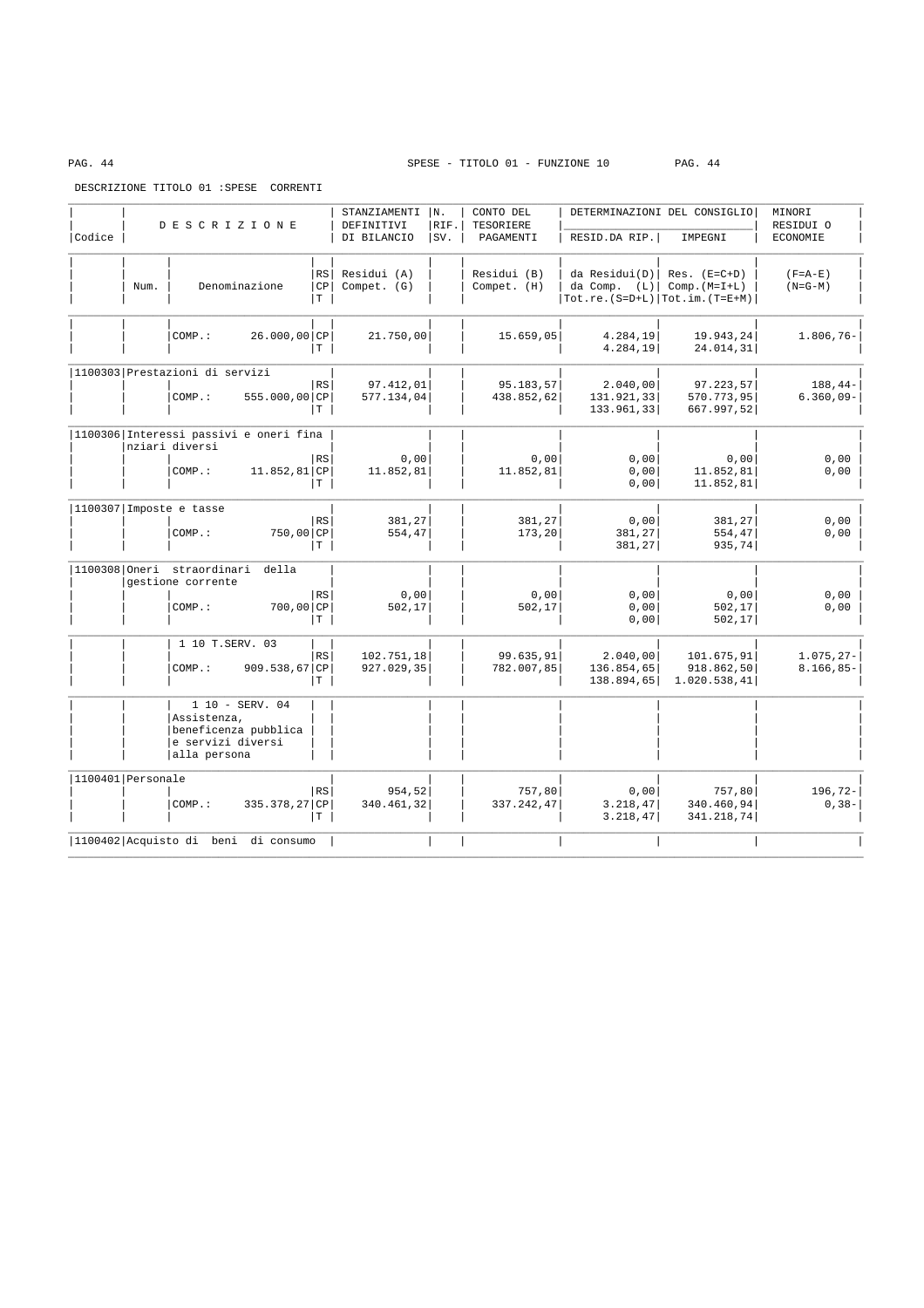## PAG. 44 SPESE - TITOLO 01 - FUNZIONE 10 PAG. 44

| Codice               |      | DESCRIZIONE                                               |                                                         |                | STANZIAMENTI<br>DEFINITIVI<br>DI BILANCIO | $ N$ .<br>RIF.<br>lsv. | CONTO DEL<br>TESORIERE<br>PAGAMENTI | RESID.DA RIP.                                                        | DETERMINAZIONI DEL CONSIGLIO<br>IMPEGNI   | MINORI<br>RESIDUI 0<br><b>ECONOMIE</b> |
|----------------------|------|-----------------------------------------------------------|---------------------------------------------------------|----------------|-------------------------------------------|------------------------|-------------------------------------|----------------------------------------------------------------------|-------------------------------------------|----------------------------------------|
|                      | Num. |                                                           | Denominazione                                           | RS<br>CP<br>IΤ | Residui (A)<br>$Compet.$ (G)              |                        | Residui (B)<br>Compet. (H)          | da Comp. $(L)$ Comp. $(M=I+L)$<br>$ Tot.re.(S=D+L)   Tot.in.(T=E+M)$ | da Residui(D)   Res. $(E=C+D)$            | $(F = A - E)$<br>$(N = G - M)$         |
|                      |      | COMP:                                                     | 26.000,00 CP                                            | T.             | 21.750,00                                 |                        | 15.659,05                           | 4.284,19<br>4.284, 19                                                | 19.943,24<br>24.014,31                    | $1.806, 76 -$                          |
|                      |      | 1100303 Prestazioni di servizi<br>COMP:                   | 555.000,00 CP                                           | RS<br>T        | 97.412,01<br>577.134,04                   |                        | 95.183,57<br>438.852,62             | 2.040,00<br>131.921,33<br>133.961,33                                 | 97.223,57<br>570.773,95<br>667.997,52     | $188, 44-$<br>$6.360,09-$              |
|                      |      | nziari diversi<br>COMP:                                   | 1100306 Interessi passivi e oneri fina<br>11.852, 81 CP | RS<br>T        | 0,00<br>11.852,81                         |                        | 0,00<br>11.852,81                   | 0,00<br>0,00<br>0,00                                                 | 0,00<br>11.852,81<br>11.852, 81           | 0.00<br>0,00                           |
|                      |      | 1100307 Imposte e tasse<br>COMP.:                         | 750,00 CP                                               | RS<br>T        | 381,27<br>554,47                          |                        | 381,27<br>173,20                    | 0,00<br>381,27<br>381,27                                             | 381,27<br>554, 47<br>935,74               | 0.00<br>0,00                           |
|                      |      | 1100308 Oneri straordinari<br>gestione corrente<br>COMP.: | della<br>700,00 CP                                      | RS<br>T.       | 0,00<br>502,17                            |                        | 0,00<br>502,17                      | 0,00<br>0,00<br>0,00                                                 | 0,00<br>502,17<br>502, 17                 | 0,00<br>0,00                           |
|                      |      | 1 10 T.SERV. 03<br>COMP.:                                 | 909.538,67 CP                                           | RS<br>T.       | 102.751,18<br>927.029,35                  |                        | 99.635,91<br>782.007,85             | 2.040,00<br>136.854,65<br>138.894,65                                 | 101.675,91<br>918.862,50<br>1.020.538, 41 | $1.075, 27 -$<br>$8.166, 85 -$         |
|                      |      | Assistenza,<br>e servizi diversi<br>alla persona          | 1 10 - SERV. 04<br>beneficenza pubblica                 |                |                                           |                        |                                     |                                                                      |                                           |                                        |
| l1100401   Personale |      | COMP.:                                                    | 335.378,27 CP                                           | RS<br>T.       | 954,52<br>340.461,32                      |                        | 757,80<br>337.242,47                | 0,00<br>3.218, 47<br>3.218, 47                                       | 757,80<br>340.460,94<br>341.218,74        | $196, 72 -$<br>$0, 38 -$               |
|                      |      |                                                           | 1100402 Acquisto di beni di consumo                     |                |                                           |                        |                                     |                                                                      |                                           |                                        |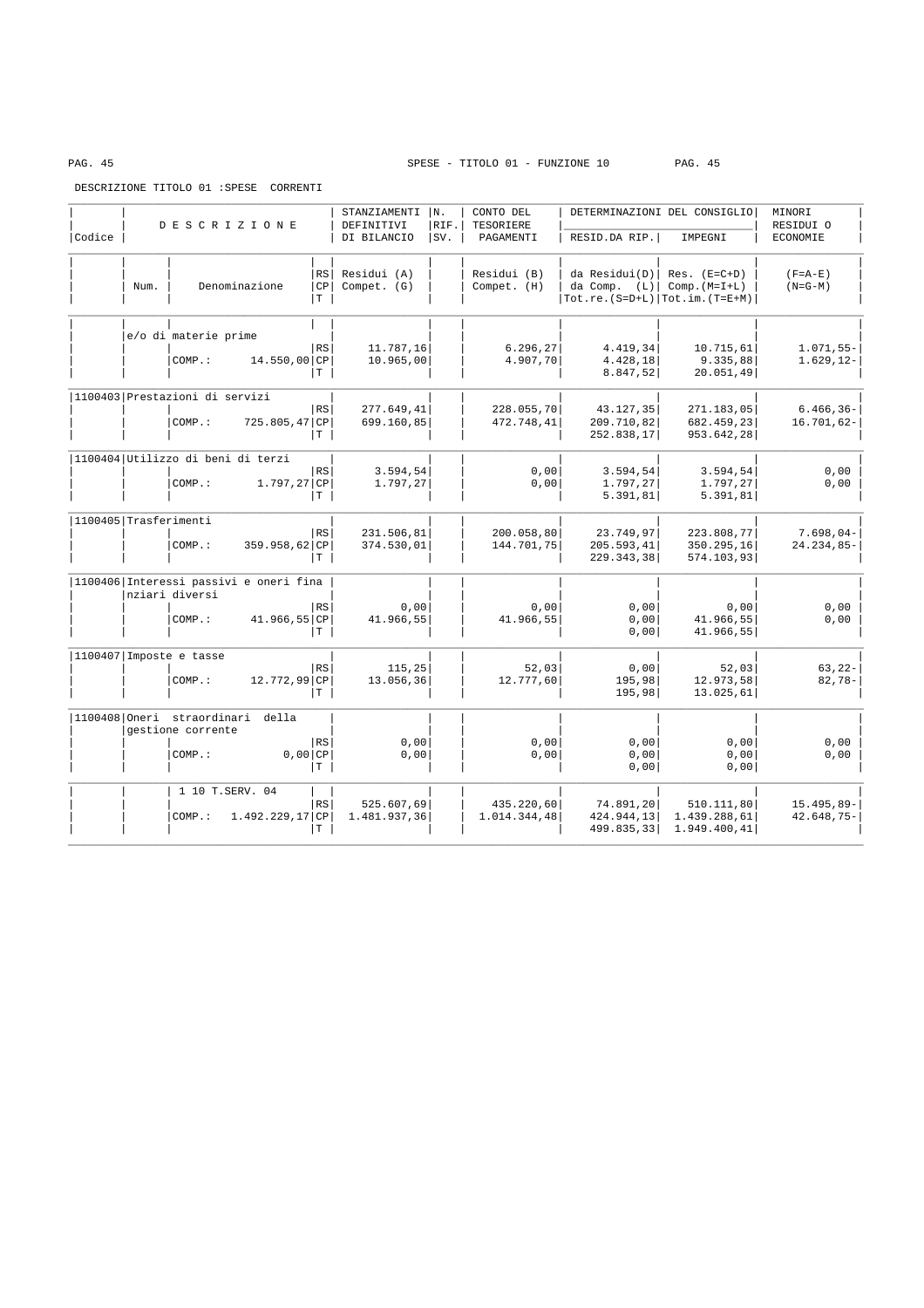## PAG. 45 SPESE - TITOLO 01 - FUNZIONE 10 PAG. 45

| Codice                |      |                                            | DESCRIZIONE                                              |                          | STANZIAMENTI<br>$ N$ .<br>DEFINITIVI<br>DI BILANCIO | RIF.<br>SV. | CONTO DEL<br>TESORIERE<br>PAGAMENTI | RESID.DA RIP.                                                    | DETERMINAZIONI DEL CONSIGLIO<br>IMPEGNI    | MINORI<br>RESIDUI 0<br>ECONOMIE |
|-----------------------|------|--------------------------------------------|----------------------------------------------------------|--------------------------|-----------------------------------------------------|-------------|-------------------------------------|------------------------------------------------------------------|--------------------------------------------|---------------------------------|
|                       | Num. |                                            | Denominazione                                            | RS<br>CP<br>IТ           | Residui (A)<br>Compet. (G)                          |             | Residui (B)<br>Compet. (H)          | da Residui(D)   Res. $(E=C+D)$<br>da Comp. $(L)$ Comp. $(M=I+L)$ | $ Tot,re.(S=D+L)   Tot.in.(T=E+M)  $       | $(F=A-E)$<br>$( N = G - M )$    |
|                       |      | e/o di materie prime<br>COMP:              | 14.550,00 CP                                             | RS<br>$\mathbf T$        | 11.787,16<br>10.965,00                              |             | 6.296, 27<br>4.907,70               | 4.419,34<br>4.428,18<br>8.847,52                                 | 10.715,61<br>9.335,88<br>20.051,49         | $1.071, 55 -$<br>$1.629, 12-$   |
|                       |      | 1100403 Prestazioni di servizi<br>COMP:    | 725.805.47 CP                                            | RS<br>T.                 | 277.649,41<br>699.160,85                            |             | 228.055,70<br>472.748,41            | 43.127,35<br>209.710,82<br>252.838,17                            | 271.183.05<br>682.459,23<br>953.642, 28    | $6.466, 36 -$<br>$16.701, 62 -$ |
|                       |      | COMP:                                      | 1100404 Utilizzo di beni di terzi<br>$1.797, 27$ CP      | $ _{RS}$<br>T.           | 3.594,54<br>1.797,27                                |             | 0,00<br>0,00                        | 3.594,54<br>1.797,27<br>5.391, 81                                | 3.594,54<br>1.797, 27<br>5.391, 81         | 0,00<br>0,00                    |
| 1100405 Trasferimenti |      | COMP:                                      | 359.958,62 CP                                            | RS<br>T.                 | 231.506,81<br>374.530,01                            |             | 200.058,80<br>144.701,75            | 23.749,97<br>205.593, 41<br>229.343,38                           | 223.808,77<br>350.295,16<br>574.103.93     | $7.698,04-$<br>$24.234,85-$     |
|                       |      | nziari diversi<br>COMP:                    | 1100406 Interessi passivi e oneri fina<br>$41.966,55$ CP | RS<br>T.                 | 0,00<br>41.966,55                                   |             | 0,00<br>41.966,55                   | 0,00<br>0,00<br>0,00                                             | 0.00<br>41.966,55<br>41.966,55             | 0,00<br>0,00                    |
|                       |      | 1100407 Imposte e tasse<br>COMP:           | 12.772,99 CP                                             | RS<br>T.                 | 115,25<br>13.056,36                                 |             | 52.03<br>12.777,60                  | 0,00<br>195,98<br>195,98                                         | 52,03<br>12.973,58<br>13.025,61            | $63, 22 -$<br>$82,78-$          |
| 1100408 Oneri         |      | straordinari<br>gestione corrente<br>COMP: | della<br>$0,00$  CP                                      | RS<br>T                  | 0,00<br>0,00                                        |             | 0,00<br>0,00                        | 0,00<br>0,00<br>0,00                                             | 0,00<br>0,00<br>0,00                       | 0,00<br>0,00                    |
|                       |      | COMP.:                                     | 1 10 T.SERV. 04<br>1.492.229,17 CP                       | <b>RS</b><br>$\mathbb T$ | 525.607,69<br>1.481.937,36                          |             | 435.220,60<br>1.014.344,48          | 74.891,20<br>424.944,13<br>499.835,33                            | 510.111,80<br>1.439.288,61<br>1.949.400.41 | $15.495.89 -$<br>$42.648,75-$   |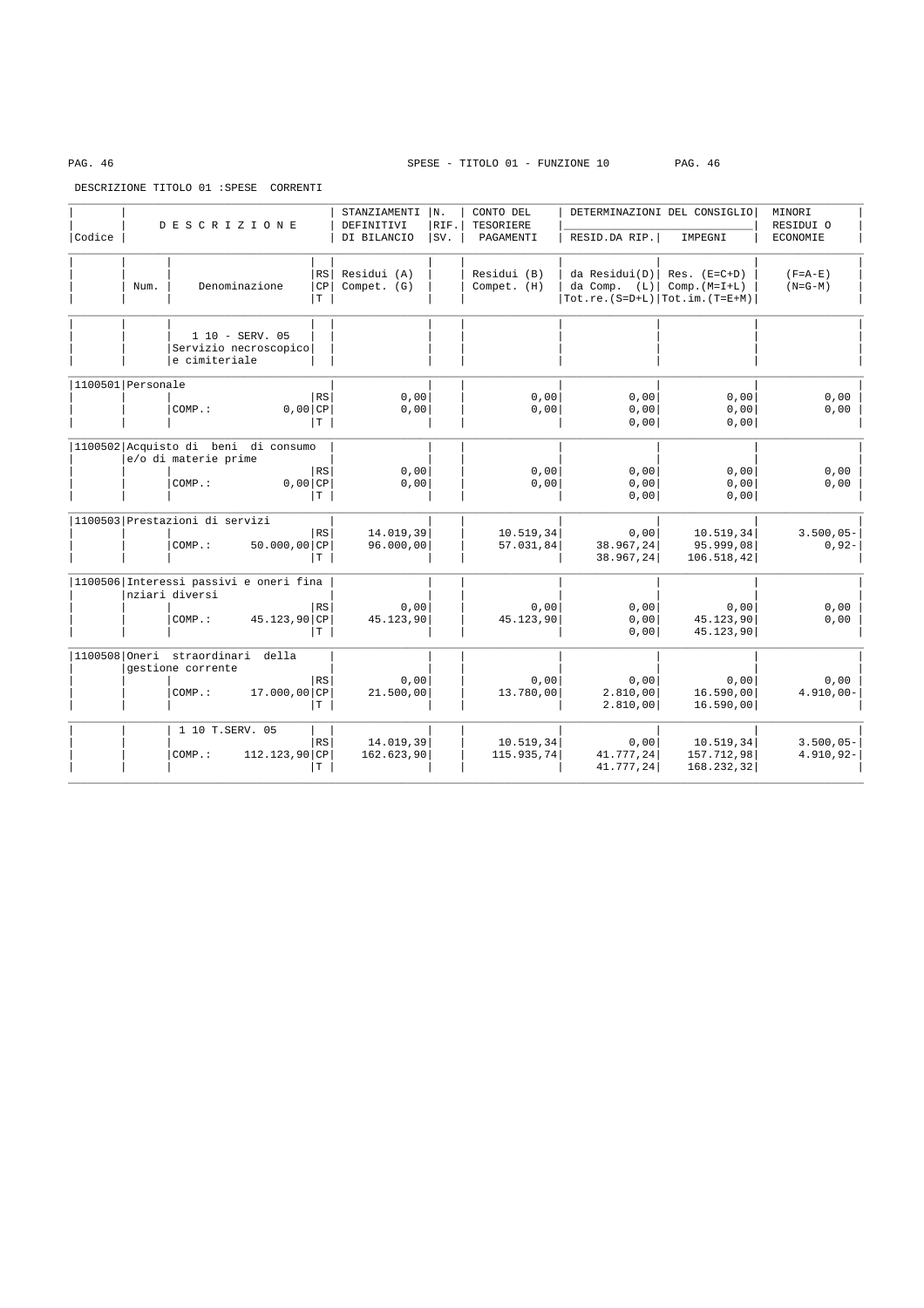# PAG. 46 **SPESE** - TITOLO 01 - FUNZIONE 10 **PAG. 46**

| Codice | DESCRIZIONE                                                                         | IN.<br>STANZIAMENTI<br>DEFINITIVI<br>DI BILANCIO | CONTO DEL<br>RIF.<br>TESORIERE<br>SV.<br>PAGAMENTI | DETERMINAZIONI DEL CONSIGLIO<br>RESID.DA RIP.<br>IMPEGNI                                                 | MINORI<br>RESIDUI 0<br>ECONOMIE                |
|--------|-------------------------------------------------------------------------------------|--------------------------------------------------|----------------------------------------------------|----------------------------------------------------------------------------------------------------------|------------------------------------------------|
|        | Denominazione<br>Num.                                                               | RS<br>Residui (A)<br>CP<br>Compet. (G)<br>T      | Residui (B)<br>Compet. (H)                         | da Residui(D)   Res. $(E=C+D)$<br>da Comp. $(L)  $ Comp. $(M=I+L)$<br>$ Tot,re.(S=D+L)   Tot.in.(T=E+M)$ | $(F = A - E)$<br>$( N = G - M )$               |
|        | 1 10 - SERV. 05<br>Servizio necroscopico<br>e cimiteriale                           |                                                  |                                                    |                                                                                                          |                                                |
|        | 1100501 Personale<br>$0.00$ <sub>c</sub> $P$<br>COMP:                               | 0,00<br> RS<br>0,00<br>T                         | 0,00<br>0,00                                       | 0,00<br>0,00<br>0,00                                                                                     | 0,00<br>0.00<br>0,00<br>0,00<br>0,00           |
|        | 1100502 Acquisto di beni di consumo<br>e/o di materie prime<br>$0,00$  CP<br>COMP.: | 0,00<br> RS<br>0,00<br>T                         | 0,00<br>0,00                                       | 0,00<br>0,00<br>0,00                                                                                     | 0,00<br>0,00<br>0,00<br>0,00<br>0,00           |
|        | 1100503 Prestazioni di servizi<br>50.000,00 CP<br>COMP.:                            | RS<br>14.019.39<br>96.000,00<br>$\mathbf T$      | 10.519,34<br>57.031,84                             | 0.00<br>10.519,34<br>38.967,24<br>95.999,08<br>38.967,24<br>106.518, 42                                  | $3.500,05 -$<br>$0,92-$                        |
|        | 1100506 Interessi passivi e oneri fina<br>nziari diversi<br>45.123,90 CP<br>COMP.:  | 0,00<br>  RS<br>45.123,90<br>IТ                  | 0,00<br>45.123,90                                  | 0,00<br>0,00<br>0,00                                                                                     | 0,00<br>0,00<br>45.123,90<br>0,00<br>45.123,90 |
|        | 1100508 Oneri straordinari<br>della<br>gestione corrente<br>17.000,00 CP<br>COMP.:  | 0.00<br>  RS<br>21.500,00<br>T.                  | 0.00<br>13.780,00                                  | 0,00<br>16.590,00<br>2.810,00<br>2.810,00<br>16.590,00                                                   | 0.00<br>0.00<br>$4.910,00 -$                   |
|        | 1 10 T.SERV. 05<br>112.123,90 CP<br>COMP.:                                          | RS<br>14.019,39<br>162.623,90<br>T               | 10.519,34<br>115.935,74                            | 0,00<br>10.519,34<br>41.777,24<br>157.712,98<br>41.777, 24<br>168.232,32                                 | $3.500,05 -$<br>$4.910, 92 -$                  |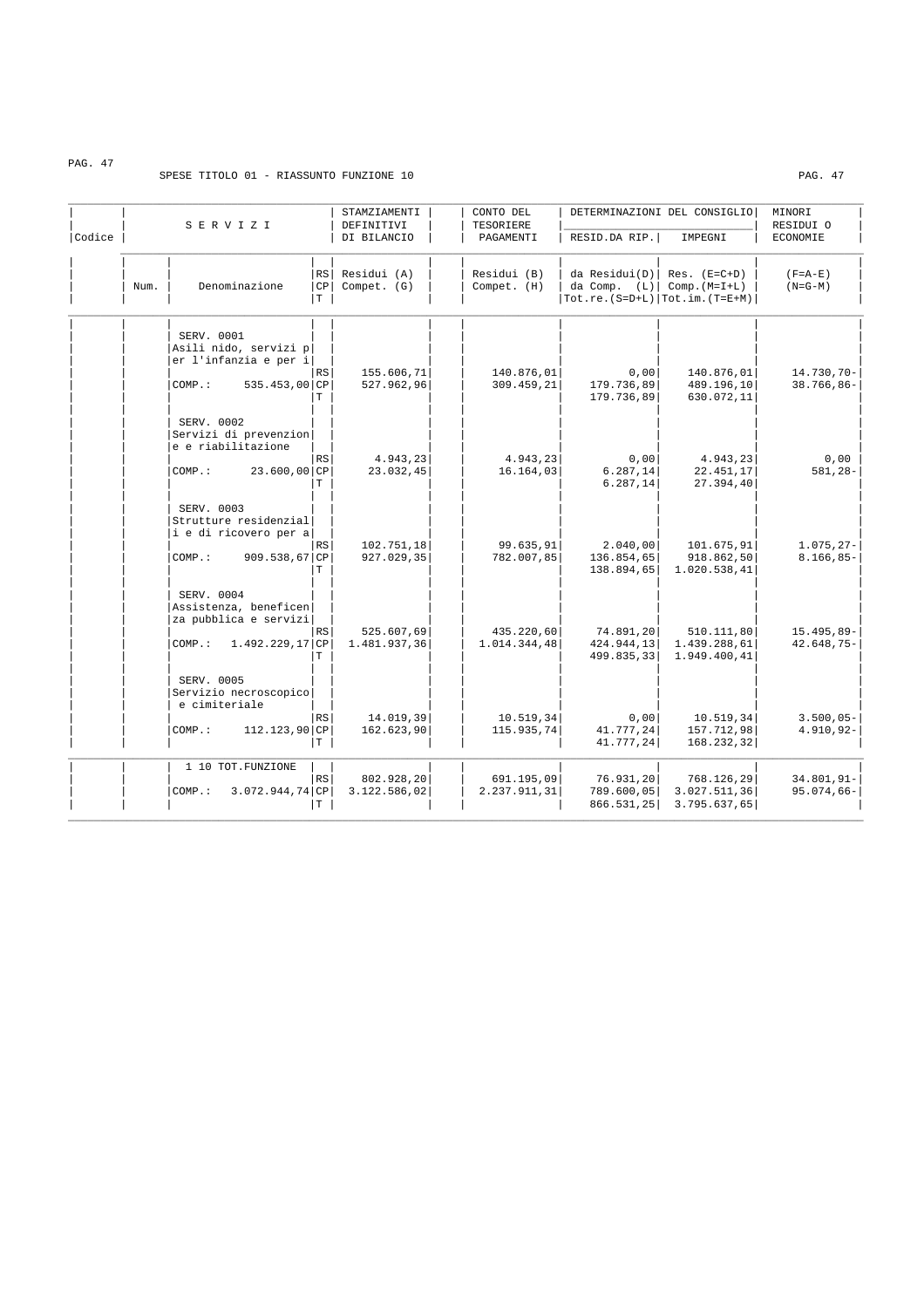# PAG. 47

## SPESE TITOLO 01 - RIASSUNTO FUNZIONE 10 PAG. 47

| Codice |      | SERVIZI                                                                                          | STAMZIAMENTI<br>DEFINITIVI<br>DI BILANCIO | CONTO DEL<br>TESORIERE<br>PAGAMENTI | DETERMINAZIONI DEL CONSIGLIO<br>RESID.DA RIP.<br>IMPEGNI                                                 | MINORI<br>RESIDUI 0<br><b>ECONOMIE</b> |
|--------|------|--------------------------------------------------------------------------------------------------|-------------------------------------------|-------------------------------------|----------------------------------------------------------------------------------------------------------|----------------------------------------|
|        | Num. | Denominazione<br>T.                                                                              | RS<br>Residui (A)<br>CP<br>Compet. $(G)$  | Residui (B)<br>Compet. (H)          | da Residui(D)   Res. $(E=C+D)$<br>da Comp. $(L)$ Comp. $(M=I+L)$<br>$ Tot,re.(S=D+L)   Tot.in.(T=E+M)  $ | $(F=A-E)$<br>$(N = G - M)$             |
|        |      | SERV. 0001<br>Asili nido, servizi p<br>er l'infanzia e per i<br>535.453,00 CP<br>COMP:<br>T.     | 155.606,71<br>RS<br>527.962,96            | 140.876,01<br>309.459,21            | 0,00<br>140.876,01<br>179.736,89<br>489.196,10<br>179.736,89<br>630.072,11                               | $14.730.70 -$<br>$38.766, 86 -$        |
|        |      | SERV. 0002<br>Servizi di prevenzion<br>e e riabilitazione<br>COMP:<br>23.600,00 CP               | RS<br>4.943, 23<br>23.032,45              | 4.943, 23<br>16.164,03              | 0,00<br>4.943, 23<br>6.287, 14<br>22.451, 17<br>6.287, 14<br>27.394,40                                   | 0,00<br>$581, 28 -$                    |
|        |      | SERV. 0003<br>Strutture residenzial<br>i e di ricovero per a<br>COMP:<br>909.538,67 CP<br>T.     | 102.751,18<br>RS<br>927.029,35            | 99.635,91<br>782.007,85             | 2.040,00<br>101.675,91<br>136.854,65<br>918.862,50<br>138.894,65<br>1.020.538,41                         | $1.075, 27 -$<br>$8.166, 85 -$         |
|        |      | SERV. 0004<br>Assistenza, beneficen<br>za pubblica e servizi<br>$1.492.229,17$ CP<br>COMP:<br>T. | RS<br>525.607,69<br>1.481.937,36          | 435.220,60<br>1.014.344,48          | 74.891,20<br>510.111,80<br>424.944,13<br>1.439.288.61<br>499.835,33<br>1.949.400,41                      | $15.495.89 -$<br>$42.648,75-$          |
|        |      | SERV. 0005<br>Servizio necroscopico<br>e cimiteriale<br>COMP:<br>112.123.90 CP<br>T              | RS<br>14.019,39<br>162.623,90             | 10.519,34<br>115.935,74             | 0,00<br>10.519,34<br>41.777, 24<br>157.712,98<br>41.777,24<br>168.232,32                                 | $3.500,05 -$<br>$4.910, 92 -$          |
|        |      | 1 10 TOT. FUNZIONE<br>COMP.:<br>3.072.944,74 CP<br>T.                                            | <b>RS</b><br>802.928,20<br>3.122.586,02   | 691.195,09<br>2.237.911,31          | 768.126,29<br>76.931,20<br>789.600,05<br>3.027.511,36<br>866.531, 25<br>3.795.637.65                     | $34.801, 91 -$<br>$95.074,66 -$        |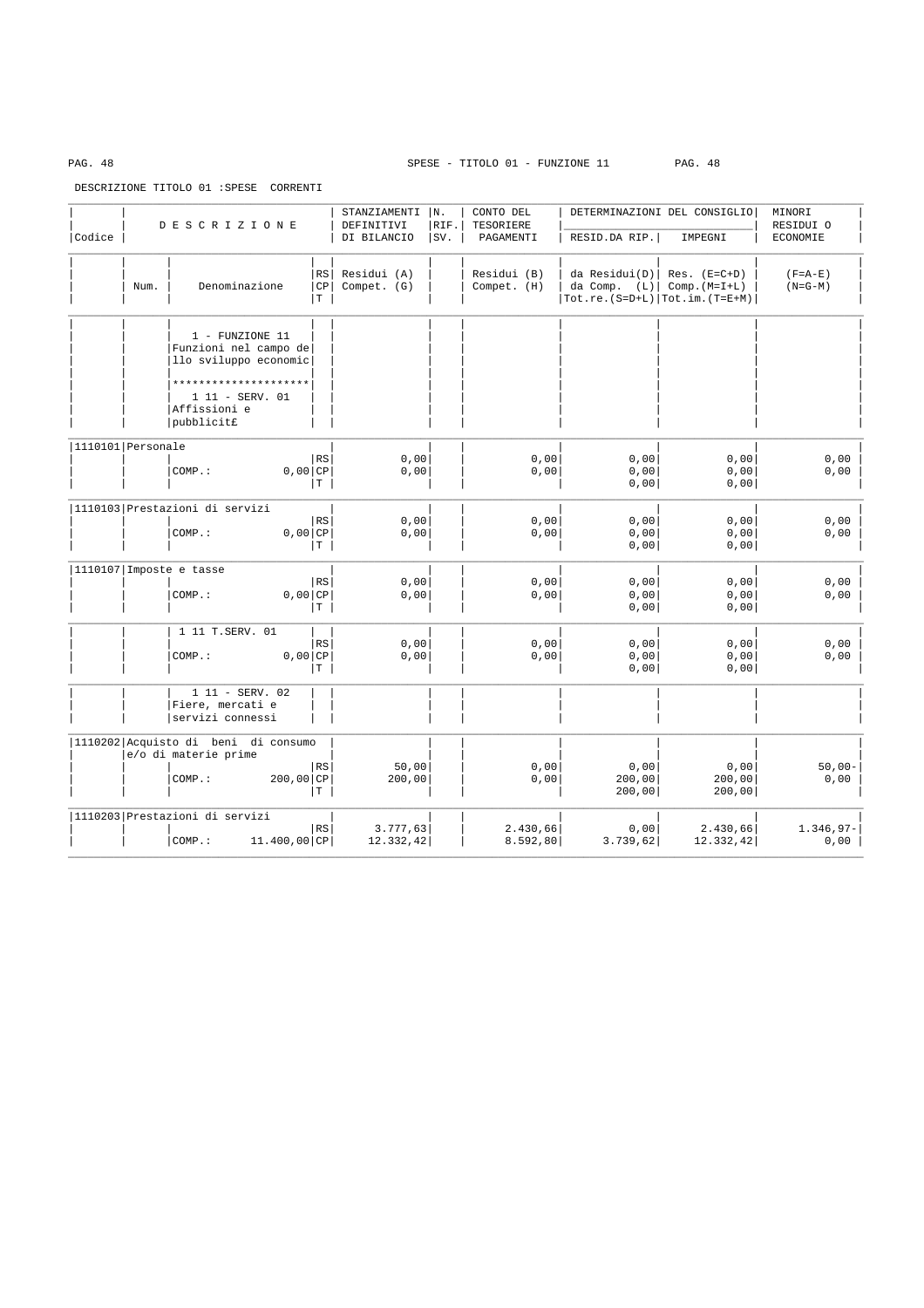# PAG. 48 SPESE - TITOLO 01 - FUNZIONE 11 PAG. 48

| Codice            |      | DESCRIZIONE                                                                                                                                 |                                 | STANZIAMENTI<br>DEFINITIVI<br>DI BILANCIO | N.<br>RIF.<br>SV. | CONTO DEL<br>TESORIERE<br>PAGAMENTI | RESID.DA RIP.                  | DETERMINAZIONI DEL CONSIGLIO<br>IMPEGNI                              | MINORI<br>RESIDUI 0<br><b>ECONOMIE</b> |
|-------------------|------|---------------------------------------------------------------------------------------------------------------------------------------------|---------------------------------|-------------------------------------------|-------------------|-------------------------------------|--------------------------------|----------------------------------------------------------------------|----------------------------------------|
|                   | Num. | Denominazione                                                                                                                               | RS<br>CP<br>IТ                  | Residui (A)<br>$Compet.$ (G)              |                   | Residui (B)<br>Compet. (H)          | da Comp. $(L)$ Comp. $(M=I+L)$ | da Residui(D)   Res. $(E=C+D)$<br>$ Tot.re.(S=D+L)   Tot.in.(T=E+M)$ | $(F = A - E)$<br>$(N = G - M)$         |
|                   |      | 1 - FUNZIONE 11<br>Funzioni nel campo de<br>llo sviluppo economic<br>*********************<br>1 11 - SERV. 01<br>Affissioni e<br>pubblicit£ |                                 |                                           |                   |                                     |                                |                                                                      |                                        |
| 1110101 Personale |      | COMP:                                                                                                                                       | RS<br>$0,00$  CP<br>T           | 0,00<br>0,00                              |                   | 0,00<br>0,00                        | 0,00<br>0,00<br>0,00           | 0,00<br>0,00<br>0,00                                                 | 0,00<br>0,00                           |
|                   |      | 1110103 Prestazioni di servizi<br>COMP:                                                                                                     | RS<br>$0,00$  CP<br>T           | 0,00<br>0,00                              |                   | 0,00<br>0,00                        | 0,00<br>0,00<br>0,00           | 0,00<br>0,00<br>0,00                                                 | 0,00<br>0,00                           |
|                   |      | 1110107 Imposte e tasse<br>COMP.:                                                                                                           | RS<br>$0,00$  CP<br>$\mathbf T$ | 0,00<br>0,00                              |                   | 0,00<br>0,00                        | 0,00<br>0,00<br>0,00           | 0,00<br>0,00<br>0,00                                                 | 0,00<br>0,00                           |
|                   |      | 1 11 T.SERV. 01<br>COMP.:                                                                                                                   | RS<br>$0,00$  CP<br>$\mathbb T$ | 0,00<br>0,00                              |                   | 0,00<br>0,00                        | 0,00<br>0,00<br>0,00           | 0,00<br>0,00<br>0,00                                                 | 0,00<br>$0,00$                         |
|                   |      | 1 11 - SERV. 02<br>Fiere, mercati e<br>servizi connessi                                                                                     |                                 |                                           |                   |                                     |                                |                                                                      |                                        |
|                   |      | 1110202 Acquisto di beni di consumo<br>e/o di materie prime<br>$200,00$ <sub>c</sub> $P$<br>COMP:                                           | RS<br>IΤ.                       | 50,00<br>200,00                           |                   | 0,00<br>0,00                        | 0,00<br>200,00<br>200,00       | 0,00<br>200,00<br>200,00                                             | $50,00-$<br>0,00                       |
|                   |      | 1110203 Prestazioni di servizi<br>COMP:<br>11.400,00 CP                                                                                     | RS                              | 3.777,63<br>12.332,42                     |                   | 2.430,66<br>8.592, 80               | 0,00<br>3.739,62               | 2.430,66<br>12.332, 42                                               | $1.346,97-$<br>0,00                    |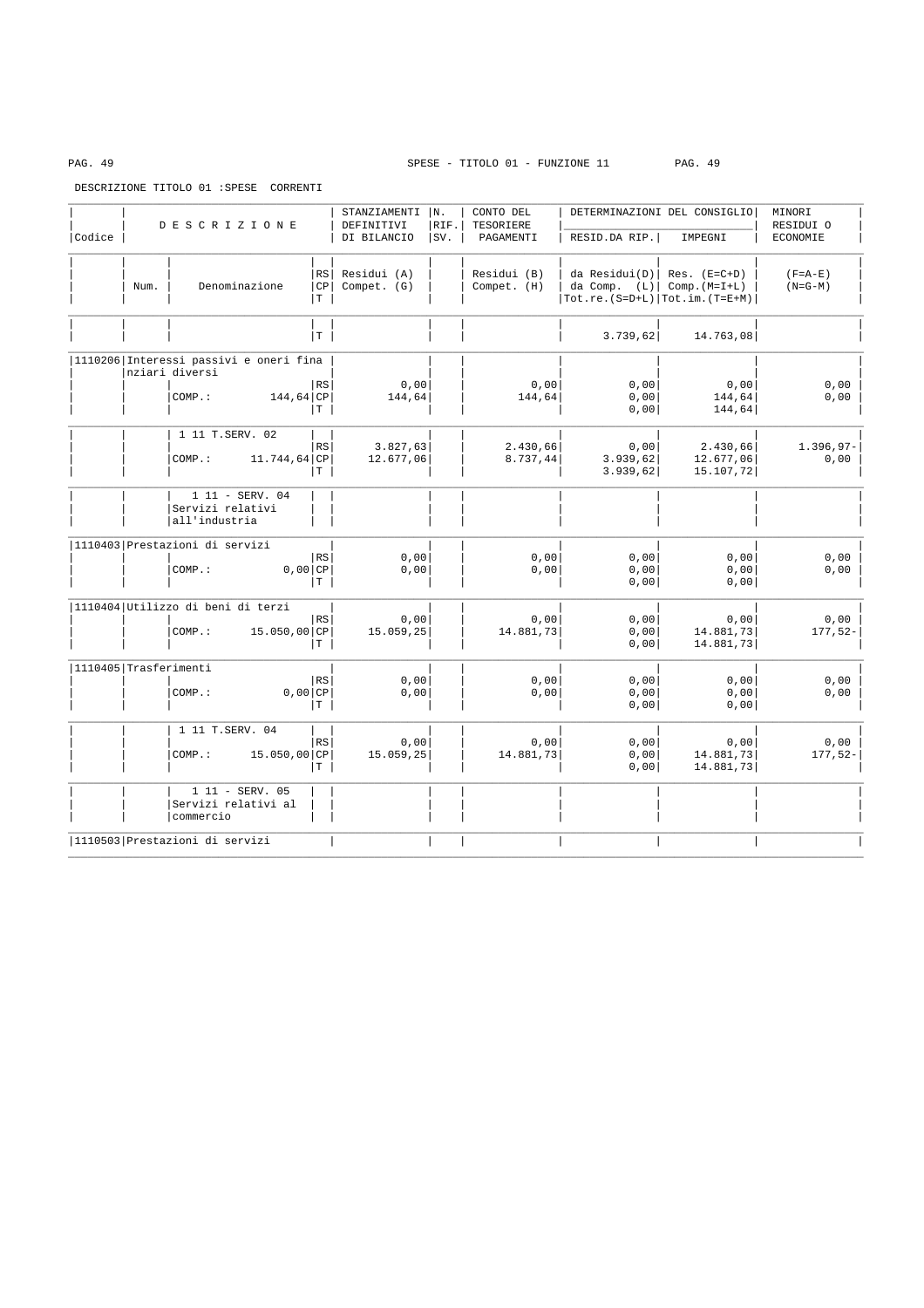## PAG. 49

## SPESE - TITOLO 01 - FUNZIONE 11 PAG. 49

DESCRIZIONE TITOLO 01 : SPESE CORRENTI

|                       |      | DESCRIZIONE                                              |                | STANZIAMENTI<br>DEFINITIVI   | N <br>RIF. | CONTO DEL<br>TESORIERE     |                                                                                                            | DETERMINAZIONI DEL CONSIGLIO       | MINORI<br>RESIDUI O        |
|-----------------------|------|----------------------------------------------------------|----------------|------------------------------|------------|----------------------------|------------------------------------------------------------------------------------------------------------|------------------------------------|----------------------------|
| Codice                |      |                                                          |                | DI BILANCIO                  | Isv.       | PAGAMENTI                  | RESID.DA RIP.                                                                                              | IMPEGNI                            | ECONOMIE                   |
|                       | Num. | Denominazione                                            | RS<br>CP<br>IΤ | Residui (A)<br>$Compet.$ (G) |            | Residui (B)<br>Compet. (H) | da Residui(D)   Res. $(E=C+D)$<br>da Comp. $(L)  $ Comp. $(M=I+L)$<br>$ Tot.re.(S=D+L)   Tot.in.(T=E+M)  $ |                                    | $(F=A-E)$<br>$(N = G - M)$ |
|                       |      |                                                          | İΤ             |                              |            |                            | 3.739,62                                                                                                   | 14.763,08                          |                            |
|                       |      | 1110206 Interessi passivi e oneri fina<br>nziari diversi | RS             | 0,00                         |            | 0,00                       | 0,00                                                                                                       | 0,00                               | 0,00                       |
|                       |      | 144,64 CP<br>COMP:                                       | IТ             | 144,64                       |            | 144,64                     | 0,00<br>0,00                                                                                               | 144,64<br>144,64                   | 0,00                       |
|                       |      | 1 11 T.SERV. 02<br>11.744,64 CP<br>COMP.:                | RS<br>IΤ.      | 3.827,63<br>12.677,06        |            | 2.430,66<br>8.737,44       | 0,00<br>3.939,62<br>3.939,62                                                                               | 2.430,66<br>12.677,06<br>15.107,72 | $1.396, 97 -$<br>0,00      |
|                       |      | 1 11 - SERV. 04<br>Servizi relativi<br>all'industria     |                |                              |            |                            |                                                                                                            |                                    |                            |
|                       |      | 1110403 Prestazioni di servizi                           |                |                              |            |                            |                                                                                                            |                                    |                            |
|                       |      | $0,00$  CP<br>COMP.:                                     | RS<br>ΙT.      | 0,00<br>0,00                 |            | 0,00<br>0,00               | 0,00<br>0,00<br>0,00                                                                                       | 0,00<br>0,00<br>0,00               | 0,00<br>0,00               |
|                       |      | 1110404 Utilizzo di beni di terzi                        |                |                              |            |                            |                                                                                                            |                                    |                            |
|                       |      | 15.050,00 CP<br>COMP.:                                   | RS<br>T        | 0,00<br>15.059,25            |            | 0,00<br>14.881,73          | 0,00<br>0,00<br>0,00                                                                                       | 0,00<br>14.881,73<br>14.881,73     | 0,00<br>177,52-            |
| 1110405 Trasferimenti |      |                                                          |                |                              |            |                            |                                                                                                            |                                    |                            |
|                       |      | $0,00$  CP<br>COMP.:                                     | RS<br>IТ       | 0,00<br>0,00                 |            | 0,00<br>0,00               | 0,00<br>0,00<br>0,00                                                                                       | 0,00<br>0,00<br>0,00               | 0,00<br>0,00               |
|                       |      | 1 11 T.SERV. 04                                          |                |                              |            |                            |                                                                                                            |                                    |                            |
|                       |      | 15.050,00 CP<br>COMP:                                    | RS<br>T        | 0,00<br>15.059,25            |            | 0,00<br>14.881,73          | 0,00<br>0,00<br>0,00                                                                                       | 0,00<br>14.881,73<br>14.881,73     | 0,00<br>$177,52-$          |
|                       |      | 1 11 - SERV. 05<br>Servizi relativi al<br>commercio      |                |                              |            |                            |                                                                                                            |                                    |                            |
|                       |      | 1110503  Prestazioni di servizi                          |                |                              |            |                            |                                                                                                            |                                    |                            |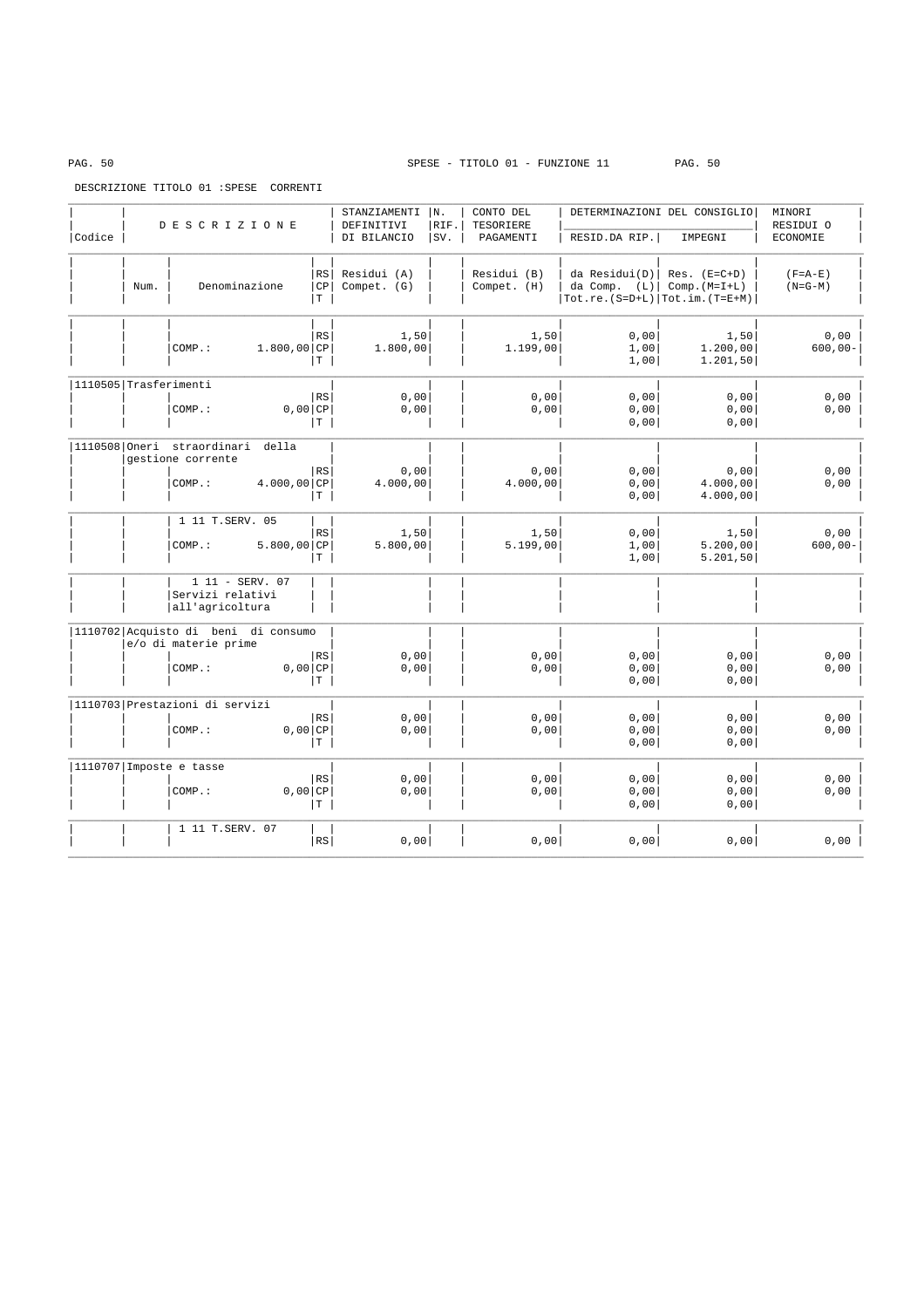## PAG. 50 **SPESE** - TITOLO 01 - FUNZIONE 11 PAG. 50

### DESCRIZIONE TITOLO 01 :SPESE CORRENTI

| Codice                |      | DESCRIZIONE                                                                         |                            | STANZIAMENTI<br>IN.<br>RIF.<br>DEFINITIVI<br>DI BILANCIO<br>SV. | CONTO DEL<br>TESORIERE<br>PAGAMENTI | RESID.DA RIP.                      | DETERMINAZIONI DEL CONSIGLIO<br>IMPEGNI                          | MINORI<br>RESIDUI 0<br><b>ECONOMIE</b> |
|-----------------------|------|-------------------------------------------------------------------------------------|----------------------------|-----------------------------------------------------------------|-------------------------------------|------------------------------------|------------------------------------------------------------------|----------------------------------------|
|                       | Num. | Denominazione                                                                       | RS<br>CP<br>IТ             | Residui (A)<br>$Compet.$ (G)                                    | Residui (B)<br>Compet. (H)          | $ Tot.re.(S=D+L)   Tot.in.(T=E+M)$ | da Residui(D)   Res. $(E=C+D)$<br>da Comp. $(L)$ Comp. $(M=I+L)$ | $(F = A - E)$<br>$(N = G - M)$         |
|                       |      | 1.800,00 CP<br>COMP.:                                                               | RS<br>T                    | 1,50<br>1.800,00                                                | 1,50<br>1.199,00                    | 0,00<br>1,00<br>1,00               | 1,50<br>1.200,00<br>1.201, 50                                    | 0,00<br>$600,00 -$                     |
| 1110505 Trasferimenti |      | $0,00$  CP<br>COMP:                                                                 | RS<br>T                    | 0,00<br>0,00                                                    | 0,00<br>0,00                        | 0,00<br>0,00<br>0,00               | 0,00<br>0,00<br>0,00                                             | 0,00<br>0,00                           |
| 1110508 Oneri         |      | straordinari<br>della<br>gestione corrente<br>4.000,00 CP<br>COMP.:                 | RS<br>$\mathbb T$          | 0,00<br>4.000,00                                                | 0.00<br>4.000,00                    | 0,00<br>0,00<br>0,00               | 0,00<br>4.000,00<br>4.000,00                                     | 0,00<br>0,00                           |
|                       |      | 1 11 T.SERV. 05<br>5.800,00 CP<br>COMP.:                                            | $_{\rm RS}$<br>$\mathbb T$ | 1,50<br>5.800,00                                                | 1,50<br>5.199,00                    | 0,00<br>1,00<br>1,00               | 1,50<br>5.200,00<br>5.201, 50                                    | 0,00<br>$600,00 -$                     |
|                       |      | 1 11 - SERV. 07<br>Servizi relativi<br>all'agricoltura                              |                            |                                                                 |                                     |                                    |                                                                  |                                        |
|                       |      | 1110702 Acquisto di beni di consumo<br>e/o di materie prime<br>COMP.:<br>$0,00$  CP | RS<br>T                    | 0,00<br>0,00                                                    | 0,00<br>0,00                        | 0,00<br>0,00<br>0,00               | 0,00<br>0,00<br>0,00                                             | 0,00<br>0,00                           |
|                       |      | 1110703 Prestazioni di servizi<br>$0,00$  CP<br>COMP.:                              | RS<br>$\mathbf T$          | 0,00<br>0,00                                                    | 0,00<br>0,00                        | 0,00<br>0,00<br>0,00               | 0,00<br>0,00<br>0,00                                             | 0,00<br>0,00                           |
|                       |      | 1110707 Imposte e tasse<br>COMP.:<br>$0,00$  CP                                     | RS<br>$\mathbf T$          | 0,00<br>0,00                                                    | 0,00<br>0,00                        | 0,00<br>0,00<br>0,00               | 0,00<br>0,00<br>0,00                                             | 0,00<br>0,00                           |
|                       |      | 1 11 T.SERV. 07                                                                     | RS                         | 0,00                                                            | 0,00                                | 0,00                               | 0,00                                                             | 0,00                                   |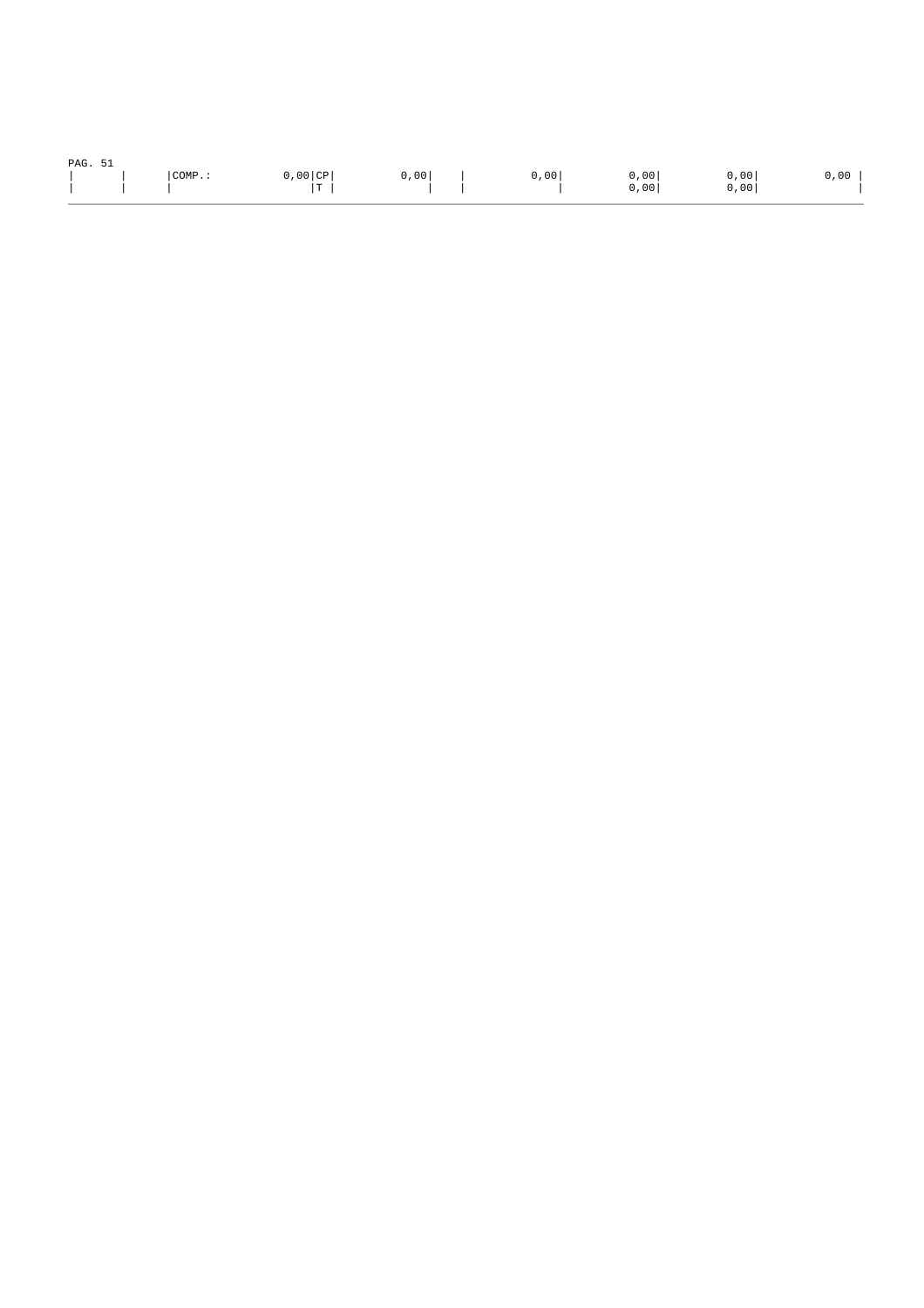| PAG. 51 |                                                |                |                |                                    |      |      |      |        |
|---------|------------------------------------------------|----------------|----------------|------------------------------------|------|------|------|--------|
|         | $\mathbf{1}$ and $\mathbf{1}$ and $\mathbf{1}$ | $\vert$ COMP.: | 0,00 CP        | $0,00$                             | 0,00 | 0,00 | 0,00 | $0,00$ |
|         |                                                |                | $ \mathbf{T} $ | $\sim$ $\sim$ $\sim$ $\sim$ $\sim$ |      | 0,00 | 0,00 |        |
|         |                                                |                |                |                                    |      |      |      |        |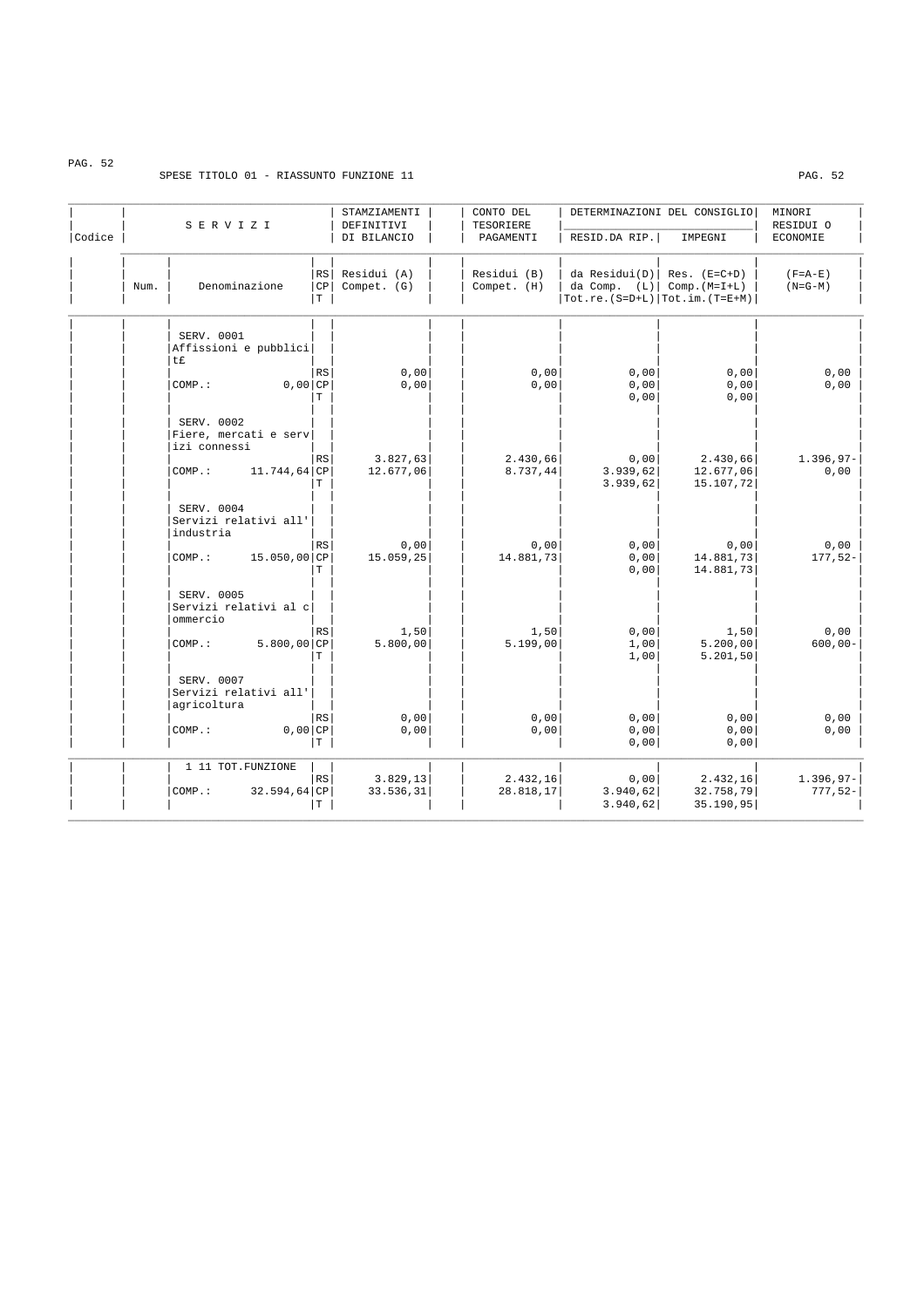### PAG. 52 SPESE TITOLO 01 - RIASSUNTO FUNZIONE 11

| ×<br>۰. |  |
|---------|--|
|---------|--|

| Codice |      | SERVIZI                                                                                        | STAMZIAMENTI<br>DEFINITIVI<br>DI BILANCIO | CONTO DEL<br>TESORIERE<br>PAGAMENTI | DETERMINAZIONI DEL CONSIGLIO<br>RESID.DA RIP.<br>IMPEGNI                                                   | MINORI<br>RESIDUI 0<br>ECONOMIE |
|--------|------|------------------------------------------------------------------------------------------------|-------------------------------------------|-------------------------------------|------------------------------------------------------------------------------------------------------------|---------------------------------|
|        | Num. | Denominazione<br>T                                                                             | Residui (A)<br>RS<br>CP<br>Compet. $(G)$  | Residui (B)<br>$Compet.$ (H)        | da Residui(D)   Res. $(E=C+D)$<br>da Comp. $(L)  $ Comp. $(M=I+L)$<br>$ Tot.re.(S=D+L)   Tot.in.(T=E+M)  $ | $(F=A-E)$<br>$(N = G - M)$      |
|        |      | SERV. 0001<br>Affissioni e pubblici<br>t.f.<br>$0,00$  CP<br>COMP:<br>T.<br>SERV. 0002         | 0,00<br>l RS.<br>0,00                     | 0,00<br>0,00                        | 0,00<br>0,00<br>0,00<br>0,00<br>0,00<br>0,00                                                               | 0,00<br>0,00                    |
|        |      | Fiere, mercati e serv<br>izi connessi<br>11.744,64 CP<br>COMP:<br>SERV. 0004                   | 3.827,63<br>RS<br>12.677,06               | 2.430,66<br>8.737,44                | 0,00<br>2.430,66<br>3.939.62<br>12.677,06<br>3.939,62<br>15.107,72                                         | $1.396, 97 -$<br>0,00           |
|        |      | Servizi relativi all'<br>industria<br>15.050,00 CP<br>COMP:<br>T.                              | 0,00<br>RS<br>15.059,25                   | 0,00<br>14.881,73                   | 0,00<br>0,00<br>0,00<br>14.881,73<br>0,00<br>14.881,73                                                     | 0,00<br>$177,52-$               |
|        |      | SERV. 0005<br>Servizi relativi al cl<br>ommercio<br>$5.800,00$ CP<br>COMP:<br>T.<br>SERV. 0007 | 1,50<br>RS<br>5.800,00                    | 1,50<br>5.199,00                    | 0,00<br>1,50<br>1,00<br>5.200,00<br>5.201, 50<br>1,00                                                      | 0.00<br>$600,00 -$              |
|        |      | Servizi relativi all'<br>agricoltura<br>$0,00$  CP<br>COMP.:<br>T.                             | 0,00<br>RS<br>0,00                        | 0,00<br>0,00                        | 0,00<br>0,00<br>0,00<br>0,00<br>0,00<br>0,00                                                               | 0,00<br>0,00                    |
|        |      | 1 11 TOT. FUNZIONE<br>COMP.:<br>32.594,64 CP<br>T.                                             | RS<br>3.829, 13<br>33.536,31              | 2.432, 16<br>28.818, 17             | 0,00<br>2.432, 16<br>3.940, 62<br>32.758,79<br>3.940, 62<br>35.190, 95                                     | $1.396, 97 -$<br>$777,52-$      |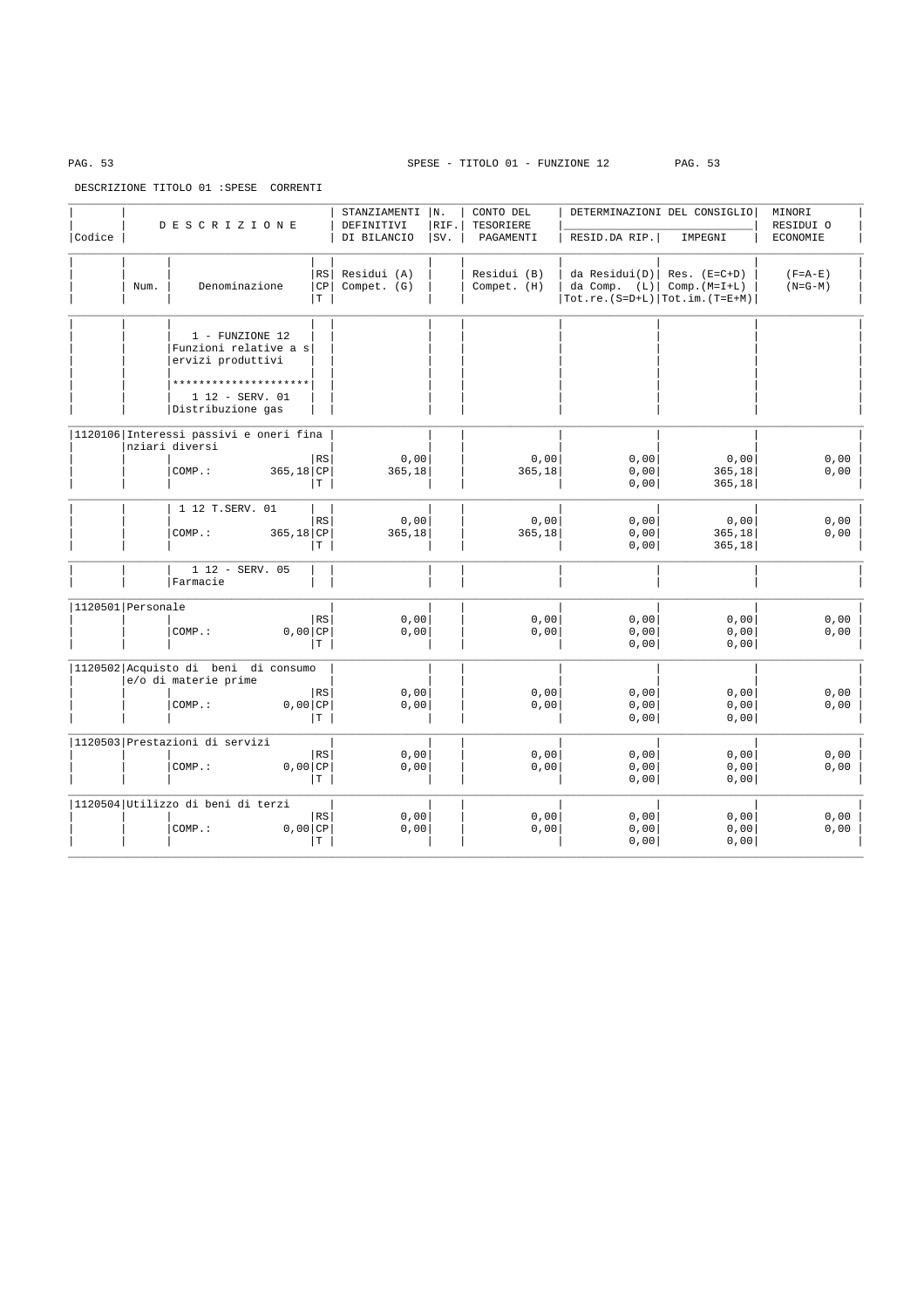# PAG. 53 SPESE - TITOLO 01 - FUNZIONE 12 PAG. 53

DESCRIZIONE TITOLO 01 :SPESE CORRENTI

| Codice            |      | DESCRIZIONE                                                                                                                    |                   | STANZIAMENTI<br>DEFINITIVI<br>DI BILANCIO | N.<br>RIF.<br>SV. | CONTO DEL<br>TESORIERE<br>PAGAMENTI | RESID.DA RIP.                                                                                          | DETERMINAZIONI DEL CONSIGLIO<br>IMPEGNI | MINORI<br>RESIDUI 0<br>ECONOMIE |
|-------------------|------|--------------------------------------------------------------------------------------------------------------------------------|-------------------|-------------------------------------------|-------------------|-------------------------------------|--------------------------------------------------------------------------------------------------------|-----------------------------------------|---------------------------------|
|                   | Num. | Denominazione                                                                                                                  | RS<br>CP<br>IΤ    | Residui (A)<br>$Compet.$ (G)              |                   | Residui (B)<br>Compet. (H)          | da Residui(D)   Res. $(E=C+D)$<br>da Comp. $(L)$ Comp. $(M=I+L)$<br>$ Tot.re.(S=D+L)   Tot.in.(T=E+M)$ |                                         | $(F = A - E)$<br>$(N = G - M)$  |
|                   |      | 1 - FUNZIONE 12<br>Funzioni relative a s<br>ervizi produttivi<br>*********************<br>1 12 - SERV. 01<br>Distribuzione gas |                   |                                           |                   |                                     |                                                                                                        |                                         |                                 |
|                   |      | 1120106 Interessi passivi e oneri fina<br>nziari diversi<br>$365, 18$ CP<br>COMP:                                              | RS<br>T.          | 0,00<br>365,18                            |                   | 0,00<br>365,18                      | 0,00<br>0,00<br>0,00                                                                                   | 0,00<br>365, 18<br>365, 18              | 0,00<br>0,00                    |
|                   |      | 1 12 T.SERV. 01<br>$365, 18$ CP<br>COMP.:                                                                                      | RS<br>$\mathbf T$ | 0,00<br>365,18                            |                   | 0,00<br>365,18                      | 0,00<br>0,00<br>0,00                                                                                   | 0,00<br>365, 18<br>365, 18              | 0,00<br>0,00                    |
|                   |      | 1 12 - SERV. 05<br>Farmacie                                                                                                    |                   |                                           |                   |                                     |                                                                                                        |                                         |                                 |
| 1120501 Personale |      | $0,00$  CP<br>COMP.:                                                                                                           | RS<br>T           | 0,00<br>0,00                              |                   | 0,00<br>0,00                        | 0,00<br>0,00<br>0,00                                                                                   | 0,00<br>0,00<br>0,00                    | $0,00$<br>0,00                  |
|                   |      | 1120502 Acquisto di beni di consumo<br>e/o di materie prime<br>$0,00$  CP<br>COMP.:                                            | RS<br>T           | 0,00<br>0,00                              |                   | 0,00<br>0,00                        | 0,00<br>0,00<br>0,00                                                                                   | 0,00<br>0,00<br>0,00                    | 0,00<br>0,00                    |
|                   |      | 1120503 Prestazioni di servizi<br>$0,00$  CP<br>COMP.:                                                                         | RS<br>T           | 0,00<br>0,00                              |                   | 0,00<br>0,00                        | 0,00<br>0,00<br>0,00                                                                                   | 0,00<br>0,00<br>0,00                    | 0,00<br>0,00                    |
|                   |      | 1120504 Utilizzo di beni di terzi<br>$0,00$  CP<br>COMP.:                                                                      | RS<br>$\mathbb T$ | 0,00<br>0,00                              |                   | 0,00<br>0,00                        | 0,00<br>0,00<br>0,00                                                                                   | 0,00<br>0,00<br>0,00                    | 0,00<br>0,00                    |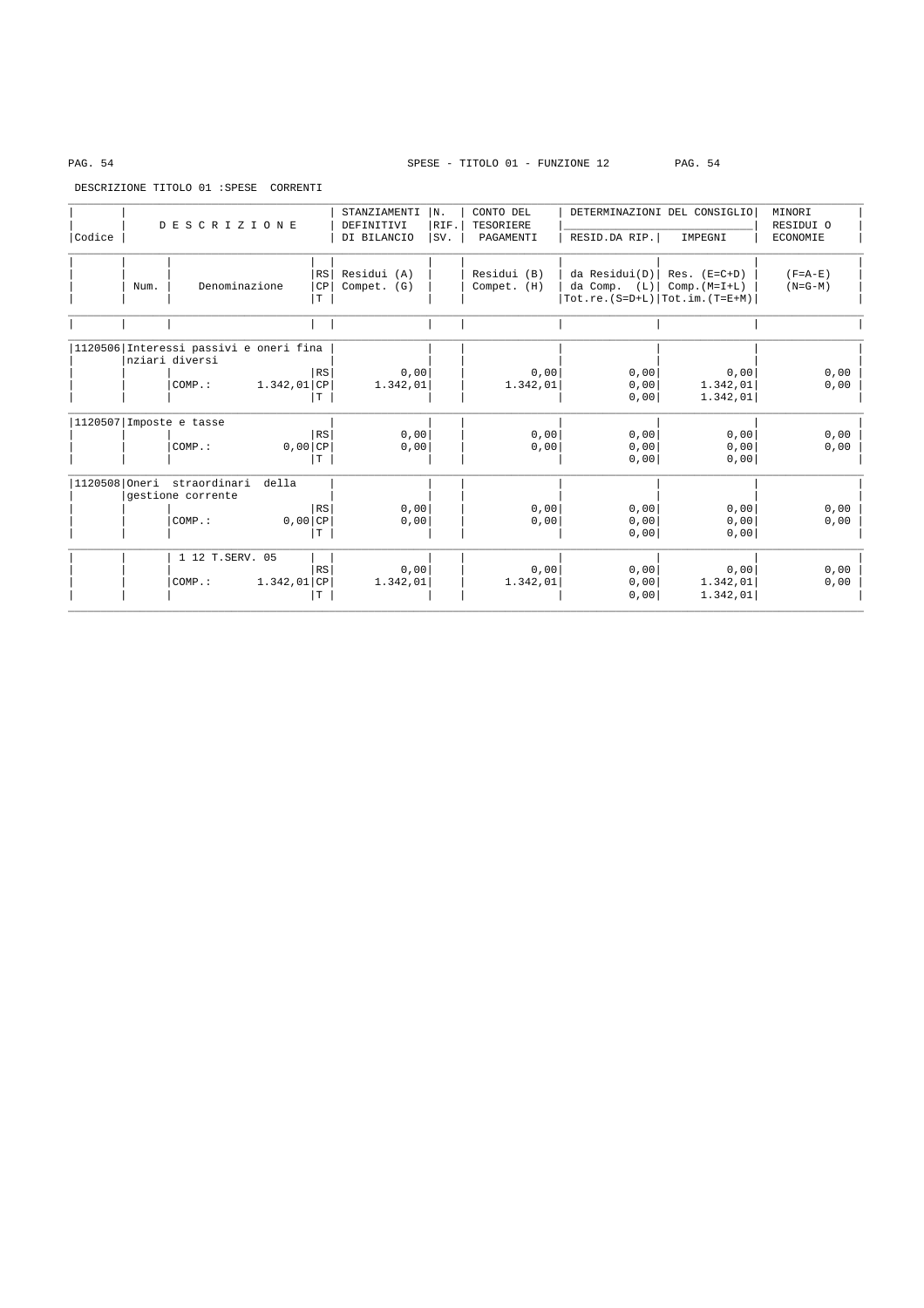## PAG. 54 SPESE - TITOLO 01 - FUNZIONE 12 PAG. 54

### DESCRIZIONE TITOLO 01 :SPESE CORRENTI

| Codice |      | DESCRIZIONE                                                        |             |                          | STANZIAMENTI<br>DEFINITIVI<br>DI BILANCIO | IN.<br>RIF.<br>SV. | CONTO DEL<br>TESORIERE<br>PAGAMENTI | RESID.DA RIP.        | DETERMINAZIONI DEL CONSIGLIO<br>IMPEGNI                                                  | MINORI<br>RESIDUI 0<br><b>ECONOMIE</b> |
|--------|------|--------------------------------------------------------------------|-------------|--------------------------|-------------------------------------------|--------------------|-------------------------------------|----------------------|------------------------------------------------------------------------------------------|----------------------------------------|
|        | Num. | Denominazione                                                      |             | RS<br>CP<br>$\mathbf T$  | Residui (A)<br>$Compet.$ (G)              |                    | Residui (B)<br>Compet. (H)          | da Residui $(D)$     | $Res.$ $(E=C+D)$<br>da Comp. $(L)$ Comp. $(M=I+L)$<br>$ Tot.re.(S=D+L)   Tot.in.(T=E+M)$ | $(F=A-E)$<br>$( N = G - M )$           |
|        |      |                                                                    |             |                          |                                           |                    |                                     |                      |                                                                                          |                                        |
|        |      | 1120506 Interessi passivi e oneri fina<br>Inziari diversi<br>COMP: | 1.342.01 CP | l RS                     | 0,00<br>1.342,01                          |                    | 0,00<br>1.342,01                    | 0,00<br>0,00         | 0,00<br>1.342,01                                                                         | 0,00<br>0,00                           |
|        |      |                                                                    |             | $\mathbf T$              |                                           |                    |                                     | 0,00                 | 1.342,01                                                                                 |                                        |
|        |      | 1120507 Imposte e tasse<br>COMP.:                                  | $0,00$  CP  | RS<br>$\mathbb T$        | 0,00<br>0,00                              |                    | 0,00<br>0,00                        | 0,00<br>0,00<br>0,00 | 0,00<br>0,00<br>0,00                                                                     | 0,00<br>0,00                           |
|        |      | 1120508 Oneri straordinari<br>gestione corrente                    | della       |                          |                                           |                    |                                     |                      |                                                                                          |                                        |
|        |      | COMP.:                                                             | $0,00$  CP  | RS<br>T.                 | 0,00<br>0,00                              |                    | 0,00<br>0,00                        | 0,00<br>0,00<br>0,00 | 0,00<br>0,00<br>0,00                                                                     | 0,00<br>0,00                           |
|        |      | 1 12 T.SERV. 05<br>COMP.:                                          | 1.342,01 CP | <b>RS</b><br>$\mathbb T$ | 0,00<br>1.342,01                          |                    | 0,00<br>1.342,01                    | 0,00<br>0,00<br>0,00 | 0,00<br>1.342,01<br>1.342,01                                                             | 0,00<br>0,00                           |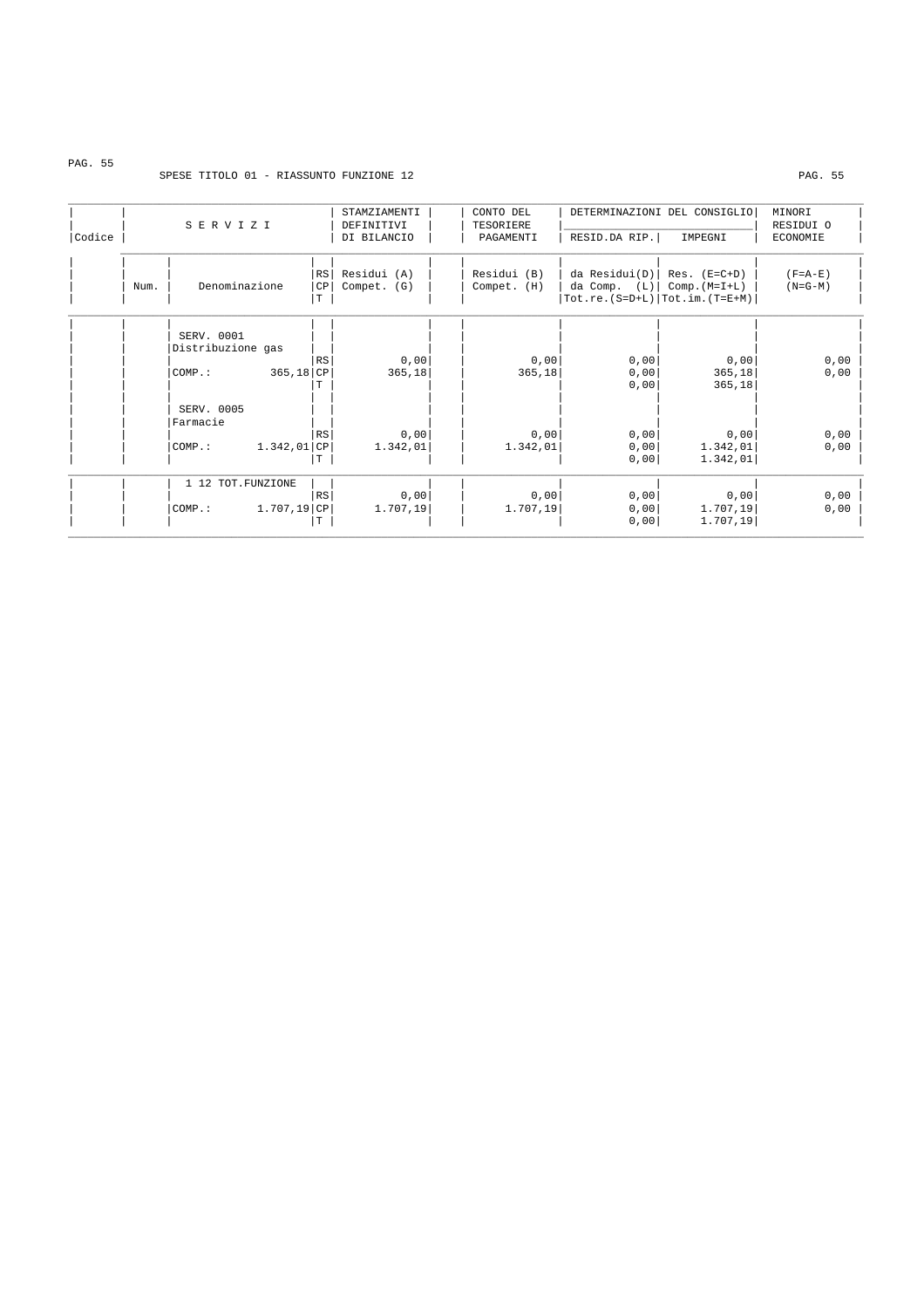### PAG. 55 SPESE TITOLO 01 - RIASSUNTO FUNZIONE 12 PAG. 55

| Codice |      | SERVIZI                                                  |                                | STAMZIAMENTI<br>DEFINITIVI<br>DI BILANCIO | CONTO DEL<br>TESORIERE<br>PAGAMENTI | RESID.DA RIP.                                                        | DETERMINAZIONI DEL CONSIGLIO<br>IMPEGNI | MINORI<br>RESIDUI 0<br>ECONOMIE  |
|--------|------|----------------------------------------------------------|--------------------------------|-------------------------------------------|-------------------------------------|----------------------------------------------------------------------|-----------------------------------------|----------------------------------|
|        | Num. | Denominazione                                            | <b>RS</b><br>CP<br>$\mathbf T$ | Residui (A)<br>$Compet.$ (G)              | Residui (B)<br>$Compet.$ (H)        | da Comp. $(L)$ Comp. $(M=I+L)$<br>$ Tot.re.(S=D+L)   Tot.in.(T=E+M)$ | da Residui(D)   Res. $(E=C+D)$          | $(F = A - E)$<br>$( N = G - M )$ |
|        |      | SERV. 0001<br>Distribuzione gas<br>$365, 18$ CP<br>COMP: | <b>RS</b>                      | 0,00<br>365, 18                           | 0,00<br>365, 18                     | 0,00<br>0,00<br>0,00                                                 | 0,00<br>365, 18<br>365, 18              | 0,00<br>0,00                     |
|        |      | SERV. 0005<br>Farmacie<br>$1.342,01$ CP<br>COMP:         | RS<br>$\mathbf T$              | 0,00<br>1.342,01                          | 0,00<br>1.342,01                    | 0,00<br>0,00<br>0,00                                                 | 0,00<br>1.342,01<br>1.342,01            | 0,00<br>0,00                     |
|        |      | 1 12 TOT. FUNZIONE<br>$1.707, 19$ CP<br>COMP:            | <b>RS</b><br>Т                 | 0,00<br>1.707,19                          | 0,00<br>1.707,19                    | 0,00<br>0,00<br>0,00                                                 | 0,00<br>1.707, 19<br>1.707, 19          | 0,00<br>0,00                     |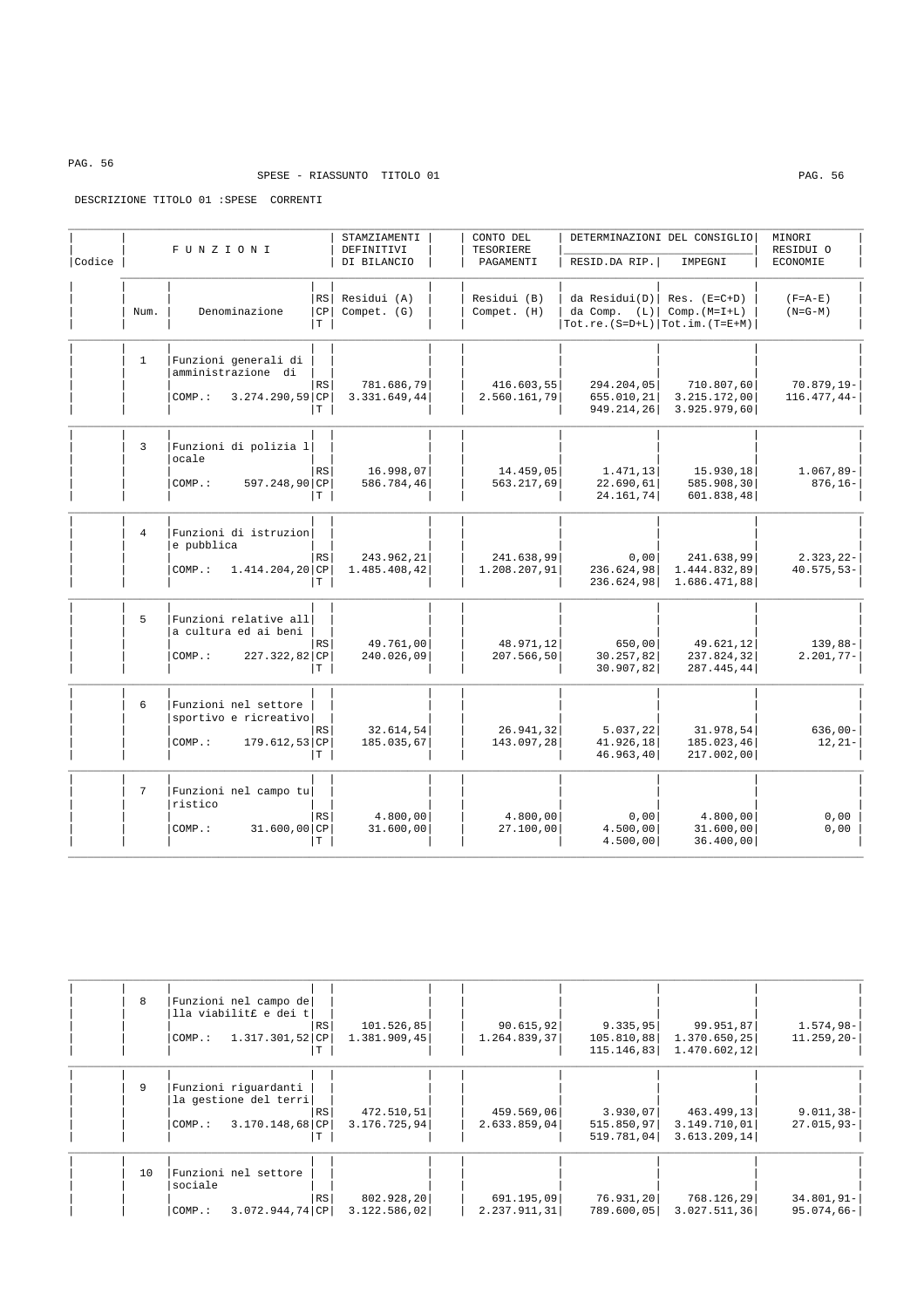### PAG. 56

### SPESE - RIASSUNTO TITOLO 01 PAG. 56

DESCRIZIONE TITOLO 01 :SPESE CORRENTI

| Codice |                 | <b>FUNZIONI</b>                                                                      | STAMZIAMENTI<br>DEFINITIVI<br>DI BILANCIO | CONTO DEL<br>TESORIERE<br>PAGAMENTI | DETERMINAZIONI DEL CONSIGLIO<br>RESID.DA RIP.                                                           | IMPEGNI                                    | MINORI<br>RESIDUI O<br>ECONOMIE  |
|--------|-----------------|--------------------------------------------------------------------------------------|-------------------------------------------|-------------------------------------|---------------------------------------------------------------------------------------------------------|--------------------------------------------|----------------------------------|
|        | Num.            | R <sub>S</sub><br>Denominazione<br>CP<br>T.                                          | Residui (A)<br>$Compet.$ (G)              | Residui (B)<br>Compet. (H)          | da Residui(D)   Res. $(E=C+D)$<br>da Comp. $(L)$ Comp. $(M=I+L)$<br>$Tot.re.(S=D+L)   Tot.in.(T=E+M)  $ |                                            | $(F = A - E)$<br>$( N = G - M )$ |
|        | $\mathbf{1}$    | Funzioni generali di<br>amministrazione di<br>RS<br>3.274.290,59 CP<br>COMP:<br>T.   | 781.686,79<br>3.331.649,44                | 416.603,55<br>2.560.161,79          | 294.204,05<br>655.010, 21<br>949.214,26                                                                 | 710.807,60<br>3.215.172.00<br>3.925.979.60 | $70.879, 19 -$<br>$116.477.44-$  |
|        | 3               | Funzioni di polizia l<br>ocale<br>RS<br>597.248,90 CP<br>COMP:<br>T.                 | 16.998,07<br>586.784,46                   | 14.459,05<br>563.217,69             | 1.471, 13<br>22.690, 61<br>24.161,74                                                                    | 15.930,18<br>585.908,30<br>601.838,48      | $1.067,89-$<br>$876, 16 -$       |
|        | $\overline{4}$  | Funzioni di istruzion<br>e pubblica<br>RS<br>1.414.204,20 CP<br>COMP.:<br>T          | 243.962,21<br>1.485.408,42                | 241.638,99<br>1.208.207,91          | 0,00<br>236.624,98<br>236.624,98                                                                        | 241.638,99<br>1.444.832,89<br>1.686.471.88 | $2.323, 22 -$<br>$40.575, 53 -$  |
|        | 5               | Funzioni relative all<br>a cultura ed ai beni<br>RS<br>COMP:<br>227.322,82 CP<br>T   | 49.761,00<br>240.026,09                   | 48.971,12<br>207.566,50             | 650,00<br>30.257,82<br>30.907,82                                                                        | 49.621.12<br>237.824,32<br>287.445,44      | $139,88-$<br>$2.201, 77 -$       |
|        | 6               | Funzioni nel settore<br>sportivo e ricreativo<br>RS<br>COMP.:<br>179.612,53 CP<br>T. | 32.614,54<br>185.035,67                   | 26.941, 32<br>143.097,28            | 5.037.22<br>41.926,18<br>46.963,40                                                                      | 31.978,54<br>185.023,46<br>217.002,00      | $636,00-$<br>$12, 21-$           |
|        | $7\overline{ }$ | Funzioni nel campo tu<br>ristico<br>RS<br>COMP.:<br>31.600,00 CP<br>т                | 4.800,00<br>31.600,00                     | 4.800,00<br>27.100,00               | 0,00<br>4.500,00<br>4.500,00                                                                            | 4.800,00<br>31.600,00<br>36.400,00         | 0,00<br>0,00                     |

| 8  |         | Funzioni nel campo de<br>lla viabilit£ e dei t |           |              |              |            |               |                |
|----|---------|------------------------------------------------|-----------|--------------|--------------|------------|---------------|----------------|
|    |         |                                                | <b>RS</b> | 101.526,85   | 90.615,92    | 9.335,95   | 99.951,87     | $1.574.98 -$   |
|    | COMP:   | 1.317.301,52 CP                                |           | 1.381.909,45 | 1.264.839.37 | 105.810,88 | 1.370.650, 25 | $11.259.20 -$  |
|    |         |                                                |           |              |              | 115.146.83 | 1.470.602, 12 |                |
|    |         |                                                |           |              |              |            |               |                |
| 9  |         | Funzioni riguardanti                           |           |              |              |            |               |                |
|    |         | la gestione del terri                          |           |              |              |            |               |                |
|    |         |                                                | RS.       | 472.510,51   | 459.569,06   | 3.930,07   | 463.499,13    | $9.011, 38 -$  |
|    | COMP.:  | 3.170.148,68 CP                                |           | 3.176.725.94 | 2.633.859.04 | 515.850,97 | 3.149.710.01  | $27.015,93-$   |
|    |         |                                                |           |              |              | 519.781,04 | 3.613.209.14  |                |
|    |         |                                                |           |              |              |            |               |                |
| 10 | sociale | Funzioni nel settore                           |           |              |              |            |               |                |
|    |         |                                                | RS        |              |              |            |               |                |
|    |         |                                                |           | 802.928, 20  | 691.195,09   | 76.931,20  | 768.126,29    | $34.801, 91 -$ |
|    | COMP:   | 3.072.944.74 CP                                |           | 3.122.586,02 | 2.237.911.31 | 789.600,05 | 3.027.511,36  | $95.074,66-$   |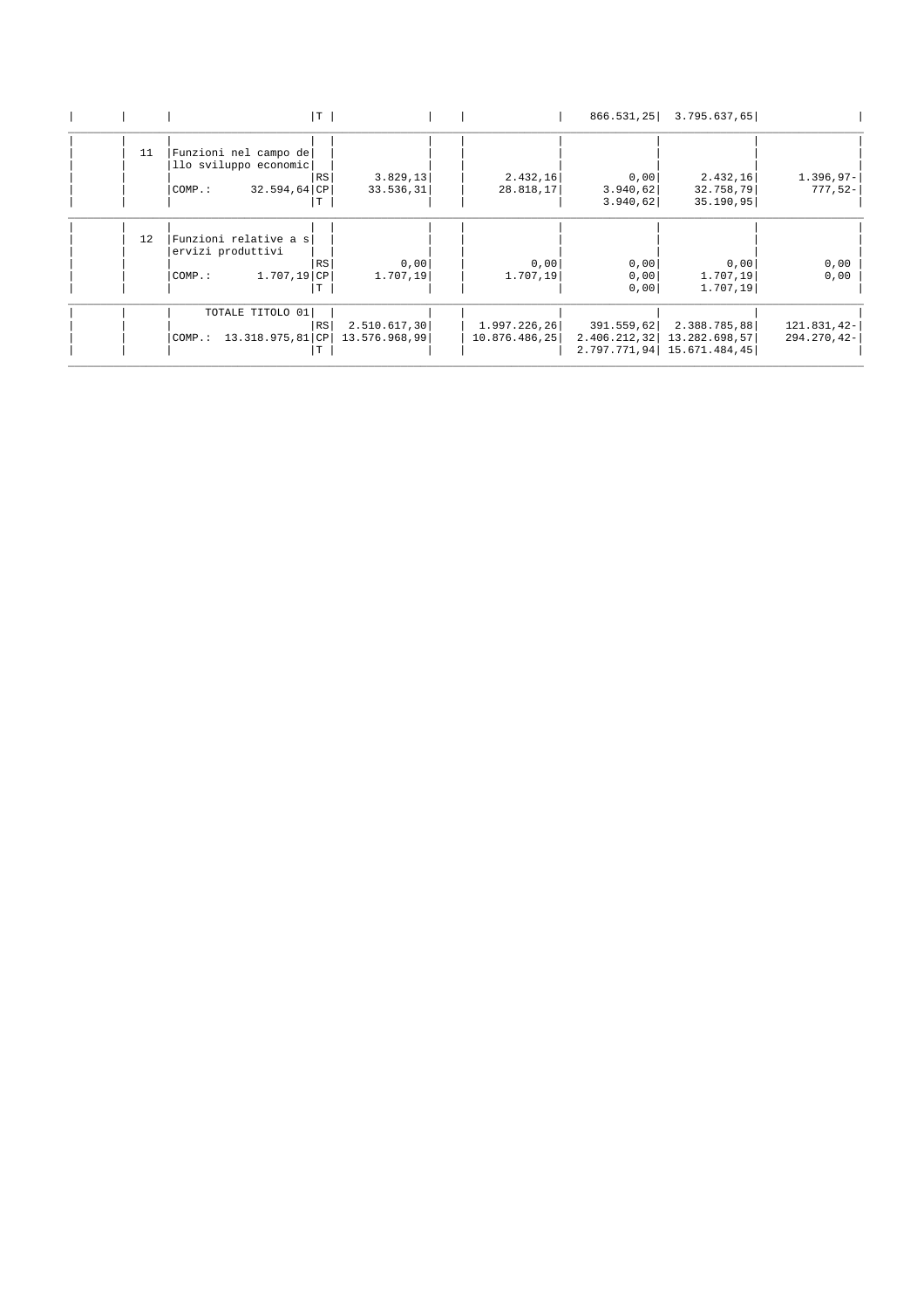|    | T.                      |               |               | 866.531,25   | 3.795.637.65               |               |
|----|-------------------------|---------------|---------------|--------------|----------------------------|---------------|
|    |                         |               |               |              |                            |               |
| 11 | Funzioni nel campo de   |               |               |              |                            |               |
|    | llo sviluppo economic   |               |               |              |                            |               |
|    | RS                      | 3.829, 13     | 2.432, 16     | 0,00         | 2.432, 16                  | $1.396,97-$   |
|    | $32.594.64$ CP<br>COMP: | 33.536,31     | 28.818,17     | 3.940, 62    | 32.758,79                  | $777,52-$     |
|    |                         |               |               | 3.940, 62    | 35.190.95                  |               |
|    |                         |               |               |              |                            |               |
|    |                         |               |               |              |                            |               |
| 12 | Funzioni relative a s   |               |               |              |                            |               |
|    | ervizi produttivi       |               |               |              |                            |               |
|    | RS                      | 0,00          | 0,00          | 0,00         | 0,00                       | 0,00          |
|    | 1.707.19 CP <br>COMP:   | 1.707, 19     | 1.707, 19     | 0,00         | 1.707, 19                  | 0,00          |
|    | т                       |               |               | 0,00         | 1.707, 19                  |               |
|    |                         |               |               |              |                            |               |
|    | TOTALE TITOLO 01        |               |               |              |                            |               |
|    | RS.                     | 2.510.617,30  | 1.997.226,26  | 391.559,62   | 2.388.785,88               | 121.831,42-   |
|    | COMP.: 13.318.975.81 CP | 13.576.968,99 | 10.876.486,25 | 2.406.212.32 | 13.282.698,57              | $294.270.42-$ |
|    |                         |               |               |              | 2.797.771,94 15.671.484,45 |               |
|    |                         |               |               |              |                            |               |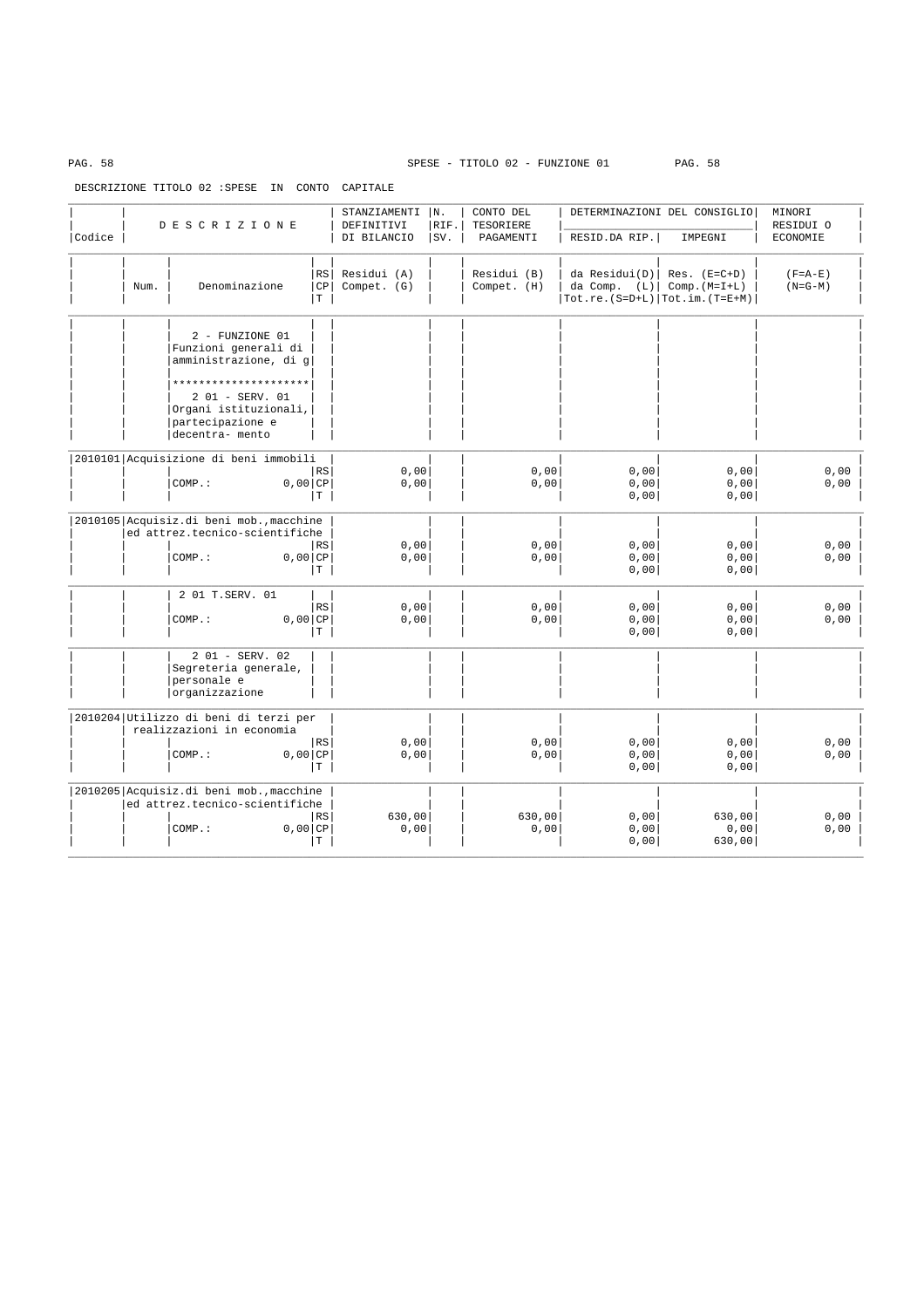# PAG. 58 SPESE - TITOLO 02 - FUNZIONE 01 PAG. 58

| Codice |      | DESCRIZIONE                                                                                                                                                                  |                     | STANZIAMENTI<br> N.<br>DEFINITIVI<br>RIF.<br>SV.<br>DI BILANCIO | CONTO DEL<br>TESORIERE<br>PAGAMENTI | RESID.DA RIP.                                                    | DETERMINAZIONI DEL CONSIGLIO<br>IMPEGNI | MINORI<br>RESIDUI 0<br><b>ECONOMIE</b> |
|--------|------|------------------------------------------------------------------------------------------------------------------------------------------------------------------------------|---------------------|-----------------------------------------------------------------|-------------------------------------|------------------------------------------------------------------|-----------------------------------------|----------------------------------------|
|        | Num. | Denominazione                                                                                                                                                                | RS<br>CP<br>IΤ      | Residui (A)<br>$Compet.$ (G)                                    | Residui (B)<br>Compet. (H)          | da Residui(D)   Res. $(E=C+D)$<br>da Comp. $(L)$ Comp. $(M=I+L)$ | $ Tot.re.(S=D+L)   Tot.in.(T=E+M)  $    | $(F = A - E)$<br>$(N = G - M)$         |
|        |      | 2 - FUNZIONE 01<br>Funzioni generali di<br>amministrazione, di g<br>*********************<br>2 01 - SERV. 01<br>Organi istituzionali,<br>partecipazione e<br>decentra- mento |                     |                                                                 |                                     |                                                                  |                                         |                                        |
|        |      | 2010101 Acquisizione di beni immobili<br>$0,00$  CP<br>COMP.:                                                                                                                | l RS<br>$\mathbb T$ | 0,00<br>0,00                                                    | 0,00<br>0,00                        | 0,00<br>0,00<br>0,00                                             | 0,00<br>0,00<br>0,00                    | 0.00<br>0,00                           |
|        |      | 2010105 Acquisiz.di beni mob., macchine<br>ed attrez.tecnico-scientifiche<br>$0,00$  CP<br>COMP.:                                                                            | RS<br>T             | 0,00<br>0,00                                                    | 0,00<br>0,00                        | 0,00<br>0,00<br>0,00                                             | 0,00<br>0,00<br>0,00                    | 0,00<br>0,00                           |
|        |      | 2 01 T.SERV. 01<br>$0,00$  CP<br>COMP:                                                                                                                                       | RS<br>T             | 0,00<br>0,00                                                    | 0,00<br>0,00                        | 0,00<br>0,00<br>0,00                                             | 0,00<br>0,00<br>0,00                    | 0,00<br>0,00                           |
|        |      | 2 01 - SERV. 02<br>Segreteria generale,<br>personale e<br>organizzazione                                                                                                     |                     |                                                                 |                                     |                                                                  |                                         |                                        |
|        |      | 2010204 Utilizzo di beni di terzi per<br>realizzazioni in economia<br>0,00 CP<br>COMP:                                                                                       | RS<br>IT.           | 0,00<br>0,00                                                    | 0,00<br>0,00                        | 0,00<br>0,00<br>0,00                                             | 0,00<br>0,00<br>0,00                    | 0,00<br>0,00                           |
|        |      | 2010205 Acquisiz.di beni mob., macchine<br>ed attrez.tecnico-scientifiche<br>$0,00$  CP<br>COMP.:                                                                            | l RS<br>$\mathbb T$ | 630,00<br>0,00                                                  | 630,00<br>0,00                      | 0,00<br>0,00<br>0,00                                             | 630,00<br>0,00<br>630,00                | 0,00<br>0,00                           |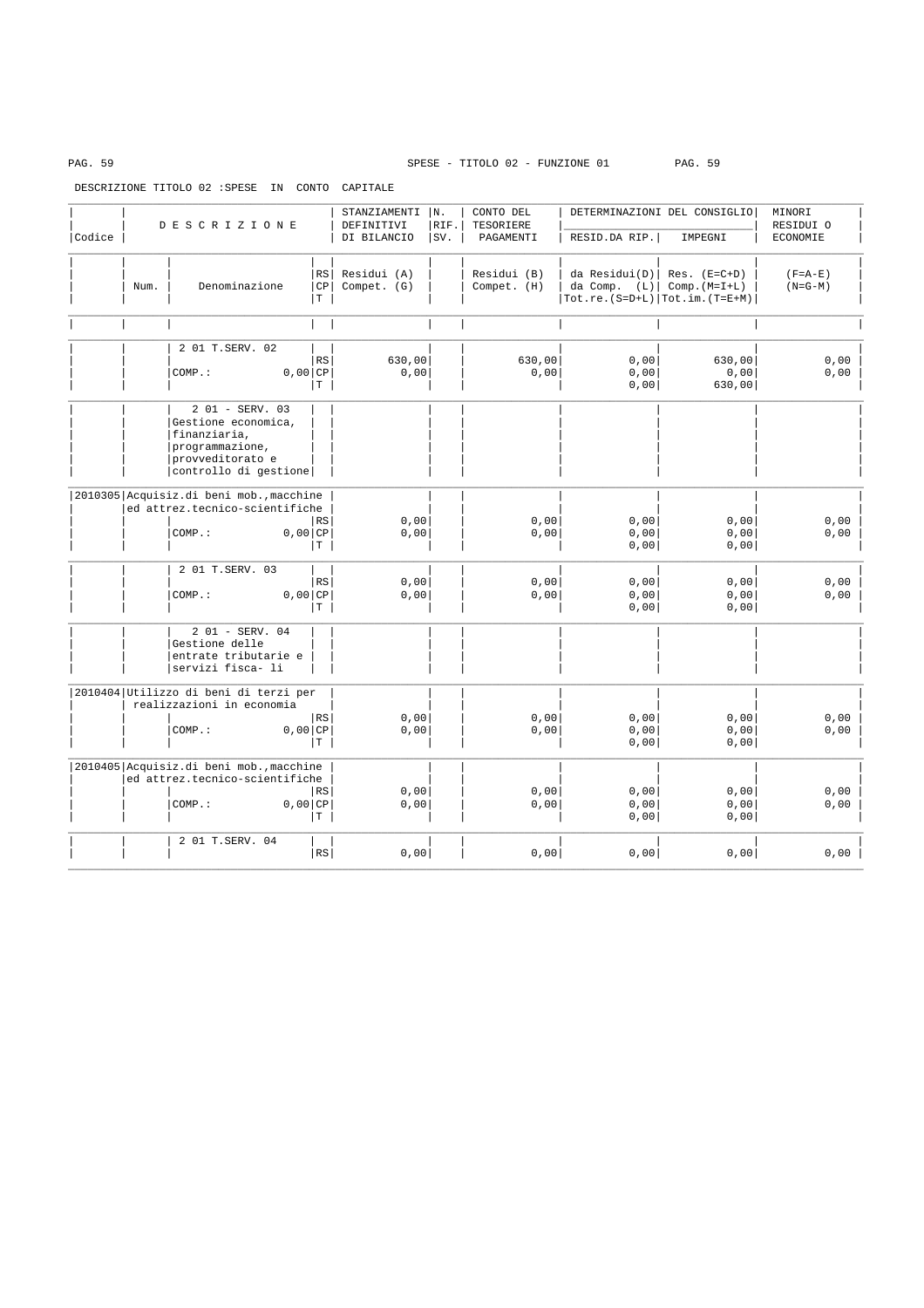# PAG. 59 SPESE - TITOLO 02 - FUNZIONE 01 PAG. 59

| Codice |      | DESCRIZIONE                                                                                                            |                    | STANZIAMENTI<br>$ N$ .<br>RIF.<br>DEFINITIVI<br>DI BILANCIO<br>ISV. | CONTO DEL<br>TESORIERE<br>PAGAMENTI | RESID.DA RIP.        | DETERMINAZIONI DEL CONSIGLIO<br>IMPEGNI                                                                 | MINORI<br>RESIDUI 0<br>ECONOMIE |
|--------|------|------------------------------------------------------------------------------------------------------------------------|--------------------|---------------------------------------------------------------------|-------------------------------------|----------------------|---------------------------------------------------------------------------------------------------------|---------------------------------|
|        | Num. | Denominazione                                                                                                          | RS<br>CP<br>IΤ     | Residui (A)<br>$Compet.$ (G)                                        | Residui (B)<br>Compet. (H)          |                      | da Residui(D)   Res. $(E=C+D)$<br>da Comp. $(L)$ Comp. $(M=I+L)$<br>$Tot.re.(S=D+L)   Tot.in.(T=E+M)  $ | $(F = A - E)$<br>$(N = G - M)$  |
|        |      |                                                                                                                        |                    |                                                                     |                                     |                      |                                                                                                         |                                 |
|        |      | 2 01 T.SERV. 02<br>$0,00$  CP<br>COMP:                                                                                 | RS<br>T.           | 630,00<br>0,00                                                      | 630,00<br>0,00                      | 0,00<br>0,00<br>0,00 | 630,00<br>0,00<br>630,00                                                                                | 0,00<br>0,00                    |
|        |      | 2 01 - SERV. 03<br>Gestione economica,<br>finanziaria,<br>programmazione,<br>provveditorato e<br>controllo di gestione |                    |                                                                     |                                     |                      |                                                                                                         |                                 |
|        |      | 2010305 Acquisiz.di beni mob., macchine<br>ed attrez.tecnico-scientifiche<br>0,00 CP<br>COMP.:                         | RS<br>T            | 0,00<br>0,00                                                        | 0,00<br>0,00                        | 0,00<br>0,00<br>0,00 | 0,00<br>0,00<br>0,00                                                                                    | 0,00<br>0,00                    |
|        |      | 2 01 T.SERV. 03<br>$0,00$  CP<br>COMP:                                                                                 | $_{\rm RS}$<br>T   | 0,00<br>0,00                                                        | 0,00<br>0,00                        | 0,00<br>0,00<br>0,00 | 0,00<br>0,00<br>0,00                                                                                    | 0,00<br>0,00                    |
|        |      | 2 01 - SERV. 04<br>Gestione delle<br>entrate tributarie e<br>servizi fisca- li                                         |                    |                                                                     |                                     |                      |                                                                                                         |                                 |
|        |      | 2010404 Utilizzo di beni di terzi per<br>realizzazioni in economia<br>COMP.:<br>$0,00$  CP                             | RS<br>T            | 0,00<br>0,00                                                        | 0,00<br>0,00                        | 0,00<br>0,00<br>0,00 | 0,00<br>0,00<br>0,00                                                                                    | 0,00<br>0,00                    |
|        |      | 2010405 Acquisiz.di beni mob., macchine<br>ed attrez.tecnico-scientifiche<br>$0,00$  CP<br>COMP.:                      | RS.<br>$\mathbf T$ | 0,00<br>0,00                                                        | 0,00<br>0,00                        | 0,00<br>0,00<br>0,00 | 0,00<br>0,00<br>0,00                                                                                    | 0,00<br>0,00                    |
|        |      | 2 01 T.SERV. 04                                                                                                        | RS                 | 0,00                                                                | 0,00                                | 0,00                 | 0,00                                                                                                    | 0,00                            |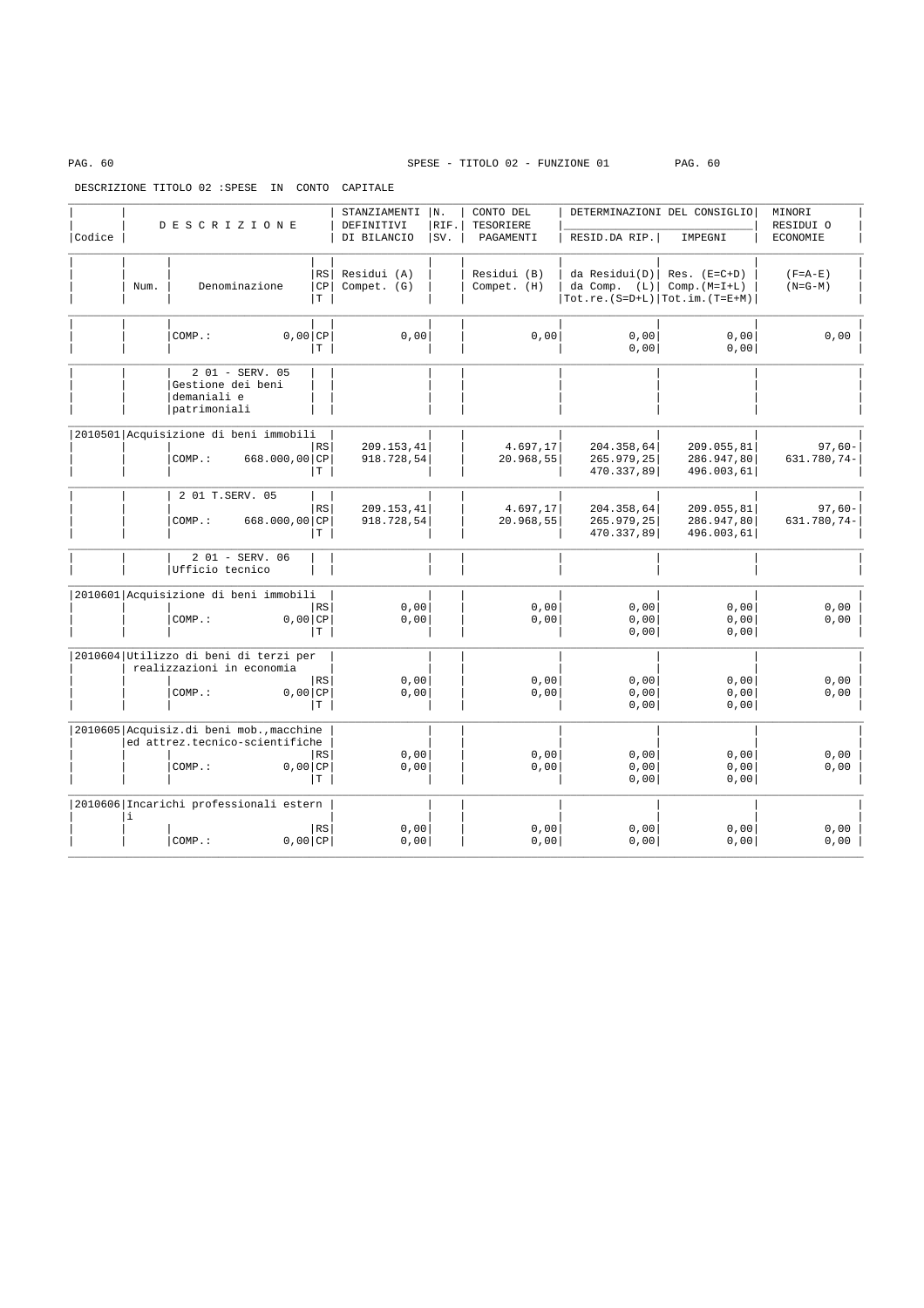# PAG. 60 SPESE - TITOLO 02 - FUNZIONE 01 PAG. 60

| Codice |      | DESCRIZIONE                                                         |                                                                                         |                        | STANZIAMENTI<br>DEFINITIVI<br>DI BILANCIO | N <br>RIF.<br>SV. | CONTO DEL<br>TESORIERE<br>PAGAMENTI | RESID.DA RIP.                                                       | DETERMINAZIONI DEL CONSIGLIO<br>IMPEGNI | MINORI<br>RESIDUI O<br><b>ECONOMIE</b> |
|--------|------|---------------------------------------------------------------------|-----------------------------------------------------------------------------------------|------------------------|-------------------------------------------|-------------------|-------------------------------------|---------------------------------------------------------------------|-----------------------------------------|----------------------------------------|
|        | Num. | Denominazione                                                       |                                                                                         | $_{\rm RS}$<br>CP<br>T | Residui (A)<br>$Compet.$ (G)              |                   | Residui (B)<br>Compet. (H)          | da Comp. $(L)$ Comp. $(M=I+L)$<br>$Tot.re.(S=D+L)   Tot.in.(T=E+M)$ | da Residui(D)   Res. $(E=C+D)$          | $(F = A - E)$<br>$(N = G - M)$         |
|        |      | COMP.:                                                              | $0,00$  CP                                                                              | T                      | 0,00                                      |                   | 0,00                                | 0,00<br>0,00                                                        | 0.00.<br>0,00                           | 0,00                                   |
|        |      | 2 01 - SERV. 05<br>Gestione dei beni<br>demaniali e<br>patrimoniali |                                                                                         |                        |                                           |                   |                                     |                                                                     |                                         |                                        |
|        |      | COMP:                                                               | 2010501 Acquisizione di beni immobili<br>668.000,00 CP                                  | RS<br>T                | 209.153,41<br>918.728,54                  |                   | 4.697,17<br>20.968,55               | 204.358,64<br>265.979,25<br>470.337,89                              | 209.055,81<br>286.947,80<br>496.003,61  | $97,60-$<br>631.780,74-                |
|        |      | 2 01 T.SERV. 05<br>COMP.:                                           | 668.000,00 CP                                                                           | RS<br>$\mathbf T$      | 209.153,41<br>918.728,54                  |                   | 4.697,17<br>20.968,55               | 204.358,64<br>265.979,25<br>470.337,89                              | 209.055,81<br>286.947,80<br>496.003,61  | $97,60-$<br>631.780,74-                |
|        |      | 2 01 - SERV. 06<br>Ufficio tecnico                                  |                                                                                         |                        |                                           |                   |                                     |                                                                     |                                         |                                        |
|        |      | COMP.:                                                              | 2010601 Acquisizione di beni immobili<br>$0,00$  CP                                     | RS<br>IТ               | 0,00<br>0,00                              |                   | 0,00<br>0,00                        | 0,00<br>0,00<br>0,00                                                | 0,00<br>0,00<br>0,00                    | 0,00<br>0,00                           |
|        |      | realizzazioni in economia<br>COMP.:                                 | 2010604 Utilizzo di beni di terzi per<br>$0,00$  CP                                     | RS<br>T                | 0,00<br>0,00                              |                   | 0,00<br>0,00                        | 0,00<br>0,00<br>0,00                                                | 0,00<br>0,00<br>0,00                    | 0,00<br>0,00                           |
|        |      | COMP.:                                                              | 2010605 Acquisiz.di beni mob., macchine<br>ed attrez.tecnico-scientifiche<br>$0,00$  CP | RS<br>T                | 0,00<br>0,00                              |                   | 0,00<br>0,00                        | 0,00<br>0,00<br>0,00                                                | 0,00<br>0,00<br>0,00                    | 0,00<br>0,00                           |
|        | i    | COMP.:                                                              | 2010606 Incarichi professionali estern<br>$0,00$  CP                                    | RS                     | 0,00<br>0,00                              |                   | 0,00<br>0,00                        | 0,00<br>0,00                                                        | 0,00<br>0,00                            | 0,00<br>0,00                           |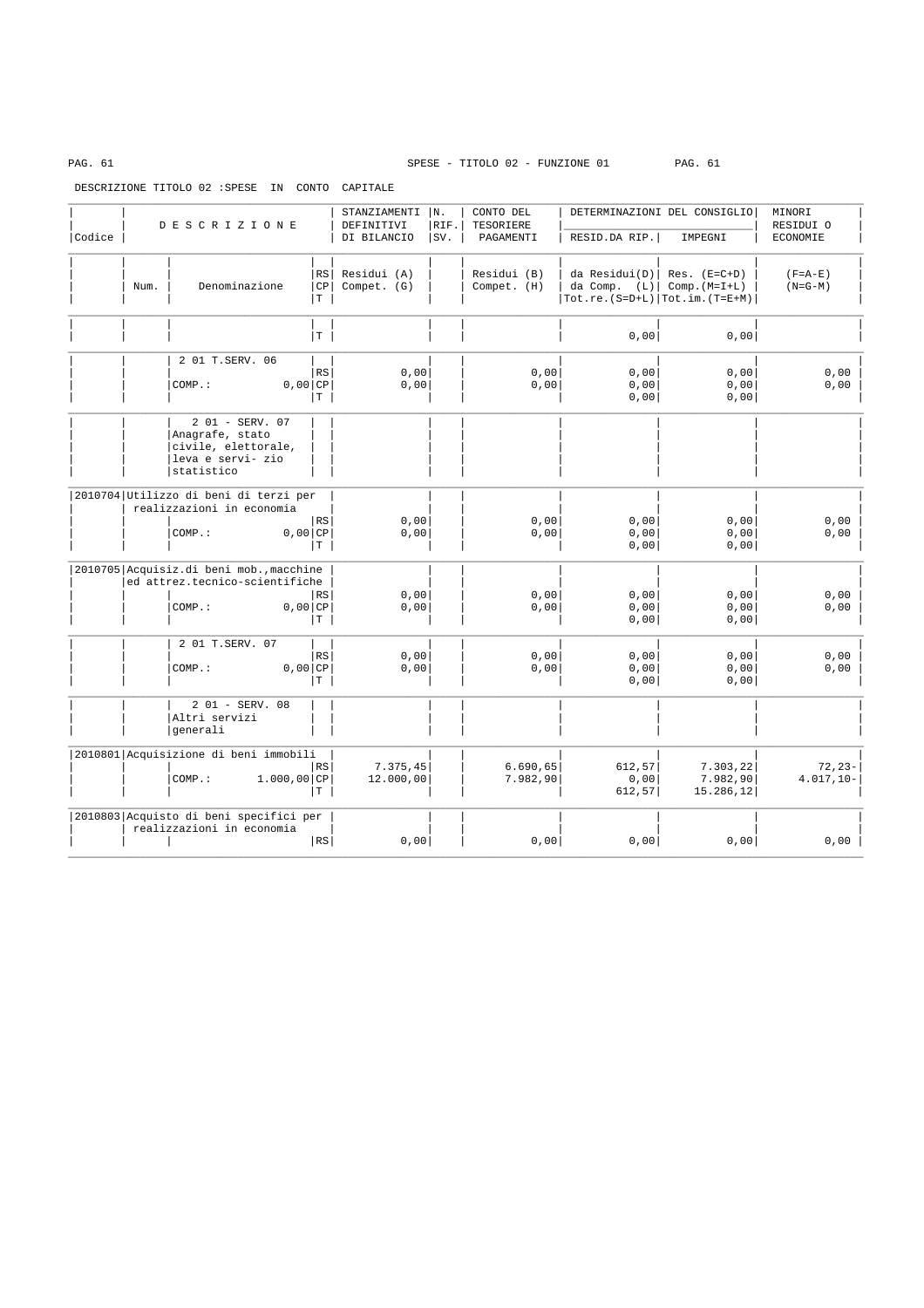# PAG. 61 SPESE - TITOLO 02 - FUNZIONE 01 PAG. 61

| Codice |      | DESCRIZIONE                                                                                    |                   | STANZIAMENTI<br> N.<br>RIF.<br>DEFINITIVI<br>SV.<br>DI BILANCIO | CONTO DEL<br>TESORIERE<br>PAGAMENTI | RESID.DA RIP.                                                                                          | DETERMINAZIONI DEL CONSIGLIO<br>IMPEGNI | MINORI<br>RESIDUI 0<br><b>ECONOMIE</b> |
|--------|------|------------------------------------------------------------------------------------------------|-------------------|-----------------------------------------------------------------|-------------------------------------|--------------------------------------------------------------------------------------------------------|-----------------------------------------|----------------------------------------|
|        | Num. | Denominazione                                                                                  | RS<br>CP<br>T     | Residui (A)<br>Compet. (G)                                      | Residui (B)<br>Compet. (H)          | da Residui(D)   Res. $(E=C+D)$<br>da Comp. $(L)$ Comp. $(M=I+L)$<br>$ Tot.re.(S=D+L)   Tot.in.(T=E+M)$ |                                         | $(F = A - E)$<br>$(N = G - M)$         |
|        |      |                                                                                                | T                 |                                                                 |                                     | 0,00                                                                                                   | 0,00                                    |                                        |
|        |      | 2 01 T.SERV. 06<br>COMP:<br>$0,00$  CP                                                         | RS<br>T           | 0,00<br>0,00                                                    | 0,00<br>0,00                        | 0,00<br>0,00<br>0,00                                                                                   | 0,00<br>0,00<br>0,00                    | 0,00<br>0,00                           |
|        |      | 2 01 - SERV. 07<br>Anagrafe, stato<br>civile, elettorale,<br>leva e servi- zio<br>statistico   |                   |                                                                 |                                     |                                                                                                        |                                         |                                        |
|        |      | 2010704 Utilizzo di beni di terzi per<br>realizzazioni in economia<br>0,00 CP<br>COMP:         | RS<br>T           | 0,00<br>0,00                                                    | 0,00<br>0,00                        | 0,00<br>0,00<br>0,00                                                                                   | 0,00<br>0,00<br>0,00                    | 0,00<br>0,00                           |
|        |      | 2010705 Acquisiz.di beni mob., macchine<br>ed attrez.tecnico-scientifiche<br>0,00 CP<br>COMP.: | RS<br>$\mathbb T$ | 0,00<br>0,00                                                    | 0,00<br>0,00                        | 0,00<br>0,00<br>0,00                                                                                   | 0,00<br>0,00<br>0,00                    | 0,00<br>0,00                           |
|        |      | 2 01 T.SERV. 07<br>COMP.:<br>$0,00$  CP                                                        | RS<br>$\mathbf T$ | 0,00<br>0,00                                                    | 0,00<br>0,00                        | 0,00<br>0,00<br>0,00                                                                                   | 0,00<br>0,00<br>0,00                    | 0,00<br>0,00                           |
|        |      | 2 01 - SERV. 08<br>Altri servizi<br>generali                                                   |                   |                                                                 |                                     |                                                                                                        |                                         |                                        |
|        |      | 2010801 Acquisizione di beni immobili<br>COMP.:<br>1.000,00 CP                                 | RS<br>l T         | 7.375,45<br>12.000,00                                           | 6.690,65<br>7.982,90                | 612,57<br>0,00<br>612,57                                                                               | 7.303, 22<br>7.982,90<br>15.286, 12     | $72, 23 -$<br>$4.017, 10 -$            |
|        |      | 2010803 Acquisto di beni specifici per<br>realizzazioni in economia                            | RS                | 0,00                                                            | 0,00                                | 0,00                                                                                                   | 0,00                                    | 0,00                                   |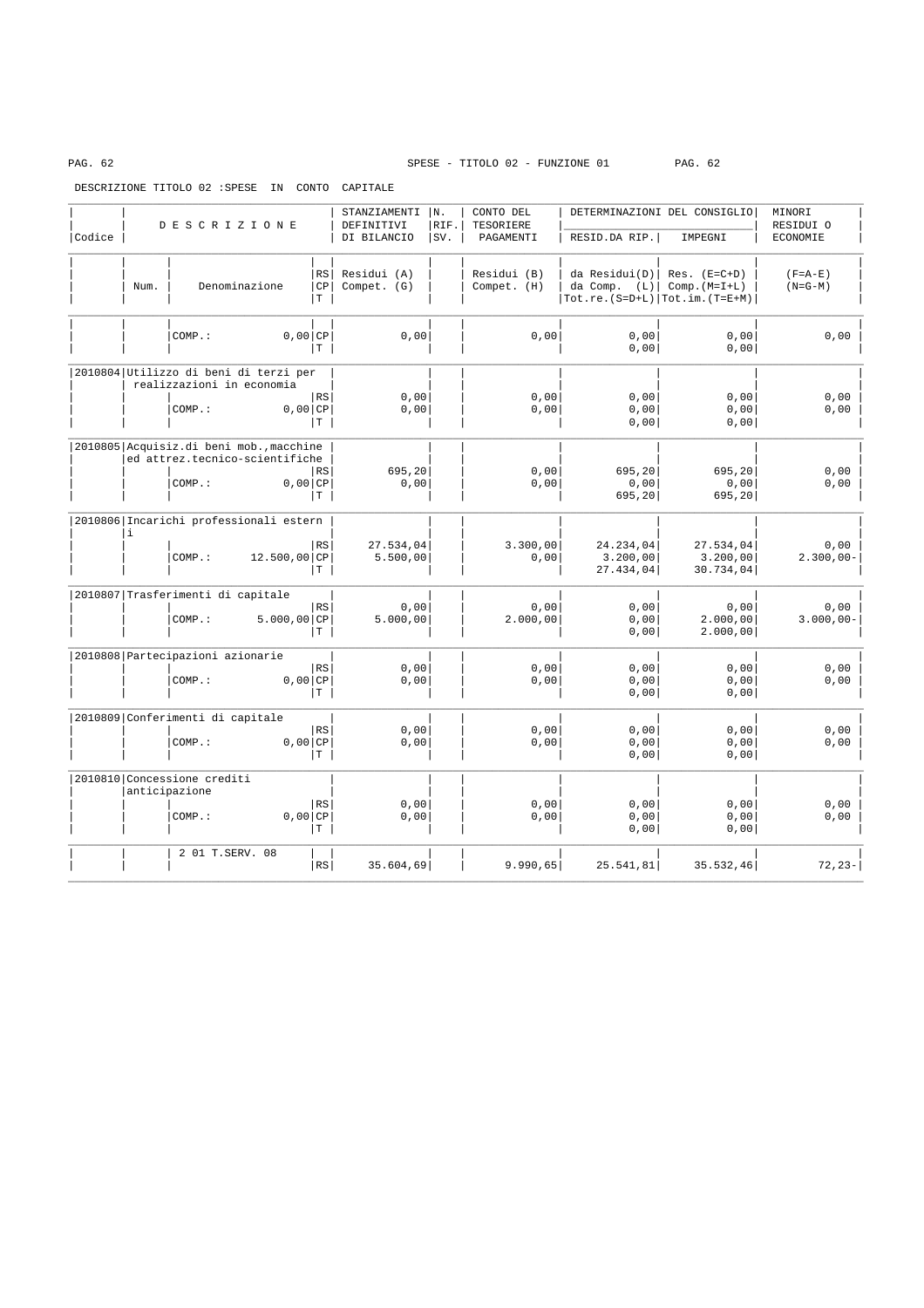# PAG. 62 SPESE - TITOLO 02 - FUNZIONE 01 PAG. 62

| Codice |      | DESCRIZIONE                                                                                       |                   | STANZIAMENTI<br> N <br>DEFINITIVI<br>DI BILANCIO | RIF.<br>lsv. | CONTO DEL<br>TESORIERE<br>PAGAMENTI | RESID.DA RIP.                                                                        | DETERMINAZIONI DEL CONSIGLIO<br>IMPEGNI | MINORI<br>RESIDUI 0<br>ECONOMIE |
|--------|------|---------------------------------------------------------------------------------------------------|-------------------|--------------------------------------------------|--------------|-------------------------------------|--------------------------------------------------------------------------------------|-----------------------------------------|---------------------------------|
|        | Num. | Denominazione                                                                                     | RS<br>CP<br>T     | Residui (A)<br>Compet. $(G)$                     |              | Residui (B)<br>Compet. (H)          | da Residui(D)<br>da Comp. $(L)$ Comp. $(M=I+L)$<br>$Tot.re.(S=D+L)   Tot.in.(T=E+M)$ | $Res.$ $(E=C+D)$                        | $(F=A-E)$<br>$(N = G - M)$      |
|        |      | $0,00$  CP<br>COMP.:                                                                              | İΤ.               | 0,00                                             |              | 0,00                                | 0,00<br>0,00                                                                         | 0,00<br>0,00                            | 0,00                            |
|        |      | 2010804 Utilizzo di beni di terzi per<br>realizzazioni in economia<br>0,00 CP<br>COMP.:           | RS<br>Г           | 0,00<br>0,00                                     |              | 0,00<br>0,00                        | 0,00<br>0,00<br>0,00                                                                 | 0,00<br>0,00<br>0,00                    | 0,00<br>0,00                    |
|        |      | 2010805 Acquisiz.di beni mob., macchine<br>ed attrez.tecnico-scientifiche<br>COMP.:<br>$0,00$  CP | $ _{RS}$<br>T     | 695,20<br>0,00                                   |              | 0,00<br>0,00                        | 695,20<br>0,00<br>695, 20                                                            | 695,20<br>0,00<br>695, 20               | 0,00<br>0,00                    |
|        | i    | 2010806 Incarichi professionali estern<br>COMP:<br>12.500,00 CP                                   | $ _{RS}$<br>T     | 27.534,04<br>5.500,00                            |              | 3.300,00<br>0,00                    | 24.234,04<br>3.200,00<br>27.434,04                                                   | 27.534,04<br>3.200,00<br>30.734,04      | 0,00<br>$2.300,00 -$            |
|        |      | 2010807 Trasferimenti di capitale<br>COMP.:<br>$5.000,00$ CP                                      | RS<br> T          | 0,00<br>5.000,00                                 |              | 0,00<br>2.000,00                    | 0,00<br>0,00<br>0,00                                                                 | 0,00<br>2.000,00<br>2.000,00            | 0,00<br>$3.000,00-$             |
|        |      | 2010808 Partecipazioni azionarie<br>$0,00$  CP<br>COMP:                                           | RS<br>T           | 0,00<br>0,00                                     |              | 0,00<br>0,00                        | 0,00<br>0,00<br>0,00                                                                 | 0,00<br>0,00<br>0,00                    | 0,00<br>0,00                    |
|        |      | 2010809 Conferimenti di capitale<br>$0,00$  CP<br>COMP:                                           | RS<br>$\mathbf T$ | 0,00<br>0,00                                     |              | 0.00<br>0,00                        | 0.00<br>0,00<br>0,00                                                                 | 0.00<br>0,00<br>0,00                    | 0.00<br>0,00                    |
|        |      | 2010810 Concessione crediti<br>anticipazione<br>$0,00$  CP<br>COMP:                               | RS<br>T           | 0,00<br>0,00                                     |              | 0,00<br>0,00                        | 0,00<br>0,00<br>0,00                                                                 | 0,00<br>0,00<br>0,00                    | 0,00<br>0,00                    |
|        |      | 2 01 T.SERV. 08                                                                                   | RS                | 35.604, 69                                       |              | 9.990, 65                           | 25.541, 81                                                                           | 35.532,46                               | $72, 23-$                       |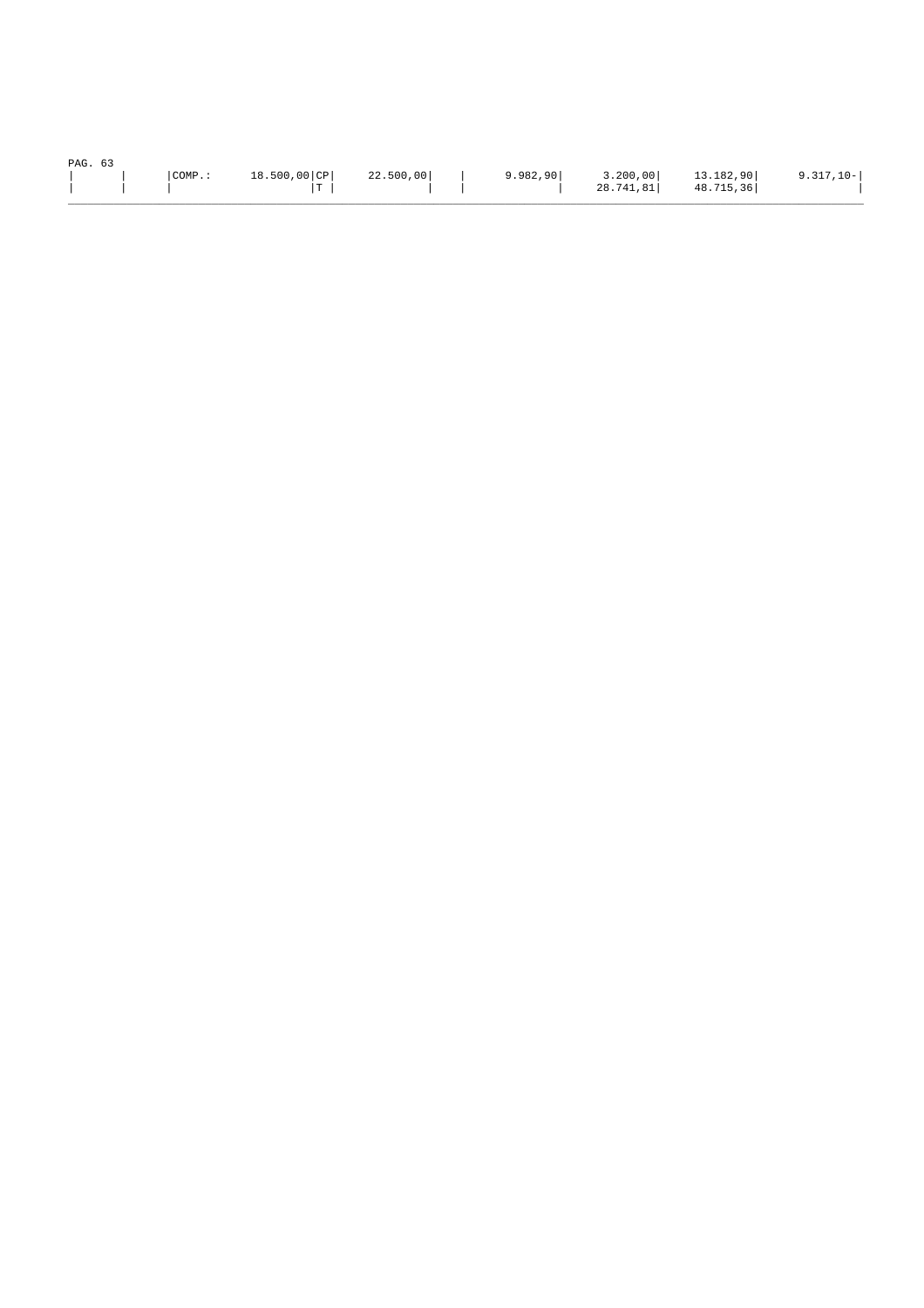| PAG. 63 |  |                                                                                         |  |  |  |
|---------|--|-----------------------------------------------------------------------------------------|--|--|--|
|         |  | $18.500,00$ $ CP $ $22.500,00$ $ $ $9.982,90$ $3.200,00$ $ $ $13.182,90$ $9.317,10$ $ $ |  |  |  |
|         |  |                                                                                         |  |  |  |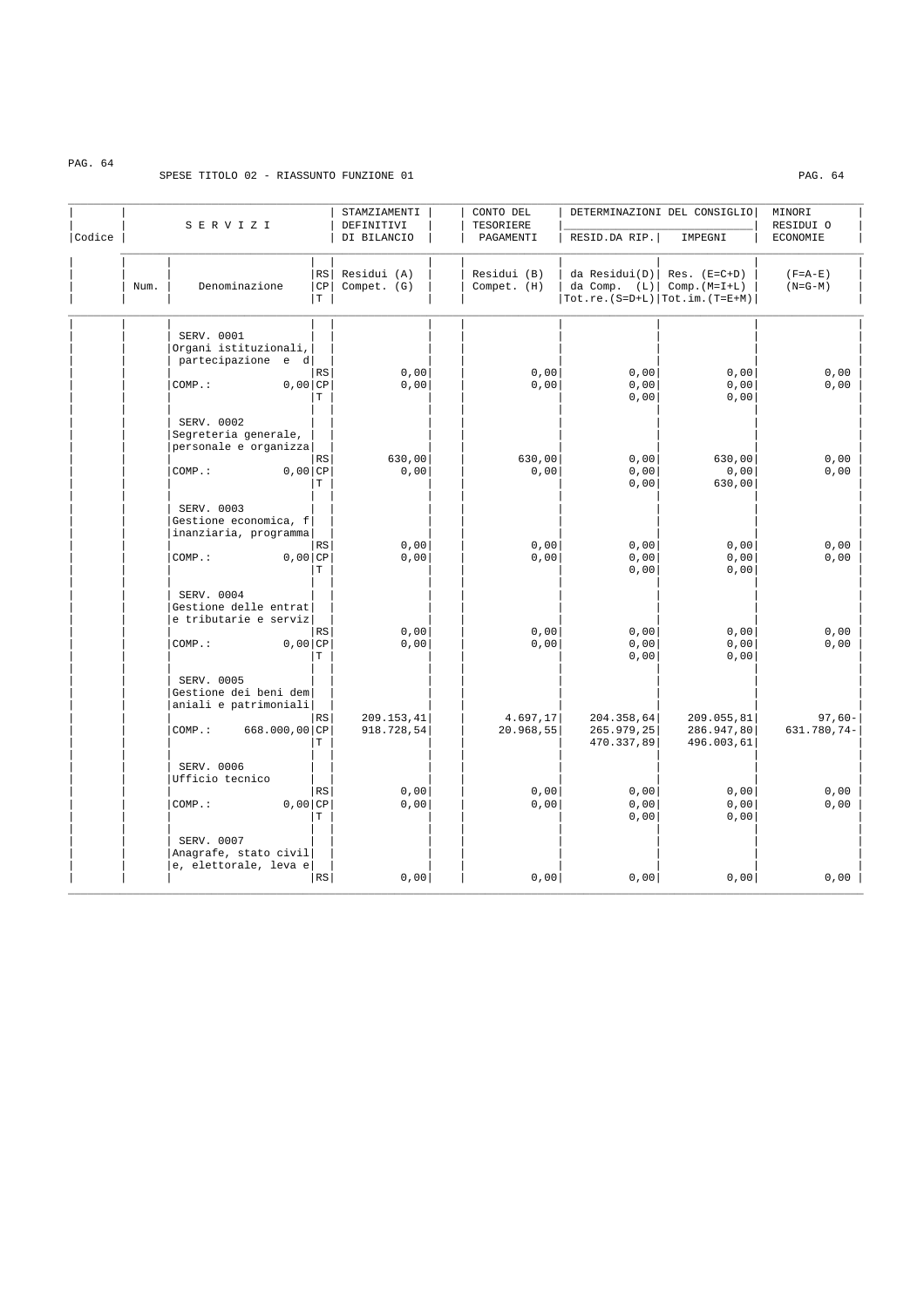### PAG. 64 SPESE TITOLO 02 - RIASSUNTO FUNZIONE 01

| ×<br>۰. |  |
|---------|--|
|---------|--|

|        |      | SERVIZI                                                                                |                          | STAMZIAMENTI<br>DEFINITIVI   | CONTO DEL<br>TESORIERE     |                                                                                                          | DETERMINAZIONI DEL CONSIGLIO           | MINORI<br>RESIDUI 0        |
|--------|------|----------------------------------------------------------------------------------------|--------------------------|------------------------------|----------------------------|----------------------------------------------------------------------------------------------------------|----------------------------------------|----------------------------|
| Codice |      |                                                                                        |                          | DI BILANCIO                  | PAGAMENTI                  | RESID.DA RIP.                                                                                            | IMPEGNI                                | ECONOMIE                   |
|        | Num. | Denominazione                                                                          | $_{\rm RS}$<br>CP<br>IΤ. | Residui (A)<br>$Compet.$ (G) | Residui (B)<br>Compet. (H) | da Residui(D)   Res. $(E=C+D)$<br>da Comp. $(L)$ Comp. $(M=I+L)$<br>$ Tot.re.(S=D+L)   Tot.in.(T=E+M)  $ |                                        | $(F=A-E)$<br>$(N = G - M)$ |
|        |      | SERV. 0001<br>Organi istituzionali,<br>partecipazione e d<br>$0,00$  CP<br>COMP:       | RS<br>$\mathbf T$        | 0,00<br>0,00                 | 0,00<br>0,00               | 0,00<br>0,00<br>0,00                                                                                     | 0,00<br>0,00<br>0,00                   | 0,00<br>0,00               |
|        |      | SERV. 0002<br>Segreteria generale,<br>personale e organizza<br>$0,00$  CP<br>COMP:     | RS<br>T                  | 630,00<br>0,00               | 630,00<br>0,00             | 0,00<br>0,00<br>0,00                                                                                     | 630,00<br>0,00<br>630,00               | 0,00<br>0,00               |
|        |      | SERV. 0003<br>Gestione economica, f<br>inanziaria, programma<br>$0,00$  CP<br>COMP.:   | RS<br>T                  | 0,00<br>0,00                 | 0,00<br>0,00               | 0,00<br>0,00<br>0,00                                                                                     | 0,00<br>0,00<br>0,00                   | 0,00<br>0,00               |
|        |      | SERV. 0004<br>Gestione delle entrat<br>e tributarie e serviz<br>$0,00$  CP<br>COMP:    | RS<br>T.                 | 0.00<br>0,00                 | 0.00<br>0,00               | 0.00<br>0,00<br>0,00                                                                                     | 0.001<br>0,00<br>0,00                  | 0.00<br>0,00               |
|        |      | SERV. 0005<br>Gestione dei beni dem<br>aniali e patrimoniali<br>COMP:<br>668.000,00 CP | RS<br>Т                  | 209.153,41<br>918.728,54     | 4.697, 17<br>20.968,55     | 204.358,64<br>265.979,25<br>470.337,89                                                                   | 209.055,81<br>286.947,80<br>496.003,61 | $97,60-$<br>631.780,74-    |
|        |      | SERV. 0006<br>Ufficio tecnico<br>$0,00$  CP<br>COMP.:                                  | RS<br>T                  | 0,00<br>0,00                 | 0,00<br>0,00               | 0,00<br>0,00<br>0,00                                                                                     | 0,00<br>0,00<br>0,00                   | 0,00<br>0,00               |
|        |      | SERV. 0007<br>Anagrafe, stato civil<br>e, elettorale, leva e                           | RS                       | 0,00                         | 0,00                       | 0,00                                                                                                     | 0,00                                   | 0,00                       |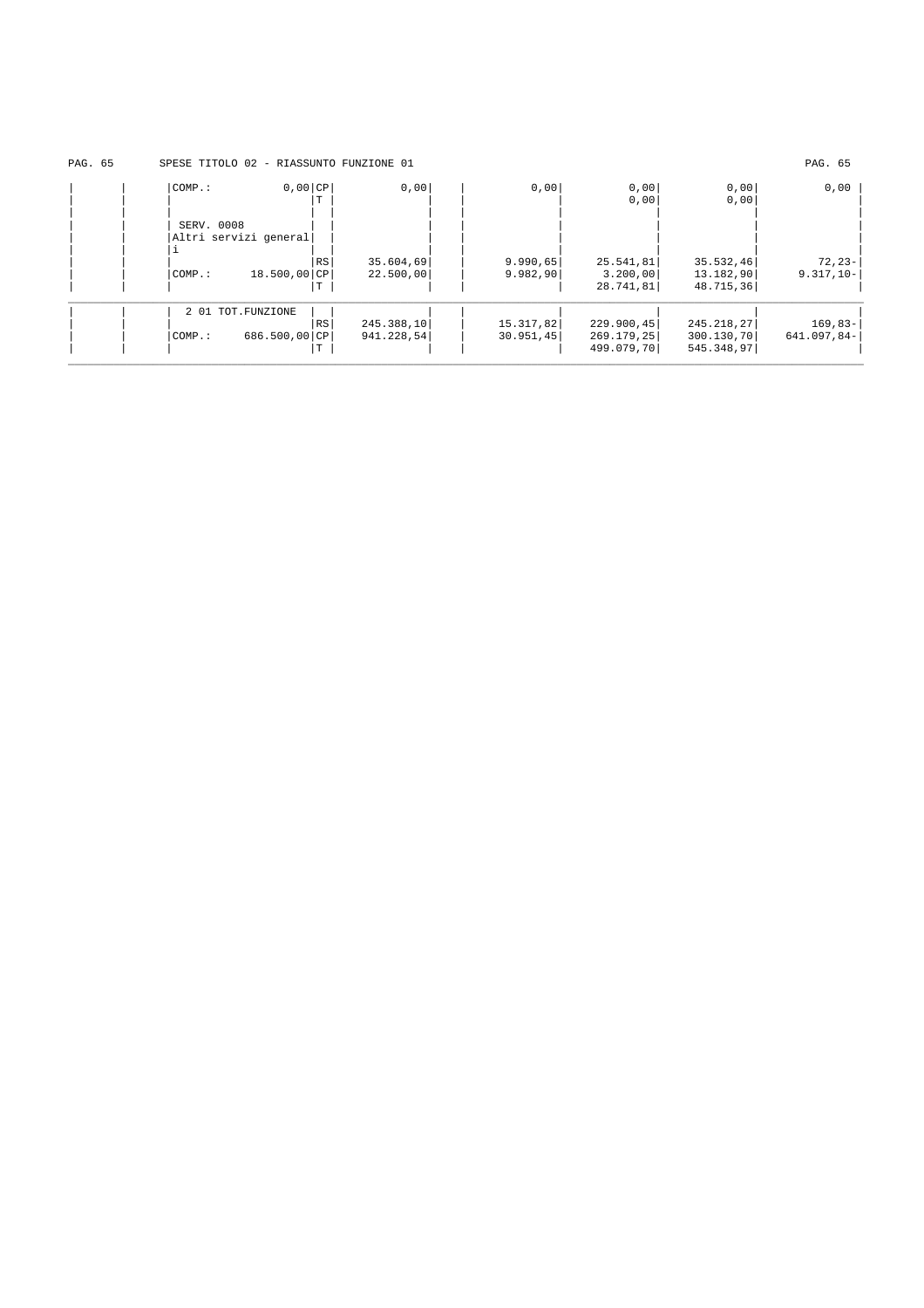# PAG. 65 SPESE TITOLO 02 - RIASSUNTO FUNZIONE 01

| 1111000NIO IONAIO VII   |            |           |             |            |             |
|-------------------------|------------|-----------|-------------|------------|-------------|
| 0,00 CP <br>COMP:       | 0,00       | 0,00      | 0,00        | 0,00       | 0,00        |
|                         |            |           | 0.00        | 0,00       |             |
|                         |            |           |             |            |             |
| SERV. 0008              |            |           |             |            |             |
| Altri servizi general   |            |           |             |            |             |
|                         |            |           |             |            |             |
| <b>RS</b>               | 35.604,69  | 9.990, 65 | 25.541,81   | 35.532,46  | $72, 23 -$  |
| 18.500,00 CP <br>COMP:  | 22.500,00  | 9.982,90  | 3.200,00    | 13.182,90  | $9.317,10-$ |
| T                       |            |           | 28.741,81   | 48.715,36  |             |
|                         |            |           |             |            |             |
| 2 01 TOT. FUNZIONE      |            |           |             |            |             |
| <b>RS</b>               | 245.388,10 | 15.317,82 | 229.900, 45 | 245.218,27 | $169,83-$   |
| 686.500,00 CP <br>COMP: | 941.228,54 | 30.951,45 | 269.179.25  | 300.130,70 | 641.097,84- |
| т                       |            |           | 499.079,70  | 545.348,97 |             |
|                         |            |           |             |            |             |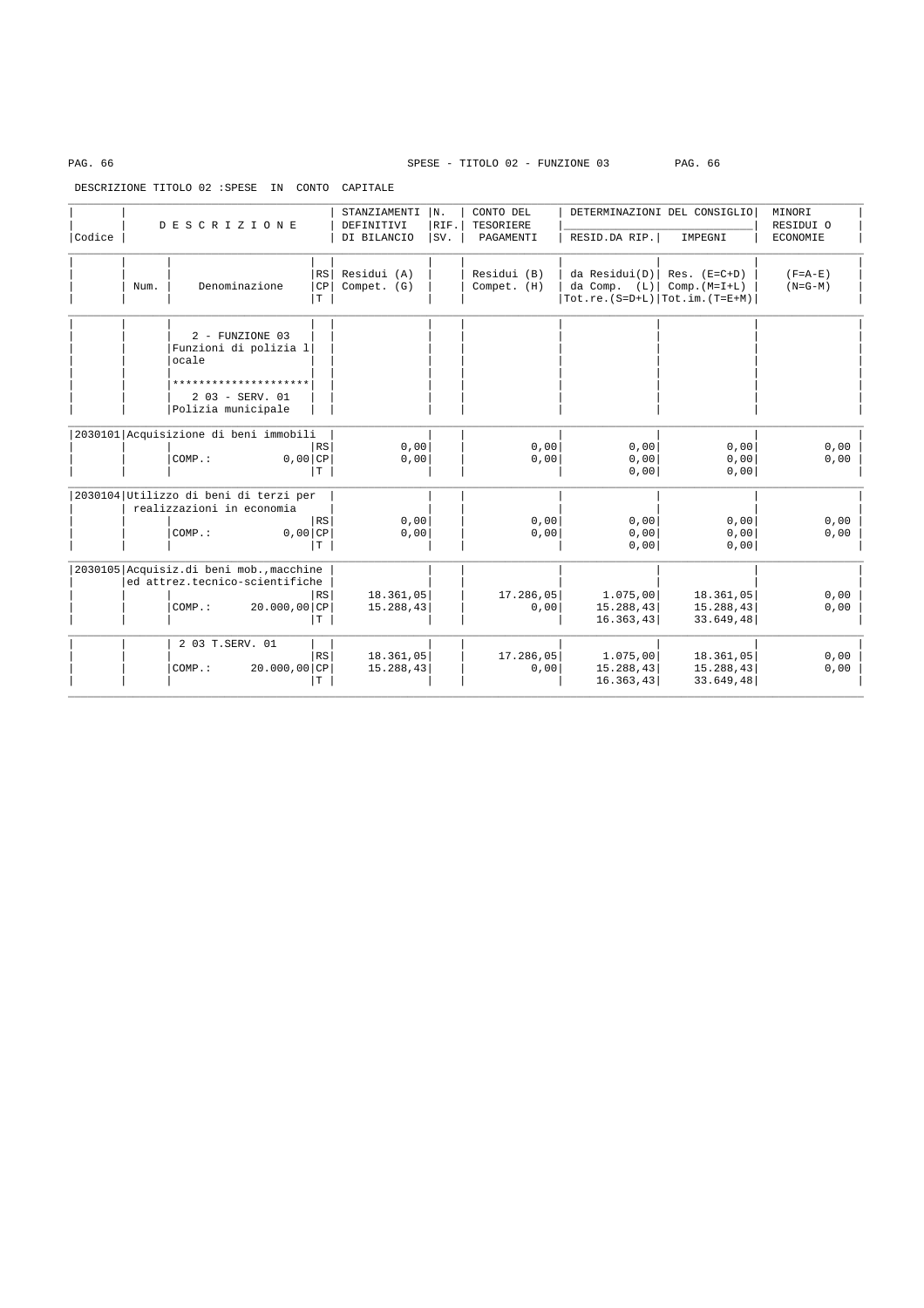# PAG. 66 SPESE - TITOLO 02 - FUNZIONE 03 PAG. 66

| Codice |      | DESCRIZIONE                                                                                                         |                                              | STANZIAMENTI<br>DEFINITIVI<br>DI BILANCIO | IN.<br>RIF.<br>SV. | CONTO DEL<br>TESORIERE<br>PAGAMENTI | RESID.DA RIP.                                                                                          | DETERMINAZIONI DEL CONSIGLIO<br>IMPEGNI | MINORI<br>RESIDUI 0<br>ECONOMIE |
|--------|------|---------------------------------------------------------------------------------------------------------------------|----------------------------------------------|-------------------------------------------|--------------------|-------------------------------------|--------------------------------------------------------------------------------------------------------|-----------------------------------------|---------------------------------|
|        | Num. | Denominazione                                                                                                       | RS<br>CP<br>$\mathbf T$                      | Residui (A)<br>Compet. $(G)$              |                    | Residui (B)<br>Compet. (H)          | da Residui(D)   Res. $(E=C+D)$<br>da Comp. $(L)$ Comp. $(M=I+L)$<br>$ Tot,re.(S=D+L)   Tot.in.(T=E+M)$ |                                         | $(F=A-E)$<br>$( N = G - M )$    |
|        |      | 2 - FUNZIONE 03<br>Funzioni di polizia l<br>ocale<br>*********************<br>2 03 - SERV. 01<br>Polizia municipale |                                              |                                           |                    |                                     |                                                                                                        |                                         |                                 |
|        |      |                                                                                                                     |                                              |                                           |                    |                                     |                                                                                                        |                                         |                                 |
|        |      | 2030101 Acquisizione di beni immobili<br>COMP:                                                                      | RS<br>$0.00$ <sub>c</sub> $P$<br>$\mathbb T$ | 0,00<br>0,00                              |                    | 0,00<br>0,00                        | 0,00<br>0,00<br>0,00                                                                                   | 0,00<br>0,00<br>0,00                    | 0,00<br>0,00                    |
|        |      | 2030104 Utilizzo di beni di terzi per<br>realizzazioni in economia<br>COMP.:                                        | RS<br>0,00 CP<br>$\mathbb T$                 | 0,00<br>0,00                              |                    | 0.00<br>0,00                        | 0.00<br>0,00<br>0,00                                                                                   | 0,00<br>0,00<br>0,00                    | 0.00<br>0,00                    |
|        |      | 2030105 Acquisiz.di beni mob., macchine                                                                             |                                              |                                           |                    |                                     |                                                                                                        |                                         |                                 |
|        |      | ed attrez.tecnico-scientifiche<br>COMP:                                                                             | RS<br>20.000,00 CP<br>т                      | 18.361,05<br>15.288,43                    |                    | 17.286,05<br>0,00                   | 1.075,00<br>15.288, 43<br>16.363, 43                                                                   | 18.361,05<br>15.288, 43<br>33.649, 48   | 0,00<br>0,00                    |
|        |      | 2 03 T.SERV. 01<br>COMP:                                                                                            | <b>RS</b><br>$20.000,00$ CP<br>T             | 18.361,05<br>15.288,43                    |                    | 17.286,05<br>0,00                   | 1.075,00<br>15.288, 43<br>16.363, 43                                                                   | 18.361,05<br>15.288, 43<br>33.649, 48   | 0,00<br>0,00                    |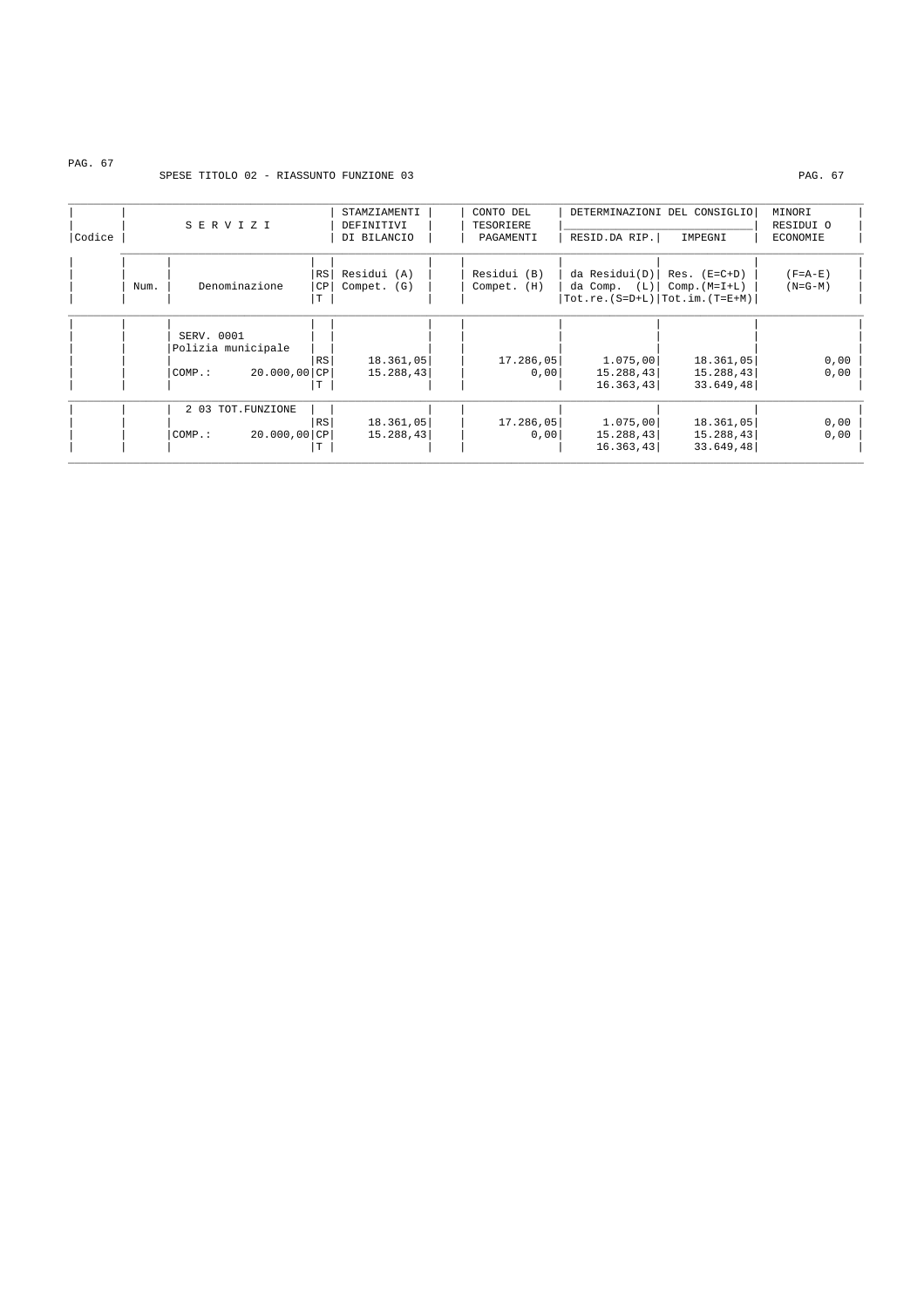### PAG. 67 SPESE TITOLO 02 - RIASSUNTO FUNZIONE 03 PAG. 67

| Codice |      | SERVIZI                                   |                |                                | STAMZIAMENTI<br>DEFINITIVI<br>DI BILANCIO | CONTO DEL<br>TESORIERE<br>PAGAMENTI | RESID.DA RIP.                                                                        | DETERMINAZIONI DEL CONSIGLIO<br>IMPEGNI | MINORI<br>RESIDUI O<br>ECONOMIE |
|--------|------|-------------------------------------------|----------------|--------------------------------|-------------------------------------------|-------------------------------------|--------------------------------------------------------------------------------------|-----------------------------------------|---------------------------------|
|        | Num. | Denominazione                             |                | <b>RS</b><br>CP<br>$\mathbf T$ | Residui<br>(A)<br>$Compet.$ (G)           | Residui (B)<br>Compet. (H)          | da Residui(D)<br>da Comp. $(L)$ Comp. $(M=I+L)$<br>$Tot.re.(S=D+L)   Tot.in.(T=E+M)$ | $Res.$ $(E=C+D)$                        | $(F=A-E)$<br>$( N = G - M )$    |
|        |      | SERV. 0001<br>Polizia municipale<br>COMP: | 20.000,00 CP   | RS<br>T                        | 18.361,05<br>15.288,43                    | 17.286,05<br>0,00                   | 1.075,00<br>15.288,43<br>16.363, 43                                                  | 18.361,05<br>15.288,43<br>33.649,48     | 0,00<br>0,00                    |
|        |      | 2 03 TOT. FUNZIONE<br>COMP:               | $20.000,00$ CP | <b>RS</b><br>Т                 | 18.361,05<br>15.288,43                    | 17.286,05<br>0,00                   | 1.075,00<br>15.288,43<br>16.363, 43                                                  | 18.361,05<br>15.288,43<br>33.649, 48    | 0,00<br>0,00                    |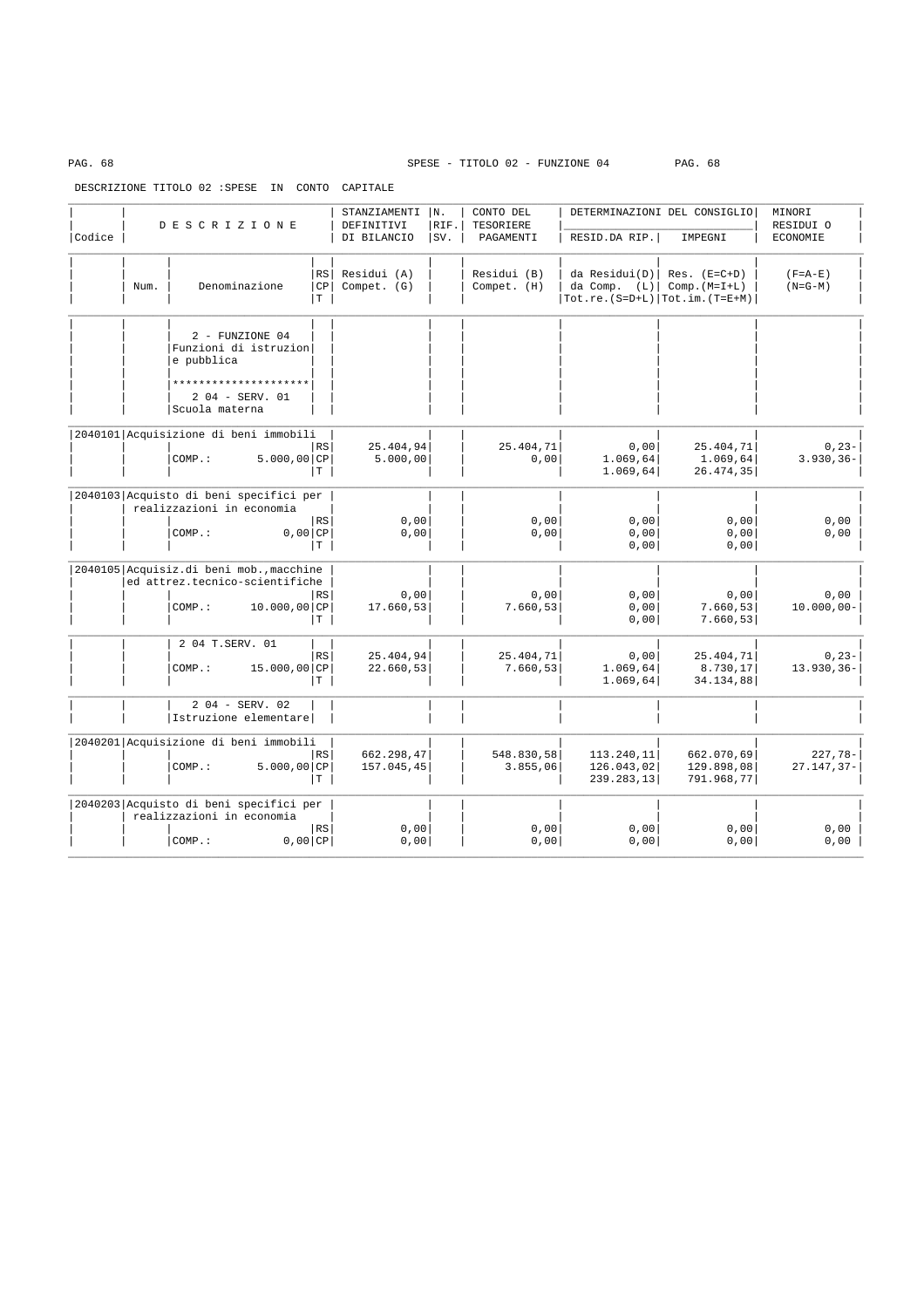# PAG. 68 SPESE - TITOLO 02 - FUNZIONE 04 PAG. 68

| Codice |      | DESCRIZIONE                                                                                                          |               |                   | STANZIAMENTI<br>DEFINITIVI<br>DI BILANCIO | $ N$ .<br>RIF.<br>SV. | CONTO DEL<br>TESORIERE<br>PAGAMENTI | RESID.DA RIP.                                                                                         | DETERMINAZIONI DEL CONSIGLIO<br>IMPEGNI | MINORI<br>RESIDUI 0<br><b>ECONOMIE</b> |
|--------|------|----------------------------------------------------------------------------------------------------------------------|---------------|-------------------|-------------------------------------------|-----------------------|-------------------------------------|-------------------------------------------------------------------------------------------------------|-----------------------------------------|----------------------------------------|
|        | Num. | Denominazione                                                                                                        |               | RS<br>CP<br>IТ    | Residui (A)<br>$Compet.$ (G)              |                       | Residui (B)<br>Compet. (H)          | da Residui(D)   Res. $(E=C+D)$<br>da Comp. $(L)$ Comp. $(M=I+L)$<br>$Tot.re.(S=D+L)   Tot.in.(T=E+M)$ |                                         | $(F=A-E)$<br>$(N = G - M)$             |
|        |      | 2 - FUNZIONE 04<br>Funzioni di istruzion<br>e pubblica<br>*********************<br>2 04 - SERV. 01<br>Scuola materna |               |                   |                                           |                       |                                     |                                                                                                       |                                         |                                        |
|        |      | 2040101 Acquisizione di beni immobili<br>COMP:                                                                       | $5.000,00$ CP | RS<br>IΤ          | 25.404,94<br>5.000,00                     |                       | 25.404,71<br>0,00                   | 0,00<br>1.069,64<br>1.069, 64                                                                         | 25.404,71<br>1.069,64<br>26.474,35      | $0, 23 -$<br>$3.930, 36 -$             |
|        |      | 2040103 Acquisto di beni specifici per<br>realizzazioni in economia<br>COMP:                                         | 0,00 CP       | RS<br>T           | 0,00<br>0,00                              |                       | 0,00<br>0,00                        | 0,00<br>0,00<br>0,00                                                                                  | 0,00<br>0,00<br>0,00                    | 0,00<br>0,00                           |
|        |      | 2040105 Acquisiz.di beni mob., macchine<br>ed attrez.tecnico-scientifiche<br>COMP.:                                  | 10.000,00 CP  | RS<br>$\mathbf T$ | 0,00<br>17.660,53                         |                       | 0,00<br>7.660,53                    | 0,00<br>0,00<br>0,00                                                                                  | 0,00<br>7.660,53<br>7.660, 53           | 0,00<br>$10.000,00 -$                  |
|        |      | 2 04 T.SERV. 01<br>COMP.:                                                                                            | 15.000,00 CP  | RS<br>T           | 25.404,94<br>22.660,53                    |                       | 25.404,71<br>7.660,53               | 0,00<br>1.069,64<br>1.069, 64                                                                         | 25.404,71<br>8.730,17<br>34.134,88      | $0, 23 -$<br>$13.930, 36 -$            |
|        |      | 2 04 - SERV. 02<br>Istruzione elementare                                                                             |               |                   |                                           |                       |                                     |                                                                                                       |                                         |                                        |
|        |      | 2040201 Acquisizione di beni immobili<br>COMP.:                                                                      | 5.000,00 CP   | RS<br>T           | 662.298,47<br>157.045,45                  |                       | 548.830,58<br>3.855,06              | 113.240,11<br>126.043,02<br>239.283,13                                                                | 662.070,69<br>129.898,08<br>791.968,77  | $227,78-$<br>$27.147.37 -$             |
|        |      | 2040203 Acquisto di beni specifici per<br>realizzazioni in economia<br>COMP.:                                        | $0,00$  CP    | RS                | 0,00<br>0,00                              |                       | 0,00<br>0,00                        | 0,00<br>0,00                                                                                          | 0,00<br>0,00                            | 0,00<br>0,00                           |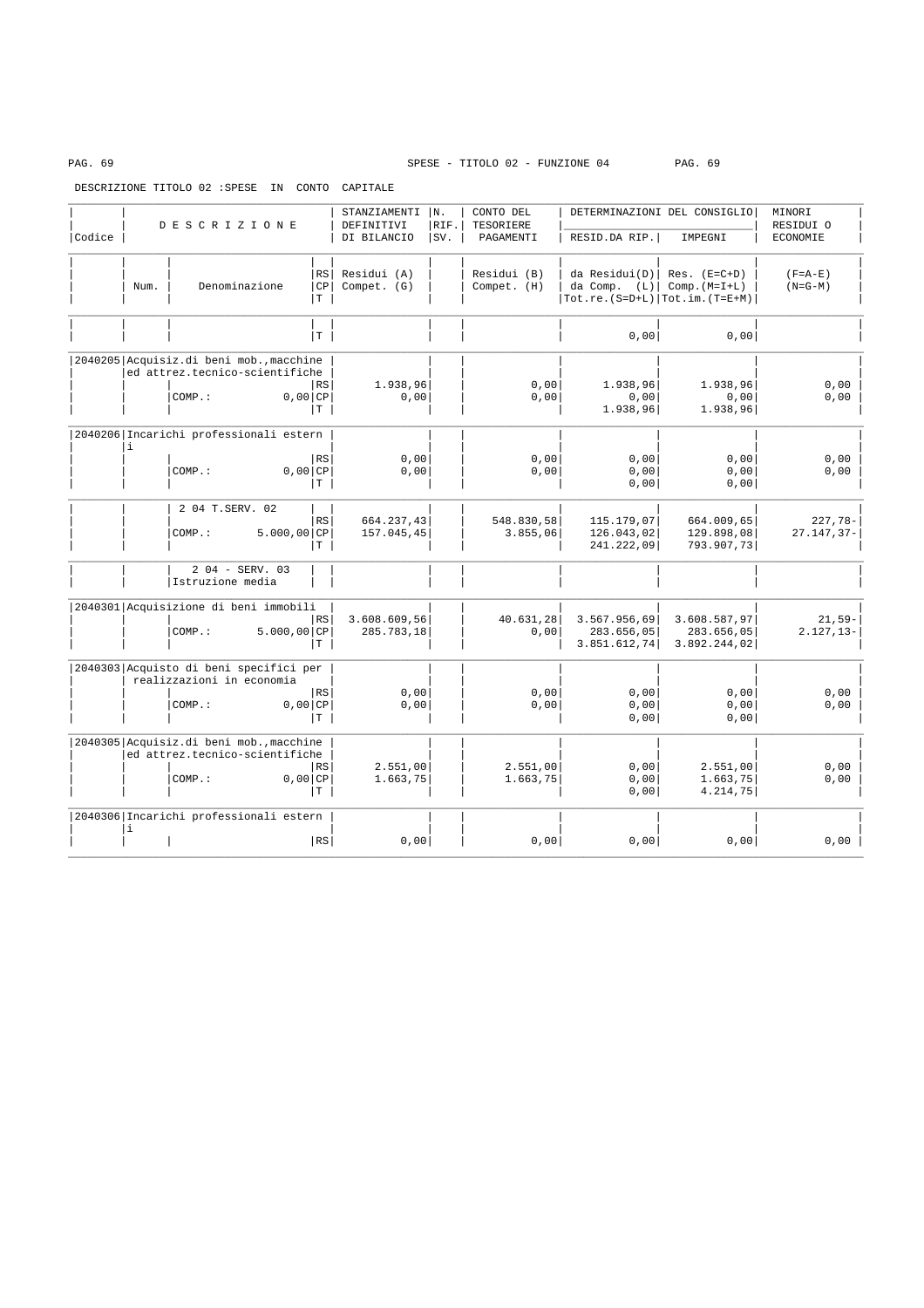# PAG. 69 SPESE - TITOLO 02 - FUNZIONE 04 PAG. 69

| Codice |      | DESCRIZIONE                                                                         |                                  | STANZIAMENTI<br>DEFINITIVI<br>DI BILANCIO | $ N$ .<br>RIF.<br>Isv. | CONTO DEL<br>TESORIERE<br>PAGAMENTI | RESID.DA RIP.                                                                                            | DETERMINAZIONI DEL CONSIGLIO<br>IMPEGNI    | MINORI<br>RESIDUI 0<br><b>ECONOMIE</b> |
|--------|------|-------------------------------------------------------------------------------------|----------------------------------|-------------------------------------------|------------------------|-------------------------------------|----------------------------------------------------------------------------------------------------------|--------------------------------------------|----------------------------------------|
|        | Num. | Denominazione                                                                       | RS<br>CP<br>IΤ                   | Residui (A)<br>$Compet.$ (G)              |                        | Residui (B)<br>Compet. (H)          | da Residui(D)   Res. $(E=C+D)$<br>da Comp. $(L)  $ Comp. $(M=I+L)$<br>$ Tot.re.(S=D+L)   Tot.in.(T=E+M)$ |                                            | $(F=A-E)$<br>$(N = G - M)$             |
|        |      |                                                                                     | l T                              |                                           |                        |                                     | 0,00                                                                                                     | 0,00                                       |                                        |
|        |      | 2040205 Acquisiz.di beni mob., macchine<br>ed attrez.tecnico-scientifiche<br>COMP:  | RS<br>$0,00$  CP<br>T            | 1.938,96<br>0,00                          |                        | 0,00<br>0,00                        | 1.938,96<br>0,00<br>1.938,96                                                                             | 1.938,96<br>0,00<br>1.938,96               | 0,00<br>0,00                           |
|        | i    | 2040206 Incarichi professionali estern<br>COMP:                                     | RS<br>0,00 CP<br>T               | 0,00<br>0,00                              |                        | 0,00<br>0,00                        | 0,00<br>0,00<br>0,00                                                                                     | 0,00<br>0,00<br>0,00                       | 0.00<br>0,00                           |
|        |      | 2 04 T.SERV. 02<br>COMP.:                                                           | RS<br>5.000,00 CP<br>$\mathbf T$ | 664.237,43<br>157.045,45                  |                        | 548.830,58<br>3.855,06              | 115.179,07<br>126.043,02<br>241.222,09                                                                   | 664.009,65<br>129.898,08<br>793.907,73     | $227,78-$<br>$27.147, 37 -$            |
|        |      | $204 - SERV.03$<br>Istruzione media                                                 |                                  |                                           |                        |                                     |                                                                                                          |                                            |                                        |
|        |      | 2040301 Acquisizione di beni immobili<br>COMP.:                                     | $ _{RS}$<br>$5.000,00$ CP<br>T   | 3.608.609,56<br>285.783,18                |                        | 40.631,28<br>0,00                   | 3.567.956,69<br>283.656,05<br>3.851.612,74                                                               | 3.608.587,97<br>283.656,05<br>3.892.244,02 | $21,59-$<br>$2.127, 13-$               |
|        |      | 2040303 Acquisto di beni specifici per<br>realizzazioni in economia<br>COMP:        | RS<br>$0,00$  CP<br>$\mathbb T$  | 0,00<br>0,00                              |                        | 0.00<br>0,00                        | 0,00<br>0,00<br>0,00                                                                                     | 0,00<br>0,00<br>0,00                       | 0.00<br>0,00                           |
|        |      | 2040305 Acquisiz.di beni mob., macchine<br>ed attrez.tecnico-scientifiche<br>COMP.: | RS<br>$0,00$  CP<br>l T          | 2.551,00<br>1.663,75                      |                        | 2.551,00<br>1.663,75                | 0,00<br>0,00<br>0,00                                                                                     | 2.551,00<br>1.663, 75<br>4.214,75          | 0,00<br>0,00                           |
|        | i    | 2040306 Incarichi professionali estern                                              | RS                               | 0,00                                      |                        | 0,00                                | 0,00                                                                                                     | 0,00                                       | 0,00                                   |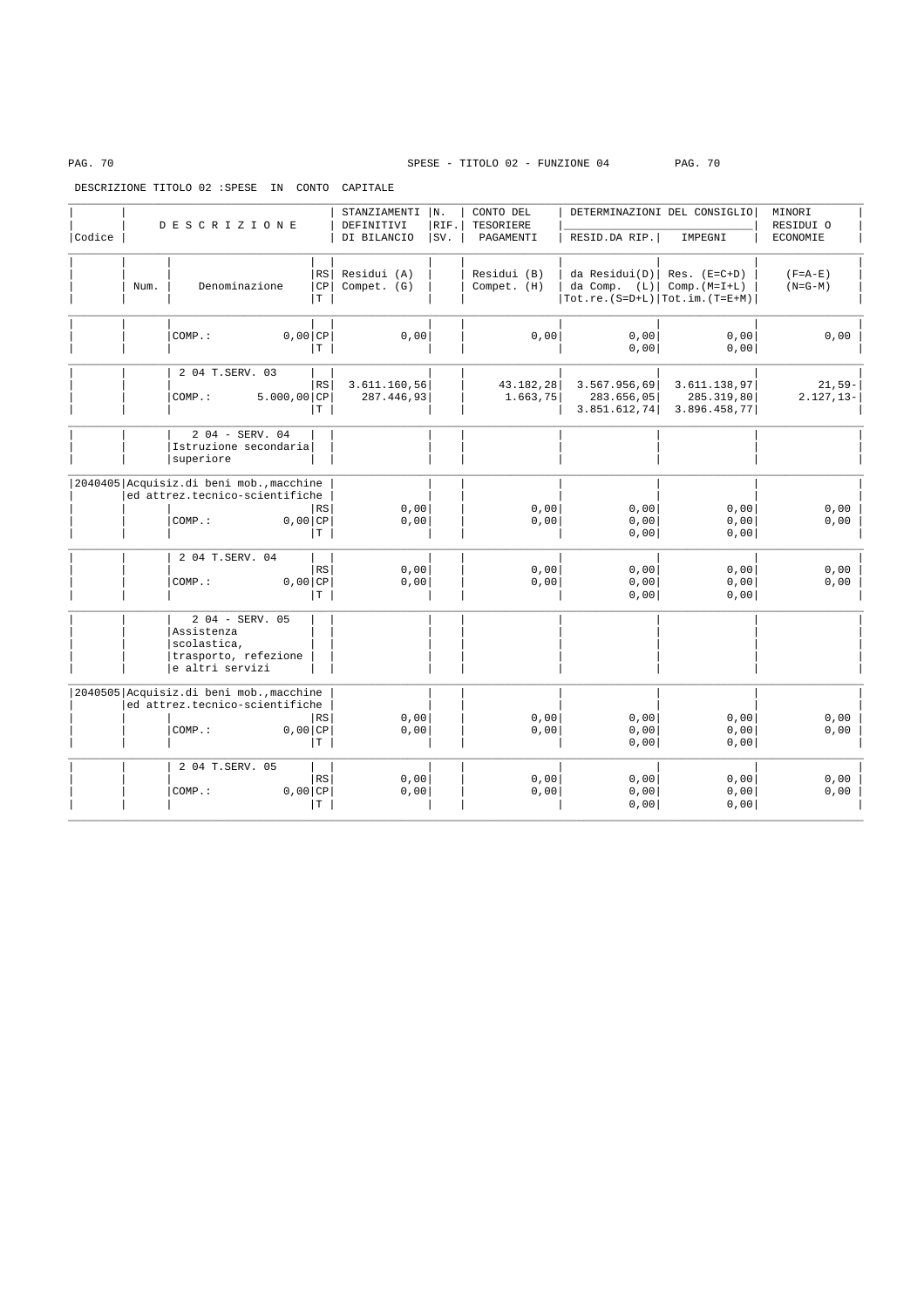# PAG. 70 PAG. 70 PAG. 70 PAG. 70 PAG. 70 PAG. 70 PAG. 70 PAG. 70 PAG. 70 PAG. 70 PAG. 70 PAG. 70 PAG. 70 PAG. 70 PAG. 70 PAG. 70 PAG. 70 PAG. 70 PAG. 70 PAG. 70 PAG. 70 PAG. 70 PA

| Codice |      | DESCRIZIONE                                                                                      |                    | STANZIAMENTI<br> N.<br>RIF.<br>DEFINITIVI<br>Isv.<br>DI BILANCIO | CONTO DEL<br>TESORIERE<br>PAGAMENTI | RESID.DA RIP.                                                                                            | DETERMINAZIONI DEL CONSIGLIO<br>IMPEGNI    | MINORI<br>RESIDUI 0<br>ECONOMIE |
|--------|------|--------------------------------------------------------------------------------------------------|--------------------|------------------------------------------------------------------|-------------------------------------|----------------------------------------------------------------------------------------------------------|--------------------------------------------|---------------------------------|
|        | Num. | Denominazione                                                                                    | RS<br>CP<br>T      | Residui (A)<br>Compet. $(G)$                                     | Residui (B)<br>Compet. (H)          | da Residui(D)   Res. $(E=C+D)$<br>da Comp. $(L)  $ Comp. $(M=I+L)$<br>$ Tot.re.(S=D+L)   Tot.in.(T=E+M)$ |                                            | $(F = A - E)$<br>$(N = G - M)$  |
|        |      | $0,00$  CP<br>COMP:                                                                              | $\mathbb T$        | 0,00                                                             | 0,00                                | 0,00<br>0,00                                                                                             | 0,00<br>0,00                               | 0,00                            |
|        |      | 2 04 T.SERV. 03<br>$5.000,00$ CP<br>COMP:                                                        | $_{\rm RS}$<br>T.  | 3.611.160,56<br>287.446,93                                       | 43.182,28<br>1.663,75               | 3.567.956.69<br>283.656,05<br>3.851.612,74                                                               | 3.611.138.97<br>285.319,80<br>3.896.458,77 | $21,59-$<br>$2.127, 13-$        |
|        |      | 2 04 - SERV. 04<br>Istruzione secondaria<br>superiore                                            |                    |                                                                  |                                     |                                                                                                          |                                            |                                 |
|        |      | 2040405 Acquisiz.di beni mob., macchine<br>ed attrez.tecnico-scientifiche<br>$0,00$  CP<br>COMP: | RS<br>T            | 0,00<br>0,00                                                     | 0,00<br>0,00                        | 0,00<br>0,00<br>0,00                                                                                     | 0,00<br>0,00<br>0,00                       | 0,00<br>0,00                    |
|        |      | 2 04 T.SERV. 04<br>$0,00$ <sub>c</sub> $P$<br>COMP:                                              | RS<br>$\mathbb T$  | 0,00<br>0,00                                                     | 0,00<br>0,00                        | 0,00<br>0,00<br>0,00                                                                                     | 0,00<br>0,00<br>0,00                       | 0,00<br>0,00                    |
|        |      | 2 04 - SERV. 05<br>Assistenza<br>scolastica,<br>trasporto, refezione<br>e altri servizi          |                    |                                                                  |                                     |                                                                                                          |                                            |                                 |
|        |      | 2040505 Acquisiz.di beni mob., macchine<br>ed attrez.tecnico-scientifiche<br>0,00 CP<br>COMP.:   | RS<br>T            | 0,00<br>0,00                                                     | 0,00<br>0,00                        | 0,00<br>0,00<br>0,00                                                                                     | 0,00<br>0,00<br>0,00                       | 0,00<br>0,00                    |
|        |      | 2 04 T.SERV. 05<br>COMP.:<br>$0,00$  CP                                                          | RS.<br>$\mathbf T$ | 0,00<br>0,00                                                     | 0,00<br>0,00                        | 0,00<br>0,00<br>0,00                                                                                     | 0,00<br>0,00<br>0,00                       | 0,00<br>0,00                    |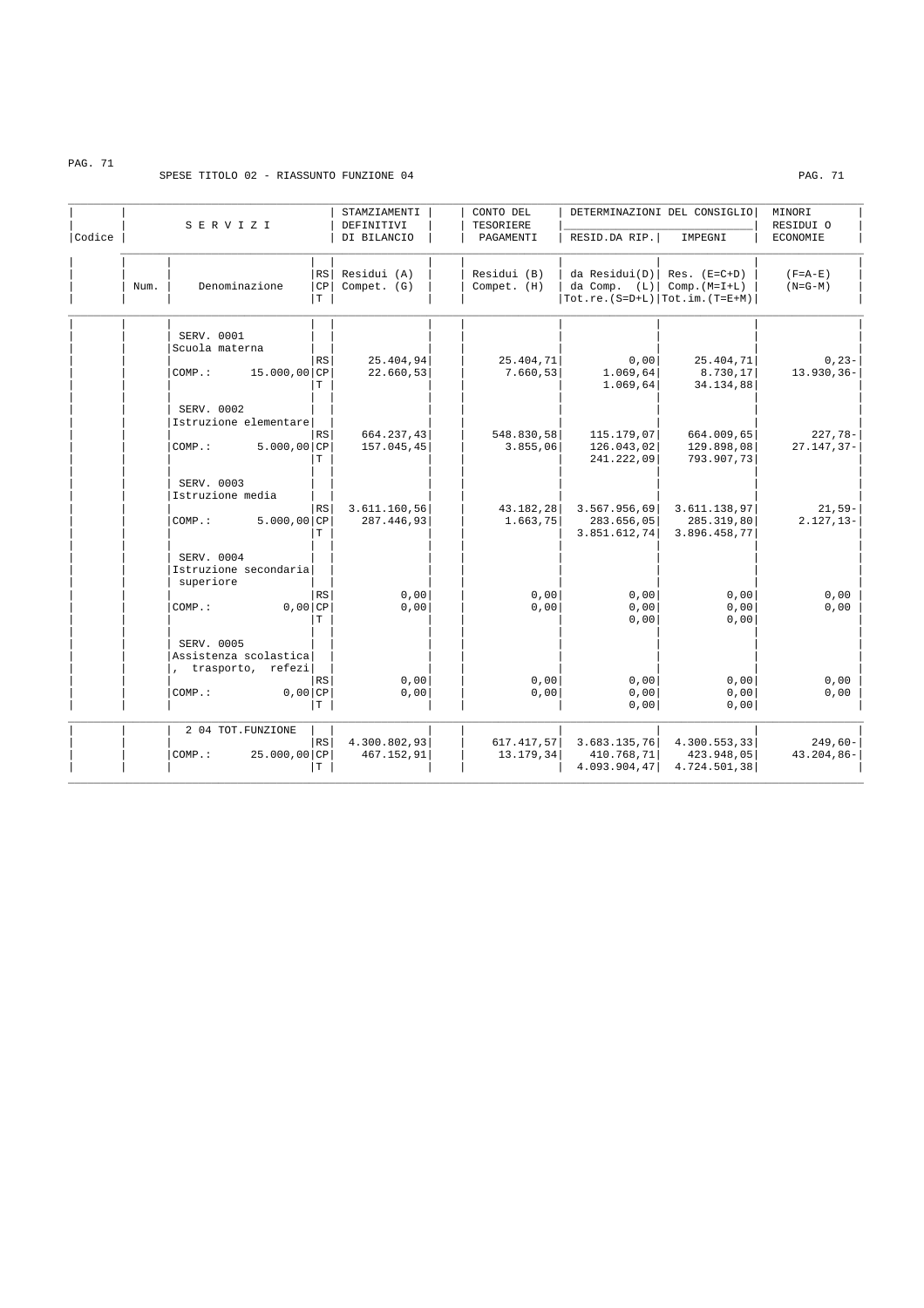### PAG. 71 SPESE TITOLO 02 - RIASSUNTO FUNZIONE 04 PAG. 71

|        |      | SERVIZI                                                                           |                   | STAMZIAMENTI<br>DEFINITIVI   | CONTO DEL<br>TESORIERE     |                                             | DETERMINAZIONI DEL CONSIGLIO                                                                             | MINORI<br>RESIDUI 0            |
|--------|------|-----------------------------------------------------------------------------------|-------------------|------------------------------|----------------------------|---------------------------------------------|----------------------------------------------------------------------------------------------------------|--------------------------------|
| Codice |      |                                                                                   |                   | DI BILANCIO                  | PAGAMENTI                  | RESID.DA RIP.                               | IMPEGNI                                                                                                  | ECONOMIE                       |
|        | Num. | Denominazione                                                                     | RS<br>CP<br>Г     | Residui (A)<br>Compet. $(G)$ | Residui (B)<br>Compet. (H) |                                             | da Residui(D)   Res. $(E=C+D)$<br>da Comp. $(L)$ Comp. $(M=I+L)$<br>$ Tot,re.(S=D+L)   Tot.in.(T=E+M)  $ | $(F = A - E)$<br>$(N = G - M)$ |
|        |      | SERV. 0001<br>Scuola materna<br>15.000,00 CP<br>COMP:<br>SERV. 0002               | RS<br>T.          | 25.404,94<br>22.660, 53      | 25.404, 71<br>7.660, 53    | 0,00<br>1.069,64<br>1.069,64                | 25.404,71<br>8.730,17<br>34.134,88                                                                       | $0, 23 -$<br>$13.930, 36 -$    |
|        |      | Istruzione elementare<br>COMP:<br>5.000,00 CP                                     | RS<br>T           | 664.237,43<br>157.045,45     | 548.830,58<br>3.855,06     | 115.179,07<br>126.043,02<br>241.222,09      | 664.009,65<br>129.898,08<br>793.907,73                                                                   | $227,78-$<br>$27.147.37 -$     |
|        |      | SERV. 0003<br>Istruzione media<br>$5.000,00$ CP<br>COMP:                          | RS<br>т           | 3.611.160,56<br>287.446,93   | 43.182,28<br>1.663,75      | 3.567.956,69<br>283.656,05<br>3.851.612,74  | 3.611.138,97<br>285.319,80<br>3.896.458,77                                                               | $21,59-$<br>$2.127.13-$        |
|        |      | SERV. 0004<br>Istruzione secondaria<br>superiore<br>$0,00$  CP<br>COMP:           | RS<br>T           | 0,00<br>0,00                 | 0,00<br>0,00               | 0,00<br>0,00<br>0,00                        | 0,00<br>0,00<br>0,00                                                                                     | 0,00<br>0,00                   |
|        |      | SERV. 0005<br>Assistenza scolastica<br>, trasporto, refezi<br>COMP:<br>$0,00$  CP | RS<br>$\mathbf T$ | 0.00<br>0,00                 | 0.00<br>0,00               | 0,00<br>0,00<br>0,00                        | 0.001<br>0,00<br>0,00                                                                                    | 0.00<br>0,00                   |
|        |      | 2 04 TOT. FUNZIONE<br>25.000,00 CP<br>COMP:                                       | RS<br>T.          | 4.300.802,93<br>467.152,91   | 617.417.57<br>13.179,34    | 3.683.135,76<br>410.768,71<br>4.093.904, 47 | 4.300.553.33<br>423.948,05<br>4.724.501,38                                                               | $249,60-$<br>$43.204,86-$      |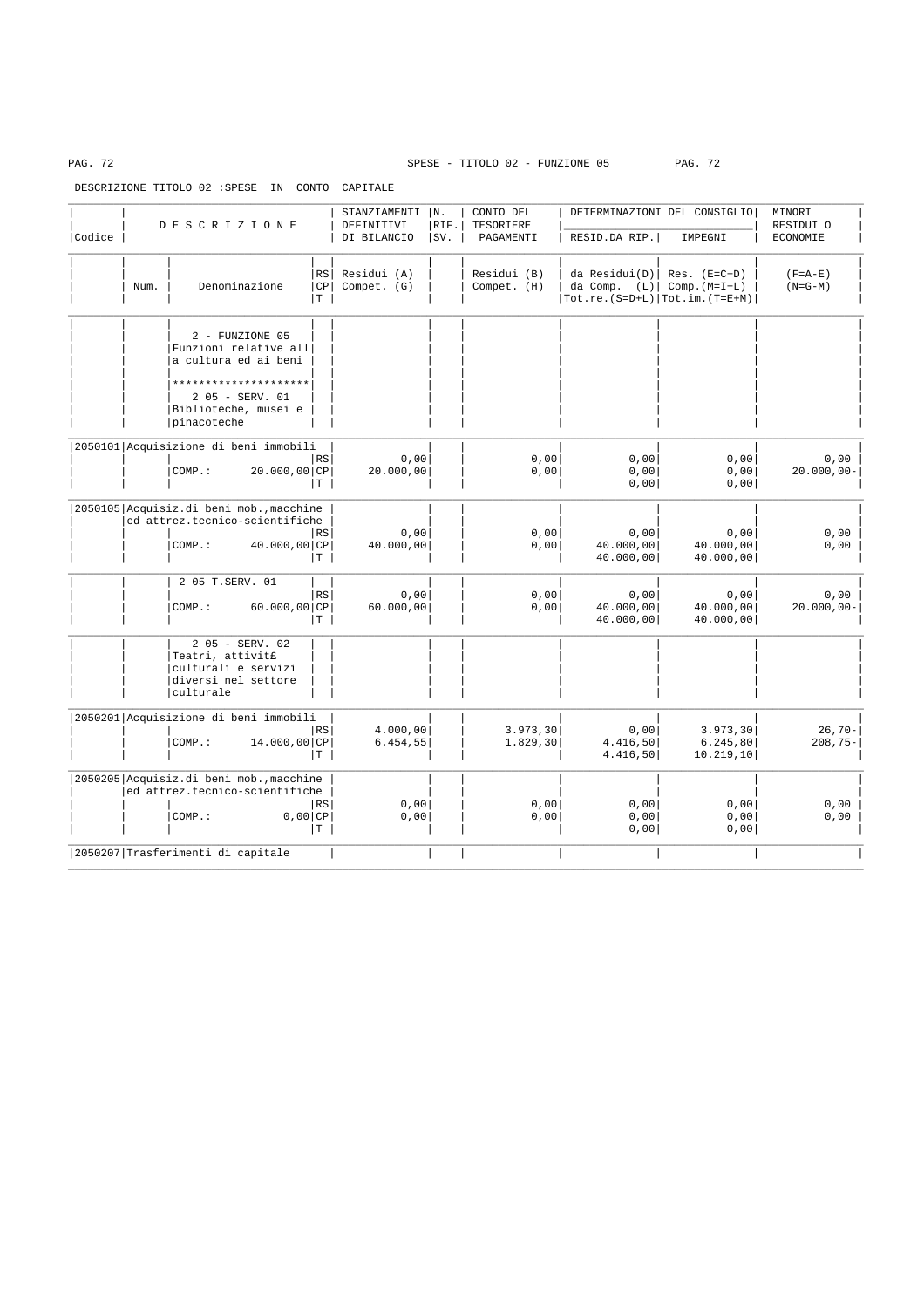# PAG. 72 **SPESE** - TITOLO 02 - FUNZIONE 05 PAG. 72

| Codice |      | DESCRIZIONE                                                                                                                                         |                   | STANZIAMENTI<br>$ N$ .<br>DEFINITIVI<br>DI BILANCIO<br>Isv. | RIF. | CONTO DEL<br>TESORIERE<br>PAGAMENTI | RESID.DA RIP.                                                    | DETERMINAZIONI DEL CONSIGLIO<br>IMPEGNI | MINORI<br>RESIDUI 0<br>ECONOMIE |
|--------|------|-----------------------------------------------------------------------------------------------------------------------------------------------------|-------------------|-------------------------------------------------------------|------|-------------------------------------|------------------------------------------------------------------|-----------------------------------------|---------------------------------|
|        | Num. | Denominazione                                                                                                                                       | RS<br>CP<br>IΤ    | Residui (A)<br>$Compet.$ (G)                                |      | Residui (B)<br>Compet. (H)          | da Residui(D)   Res. $(E=C+D)$<br>da Comp. $(L)$ Comp. $(M=I+L)$ | $Tot.re.(S=D+L)   Tot.in.(T=E+M)$       | $(F=A-E)$<br>$(N = G - M)$      |
|        |      | 2 - FUNZIONE 05<br>Funzioni relative all<br>a cultura ed ai beni<br>*********************<br>2 05 - SERV. 01<br>Biblioteche, musei e<br>pinacoteche |                   |                                                             |      |                                     |                                                                  |                                         |                                 |
|        |      | 2050101 Acquisizione di beni immobili<br>20.000,00 CP<br>COMP:                                                                                      | RS<br>IТ          | 0,00<br>20.000,00                                           |      | 0,00<br>0,00                        | 0,00<br>0,00<br>0,00                                             | 0,00<br>0,00<br>0,00                    | 0.00<br>$20.000,00 -$           |
|        |      | 2050105 Acquisiz.di beni mob., macchine<br>ed attrez.tecnico-scientifiche<br>40.000,00 CP<br>COMP:                                                  | RS<br>IΤ.         | 0,00<br>40.000,00                                           |      | 0,00<br>0,00                        | 0,00<br>40.000,00<br>40.000,00                                   | 0,00<br>40.000,00<br>40.000,00          | 0,00<br>0,00                    |
|        |      | 2 05 T.SERV. 01<br>$60.000,00$ CP<br>COMP.:                                                                                                         | RS<br>$\mathbb T$ | 0,00<br>60.000,00                                           |      | 0,00<br>0,00                        | 0,00<br>40.000,00<br>40.000,00                                   | 0,00<br>40.000,00<br>40.000,00          | 0.00<br>$20.000,00 -$           |
|        |      | 2 05 - SERV. 02<br>Teatri, attivit£<br>culturali e servizi<br>diversi nel settore<br>culturale                                                      |                   |                                                             |      |                                     |                                                                  |                                         |                                 |
|        |      | 2050201 Acquisizione di beni immobili<br>14.000,00 CP<br>COMP:                                                                                      | RS<br>IТ          | 4.000,00<br>6.454,55                                        |      | 3.973,30<br>1.829,30                | 0,00<br>4.416,50<br>4.416,50                                     | 3.973, 30<br>6.245,80<br>10.219, 10     | $26,70-$<br>$208,75-$           |
|        |      | 2050205 Acquisiz.di beni mob., macchine<br>ed attrez.tecnico-scientifiche<br>$0,00$  CP<br>COMP.:                                                   | RS<br>T           | 0,00<br>0,00                                                |      | 0,00<br>0,00                        | 0,00<br>0,00<br>0,00                                             | 0,00<br>0,00<br>0,00                    | 0,00<br>0,00                    |
|        |      | 2050207 Trasferimenti di capitale                                                                                                                   |                   |                                                             |      |                                     |                                                                  |                                         |                                 |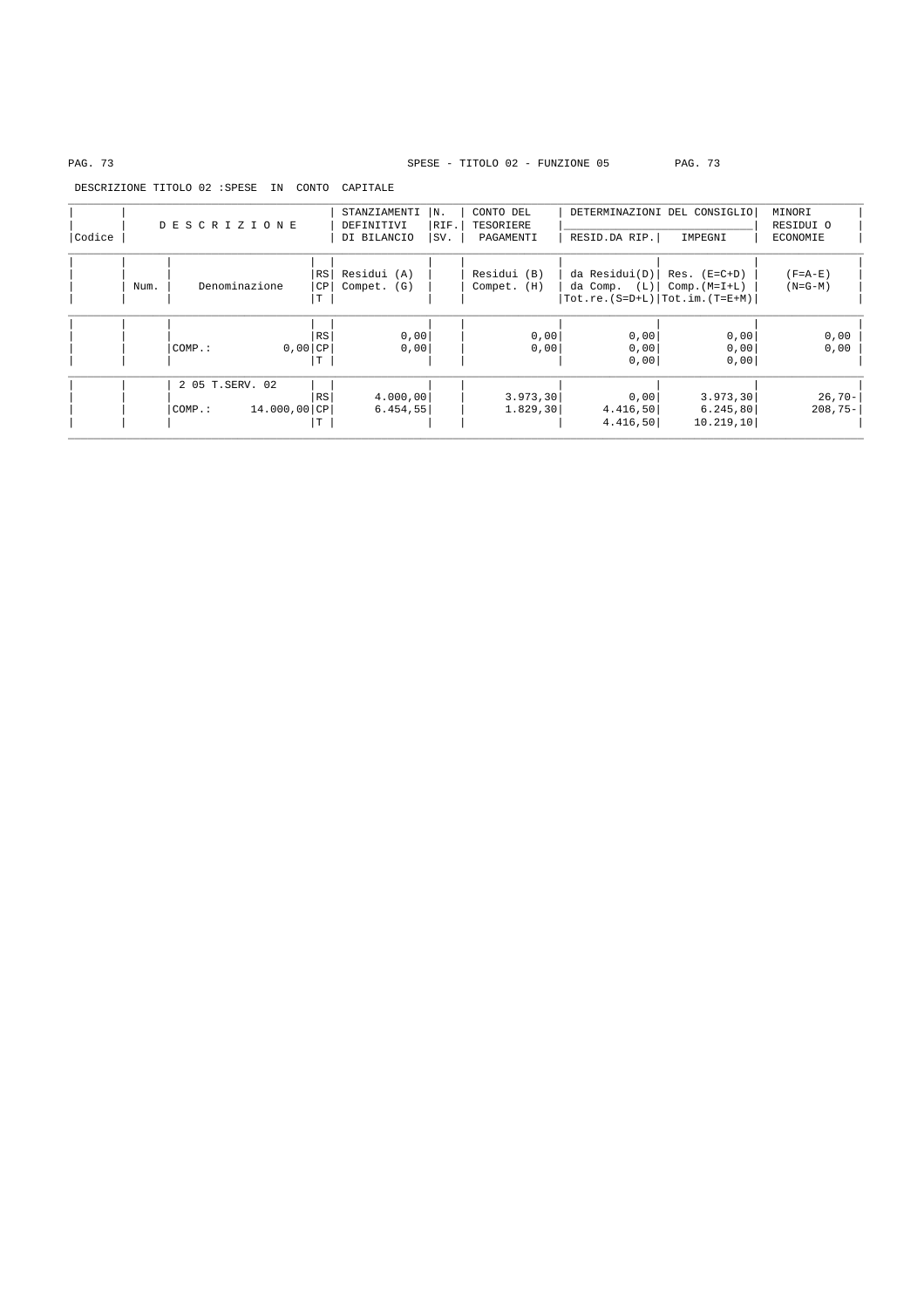## PAG. 73 PAG. 73 PAG. 73

| Codice | DESCRIZIONE                              |                         | N.<br>STANZIAMENTI<br>DEFINITIVI<br>RIF.<br>DI BILANCIO<br>SV. | CONTO DEL<br>TESORIERE<br>PAGAMENTI | RESID.DA RIP.                                                       | DETERMINAZIONI DEL CONSIGLIO<br>IMPEGNI | MINORI<br>RESIDUI O<br>ECONOMIE |
|--------|------------------------------------------|-------------------------|----------------------------------------------------------------|-------------------------------------|---------------------------------------------------------------------|-----------------------------------------|---------------------------------|
| Num.   | Denominazione                            | RS<br>CP<br>$\mathbf T$ | Residui (A)<br>$Compet.$ (G)                                   | Residui (B)<br>Compet. (H)          | da Residui(D)<br>da Comp. (L)<br>$ Tot,re.(S=D+L)   Tot.in.(T=E+M)$ | $Res.$ $(E=C+D)$<br>Comp. $(M=I+L)$     | $(F=A-E)$<br>$( N = G - M )$    |
|        | $0,00$  CP<br>COMP:                      | RS<br>т                 | 0,00<br>0,00                                                   | 0,00<br>0,00                        | 0,00<br>0,00<br>0,00                                                | 0,00<br>0,00<br>0,00                    | 0,00<br>0,00                    |
|        | 2 05 T.SERV. 02<br>14.000,00 CP<br>COMP: | RS<br>т                 | 4.000,00<br>6.454,55                                           | 3.973, 30<br>1.829, 30              | 0,00<br>4.416,50<br>4.416,50                                        | 3.973,30<br>6.245,80<br>10.219, 10      | $26,70-$<br>$208,75-$           |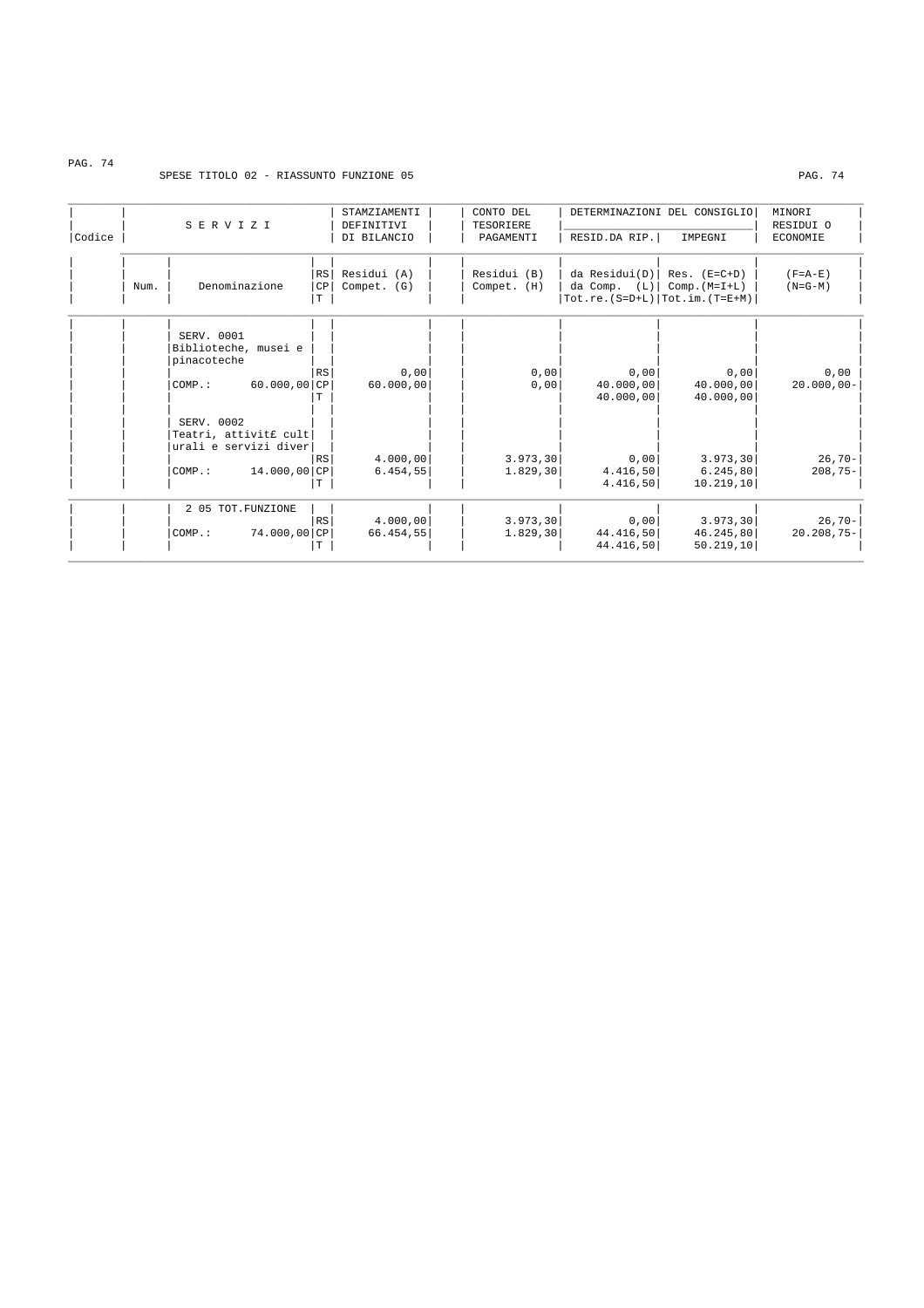### PAG. 74 SPESE TITOLO 02 - RIASSUNTO FUNZIONE 05 PAG. 74

| Codice |      | SERVIZI                                                                                  |                         | STAMZIAMENTI<br>DEFINITIVI<br>DI BILANCIO | CONTO DEL<br>TESORIERE<br>PAGAMENTI | RESID.DA RIP.                  | DETERMINAZIONI DEL CONSIGLIO<br>IMPEGNI                                                                  | MINORI<br>RESIDUI 0<br><b>ECONOMIE</b> |
|--------|------|------------------------------------------------------------------------------------------|-------------------------|-------------------------------------------|-------------------------------------|--------------------------------|----------------------------------------------------------------------------------------------------------|----------------------------------------|
|        | Num. | Denominazione                                                                            | RS<br>CP<br>$\mathbf T$ | Residui (A)<br>$Compet.$ (G)              | Residui (B)<br>Compet. $(H)$        |                                | da Residui(D)   Res. $(E=C+D)$<br>da Comp. $(L)$ Comp. $(M=I+L)$<br>$ Tot.re.(S=D+L)   Tot.in.(T=E+M)  $ | $(F=A-E)$<br>$( N = G - M )$           |
|        |      | SERV. 0001<br>Biblioteche, musei e<br>pinacoteche<br>60.000,00 CP<br>COMP:<br>SERV. 0002 | <b>RS</b>               | 0,00<br>60.000,00                         | 0,00<br>0,00                        | 0,00<br>40.000,00<br>40.000.00 | 0,00<br>40.000,00<br>40.000.00                                                                           | 0,00<br>$20.000,00 -$                  |
|        |      | Teatri, attivit£ cult<br>urali e servizi diver<br>14.000,00 CP<br>COMP:                  | <b>RS</b><br>T.         | 4.000,00<br>6.454,55                      | 3.973, 30<br>1.829, 30              | 0,00<br>4.416,50<br>4.416,50   | 3.973, 30<br>6.245,80<br>10.219, 10                                                                      | $26,70-$<br>$208,75-$                  |
|        |      | 2 05 TOT. FUNZIONE<br>74.000,00 CP<br>COMP:                                              | <b>RS</b><br>Т          | 4.000,00<br>66.454,55                     | 3.973, 30<br>1.829, 30              | 0,00<br>44.416,50<br>44.416,50 | 3.973, 30<br>46.245,80<br>50.219, 10                                                                     | $26,70-$<br>$20.208,75 -$              |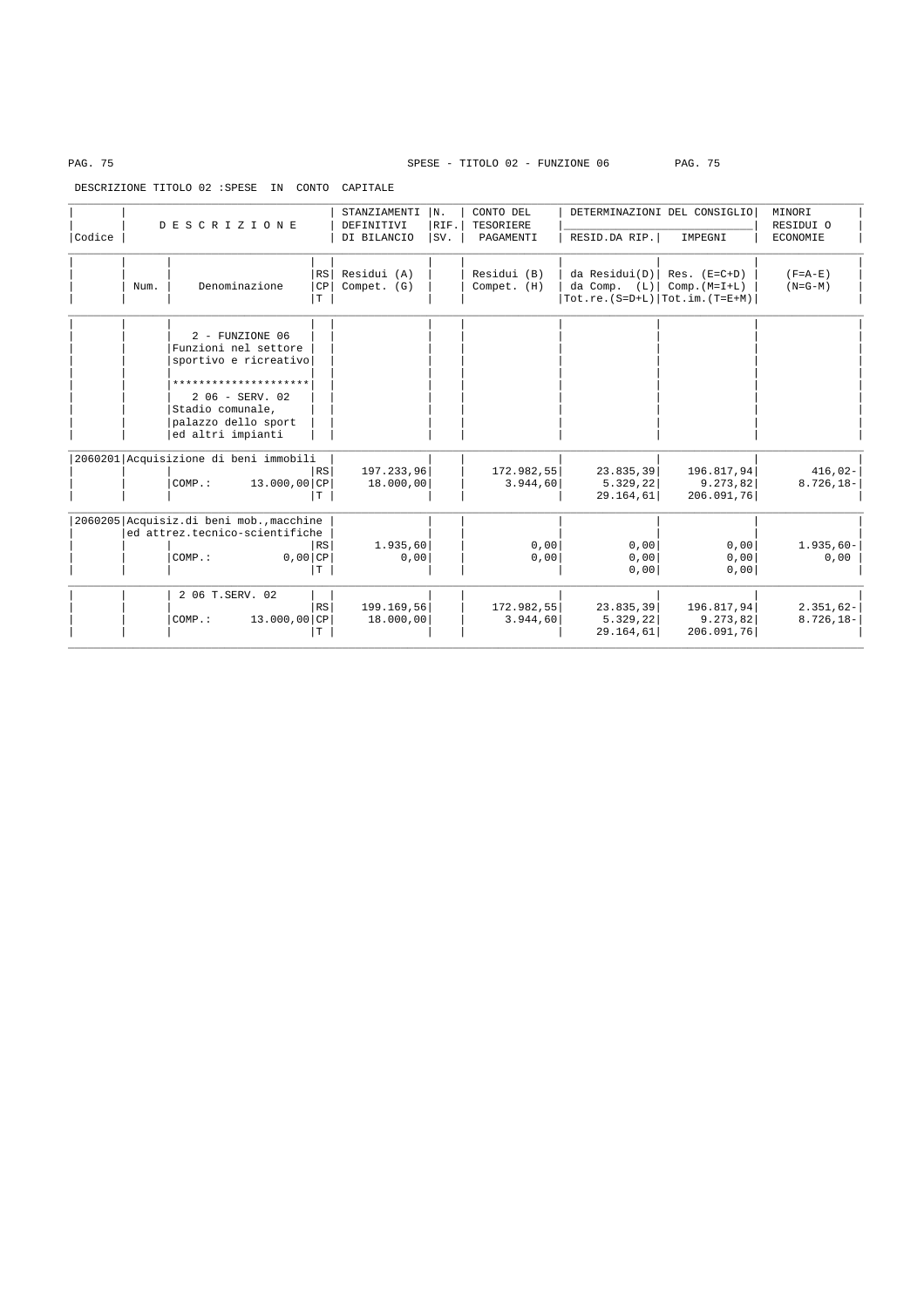# PAG. 75 SPESE - TITOLO 02 - FUNZIONE 06 PAG. 75

| Codice |      | DESCRIZIONE                                                                                                                        |                           | STANZIAMENTI<br>DEFINITIVI<br>DI BILANCIO | $ N$ .<br>RIF.<br>ISV. | CONTO DEL<br>TESORIERE<br>PAGAMENTI | RESID.DA RIP.                       | DETERMINAZIONI DEL CONSIGLIO<br>IMPEGNI                                                                | MINORI<br>RESIDUI O<br>ECONOMIE |
|--------|------|------------------------------------------------------------------------------------------------------------------------------------|---------------------------|-------------------------------------------|------------------------|-------------------------------------|-------------------------------------|--------------------------------------------------------------------------------------------------------|---------------------------------|
|        | Num. | Denominazione                                                                                                                      | <b>RS</b><br>CP<br>Iт     | Residui (A)<br>Compet. $(G)$              |                        | Residui (B)<br>$Compet.$ (H)        |                                     | da Residui(D)   Res. $(E=C+D)$<br>da Comp. $(L)$ Comp. $(M=I+L)$<br>$ Tot,re.(S=D+L)   Tot.in.(T=E+M)$ | $(F=A-E)$<br>$( N = G - M )$    |
|        |      | 2 - FUNZIONE 06<br>Funzioni nel settore<br>sportivo e ricreativo<br>*********************<br>$2.06 - SFRV.$ 02<br>Stadio comunale, |                           |                                           |                        |                                     |                                     |                                                                                                        |                                 |
|        |      | palazzo dello sport<br>ed altri impianti<br>2060201 Acquisizione di beni immobili                                                  | l RS                      | 197.233,96                                |                        | 172.982,55                          | 23.835,39                           | 196.817,94                                                                                             | $416,02-$                       |
|        |      | 13.000,00 CP<br>COMP:                                                                                                              | Т                         | 18.000,00                                 |                        | 3.944,60                            | 5.329, 22<br>29.164,61              | 9.273,82<br>206.091,76                                                                                 | $8.726, 18 -$                   |
|        |      | 2060205 Acquisiz.di beni mob., macchine<br>ed attrez.tecnico-scientifiche                                                          | RS                        | 1.935,60                                  |                        | 0,00                                | 0,00                                | 0,00                                                                                                   | $1.935,60-$                     |
|        |      | COMP:                                                                                                                              | $0,00$  CP<br>$\mathbb T$ | 0,00                                      |                        | 0,00                                | 0,00<br>0,00                        | 0,00<br>0,00                                                                                           | 0,00                            |
|        |      | 2 06 T.SERV. 02<br>13.000,00 CP<br>COMP:                                                                                           | <b>RS</b><br>T            | 199.169,56<br>18.000,00                   |                        | 172.982,55<br>3.944,60              | 23.835,39<br>5.329, 22<br>29.164,61 | 196.817,94<br>9.273,82<br>206.091,76                                                                   | $2.351,62-$<br>$8.726, 18 -$    |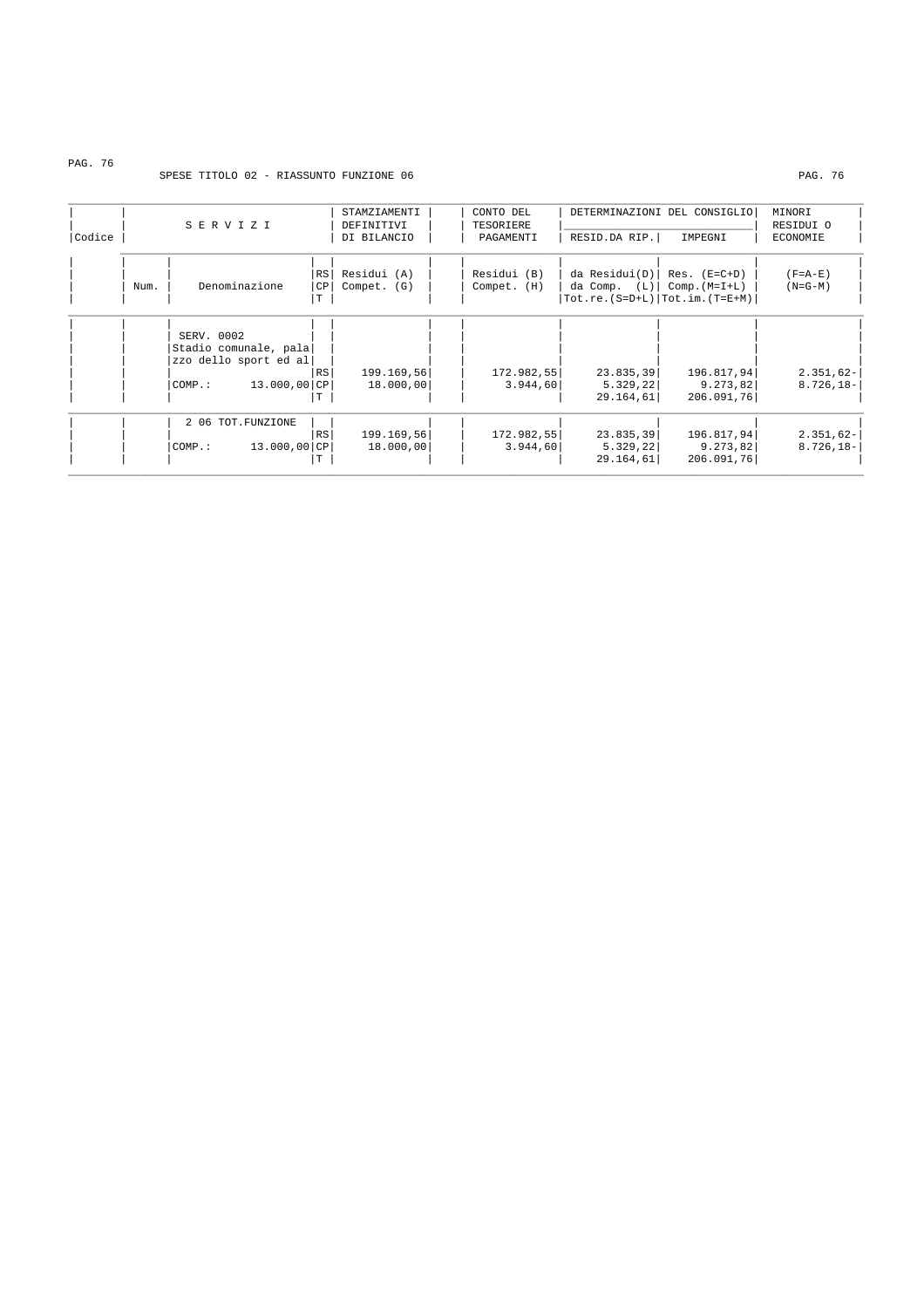### PAG. 76 SPESE TITOLO 02 - RIASSUNTO FUNZIONE 06 PAG. 76

| Codice |      | SERVIZI                                                                               |                      | STAMZIAMENTI<br>DEFINITIVI<br>DI BILANCIO | CONTO DEL<br>TESORIERE<br>PAGAMENTI | RESID.DA RIP.                                   | DETERMINAZIONI DEL CONSIGLIO<br>IMPEGNI                  | MINORI<br>RESIDUI O<br>ECONOMIE |
|--------|------|---------------------------------------------------------------------------------------|----------------------|-------------------------------------------|-------------------------------------|-------------------------------------------------|----------------------------------------------------------|---------------------------------|
|        | Num. | Denominazione                                                                         | <b>RS</b><br>CP<br>T | Residui (A)<br>$Compet.$ (G)              | Residui (B)<br>Compet. $(H)$        | da Residui(D)<br>da Comp. $(L)$ Comp. $(M=I+L)$ | $Res.$ $(E=C+D)$<br>$ Tot,re.(S=D+L)   Tot.in.(T=E+M)  $ | $(F=A-E)$<br>$( N = G - M )$    |
|        |      | SERV. 0002<br>Stadio comunale, pala<br>zzo dello sport ed al<br>13.000,00 CP<br>COMP: | RS.<br>Т             | 199.169,56<br>18.000,00                   | 172.982,55<br>3.944,60              | 23.835,39<br>5.329, 22<br>29.164,61             | 196.817,94<br>9.273,82<br>206.091,76                     | $2.351,62-$<br>$8.726, 18 -$    |
|        |      | 2 06 TOT. FUNZIONE<br>13.000,00 CP<br>COMP:                                           | R.S                  | 199.169,56<br>18,000,00                   | 172.982,55<br>3.944,60              | 23.835,39<br>5.329, 22<br>29.164, 61            | 196.817,94<br>9.273,82<br>206.091,76                     | $2.351,62-$<br>$8.726, 18 -$    |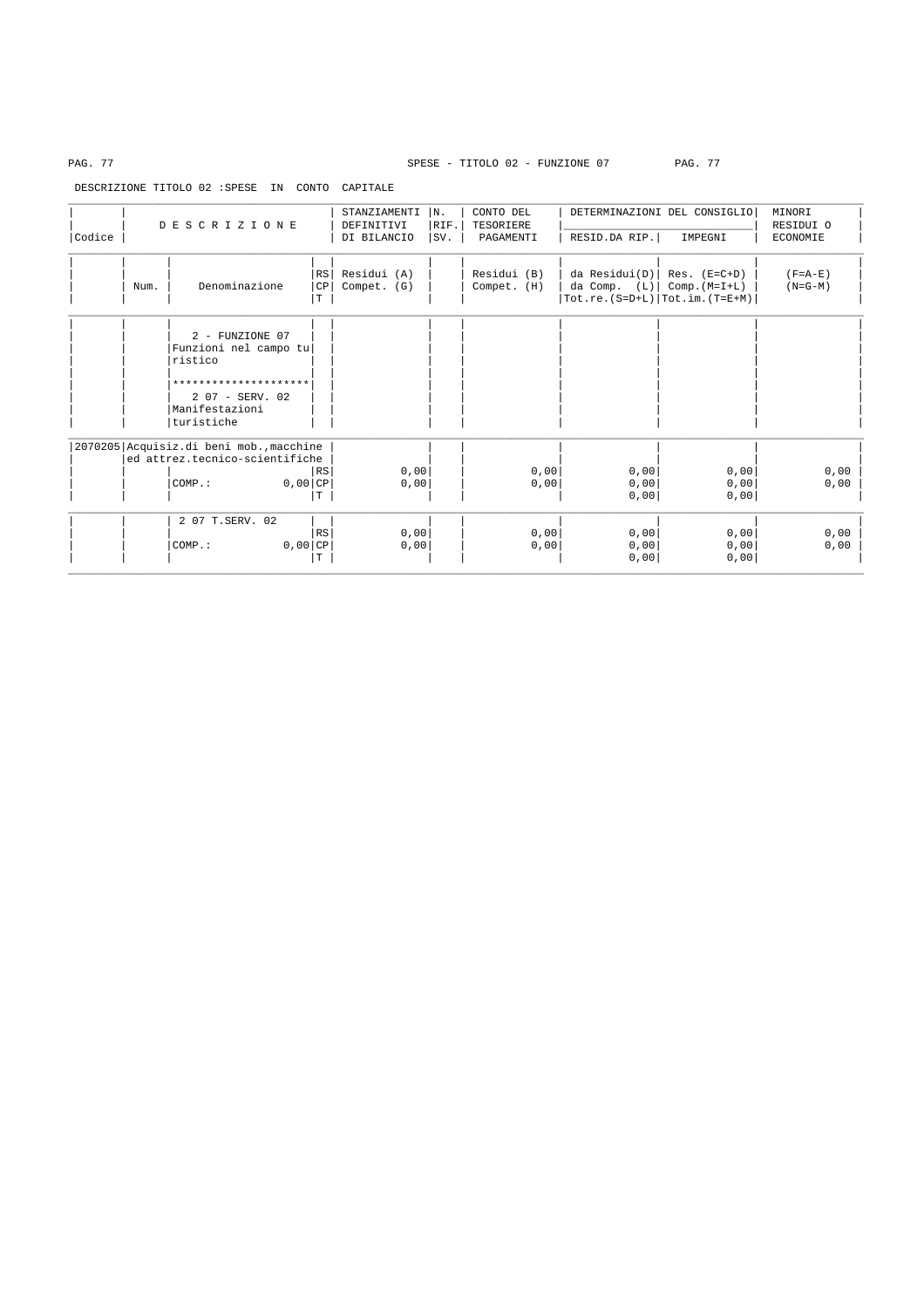## PAG. 77 SPESE - TITOLO 02 - FUNZIONE 07 PAG. 77

| Codice |      | <b>DESCRIZIONE</b>                                                       |                                     | STANZIAMENTI<br>DEFINITIVI<br>DI BILANCIO | IN.<br>RIF.<br>SV. | CONTO DEL<br>TESORIERE<br>PAGAMENTI | RESID.DA RIP.        | DETERMINAZIONI DEL CONSIGLIO<br>IMPEGNI                                                                | MINORI<br>RESIDUI 0<br><b>ECONOMIE</b> |
|--------|------|--------------------------------------------------------------------------|-------------------------------------|-------------------------------------------|--------------------|-------------------------------------|----------------------|--------------------------------------------------------------------------------------------------------|----------------------------------------|
|        | Num. | Denominazione                                                            | RS<br>C <sub>P</sub><br>$\mathbb T$ | Residui (A)<br>$Compet.$ (G)              |                    | Residui (B)<br>Compet. (H)          |                      | da Residui(D)   Res. $(E=C+D)$<br>da Comp. $(L)$ Comp. $(M=I+L)$<br>$ Tot.re.(S=D+L)   Tot.in.(T=E+M)$ | $(F=A-E)$<br>$( N = G - M )$           |
|        |      | 2 - FUNZIONE 07<br>Funzioni nel campo tu<br>ristico                      |                                     |                                           |                    |                                     |                      |                                                                                                        |                                        |
|        |      | *********************<br>2 07 - SERV. 02<br>Manifestazioni<br>turistiche |                                     |                                           |                    |                                     |                      |                                                                                                        |                                        |
|        |      | 2070205 Acquisiz.di beni mob., macchine                                  |                                     |                                           |                    |                                     |                      |                                                                                                        |                                        |
|        |      | ed attrez.tecnico-scientifiche                                           |                                     |                                           |                    |                                     |                      |                                                                                                        |                                        |
|        |      | $0,00$  CP<br>COMP.:                                                     | RS<br>$\mathbb T$                   | 0,00<br>0,00                              |                    | 0,00<br>0,00                        | 0,00<br>0,00<br>0,00 | 0,00<br>0,00<br>0,00                                                                                   | 0,00<br>0,00                           |
|        |      | 2 07 T.SERV. 02                                                          | <b>RS</b>                           | 0,00                                      |                    | 0,00                                | 0,00                 | 0,00                                                                                                   | 0,00                                   |
|        |      | $0,00$  CP<br>COMP:                                                      | T                                   | 0,00                                      |                    | 0,00                                | 0,00<br>0,00         | 0,00<br>0,00                                                                                           | 0,00                                   |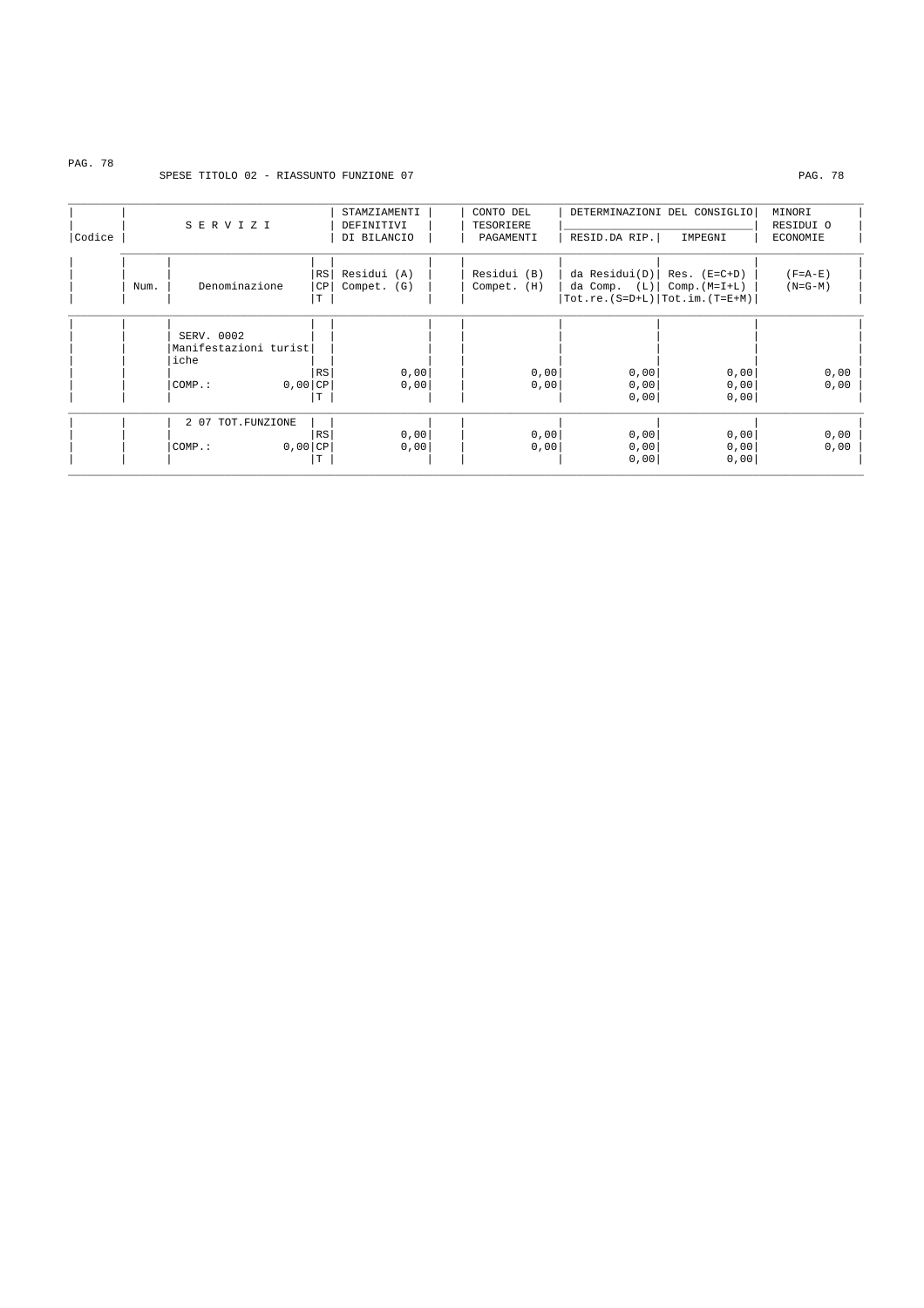### PAG. 78 SPESE TITOLO 02 - RIASSUNTO FUNZIONE 07 PAG. 78

| Codice |      | SERVIZI                                                         |                          | STAMZIAMENTI<br>DEFINITIVI<br>DI BILANCIO | CONTO DEL<br>TESORIERE<br>PAGAMENTI | RESID.DA RIP.                 | DETERMINAZIONI DEL CONSIGLIO<br>IMPEGNI                                    | MINORI<br>RESIDUI O<br>ECONOMIE |
|--------|------|-----------------------------------------------------------------|--------------------------|-------------------------------------------|-------------------------------------|-------------------------------|----------------------------------------------------------------------------|---------------------------------|
|        | Num. | Denominazione                                                   | RS<br>CP<br>$\mathbf T$  | Residui<br>(A)<br>$Compet.$ (G)           | Residui (B)<br>Compet. (H)          | da Residui(D)<br>da Comp. (L) | $Res.$ $(E=C+D)$<br>$Comp.(M=I+L)$<br>$ Tot.re.(S=D+L)   Tot.in.(T=E+M)  $ | $(F=A-E)$<br>$( N = G - M )$    |
|        |      | SERV. 0002<br>Manifestazioni turist<br>iche<br>0,00 CP<br>COMP: | <b>RS</b><br>$\mathbf T$ | 0,00<br>0,00                              | 0,00<br>0,00                        | 0,00<br>0,00<br>0,00          | 0,00<br>0,00<br>0,00                                                       | 0,00<br>0,00                    |
|        |      | 2 07 TOT. FUNZIONE<br>0,00 CP<br>COMP:                          | <b>RS</b><br>T           | 0,00<br>0,00                              | 0,00<br>0,00                        | 0,00<br>0,00<br>0,00          | 0,00<br>0,00<br>0,00                                                       | 0,00<br>0,00                    |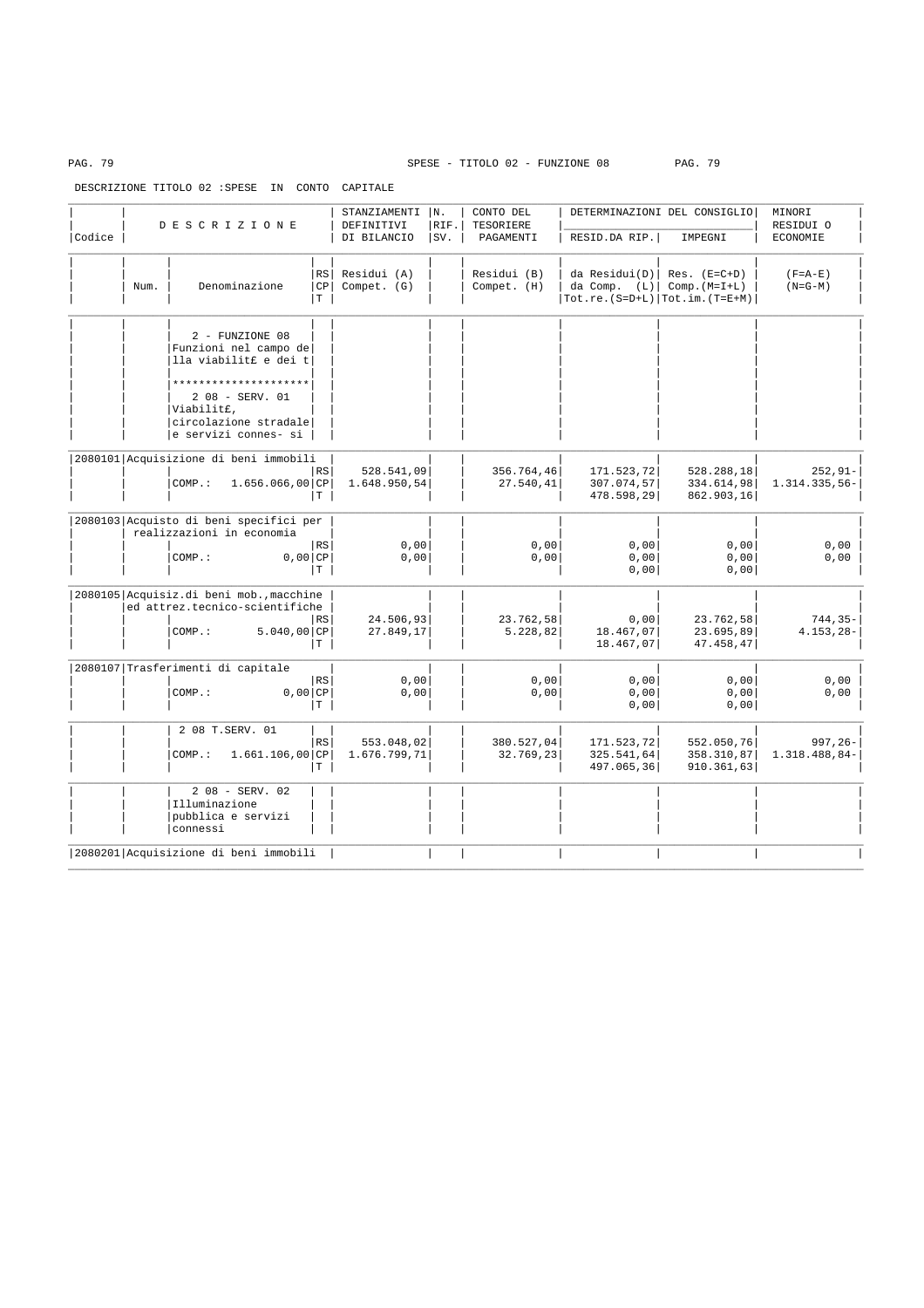# PAG. 79 PAG. 79 PAG. 79 PAG. 79 PAG. 79 PAG. 79 PAG. 79 PAG. 79 PAG. 79 PAG. 79 PAG. 79 PAG. 79 PAG. 79 PAG. 79 PAG. 79 PAG. 79 PAG. 79 PAG. 79 PAG. 79 PAG. 79 PAG. 79 PAG. 79 PA

| Codice |      | D E S C R I Z I O N E                                                                                                                                |                 |                            | STANZIAMENTI<br>DEFINITIVI<br>DI BILANCIO | $\mathbb{N}$ .<br>RIF.<br>Isv. | CONTO DEL<br>TESORIERE<br>PAGAMENTI | RESID.DA RIP.                          | DETERMINAZIONI DEL CONSIGLIO<br>IMPEGNI                                                                 | MINORI<br>RESIDUI 0<br>ECONOMIE  |
|--------|------|------------------------------------------------------------------------------------------------------------------------------------------------------|-----------------|----------------------------|-------------------------------------------|--------------------------------|-------------------------------------|----------------------------------------|---------------------------------------------------------------------------------------------------------|----------------------------------|
|        | Num. | Denominazione                                                                                                                                        |                 | RS<br>CP<br>IΤ             | Residui (A)<br>$Compet.$ (G)              |                                | Residui (B)<br>Compet. (H)          |                                        | da Residui(D)   Res. $(E=C+D)$<br>da Comp. $(L)$ Comp. $(M=I+L)$<br>$Tot.re.(S=D+L)   Tot.in.(T=E+M)  $ | $(F = A - E)$<br>$( N = G - M )$ |
|        |      | 2 - FUNZIONE 08<br>Funzioni nel campo de<br>lla viabilit£ e dei t<br>*********************<br>2 08 - SERV. 01<br>Viabilit£,<br>circolazione stradale |                 |                            |                                           |                                |                                     |                                        |                                                                                                         |                                  |
|        |      | e servizi connes- si                                                                                                                                 |                 |                            |                                           |                                |                                     |                                        |                                                                                                         |                                  |
|        |      | 2080101 Acquisizione di beni immobili<br>COMP:                                                                                                       | 1.656.066,00 CP | RS<br>T                    | 528.541,09<br>1.648.950,54                |                                | 356.764,46<br>27.540,41             | 171.523,72<br>307.074,57<br>478.598,29 | 528.288,18<br>334.614,98<br>862.903, 16                                                                 | $252, 91 -$<br>1.314.335,56-     |
|        |      | 2080103 Acquisto di beni specifici per<br>realizzazioni in economia                                                                                  |                 |                            |                                           |                                |                                     |                                        |                                                                                                         |                                  |
|        |      | COMP.:                                                                                                                                               | $0,00$  CP      | RS<br> T                   | 0,00<br>0,00                              |                                | 0,00<br>0,00                        | 0,00<br>0,00<br>0,00                   | 0,00<br>0,00<br>0,00                                                                                    | 0.00<br>0,00                     |
|        |      | 2080105 Acquisiz.di beni mob., macchine<br>ed attrez.tecnico-scientifiche<br>COMP:                                                                   | $5.040,00$ CP   | RS<br>$\mathbf T$          | 24.506,93<br>27.849,17                    |                                | 23.762,58<br>5.228,82               | 0,00<br>18.467,07<br>18.467,07         | 23.762,58<br>23.695,89<br>47.458, 47                                                                    | $744, 35 -$<br>$4.153, 28 -$     |
|        |      | 2080107 Trasferimenti di capitale                                                                                                                    |                 |                            |                                           |                                |                                     |                                        |                                                                                                         |                                  |
|        |      | COMP:                                                                                                                                                | $0,00$  CP      | RS<br>T                    | 0,00<br>0,00                              |                                | 0,00<br>0,00                        | 0,00<br>0,00<br>0,00                   | 0,00<br>0,00<br>0,00                                                                                    | 0,00<br>0,00                     |
|        |      | 2 08 T.SERV. 01<br>COMP:                                                                                                                             | 1.661.106,00 CP | $_{\rm RS}$<br>$\mathbf T$ | 553.048,02<br>1.676.799,71                |                                | 380.527,04<br>32.769,23             | 171.523,72<br>325.541,64<br>497.065,36 | 552.050,76<br>358.310,87<br>910.361,63                                                                  | $997, 26 -$<br>1.318.488,84-     |
|        |      | 2 08 - SERV. 02<br>Illuminazione<br>pubblica e servizi<br>connessi                                                                                   |                 |                            |                                           |                                |                                     |                                        |                                                                                                         |                                  |
|        |      | 2080201 Acquisizione di beni immobili                                                                                                                |                 |                            |                                           |                                |                                     |                                        |                                                                                                         |                                  |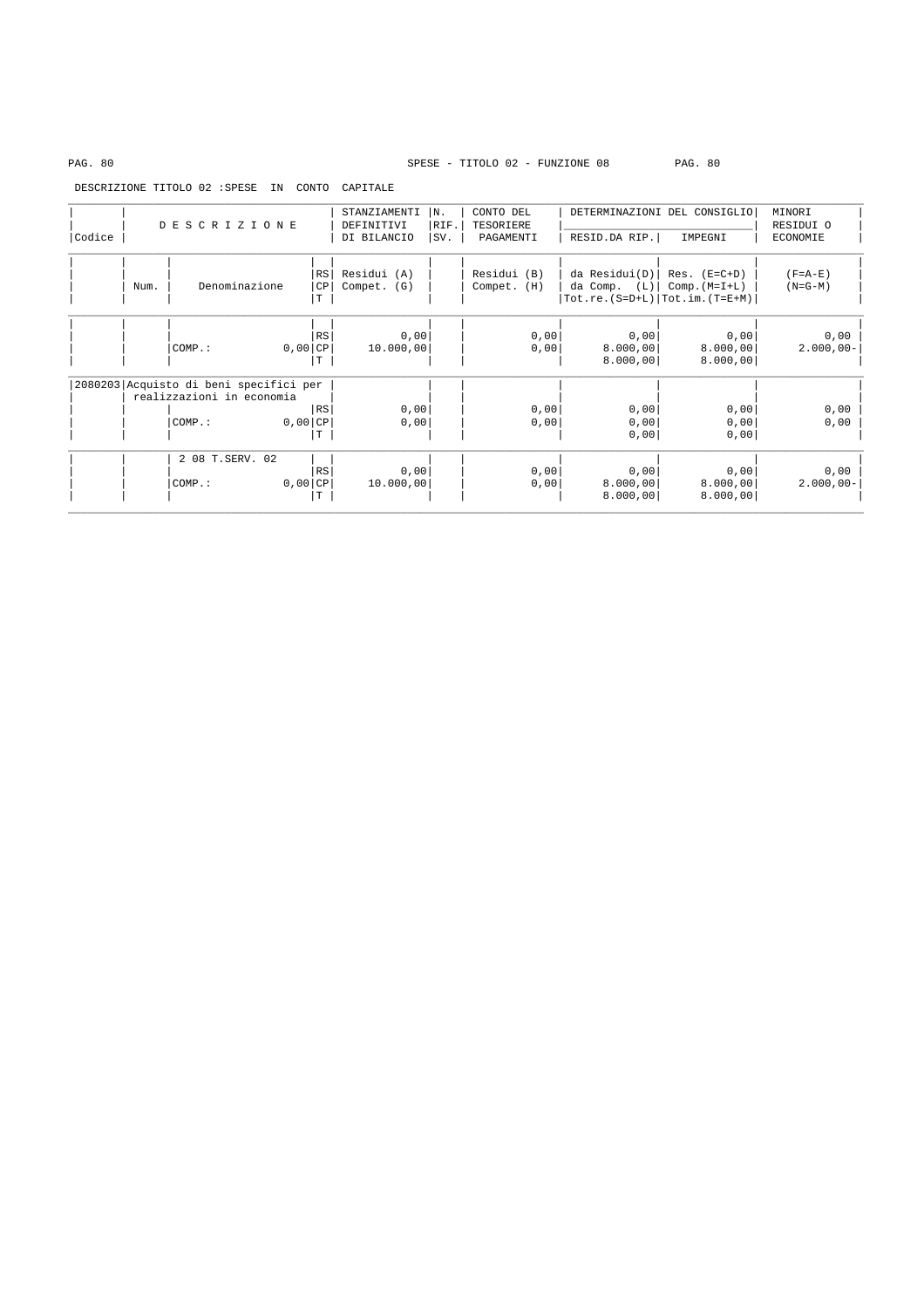## PAG. 80 SPESE - TITOLO 02 - FUNZIONE 08 PAG. 80

| Codice |      | DESCRIZIONE                                                                  |                              | STANZIAMENTI<br>DEFINITIVI<br>DI BILANCIO | N.<br>RIF.<br>SV. | CONTO DEL<br>TESORIERE<br>PAGAMENTI | RESID.DA RIP.                                                       | DETERMINAZIONI DEL CONSIGLIO<br>IMPEGNI | MINORI<br>RESIDUI 0<br>ECONOMIE |
|--------|------|------------------------------------------------------------------------------|------------------------------|-------------------------------------------|-------------------|-------------------------------------|---------------------------------------------------------------------|-----------------------------------------|---------------------------------|
|        | Num. | Denominazione                                                                | RS<br>CP<br>$\mathbf T$      | Residui<br>(A)<br>$Compet.$ (G)           |                   | Residui (B)<br>Compet. (H)          | da Residui(D)<br>da Comp. (L)<br>$ Tot,re.(S=D+L)   Tot.in.(T=E+M)$ | $Res.$ $(E=C+D)$<br>$Comp.(M=I+L)$      | $(F=A-E)$<br>$( N = G - M )$    |
|        |      | COMP:                                                                        | RS<br>$0,00$  CP<br>T        | 0,00<br>10.000,00                         |                   | 0,00<br>0,00                        | 0,00<br>8.000,00<br>8.000,00                                        | 0,00<br>8.000,00<br>8.000,00            | 0,00<br>$2.000,00 -$            |
|        |      | 2080203 Acquisto di beni specifici per<br>realizzazioni in economia<br>COMP: | RS<br>0,00 CP<br>$\mathbb T$ | 0,00<br>0,00                              |                   | 0,00<br>0,00                        | 0,00<br>0,00<br>0,00                                                | 0,00<br>0,00<br>0,00                    | 0,00<br>0,00                    |
|        |      | 2 08 T.SERV. 02<br>COMP:                                                     | <b>RS</b><br>$0,00$ CP<br>т  | 0,00<br>10.000,00                         |                   | 0,00<br>0,00                        | 0,00<br>8.000,00<br>8.000,00                                        | 0,00<br>8.000,00<br>8.000,00            | 0,00<br>$2.000,00 -$            |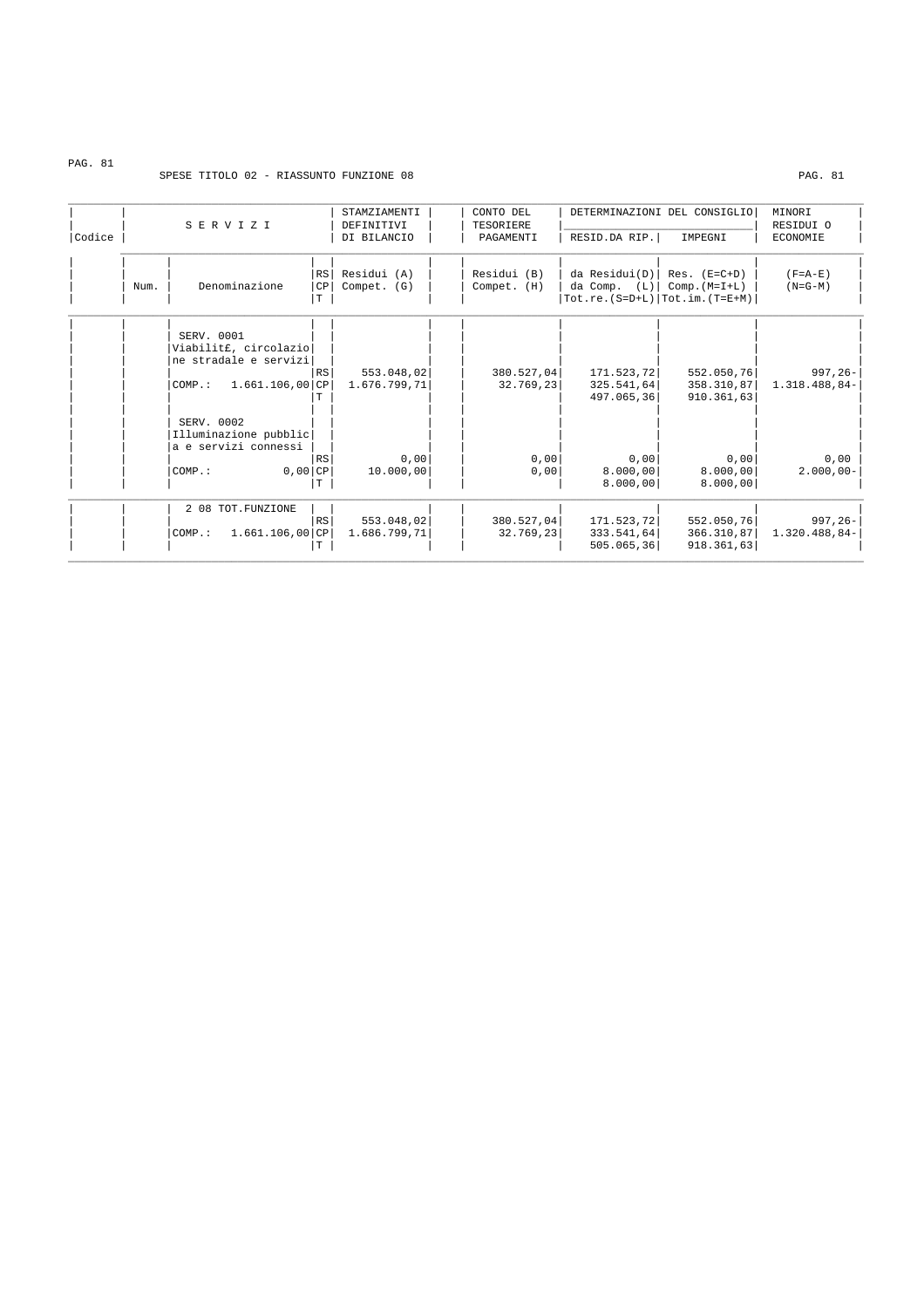### PAG. 81 SPESE TITOLO 02 - RIASSUNTO FUNZIONE 08 PAG. 81

| Codice |      | SERVIZI                                                                                         |                         | STAMZIAMENTI<br>DEFINITIVI<br>DI BILANCIO | CONTO DEL<br>TESORIERE<br>PAGAMENTI | RESID.DA RIP.                           | DETERMINAZIONI DEL CONSIGLIO<br>IMPEGNI                                                                  | MINORI<br>RESIDUI 0<br><b>ECONOMIE</b> |
|--------|------|-------------------------------------------------------------------------------------------------|-------------------------|-------------------------------------------|-------------------------------------|-----------------------------------------|----------------------------------------------------------------------------------------------------------|----------------------------------------|
|        | Num. | Denominazione                                                                                   | RS<br>CP<br>$\mathbf T$ | Residui (A)<br>$Compet.$ (G)              | Residui (B)<br>Compet. (H)          |                                         | da Residui(D)   Res. $(E=C+D)$<br>da Comp. $(L)$ Comp. $(M=I+L)$<br>$ Tot.re.(S=D+L)   Tot.in.(T=E+M)  $ | $(F=A-E)$<br>$( N = G - M )$           |
|        |      | SERV. 0001<br>Viabilit£, circolazio<br>ne stradale e servizi<br>COMP: 1.661.106.00 CP           | <b>RS</b>               | 553.048,02<br>1.676.799,71                | 380.527,04<br>32.769, 23            | 171.523,72<br>325.541.64<br>497.065.36  | 552.050,76<br>358.310,87<br>910.361.63                                                                   | 997,26-<br>1.318.488,84-               |
|        |      | SERV. 0002<br>Illuminazione pubblic<br>a e servizi connessi<br>$0.00$ <sub>c</sub> $P$<br>COMP: | <b>RS</b><br>T          | 0,00<br>10,000,00                         | 0,00<br>0,00                        | 0,00<br>8.000,00<br>8.000,00            | 0,00<br>8.000,00<br>8.000,00                                                                             | 0,00<br>$2.000,00 -$                   |
|        |      | 2 08 TOT. FUNZIONE<br>1.661.106,00 CP<br>COMP:                                                  | <b>RS</b><br>т          | 553.048,02<br>1.686.799,71                | 380.527,04<br>32.769,23             | 171.523,72<br>333.541,64<br>505.065, 36 | 552.050,76<br>366.310,87<br>918.361,63                                                                   | $997, 26 -$<br>$1.320.488.84-$         |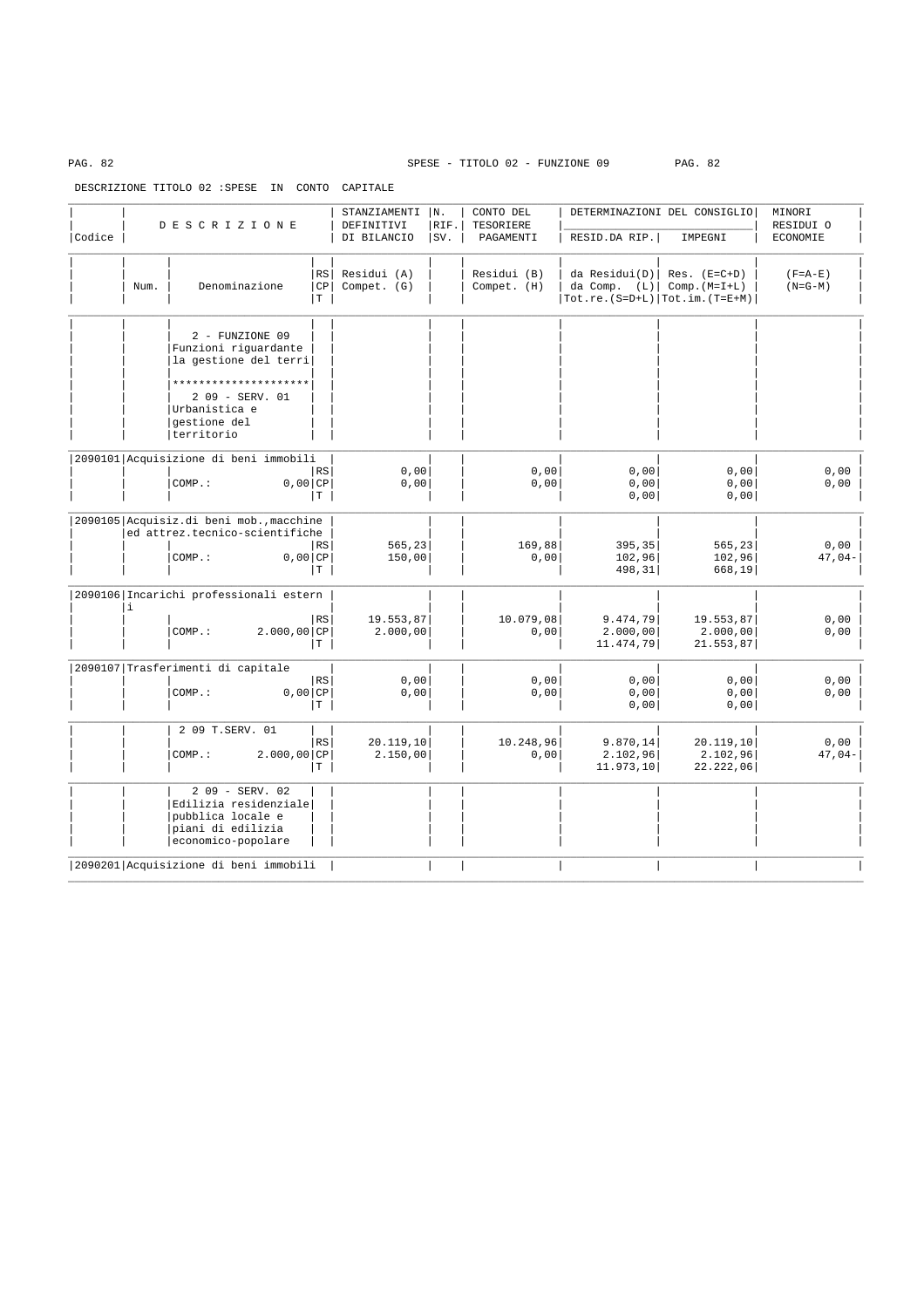# PAG. 82 PAG. 82 PAG. 82 PAG. 82 PAG. 82 PAG. 82

| Codice |      | DESCRIZIONE                                                                                                                                                 |                   | STANZIAMENTI<br>$ N$ .<br>DEFINITIVI<br>DI BILANCIO | RIF.<br>Isv. | CONTO DEL<br>TESORIERE<br>PAGAMENTI | RESID.DA RIP.                                   | DETERMINAZIONI DEL CONSIGLIO<br>IMPEGNI                 | MINORI<br>RESIDUI 0<br>ECONOMIE |
|--------|------|-------------------------------------------------------------------------------------------------------------------------------------------------------------|-------------------|-----------------------------------------------------|--------------|-------------------------------------|-------------------------------------------------|---------------------------------------------------------|---------------------------------|
|        | Num. | Denominazione                                                                                                                                               | RS<br>CP<br>IТ    | Residui (A)<br>$Compet.$ (G)                        |              | Residui (B)<br>Compet. (H)          | da Residui(D)<br>da Comp. $(L)$ Comp. $(M=I+L)$ | $Res.$ $(E=C+D)$<br>$Tot.re.(S=D+L)   Tot.in.(T=E+M)  $ | $(F=A-E)$<br>$(N = G - M)$      |
|        |      | 2 - FUNZIONE 09<br>Funzioni riquardante<br>la gestione del terri<br>*********************<br>2 09 - SERV. 01<br>Urbanistica e<br>gestione del<br>territorio |                   |                                                     |              |                                     |                                                 |                                                         |                                 |
|        |      | 2090101 Acquisizione di beni immobili<br>0,00 CP<br>COMP:                                                                                                   | RS<br>T           | 0,00<br>0,00                                        |              | 0,00<br>0,00                        | 0,00<br>0,00<br>0,00                            | 0,00<br>0,00<br>0,00                                    | 0,00<br>0,00                    |
|        |      | 2090105 Acquisiz.di beni mob., macchine<br>ed attrez.tecnico-scientifiche<br>COMP.:<br>0,00 CP                                                              | <b>RS</b><br>  T  | 565,23<br>150,00                                    |              | 169,88<br>0,00                      | 395, 35<br>102,96<br>498,31                     | 565, 23<br>102,96<br>668,19                             | 0,00<br>$47,04-$                |
|        | i    | 2090106 Incarichi professionali estern                                                                                                                      |                   |                                                     |              |                                     |                                                 |                                                         |                                 |
|        |      | 2.000,00 CP<br>COMP.:                                                                                                                                       | RS<br>T           | 19.553,87<br>2.000,00                               |              | 10.079,08<br>0,00                   | 9.474, 79<br>2.000,00<br>11.474,79              | 19.553,87<br>2.000,00<br>21.553,87                      | 0,00<br>0,00                    |
|        |      | 2090107 Trasferimenti di capitale<br>$0,00$  CP<br>COMP:                                                                                                    | RS<br>T           | 0,00<br>0,00                                        |              | 0,00<br>0,00                        | 0,00<br>0,00<br>0,00                            | 0,00<br>0,00<br>0,00                                    | 0,00<br>0,00                    |
|        |      | 2 09 T.SERV. 01<br>$2.000,00$ CP<br>COMP:                                                                                                                   | $_{\rm RS}$<br>T. | 20.119,10<br>2.150,00                               |              | 10.248,96<br>0,00                   | 9.870,14<br>2.102,96<br>11.973, 10              | 20.119, 10<br>2.102,96<br>22.222,06                     | 0,00<br>$47,04-$                |
|        |      | 2 09 - SERV. 02<br>Edilizia residenziale<br>pubblica locale e<br>piani di edilizia<br>economico-popolare                                                    |                   |                                                     |              |                                     |                                                 |                                                         |                                 |
|        |      | 2090201 Acquisizione di beni immobili                                                                                                                       |                   |                                                     |              |                                     |                                                 |                                                         |                                 |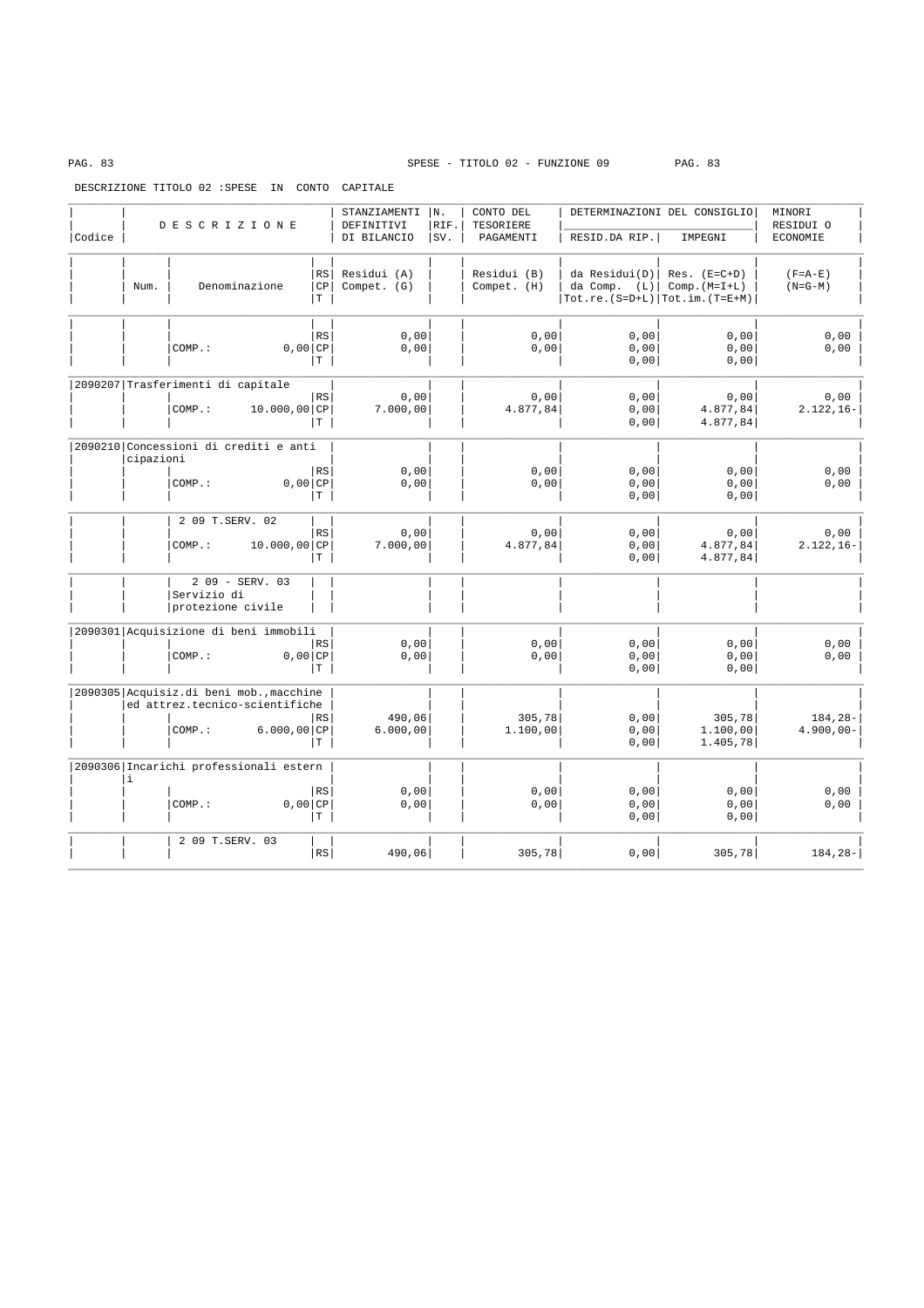# PAG. 83 SPESE - TITOLO 02 - FUNZIONE 09 PAG. 83

| Codice |                                                    | DESCRIZIONE                                                                                        |                    | STANZIAMENTI<br>$ N$ .<br>DEFINITIVI<br>DI BILANCIO | RIF.<br>Isv. | CONTO DEL<br>TESORIERE<br>PAGAMENTI | RESID.DA RIP.        | DETERMINAZIONI DEL CONSIGLIO<br>IMPEGNI                                                                 | MINORI<br>RESIDUI 0<br>ECONOMIE  |  |
|--------|----------------------------------------------------|----------------------------------------------------------------------------------------------------|--------------------|-----------------------------------------------------|--------------|-------------------------------------|----------------------|---------------------------------------------------------------------------------------------------------|----------------------------------|--|
|        | Num.                                               | Denominazione                                                                                      | RS<br>CP<br>ΙT     | Residui (A)<br>Compet. $(G)$                        |              | Residui (B)<br>Compet. (H)          |                      | da Residui(D)   Res. $(E=C+D)$<br>da Comp. $(L)  $ Comp. $(M=I+L)$<br>$Tot.re.(S=D+L)   Tot.in.(T=E+M)$ | $(F = A - E)$<br>$( N = G - M )$ |  |
|        |                                                    | $0.00$ <sub>c</sub> $P$<br>COMP:                                                                   | RS<br>$\mathbf T$  | 0,00<br>0,00                                        |              | 0,00<br>0,00                        | 0,00<br>0,00<br>0,00 | 0,00<br>0,00<br>0,00                                                                                    | 0,00<br>0,00                     |  |
|        |                                                    | 2090207 Trasferimenti di capitale<br>10.000,00 CP<br>COMP:                                         | RS<br>T            | 0,00<br>7.000,00                                    |              | 0,00<br>4.877,84                    | 0,00<br>0,00<br>0,00 | 0,00<br>4.877,84<br>4.877, 84                                                                           | 0,00<br>$2.122, 16-$             |  |
|        | 2090210 Concessioni di crediti e anti<br>cipazioni |                                                                                                    |                    |                                                     |              |                                     |                      |                                                                                                         |                                  |  |
|        |                                                    | $0,00$  CP<br>COMP.:                                                                               | <b>RS</b><br>T.    | 0,00<br>0,00                                        |              | 0,00<br>0,00                        | 0,00<br>0,00<br>0,00 | 0,00<br>0,00<br>0,00                                                                                    | 0,00<br>0,00                     |  |
|        |                                                    | 2 09 T.SERV. 02<br>10.000,00 CP<br>COMP:                                                           | RS<br>T            | 0,00<br>7.000,00                                    |              | 0,00<br>4.877,84                    | 0,00<br>0,00<br>0,00 | 0,00<br>4.877,84<br>4.877, 84                                                                           | 0,00<br>$2.122, 16-$             |  |
|        |                                                    | $209 - SERV.03$<br>Servizio di<br>protezione civile                                                |                    |                                                     |              |                                     |                      |                                                                                                         |                                  |  |
|        |                                                    | 2090301 Acquisizione di beni immobili<br>0,00 CP<br>COMP:                                          | RS.<br>$\mathbb T$ | 0.00<br>0,00                                        |              | 0.00<br>0,00                        | 0,00<br>0,00<br>0,00 | 0.00<br>0,00<br>0,00                                                                                    | 0.00<br>0,00                     |  |
|        |                                                    | 2090305 Acquisiz.di beni mob., macchine<br>ed attrez.tecnico-scientifiche<br>6.000,00 CP<br>COMP.: | <b>RS</b><br>T     | 490,06<br>6.000,00                                  |              | 305,78<br>1,100,00                  | 0,00<br>0,00<br>0,00 | 305,78<br>1,100,00<br>1.405, 78                                                                         | $184, 28-$<br>$4.900,00 -$       |  |
|        | i                                                  | 2090306 Incarichi professionali estern                                                             |                    |                                                     |              |                                     |                      |                                                                                                         |                                  |  |
|        |                                                    | $0,00$  CP<br>COMP.:                                                                               | RS<br>$\mathbf T$  | 0,00<br>0,00                                        |              | 0,00<br>0,00                        | 0,00<br>0,00<br>0,00 | 0,00<br>0,00<br>0,00                                                                                    | 0,00<br>0,00                     |  |
|        |                                                    | 2 09 T.SERV. 03                                                                                    | RS                 | 490,06                                              |              | 305,78                              | 0,00                 | 305, 78                                                                                                 | $184, 28 -$                      |  |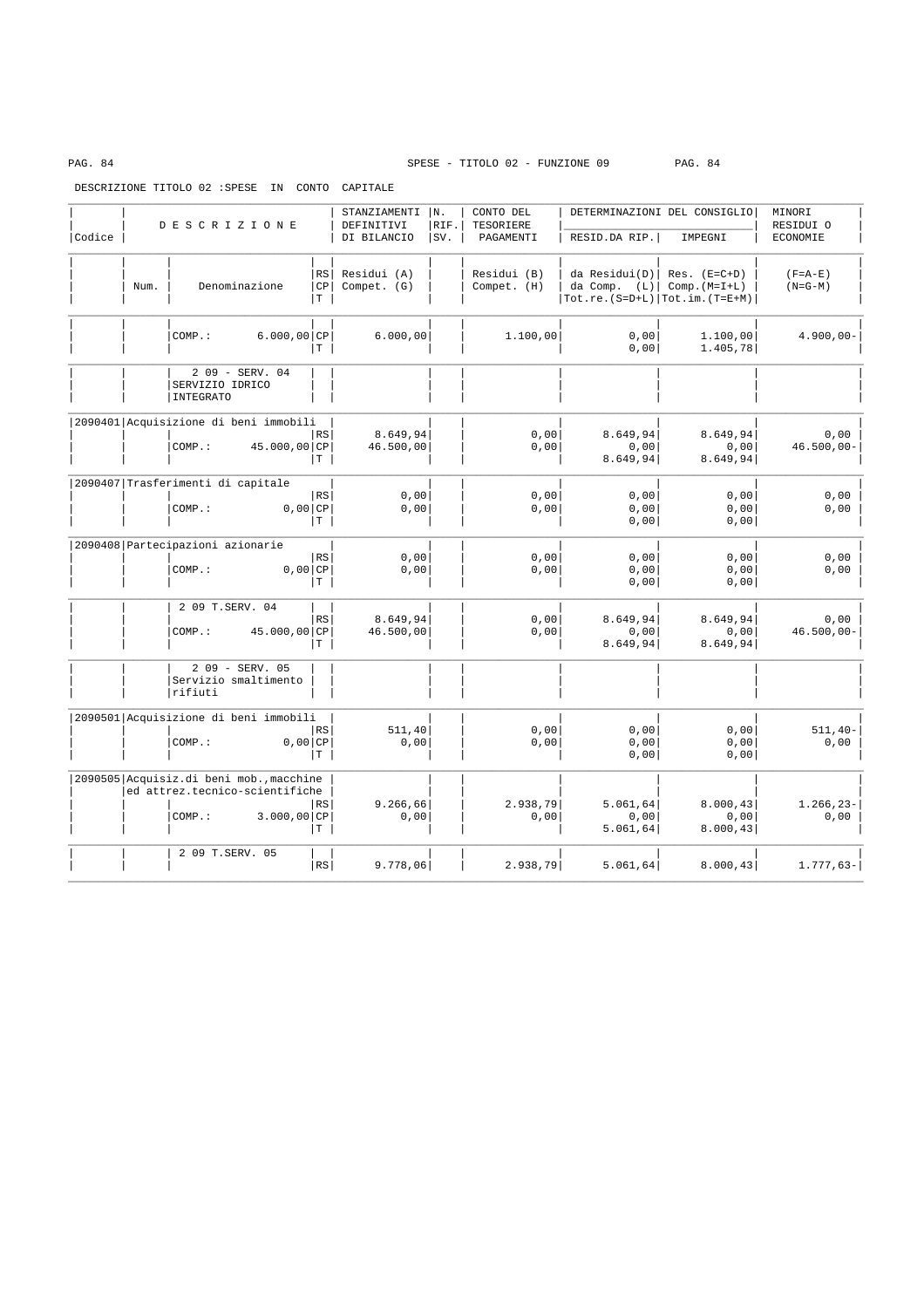## PAG. 84 SPESE - TITOLO 02 - FUNZIONE 09 PAG. 84

| Codice |      | DESCRIZIONE                                                                                          |                   | STANZIAMENTI<br>$ N$ .<br>RIF.<br>DEFINITIVI<br>DI BILANCIO<br>Isv. | CONTO DEL<br>TESORIERE<br>PAGAMENTI | RESID.DA RIP.                                                                        | DETERMINAZIONI DEL CONSIGLIO<br>IMPEGNI | MINORI<br>RESIDUI 0<br>ECONOMIE |
|--------|------|------------------------------------------------------------------------------------------------------|-------------------|---------------------------------------------------------------------|-------------------------------------|--------------------------------------------------------------------------------------|-----------------------------------------|---------------------------------|
|        | Num. | Denominazione                                                                                        | RS<br>CP<br>T     | Residui (A)<br>Compet. $(G)$                                        | Residui (B)<br>Compet. (H)          | da Residui(D)<br>da Comp. $(L)$ Comp. $(M=I+L)$<br>$Tot.re.(S=D+L)   Tot.in.(T=E+M)$ | $Res.$ $(E=C+D)$                        | $(F=A-E)$<br>$(N = G - M)$      |
|        |      | 6.000,00 CP<br>COMP.:                                                                                | IТ                | 6.000,00                                                            | 1.100,00                            | 0,00<br>0,00                                                                         | 1.100,00<br>1.405, 78                   | $4.900,00 -$                    |
|        |      | 2 09 - SERV. 04<br>SERVIZIO IDRICO<br>INTEGRATO                                                      |                   |                                                                     |                                     |                                                                                      |                                         |                                 |
|        |      | 2090401 Acquisizione di beni immobili<br>45.000,00 CP<br>COMP:                                       | RS<br>$\mathbb T$ | 8.649,94<br>46.500,00                                               | 0,00<br>0,00                        | 8.649,94<br>0,00<br>8.649,94                                                         | 8.649,94<br>0,00<br>8.649,94            | 0,00<br>$46.500,00 -$           |
|        |      | 2090407 Trasferimenti di capitale<br>$0,00$  CP<br>COMP.:                                            | RS<br>T           | 0,00<br>0,00                                                        | 0,00<br>0,00                        | 0,00<br>0,00<br>0,00                                                                 | 0,00<br>0,00<br>0,00                    | 0,00<br>0,00                    |
|        |      | 2090408 Partecipazioni azionarie<br>$0,00$  CP<br>COMP.:                                             | RS<br>IΤ          | 0,00<br>0,00                                                        | 0,00<br>0,00                        | 0,00<br>0,00<br>0,00                                                                 | 0,00<br>0,00<br>0,00                    | 0,00<br>0,00                    |
|        |      | 2 09 T.SERV. 04<br>45.000,00 CP<br>COMP.:                                                            | RS<br>$\mathbb T$ | 8.649,94<br>46.500,00                                               | 0,00<br>0,00                        | 8.649,94<br>0,00<br>8.649,94                                                         | 8.649,94<br>0,00<br>8.649,94            | 0,00<br>$46.500,00 -$           |
|        |      | 2 09 - SERV. 05<br>Servizio smaltimento<br>rifiuti                                                   |                   |                                                                     |                                     |                                                                                      |                                         |                                 |
|        |      | 2090501 Acquisizione di beni immobili<br>$0,00$  CP<br>COMP.:                                        | RS<br>$\mathbb T$ | 511,40<br>0,00                                                      | 0.00<br>0,00                        | 0,00<br>0,00<br>0,00                                                                 | 0.00<br>0,00<br>0,00                    | $511, 40-$<br>0,00              |
|        |      | 2090505 Acquisiz.di beni mob., macchine<br>ed attrez.tecnico-scientifiche<br>$3.000,00$ CP<br>COMP.: | RS<br>T           | 9.266,66<br>0,00                                                    | 2.938,79<br>0,00                    | 5.061.64<br>0,00<br>5.061, 64                                                        | 8.000, 43<br>0,00<br>8.000, 43          | $1.266, 23 -$<br>0,00           |
|        |      | 2 09 T.SERV. 05                                                                                      | RS                | 9.778,06                                                            | 2.938,79                            | 5.061, 64                                                                            | 8.000, 43                               | $1.777.63-$                     |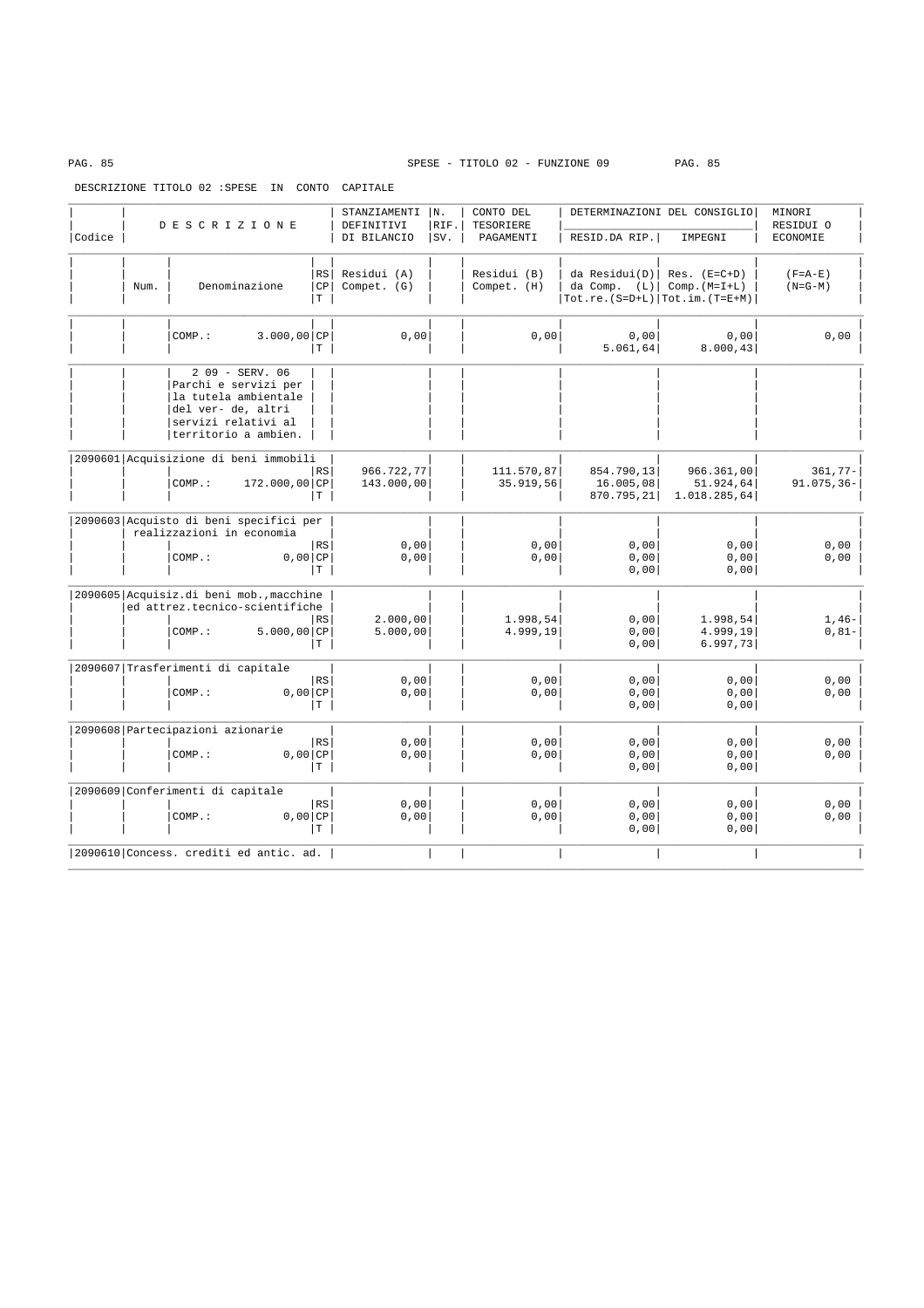## PAG. 85 SPESE - TITOLO 02 - FUNZIONE 09 PAG. 85

| Codice |      |                                             | DESCRIZIONE                                                                                                    |                   | STANZIAMENTI<br>$ N$ .<br>DEFINITIVI<br>DI BILANCIO | RIF.<br>Isv. | CONTO DEL<br>TESORIERE<br>PAGAMENTI | RESID.DA RIP.                                                             | DETERMINAZIONI DEL CONSIGLIO<br>IMPEGNI | MINORI<br>RESIDUI 0<br>ECONOMIE  |
|--------|------|---------------------------------------------|----------------------------------------------------------------------------------------------------------------|-------------------|-----------------------------------------------------|--------------|-------------------------------------|---------------------------------------------------------------------------|-----------------------------------------|----------------------------------|
|        | Num. |                                             | Denominazione                                                                                                  | RS<br>CP<br>IΤ    | Residui (A)<br>Compet. (G)                          |              | Residui (B)<br>Compet. (H)          | da Comp. $(L)  $ Comp. $(M=I+L)$<br>Tot.re. $(S=D+L)$   Tot.im. $(T=E+M)$ | da Residui(D)   Res. $(E=C+D)$          | $(F = A - E)$<br>$( N = G - M )$ |
|        |      | COMP.:                                      | $3.000,00$ CP                                                                                                  | $\mathbf T$       | 0,00                                                |              | 0,00                                | 0,00<br>5.061, 64                                                         | 0,00<br>8.000, 43                       | 0,00                             |
|        |      | del ver- de, altri                          | 2 09 - SERV. 06<br>Parchi e servizi per<br>la tutela ambientale<br>servizi relativi al<br>territorio a ambien. |                   |                                                     |              |                                     |                                                                           |                                         |                                  |
|        |      | COMP.:                                      | 2090601 Acquisizione di beni immobili<br>172.000,00 CP                                                         | RS<br>$\mathbf T$ | 966.722,77<br>143.000,00                            |              | 111.570,87<br>35.919,56             | 854.790,13<br>16.005,08<br>870.795,21                                     | 966.361,00<br>51.924,64<br>1.018.285,64 | $361,77-$<br>$91.075, 36 -$      |
|        |      | COMP.:                                      | 2090603 Acquisto di beni specifici per<br>realizzazioni in economia<br>$0,00$  CP                              | RS<br>IΤ.         | 0,00<br>0,00                                        |              | 0,00<br>0,00                        | 0,00<br>0,00<br>0,00                                                      | 0,00<br>0,00<br>0,00                    | 0,00<br>0,00                     |
|        |      | COMP.:                                      | 2090605 Acquisiz.di beni mob., macchine<br>ed attrez.tecnico-scientifiche<br>$5.000,00$ CP                     | RS<br>$\mathbf T$ | 2.000,00<br>5.000,00                                |              | 1.998,54<br>4.999,19                | 0,00<br>0,00<br>0,00                                                      | 1.998, 54<br>4.999,19<br>6.997,73       | $1,46-$<br>$0,81-$               |
|        |      | 2090607 Trasferimenti di capitale<br>COMP.: | $0,00$  CP                                                                                                     | RS<br>T           | 0,00<br>0,00                                        |              | 0,00<br>0,00                        | 0,00<br>0,00<br>0,00                                                      | 0,00<br>0,00<br>0,00                    | 0,00<br>0,00                     |
|        |      | 2090608 Partecipazioni azionarie<br>COMP.:  | $0,00$  CP                                                                                                     | RS<br>T           | 0,00<br>0,00                                        |              | 0,00<br>0,00                        | 0,00<br>0,00<br>0,00                                                      | 0,00<br>0,00<br>0,00                    | 0,00<br>0,00                     |
|        |      | 2090609 Conferimenti di capitale<br>COMP.:  | $0.00$ <sub>c</sub> $P$                                                                                        | RS<br>T           | 0,00<br>0,00                                        |              | 0,00<br>0,00                        | 0,00<br>0,00<br>0,00                                                      | 0,00<br>0,00<br>0,00                    | 0,00<br>0,00                     |
|        |      |                                             | [2090610] Concess. crediti ed antic. ad.                                                                       |                   |                                                     |              |                                     |                                                                           |                                         |                                  |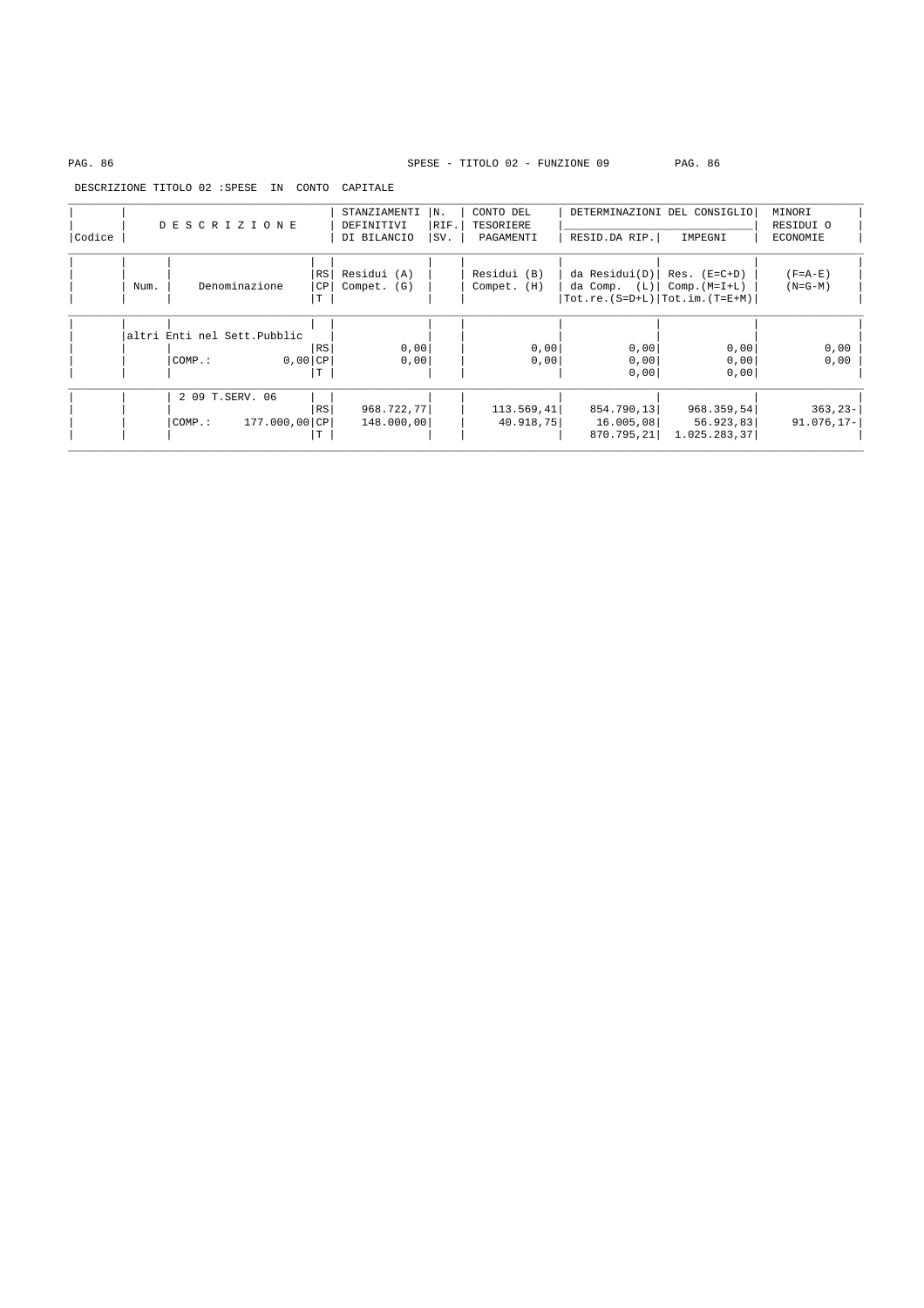### PAG. 86 SPESE - TITOLO 02 - FUNZIONE 09 PAG. 86

| Codice |      | DESCRIZIONE                                     |                | IN.<br>STANZIAMENTI<br>DEFINITIVI<br>RIF.<br>DI BILANCIO<br>SV. | CONTO DEL<br>TESORIERE<br>PAGAMENTI | RESID.DA RIP.                                                      | DETERMINAZIONI DEL CONSIGLIO<br>IMPEGNI | MINORI<br>RESIDUI O<br>ECONOMIE |
|--------|------|-------------------------------------------------|----------------|-----------------------------------------------------------------|-------------------------------------|--------------------------------------------------------------------|-----------------------------------------|---------------------------------|
|        | Num. | Denominazione                                   | RS<br>CP<br>T  | Residui<br>(A)<br>Compet.<br>(G)                                | Residui (B)<br>Compet. (H)          | da Residui(D)<br>da Comp. (L)<br>$Tot.re.(S=D+L)   Tot.in.(T=E+M)$ | $Res.$ $(E=C+D)$<br>Comp. $(M=I+L)$     | $(F=A-E)$<br>$( N = G - M )$    |
|        |      | altri Enti nel Sett.Pubblic<br>0,00 CP<br>COMP: | <b>RS</b><br>т | 0,00<br>0,00                                                    | 0,00<br>0,00                        | 0,00<br>0,00<br>0,00                                               | 0,00<br>0,00<br>0,00                    | 0,00<br>0,00                    |
|        |      | 2 09 T.SERV. 06<br>177.000,00 CP<br>COMP:       | RS<br>т        | 968.722,77<br>148.000,00                                        | 113.569,41<br>40.918,75             | 854.790,13<br>16.005,08<br>870.795,21                              | 968.359,54<br>56.923,83<br>1.025.283.37 | $363, 23 -$<br>$91.076, 17 -$   |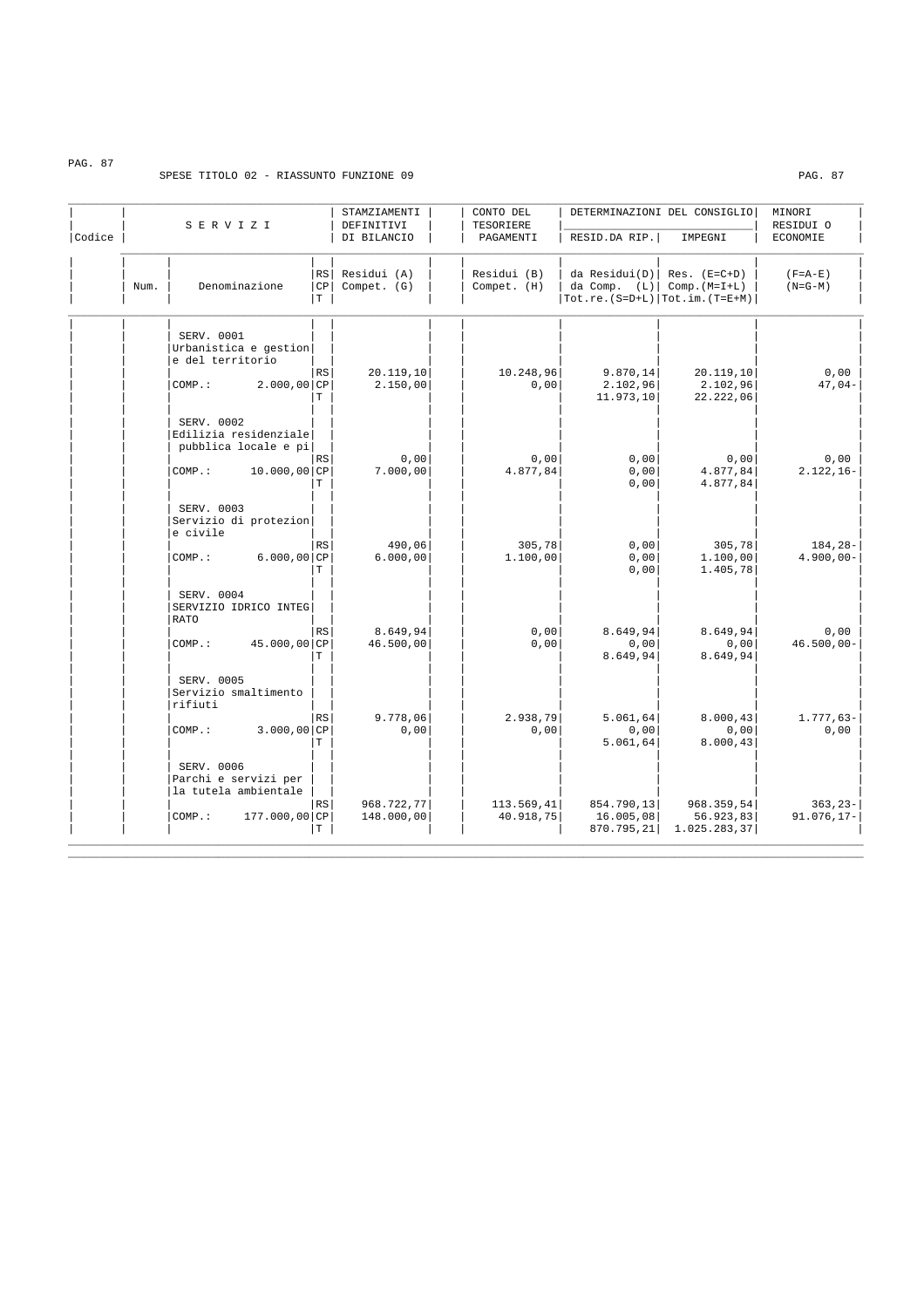### SPESE TITOLO 02 - RIASSUNTO FUNZIONE 09 PAG. 87

| Codice |      | SERVIZI                                                                                |                          | STAMZIAMENTI<br>DEFINITIVI<br>DI BILANCIO | CONTO DEL<br>TESORIERE<br>PAGAMENTI | RESID.DA RIP.                                                                                            | DETERMINAZIONI DEL CONSIGLIO<br>IMPEGNI | MINORI<br>RESIDUI 0<br>ECONOMIE |
|--------|------|----------------------------------------------------------------------------------------|--------------------------|-------------------------------------------|-------------------------------------|----------------------------------------------------------------------------------------------------------|-----------------------------------------|---------------------------------|
|        | Num. | Denominazione                                                                          | RS <br>CP<br>IТ          | Residui (A)<br>Compet. $(G)$              | Residui (B)<br>Compet. (H)          | da Residui(D)   Res. $(E=C+D)$<br>da Comp. $(L)$ Comp. $(M=I+L)$<br>$ Tot.re.(S=D+L)   Tot.in.(T=E+M)  $ |                                         | $(F = A - E)$<br>$(N = G - M)$  |
|        |      | SERV. 0001<br>Urbanistica e gestion<br>e del territorio<br>$2.000,00$ CP<br>COMP:      | RS<br>T.                 | 20.119, 10<br>2.150,00                    | 10.248,96<br>0,00                   | 9.870, 14<br>2.102,96<br>11.973, 10                                                                      | 20.119, 10<br>2.102,96<br>22.222,06     | 0,00<br>$47,04-$                |
|        |      | SERV. 0002<br>Edilizia residenziale<br>pubblica locale e pi<br>$10.000,00$ CP<br>COMP: | RS<br>T                  | 0,00<br>7.000,00                          | 0,00<br>4.877, 84                   | 0,00<br>0,00<br>0,00                                                                                     | 0,00<br>4.877,84<br>4.877,84            | 0,00<br>$2.122.16 -$            |
|        |      | SERV. 0003<br>Servizio di protezion<br>e civile<br>$6.000,00$ CP<br>COMP:              | <b>RS</b><br>$\mathbb T$ | 490,06<br>6.000,00                        | 305,78<br>1.100,00                  | 0,00<br>0,00<br>0,00                                                                                     | 305,78<br>1.100,00<br>1.405, 78         | $184, 28 -$<br>$4.900,00 -$     |
|        |      | SERV. 0004<br>SERVIZIO IDRICO INTEG<br><b>RATO</b><br>COMP:<br>45.000,00 CP            | RS<br>T                  | 8.649,94<br>46.500,00                     | 0,00<br>0,00                        | 8.649,94<br>0,00<br>8.649,94                                                                             | 8.649,94<br>0,00<br>8.649,94            | 0,00<br>$46.500,00 -$           |
|        |      | SERV. 0005<br>Servizio smaltimento<br>rifiuti<br>$3.000,00$ CP<br>COMP.:               | RS.<br>T.                | 9.778,06<br>0,00                          | 2.938,79<br>0,00                    | 5.061, 64<br>0,00<br>5.061, 64                                                                           | 8.000, 43<br>0,00<br>8.000, 43          | $1.777,63-$<br>0,00             |
|        |      | SERV. 0006<br>Parchi e servizi per<br>la tutela ambientale<br>COMP.:<br>177.000,00 CP  | RS<br>T                  | 968.722,77<br>148.000,00                  | 113.569,41<br>40.918,75             | 854.790,13<br>16.005,08<br>870.795,21                                                                    | 968.359.54<br>56.923.83<br>1.025.283,37 | $363, 23 -$<br>$91.076, 17 -$   |

\_\_\_\_\_\_\_\_\_\_\_\_\_\_\_\_\_\_\_\_\_\_\_\_\_\_\_\_\_\_\_\_\_\_\_\_\_\_\_\_\_\_\_\_\_\_\_\_\_\_\_\_\_\_\_\_\_\_\_\_\_\_\_\_\_\_\_\_\_\_\_\_\_\_\_\_\_\_\_\_\_\_\_\_\_\_\_\_\_\_\_\_\_\_\_\_\_\_\_\_\_\_\_\_\_\_\_\_\_\_\_\_\_\_\_\_\_\_\_\_\_\_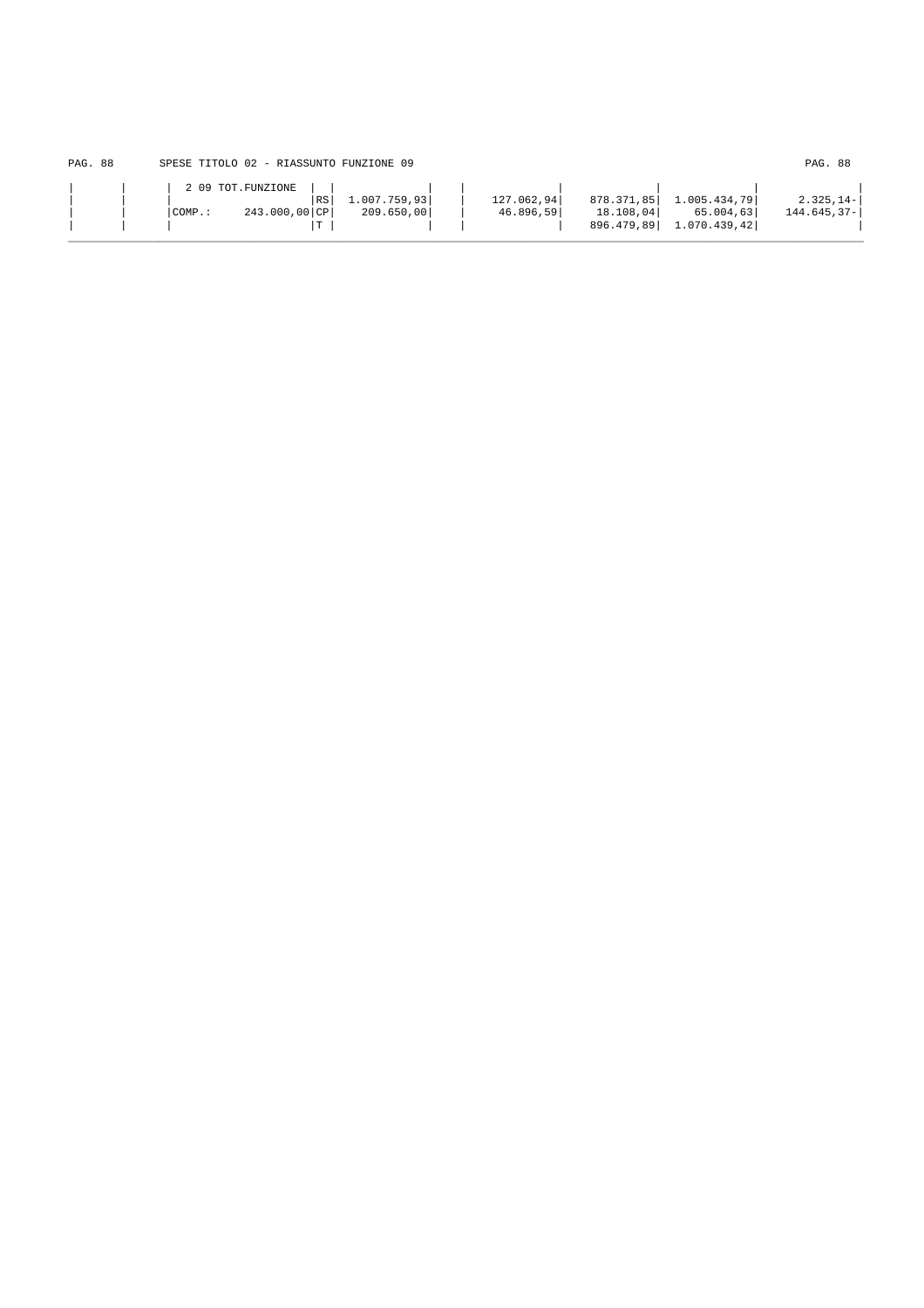| SPESE TITOLO 02 - RIASSUNTO FUNZIONE 09<br>PAG. 88<br>PAG. | 88 |  |
|------------------------------------------------------------|----|--|
|------------------------------------------------------------|----|--|

|  |       | 2 09 TOT.FUNZIONE |    |               |            |            |              |               |
|--|-------|-------------------|----|---------------|------------|------------|--------------|---------------|
|  |       |                   | RS | ⊥.007.759,93∣ | 127.062,94 | 878.371,85 | 1.005.434,79 | $2.325.14-$   |
|  | COMP: | 243.000,00 CP     |    | 209.650,00    | 46.896,59  | 18.108,04  | 65.004.63    | $144.645.37-$ |
|  |       |                   |    |               |            | 896.479,89 | 1.070.439,42 |               |
|  |       |                   |    |               |            |            |              |               |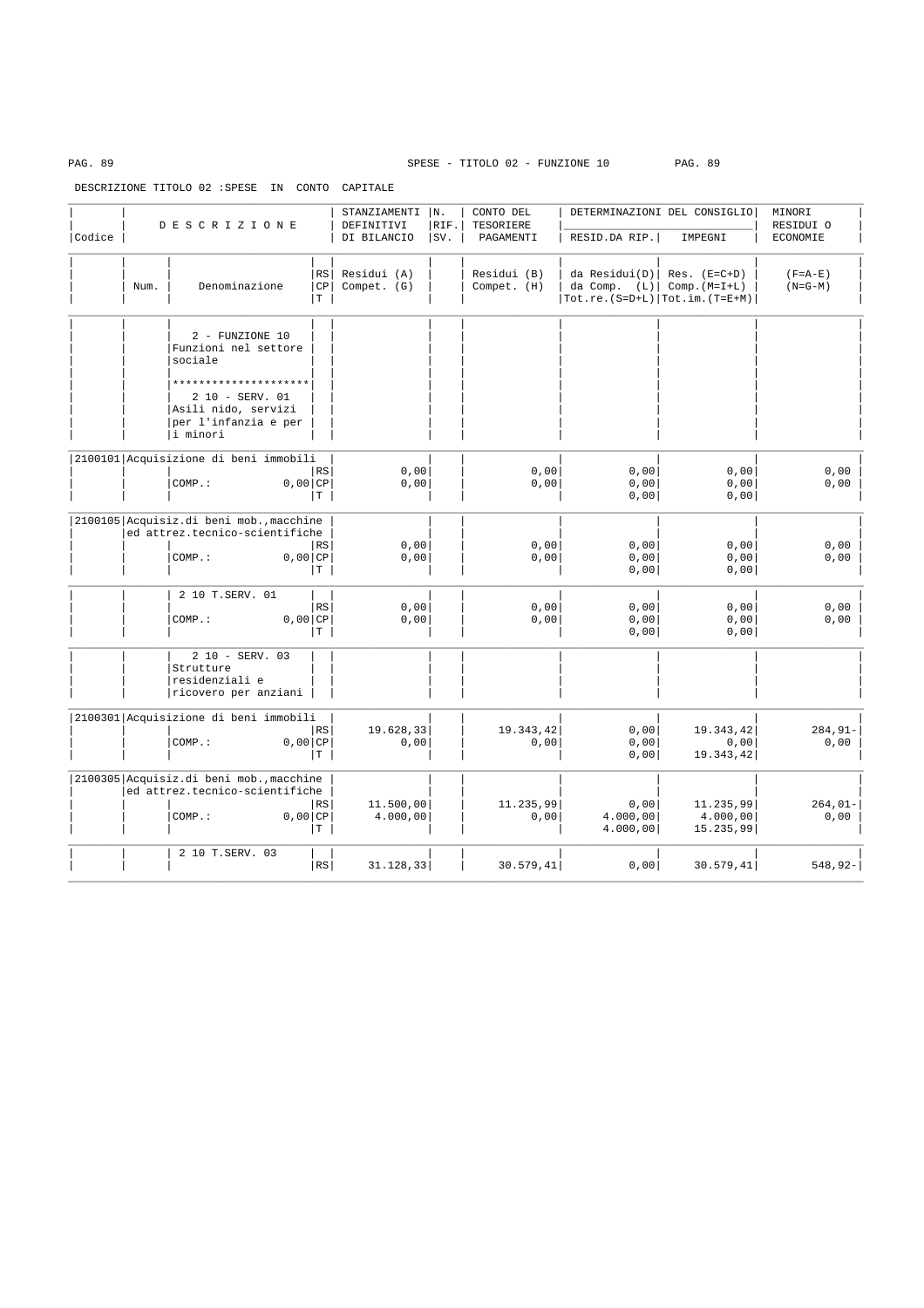# PAG. 89 SPESE - TITOLO 02 - FUNZIONE 10 PAG. 89

| Codice |      | DESCRIZIONE                                                                                         |                   | STANZIAMENTI<br>DEFINITIVI<br>DI BILANCIO | $ N$ .<br>RIF.<br>Isv. | CONTO DEL<br>TESORIERE<br>PAGAMENTI | RESID.DA RIP.                                   | DETERMINAZIONI DEL CONSIGLIO<br>IMPEGNI                 | MINORI<br>RESIDUI 0<br>ECONOMIE |
|--------|------|-----------------------------------------------------------------------------------------------------|-------------------|-------------------------------------------|------------------------|-------------------------------------|-------------------------------------------------|---------------------------------------------------------|---------------------------------|
|        | Num. | Denominazione                                                                                       | RS<br>CP<br>T     | Residui (A)<br>$Compet.$ (G)              |                        | Residui (B)<br>Compet. (H)          | da Residui(D)<br>da Comp. $(L)$ Comp. $(M=I+L)$ | $Res.$ $(E=C+D)$<br>$Tot.re.(S=D+L)   Tot.in.(T=E+M)  $ | $(F=A-E)$<br>$(N = G - M)$      |
|        |      | 2 - FUNZIONE 10<br>Funzioni nel settore<br>sociale                                                  |                   |                                           |                        |                                     |                                                 |                                                         |                                 |
|        |      | *********************<br>2 10 - SERV. 01<br>Asili nido, servizi<br>per l'infanzia e per<br>i minori |                   |                                           |                        |                                     |                                                 |                                                         |                                 |
|        |      | 2100101 Acquisizione di beni immobili<br>0,00 CP<br>COMP:                                           | RS<br>T           | 0,00<br>0,00                              |                        | 0,00<br>0,00                        | 0,00<br>0,00<br>0,00                            | 0,00<br>0,00<br>0,00                                    | 0,00<br>0,00                    |
|        |      | 2100105 Acquisiz.di beni mob., macchine<br>ed attrez.tecnico-scientifiche<br>0,00 CP<br>COMP.:      | <b>RS</b><br>IТ   | 0,00<br>0,00                              |                        | 0,00<br>0,00                        | 0,00<br>0,00<br>0,00                            | 0,00<br>0,00<br>0,00                                    | 0,00<br>0,00                    |
|        |      | 2 10 T.SERV. 01<br>$0,00$  CP<br>COMP.:                                                             | RS<br>T           | 0,00<br>0,00                              |                        | 0,00<br>0,00                        | 0,00<br>0,00<br>0,00                            | 0,00<br>0,00<br>0,00                                    | 0,00<br>0,00                    |
|        |      | 2 10 - SERV. 03<br>Strutture<br>residenziali e<br>ricovero per anziani                              |                   |                                           |                        |                                     |                                                 |                                                         |                                 |
|        |      | 2100301 Acquisizione di beni immobili<br>$0,00$  CP<br>COMP.:                                       | RS<br>$\mathbb T$ | 19.628,33<br>0,00                         |                        | 19.343,42<br>0,00                   | 0,00<br>0,00<br>0,00                            | 19.343,42<br>0,00<br>19.343,42                          | $284, 91 -$<br>0,00             |
|        |      | 2100305 Acquisiz.di beni mob., macchine<br>ed attrez.tecnico-scientifiche<br>$0,00$  CP<br>COMP.:   | RS<br>T           | 11.500,00<br>4.000,00                     |                        | 11.235,99<br>0,00                   | 0,00<br>4.000,00<br>4.000,00                    | 11.235,99<br>4.000,00<br>15.235,99                      | $264,01-$<br>0,00               |
|        |      | 2 10 T.SERV. 03                                                                                     | RS                | 31.128, 33                                |                        | 30.579, 41                          | 0,00                                            | 30.579, 41                                              | $548, 92 -$                     |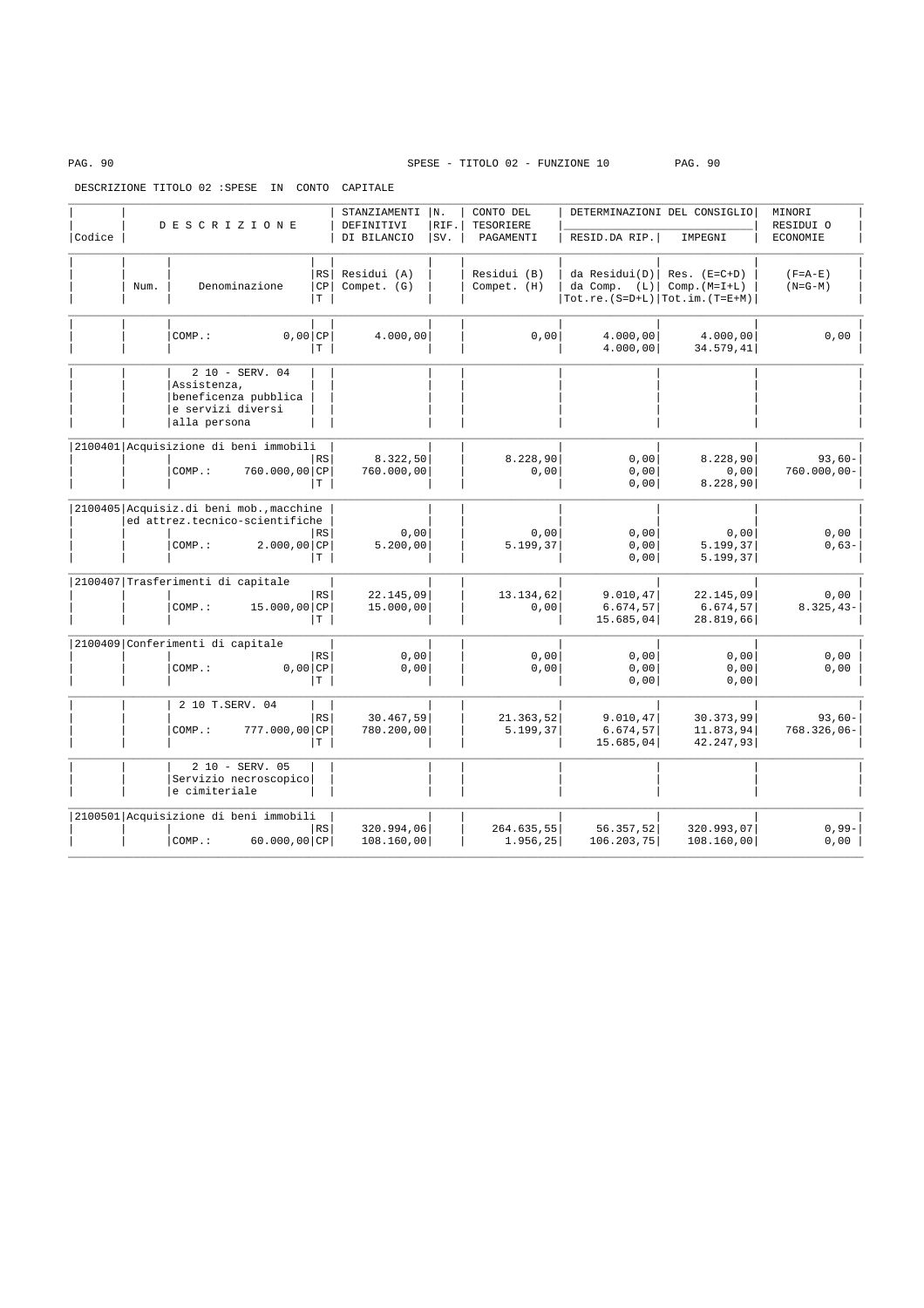# PAG. 90 SPESE - TITOLO 02 - FUNZIONE 10 PAG. 90

| Codice |      | DESCRIZIONE                                                                                 |                                             | STANZIAMENTI<br>DEFINITIVI<br>DI BILANCIO | N <br>RIF.<br>SV. | CONTO DEL<br>TESORIERE<br>PAGAMENTI | RESID.DA RIP.                       | DETERMINAZIONI DEL CONSIGLIO<br>IMPEGNI                          | MINORI<br>RESIDUI 0<br><b>ECONOMIE</b> |
|--------|------|---------------------------------------------------------------------------------------------|---------------------------------------------|-------------------------------------------|-------------------|-------------------------------------|-------------------------------------|------------------------------------------------------------------|----------------------------------------|
|        | Num. | Denominazione                                                                               | RS<br>CP<br>T                               | Residui (A)<br>$Compet.$ (G)              |                   | Residui (B)<br>Compet. (H)          | $Tot.re.(S=D+L)   Tot.in.(T=E+M)$   | da Residui(D)   Res. $(E=C+D)$<br>da Comp. $(L)$ Comp. $(M=I+L)$ | $(F = A - E)$<br>$(N = G - M)$         |
|        |      | COMP.:                                                                                      | $0,00$  CP<br>$\mathbf T$                   | 4.000,00                                  |                   | 0,00                                | 4.000.00<br>4.000,00                | 4.000,00<br>34.579,41                                            | 0,00                                   |
|        |      | 2 10 - SERV. 04<br>Assistenza,<br>beneficenza pubblica<br>e servizi diversi<br>alla persona |                                             |                                           |                   |                                     |                                     |                                                                  |                                        |
|        |      | 2100401 Acquisizione di beni immobili<br>COMP:                                              | l RS<br>760.000,00 CP<br>T                  | 8.322,50<br>760.000,00                    |                   | 8.228,90<br>0,00                    | 0,00<br>0,00<br>0,00                | 8.228,90<br>0,00<br>8.228,90                                     | $93,60-$<br>$760.000,00 -$             |
|        |      | 2100405 Acquisiz.di beni mob., macchine<br>ed attrez.tecnico-scientifiche<br>COMP.:         | RS<br>2.000,00 CP<br>$\mathbb T$            | 0,00<br>5.200,00                          |                   | 0,00<br>5.199,37                    | 0,00<br>0,00<br>0,00                | 0,00<br>5.199,37<br>5.199, 37                                    | 0,00<br>$0,63-$                        |
|        |      | 2100407 Trasferimenti di capitale<br>COMP.:                                                 | RS<br>15.000,00 CP<br>$\mathbb T$           | 22.145,09<br>15.000,00                    |                   | 13.134,62<br>0,00                   | 9.010, 47<br>6.674,57<br>15.685,04  | 22.145,09<br>6.674,57<br>28.819,66                               | 0,00<br>$8.325, 43-$                   |
|        |      | 2100409 Conferimenti di capitale<br>COMP.:                                                  | RS<br>$0,00$  CP<br>$\mathbb T$             | 0,00<br>0,00                              |                   | 0,00<br>0,00                        | 0,00<br>0,00<br>0,00                | 0,00<br>0,00<br>0,00                                             | 0,00<br>0,00                           |
|        |      | 2 10 T.SERV. 04<br>COMP:                                                                    | $_{\rm RS}$<br>777.000,00 CP<br>$\mathbf T$ | 30.467,59<br>780.200,00                   |                   | 21.363,52<br>5.199,37               | 9.010, 47<br>6.674, 57<br>15.685,04 | 30.373,99<br>11.873,94<br>42.247,93                              | $93,60-$<br>$768.326,06 -$             |
|        |      | 2 10 - SERV. 05<br>Servizio necroscopico<br>e cimiteriale                                   |                                             |                                           |                   |                                     |                                     |                                                                  |                                        |
|        |      | 2100501 Acquisizione di beni immobili<br>COMP.:                                             | l RS<br>$60.000,00$ CP                      | 320.994,06<br>108.160,00                  |                   | 264.635,55<br>1.956, 25             | 56.357,52<br>106.203,75             | 320.993,07<br>108.160,00                                         | $0,99-$<br>0,00                        |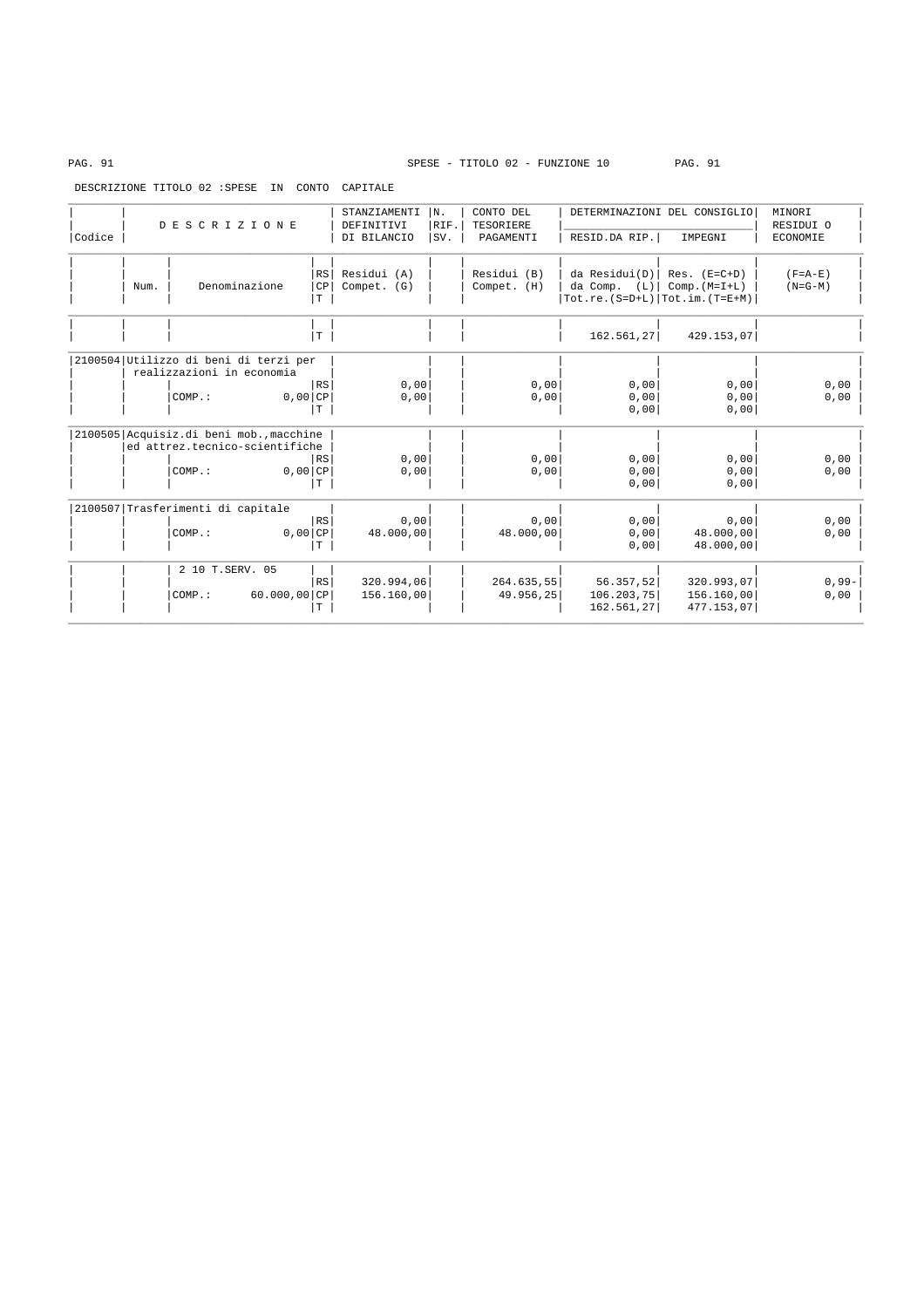# PAG. 91 SPESE - TITOLO 02 - FUNZIONE 10 PAG. 91

| Codice |      | DESCRIZIONE                             |                         | IN.<br>STANZIAMENTI<br>RIF.<br>DEFINITIVI<br>SV.<br>DI BILANCIO | CONTO DEL<br>TESORIERE<br>PAGAMENTI | RESID.DA RIP.                                       | DETERMINAZIONI DEL CONSIGLIO<br>IMPEGNI            | MINORI<br>RESIDUI 0<br>ECONOMIE |
|--------|------|-----------------------------------------|-------------------------|-----------------------------------------------------------------|-------------------------------------|-----------------------------------------------------|----------------------------------------------------|---------------------------------|
|        | Num. | Denominazione                           | RS<br>CP<br>$\mathbf T$ | Residui (A)<br>Compet. (G)                                      | Residui (B)<br>Compet. (H)          | da Residui(D)<br>$ Tot,re.(S=D+L)   Tot.in.(T=E+M)$ | $Res.$ $(E=C+D)$<br>da Comp. $(L)$ Comp. $(M=I+L)$ | $(F=A-E)$<br>$( N = G - M )$    |
|        |      |                                         | $\mathbb T$             |                                                                 |                                     | 162.561,27                                          | 429.153,07                                         |                                 |
|        |      | 2100504 Utilizzo di beni di terzi per   |                         |                                                                 |                                     |                                                     |                                                    |                                 |
|        |      | realizzazioni in economia               |                         |                                                                 |                                     |                                                     |                                                    |                                 |
|        |      | COMP:                                   | RS<br>$0,00$  CP        | 0,00<br>0,00                                                    | 0,00<br>0,00                        | 0,00<br>0,00                                        | 0,00<br>0,00                                       | 0,00<br>0,00                    |
|        |      |                                         | $\mathbb T$             |                                                                 |                                     | 0,00                                                | 0,00                                               |                                 |
|        |      | 2100505 Acquisiz.di beni mob., macchine |                         |                                                                 |                                     |                                                     |                                                    |                                 |
|        |      | ed attrez.tecnico-scientifiche          |                         |                                                                 |                                     |                                                     |                                                    |                                 |
|        |      | COMP:                                   | RS<br>$0,00$  CP        | 0,00                                                            | 0,00                                | 0,00<br>0,00                                        | 0,00<br>0,00                                       | 0,00<br>0,00                    |
|        |      |                                         | T                       | 0,00                                                            | 0,00                                | 0,00                                                | 0,00                                               |                                 |
|        |      | 2100507 Trasferimenti di capitale       |                         |                                                                 |                                     |                                                     |                                                    |                                 |
|        |      |                                         | RS                      | 0,00                                                            | 0,00                                | 0,00                                                | 0,00                                               | 0,00                            |
|        |      | COMP:                                   | $0,00$  CP              | 48.000,00                                                       | 48.000,00                           | 0,00                                                | 48.000,00                                          | 0,00                            |
|        |      |                                         | T                       |                                                                 |                                     | 0,00                                                | 48.000,00                                          |                                 |
|        |      | 2 10 T.SERV. 05                         |                         |                                                                 |                                     |                                                     |                                                    |                                 |
|        |      | 60.000,00 CP<br>COMP.:                  | <b>RS</b>               | 320.994,06<br>156.160,00                                        | 264.635,55<br>49.956,25             | 56.357,52                                           | 320.993,07<br>156.160,00                           | $0,99-$<br>0,00                 |
|        |      |                                         | $\mathbb T$             |                                                                 |                                     | 106.203,75<br>162.561,27                            | 477.153,07                                         |                                 |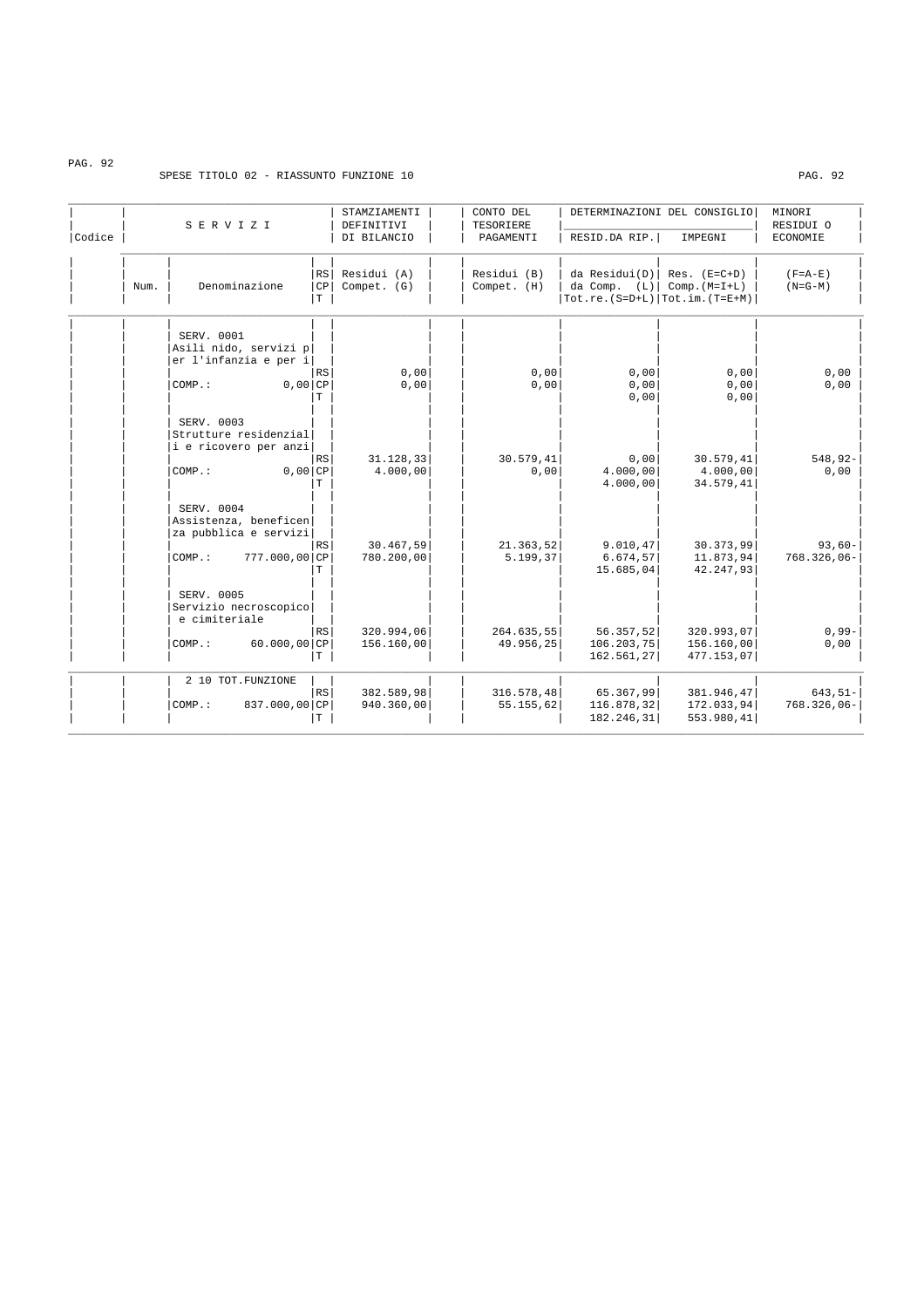### PAG. 92 SPESE TITOLO 02 - RIASSUNTO FUNZIONE 10 PAG. 92

| Codice |      | SERVIZI                                                                                |                   | STAMZIAMENTI<br>DEFINITIVI<br>DI BILANCIO | CONTO DEL<br>TESORIERE<br>PAGAMENTI | RESID.DA RIP.                                                                                            | DETERMINAZIONI DEL CONSIGLIO<br>IMPEGNI | MINORI<br>RESIDUI 0<br><b>ECONOMIE</b> |
|--------|------|----------------------------------------------------------------------------------------|-------------------|-------------------------------------------|-------------------------------------|----------------------------------------------------------------------------------------------------------|-----------------------------------------|----------------------------------------|
|        | Num. | Denominazione                                                                          | RS<br>CP<br>T     | Residui (A)<br>Compet. (G)                | Residui (B)<br>Compet. (H)          | da Residui(D)   Res. $(E=C+D)$<br>da Comp. $(L)$ Comp. $(M=I+L)$<br>$ Tot,re.(S=D+L)   Tot.in.(T=E+M)  $ |                                         | $(F = A - E)$<br>$( N = G - M )$       |
|        |      | SERV. 0001<br>Asili nido, servizi p<br>er l'infanzia e per i<br>$0,00$  CP<br>COMP:    | RS<br>T.          | 0,00<br>0,00                              | 0.00<br>0,00                        | 0.001<br>0,00<br>0,00                                                                                    | 0.00<br>0,00<br>0,00                    | 0.00<br>0,00                           |
|        |      | SERV. 0003<br>Strutture residenzial<br>i e ricovero per anzi<br>$0,00$  CP<br>COMP:    | <b>RS</b><br>T.   | 31.128.33<br>4.000,00                     | 30.579, 41<br>0,00                  | 0,00<br>4.000,00<br>4.000,00                                                                             | 30.579, 41<br>4.000,00<br>34.579, 41    | $548, 92 -$<br>0,00                    |
|        |      | SERV. 0004<br>Assistenza, beneficen<br>za pubblica e servizi<br>COMP:<br>777.000,00 CP | RS<br>T.          | 30.467,59<br>780.200,00                   | 21.363,52<br>5.199, 37              | 9.010, 47<br>6.674, 57<br>15.685,04                                                                      | 30.373,99<br>11.873,94<br>42.247,93     | $93,60-$<br>$768.326,06 -$             |
|        |      | SERV. 0005<br>Servizio necroscopico<br>e cimiteriale<br>$60.000,00$ CP<br>COMP:        | RS                | 320.994,06<br>156.160,00                  | 264.635,55<br>49.956,25             | 56.357,52<br>106.203,75                                                                                  | 320.993,07<br>156.160,00                | $0,99-$<br>0,00                        |
|        |      | 2 10 TOT. FUNZIONE                                                                     | $\mathbb T$<br>RS | 382.589,98                                | 316.578,48                          | 162.561,27<br>65.367,99                                                                                  | 477.153,07<br>381.946,47                | $643, 51 -$                            |
|        |      | 837.000,00 CP<br>COMP:                                                                 | T                 | 940.360,00                                | 55.155.62                           | 116.878,32<br>182.246,31                                                                                 | 172.033,94<br>553.980, 41               | $768.326,06 -$                         |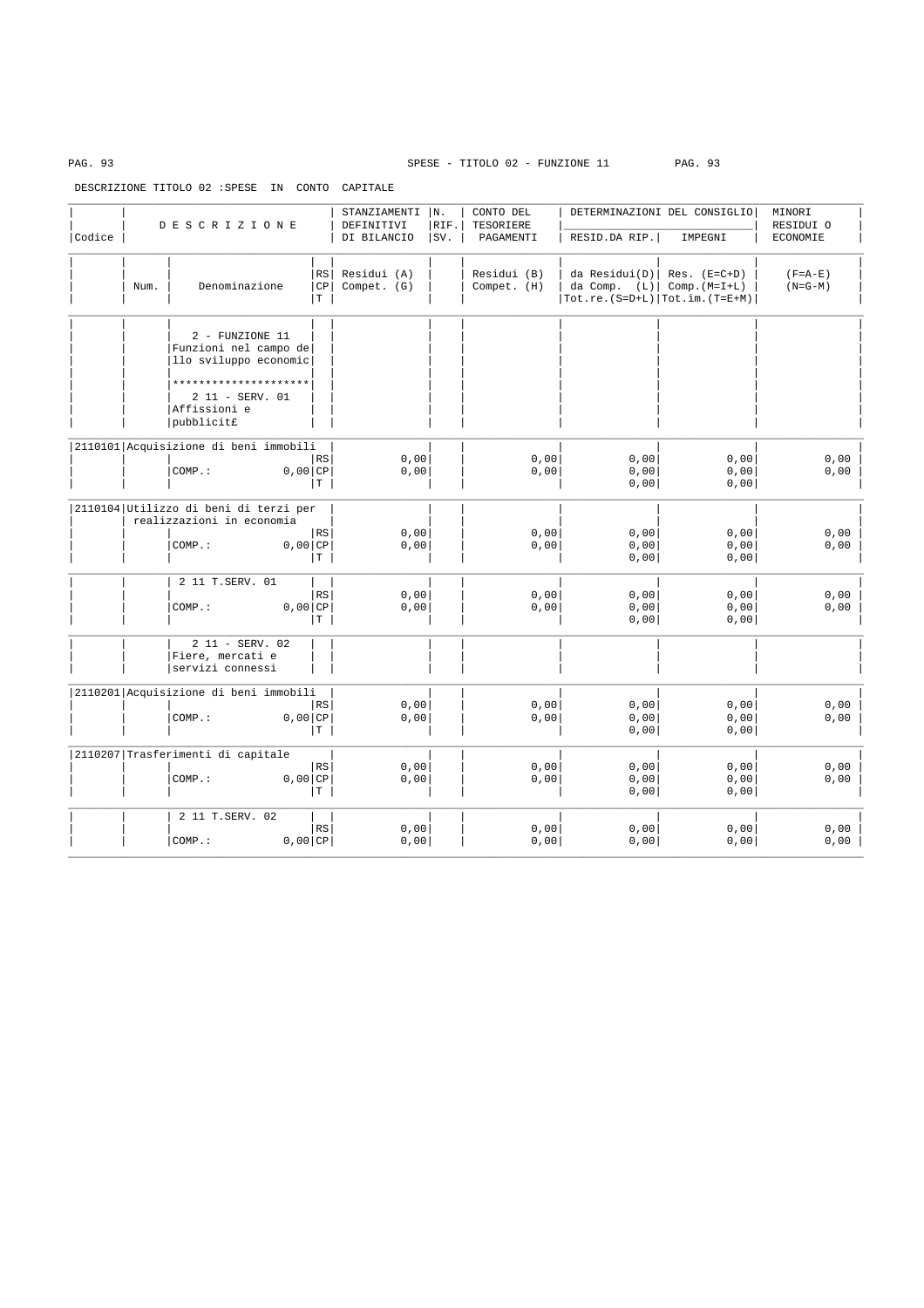# PAG. 93 SPESE - TITOLO 02 - FUNZIONE 11 PAG. 93

| Codice |      | DESCRIZIONE                                                                                                                                 |                         | STANZIAMENTI<br>DEFINITIVI<br>DI BILANCIO | $ N$ .<br>RIF.<br>SV. | CONTO DEL<br>TESORIERE<br>PAGAMENTI | RESID.DA RIP.                  | DETERMINAZIONI DEL CONSIGLIO<br>IMPEGNI                              | MINORI<br>RESIDUI 0<br><b>ECONOMIE</b> |
|--------|------|---------------------------------------------------------------------------------------------------------------------------------------------|-------------------------|-------------------------------------------|-----------------------|-------------------------------------|--------------------------------|----------------------------------------------------------------------|----------------------------------------|
|        | Num. | Denominazione                                                                                                                               | $_{\rm RS}$<br>CP<br>IТ | Residui (A)<br>Compet. (G)                |                       | Residui (B)<br>Compet. (H)          | da Comp. $(L)$ Comp. $(M=I+L)$ | da Residui(D)   Res. $(E=C+D)$<br>$ Tot.re.(S=D+L)   Tot.in.(T=E+M)$ | $(F = A - E)$<br>$(N = G - M)$         |
|        |      | 2 - FUNZIONE 11<br>Funzioni nel campo de<br>llo sviluppo economic<br>*********************<br>2 11 - SERV. 01<br>Affissioni e<br>pubblicit£ |                         |                                           |                       |                                     |                                |                                                                      |                                        |
|        |      | 2110101 Acquisizione di beni immobili<br>$0,00$  CP<br>COMP:                                                                                | RS<br>IΤ.               | 0,00<br>0,00                              |                       | 0,00<br>0,00                        | 0,00<br>0,00<br>0,00           | 0,00<br>0,00<br>0,00                                                 | 0,00<br>0,00                           |
|        |      | 2110104 Utilizzo di beni di terzi per<br>realizzazioni in economia<br>0,00 CP<br>COMP.:                                                     | RS<br>$\mathbf T$       | 0,00<br>0,00                              |                       | 0,00<br>0,00                        | 0,00<br>0,00<br>0,00           | 0,00<br>0,00<br>0,00                                                 | 0,00<br>0,00                           |
|        |      | 2 11 T.SERV. 01<br>$0,00$  CP<br>COMP.:                                                                                                     | RS<br>$\mathbb T$       | 0,00<br>0,00                              |                       | 0,00<br>0,00                        | 0,00<br>0,00<br>0,00           | 0,00<br>0,00<br>0,00                                                 | 0,00<br>0,00                           |
|        |      | 2 11 - SERV. 02<br>Fiere, mercati e<br>servizi connessi                                                                                     |                         |                                           |                       |                                     |                                |                                                                      |                                        |
|        |      | 2110201 Acquisizione di beni immobili<br>$0,00$  CP<br>COMP:                                                                                | RS<br>T                 | 0,00<br>0,00                              |                       | 0,00<br>0,00                        | 0,00<br>0,00<br>0,00           | 0,00<br>0,00<br>0,00                                                 | 0,00<br>0,00                           |
|        |      | 2110207 Trasferimenti di capitale<br>$0,00$  CP<br>COMP:                                                                                    | RS<br>T                 | 0,00<br>0,00                              |                       | 0,00<br>0,00                        | 0,00<br>0,00<br>0,00           | 0,00<br>0,00<br>0,00                                                 | 0,00<br>0,00                           |
|        |      | 2 11 T.SERV. 02<br>$0,00$  CP<br>COMP.:                                                                                                     | RS                      | 0,00<br>0,00                              |                       | 0,00<br>0,00                        | 0,00<br>0,00                   | 0,00<br>0,00                                                         | 0,00<br>0,00                           |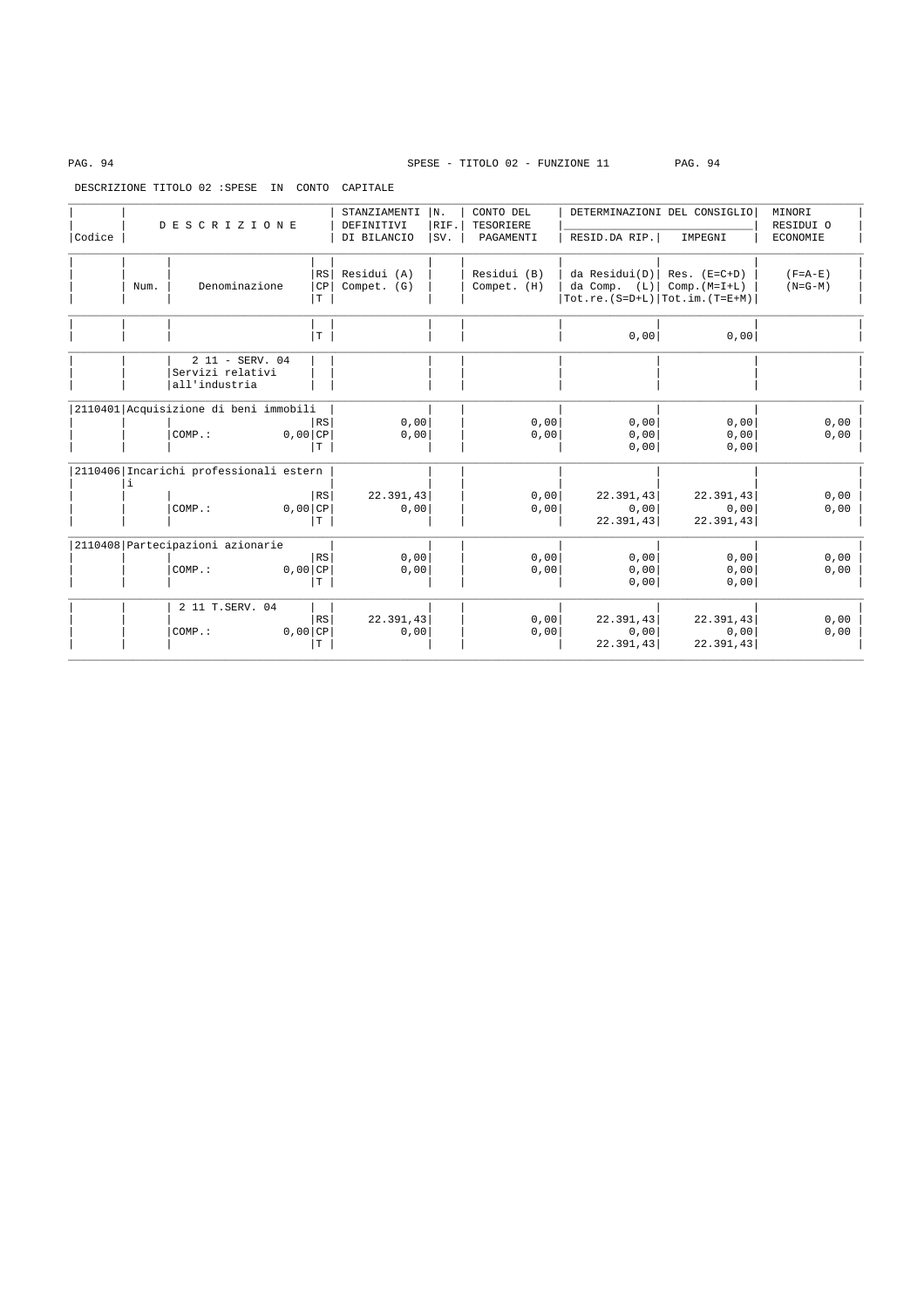## PAG. 94 SPESE - TITOLO 02 - FUNZIONE 11 PAG. 94

| Codice |      | DESCRIZIONE                                          |                                | STANZIAMENTI<br>DEFINITIVI<br>DI BILANCIO | $ N$ .<br>RIF.<br>lsv. | CONTO DEL<br>TESORIERE<br>PAGAMENTI | RESID.DA RIP.                   | DETERMINAZIONI DEL CONSIGLIO<br>IMPEGNI                                                                | MINORI<br>RESIDUI 0<br><b>ECONOMIE</b> |
|--------|------|------------------------------------------------------|--------------------------------|-------------------------------------------|------------------------|-------------------------------------|---------------------------------|--------------------------------------------------------------------------------------------------------|----------------------------------------|
|        | Num. | Denominazione                                        | <b>RS</b><br>CP<br>$\mathbf T$ | Residui (A)<br>Compet. (G)                |                        | Residui (B)<br>Compet. (H)          |                                 | da Residui(D)   Res. $(E=C+D)$<br>da Comp. $(L)$ Comp. $(M=I+L)$<br>$ Tot.re.(S=D+L)   Tot.in.(T=E+M)$ | $(F=A-E)$<br>$( N = G - M )$           |
|        |      |                                                      | $\mathbb T$                    |                                           |                        |                                     | 0,00                            | 0,00                                                                                                   |                                        |
|        |      | 2 11 - SERV. 04<br>Servizi relativi<br>all'industria |                                |                                           |                        |                                     |                                 |                                                                                                        |                                        |
|        |      | 2110401 Acquisizione di beni immobili                |                                |                                           |                        |                                     |                                 |                                                                                                        |                                        |
|        |      | $0,00$  CP<br>COMP:                                  | RS.<br>$\mathbf T$             | 0,00<br>0,00                              |                        | 0,00<br>0,00                        | 0,00<br>0,00<br>0,00            | 0,00<br>0,00<br>0,00                                                                                   | 0,00<br>0,00                           |
|        |      | 2110406 Incarichi professionali estern               |                                |                                           |                        |                                     |                                 |                                                                                                        |                                        |
|        |      | $0,00$  CP<br>COMP.:                                 | <b>RS</b><br>T                 | 22.391,43<br>0,00                         |                        | 0,00<br>0,00                        | 22.391,43<br>0,00<br>22.391,43  | 22.391,43<br>0,00<br>22.391,43                                                                         | 0,00<br>0,00                           |
|        |      | 2110408 Partecipazioni azionarie                     |                                |                                           |                        |                                     |                                 |                                                                                                        |                                        |
|        |      | $0,00$  CP<br>COMP:                                  | RS<br>$\mathbb T$              | 0,00<br>0,00                              |                        | 0,00<br>0,00                        | 0,00<br>0,00<br>0,00            | 0,00<br>0,00<br>0,00                                                                                   | 0,00<br>0,00                           |
|        |      | 2 11 T.SERV. 04<br>$0,00$  CP<br>COMP:               | <b>RS</b><br>T                 | 22.391, 43<br>0,00                        |                        | 0,00<br>0,00                        | 22.391,43<br>0,00<br>22.391, 43 | 22.391,43<br>0,00<br>22.391,43                                                                         | 0,00<br>0,00                           |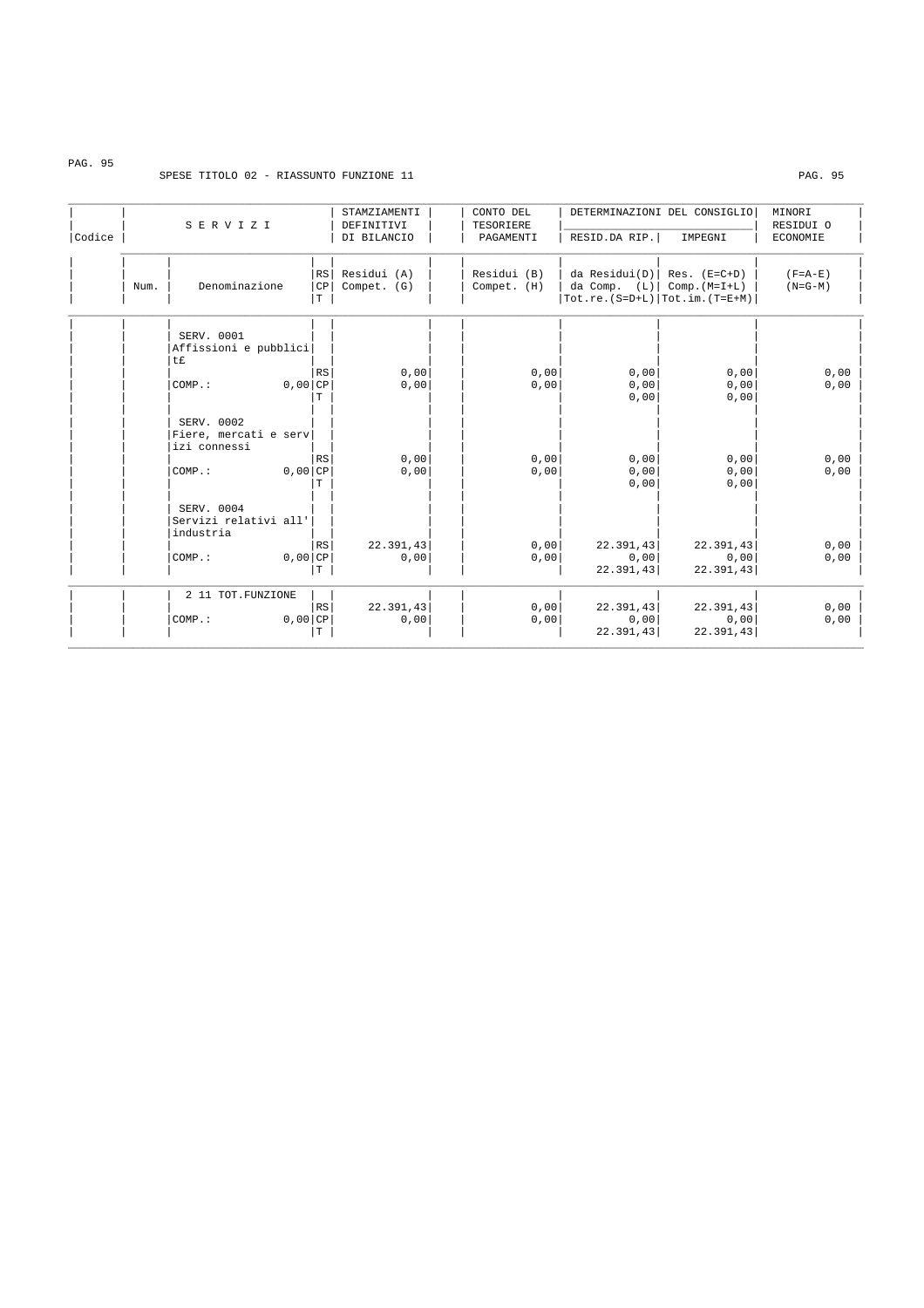### PAG. 95 SPESE TITOLO 02 - RIASSUNTO FUNZIONE 11 PAG. 95

### \_\_\_\_\_\_\_\_\_\_\_\_\_\_\_\_\_\_\_\_\_\_\_\_\_\_\_\_\_\_\_\_\_\_\_\_\_\_\_\_\_\_\_\_\_\_\_\_\_\_\_\_\_\_\_\_\_\_\_\_\_\_\_\_\_\_\_\_\_\_\_\_\_\_\_\_\_\_\_\_\_\_\_\_\_\_\_\_\_\_\_\_\_\_\_\_\_\_\_\_\_\_\_\_\_\_\_\_\_\_\_\_\_\_\_\_\_\_\_\_\_\_ | | | STAMZIAMENTI | | CONTO DEL | DETERMINAZIONI DEL CONSIGLIO| MINORI | | | S E R V I Z I | DEFINITIVI | | TESORIERE |\_\_\_\_\_\_\_\_\_\_\_\_\_\_\_\_\_\_\_\_\_\_\_\_\_\_\_\_\_| RESIDUI O | |Codice | | DI BILANCIO | | PAGAMENTI | RESID.DA RIP.| IMPEGNI | ECONOMIE | \_\_\_\_\_\_\_\_\_\_\_\_\_\_\_\_\_\_\_\_\_\_\_\_\_\_\_\_\_\_\_\_\_\_\_\_\_\_\_\_\_\_\_\_\_\_\_\_\_\_\_\_\_\_\_\_\_\_\_\_\_\_\_\_\_\_\_\_\_\_\_\_\_\_\_\_\_\_\_\_\_\_\_\_\_\_\_\_\_\_\_\_\_\_\_\_\_\_\_\_\_\_\_\_\_\_\_\_\_\_\_\_\_\_ | | | | | | | | | | | | | | |RS| Residui (A) | | Residui (B) | da Residui(D)| Res. (E=C+D) | (F=A-E) | | | Num. | Denominazione |CP| Compet. (G) | | Compet. (H) | da Comp. (L)| Comp.(M=I+L) | (N=G-M) | | | | |T | | | |Tot.re.(S=D+L)|Tot.im.(T=E+M)| | \_\_\_\_\_\_\_\_\_\_\_\_\_\_\_\_\_\_\_\_\_\_\_\_\_\_\_\_\_\_\_\_\_\_\_\_\_\_\_\_\_\_\_\_\_\_\_\_\_\_\_\_\_\_\_\_\_\_\_\_\_\_\_\_\_\_\_\_\_\_\_\_\_\_\_\_\_\_\_\_\_\_\_\_\_\_\_\_\_\_\_\_\_\_\_\_\_\_\_\_\_\_\_\_\_\_\_\_\_\_\_\_\_\_\_\_\_\_\_\_\_\_ | | | | | | | | | | | | | | SERV. 0001 | | | | | | | | |<br>|Affissioni e pubblici|<br>|t£ | | |t£ | | | | | | | | | | | |RS| 0,00| | 0,00| 0,00| 0,00| 0,00 | | | |COMP.: 0,00|CP| 0,00| | 0,00| 0,00| 0,00| 0,00 | | | | |T | | | | 0,00| 0,00| | | | | | | | | | | | | | | | SERV. 0002 | | | | | | | |  $|$  Fiere, mercati e serv $|$  | | |izi connessi | | | | | | | | | | | |RS| 0,00| | 0,00| 0,00| 0,00| 0,00 | | | |COMP.: 0,00|CP| 0,00| | 0,00| 0,00| 0,00| 0,00 | | | | |T | | | | 0,00| 0,00| | | | | | | | | | | | | | | | SERV. 0004 | | | | | | | | | | |Servizi relativi all'| | | | | | | | | | |industria | | | | | | | |  $|\hspace{.1cm}|\hspace{.1cm}|\hspace{.1cm}|\hspace{.1cm}|\hspace{.1cm}|\hspace{.1cm}|\hspace{.1cm}|\hspace{.1cm}|\hspace{.1cm}|\hspace{.1cm}|\hspace{.1cm}|\hspace{.1cm}|\hspace{.1cm}|\hspace{.1cm}|\hspace{.1cm}|\hspace{.1cm}|\hspace{.1cm}|\hspace{.1cm}|\hspace{.1cm}|\hspace{.1cm}|\hspace{.1cm}|\hspace{.1cm}|\hspace{.1cm}|\hspace{.1cm}|\hspace{.1cm}|\hspace{.1cm}|\hspace{.1cm}|\hspace{$  $|\hspace{.6cm} 0,00|\hspace{.08cm} 0,00\,|\hspace{.6cm} 0,00\,|\hspace{.6cm} 0,00\,|\hspace{.6cm} 0,00\,|\hspace{.6cm} 0,00\,|\hspace{.6cm} 0,00\,|\hspace{.6cm} 0,00\,|\hspace{.6cm} 0,00\,|\hspace{.6cm} 0,00\,|\hspace{.6cm} 0,00\,|\hspace{.6cm} 0,00\,|\hspace{.6cm} 0,00\,|\hspace{.6cm} 0,00\,|\hspace{.6cm} 0,$  | | | |T | | | | 22.391,43| 22.391,43| | \_\_\_\_\_\_\_\_\_\_\_\_\_\_\_\_\_\_\_\_\_\_\_\_\_\_\_\_\_\_\_\_\_\_\_\_\_\_\_\_\_\_\_\_\_\_\_\_\_\_\_\_\_\_\_\_\_\_\_\_\_\_\_\_\_\_\_\_\_\_\_\_\_\_\_\_\_\_\_\_\_\_\_\_\_\_\_\_\_\_\_\_\_\_\_\_\_\_\_\_\_\_\_\_\_\_\_\_\_\_\_\_\_\_\_\_\_\_\_\_\_\_ | | | 2 11 TOT.FUNZIONE | | | | | | | |  $|\hspace{.1cm}|\hspace{.1cm}|\hspace{.1cm}|\hspace{.1cm}|\hspace{.1cm}|\hspace{.1cm}|\hspace{.1cm}|\hspace{.1cm}|\hspace{.1cm}|\hspace{.1cm}|\hspace{.1cm}|\hspace{.1cm}|\hspace{.1cm}|\hspace{.1cm}|\hspace{.1cm}|\hspace{.1cm}|\hspace{.1cm}|\hspace{.1cm}|\hspace{.1cm}|\hspace{.1cm}|\hspace{.1cm}|\hspace{.1cm}|\hspace{.1cm}|\hspace{.1cm}|\hspace{.1cm}|\hspace{.1cm}|\hspace{.1cm}|\hspace{$  | | |COMP.: 0,00|CP| 0,00| | 0,00| 0,00| 0,00| 0,00 | | | | |T | | | | 22.391,43| 22.391,43| |

\_\_\_\_\_\_\_\_\_\_\_\_\_\_\_\_\_\_\_\_\_\_\_\_\_\_\_\_\_\_\_\_\_\_\_\_\_\_\_\_\_\_\_\_\_\_\_\_\_\_\_\_\_\_\_\_\_\_\_\_\_\_\_\_\_\_\_\_\_\_\_\_\_\_\_\_\_\_\_\_\_\_\_\_\_\_\_\_\_\_\_\_\_\_\_\_\_\_\_\_\_\_\_\_\_\_\_\_\_\_\_\_\_\_\_\_\_\_\_\_\_\_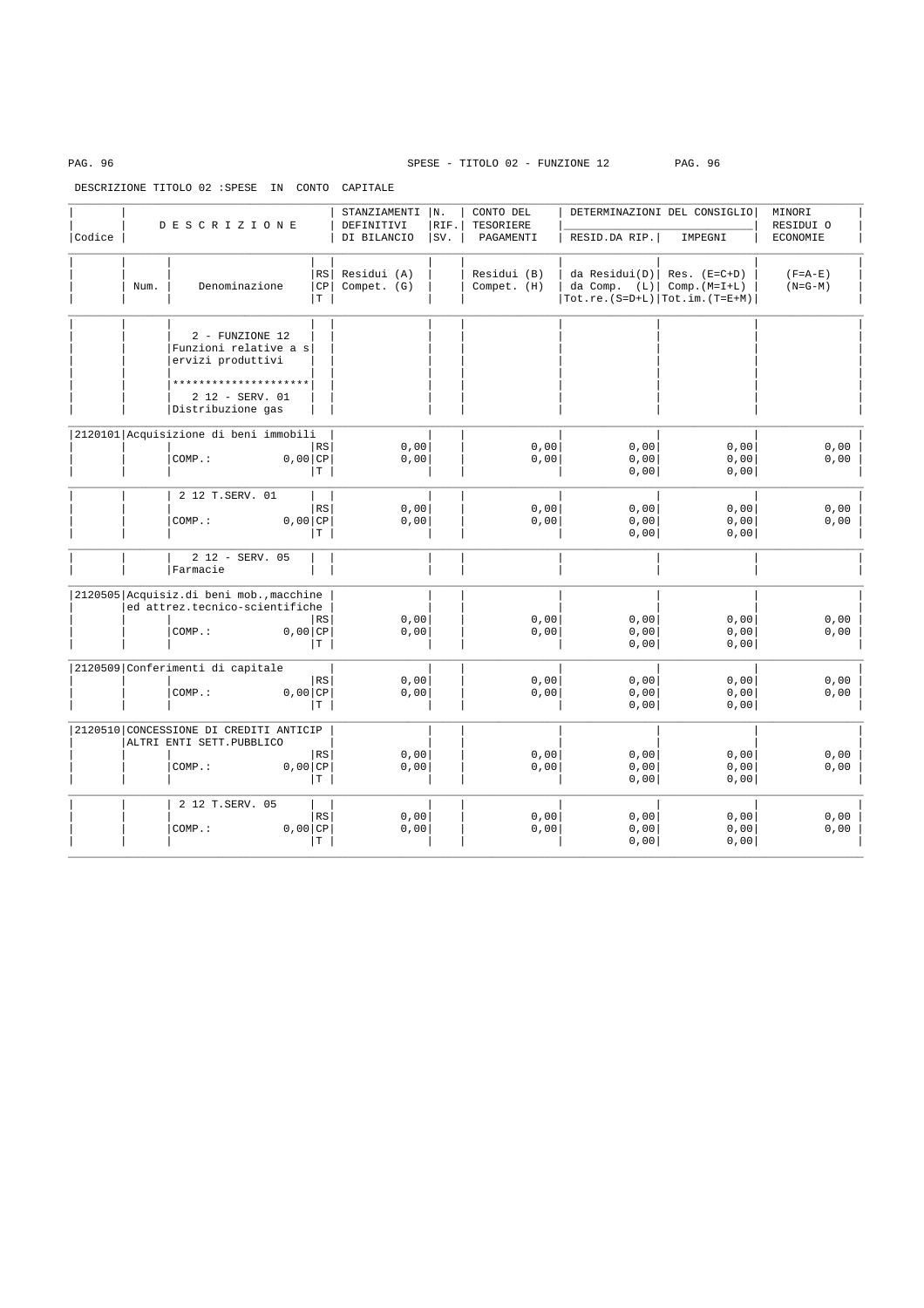# PAG. 96 SPESE - TITOLO 02 - FUNZIONE 12 PAG. 96

| Codice |      | DESCRIZIONE                                                                                                                    |                   | STANZIAMENTI<br>IN.<br>RIF.<br>DEFINITIVI<br>SV.<br>DI BILANCIO | CONTO DEL<br>TESORIERE<br>PAGAMENTI | RESID.DA RIP.                                                                                          | DETERMINAZIONI DEL CONSIGLIO<br>IMPEGNI | MINORI<br>RESIDUI O<br><b>ECONOMIE</b> |
|--------|------|--------------------------------------------------------------------------------------------------------------------------------|-------------------|-----------------------------------------------------------------|-------------------------------------|--------------------------------------------------------------------------------------------------------|-----------------------------------------|----------------------------------------|
|        | Num. | Denominazione                                                                                                                  | RS<br>CP<br>IТ    | Residui (A)<br>Compet. (G)                                      | Residui (B)<br>Compet. (H)          | da Residui(D)   Res. $(E=C+D)$<br>da Comp. $(L)$ Comp. $(M=I+L)$<br>$ Tot.re.(S=D+L)   Tot.in.(T=E+M)$ |                                         | $(F = A - E)$<br>$(N = G - M)$         |
|        |      | 2 - FUNZIONE 12<br>Funzioni relative a s<br>ervizi produttivi<br>*********************<br>2 12 - SERV. 01<br>Distribuzione gas |                   |                                                                 |                                     |                                                                                                        |                                         |                                        |
|        |      | 2120101 Acquisizione di beni immobili<br>$0,00$  CP<br>COMP:                                                                   | RS<br>IΤ.         | 0,00<br>0,00                                                    | 0,00<br>0,00                        | 0,00<br>0,00<br>0,00                                                                                   | 0,00<br>0,00<br>0,00                    | 0,00<br>0,00                           |
|        |      | 2 12 T.SERV. 01<br>$0,00$  CP<br>COMP:                                                                                         | RS<br>T           | 0,00<br>0,00                                                    | 0,00<br>0,00                        | 0,00<br>0,00<br>0,00                                                                                   | 0,00<br>0,00<br>0,00                    | 0,00<br>0,00                           |
|        |      | 2 12 - SERV. 05<br>Farmacie                                                                                                    |                   |                                                                 |                                     |                                                                                                        |                                         |                                        |
|        |      | 2120505 Acquisiz.di beni mob., macchine<br>ed attrez.tecnico-scientifiche<br>0,00 CP<br>COMP:                                  | RS<br>T           | 0,00<br>0,00                                                    | 0,00<br>0,00                        | 0,00<br>0,00<br>0,00                                                                                   | 0,00<br>0,00<br>0,00                    | 0,00<br>0,00                           |
|        |      | 2120509 Conferimenti di capitale<br>$0,00$  CP<br>COMP.:                                                                       | RS<br>T           | 0,00<br>0,00                                                    | 0,00<br>0,00                        | 0,00<br>0,00<br>0,00                                                                                   | 0,00<br>0,00<br>0,00                    | 0,00<br>0,00                           |
|        |      | 2120510 CONCESSIONE DI CREDITI ANTICIP<br>ALTRI ENTI SETT. PUBBLICO<br>$0,00$  CP<br>COMP.:                                    | RS<br>T           | 0,00<br>0,00                                                    | 0,00<br>0,00                        | 0,00<br>0,00<br>0,00                                                                                   | 0,00<br>0,00<br>0,00                    | 0,00<br>0,00                           |
|        |      | 2 12 T.SERV. 05<br>$0,00$  CP<br>COMP.:                                                                                        | RS<br>$\mathbb T$ | 0,00<br>0,00                                                    | 0,00<br>0,00                        | 0,00<br>0,00<br>0,00                                                                                   | 0,00<br>0,00<br>0,00                    | 0,00<br>0,00                           |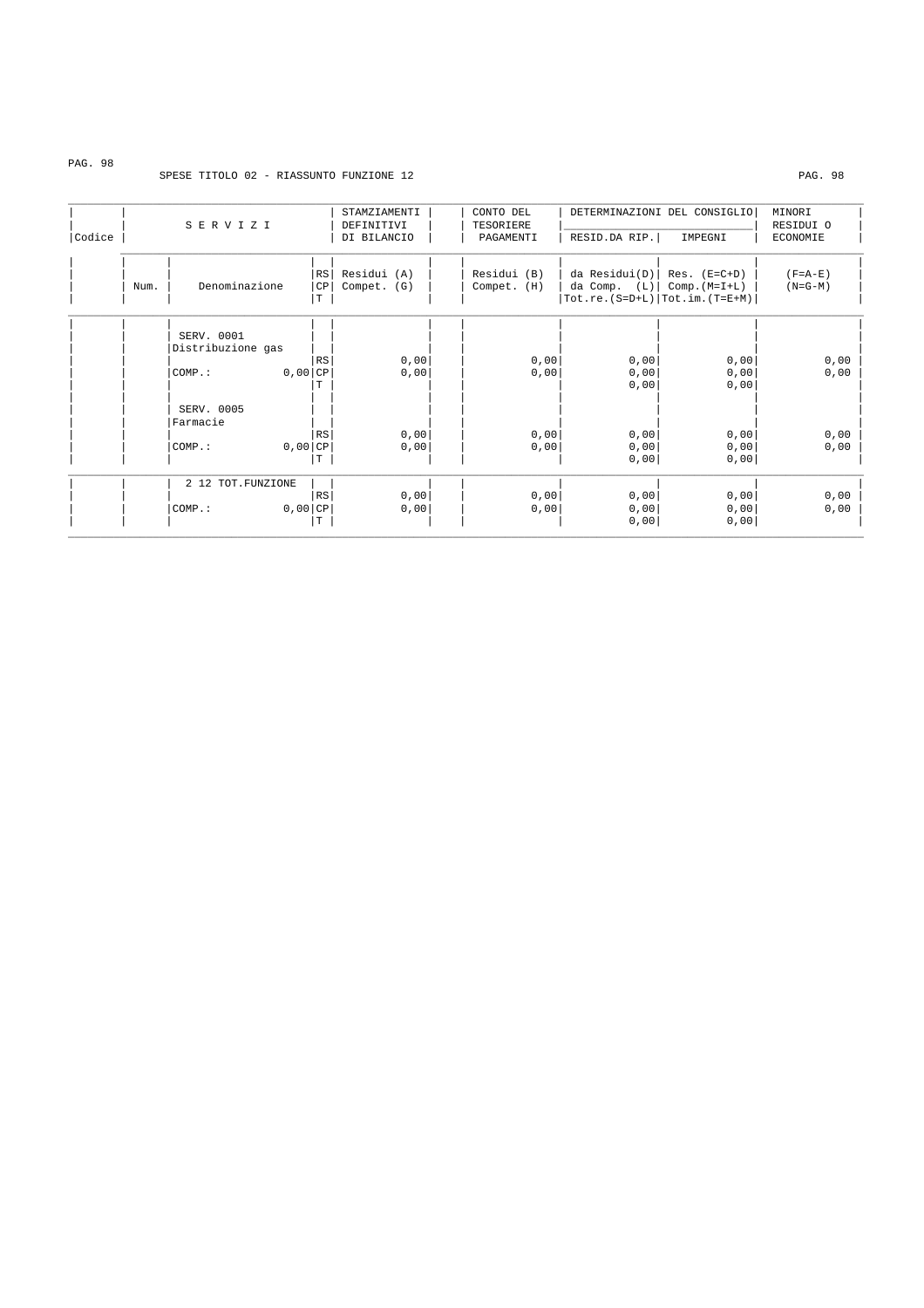### PAG. 98 SPESE TITOLO 02 - RIASSUNTO FUNZIONE 12 PAG. 98

| Codice |      | SERVIZI                                                |                          | STAMZIAMENTI<br>DEFINITIVI<br>DI BILANCIO | CONTO DEL<br>TESORIERE<br>PAGAMENTI | RESID.DA RIP.                                                                           | DETERMINAZIONI DEL CONSIGLIO<br>IMPEGNI | MINORI<br>RESIDUI 0<br>ECONOMIE  |
|--------|------|--------------------------------------------------------|--------------------------|-------------------------------------------|-------------------------------------|-----------------------------------------------------------------------------------------|-----------------------------------------|----------------------------------|
|        | Num. | Denominazione                                          | RS<br>CP<br>$\mathbf T$  | Residui (A)<br>$Compet.$ (G)              | Residui (B)<br>Compet. (H)          | da Residui $(D)$<br>da Comp. $(L)$ Comp. $(M=I+L)$<br>$Tot.re.(S=D+L)   Tot.in.(T=E+M)$ | $Res.$ $(E=C+D)$                        | $(F = A - E)$<br>$( N = G - M )$ |
|        |      | SERV. 0001<br>Distribuzione gas<br>$0,00$  CP<br>COMP: | RS<br>T                  | 0,00<br>0,00                              | 0,00<br>0,00                        | 0,00<br>0,00<br>0,00                                                                    | 0,00<br>0,00<br>0,00                    | 0,00<br>0,00                     |
|        |      | SERV. 0005<br>Farmacie<br>0,00 CP<br>COMP:             | <b>RS</b><br>$\mathbb T$ | 0,00<br>0,00                              | 0,00<br>0,00                        | 0,00<br>0,00<br>0,00                                                                    | 0,00<br>0,00<br>0,00                    | 0,00<br>0,00                     |
|        |      | 2 12 TOT. FUNZIONE<br>0,00 CP<br>COMP:                 | RS<br>T                  | 0,00<br>0,00                              | 0,00<br>0,00                        | 0,00<br>0,00<br>0,00                                                                    | 0,00<br>0,00<br>0,00                    | 0,00<br>0,00                     |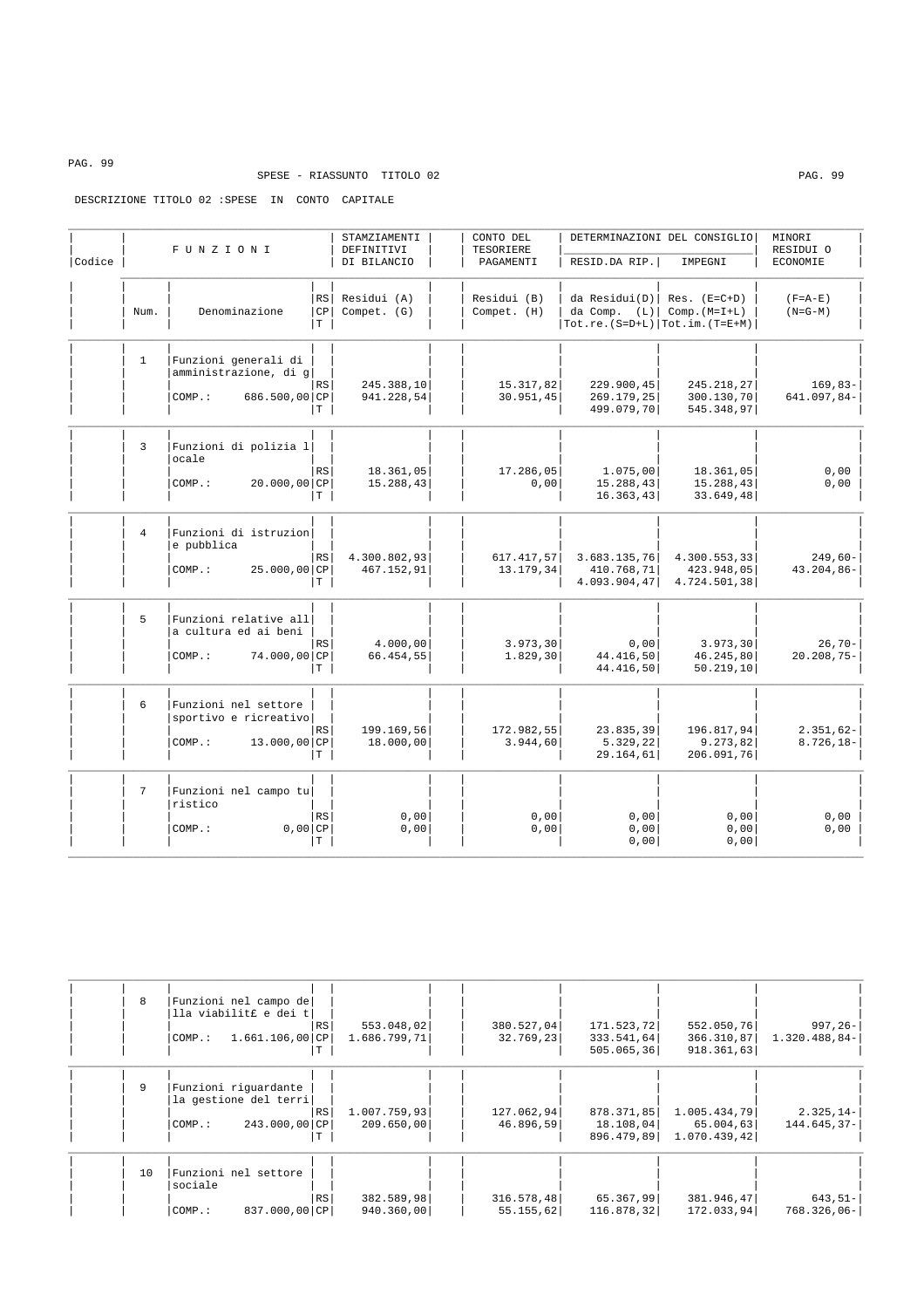### SPESE - RIASSUNTO TITOLO 02 PAG. 99

| Codice |                 | <b>FUNZIONI</b>                                                              | STAMZIAMENTI<br>DEFINITIVI<br>DI BILANCIO | CONTO DEL<br>TESORIERE<br>PAGAMENTI | DETERMINAZIONI DEL CONSIGLIO<br>RESID.DA RIP.<br>IMPEGNI                                                | MINORI<br>RESIDUI O<br><b>ECONOMIE</b> |
|--------|-----------------|------------------------------------------------------------------------------|-------------------------------------------|-------------------------------------|---------------------------------------------------------------------------------------------------------|----------------------------------------|
|        | Num.            | Denominazione<br>CP<br>T.                                                    | <b>RS</b><br>Residui (A)<br>$Compet.$ (G) | Residui (B)<br>Compet. (H)          | da Residui(D)   Res. $(E=C+D)$<br>da Comp. $(L)$ Comp. $(M=I+L)$<br>$Tot.re.(S=D+L)   Tot.in.(T=E+M)  $ | $(F = A - E)$<br>$( N = G - M )$       |
|        | $\mathbf{1}$    | Funzioni generali di<br>amministrazione, di q<br>686.500,00 CP<br>COMP:<br>T | RS<br>245.388,10<br>941.228,54            | 15.317,82<br>30.951, 45             | 229.900,45<br>245.218,27<br>269.179.25<br>300.130, 70<br>499.079,70<br>545.348,97                       | $169,83-$<br>641.097,84-               |
|        | $\overline{3}$  | Funzioni di polizia l<br>ocale<br>$20.000,00$ CP<br>COMP:<br>T               | RS<br>18.361,05<br>15.288,43              | 17.286,05<br>0,00                   | 1.075,00<br>18.361,05<br>15.288, 43<br>15.288, 43<br>16.363, 43<br>33.649, 48                           | 0,00<br>0,00                           |
|        | $\overline{4}$  | Funzioni di istruzion<br>e pubblica<br>25.000,00 CP<br>COMP:<br>$\mathbf T$  | RS<br>4.300.802,93<br>467.152,91          | 617.417,57<br>13.179.34             | 4.300.553,33<br>3.683.135,76<br>410.768,71<br>423.948,05<br>4.093.904,47<br>4.724.501,38                | $249,60-$<br>$43.204,86 -$             |
|        | 5               | Funzioni relative all<br>a cultura ed ai beni<br>74.000,00 CP<br>COMP:<br>T. | 4.000.00<br>R <sub>S</sub><br>66.454,55   | 3.973,30<br>1.829,30                | 0.00<br>3.973, 30<br>44.416,50<br>46.245,80<br>44.416,50<br>50.219, 10                                  | $26,70-$<br>$20.208,75 -$              |
|        | 6               | Funzioni nel settore<br>sportivo e ricreativo<br>COMP.:<br>13.000,00 CP<br>T | RS<br>199.169,56<br>18.000,00             | 172.982,55<br>3.944,60              | 23.835,39<br>196.817,94<br>5.329, 22<br>9.273,82<br>29.164,61<br>206.091,76                             | $2.351,62-$<br>$8.726, 18 -$           |
|        | $7\overline{ }$ | Funzioni nel campo tu<br>ristico<br>RS<br>COMP.:<br>$0,00$  CP<br>T          | 0,00<br>0,00                              | 0,00<br>0,00                        | 0,00<br>0,00<br>0,00<br>0,00<br>0,00<br>0,00                                                            | 0,00<br>0,00                           |

| 8  | Funzioni nel campo de<br>lla viabilit£ e dei t |              |            |             |              |               |
|----|------------------------------------------------|--------------|------------|-------------|--------------|---------------|
|    | RS                                             | 553.048,02   | 380.527,04 | 171.523,72  | 552.050,76   | $997, 26 -$   |
|    | 1.661.106,00 CP<br>COMP.:                      | 1.686.799.71 | 32.769, 23 | 333.541.64  | 366.310,87   | 1.320.488,84- |
|    |                                                |              |            | 505.065, 36 | 918.361,63   |               |
|    |                                                |              |            |             |              |               |
| 9  | Funzioni riguardante<br>la gestione del terri  |              |            |             |              |               |
|    | RS                                             | 1.007.759.93 | 127.062,94 | 878.371,85  | 1.005.434,79 | $2.325, 14-$  |
|    | $243.000,00$ CP<br>COMP.:                      | 209.650,00   | 46.896,59  | 18.108,04   | 65.004,63    | 144.645,37-   |
|    |                                                |              |            | 896.479,89  | 1.070.439.42 |               |
|    |                                                |              |            |             |              |               |
| 10 | Funzioni nel settore<br>sociale                |              |            |             |              |               |
|    | <b>RS</b>                                      | 382.589,98   | 316.578,48 | 65.367,99   | 381.946,47   | $643, 51 -$   |
|    |                                                |              |            |             |              |               |
|    | 837.000,00 CP <br>COMP:                        | 940.360,00   | 55.155.62  | 116.878, 32 | 172.033,94   | 768.326,06-   |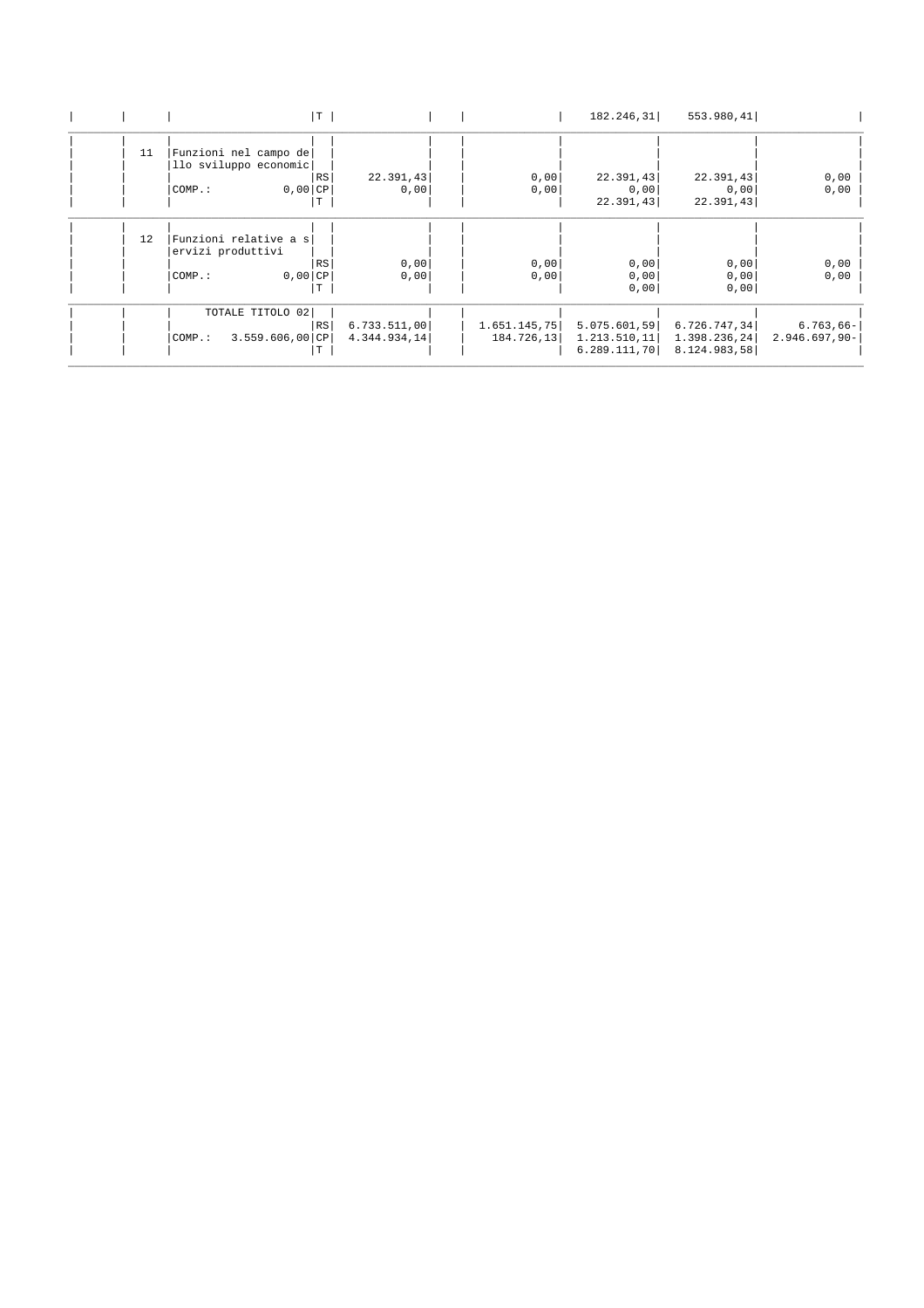|    | T                          |              |              | 182.246,31   | 553.980,41   |                  |
|----|----------------------------|--------------|--------------|--------------|--------------|------------------|
|    |                            |              |              |              |              |                  |
| 11 | Funzioni nel campo de      |              |              |              |              |                  |
|    | llo sviluppo economic      |              |              |              |              |                  |
|    | <b>RS</b>                  | 22.391,43    | 0,00         | 22.391,43    | 22.391,43    | 0,00             |
|    | $0,00$  CP<br>COMP:        | 0,00         | 0,00         | 0,00         | 0,00         | 0,00             |
|    | T                          |              |              | 22.391,43    | 22.391,43    |                  |
|    |                            |              |              |              |              |                  |
|    |                            |              |              |              |              |                  |
| 12 | Funzioni relative a s      |              |              |              |              |                  |
|    | ervizi produttivi          |              |              |              |              |                  |
|    | <b>RS</b>                  | 0,00         | 0,00         | 0,00         | 0,00         | 0,00             |
|    | $0,00$  CP<br>COMP:        | 0,00         | 0,00         | 0,00         | 0,00         | 0,00             |
|    | Т                          |              |              | 0,00         | 0,00         |                  |
|    |                            |              |              |              |              |                  |
|    | TOTALE TITOLO 02           |              |              |              |              |                  |
|    | RS.                        | 6.733.511,00 | 1.651.145.75 | 5.075.601,59 | 6.726.747.34 | $6.763, 66 -$    |
|    | $3.559.606,00$ CP<br>COMP: | 4.344.934,14 | 184.726,13   | 1.213.510.11 | 1.398.236,24 | $2.946.697,90 -$ |
|    | T                          |              |              | 6.289.111,70 | 8.124.983,58 |                  |
|    |                            |              |              |              |              |                  |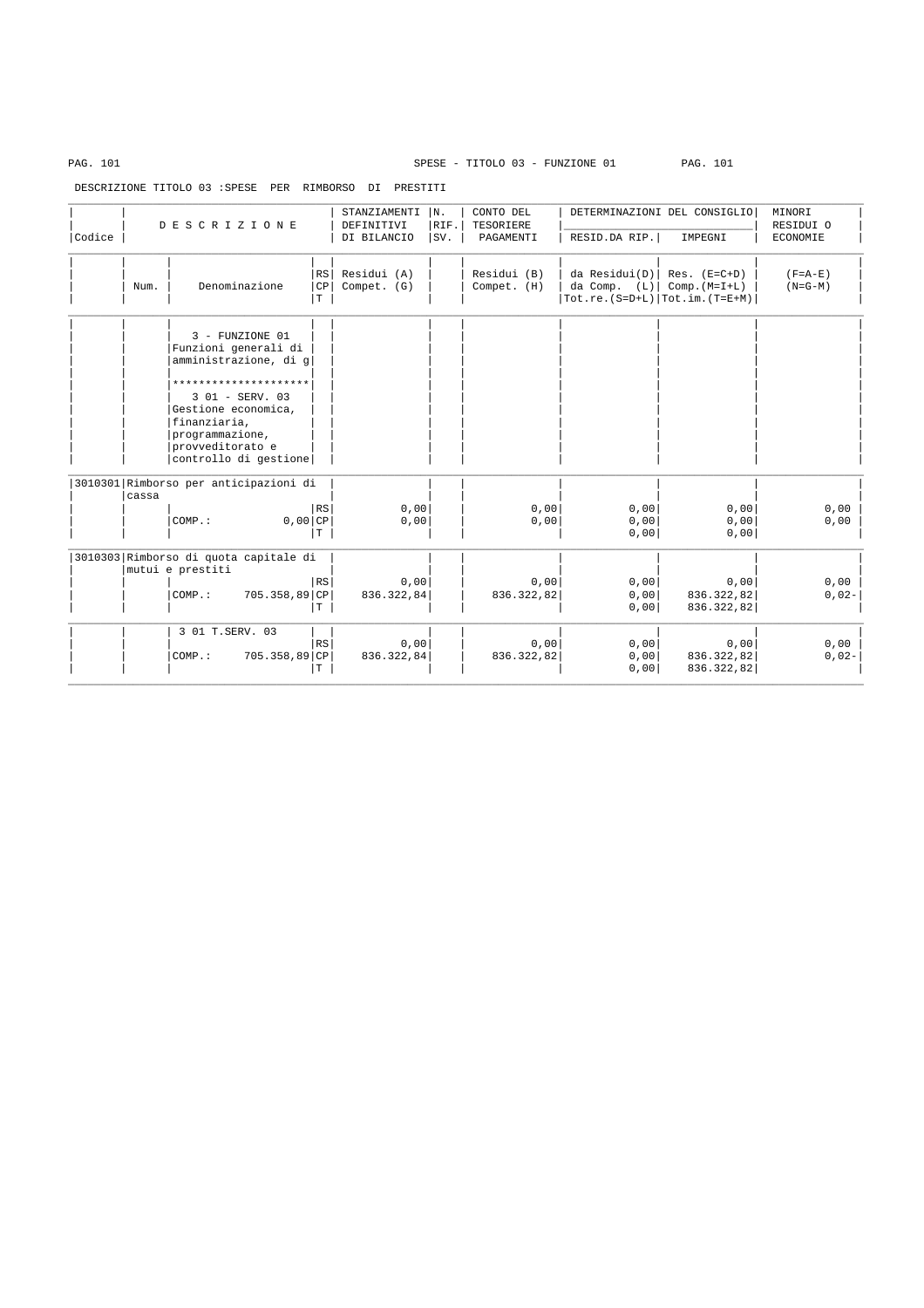# PAG. 101 SPESE - TITOLO 03 - FUNZIONE 01 PAG. 101

DESCRIZIONE TITOLO 03 :SPESE PER RIMBORSO DI PRESTITI

| Codice |       | DESCRIZIONE                                                                                                                                                                                                         |                                | STANZIAMENTI<br>IN.<br>RIF.<br>DEFINITIVI<br>DI BILANCIO<br>SV. | CONTO DEL<br>TESORIERE<br>PAGAMENTI | RESID.DA RIP.                                                                                           | DETERMINAZIONI DEL CONSIGLIO<br>IMPEGNI | MINORI<br>RESIDUI 0<br>ECONOMIE |
|--------|-------|---------------------------------------------------------------------------------------------------------------------------------------------------------------------------------------------------------------------|--------------------------------|-----------------------------------------------------------------|-------------------------------------|---------------------------------------------------------------------------------------------------------|-----------------------------------------|---------------------------------|
|        | Num.  | Denominazione                                                                                                                                                                                                       | <b>RS</b><br>CP<br>$\mathbb T$ | Residui (A)<br>Compet. $(G)$                                    | Residui (B)<br>Compet. (H)          | da Residui(D)   Res. $(E=C+D)$<br>da Comp. $(L)$ Comp. $(M=I+L)$<br>$Tot.re.(S=D+L)   Tot.in.(T=E+M)  $ |                                         | $(F=A-E)$<br>$( N = G - M )$    |
|        |       | 3 - FUNZIONE 01<br>Funzioni generali di<br>amministrazione, di q<br>*********************<br>3 01 - SERV. 03<br>Gestione economica,<br>finanziaria,<br>programmazione,<br>provveditorato e<br>controllo di gestione |                                |                                                                 |                                     |                                                                                                         |                                         |                                 |
|        | cassa | 3010301 Rimborso per anticipazioni di<br>$0.00$ <sub>c</sub> $P$<br>COMP.:                                                                                                                                          | RS<br>T                        | 0,00<br>0,00                                                    | 0,00<br>0,00                        | 0,00<br>0,00<br>0,00                                                                                    | 0,00<br>0,00<br>0,00                    | 0,00<br>0,00                    |
|        |       | 3010303 Rimborso di quota capitale di<br>mutui e prestiti<br>705.358.89 CP<br>COMP:                                                                                                                                 | RS <br>т                       | 0,00<br>836.322,84                                              | 0,00<br>836.322,82                  | 0,00<br>0,00<br>0,00                                                                                    | 0,00<br>836.322,82<br>836.322,82        | 0,00<br>$0,02-$                 |
|        |       | 3 01 T.SERV. 03<br>705.358,89 CP<br>COMP:                                                                                                                                                                           | <b>RS</b><br>$\mathbb T$       | 0.00<br>836.322,84                                              | 0.00<br>836.322,82                  | 0,00<br>0,00<br>0,00                                                                                    | 0.001<br>836.322,82<br>836.322,82       | 0.00<br>$0,02-$                 |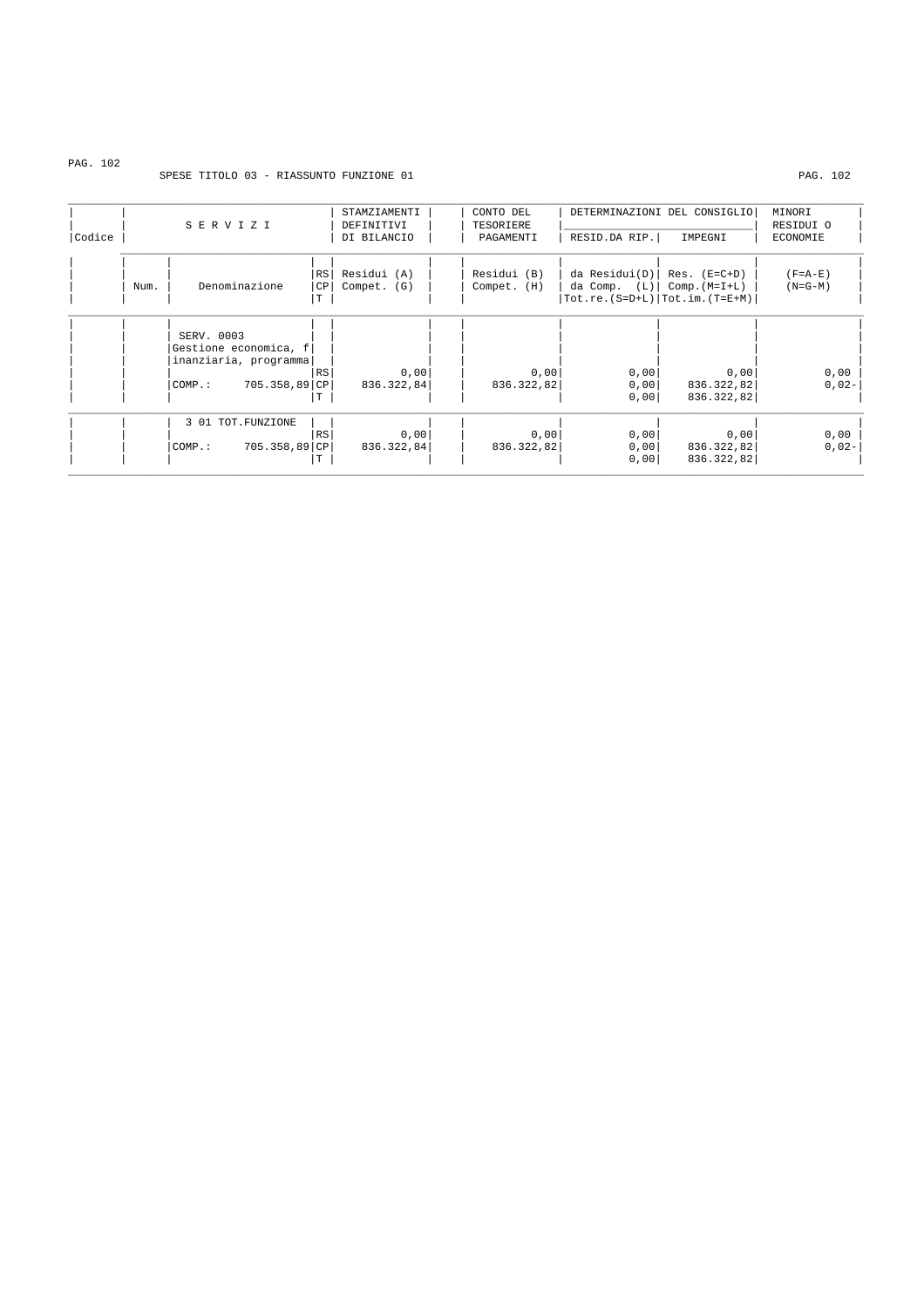### PAG. 102 SPESE TITOLO 03 - RIASSUNTO FUNZIONE 01 PAG. 102

| Codice |      | SERVIZI                                                                                |                         | STAMZIAMENTI<br>DEFINITIVI<br>DI BILANCIO | CONTO DEL<br>TESORIERE<br>PAGAMENTI | RESID.DA RIP.                 | DETERMINAZIONI DEL CONSIGLIO<br>IMPEGNI                                            | MINORI<br>RESIDUI O<br>ECONOMIE |
|--------|------|----------------------------------------------------------------------------------------|-------------------------|-------------------------------------------|-------------------------------------|-------------------------------|------------------------------------------------------------------------------------|---------------------------------|
|        | Num. | Denominazione                                                                          | RS<br>CP<br>$\mathbf T$ | Residui<br>(A)<br>$Compet.$ (G)           | Residui (B)<br>$Compet.$ (H)        | da Residui(D)<br>da Comp. (L) | $Res.$ $(E=C+D)$<br>$\vert$ Comp. $(M=I+L)$<br>$Tot.re.(S=D+L)   Tot.in.(T=E+M)  $ | $(F=A-E)$<br>$( N = G - M )$    |
|        |      | SERV. 0003<br>Gestione economica, f<br>inanziaria, programma<br>705.358,89 CP<br>COMP: | <b>RS</b><br>Т          | 0,00<br>836.322,84                        | 0,00<br>836.322,82                  | 0,00<br>0,00<br>0,00          | 0,00<br>836.322,82<br>836.322,82                                                   | 0,00<br>$0,02-$                 |
|        |      | 3 01 TOT. FUNZIONE<br>705.358,89 CP<br>COMP:                                           | RS<br>T                 | 0,00<br>836.322,84                        | 0,00<br>836.322,82                  | 0,00<br>0,00<br>0,00          | 0,00<br>836.322,82<br>836.322,82                                                   | 0,00<br>$0,02-$                 |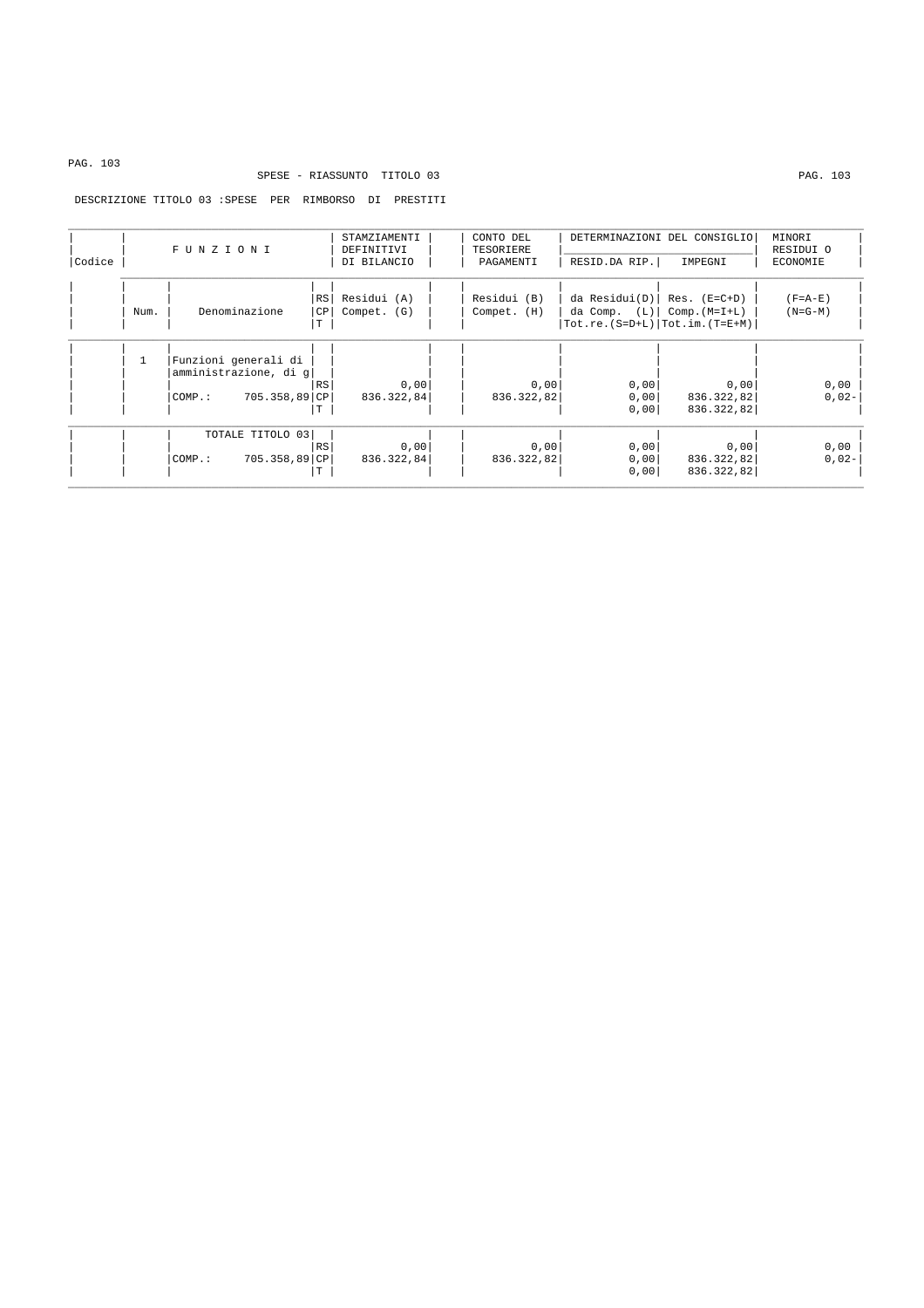# SPESE - RIASSUNTO TITOLO 03 PAG. 103

# DESCRIZIONE TITOLO 03 :SPESE PER RIMBORSO DI PRESTITI

| Codice |              | FUNZIONI                                                                |                         | STAMZIAMENTI<br>DEFINITIVI<br>DI BILANCIO | CONTO DEL<br>TESORIERE<br>PAGAMENTI | RESID.DA RIP.                                                          | DETERMINAZIONI DEL CONSIGLIO<br>IMPEGNI | MINORI<br>RESIDUI O<br>ECONOMIE |
|--------|--------------|-------------------------------------------------------------------------|-------------------------|-------------------------------------------|-------------------------------------|------------------------------------------------------------------------|-----------------------------------------|---------------------------------|
|        | Num.         | Denominazione                                                           | RS<br>CP<br>$\mathbf T$ | Residui<br>(A)<br>(G)<br>Compet.          | Residui (B)<br>Compet. (H)          | da Residui(D)<br>da Comp. (L)<br>Tot.re. $(S=D+L)$   Tot.im. $(T=E+M)$ | $Res.$ $(E=C+D)$<br>Comp. $(M=I+L)$     | $(F=A-E)$<br>$( N = G - M )$    |
|        | $\mathbf{1}$ | Funzioni generali di<br>amministrazione, di q<br>705.358,89 CP<br>COMP: | RS<br>т                 | 0,00<br>836.322,84                        | 0,00<br>836.322,82                  | 0,00<br>0,00<br>0,00                                                   | 0,00<br>836.322,82<br>836.322,82        | 0,00<br>$0,02-$                 |
|        |              | TOTALE TITOLO 03<br>705.358,89 CP<br>COMP:                              | RS<br>T                 | 0,00<br>836.322,84                        | 0,00<br>836.322,82                  | 0,00<br>0,00<br>0,00                                                   | 0,00<br>836.322,82<br>836.322,82        | 0,00<br>$0,02-$                 |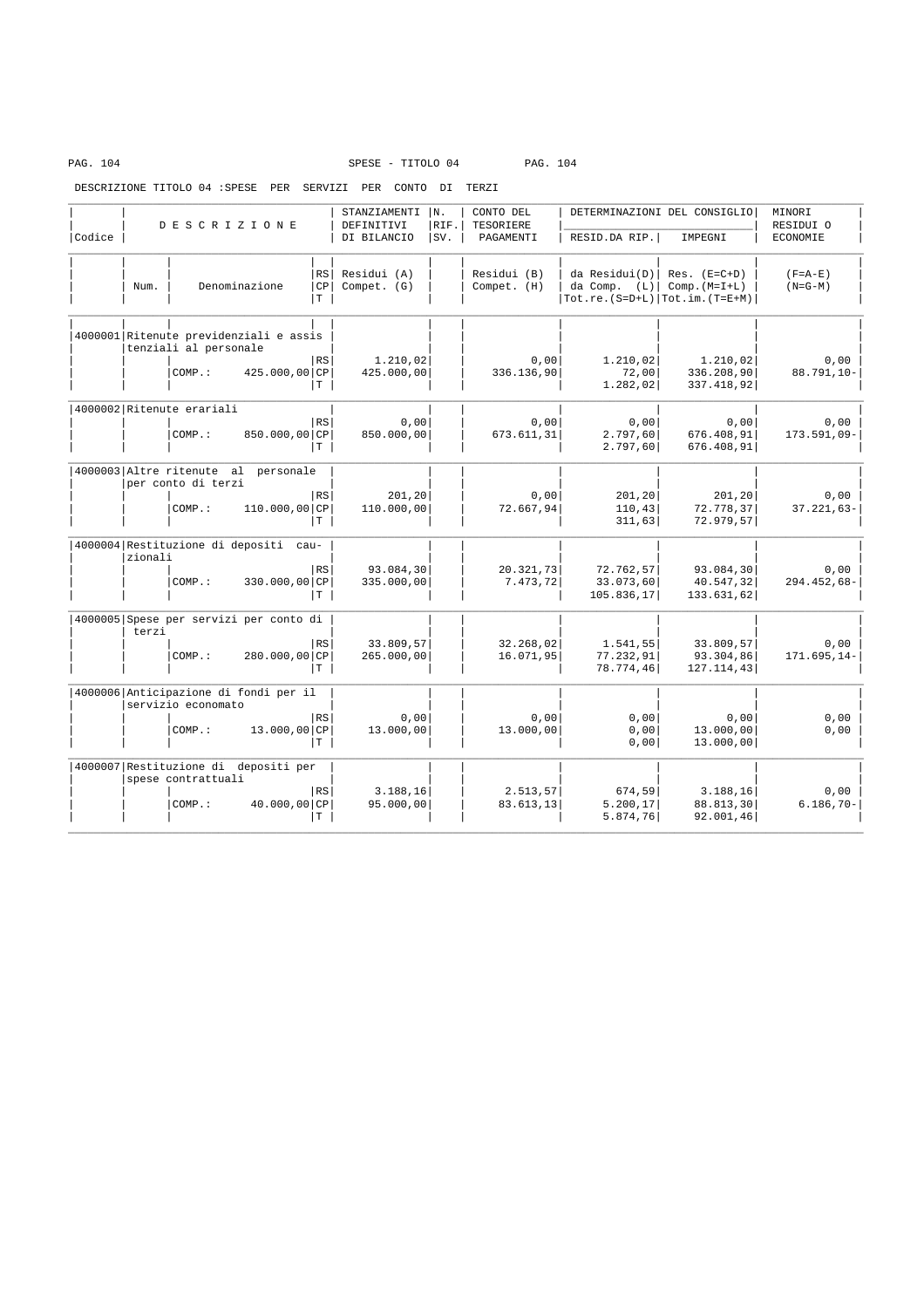PAG. 104 **SPESE** - TITOLO 04 **PAG.** 104

DESCRIZIONE TITOLO 04 :SPESE PER SERVIZI PER CONTO DI TERZI

| Codice |         | DESCRIZIONE                                                     |               |                    | STANZIAMENTI<br>DEFINITIVI<br>DI BILANCIO | $ N$ .<br>RIF.<br>Isv. | CONTO DEL<br>TESORIERE<br>PAGAMENTI | RESID.DA RIP.                                                      | DETERMINAZIONI DEL CONSIGLIO<br>IMPEGNI | MINORI<br>RESIDUI O<br><b>ECONOMIE</b> |
|--------|---------|-----------------------------------------------------------------|---------------|--------------------|-------------------------------------------|------------------------|-------------------------------------|--------------------------------------------------------------------|-----------------------------------------|----------------------------------------|
|        | Num.    | Denominazione                                                   |               | RS<br>CP<br>Iт     | Residui (A)<br>$Compet.$ (G)              |                        | Residui (B)<br>Compet. (H)          | da Residui(D)   Res. $(E=C+D)$<br>da Comp. $(L)  $ Comp. $(M=I+L)$ | $Tot.re.(S=D+L)   Tot.in.(T=E+M)  $     | $(F = A - E)$<br>$( N = G - M )$       |
|        |         | 4000001 Ritenute previdenziali e assis<br>tenziali al personale |               |                    |                                           |                        |                                     |                                                                    |                                         |                                        |
|        |         | $COMP$ .:                                                       | 425.000,00 CP | RS<br>T.           | 1.210,02<br>425.000,00                    |                        | 0,00<br>336.136,90                  | 1.210,02<br>72,00<br>1.282,02                                      | 1.210,02<br>336.208,90<br>337.418,92    | 0,00<br>88.791,10-                     |
|        |         | 4000002 Ritenute erariali                                       |               |                    |                                           |                        |                                     |                                                                    |                                         |                                        |
|        |         | COMP:                                                           | 850.000,00 CP | RS<br>T.           | 0.00<br>850.000,00                        |                        | 0,00<br>673.611,31                  | 0,00<br>2.797,60<br>2.797,60                                       | 0,00<br>676.408,91<br>676.408,91        | 0.00<br>173.591,09-                    |
|        |         | 4000003 Altre ritenute al personale                             |               |                    |                                           |                        |                                     |                                                                    |                                         |                                        |
|        |         | per conto di terzi                                              |               | l RS.              | 201,20                                    |                        | 0,00                                | 201,20                                                             | 201, 20                                 | 0,00                                   |
|        |         | COMP:                                                           | 110.000,00 CP | T.                 | 110.000,00                                |                        | 72.667,94                           | 110,43<br>311,63                                                   | 72.778,37<br>72.979,57                  | $37.221.63 -$                          |
|        | zionali | 4000004 Restituzione di depositi                                | cau-          |                    |                                           |                        |                                     |                                                                    |                                         |                                        |
|        |         | COMP.:                                                          | 330.000,00 CP | $ _{RS}$<br>T      | 93.084,30<br>335.000,00                   |                        | 20.321,73<br>7.473,72               | 72.762,57<br>33.073,60<br>105.836,17                               | 93.084.30<br>40.547,32<br>133.631,62    | 0.00<br>$294.452.68 -$                 |
|        |         | 4000005 Spese per servizi per conto di                          |               |                    |                                           |                        |                                     |                                                                    |                                         |                                        |
|        | terzi   | COMP.:                                                          | 280.000,00 CP | RS<br>T            | 33.809,57<br>265.000,00                   |                        | 32.268,02<br>16.071,95              | 1.541, 55<br>77.232,91<br>78.774, 46                               | 33.809,57<br>93.304,86<br>127.114,43    | 0,00<br>171.695,14-                    |
|        |         | 4000006 Anticipazione di fondi per il<br>servizio economato     |               |                    |                                           |                        |                                     |                                                                    |                                         |                                        |
|        |         | COMP:                                                           | 13.000,00 CP  | RS<br>T            | 0,00<br>13.000,00                         |                        | 0,00<br>13.000,00                   | 0,00<br>0,00<br>0,00                                               | 0,00<br>13.000,00<br>13.000,00          | 0,00<br>0,00                           |
|        |         | 4000007 Restituzione di depositi per                            |               |                    |                                           |                        |                                     |                                                                    |                                         |                                        |
|        |         | spese contrattuali<br>COMP.:                                    | 40.000,00 CP  | RS <br>$\mathbf T$ | 3.188, 16<br>95.000,00                    |                        | 2.513, 57<br>83.613,13              | 674,59<br>5.200,17<br>5.874, 76                                    | 3.188, 16<br>88.813,30<br>92.001,46     | 0,00<br>$6.186, 70 -$                  |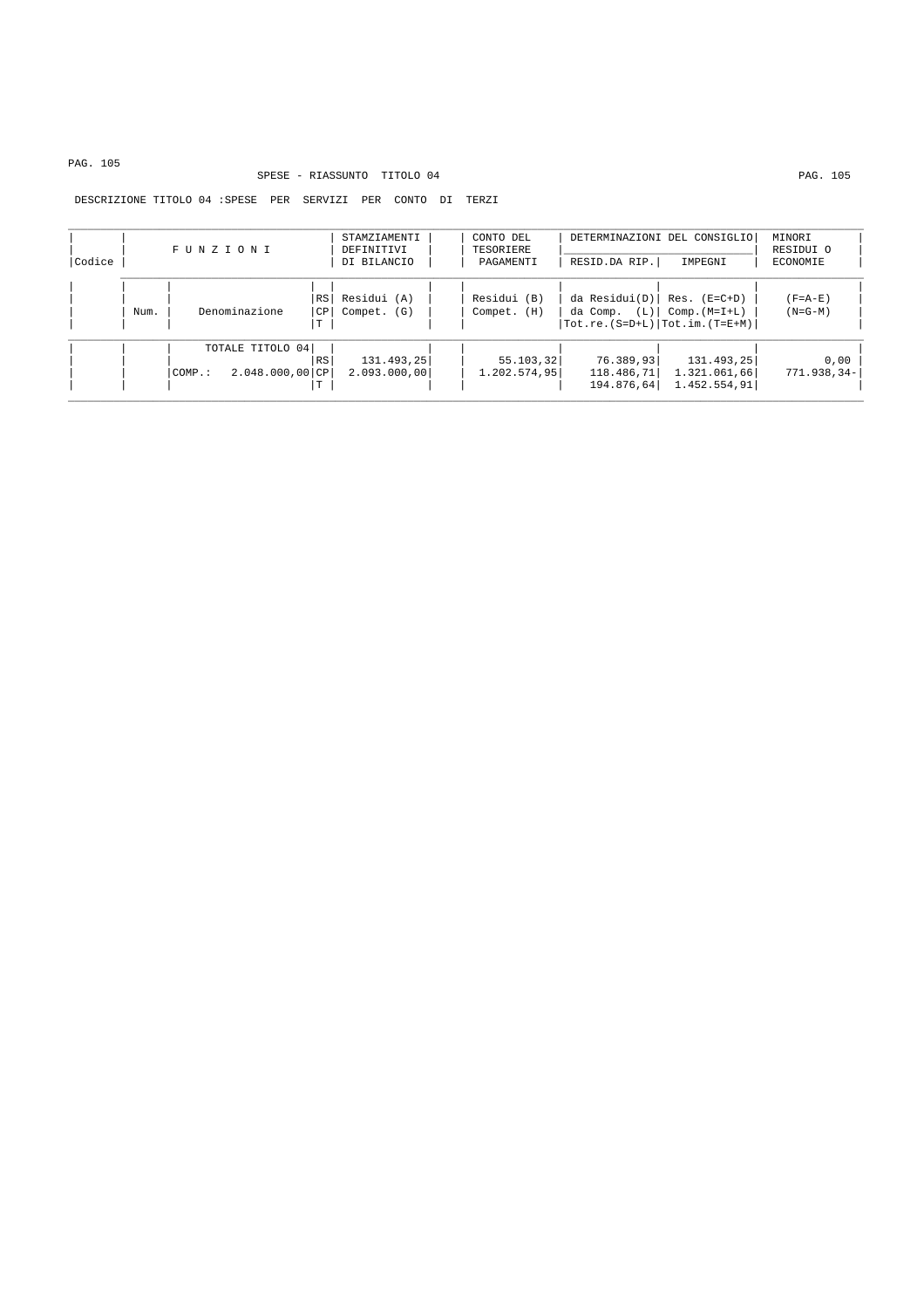### SPESE - RIASSUNTO TITOLO 04 PAG. 105

# DESCRIZIONE TITOLO 04 :SPESE PER SERVIZI PER CONTO DI TERZI

| Codice |      | FUNZIONI                   |               | STAMZIAMENTI<br>DEFINITIVI<br>DI BILANCIO | CONTO DEL<br>TESORIERE<br>PAGAMENTI | RESID.DA RIP.                                                       | DETERMINAZIONI DEL CONSIGLIO<br>IMPEGNI | MINORI<br>RESIDUI O<br>ECONOMIE |
|--------|------|----------------------------|---------------|-------------------------------------------|-------------------------------------|---------------------------------------------------------------------|-----------------------------------------|---------------------------------|
|        | Num. | Denominazione              | RS<br>CP<br>T | Residui (A)<br>$Compet.$ (G)              | Residui (B)<br>Compet. (H)          | da Residui(D)<br>da Comp. (L)<br>$ Tot.re.(S=D+L)   Tot.in.(T=E+M)$ | $Res.$ $(E=C+D)$<br>Comp. $(M=I+L)$     | $(F=A-E)$<br>$( N = G - M )$    |
|        |      | TOTALE TITOLO 04           |               |                                           |                                     |                                                                     |                                         |                                 |
|        |      |                            | RS            | 131.493,25                                | 55.103,32                           | 76.389,93                                                           | 131.493,25                              | 0,00                            |
|        |      | $2.048.000,00$ CP<br>COMP: |               | 2.093.000,00                              | 1.202.574,95                        | 118.486,71                                                          | 1.321.061,66                            | 771.938,34-                     |
|        |      |                            | T             |                                           |                                     | 194.876,64                                                          | 1.452.554,91                            |                                 |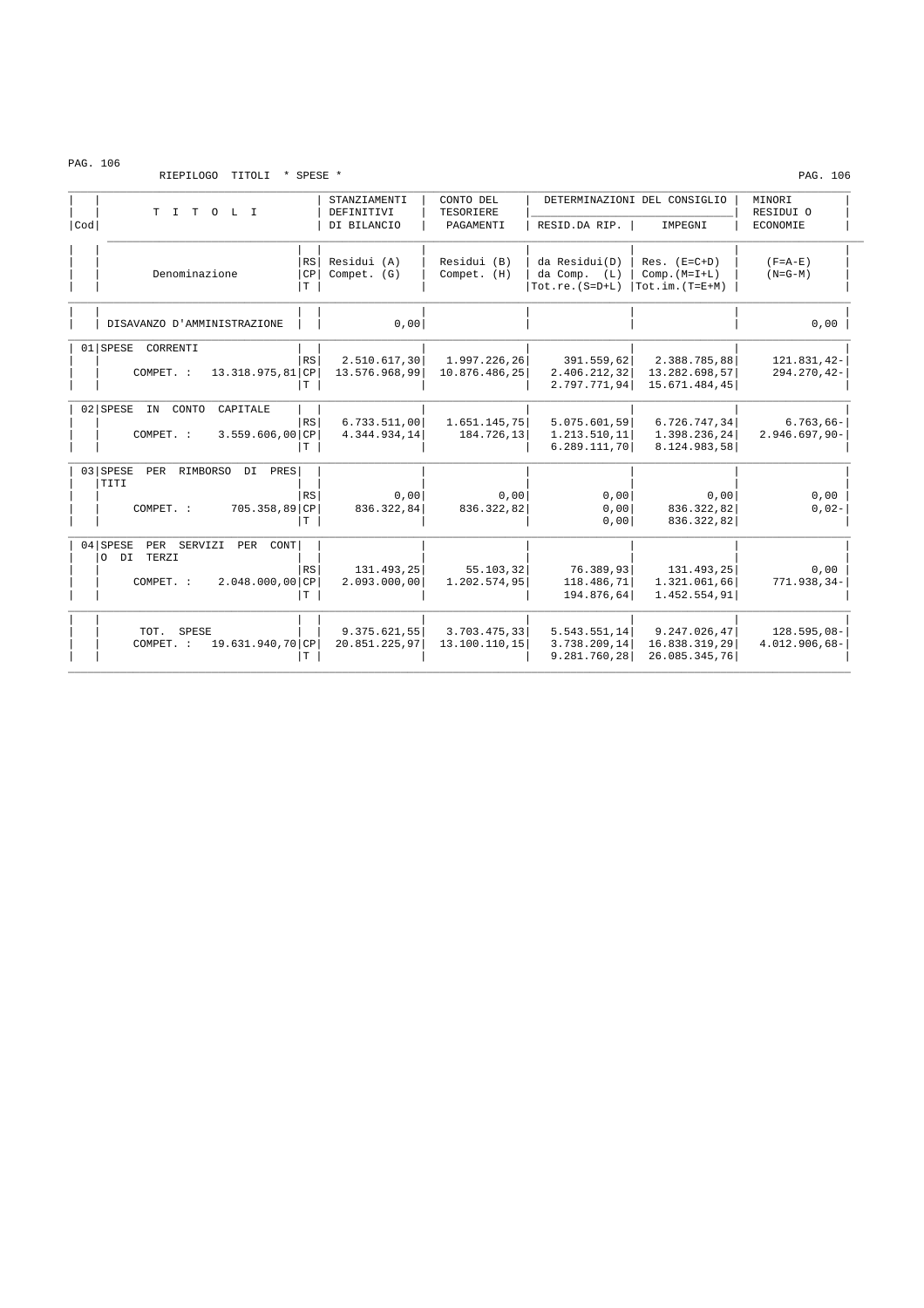RIEPILOGO TITOLI \* SPESE \* PAG. 106

| $\c{cod}$ | TITOLI                                               |                  | STANZIAMENTI<br>DEFINITIVI<br>DI BILANCIO | CONTO DEL<br>TESORIERE<br>PAGAMENTI | RESID.DA RIP.                                     | DETERMINAZIONI DEL CONSIGLIO<br>IMPEGNI                   | MINORI<br>RESIDUI O<br><b>ECONOMIE</b> |
|-----------|------------------------------------------------------|------------------|-------------------------------------------|-------------------------------------|---------------------------------------------------|-----------------------------------------------------------|----------------------------------------|
|           | Denominazione                                        | RS <br>l CP<br>т | Residui (A)<br>Compet. (G)                | Residui (B)<br>Compet. (H)          | da Residui(D)<br>da Comp. (L)<br>$Tot.re.(S=D+L)$ | $Res.$ $(E=C+D)$<br>$Comp.(M=I+L)$<br>$Tot.in.$ $(T=E+M)$ | $(F = A - E)$<br>$(N = G - M)$         |
|           | DISAVANZO D'AMMINISTRAZIONE                          |                  | 0,00                                      |                                     |                                                   |                                                           | 0,00                                   |
|           | 01 SPESE<br>CORRENTI                                 |                  |                                           |                                     |                                                   |                                                           |                                        |
|           | 13.318.975,81 CP<br>COMPET. :                        | RS <br>T         | 2.510.617,30<br>13.576.968,99             | 1.997.226,26<br>10.876.486,25       | 391.559,62<br>2.406.212.32<br>2.797.771,94        | 2.388.785,88<br>13.282.698,57<br>15.671.484,45            | 121.831,42-<br>294.270,42-             |
|           |                                                      |                  |                                           |                                     |                                                   |                                                           |                                        |
|           | 02 SPESE<br>IN CONTO<br>CAPITALE                     | RS I             | 6.733.511,00                              | 1.651.145,75                        | 5.075.601, 59                                     | 6.726.747,34                                              | $6.763, 66 -$                          |
|           | 3.559.606,00 CP <br>COMPET. :                        | T                | 4.344.934,14                              | 184.726,13                          | 1.213.510.11<br>6.289.111,70                      | 1.398.236,24<br>8.124.983,58                              | $2.946.697,90 -$                       |
|           | 03 SPESE<br>PER RIMBORSO<br>DI PRES                  |                  |                                           |                                     |                                                   |                                                           |                                        |
|           | TITI                                                 | RS               | 0,00                                      | 0,00                                | 0,00                                              | 0,00                                                      | 0,00                                   |
|           | COMPET. :<br>705.358.89 CP                           | т                | 836.322.84                                | 836.322.82                          | 0,00<br>0,00                                      | 836.322,82<br>836.322,82                                  | $0,02-$                                |
|           | 04 SPESE<br>PER SERVIZI<br>PER<br>CONT<br>O DI TERZI |                  |                                           |                                     |                                                   |                                                           |                                        |
|           | COMPET. :<br>$2.048.000.00$ $ CP $                   | RS  <br>T.       | 131.493,25<br>2.093.000,00                | 55.103,32<br>1.202.574,95           | 76.389,93<br>118.486,71<br>194.876,64             | 131.493,25<br>1.321.061,66<br>1.452.554,91                | 0,00<br>771.938,34-                    |
|           |                                                      |                  |                                           |                                     |                                                   |                                                           |                                        |
|           | TOT.<br>SPESE                                        |                  | 9.375.621.55                              | 3.703.475.33<br>13.100.110,15       | 5.543.551.14<br>3.738.209, 14                     | 9.247.026.47                                              | 128.595.08-<br>$4.012.906,68-$         |
|           | 19.631.940,70 CP<br>COMPET. :                        |                  | 20.851.225,97                             |                                     |                                                   | 16.838.319,29                                             |                                        |